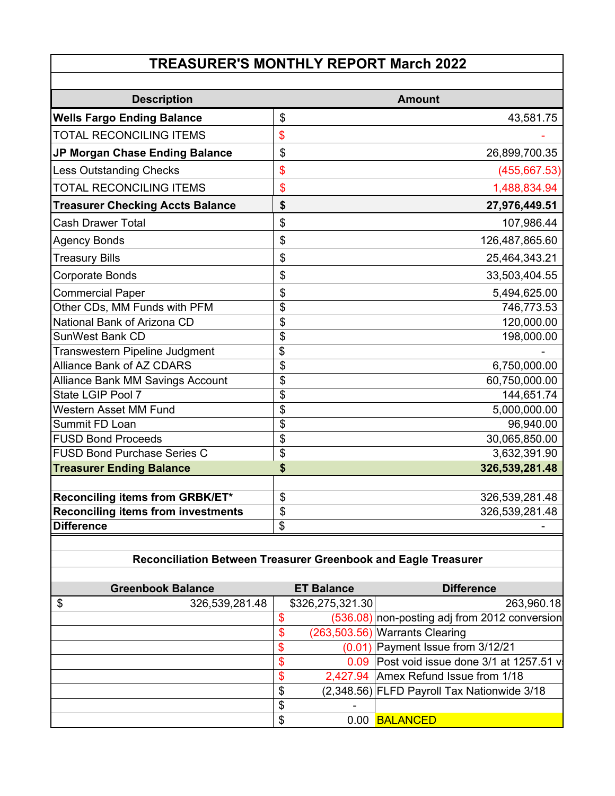# **TREASURER'S MONTHLY REPORT March 2022**

| <b>Description</b>                        | <b>Amount</b>        |
|-------------------------------------------|----------------------|
| <b>Wells Fargo Ending Balance</b>         | \$<br>43,581.75      |
| <b>TOTAL RECONCILING ITEMS</b>            | \$                   |
| JP Morgan Chase Ending Balance            | \$<br>26,899,700.35  |
| <b>Less Outstanding Checks</b>            | \$<br>(455, 667.53)  |
| <b>TOTAL RECONCILING ITEMS</b>            | \$<br>1,488,834.94   |
| <b>Treasurer Checking Accts Balance</b>   | \$<br>27,976,449.51  |
| <b>Cash Drawer Total</b>                  | \$<br>107,986.44     |
| <b>Agency Bonds</b>                       | \$<br>126,487,865.60 |
| <b>Treasury Bills</b>                     | \$<br>25,464,343.21  |
| Corporate Bonds                           | \$<br>33,503,404.55  |
| <b>Commercial Paper</b>                   | \$<br>5,494,625.00   |
| Other CDs, MM Funds with PFM              | \$<br>746,773.53     |
| National Bank of Arizona CD               | \$<br>120,000.00     |
| <b>SunWest Bank CD</b>                    | \$<br>198,000.00     |
| Transwestern Pipeline Judgment            | \$                   |
| Alliance Bank of AZ CDARS                 | \$<br>6,750,000.00   |
| <b>Alliance Bank MM Savings Account</b>   | \$<br>60,750,000.00  |
| State LGIP Pool 7                         | \$<br>144,651.74     |
| <b>Western Asset MM Fund</b>              | \$<br>5,000,000.00   |
| <b>Summit FD Loan</b>                     | \$<br>96,940.00      |
| <b>FUSD Bond Proceeds</b>                 | \$<br>30,065,850.00  |
| <b>FUSD Bond Purchase Series C</b>        | \$<br>3,632,391.90   |
| <b>Treasurer Ending Balance</b>           | \$<br>326,539,281.48 |
|                                           |                      |
| Reconciling items from GRBK/ET*           | \$<br>326,539,281.48 |
| <b>Reconciling items from investments</b> | \$<br>326,539,281.48 |
| <b>Difference</b>                         | \$                   |

### **Reconciliation Between Treasurer Greenbook and Eagle Treasurer**

| <b>Greenbook Balance</b> | <b>ET Balance</b> | <b>Difference</b>                               |
|--------------------------|-------------------|-------------------------------------------------|
| \$<br>326,539,281.48     | \$326,275,321.30  | 263,960.18                                      |
|                          | \$.               | $(536.08)$ non-posting adj from 2012 conversion |
|                          | \$                | $(263,503.56)$ Warrants Clearing                |
|                          | \$                | $(0.01)$ Payment Issue from 3/12/21             |
|                          | S                 | 0.09 Post void issue done 3/1 at 1257.51 v      |
|                          | \$                | 2,427.94 Amex Refund Issue from 1/18            |
|                          | \$                | $(2,348.56)$ FLFD Payroll Tax Nationwide 3/18   |
|                          | \$                |                                                 |
|                          | \$                | 0.00 BALANCED                                   |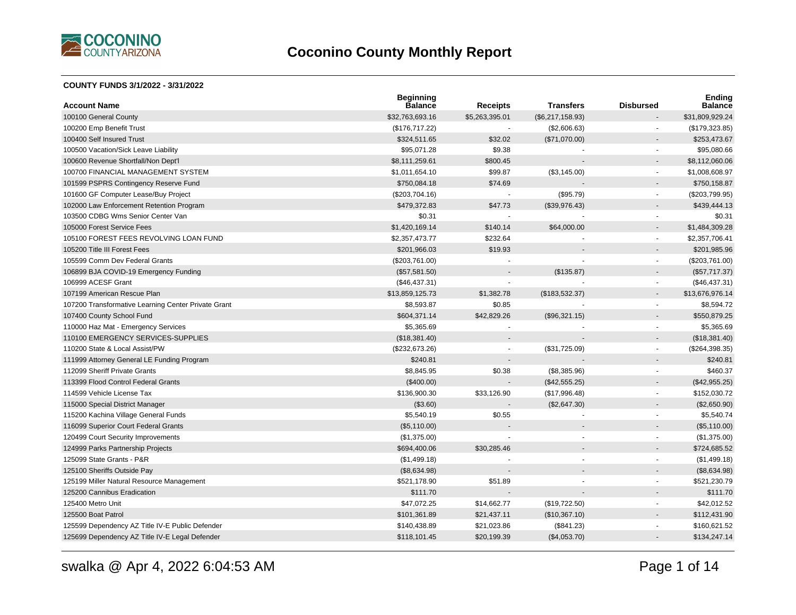

#### **COUNTY FUNDS 3/1/2022 - 3/31/2022**

| <b>Account Name</b>                                 | <b>Beginning</b><br><b>Balance</b> | <b>Receipts</b> | <b>Transfers</b> | <b>Disbursed</b>         | <b>Ending</b><br><b>Balance</b> |
|-----------------------------------------------------|------------------------------------|-----------------|------------------|--------------------------|---------------------------------|
| 100100 General County                               | \$32,763,693.16                    | \$5,263,395.01  | (\$6,217,158.93) |                          | \$31,809,929.24                 |
| 100200 Emp Benefit Trust                            | (\$176,717.22)                     | $\sim$          | (\$2,606.63)     | $\blacksquare$           | (\$179,323.85)                  |
| 100400 Self Insured Trust                           | \$324,511.65                       | \$32.02         | (\$71,070.00)    |                          | \$253,473.67                    |
| 100500 Vacation/Sick Leave Liability                | \$95,071.28                        | \$9.38          |                  |                          | \$95,080.66                     |
| 100600 Revenue Shortfall/Non Dept'l                 | \$8,111,259.61                     | \$800.45        |                  |                          | \$8,112,060.06                  |
| 100700 FINANCIAL MANAGEMENT SYSTEM                  | \$1,011,654.10                     | \$99.87         | (\$3,145.00)     | $\blacksquare$           | \$1,008,608.97                  |
| 101599 PSPRS Contingency Reserve Fund               | \$750,084.18                       | \$74.69         |                  |                          | \$750,158.87                    |
| 101600 GF Computer Lease/Buy Project                | (\$203,704.16)                     | $\sim$          | (\$95.79)        | $\blacksquare$           | $(\$203,799.95)$                |
| 102000 Law Enforcement Retention Program            | \$479,372.83                       | \$47.73         | (\$39,976.43)    |                          | \$439,444.13                    |
| 103500 CDBG Wms Senior Center Van                   | \$0.31                             |                 |                  | $\overline{a}$           | \$0.31                          |
| 105000 Forest Service Fees                          | \$1,420,169.14                     | \$140.14        | \$64,000.00      | $\overline{a}$           | \$1,484,309.28                  |
| 105100 FOREST FEES REVOLVING LOAN FUND              | \$2,357,473.77                     | \$232.64        |                  | $\blacksquare$           | \$2,357,706.41                  |
| 105200 Title III Forest Fees                        | \$201,966.03                       | \$19.93         |                  |                          | \$201,985.96                    |
| 105599 Comm Dev Federal Grants                      | (\$203,761.00)                     |                 |                  | $\overline{\phantom{a}}$ | (\$203,761.00)                  |
| 106899 BJA COVID-19 Emergency Funding               | (\$57,581.50)                      |                 | (\$135.87)       |                          | (\$57,717.37)                   |
| 106999 ACESF Grant                                  | (\$46,437.31)                      |                 |                  | $\blacksquare$           | (\$46,437.31)                   |
| 107199 American Rescue Plan                         | \$13,859,125.73                    | \$1,382.78      | (\$183,532.37)   |                          | \$13,676,976.14                 |
| 107200 Transformative Learning Center Private Grant | \$8,593.87                         | \$0.85          |                  | $\blacksquare$           | \$8,594.72                      |
| 107400 County School Fund                           | \$604,371.14                       | \$42,829.26     | (\$96,321.15)    |                          | \$550,879.25                    |
| 110000 Haz Mat - Emergency Services                 | \$5,365.69                         |                 |                  | $\blacksquare$           | \$5,365.69                      |
| 110100 EMERGENCY SERVICES-SUPPLIES                  | (\$18,381.40)                      |                 |                  |                          | (\$18,381.40)                   |
| 110200 State & Local Assist/PW                      | (\$232,673.26)                     |                 | (\$31,725.09)    | $\blacksquare$           | (\$264,398.35)                  |
| 111999 Attorney General LE Funding Program          | \$240.81                           |                 |                  |                          | \$240.81                        |
| 112099 Sheriff Private Grants                       | \$8,845.95                         | \$0.38          | (\$8,385.96)     | $\blacksquare$           | \$460.37                        |
| 113399 Flood Control Federal Grants                 | (\$400.00)                         |                 | (\$42,555.25)    |                          | (\$42,955.25)                   |
| 114599 Vehicle License Tax                          | \$136,900.30                       | \$33,126.90     | (\$17,996.48)    | $\blacksquare$           | \$152,030.72                    |
| 115000 Special District Manager                     | (\$3.60)                           |                 | (\$2,647.30)     | $\overline{\phantom{a}}$ | (\$2,650.90)                    |
| 115200 Kachina Village General Funds                | \$5,540.19                         | \$0.55          |                  | $\blacksquare$           | \$5,540.74                      |
| 116099 Superior Court Federal Grants                | (\$5,110.00)                       |                 |                  |                          | (\$5,110.00)                    |
| 120499 Court Security Improvements                  | (\$1,375.00)                       |                 |                  | $\blacksquare$           | (\$1,375.00)                    |
| 124999 Parks Partnership Projects                   | \$694,400.06                       | \$30,285.46     |                  |                          | \$724,685.52                    |
| 125099 State Grants - P&R                           | (\$1,499.18)                       |                 |                  |                          | (\$1,499.18)                    |
| 125100 Sheriffs Outside Pay                         | (\$8,634.98)                       |                 |                  | $\overline{a}$           | (\$8,634.98)                    |
| 125199 Miller Natural Resource Management           | \$521,178.90                       | \$51.89         |                  | $\blacksquare$           | \$521,230.79                    |
| 125200 Cannibus Eradication                         | \$111.70                           |                 |                  |                          | \$111.70                        |
| 125400 Metro Unit                                   | \$47,072.25                        | \$14,662.77     | (\$19,722.50)    | $\blacksquare$           | \$42,012.52                     |
| 125500 Boat Patrol                                  | \$101,361.89                       | \$21,437.11     | (\$10,367.10)    | $\overline{a}$           | \$112,431.90                    |
| 125599 Dependency AZ Title IV-E Public Defender     | \$140,438.89                       | \$21,023.86     | (\$841.23)       |                          | \$160,621.52                    |
| 125699 Dependency AZ Title IV-E Legal Defender      | \$118,101.45                       | \$20,199.39     | (\$4,053.70)     |                          | \$134,247.14                    |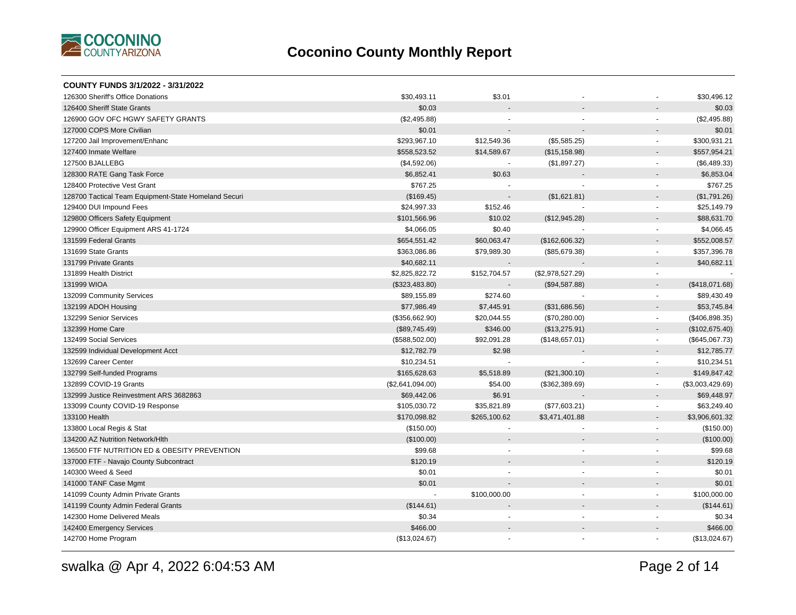

| <b>COUNTY FUNDS 3/1/2022 - 3/31/2022</b>             |                  |                      |                      |                          |                  |
|------------------------------------------------------|------------------|----------------------|----------------------|--------------------------|------------------|
| 126300 Sheriff's Office Donations                    | \$30,493.11      | \$3.01               |                      |                          | \$30,496.12      |
| 126400 Sheriff State Grants                          | \$0.03           |                      |                      |                          | \$0.03           |
| 126900 GOV OFC HGWY SAFETY GRANTS                    | (\$2,495.88)     |                      |                      | $\sim$                   | (\$2,495.88)     |
| 127000 COPS More Civilian                            | \$0.01           |                      |                      |                          | \$0.01           |
| 127200 Jail Improvement/Enhanc                       | \$293,967.10     | \$12,549.36          | (\$5,585.25)         | $\blacksquare$           | \$300,931.21     |
| 127400 Inmate Welfare                                | \$558,523.52     | \$14,589.67          | (\$15, 158.98)       |                          | \$557,954.21     |
| 127500 BJALLEBG                                      | (\$4,592.06)     |                      | (\$1,897.27)         | $\sim$                   | (\$6,489.33)     |
| 128300 RATE Gang Task Force                          | \$6,852.41       | \$0.63               |                      |                          | \$6,853.04       |
| 128400 Protective Vest Grant                         | \$767.25         |                      |                      |                          | \$767.25         |
| 128700 Tactical Team Equipment-State Homeland Securi | (\$169.45)       |                      | (\$1,621.81)         |                          | (\$1,791.26)     |
| 129400 DUI Impound Fees                              | \$24,997.33      | \$152.46             |                      | $\sim$                   | \$25,149.79      |
| 129800 Officers Safety Equipment                     | \$101,566.96     | \$10.02              | (\$12,945.28)        |                          | \$88,631.70      |
| 129900 Officer Equipment ARS 41-1724                 | \$4,066.05       | \$0.40               |                      |                          | \$4,066.45       |
| 131599 Federal Grants                                | \$654,551.42     | \$60,063.47          | (\$162,606.32)       |                          | \$552,008.57     |
| 131699 State Grants                                  | \$363,086.86     | \$79,989.30          | (\$85,679.38)        | $\sim$                   | \$357,396.78     |
| 131799 Private Grants                                | \$40,682.11      |                      |                      |                          | \$40,682.11      |
| 131899 Health District                               | \$2,825,822.72   | \$152,704.57         | (\$2,978,527.29)     | $\overline{\phantom{a}}$ |                  |
| 131999 WIOA                                          | (\$323,483.80)   |                      | (\$94,587.88)        | $\sim$                   | (\$418,071.68)   |
| 132099 Community Services                            | \$89,155.89      | \$274.60             |                      | $\overline{\phantom{a}}$ | \$89,430.49      |
| 132199 ADOH Housing                                  | \$77,986.49      | \$7,445.91           | (\$31,686.56)        | $\sim$                   | \$53,745.84      |
| 132299 Senior Services                               | (\$356,662.90)   | \$20,044.55          | (\$70,280.00)        | $\blacksquare$           | (\$406,898.35)   |
| 132399 Home Care                                     | (\$89,745.49)    | \$346.00             | (\$13,275.91)        |                          | (\$102,675.40)   |
| 132499 Social Services                               | (\$588,502.00)   | \$92,091.28          | (\$148,657.01)       | $\blacksquare$           | (\$645,067.73)   |
| 132599 Individual Development Acct                   | \$12,782.79      | \$2.98               |                      |                          | \$12,785.77      |
| 132699 Career Center                                 | \$10,234.51      |                      |                      | $\mathbf{r}$             | \$10,234.51      |
| 132799 Self-funded Programs                          | \$165,628.63     | \$5,518.89           | (\$21,300.10)        | $\overline{\phantom{a}}$ | \$149,847.42     |
| 132899 COVID-19 Grants                               | (\$2,641,094.00) | \$54.00              | (\$362,389.69)       | $\blacksquare$           | (\$3,003,429.69) |
| 132999 Justice Reinvestment ARS 3682863              | \$69,442.06      | \$6.91               |                      |                          | \$69,448.97      |
| 133099 County COVID-19 Response                      | \$105,030.72     | \$35,821.89          | (\$77,603.21)        | $\blacksquare$           | \$63,249.40      |
| 133100 Health                                        | \$170,098.82     | \$265,100.62         | \$3,471,401.88       |                          | \$3,906,601.32   |
| 133800 Local Regis & Stat                            | (\$150.00)       |                      |                      | $\overline{\phantom{a}}$ | (\$150.00)       |
| 134200 AZ Nutrition Network/Hlth                     | (\$100.00)       |                      |                      |                          | (\$100.00)       |
| 136500 FTF NUTRITION ED & OBESITY PREVENTION         | \$99.68          |                      | $\ddot{\phantom{1}}$ |                          | \$99.68          |
| 137000 FTF - Navajo County Subcontract               | \$120.19         |                      |                      |                          | \$120.19         |
| 140300 Weed & Seed                                   | \$0.01           | $\ddot{\phantom{1}}$ | $\sim$               | $\sim$                   | \$0.01           |
| 141000 TANF Case Mgmt                                | \$0.01           |                      |                      |                          | \$0.01           |
| 141099 County Admin Private Grants                   |                  | \$100,000.00         | $\blacksquare$       | $\blacksquare$           | \$100,000.00     |
| 141199 County Admin Federal Grants                   | (\$144.61)       |                      |                      |                          | (\$144.61)       |
| 142300 Home Delivered Meals                          | \$0.34           |                      |                      |                          | \$0.34           |
| 142400 Emergency Services                            | \$466.00         |                      |                      |                          | \$466.00         |
| 142700 Home Program                                  | (\$13,024.67)    |                      |                      |                          | (\$13,024.67)    |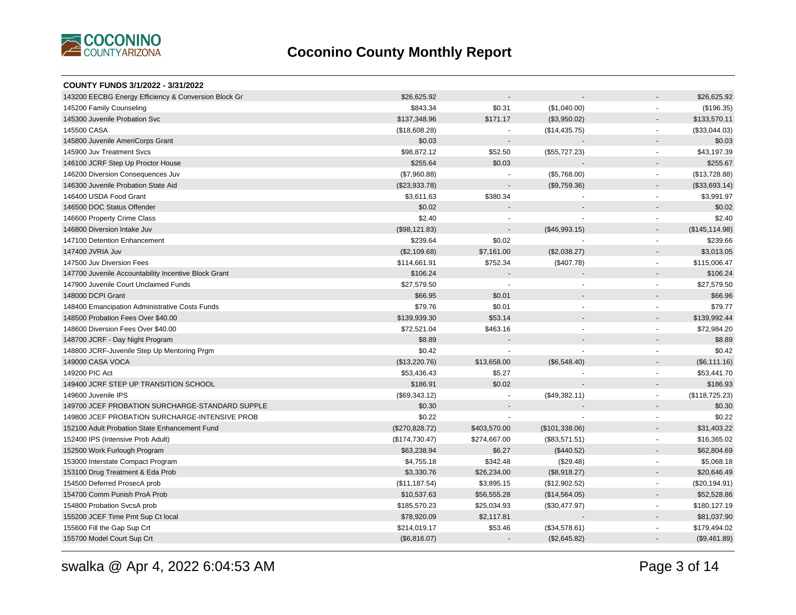

| <b>COUNTY FUNDS 3/1/2022 - 3/31/2022</b>             |                |                |                |                          |                 |
|------------------------------------------------------|----------------|----------------|----------------|--------------------------|-----------------|
| 143200 EECBG Energy Efficiency & Conversion Block Gr | \$26,625.92    |                |                |                          | \$26,625.92     |
| 145200 Family Counseling                             | \$843.34       | \$0.31         | (\$1,040.00)   |                          | (\$196.35)      |
| 145300 Juvenile Probation Svc                        | \$137,348.96   | \$171.17       | (\$3,950.02)   |                          | \$133,570.11    |
| 145500 CASA                                          | (\$18,608.28)  |                | (\$14,435.75)  | $\sim$                   | (\$33,044.03)   |
| 145800 Juvenile AmeriCorps Grant                     | \$0.03         |                |                |                          | \$0.03          |
| 145900 Juv Treatment Svcs                            | \$98,872.12    | \$52.50        | (\$55,727.23)  | $\blacksquare$           | \$43,197.39     |
| 146100 JCRF Step Up Proctor House                    | \$255.64       | \$0.03         |                |                          | \$255.67        |
| 146200 Diversion Consequences Juv                    | (\$7,960.88)   | $\blacksquare$ | (\$5,768.00)   | $\blacksquare$           | (\$13,728.88)   |
| 146300 Juvenile Probation State Aid                  | (\$23,933.78)  |                | (\$9,759.36)   | $\sim$                   | (\$33,693.14)   |
| 146400 USDA Food Grant                               | \$3,611.63     | \$380.34       |                | $\sim$                   | \$3,991.97      |
| 146500 DOC Status Offender                           | \$0.02         |                |                |                          | \$0.02          |
| 146600 Property Crime Class                          | \$2.40         |                |                | $\sim$                   | \$2.40          |
| 146800 Diversion Intake Juv                          | (\$98,121.83)  |                | (\$46,993.15)  |                          | (\$145, 114.98) |
| 147100 Detention Enhancement                         | \$239.64       | \$0.02         |                | $\blacksquare$           | \$239.66        |
| 147400 JVRIA Juv                                     | (\$2,109.68)   | \$7,161.00     | (\$2,038.27)   |                          | \$3,013.05      |
| 147500 Juv Diversion Fees                            | \$114,661.91   | \$752.34       | (\$407.78)     | $\sim$                   | \$115,006.47    |
| 147700 Juvenile Accountability Incentive Block Grant | \$106.24       |                |                |                          | \$106.24        |
| 147900 Juvenile Court Unclaimed Funds                | \$27,579.50    |                |                |                          | \$27,579.50     |
| 148000 DCPI Grant                                    | \$66.95        | \$0.01         |                |                          | \$66.96         |
| 148400 Emancipation Administrative Costs Funds       | \$79.76        | \$0.01         |                |                          | \$79.77         |
| 148500 Probation Fees Over \$40.00                   | \$139,939.30   | \$53.14        |                |                          | \$139,992.44    |
| 148600 Diversion Fees Over \$40.00                   | \$72,521.04    | \$463.16       |                |                          | \$72,984.20     |
| 148700 JCRF - Day Night Program                      | \$8.89         |                |                |                          | \$8.89          |
| 148800 JCRF-Juvenile Step Up Mentoring Prgm          | \$0.42         |                |                | $\sim$                   | \$0.42          |
| 149000 CASA VOCA                                     | (\$13,220.76)  | \$13,658.00    | (\$6,548.40)   | $\sim$                   | (\$6,111.16)    |
| 149200 PIC Act                                       | \$53,436.43    | \$5.27         |                | $\overline{\phantom{a}}$ | \$53,441.70     |
| 149400 JCRF STEP UP TRANSITION SCHOOL                | \$186.91       | \$0.02         |                |                          | \$186.93        |
| 149600 Juvenile IPS                                  | (\$69,343.12)  |                | (\$49,382.11)  | $\blacksquare$           | (\$118,725.23)  |
| 149700 JCEF PROBATION SURCHARGE-STANDARD SUPPLE      | \$0.30         |                |                |                          | \$0.30          |
| 149800 JCEF PROBATION SURCHARGE-INTENSIVE PROB       | \$0.22         |                |                |                          | \$0.22          |
| 152100 Adult Probation State Enhancement Fund        | (\$270,828.72) | \$403,570.00   | (\$101,338.06) | $\blacksquare$           | \$31,403.22     |
| 152400 IPS (Intensive Prob Adult)                    | (\$174,730.47) | \$274,667.00   | (\$83,571.51)  | $\overline{a}$           | \$16,365.02     |
| 152500 Work Furlough Program                         | \$63,238.94    | \$6.27         | (\$440.52)     |                          | \$62,804.69     |
| 153000 Interstate Compact Program                    | \$4,755.18     | \$342.48       | (\$29.48)      | $\blacksquare$           | \$5,068.18      |
| 153100 Drug Treatment & Eda Prob                     | \$3,330.76     | \$26,234.00    | (\$8,918.27)   | $\overline{\phantom{a}}$ | \$20,646.49     |
| 154500 Deferred ProsecA prob                         | (\$11,187.54)  | \$3,895.15     | (\$12,902.52)  | $\blacksquare$           | (\$20, 194.91)  |
| 154700 Comm Punish ProA Prob                         | \$10,537.63    | \$56,555.28    | (\$14,564.05)  | $\blacksquare$           | \$52,528.86     |
| 154800 Probation SvcsA prob                          | \$185,570.23   | \$25,034.93    | (\$30,477.97)  | $\blacksquare$           | \$180,127.19    |
| 155200 JCEF Time Pmt Sup Ct local                    | \$78,920.09    | \$2,117.81     |                |                          | \$81,037.90     |
| 155600 Fill the Gap Sup Crt                          | \$214,019.17   | \$53.46        | (\$34,578.61)  | $\sim$                   | \$179,494.02    |
| 155700 Model Court Sup Crt                           | (\$6,816.07)   |                | (\$2,645.82)   |                          | (\$9,461.89)    |
|                                                      |                |                |                |                          |                 |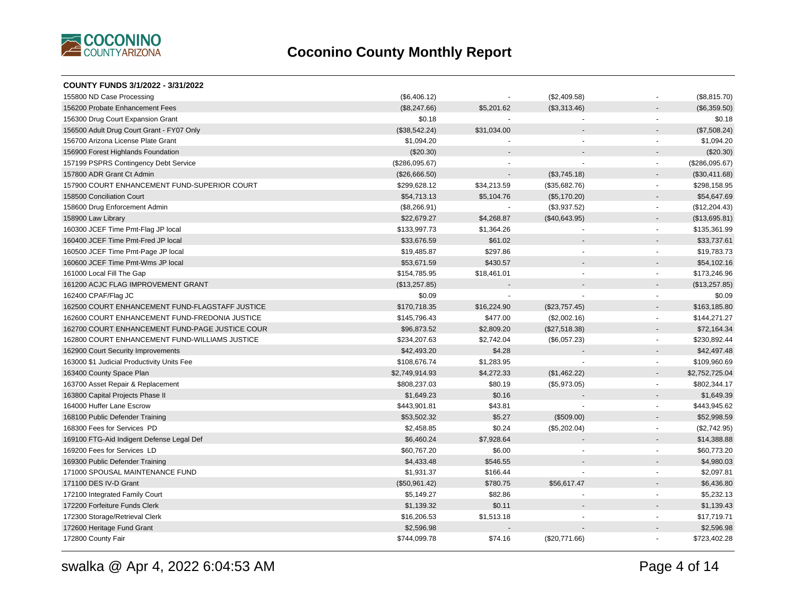

| COUNTY FUNDS 3/1/2022 - 3/31/2022               |                |             |                |                                          |
|-------------------------------------------------|----------------|-------------|----------------|------------------------------------------|
| 155800 ND Case Processing                       | (\$6,406.12)   |             | (\$2,409.58)   | (\$8,815.70)                             |
| 156200 Probate Enhancement Fees                 | (\$8,247.66)   | \$5,201.62  | (\$3,313.46)   | (\$6,359.50)                             |
| 156300 Drug Court Expansion Grant               | \$0.18         |             |                | \$0.18                                   |
| 156500 Adult Drug Court Grant - FY07 Only       | (\$38,542.24)  | \$31,034.00 |                | (\$7,508.24)                             |
| 156700 Arizona License Plate Grant              | \$1,094.20     |             |                | \$1,094.20<br>$\blacksquare$             |
| 156900 Forest Highlands Foundation              | $(\$20.30)$    |             |                | $(\$20.30)$                              |
| 157199 PSPRS Contingency Debt Service           | (\$286,095.67) |             |                | (\$286,095.67)<br>$\sim$                 |
| 157800 ADR Grant Ct Admin                       | (\$26,666.50)  |             | (\$3,745.18)   | (\$30,411.68)                            |
| 157900 COURT ENHANCEMENT FUND-SUPERIOR COURT    | \$299,628.12   | \$34,213.59 | (\$35,682.76)  | \$298,158.95                             |
| 158500 Conciliation Court                       | \$54,713.13    | \$5,104.76  | (\$5,170.20)   | \$54,647.69<br>$\overline{\phantom{a}}$  |
| 158600 Drug Enforcement Admin                   | (\$8,266.91)   | $\sim$      | (\$3,937.52)   | (\$12,204.43)<br>$\blacksquare$          |
| 158900 Law Library                              | \$22,679.27    | \$4,268.87  | (\$40,643.95)  | (\$13,695.81)                            |
| 160300 JCEF Time Pmt-Flag JP local              | \$133,997.73   | \$1,364.26  |                | \$135,361.99                             |
| 160400 JCEF Time Pmt-Fred JP local              | \$33,676.59    | \$61.02     |                | \$33,737.61                              |
| 160500 JCEF Time Pmt-Page JP local              | \$19,485.87    | \$297.86    | $\blacksquare$ | \$19,783.73<br>$\overline{\phantom{a}}$  |
| 160600 JCEF Time Pmt-Wms JP local               | \$53,671.59    | \$430.57    |                | \$54,102.16                              |
| 161000 Local Fill The Gap                       | \$154,785.95   | \$18,461.01 | $\blacksquare$ | \$173,246.96<br>$\sim$                   |
| 161200 ACJC FLAG IMPROVEMENT GRANT              | (\$13,257.85)  |             |                | (\$13,257.85)<br>$\sim$                  |
| 162400 CPAF/Flag JC                             | \$0.09         |             |                | \$0.09<br>$\blacksquare$                 |
| 162500 COURT ENHANCEMENT FUND-FLAGSTAFF JUSTICE | \$170,718.35   | \$16,224.90 | (\$23,757.45)  | \$163,185.80<br>$\overline{a}$           |
| 162600 COURT ENHANCEMENT FUND-FREDONIA JUSTICE  | \$145,796.43   | \$477.00    | (\$2,002.16)   | \$144,271.27<br>$\sim$                   |
| 162700 COURT ENHANCEMENT FUND-PAGE JUSTICE COUR | \$96,873.52    | \$2,809.20  | (\$27,518.38)  | \$72,164.34                              |
| 162800 COURT ENHANCEMENT FUND-WILLIAMS JUSTICE  | \$234,207.63   | \$2,742.04  | (\$6,057.23)   | \$230,892.44<br>$\blacksquare$           |
| 162900 Court Security Improvements              | \$42,493.20    | \$4.28      |                | \$42,497.48<br>$\blacksquare$            |
| 163000 \$1 Judicial Productivity Units Fee      | \$108,676.74   | \$1,283.95  |                | \$109,960.69<br>$\overline{a}$           |
| 163400 County Space Plan                        | \$2,749,914.93 | \$4,272.33  | (\$1,462.22)   | \$2,752,725.04<br>$\sim$                 |
| 163700 Asset Repair & Replacement               | \$808,237.03   | \$80.19     | (\$5,973.05)   | \$802,344.17<br>$\sim$                   |
| 163800 Capital Projects Phase II                | \$1,649.23     | \$0.16      |                | \$1,649.39                               |
| 164000 Huffer Lane Escrow                       | \$443,901.81   | \$43.81     |                | \$443,945.62<br>$\blacksquare$           |
| 168100 Public Defender Training                 | \$53,502.32    | \$5.27      | (\$509.00)     | \$52,998.59                              |
| 168300 Fees for Services PD                     | \$2,458.85     | \$0.24      | (\$5,202.04)   | (\$2,742.95)<br>$\overline{\phantom{a}}$ |
| 169100 FTG-Aid Indigent Defense Legal Def       | \$6,460.24     | \$7,928.64  |                | \$14,388.88                              |
| 169200 Fees for Services LD                     | \$60,767.20    | \$6.00      |                | \$60,773.20<br>$\sim$                    |
| 169300 Public Defender Training                 | \$4,433.48     | \$546.55    |                | \$4,980.03                               |
| 171000 SPOUSAL MAINTENANCE FUND                 | \$1,931.37     | \$166.44    |                | \$2,097.81<br>$\overline{\phantom{a}}$   |
| 171100 DES IV-D Grant                           | (\$50,961.42)  | \$780.75    | \$56,617.47    | \$6,436.80                               |
| 172100 Integrated Family Court                  | \$5,149.27     | \$82.86     |                | \$5,232.13<br>$\blacksquare$             |
| 172200 Forfeiture Funds Clerk                   | \$1,139.32     | \$0.11      |                | \$1,139.43                               |
| 172300 Storage/Retrieval Clerk                  | \$16,206.53    | \$1,513.18  |                | \$17,719.71                              |
| 172600 Heritage Fund Grant                      | \$2,596.98     |             |                | \$2,596.98                               |
| 172800 County Fair                              | \$744,099.78   | \$74.16     | (\$20,771.66)  | \$723,402.28                             |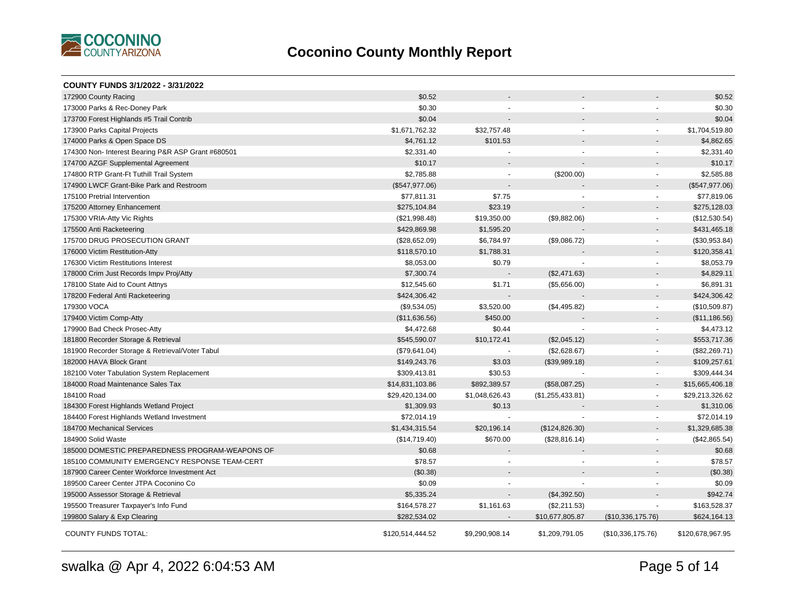

| COUNTY FUNDS 3/1/2022 - 3/31/2022                  |                  |                |                  |                   |                  |
|----------------------------------------------------|------------------|----------------|------------------|-------------------|------------------|
| 172900 County Racing                               | \$0.52           |                |                  |                   | \$0.52           |
| 173000 Parks & Rec-Doney Park                      | \$0.30           |                |                  |                   | \$0.30           |
| 173700 Forest Highlands #5 Trail Contrib           | \$0.04           |                |                  |                   | \$0.04           |
| 173900 Parks Capital Projects                      | \$1,671,762.32   | \$32,757.48    | $\sim$           |                   | \$1,704,519.80   |
| 174000 Parks & Open Space DS                       | \$4,761.12       | \$101.53       |                  |                   | \$4,862.65       |
| 174300 Non- Interest Bearing P&R ASP Grant #680501 | \$2,331.40       |                | ÷.               | $\sim$            | \$2,331.40       |
| 174700 AZGF Supplemental Agreement                 | \$10.17          |                |                  |                   | \$10.17          |
| 174800 RTP Grant-Ft Tuthill Trail System           | \$2,785.88       | $\blacksquare$ | $(\$200.00)$     | $\sim$            | \$2,585.88       |
| 174900 LWCF Grant-Bike Park and Restroom           | (\$547,977.06)   |                |                  |                   | (\$547,977.06)   |
| 175100 Pretrial Intervention                       | \$77,811.31      | \$7.75         |                  |                   | \$77,819.06      |
| 175200 Attorney Enhancement                        | \$275,104.84     | \$23.19        |                  |                   | \$275,128.03     |
| 175300 VRIA-Atty Vic Rights                        | (\$21,998.48)    | \$19,350.00    | (\$9,882.06)     | $\sim$            | (\$12,530.54)    |
| 175500 Anti Racketeering                           | \$429,869.98     | \$1,595.20     |                  |                   | \$431,465.18     |
| 175700 DRUG PROSECUTION GRANT                      | (\$28,652.09)    | \$6,784.97     | (\$9,086.72)     |                   | (\$30,953.84)    |
| 176000 Victim Restitution-Atty                     | \$118,570.10     | \$1,788.31     |                  |                   | \$120,358.41     |
| 176300 Victim Restitutions Interest                | \$8,053.00       | \$0.79         |                  | $\blacksquare$    | \$8,053.79       |
| 178000 Crim Just Records Impv Proj/Atty            | \$7,300.74       |                | (\$2,471.63)     |                   | \$4,829.11       |
| 178100 State Aid to Count Attnys                   | \$12,545.60      | \$1.71         | (\$5,656.00)     | $\sim$            | \$6,891.31       |
| 178200 Federal Anti Racketeering                   | \$424,306.42     |                |                  |                   | \$424,306.42     |
| 179300 VOCA                                        | (\$9,534.05)     | \$3,520.00     | (\$4,495.82)     | $\sim$            | (\$10,509.87)    |
| 179400 Victim Comp-Atty                            | (\$11,636.56)    | \$450.00       |                  |                   | (\$11,186.56)    |
| 179900 Bad Check Prosec-Atty                       | \$4,472.68       | \$0.44         |                  | $\blacksquare$    | \$4,473.12       |
| 181800 Recorder Storage & Retrieval                | \$545,590.07     | \$10,172.41    | (\$2,045.12)     | $\sim$            | \$553,717.36     |
| 181900 Recorder Storage & Retrieval/Voter Tabul    | (\$79,641.04)    |                | (\$2,628.67)     |                   | (\$82,269.71)    |
| 182000 HAVA Block Grant                            | \$149,243.76     | \$3.03         | (\$39,989.18)    |                   | \$109,257.61     |
| 182100 Voter Tabulation System Replacement         | \$309,413.81     | \$30.53        |                  | $\sim$            | \$309,444.34     |
| 184000 Road Maintenance Sales Tax                  | \$14,831,103.86  | \$892,389.57   | (\$58,087.25)    |                   | \$15,665,406.18  |
| 184100 Road                                        | \$29,420,134.00  | \$1,048,626.43 | (\$1,255,433.81) | $\sim$            | \$29,213,326.62  |
| 184300 Forest Highlands Wetland Project            | \$1,309.93       | \$0.13         |                  |                   | \$1,310.06       |
| 184400 Forest Highlands Wetland Investment         | \$72,014.19      | ÷,             |                  | $\sim$            | \$72,014.19      |
| 184700 Mechanical Services                         | \$1,434,315.54   | \$20,196.14    | (\$124, 826.30)  |                   | \$1,329,685.38   |
| 184900 Solid Waste                                 | (\$14,719.40)    | \$670.00       | (\$28,816.14)    | $\sim$            | (\$42,865.54)    |
| 185000 DOMESTIC PREPAREDNESS PROGRAM-WEAPONS OF    | \$0.68           |                |                  |                   | \$0.68           |
| 185100 COMMUNITY EMERGENCY RESPONSE TEAM-CERT      | \$78.57          |                |                  |                   | \$78.57          |
| 187900 Career Center Workforce Investment Act      | (\$0.38)         |                |                  |                   | (\$0.38)         |
| 189500 Career Center JTPA Coconino Co              | \$0.09           |                |                  |                   | \$0.09           |
| 195000 Assessor Storage & Retrieval                | \$5,335.24       |                | (\$4,392.50)     |                   | \$942.74         |
| 195500 Treasurer Taxpayer's Info Fund              | \$164,578.27     | \$1,161.63     | (\$2,211.53)     |                   | \$163,528.37     |
| 199800 Salary & Exp Clearing                       | \$282,534.02     |                | \$10,677,805.87  | (\$10,336,175.76) | \$624,164.13     |
| <b>COUNTY FUNDS TOTAL:</b>                         | \$120,514,444.52 | \$9,290,908.14 | \$1,209,791.05   | (\$10,336,175.76) | \$120,678,967.95 |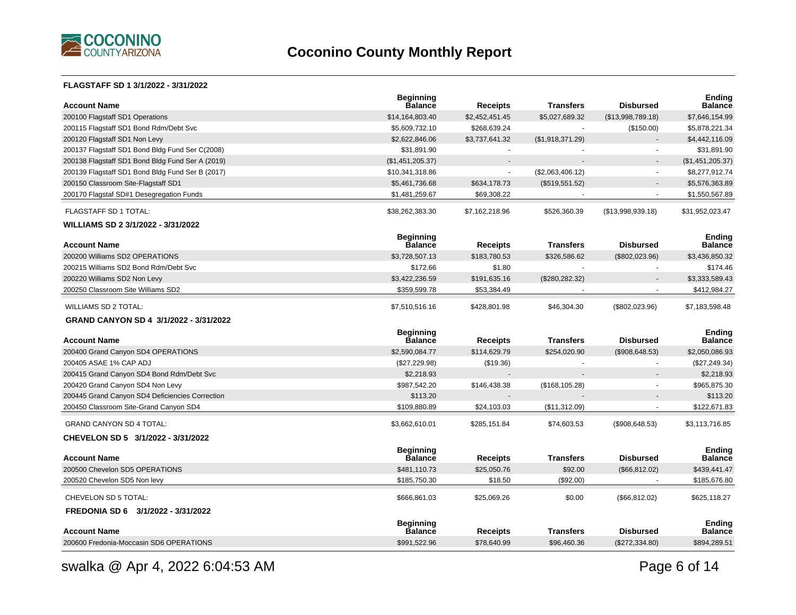

#### **FLAGSTAFF SD 1 3/1/2022 - 3/31/2022**

| <b>Account Name</b>                              | <b>Beginning</b><br><b>Balance</b> | <b>Receipts</b> | <b>Transfers</b> | <b>Disbursed</b>  | <b>Ending</b><br><b>Balance</b> |
|--------------------------------------------------|------------------------------------|-----------------|------------------|-------------------|---------------------------------|
| 200100 Flagstaff SD1 Operations                  | \$14,164,803.40                    | \$2,452,451.45  | \$5,027,689.32   | (\$13,998,789.18) | \$7,646,154.99                  |
| 200115 Flagstaff SD1 Bond Rdm/Debt Svc           | \$5,609,732.10                     | \$268,639.24    |                  | (\$150.00)        | \$5,878,221.34                  |
| 200120 Flagstaff SD1 Non Levy                    | \$2,622,846.06                     | \$3,737,641.32  | (\$1,918,371.29) |                   | \$4,442,116.09                  |
| 200137 Flagstaff SD1 Bond Bldg Fund Ser C(2008)  | \$31,891.90                        | $\sim$          |                  | ÷                 | \$31,891.90                     |
| 200138 Flagstaff SD1 Bond Bldg Fund Ser A (2019) | (\$1,451,205.37)                   |                 |                  |                   | (\$1,451,205.37)                |
| 200139 Flagstaff SD1 Bond Bldg Fund Ser B (2017) | \$10,341,318.86                    | $\omega$        | (\$2,063,406.12) | $\blacksquare$    | \$8,277,912.74                  |
| 200150 Classroom Site-Flagstaff SD1              | \$5,461,736.68                     | \$634,178.73    | (\$519,551.52)   |                   | \$5,576,363.89                  |
| 200170 Flagstaf SD#1 Desegregation Funds         | \$1,481,259.67                     | \$69,308.22     |                  |                   | \$1,550,567.89                  |
| FLAGSTAFF SD 1 TOTAL:                            | \$38,262,383.30                    | \$7,162,218.96  | \$526,360.39     | (\$13,998,939.18) | \$31,952,023.47                 |
| WILLIAMS SD 2 3/1/2022 - 3/31/2022               |                                    |                 |                  |                   |                                 |
| <b>Account Name</b>                              | <b>Beginning</b><br><b>Balance</b> | <b>Receipts</b> | <b>Transfers</b> | <b>Disbursed</b>  | <b>Ending</b><br><b>Balance</b> |
| 200200 Williams SD2 OPERATIONS                   | \$3,728,507.13                     | \$183,780.53    | \$326,586.62     | $(\$802,023.96)$  | \$3,436,850.32                  |
| 200215 Williams SD2 Bond Rdm/Debt Svc            | \$172.66                           | \$1.80          |                  |                   | \$174.46                        |
| 200220 Williams SD2 Non Levy                     | \$3,422,236.59                     | \$191,635.16    | (\$280,282.32)   |                   | \$3,333,589.43                  |
| 200250 Classroom Site Williams SD2               | \$359,599.78                       | \$53,384.49     |                  |                   | \$412,984.27                    |
| <b>WILLIAMS SD 2 TOTAL:</b>                      | \$7,510,516.16                     | \$428,801.98    | \$46,304.30      | $(\$802,023.96)$  | \$7,183,598.48                  |
|                                                  |                                    |                 |                  |                   |                                 |
| GRAND CANYON SD 4 3/1/2022 - 3/31/2022           |                                    |                 |                  |                   |                                 |
| <b>Account Name</b>                              | <b>Beginning</b><br><b>Balance</b> | <b>Receipts</b> | <b>Transfers</b> | <b>Disbursed</b>  | Ending<br><b>Balance</b>        |
| 200400 Grand Canyon SD4 OPERATIONS               | \$2,590,084.77                     | \$114,629.79    | \$254,020.90     | (\$908,648.53)    | \$2,050,086.93                  |
| 200405 ASAE 1% CAP ADJ                           | (\$27,229.98)                      | (\$19.36)       |                  | $\sim$            | (\$27, 249.34)                  |
| 200415 Grand Canyon SD4 Bond Rdm/Debt Svc        | \$2,218.93                         |                 |                  |                   | \$2,218.93                      |
| 200420 Grand Canyon SD4 Non Levy                 | \$987,542.20                       | \$146,438.38    | (\$168, 105.28)  | $\blacksquare$    | \$965,875.30                    |
| 200445 Grand Canyon SD4 Deficiencies Correction  | \$113.20                           |                 |                  |                   | \$113.20                        |
| 200450 Classroom Site-Grand Canyon SD4           | \$109,880.89                       | \$24,103.03     | (\$11,312.09)    | $\blacksquare$    | \$122,671.83                    |
| <b>GRAND CANYON SD 4 TOTAL:</b>                  | \$3,662,610.01                     | \$285,151.84    | \$74,603.53      | (\$908,648.53)    | \$3,113,716.85                  |
| CHEVELON SD 5 3/1/2022 - 3/31/2022               |                                    |                 |                  |                   |                                 |
|                                                  | <b>Beginning</b>                   |                 |                  |                   | Ending                          |
| <b>Account Name</b>                              | <b>Balance</b>                     | <b>Receipts</b> | <b>Transfers</b> | <b>Disbursed</b>  | <b>Balance</b>                  |
| 200500 Chevelon SD5 OPERATIONS                   | \$481,110.73                       | \$25,050.76     | \$92.00          | (\$66, 812.02)    | \$439,441.47                    |
| 200520 Chevelon SD5 Non levy                     | \$185,750.30                       | \$18.50         | (\$92.00)        |                   | \$185,676.80                    |
| CHEVELON SD 5 TOTAL:                             | \$666,861.03                       | \$25,069.26     | \$0.00           | (\$66, 812.02)    | \$625,118.27                    |
| FREDONIA SD 6 3/1/2022 - 3/31/2022               |                                    |                 |                  |                   |                                 |
| <b>Account Name</b>                              | <b>Beginning</b><br><b>Balance</b> | <b>Receipts</b> | Transfers        | <b>Disbursed</b>  | Ending<br><b>Balance</b>        |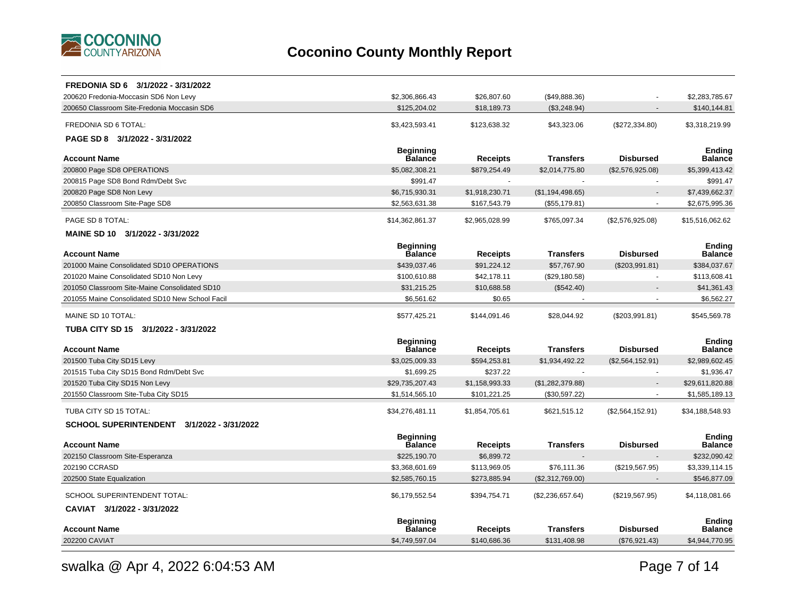

| FREDONIA SD 6 3/1/2022 - 3/31/2022              |                                    |                 |                  |                  |                                 |
|-------------------------------------------------|------------------------------------|-----------------|------------------|------------------|---------------------------------|
| 200620 Fredonia-Moccasin SD6 Non Levy           | \$2,306,866.43                     | \$26,807.60     | (\$49,888.36)    |                  | \$2,283,785.67                  |
| 200650 Classroom Site-Fredonia Moccasin SD6     | \$125,204.02                       | \$18,189.73     | (\$3,248.94)     |                  | \$140,144.81                    |
| <b>FREDONIA SD 6 TOTAL:</b>                     | \$3,423,593.41                     | \$123,638.32    | \$43,323.06      | (\$272,334.80)   | \$3,318,219.99                  |
| PAGE SD 8 3/1/2022 - 3/31/2022                  |                                    |                 |                  |                  |                                 |
|                                                 | <b>Beginning</b>                   |                 |                  |                  | <b>Ending</b>                   |
| <b>Account Name</b>                             | Balance                            | <b>Receipts</b> | <b>Transfers</b> | <b>Disbursed</b> | <b>Balance</b>                  |
| 200800 Page SD8 OPERATIONS                      | \$5,082,308.21<br>\$991.47         | \$879,254.49    | \$2,014,775.80   | (\$2,576,925.08) | \$5,399,413.42<br>\$991.47      |
| 200815 Page SD8 Bond Rdm/Debt Svc               |                                    |                 |                  |                  |                                 |
| 200820 Page SD8 Non Levy                        | \$6,715,930.31<br>\$2,563,631.38   | \$1,918,230.71  | (\$1,194,498.65) |                  | \$7,439,662.37                  |
| 200850 Classroom Site-Page SD8                  |                                    | \$167,543.79    | (\$55,179.81)    |                  | \$2,675,995.36                  |
| PAGE SD 8 TOTAL:                                | \$14,362,861.37                    | \$2,965,028.99  | \$765,097.34     | (\$2,576,925.08) | \$15,516,062.62                 |
| MAINE SD 10 3/1/2022 - 3/31/2022                |                                    |                 |                  |                  |                                 |
|                                                 | <b>Beginning</b>                   |                 |                  |                  | <b>Ending</b>                   |
| <b>Account Name</b>                             | <b>Balance</b>                     | <b>Receipts</b> | <b>Transfers</b> | <b>Disbursed</b> | <b>Balance</b>                  |
| 201000 Maine Consolidated SD10 OPERATIONS       | \$439,037.46                       | \$91,224.12     | \$57,767.90      | (\$203,991.81)   | \$384,037.67                    |
| 201020 Maine Consolidated SD10 Non Levy         | \$100,610.88                       | \$42,178.11     | (\$29,180.58)    | $\sim$           | \$113,608.41                    |
| 201050 Classroom Site-Maine Consolidated SD10   | \$31,215.25                        | \$10,688.58     | (\$542.40)       |                  | \$41,361.43                     |
| 201055 Maine Consolidated SD10 New School Facil | \$6,561.62                         | \$0.65          |                  |                  | \$6,562.27                      |
| MAINE SD 10 TOTAL:                              | \$577,425.21                       | \$144,091.46    | \$28,044.92      | (\$203,991.81)   | \$545,569.78                    |
| TUBA CITY SD 15 3/1/2022 - 3/31/2022            |                                    |                 |                  |                  |                                 |
| <b>Account Name</b>                             | <b>Beginning</b><br><b>Balance</b> | <b>Receipts</b> | <b>Transfers</b> | <b>Disbursed</b> | <b>Ending</b><br><b>Balance</b> |
| 201500 Tuba City SD15 Levy                      | \$3,025,009.33                     | \$594,253.81    | \$1,934,492.22   | (\$2,564,152.91) | \$2,989,602.45                  |
| 201515 Tuba City SD15 Bond Rdm/Debt Svc         | \$1,699.25                         | \$237.22        |                  |                  | \$1,936.47                      |
| 201520 Tuba City SD15 Non Levy                  | \$29,735,207.43                    | \$1,158,993.33  | (\$1,282,379.88) |                  | \$29.611.820.88                 |
| 201550 Classroom Site-Tuba City SD15            | \$1,514,565.10                     | \$101,221.25    | (\$30,597.22)    |                  | \$1,585,189.13                  |
| TUBA CITY SD 15 TOTAL:                          | \$34,276,481.11                    | \$1,854,705.61  | \$621,515.12     | (\$2,564,152.91) | \$34,188,548.93                 |
| SCHOOL SUPERINTENDENT 3/1/2022 - 3/31/2022      |                                    |                 |                  |                  |                                 |
| <b>Account Name</b>                             | <b>Beginning</b><br>Balance        | <b>Receipts</b> | <b>Transfers</b> | <b>Disbursed</b> | <b>Ending</b><br><b>Balance</b> |
| 202150 Classroom Site-Esperanza                 | \$225,190.70                       | \$6,899.72      |                  |                  | \$232,090.42                    |
| 202190 CCRASD                                   | \$3,368,601.69                     | \$113,969.05    | \$76,111.36      | (\$219,567.95)   | \$3,339,114.15                  |
| 202500 State Equalization                       | \$2,585,760.15                     | \$273,885.94    | (\$2,312,769.00) |                  | \$546,877.09                    |
|                                                 |                                    |                 |                  |                  |                                 |
| SCHOOL SUPERINTENDENT TOTAL:                    | \$6,179,552.54                     | \$394,754.71    | (\$2,236,657.64) | (\$219,567.95)   | \$4,118,081.66                  |
| CAVIAT 3/1/2022 - 3/31/2022                     |                                    |                 |                  |                  |                                 |
| <b>Account Name</b>                             | <b>Beginning</b><br><b>Balance</b> | Receipts        | <b>Transfers</b> | <b>Disbursed</b> | Ending<br>Balance               |
| 202200 CAVIAT                                   | \$4,749,597.04                     | \$140,686.36    | \$131,408.98     | (\$76,921.43)    | \$4,944,770.95                  |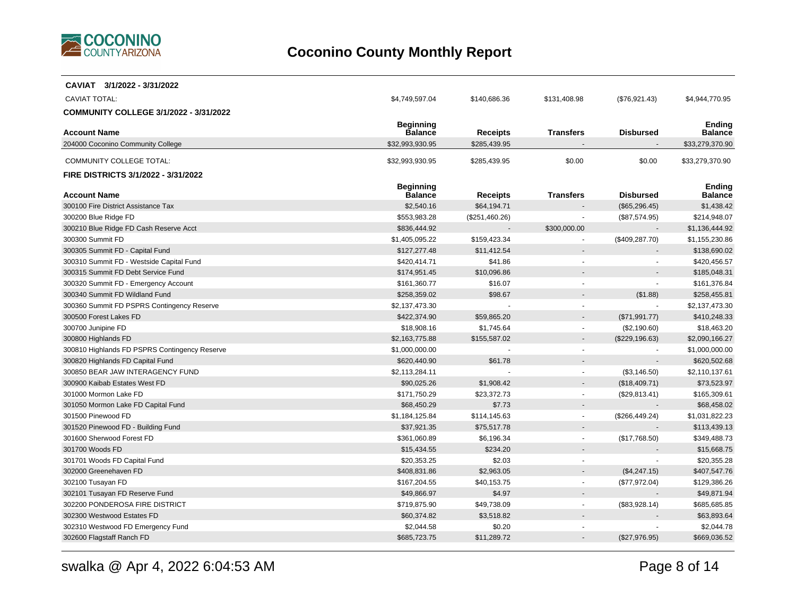

| CAVIAT 3/1/2022 - 3/31/2022                   |                                    |                |                          |                  |                                 |
|-----------------------------------------------|------------------------------------|----------------|--------------------------|------------------|---------------------------------|
| <b>CAVIAT TOTAL:</b>                          | \$4,749,597.04                     | \$140,686.36   | \$131,408.98             | (\$76,921.43)    | \$4,944,770.95                  |
| COMMUNITY COLLEGE 3/1/2022 - 3/31/2022        |                                    |                |                          |                  |                                 |
|                                               | <b>Beginning</b>                   |                |                          |                  | Ending                          |
| <b>Account Name</b>                           | Balance                            | Receipts       | <b>Transfers</b>         | <b>Disbursed</b> | <b>Balance</b>                  |
| 204000 Coconino Community College             | \$32,993,930.95                    | \$285,439.95   |                          |                  | \$33,279,370.90                 |
| <b>COMMUNITY COLLEGE TOTAL:</b>               | \$32,993,930.95                    | \$285,439.95   | \$0.00                   | \$0.00           | \$33,279,370.90                 |
| FIRE DISTRICTS 3/1/2022 - 3/31/2022           |                                    |                |                          |                  |                                 |
| <b>Account Name</b>                           | <b>Beginning</b><br><b>Balance</b> | Receipts       | <b>Transfers</b>         | <b>Disbursed</b> | <b>Ending</b><br><b>Balance</b> |
| 300100 Fire District Assistance Tax           | \$2,540.16                         | \$64,194.71    |                          | (\$65,296.45)    | \$1,438.42                      |
| 300200 Blue Ridge FD                          | \$553,983.28                       | (\$251,460.26) |                          | (\$87,574.95)    | \$214,948.07                    |
| 300210 Blue Ridge FD Cash Reserve Acct        | \$836,444.92                       |                | \$300,000.00             |                  | \$1,136,444.92                  |
| 300300 Summit FD                              | \$1,405,095.22                     | \$159,423.34   |                          | (\$409, 287.70)  | \$1,155,230.86                  |
| 300305 Summit FD - Capital Fund               | \$127,277.48                       | \$11,412.54    |                          |                  | \$138,690.02                    |
| 300310 Summit FD - Westside Capital Fund      | \$420,414.71                       | \$41.86        |                          |                  | \$420,456.57                    |
| 300315 Summit FD Debt Service Fund            | \$174,951.45                       | \$10,096.86    |                          |                  | \$185,048.31                    |
| 300320 Summit FD - Emergency Account          | \$161,360.77                       | \$16.07        |                          |                  | \$161,376.84                    |
| 300340 Summit FD Wildland Fund                | \$258,359.02                       | \$98.67        |                          | (\$1.88)         | \$258,455.81                    |
| 300360 Summit FD PSPRS Contingency Reserve    | \$2,137,473.30                     |                | $\overline{\phantom{a}}$ | $\sim$           | \$2,137,473.30                  |
| 300500 Forest Lakes FD                        | \$422,374.90                       | \$59,865.20    |                          | (\$71,991.77)    | \$410,248.33                    |
| 300700 Junipine FD                            | \$18,908.16                        | \$1,745.64     | $\overline{\phantom{a}}$ | (\$2,190.60)     | \$18,463.20                     |
| 300800 Highlands FD                           | \$2,163,775.88                     | \$155,587.02   |                          | (\$229, 196.63)  | \$2,090,166.27                  |
| 300810 Highlands FD PSPRS Contingency Reserve | \$1,000,000.00                     |                | $\sim$                   |                  | \$1,000,000.00                  |
| 300820 Highlands FD Capital Fund              | \$620,440.90                       | \$61.78        |                          |                  | \$620,502.68                    |
| 300850 BEAR JAW INTERAGENCY FUND              | \$2,113,284.11                     |                | $\sim$                   | (\$3,146.50)     | \$2,110,137.61                  |
| 300900 Kaibab Estates West FD                 | \$90,025.26                        | \$1,908.42     |                          | (\$18,409.71)    | \$73,523.97                     |
| 301000 Mormon Lake FD                         | \$171,750.29                       | \$23,372.73    |                          | (\$29,813.41)    | \$165,309.61                    |
| 301050 Mormon Lake FD Capital Fund            | \$68,450.29                        | \$7.73         |                          |                  | \$68,458.02                     |
| 301500 Pinewood FD                            | \$1,184,125.84                     | \$114,145.63   | $\overline{\phantom{a}}$ | (\$266,449.24)   | \$1,031,822.23                  |
| 301520 Pinewood FD - Building Fund            | \$37,921.35                        | \$75,517.78    |                          |                  | \$113,439.13                    |
| 301600 Sherwood Forest FD                     | \$361,060.89                       | \$6,196.34     | $\blacksquare$           | (\$17,768.50)    | \$349,488.73                    |
| 301700 Woods FD                               | \$15,434.55                        | \$234.20       |                          |                  | \$15,668.75                     |
| 301701 Woods FD Capital Fund                  | \$20,353.25                        | \$2.03         | $\overline{\phantom{a}}$ |                  | \$20,355.28                     |
| 302000 Greenehaven FD                         | \$408,831.86                       | \$2,963.05     |                          | (\$4,247.15)     | \$407,547.76                    |
| 302100 Tusayan FD                             | \$167,204.55                       | \$40,153.75    | $\sim$                   | (\$77,972.04)    | \$129,386.26                    |
| 302101 Tusayan FD Reserve Fund                | \$49,866.97                        | \$4.97         |                          |                  | \$49,871.94                     |
| 302200 PONDEROSA FIRE DISTRICT                | \$719,875.90                       | \$49,738.09    |                          | (\$83,928.14)    | \$685,685.85                    |
| 302300 Westwood Estates FD                    | \$60,374.82                        | \$3,518.82     |                          |                  | \$63,893.64                     |
| 302310 Westwood FD Emergency Fund             | \$2,044.58                         | \$0.20         |                          |                  | \$2,044.78                      |
| 302600 Flagstaff Ranch FD                     | \$685,723.75                       | \$11,289.72    |                          | (\$27,976.95)    | \$669,036.52                    |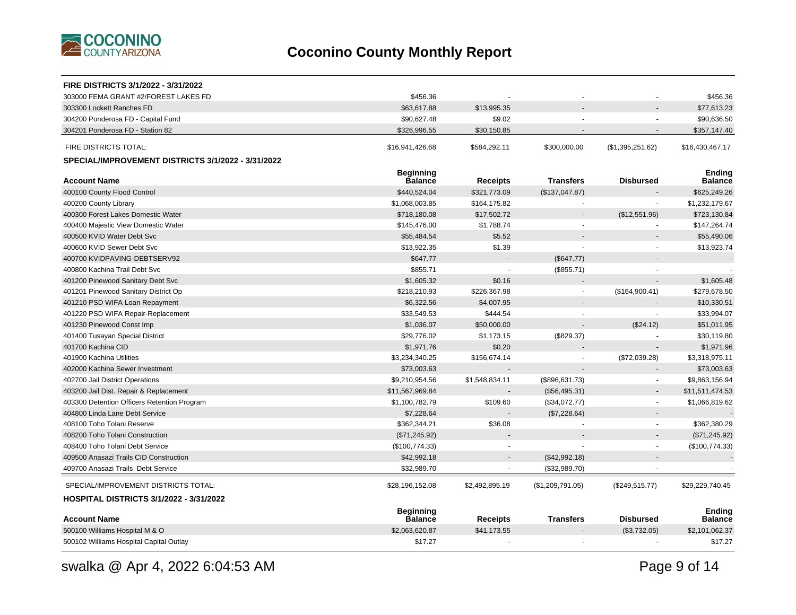

| <b>FIRE DISTRICTS 3/1/2022 - 3/31/2022</b>         |                             |                 |                  |                  |                                 |
|----------------------------------------------------|-----------------------------|-----------------|------------------|------------------|---------------------------------|
| 303000 FEMA GRANT #2/FOREST LAKES FD               | \$456.36                    |                 |                  |                  | \$456.36                        |
| 303300 Lockett Ranches FD                          | \$63,617.88                 | \$13,995.35     |                  |                  | \$77,613.23                     |
| 304200 Ponderosa FD - Capital Fund                 | \$90,627.48                 | \$9.02          |                  |                  | \$90,636.50                     |
| 304201 Ponderosa FD - Station 82                   | \$326,996.55                | \$30,150.85     |                  |                  | \$357,147.40                    |
| FIRE DISTRICTS TOTAL:                              | \$16,941,426.68             | \$584,292.11    | \$300,000.00     | (\$1,395,251.62) | \$16,430,467.17                 |
| SPECIAL/IMPROVEMENT DISTRICTS 3/1/2022 - 3/31/2022 |                             |                 |                  |                  |                                 |
| <b>Account Name</b>                                | <b>Beginning</b><br>Balance | <b>Receipts</b> | <b>Transfers</b> | <b>Disbursed</b> | <b>Ending</b><br><b>Balance</b> |
| 400100 County Flood Control                        | \$440,524.04                | \$321,773.09    | (\$137,047.87)   |                  | \$625,249.26                    |
| 400200 County Library                              | \$1,068,003.85              | \$164,175.82    |                  |                  | \$1,232,179.67                  |
| 400300 Forest Lakes Domestic Water                 | \$718,180.08                | \$17,502.72     |                  | (\$12,551.96)    | \$723,130.84                    |
| 400400 Majestic View Domestic Water                | \$145,476.00                | \$1,788.74      |                  |                  | \$147,264.74                    |
| 400500 KVID Water Debt Svc                         | \$55,484.54                 | \$5.52          |                  |                  | \$55,490.06                     |
| 400600 KVID Sewer Debt Svc                         | \$13,922.35                 | \$1.39          |                  |                  | \$13,923.74                     |
| 400700 KVIDPAVING-DEBTSERV92                       | \$647.77                    |                 | (\$647.77)       |                  |                                 |
| 400800 Kachina Trail Debt Svc                      | \$855.71                    |                 | (\$855.71)       |                  |                                 |
| 401200 Pinewood Sanitary Debt Svc                  | \$1,605.32                  | \$0.16          |                  |                  | \$1,605.48                      |
| 401201 Pinewood Sanitary District Op               | \$218,210.93                | \$226,367.98    |                  | (\$164,900.41)   | \$279,678.50                    |
| 401210 PSD WIFA Loan Repayment                     | \$6,322.56                  | \$4,007.95      |                  |                  | \$10,330.51                     |
| 401220 PSD WIFA Repair-Replacement                 | \$33,549.53                 | \$444.54        |                  |                  | \$33,994.07                     |
| 401230 Pinewood Const Imp                          | \$1,036.07                  | \$50,000.00     |                  | (\$24.12)        | \$51,011.95                     |
| 401400 Tusayan Special District                    | \$29,776.02                 | \$1,173.15      | (\$829.37)       |                  | \$30,119.80                     |
| 401700 Kachina CID                                 | \$1,971.76                  | \$0.20          |                  |                  | \$1,971.96                      |
| 401900 Kachina Utilities                           | \$3,234,340.25              | \$156,674.14    |                  | (\$72,039.28)    | \$3,318,975.11                  |
| 402000 Kachina Sewer Investment                    | \$73,003.63                 |                 |                  |                  | \$73,003.63                     |
| 402700 Jail District Operations                    | \$9,210,954.56              | \$1,548,834.11  | (\$896,631.73)   | $\sim$           | \$9,863,156.94                  |
| 403200 Jail Dist. Repair & Replacement             | \$11,567,969.84             |                 | (\$56,495.31)    |                  | \$11,511,474.53                 |
| 403300 Detention Officers Retention Program        | \$1,100,782.79              | \$109.60        | (\$34,072.77)    | $\sim$           | \$1,066,819.62                  |
| 404800 Linda Lane Debt Service                     | \$7,228.64                  |                 | (\$7,228.64)     |                  |                                 |
| 408100 Toho Tolani Reserve                         | \$362,344.21                | \$36.08         |                  | $\blacksquare$   | \$362,380.29                    |
| 408200 Toho Tolani Construction                    | (\$71,245.92)               |                 |                  |                  | (\$71, 245.92)                  |
| 408400 Toho Tolani Debt Service                    | (\$100,774.33)              |                 |                  |                  | (\$100,774.33)                  |
| 409500 Anasazi Trails CID Construction             | \$42,992.18                 | $\blacksquare$  | (\$42,992.18)    |                  |                                 |
| 409700 Anasazi Trails Debt Service                 | \$32,989.70                 |                 | (\$32,989.70)    |                  |                                 |
| SPECIAL/IMPROVEMENT DISTRICTS TOTAL:               | \$28,196,152.08             | \$2,492,895.19  | (\$1,209,791.05) | (\$249,515.77)   | \$29,229,740.45                 |
| <b>HOSPITAL DISTRICTS 3/1/2022 - 3/31/2022</b>     |                             |                 |                  |                  |                                 |
|                                                    | <b>Beginning</b>            |                 |                  |                  | <b>Ending</b>                   |
| <b>Account Name</b>                                | <b>Balance</b>              | <b>Receipts</b> | <b>Transfers</b> | <b>Disbursed</b> | Balance                         |
| 500100 Williams Hospital M & O                     | \$2,063,620.87              | \$41,173.55     |                  | (\$3,732.05)     | \$2,101,062.37                  |
| 500102 Williams Hospital Capital Outlay            | \$17.27                     |                 |                  |                  | \$17.27                         |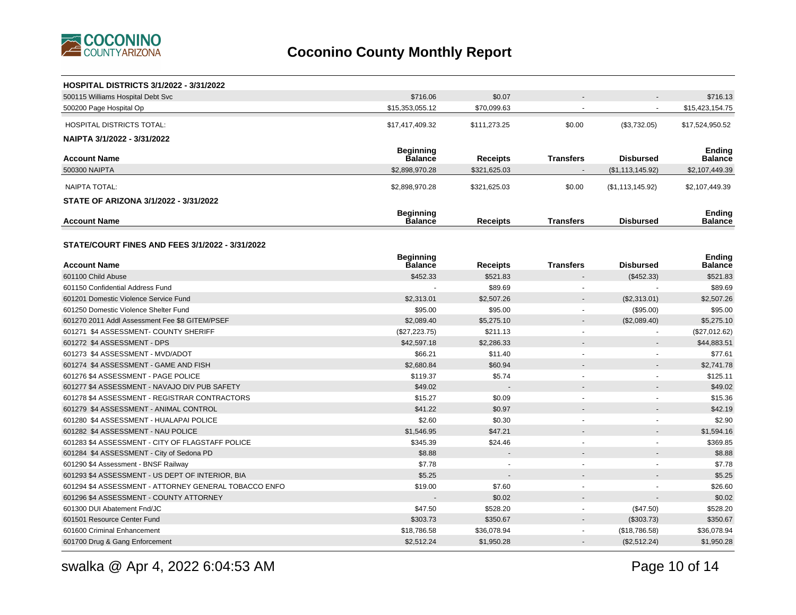

| <b>HOSPITAL DISTRICTS 3/1/2022 - 3/31/2022</b>         |                  |                 |                          |                          |                 |
|--------------------------------------------------------|------------------|-----------------|--------------------------|--------------------------|-----------------|
| 500115 Williams Hospital Debt Svc                      | \$716.06         | \$0.07          |                          |                          | \$716.13        |
| 500200 Page Hospital Op                                | \$15,353,055.12  | \$70,099.63     |                          | $\sim$                   | \$15,423,154.75 |
| <b>HOSPITAL DISTRICTS TOTAL:</b>                       | \$17,417,409.32  | \$111,273.25    | \$0.00                   | (\$3,732.05)             | \$17,524,950.52 |
| NAIPTA 3/1/2022 - 3/31/2022                            |                  |                 |                          |                          |                 |
|                                                        | <b>Beginning</b> |                 |                          |                          | Ending          |
| <b>Account Name</b>                                    | <b>Balance</b>   | <b>Receipts</b> | <b>Transfers</b>         | <b>Disbursed</b>         | Balance         |
| 500300 NAIPTA                                          | \$2,898,970.28   | \$321,625.03    |                          | (\$1,113,145.92)         | \$2,107,449.39  |
| NAIPTA TOTAL:                                          | \$2,898,970.28   | \$321,625.03    | \$0.00                   | (\$1,113,145.92)         | \$2,107,449.39  |
| STATE OF ARIZONA 3/1/2022 - 3/31/2022                  |                  |                 |                          |                          |                 |
|                                                        | <b>Beginning</b> |                 |                          |                          | <b>Ending</b>   |
| <b>Account Name</b>                                    | <b>Balance</b>   | <b>Receipts</b> | <b>Transfers</b>         | <b>Disbursed</b>         | <b>Balance</b>  |
|                                                        |                  |                 |                          |                          |                 |
| <b>STATE/COURT FINES AND FEES 3/1/2022 - 3/31/2022</b> |                  |                 |                          |                          |                 |
|                                                        | <b>Beginning</b> |                 |                          |                          | <b>Ending</b>   |
| <b>Account Name</b>                                    | Balance          | Receipts        | <b>Transfers</b>         | <b>Disbursed</b>         | Balance         |
| 601100 Child Abuse                                     | \$452.33         | \$521.83        |                          | (\$452.33)               | \$521.83        |
| 601150 Confidential Address Fund                       |                  | \$89.69         |                          |                          | \$89.69         |
| 601201 Domestic Violence Service Fund                  | \$2,313.01       | \$2,507.26      |                          | (\$2,313.01)             | \$2,507.26      |
| 601250 Domestic Violence Shelter Fund                  | \$95.00          | \$95.00         |                          | (\$95.00)                | \$95.00         |
| 601270 2011 Addl Assessment Fee \$8 GITEM/PSEF         | \$2,089.40       | \$5,275.10      |                          | (\$2,089.40)             | \$5,275.10      |
| 601271 \$4 ASSESSMENT- COUNTY SHERIFF                  | (\$27,223.75)    | \$211.13        | $\overline{\phantom{a}}$ | $\blacksquare$           | (\$27,012.62)   |
| 601272 \$4 ASSESSMENT - DPS                            | \$42,597.18      | \$2,286.33      |                          |                          | \$44,883.51     |
| 601273 \$4 ASSESSMENT - MVD/ADOT                       | \$66.21          | \$11.40         | $\sim$                   | $\overline{\phantom{a}}$ | \$77.61         |
| 601274 \$4 ASSESSMENT - GAME AND FISH                  | \$2,680.84       | \$60.94         |                          |                          | \$2,741.78      |
| 601276 \$4 ASSESSMENT - PAGE POLICE                    | \$119.37         | \$5.74          | $\overline{\phantom{a}}$ | $\blacksquare$           | \$125.11        |
| 601277 \$4 ASSESSMENT - NAVAJO DIV PUB SAFETY          | \$49.02          |                 |                          |                          | \$49.02         |
| 601278 \$4 ASSESSMENT - REGISTRAR CONTRACTORS          | \$15.27          | \$0.09          | $\sim$                   | $\sim$                   | \$15.36         |
| 601279 \$4 ASSESSMENT - ANIMAL CONTROL                 | \$41.22          | \$0.97          |                          |                          | \$42.19         |
| 601280 \$4 ASSESSMENT - HUALAPAI POLICE                | \$2.60           | \$0.30          |                          |                          | \$2.90          |
| 601282 \$4 ASSESSMENT - NAU POLICE                     | \$1,546.95       | \$47.21         |                          |                          | \$1,594.16      |
| 601283 \$4 ASSESSMENT - CITY OF FLAGSTAFF POLICE       | \$345.39         | \$24.46         |                          |                          | \$369.85        |
| 601284 \$4 ASSESSMENT - City of Sedona PD              | \$8.88           |                 |                          |                          | \$8.88          |
| 601290 \$4 Assessment - BNSF Railway                   | \$7.78           |                 |                          |                          | \$7.78          |
| 601293 \$4 ASSESSMENT - US DEPT OF INTERIOR, BIA       | \$5.25           |                 |                          |                          | \$5.25          |
| 601294 \$4 ASSESSMENT - ATTORNEY GENERAL TOBACCO ENFO  | \$19.00          | \$7.60          |                          | ÷.                       | \$26.60         |
| 601296 \$4 ASSESSMENT - COUNTY ATTORNEY                |                  | \$0.02          |                          |                          | \$0.02          |
| 601300 DUI Abatement Fnd/JC                            | \$47.50          | \$528.20        |                          | (\$47.50)                | \$528.20        |
| 601501 Resource Center Fund                            | \$303.73         | \$350.67        |                          | (\$303.73)               | \$350.67        |
| 601600 Criminal Enhancement                            | \$18,786.58      | \$36,078.94     |                          | (\$18,786.58)            | \$36,078.94     |
| 601700 Drug & Gang Enforcement                         | \$2,512.24       | \$1,950.28      |                          | (\$2,512.24)             | \$1,950.28      |

Page 10 of 14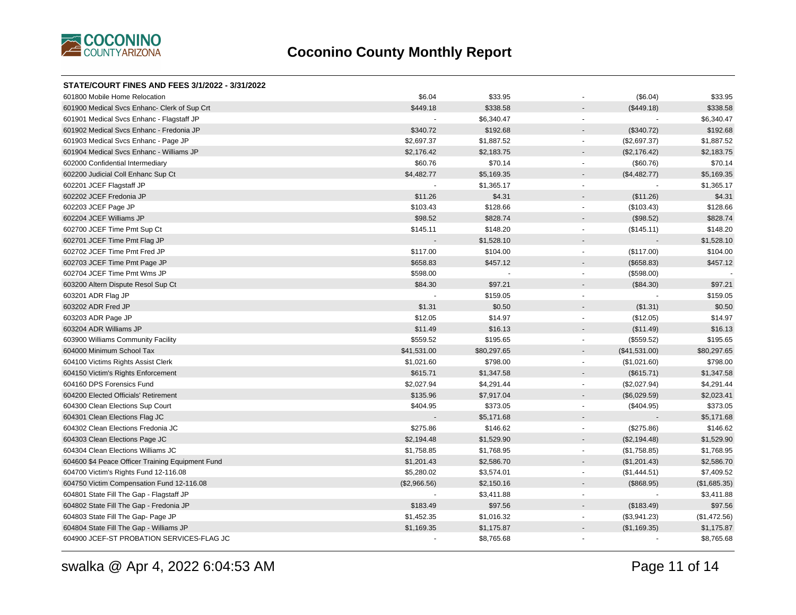

| STATE/COURT FINES AND FEES 3/1/2022 - 3/31/2022  |              |             |                                          |              |
|--------------------------------------------------|--------------|-------------|------------------------------------------|--------------|
| 601800 Mobile Home Relocation                    | \$6.04       | \$33.95     | (\$6.04)                                 | \$33.95      |
| 601900 Medical Svcs Enhanc- Clerk of Sup Crt     | \$449.18     | \$338.58    | (\$449.18)                               | \$338.58     |
| 601901 Medical Svcs Enhanc - Flagstaff JP        |              | \$6,340.47  | $\overline{\phantom{a}}$                 | \$6,340.47   |
| 601902 Medical Svcs Enhanc - Fredonia JP         | \$340.72     | \$192.68    | (\$340.72)<br>$\sim$                     | \$192.68     |
| 601903 Medical Svcs Enhanc - Page JP             | \$2,697.37   | \$1,887.52  | (\$2,697.37)<br>$\blacksquare$           | \$1,887.52   |
| 601904 Medical Svcs Enhanc - Williams JP         | \$2,176.42   | \$2,183.75  | (\$2,176.42)<br>$\overline{\phantom{a}}$ | \$2,183.75   |
| 602000 Confidential Intermediary                 | \$60.76      | \$70.14     | (\$60.76)<br>$\blacksquare$              | \$70.14      |
| 602200 Judicial Coll Enhanc Sup Ct               | \$4,482.77   | \$5,169.35  | (\$4,482.77)<br>$\overline{\phantom{a}}$ | \$5,169.35   |
| 602201 JCEF Flagstaff JP                         |              | \$1,365.17  | $\blacksquare$                           | \$1,365.17   |
| 602202 JCEF Fredonia JP                          | \$11.26      | \$4.31      | (\$11.26)<br>$\blacksquare$              | \$4.31       |
| 602203 JCEF Page JP                              | \$103.43     | \$128.66    | (\$103.43)<br>$\blacksquare$             | \$128.66     |
| 602204 JCEF Williams JP                          | \$98.52      | \$828.74    | (\$98.52)<br>$\blacksquare$              | \$828.74     |
| 602700 JCEF Time Pmt Sup Ct                      | \$145.11     | \$148.20    | (\$145.11)<br>$\sim$                     | \$148.20     |
| 602701 JCEF Time Pmt Flag JP                     |              | \$1,528.10  | $\sim$                                   | \$1,528.10   |
| 602702 JCEF Time Pmt Fred JP                     | \$117.00     | \$104.00    | (\$117.00)<br>$\blacksquare$             | \$104.00     |
| 602703 JCEF Time Pmt Page JP                     | \$658.83     | \$457.12    | (\$658.83)                               | \$457.12     |
| 602704 JCEF Time Pmt Wms JP                      | \$598.00     |             | (\$598.00)<br>$\sim$                     |              |
| 603200 Altern Dispute Resol Sup Ct               | \$84.30      | \$97.21     | (\$84.30)<br>$\overline{\phantom{a}}$    | \$97.21      |
| 603201 ADR Flag JP                               |              | \$159.05    | $\sim$                                   | \$159.05     |
| 603202 ADR Fred JP                               | \$1.31       | \$0.50      | (\$1.31)<br>$\overline{\phantom{a}}$     | \$0.50       |
| 603203 ADR Page JP                               | \$12.05      | \$14.97     | (\$12.05)<br>$\blacksquare$              | \$14.97      |
| 603204 ADR Williams JP                           | \$11.49      | \$16.13     | (\$11.49)                                | \$16.13      |
| 603900 Williams Community Facility               | \$559.52     | \$195.65    | (\$559.52)<br>$\overline{\phantom{a}}$   | \$195.65     |
| 604000 Minimum School Tax                        | \$41,531.00  | \$80,297.65 | (\$41,531.00)<br>$\blacksquare$          | \$80,297.65  |
| 604100 Victims Rights Assist Clerk               | \$1,021.60   | \$798.00    | (\$1,021.60)<br>$\overline{\phantom{a}}$ | \$798.00     |
| 604150 Victim's Rights Enforcement               | \$615.71     | \$1,347.58  | (\$615.71)<br>$\blacksquare$             | \$1,347.58   |
| 604160 DPS Forensics Fund                        | \$2,027.94   | \$4,291.44  | (\$2,027.94)<br>$\sim$                   | \$4,291.44   |
| 604200 Elected Officials' Retirement             | \$135.96     | \$7,917.04  | (\$6,029.59)<br>$\overline{\phantom{a}}$ | \$2,023.41   |
| 604300 Clean Elections Sup Court                 | \$404.95     | \$373.05    | (\$404.95)<br>$\blacksquare$             | \$373.05     |
| 604301 Clean Elections Flag JC                   |              | \$5,171.68  | $\overline{\phantom{a}}$                 | \$5,171.68   |
| 604302 Clean Elections Fredonia JC               | \$275.86     | \$146.62    | (\$275.86)<br>$\blacksquare$             | \$146.62     |
| 604303 Clean Elections Page JC                   | \$2,194.48   | \$1,529.90  | (\$2,194.48)<br>$\sim$                   | \$1,529.90   |
| 604304 Clean Elections Williams JC               | \$1,758.85   | \$1,768.95  | (\$1,758.85)<br>$\overline{\phantom{a}}$ | \$1,768.95   |
| 604600 \$4 Peace Officer Training Equipment Fund | \$1,201.43   | \$2,586.70  | (\$1,201.43)<br>$\sim$                   | \$2,586.70   |
| 604700 Victim's Rights Fund 12-116.08            | \$5,280.02   | \$3,574.01  | (\$1,444.51)<br>$\blacksquare$           | \$7,409.52   |
| 604750 Victim Compensation Fund 12-116.08        | (\$2,966.56) | \$2,150.16  | (\$868.95)<br>$\blacksquare$             | (\$1,685.35) |
| 604801 State Fill The Gap - Flagstaff JP         |              | \$3,411.88  | $\blacksquare$                           | \$3,411.88   |
| 604802 State Fill The Gap - Fredonia JP          | \$183.49     | \$97.56     | (\$183.49)<br>$\overline{\phantom{a}}$   | \$97.56      |
| 604803 State Fill The Gap- Page JP               | \$1,452.35   | \$1,016.32  | (\$3,941.23)<br>$\sim$                   | (\$1,472.56) |
| 604804 State Fill The Gap - Williams JP          | \$1,169.35   | \$1,175.87  | (\$1,169.35)<br>$\overline{\phantom{a}}$ | \$1,175.87   |
| 604900 JCEF-ST PROBATION SERVICES-FLAG JC        |              | \$8,765.68  | $\sim$                                   | \$8,765.68   |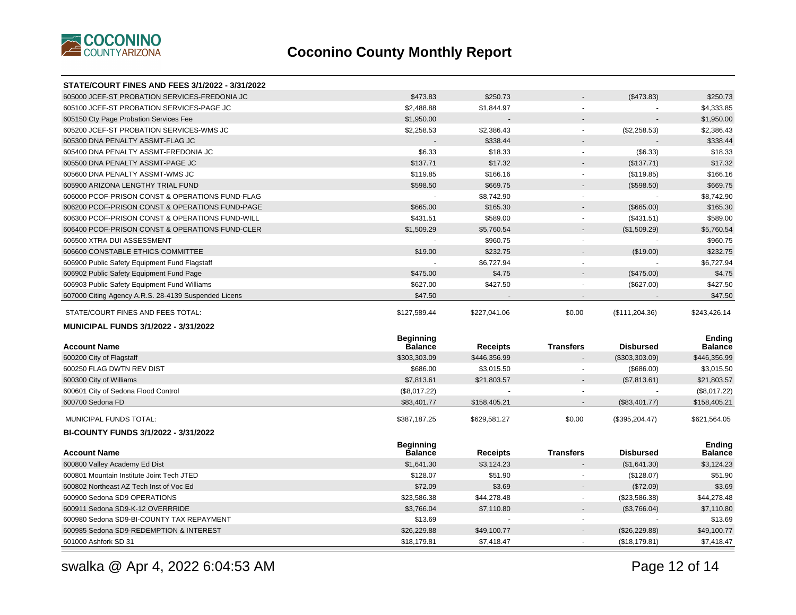

| <b>STATE/COURT FINES AND FEES 3/1/2022 - 3/31/2022</b> |                  |                 |                  |                  |                |
|--------------------------------------------------------|------------------|-----------------|------------------|------------------|----------------|
| 605000 JCEF-ST PROBATION SERVICES-FREDONIA JC          | \$473.83         | \$250.73        |                  | (\$473.83)       | \$250.73       |
| 605100 JCEF-ST PROBATION SERVICES-PAGE JC              | \$2,488.88       | \$1,844.97      |                  |                  | \$4,333.85     |
| 605150 Cty Page Probation Services Fee                 | \$1,950.00       |                 |                  |                  | \$1,950.00     |
| 605200 JCEF-ST PROBATION SERVICES-WMS JC               | \$2,258.53       | \$2,386.43      | $\blacksquare$   | (\$2,258.53)     | \$2,386.43     |
| 605300 DNA PENALTY ASSMT-FLAG JC                       |                  | \$338.44        |                  |                  | \$338.44       |
| 605400 DNA PENALTY ASSMT-FREDONIA JC                   | \$6.33           | \$18.33         | $\sim$           | (\$6.33)         | \$18.33        |
| 605500 DNA PENALTY ASSMT-PAGE JC                       | \$137.71         | \$17.32         |                  | (\$137.71)       | \$17.32        |
| 605600 DNA PENALTY ASSMT-WMS JC                        | \$119.85         | \$166.16        |                  | (\$119.85)       | \$166.16       |
| 605900 ARIZONA LENGTHY TRIAL FUND                      | \$598.50         | \$669.75        |                  | (\$598.50)       | \$669.75       |
| 606000 PCOF-PRISON CONST & OPERATIONS FUND-FLAG        |                  | \$8,742.90      |                  |                  | \$8,742.90     |
| 606200 PCOF-PRISON CONST & OPERATIONS FUND-PAGE        | \$665.00         | \$165.30        |                  | (\$665.00)       | \$165.30       |
| 606300 PCOF-PRISON CONST & OPERATIONS FUND-WILL        | \$431.51         | \$589.00        | $\sim$           | (\$431.51)       | \$589.00       |
| 606400 PCOF-PRISON CONST & OPERATIONS FUND-CLER        | \$1,509.29       | \$5,760.54      |                  | (\$1,509.29)     | \$5,760.54     |
| 606500 XTRA DUI ASSESSMENT                             | $\sim$           | \$960.75        | $\sim$           |                  | \$960.75       |
| 606600 CONSTABLE ETHICS COMMITTEE                      | \$19.00          | \$232.75        |                  | (\$19.00)        | \$232.75       |
| 606900 Public Safety Equipment Fund Flagstaff          |                  | \$6,727.94      | $\sim$           |                  | \$6,727.94     |
| 606902 Public Safety Equipment Fund Page               | \$475.00         | \$4.75          |                  | (\$475.00)       | \$4.75         |
| 606903 Public Safety Equipment Fund Williams           | \$627.00         | \$427.50        |                  | (\$627.00)       | \$427.50       |
| 607000 Citing Agency A.R.S. 28-4139 Suspended Licens   | \$47.50          |                 |                  |                  | \$47.50        |
|                                                        |                  |                 |                  |                  |                |
| STATE/COURT FINES AND FEES TOTAL:                      | \$127,589.44     | \$227,041.06    | \$0.00           | (\$111, 204.36)  | \$243,426.14   |
| <b>MUNICIPAL FUNDS 3/1/2022 - 3/31/2022</b>            |                  |                 |                  |                  |                |
|                                                        | <b>Beginning</b> |                 |                  |                  | Ending         |
| <b>Account Name</b>                                    | Balance          | <b>Receipts</b> | <b>Transfers</b> | <b>Disbursed</b> | <b>Balance</b> |
| 600200 City of Flagstaff                               | \$303,303.09     | \$446,356.99    |                  | (\$303,303.09)   | \$446,356.99   |
| 600250 FLAG DWTN REV DIST                              | \$686.00         | \$3,015.50      |                  | (\$686.00)       | \$3,015.50     |
| 600300 City of Williams                                | \$7,813.61       | \$21,803.57     |                  | (\$7,813.61)     | \$21,803.57    |
| 600601 City of Sedona Flood Control                    | (\$8,017.22)     |                 |                  |                  | (\$8,017.22)   |
| 600700 Sedona FD                                       | \$83,401.77      | \$158,405.21    |                  | (\$83,401.77)    | \$158,405.21   |
| MUNICIPAL FUNDS TOTAL:                                 | \$387,187.25     | \$629,581.27    | \$0.00           | (\$395,204.47)   | \$621,564.05   |
| BI-COUNTY FUNDS 3/1/2022 - 3/31/2022                   |                  |                 |                  |                  |                |
|                                                        | <b>Beginning</b> |                 |                  |                  | Endina         |
| <b>Account Name</b>                                    | <b>Balance</b>   | Receipts        | <b>Transfers</b> | <b>Disbursed</b> | <b>Balance</b> |
| 600800 Valley Academy Ed Dist                          | \$1,641.30       | \$3,124.23      |                  | (\$1,641.30)     | \$3,124.23     |
| 600801 Mountain Institute Joint Tech JTED              | \$128.07         | \$51.90         | $\overline{a}$   | (\$128.07)       | \$51.90        |
| 600802 Northeast AZ Tech Inst of Voc Ed                | \$72.09          | \$3.69          |                  | (\$72.09)        | \$3.69         |
| 600900 Sedona SD9 OPERATIONS                           | \$23,586.38      | \$44,278.48     | $\sim$           | (\$23,586.38)    | \$44,278.48    |
| 600911 Sedona SD9-K-12 OVERRRIDE                       | \$3,766.04       | \$7,110.80      | $\sim$           | (\$3,766.04)     | \$7,110.80     |
| 600980 Sedona SD9-BI-COUNTY TAX REPAYMENT              | \$13.69          |                 | $\sim$           |                  | \$13.69        |
| 600985 Sedona SD9-REDEMPTION & INTEREST                | \$26,229.88      | \$49,100.77     |                  | (\$26,229.88)    | \$49,100.77    |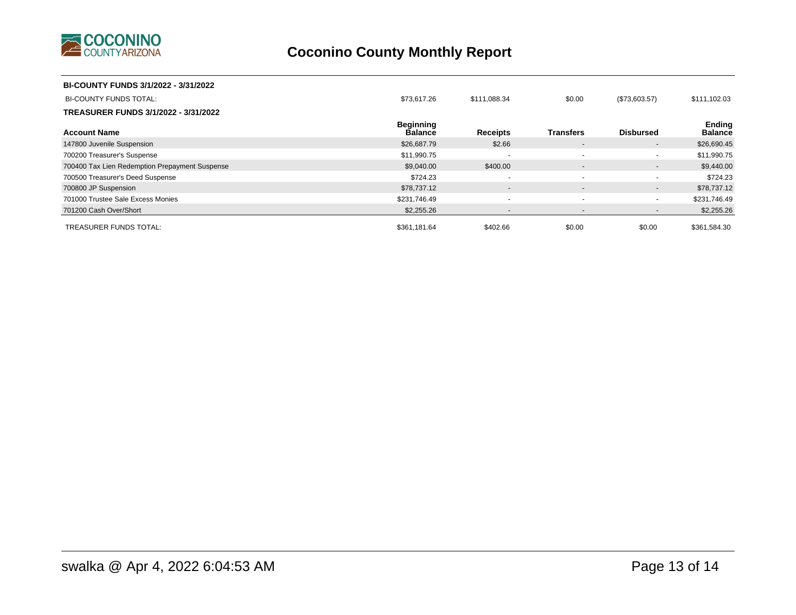

| BI-COUNTY FUNDS 3/1/2022 - 3/31/2022           |                                    |                          |                          |                          |                                 |
|------------------------------------------------|------------------------------------|--------------------------|--------------------------|--------------------------|---------------------------------|
| <b>BI-COUNTY FUNDS TOTAL:</b>                  | \$73,617.26                        | \$111,088.34             | \$0.00                   | (\$73,603.57)            | \$111,102.03                    |
| TREASURER FUNDS 3/1/2022 - 3/31/2022           |                                    |                          |                          |                          |                                 |
| <b>Account Name</b>                            | <b>Beginning</b><br><b>Balance</b> | <b>Receipts</b>          | <b>Transfers</b>         | <b>Disbursed</b>         | <b>Ending</b><br><b>Balance</b> |
| 147800 Juvenile Suspension                     | \$26,687.79                        | \$2.66                   | $\sim$                   | $\sim$                   | \$26,690.45                     |
| 700200 Treasurer's Suspense                    | \$11,990.75                        | $\overline{\phantom{0}}$ | $\overline{\phantom{a}}$ | $\sim$                   | \$11,990.75                     |
| 700400 Tax Lien Redemption Prepayment Suspense | \$9,040.00                         | \$400.00                 | $\sim$                   | $\overline{\phantom{a}}$ | \$9,440.00                      |
| 700500 Treasurer's Deed Suspense               | \$724.23                           | $\sim$                   | $\overline{\phantom{a}}$ | $\blacksquare$           | \$724.23                        |
| 700800 JP Suspension                           | \$78,737.12                        | $\sim$                   | $\overline{\phantom{a}}$ | $\blacksquare$           | \$78,737.12                     |
| 701000 Trustee Sale Excess Monies              | \$231,746.49                       | $\overline{\phantom{0}}$ |                          | $\blacksquare$           | \$231,746.49                    |
| 701200 Cash Over/Short                         | \$2,255.26                         | $\overline{\phantom{a}}$ | $\overline{\phantom{a}}$ | $\overline{\phantom{a}}$ | \$2,255.26                      |
| <b>TREASURER FUNDS TOTAL:</b>                  | \$361,181.64                       | \$402.66                 | \$0.00                   | \$0.00                   | \$361,584.30                    |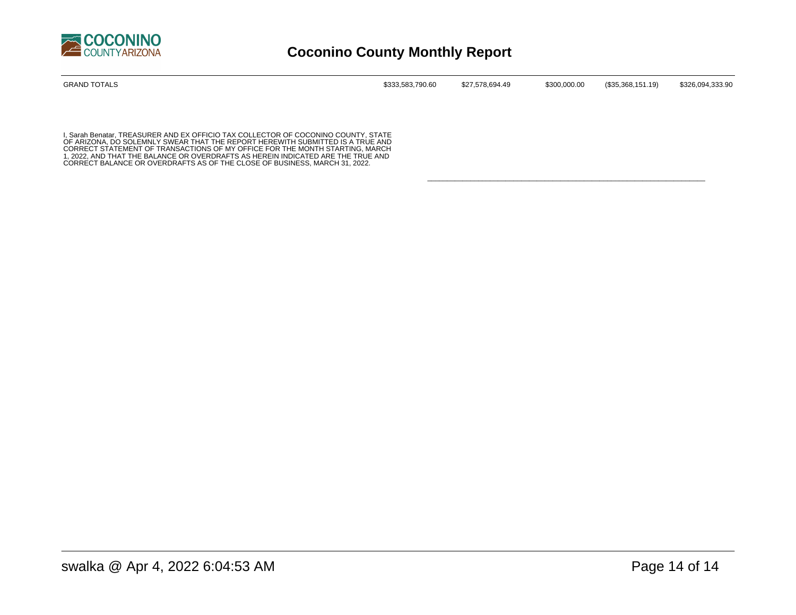

| GRAND TOTALS | \$333,583,790.60 | \$27,578,694.49 | \$300,000.00 | (\$35,368,151.19) | \$326,094,333.90 |
|--------------|------------------|-----------------|--------------|-------------------|------------------|
|              |                  |                 |              |                   |                  |
|              |                  |                 |              |                   |                  |

\_\_\_\_\_\_\_\_\_\_\_\_\_\_\_\_\_\_\_\_\_\_\_\_\_\_\_\_\_\_\_\_\_\_\_\_\_\_\_\_\_\_\_\_\_\_\_\_\_\_\_\_\_\_\_\_\_\_\_\_\_\_\_\_\_\_\_\_\_\_\_

I, Sarah Benatar, TREASURER AND EX OFFICIO TAX COLLECTOR OF COCONINO COUNTY, STATE<br>OF ARIZONA, DO SOLEMNLY SWEAR THAT THE REPORT HEREWITH SUBMITTED IS A TRUE AND<br>CORRECT STATEMENT OF TRANSACTIONS OF MY OFFICE FOR THE MONTH 1, 2022, AND THAT THE BALANCE OR OVERDRAFTS AS HEREIN INDICATED ARE THE TRUE AND CORRECT BALANCE OR OVERDRAFTS AS OF THE CLOSE OF BUSINESS, MARCH 31, 2022.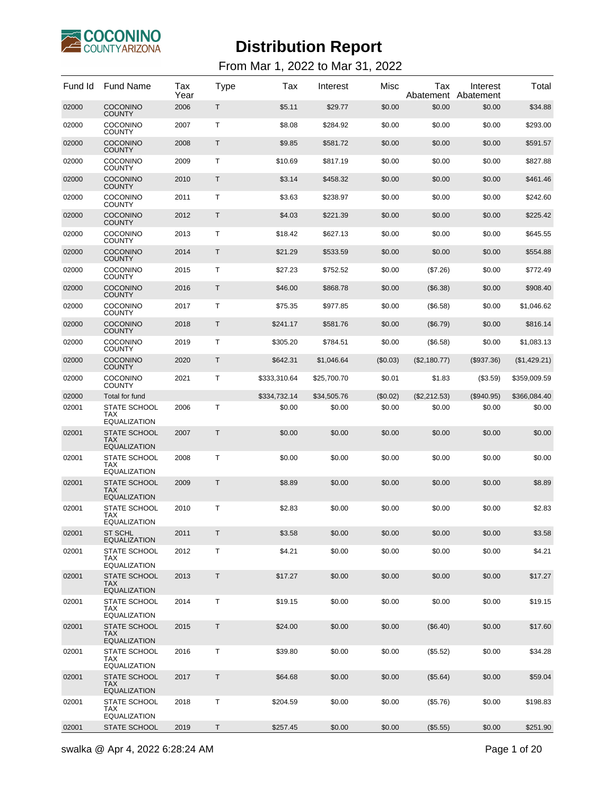

| Fund Id | Fund Name                                                | Tax<br>Year | <b>Type</b> | Tax          | Interest    | Misc     | Tax<br>Abatement | Interest<br>Abatement | Total        |
|---------|----------------------------------------------------------|-------------|-------------|--------------|-------------|----------|------------------|-----------------------|--------------|
| 02000   | <b>COCONINO</b><br><b>COUNTY</b>                         | 2006        | T           | \$5.11       | \$29.77     | \$0.00   | \$0.00           | \$0.00                | \$34.88      |
| 02000   | COCONINO<br>COUNTY                                       | 2007        | T           | \$8.08       | \$284.92    | \$0.00   | \$0.00           | \$0.00                | \$293.00     |
| 02000   | <b>COCONINO</b><br><b>COUNTY</b>                         | 2008        | Τ           | \$9.85       | \$581.72    | \$0.00   | \$0.00           | \$0.00                | \$591.57     |
| 02000   | COCONINO<br>COUNTY                                       | 2009        | т           | \$10.69      | \$817.19    | \$0.00   | \$0.00           | \$0.00                | \$827.88     |
| 02000   | <b>COCONINO</b><br><b>COUNTY</b>                         | 2010        | Τ           | \$3.14       | \$458.32    | \$0.00   | \$0.00           | \$0.00                | \$461.46     |
| 02000   | COCONINO<br>COUNTY                                       | 2011        | т           | \$3.63       | \$238.97    | \$0.00   | \$0.00           | \$0.00                | \$242.60     |
| 02000   | <b>COCONINO</b><br><b>COUNTY</b>                         | 2012        | Τ           | \$4.03       | \$221.39    | \$0.00   | \$0.00           | \$0.00                | \$225.42     |
| 02000   | COCONINO<br>COUNTY                                       | 2013        | т           | \$18.42      | \$627.13    | \$0.00   | \$0.00           | \$0.00                | \$645.55     |
| 02000   | <b>COCONINO</b><br><b>COUNTY</b>                         | 2014        | Τ           | \$21.29      | \$533.59    | \$0.00   | \$0.00           | \$0.00                | \$554.88     |
| 02000   | COCONINO<br>COUNTY                                       | 2015        | т           | \$27.23      | \$752.52    | \$0.00   | (\$7.26)         | \$0.00                | \$772.49     |
| 02000   | <b>COCONINO</b><br><b>COUNTY</b>                         | 2016        | Τ           | \$46.00      | \$868.78    | \$0.00   | (\$6.38)         | \$0.00                | \$908.40     |
| 02000   | COCONINO<br>COUNTY                                       | 2017        | т           | \$75.35      | \$977.85    | \$0.00   | (\$6.58)         | \$0.00                | \$1,046.62   |
| 02000   | <b>COCONINO</b><br><b>COUNTY</b>                         | 2018        | T           | \$241.17     | \$581.76    | \$0.00   | (\$6.79)         | \$0.00                | \$816.14     |
| 02000   | COCONINO<br>COUNTY                                       | 2019        | т           | \$305.20     | \$784.51    | \$0.00   | (\$6.58)         | \$0.00                | \$1,083.13   |
| 02000   | <b>COCONINO</b><br><b>COUNTY</b>                         | 2020        | Τ           | \$642.31     | \$1,046.64  | (\$0.03) | (\$2,180.77)     | $(\$937.36)$          | (\$1,429.21) |
| 02000   | COCONINO<br>COUNTY                                       | 2021        | т           | \$333,310.64 | \$25,700.70 | \$0.01   | \$1.83           | (\$3.59)              | \$359,009.59 |
| 02000   | Total for fund                                           |             |             | \$334,732.14 | \$34,505.76 | (\$0.02) | (\$2,212.53)     | $(\$940.95)$          | \$366,084.40 |
| 02001   | <b>STATE SCHOOL</b><br><b>TAX</b><br><b>EQUALIZATION</b> | 2006        | T           | \$0.00       | \$0.00      | \$0.00   | \$0.00           | \$0.00                | \$0.00       |
| 02001   | <b>STATE SCHOOL</b><br>TAX<br><b>EQUALIZATION</b>        | 2007        | Τ           | \$0.00       | \$0.00      | \$0.00   | \$0.00           | \$0.00                | \$0.00       |
| 02001   | <b>STATE SCHOOL</b><br>TAX<br><b>EQUALIZATION</b>        | 2008        | т           | \$0.00       | \$0.00      | \$0.00   | \$0.00           | \$0.00                | \$0.00       |
| 02001   | <b>STATE SCHOOL</b><br>TAX<br><b>EQUALIZATION</b>        | 2009        | T           | \$8.89       | \$0.00      | \$0.00   | \$0.00           | \$0.00                | \$8.89       |
| 02001   | <b>STATE SCHOOL</b><br>TAX                               | 2010        | T           | \$2.83       | \$0.00      | \$0.00   | \$0.00           | \$0.00                | \$2.83       |
| 02001   | <b>EQUALIZATION</b><br>ST SCHL                           | 2011        | Τ           | \$3.58       | \$0.00      | \$0.00   | \$0.00           | \$0.00                | \$3.58       |
| 02001   | <b>EQUALIZATION</b><br>STATE SCHOOL                      | 2012        | Τ           | \$4.21       | \$0.00      | \$0.00   | \$0.00           | \$0.00                | \$4.21       |
|         | TAX<br><b>EQUALIZATION</b>                               |             |             |              |             |          |                  |                       |              |
| 02001   | <b>STATE SCHOOL</b><br>TAX<br><b>EQUALIZATION</b>        | 2013        | Τ           | \$17.27      | \$0.00      | \$0.00   | \$0.00           | \$0.00                | \$17.27      |
| 02001   | STATE SCHOOL<br>TAX<br><b>EQUALIZATION</b>               | 2014        | Τ           | \$19.15      | \$0.00      | \$0.00   | \$0.00           | \$0.00                | \$19.15      |
| 02001   | <b>STATE SCHOOL</b><br>TAX<br><b>EQUALIZATION</b>        | 2015        | Τ           | \$24.00      | \$0.00      | \$0.00   | (\$6.40)         | \$0.00                | \$17.60      |
| 02001   | <b>STATE SCHOOL</b><br>TAX<br>EQUALIZATION               | 2016        | Τ           | \$39.80      | \$0.00      | \$0.00   | (\$5.52)         | \$0.00                | \$34.28      |
| 02001   | <b>STATE SCHOOL</b><br>TAX<br><b>EQUALIZATION</b>        | 2017        | Τ           | \$64.68      | \$0.00      | \$0.00   | (\$5.64)         | \$0.00                | \$59.04      |
| 02001   | <b>STATE SCHOOL</b><br>TAX                               | 2018        | Τ           | \$204.59     | \$0.00      | \$0.00   | (\$5.76)         | \$0.00                | \$198.83     |
| 02001   | EQUALIZATION<br><b>STATE SCHOOL</b>                      | 2019        | Τ           | \$257.45     | \$0.00      | \$0.00   | (\$5.55)         | \$0.00                | \$251.90     |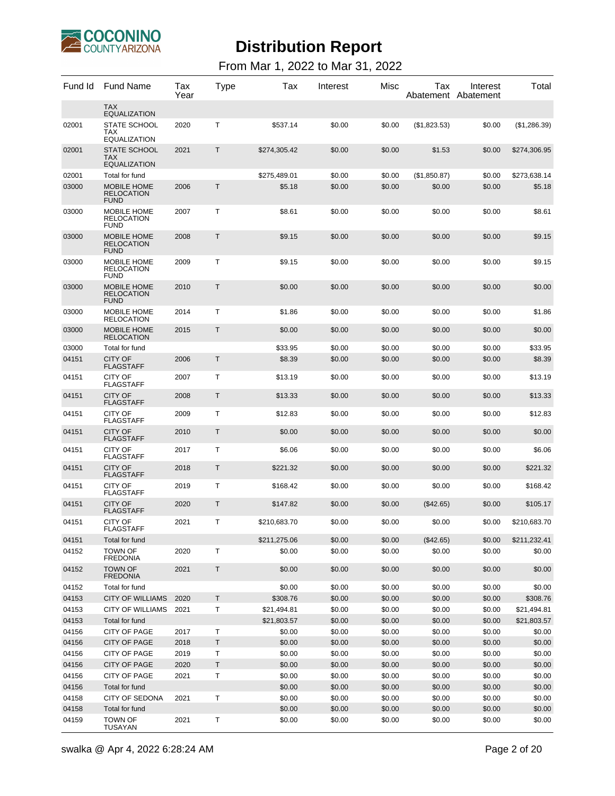

| Fund Id | <b>Fund Name</b>                                         | Tax<br>Year | Type    | Tax          | Interest | Misc   | Tax          | Interest<br>Abatement Abatement | Total        |
|---------|----------------------------------------------------------|-------------|---------|--------------|----------|--------|--------------|---------------------------------|--------------|
|         | <b>TAX</b><br><b>EQUALIZATION</b>                        |             |         |              |          |        |              |                                 |              |
| 02001   | <b>STATE SCHOOL</b><br><b>TAX</b><br><b>EQUALIZATION</b> | 2020        | Т       | \$537.14     | \$0.00   | \$0.00 | (\$1,823.53) | \$0.00                          | (\$1,286.39) |
| 02001   | <b>STATE SCHOOL</b><br>TAX<br><b>EQUALIZATION</b>        | 2021        | T       | \$274,305.42 | \$0.00   | \$0.00 | \$1.53       | \$0.00                          | \$274,306.95 |
| 02001   | Total for fund                                           |             |         | \$275,489.01 | \$0.00   | \$0.00 | (\$1,850.87) | \$0.00                          | \$273,638.14 |
| 03000   | <b>MOBILE HOME</b><br><b>RELOCATION</b><br><b>FUND</b>   | 2006        | Τ       | \$5.18       | \$0.00   | \$0.00 | \$0.00       | \$0.00                          | \$5.18       |
| 03000   | MOBILE HOME<br><b>RELOCATION</b><br><b>FUND</b>          | 2007        | т       | \$8.61       | \$0.00   | \$0.00 | \$0.00       | \$0.00                          | \$8.61       |
| 03000   | <b>MOBILE HOME</b><br><b>RELOCATION</b><br><b>FUND</b>   | 2008        | Т       | \$9.15       | \$0.00   | \$0.00 | \$0.00       | \$0.00                          | \$9.15       |
| 03000   | MOBILE HOME<br><b>RELOCATION</b><br><b>FUND</b>          | 2009        | Т       | \$9.15       | \$0.00   | \$0.00 | \$0.00       | \$0.00                          | \$9.15       |
| 03000   | <b>MOBILE HOME</b><br><b>RELOCATION</b><br><b>FUND</b>   | 2010        | Τ       | \$0.00       | \$0.00   | \$0.00 | \$0.00       | \$0.00                          | \$0.00       |
| 03000   | MOBILE HOME<br><b>RELOCATION</b>                         | 2014        | т       | \$1.86       | \$0.00   | \$0.00 | \$0.00       | \$0.00                          | \$1.86       |
| 03000   | <b>MOBILE HOME</b><br><b>RELOCATION</b>                  | 2015        | Τ       | \$0.00       | \$0.00   | \$0.00 | \$0.00       | \$0.00                          | \$0.00       |
| 03000   | Total for fund                                           |             |         | \$33.95      | \$0.00   | \$0.00 | \$0.00       | \$0.00                          | \$33.95      |
| 04151   | <b>CITY OF</b><br><b>FLAGSTAFF</b>                       | 2006        | Τ       | \$8.39       | \$0.00   | \$0.00 | \$0.00       | \$0.00                          | \$8.39       |
| 04151   | CITY OF<br><b>FLAGSTAFF</b>                              | 2007        | Τ       | \$13.19      | \$0.00   | \$0.00 | \$0.00       | \$0.00                          | \$13.19      |
| 04151   | <b>CITY OF</b><br><b>FLAGSTAFF</b>                       | 2008        | Τ       | \$13.33      | \$0.00   | \$0.00 | \$0.00       | \$0.00                          | \$13.33      |
| 04151   | CITY OF<br><b>FLAGSTAFF</b>                              | 2009        | Τ       | \$12.83      | \$0.00   | \$0.00 | \$0.00       | \$0.00                          | \$12.83      |
| 04151   | <b>CITY OF</b><br><b>FLAGSTAFF</b>                       | 2010        | Τ       | \$0.00       | \$0.00   | \$0.00 | \$0.00       | \$0.00                          | \$0.00       |
| 04151   | CITY OF<br><b>FLAGSTAFF</b>                              | 2017        | Τ       | \$6.06       | \$0.00   | \$0.00 | \$0.00       | \$0.00                          | \$6.06       |
| 04151   | <b>CITY OF</b><br><b>FLAGSTAFF</b>                       | 2018        | Τ       | \$221.32     | \$0.00   | \$0.00 | \$0.00       | \$0.00                          | \$221.32     |
| 04151   | CITY OF<br><b>FLAGSTAFF</b>                              | 2019        | Τ       | \$168.42     | \$0.00   | \$0.00 | \$0.00       | \$0.00                          | \$168.42     |
| 04151   | <b>CITY OF</b><br>FLAGSTAFF                              | 2020        | Τ       | \$147.82     | \$0.00   | \$0.00 | $(\$42.65)$  | \$0.00                          | \$105.17     |
| 04151   | CITY OF<br>FLAGSTAFF                                     | 2021        | т       | \$210.683.70 | \$0.00   | \$0.00 | \$0.00       | \$0.00                          | \$210,683.70 |
| 04151   | Total for fund                                           |             |         | \$211,275.06 | \$0.00   | \$0.00 | (\$42.65)    | \$0.00                          | \$211,232.41 |
| 04152   | <b>TOWN OF</b><br><b>FREDONIA</b>                        | 2020        | т       | \$0.00       | \$0.00   | \$0.00 | \$0.00       | \$0.00                          | \$0.00       |
| 04152   | <b>TOWN OF</b><br><b>FREDONIA</b>                        | 2021        | Τ       | \$0.00       | \$0.00   | \$0.00 | \$0.00       | \$0.00                          | \$0.00       |
| 04152   | Total for fund                                           |             |         | \$0.00       | \$0.00   | \$0.00 | \$0.00       | \$0.00                          | \$0.00       |
| 04153   | <b>CITY OF WILLIAMS</b>                                  | 2020        | T       | \$308.76     | \$0.00   | \$0.00 | \$0.00       | \$0.00                          | \$308.76     |
| 04153   | <b>CITY OF WILLIAMS</b>                                  | 2021        | Τ       | \$21,494.81  | \$0.00   | \$0.00 | \$0.00       | \$0.00                          | \$21,494.81  |
| 04153   | Total for fund                                           |             |         | \$21,803.57  | \$0.00   | \$0.00 | \$0.00       | \$0.00                          | \$21,803.57  |
| 04156   | CITY OF PAGE                                             | 2017        | т       | \$0.00       | \$0.00   | \$0.00 | \$0.00       | \$0.00                          | \$0.00       |
| 04156   | CITY OF PAGE                                             | 2018        | T       | \$0.00       | \$0.00   | \$0.00 | \$0.00       | \$0.00                          | \$0.00       |
| 04156   | CITY OF PAGE                                             | 2019        | Τ       | \$0.00       | \$0.00   | \$0.00 | \$0.00       | \$0.00                          | \$0.00       |
| 04156   | CITY OF PAGE                                             | 2020        | $\sf T$ | \$0.00       | \$0.00   | \$0.00 | \$0.00       | \$0.00                          | \$0.00       |
| 04156   | CITY OF PAGE                                             | 2021        | Τ       | \$0.00       | \$0.00   | \$0.00 | \$0.00       | \$0.00                          | \$0.00       |
| 04156   | Total for fund                                           |             |         | \$0.00       | \$0.00   | \$0.00 | \$0.00       | \$0.00                          | \$0.00       |
| 04158   | CITY OF SEDONA                                           | 2021        | т       | \$0.00       | \$0.00   | \$0.00 | \$0.00       | \$0.00                          | \$0.00       |
| 04158   | Total for fund                                           |             |         | \$0.00       | \$0.00   | \$0.00 | \$0.00       | \$0.00                          | \$0.00       |
| 04159   | <b>TOWN OF</b><br><b>TUSAYAN</b>                         | 2021        | Τ       | \$0.00       | \$0.00   | \$0.00 | \$0.00       | \$0.00                          | \$0.00       |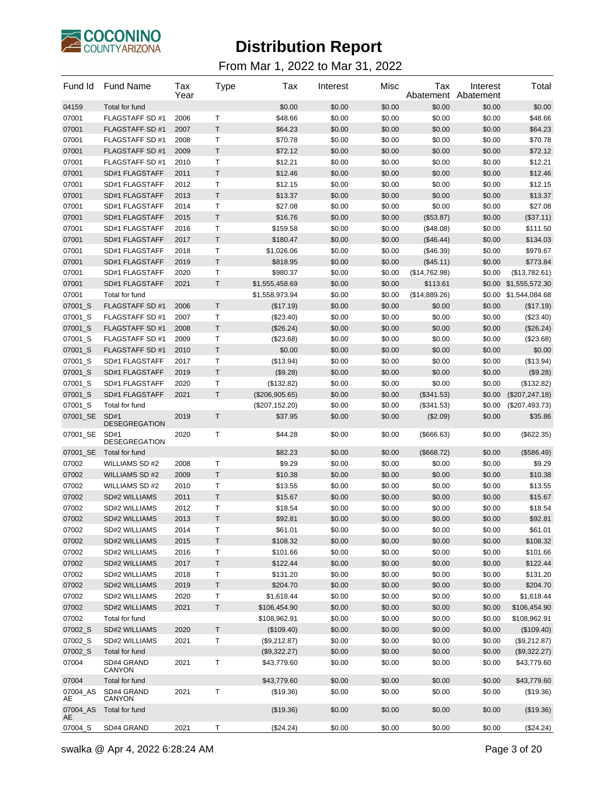

| Fund Id              | <b>Fund Name</b>                     | Tax<br>Year  | Type             | Tax                | Interest         | Misc             | Tax                    | Interest<br>Abatement Abatement | Total                 |
|----------------------|--------------------------------------|--------------|------------------|--------------------|------------------|------------------|------------------------|---------------------------------|-----------------------|
| 04159                | Total for fund                       |              |                  | \$0.00             | \$0.00           | \$0.00           | \$0.00                 | \$0.00                          | \$0.00                |
| 07001                | <b>FLAGSTAFF SD#1</b>                | 2006         | т                | \$48.66            | \$0.00           | \$0.00           | \$0.00                 | \$0.00                          | \$48.66               |
| 07001                | FLAGSTAFF SD #1                      | 2007         | T.               | \$64.23            | \$0.00           | \$0.00           | \$0.00                 | \$0.00                          | \$64.23               |
| 07001                | <b>FLAGSTAFF SD#1</b>                | 2008         | Τ                | \$70.78            | \$0.00           | \$0.00           | \$0.00                 | \$0.00                          | \$70.78               |
| 07001                | <b>FLAGSTAFF SD#1</b>                | 2009         | $\mathsf T$      | \$72.12            | \$0.00           | \$0.00           | \$0.00                 | \$0.00                          | \$72.12               |
| 07001                | FLAGSTAFF SD #1                      | 2010         | Т                | \$12.21            | \$0.00           | \$0.00           | \$0.00                 | \$0.00                          | \$12.21               |
| 07001                | SD#1 FLAGSTAFF                       | 2011         | T                | \$12.46            | \$0.00           | \$0.00           | \$0.00                 | \$0.00                          | \$12.46               |
| 07001                | SD#1 FLAGSTAFF                       | 2012         | т                | \$12.15            | \$0.00           | \$0.00           | \$0.00                 | \$0.00                          | \$12.15               |
| 07001                | SD#1 FLAGSTAFF                       | 2013         | T                | \$13.37            | \$0.00           | \$0.00           | \$0.00                 | \$0.00                          | \$13.37               |
| 07001                | SD#1 FLAGSTAFF                       | 2014         | Τ                | \$27.08            | \$0.00           | \$0.00           | \$0.00                 | \$0.00                          | \$27.08               |
| 07001                | SD#1 FLAGSTAFF                       | 2015         | $\mathsf T$      | \$16.76            | \$0.00           | \$0.00           | (\$53.87)              | \$0.00                          | (\$37.11)             |
| 07001                | SD#1 FLAGSTAFF                       | 2016         | Т                | \$159.58           | \$0.00           | \$0.00           | (\$48.08)              | \$0.00                          | \$111.50              |
| 07001                | SD#1 FLAGSTAFF                       | 2017         | T                | \$180.47           | \$0.00           | \$0.00           | (\$46.44)              | \$0.00                          | \$134.03              |
| 07001                | SD#1 FLAGSTAFF                       | 2018         | т                | \$1,026.06         | \$0.00           | \$0.00           | $(\$46.39)$            | \$0.00                          | \$979.67              |
| 07001                | SD#1 FLAGSTAFF                       | 2019         | T.               | \$818.95           | \$0.00           | \$0.00           | (\$45.11)              | \$0.00                          | \$773.84              |
| 07001                | SD#1 FLAGSTAFF                       | 2020         | Τ                | \$980.37           | \$0.00           | \$0.00           | (\$14,762.98)          | \$0.00                          | (\$13,782.61)         |
| 07001                | SD#1 FLAGSTAFF                       | 2021         | $\mathsf T$      | \$1,555,458.69     | \$0.00           | \$0.00           | \$113.61               |                                 | \$0.00 \$1,555,572.30 |
| 07001                | Total for fund                       |              |                  | \$1,558,973.94     | \$0.00           | \$0.00           | (\$14,889.26)          |                                 | \$0.00 \$1,544,084.68 |
| 07001_S              | <b>FLAGSTAFF SD#1</b>                | 2006         | Τ                | (\$17.19)          | \$0.00           | \$0.00           | \$0.00                 | \$0.00                          | (\$17.19)             |
| 07001_S              | FLAGSTAFF SD #1                      | 2007         | т                | (\$23.40)          | \$0.00           | \$0.00           | \$0.00                 | \$0.00                          | (\$23.40)             |
| 07001_S              | <b>FLAGSTAFF SD#1</b>                | 2008         | T                | (\$26.24)          | \$0.00           | \$0.00           | \$0.00                 | \$0.00                          | (\$26.24)             |
| 07001_S              | <b>FLAGSTAFF SD#1</b>                | 2009         | Τ                | (\$23.68)          | \$0.00           | \$0.00           | \$0.00                 | \$0.00                          | (\$23.68)             |
| 07001_S              | <b>FLAGSTAFF SD#1</b>                | 2010         | $\mathsf T$      | \$0.00             | \$0.00           | \$0.00           | \$0.00                 | \$0.00                          | \$0.00                |
| 07001_S              | SD#1 FLAGSTAFF                       | 2017         | Т                | (\$13.94)          | \$0.00           | \$0.00           | \$0.00                 | \$0.00                          | (\$13.94)             |
| 07001_S              | SD#1 FLAGSTAFF                       | 2019         | T                | (\$9.28)           | \$0.00           | \$0.00           | \$0.00                 | \$0.00                          | (\$9.28)              |
| 07001_S              | SD#1 FLAGSTAFF                       | 2020         | Т                | (\$132.82)         | \$0.00           | \$0.00           | \$0.00                 | \$0.00                          | (\$132.82)            |
| 07001_S              | SD#1 FLAGSTAFF                       | 2021         | T.               | (\$206,905.65)     | \$0.00           | \$0.00           | (\$341.53)             | \$0.00                          | (\$207, 247.18)       |
| 07001_S              | Total for fund                       |              |                  | (\$207, 152.20)    | \$0.00           | \$0.00           | (\$341.53)             | \$0.00                          | (\$207,493.73)        |
| 07001 SE<br>07001 SE | SD#1<br><b>DESEGREGATION</b><br>SD#1 | 2019<br>2020 | $\mathsf T$<br>T | \$37.95<br>\$44.28 | \$0.00<br>\$0.00 | \$0.00<br>\$0.00 | (\$2.09)<br>(\$666.63) | \$0.00<br>\$0.00                | \$35.86<br>(\$622.35) |
|                      | <b>DESEGREGATION</b>                 |              |                  |                    |                  |                  |                        |                                 |                       |
| 07001_SE             | Total for fund                       |              |                  | \$82.23            | \$0.00           | \$0.00           | (\$668.72)             | \$0.00                          | (\$586.49)            |
| 07002                | <b>WILLIAMS SD#2</b>                 | 2008         | Т                | \$9.29             | \$0.00           | \$0.00           | \$0.00                 | \$0.00                          | \$9.29                |
| 07002                | <b>WILLIAMS SD#2</b>                 | 2009         | T                | \$10.38            | \$0.00           | \$0.00           | \$0.00                 | \$0.00                          | \$10.38               |
| 07002                | <b>WILLIAMS SD#2</b>                 | 2010         | Т                | \$13.55            | \$0.00           | \$0.00           | \$0.00                 | \$0.00                          | \$13.55               |
| 07002                | SD#2 WILLIAMS                        | 2011         | T                | \$15.67            | \$0.00           | \$0.00           | \$0.00                 | \$0.00                          | \$15.67               |
| 07002                | SD#2 WILLIAMS                        | 2012         | Τ                | \$18.54            | \$0.00           | \$0.00           | \$0.00                 | \$0.00                          | \$18.54               |
| 07002                | SD#2 WILLIAMS                        | 2013         | $\mathsf T$      | \$92.81            | \$0.00           | \$0.00           | \$0.00                 | \$0.00                          | \$92.81               |
| 07002                | SD#2 WILLIAMS                        | 2014         | т                | \$61.01            | \$0.00           | \$0.00           | \$0.00                 | \$0.00                          | \$61.01               |
| 07002                | SD#2 WILLIAMS                        | 2015         | Τ                | \$108.32           | \$0.00           | \$0.00           | \$0.00                 | \$0.00                          | \$108.32              |
| 07002                | SD#2 WILLIAMS                        | 2016         | Т                | \$101.66           | \$0.00           | \$0.00           | \$0.00                 | \$0.00                          | \$101.66              |
| 07002                | SD#2 WILLIAMS                        | 2017         | Τ                | \$122.44           | \$0.00           | \$0.00           | \$0.00                 | \$0.00                          | \$122.44              |
| 07002                | SD#2 WILLIAMS                        | 2018         | $\top$           | \$131.20           | \$0.00           | \$0.00           | \$0.00                 | \$0.00                          | \$131.20              |
| 07002                | SD#2 WILLIAMS                        | 2019         | $\sf T$          | \$204.70           | \$0.00           | \$0.00           | \$0.00                 | \$0.00                          | \$204.70              |
| 07002                | SD#2 WILLIAMS                        | 2020         | Т                | \$1,618.44         | \$0.00           | \$0.00           | \$0.00                 | \$0.00                          | \$1,618.44            |
| 07002                | SD#2 WILLIAMS                        | 2021         | $\sf T$          | \$106,454.90       | \$0.00           | \$0.00           | \$0.00                 | \$0.00                          | \$106,454.90          |
| 07002                | Total for fund                       |              |                  | \$108,962.91       | \$0.00           | \$0.00           | \$0.00                 | \$0.00                          | \$108,962.91          |
| 07002_S              | SD#2 WILLIAMS                        | 2020         | Τ                | (\$109.40)         | \$0.00           | \$0.00           | \$0.00                 | \$0.00                          | (\$109.40)            |
| 07002_S              | SD#2 WILLIAMS                        | 2021         | Т                | (\$9,212.87)       | \$0.00           | \$0.00           | \$0.00                 | \$0.00                          | (\$9,212.87)          |
| 07002_S              | Total for fund                       |              |                  | (\$9,322.27)       | \$0.00           | \$0.00           | \$0.00                 | \$0.00                          | (\$9,322.27)          |
| 07004                | SD#4 GRAND<br>CANYON                 | 2021         | т                | \$43,779.60        | \$0.00           | \$0.00           | \$0.00                 | \$0.00                          | \$43,779.60           |
| 07004                | Total for fund                       |              |                  | \$43,779.60        | \$0.00           | \$0.00           | \$0.00                 | \$0.00                          | \$43,779.60           |
| 07004_AS<br>AE       | SD#4 GRAND<br>CANYON                 | 2021         | $\top$           | (\$19.36)          | \$0.00           | \$0.00           | \$0.00                 | \$0.00                          | (\$19.36)             |
| 07004_AS<br>AE       | Total for fund                       |              |                  | (\$19.36)          | \$0.00           | \$0.00           | \$0.00                 | \$0.00                          | (\$19.36)             |
| 07004_S              | SD#4 GRAND                           | 2021         | T                | (\$24.24)          | \$0.00           | \$0.00           | \$0.00                 | \$0.00                          | (\$24.24)             |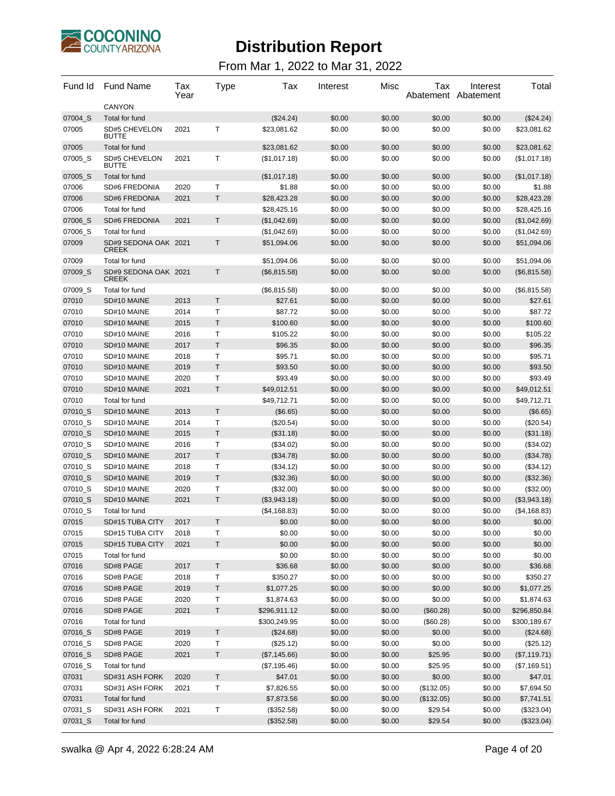

| Fund Id | <b>Fund Name</b>                     | Tax<br>Year | Type        | Tax          | Interest | Misc   | Tax        | Interest<br>Abatement Abatement | Total        |
|---------|--------------------------------------|-------------|-------------|--------------|----------|--------|------------|---------------------------------|--------------|
|         | <b>CANYON</b>                        |             |             |              |          |        |            |                                 |              |
| 07004 S | Total for fund                       |             |             | (\$24.24)    | \$0.00   | \$0.00 | \$0.00     | \$0.00                          | (\$24.24)    |
| 07005   | SD#5 CHEVELON<br><b>BUTTE</b>        | 2021        | т           | \$23,081.62  | \$0.00   | \$0.00 | \$0.00     | \$0.00                          | \$23,081.62  |
| 07005   | Total for fund                       |             |             | \$23,081.62  | \$0.00   | \$0.00 | \$0.00     | \$0.00                          | \$23,081.62  |
| 07005_S | SD#5 CHEVELON<br><b>BUTTE</b>        | 2021        | т           | (\$1,017.18) | \$0.00   | \$0.00 | \$0.00     | \$0.00                          | (\$1,017.18) |
| 07005_S | Total for fund                       |             |             | (\$1,017.18) | \$0.00   | \$0.00 | \$0.00     | \$0.00                          | (\$1,017.18) |
| 07006   | <b>SD#6 FREDONIA</b>                 | 2020        | Т           | \$1.88       | \$0.00   | \$0.00 | \$0.00     | \$0.00                          | \$1.88       |
| 07006   | <b>SD#6 FREDONIA</b>                 | 2021        | T           | \$28,423.28  | \$0.00   | \$0.00 | \$0.00     | \$0.00                          | \$28,423.28  |
| 07006   | Total for fund                       |             |             | \$28,425.16  | \$0.00   | \$0.00 | \$0.00     | \$0.00                          | \$28,425.16  |
| 07006_S | <b>SD#6 FREDONIA</b>                 | 2021        | T           | (\$1,042.69) | \$0.00   | \$0.00 | \$0.00     | \$0.00                          | (\$1,042.69) |
| 07006_S | Total for fund                       |             |             | (\$1,042.69) | \$0.00   | \$0.00 | \$0.00     | \$0.00                          | (\$1,042.69) |
| 07009   | SD#9 SEDONA OAK 2021<br><b>CREEK</b> |             | Т           | \$51,094.06  | \$0.00   | \$0.00 | \$0.00     | \$0.00                          | \$51,094.06  |
| 07009   | Total for fund                       |             |             | \$51,094.06  | \$0.00   | \$0.00 | \$0.00     | \$0.00                          | \$51,094.06  |
| 07009 S | SD#9 SEDONA OAK 2021<br><b>CREEK</b> |             | T           | (\$6,815.58) | \$0.00   | \$0.00 | \$0.00     | \$0.00                          | (\$6,815.58) |
| 07009_S | Total for fund                       |             |             | (\$6,815.58) | \$0.00   | \$0.00 | \$0.00     | \$0.00                          | (\$6,815.58) |
| 07010   | SD#10 MAINE                          | 2013        | T.          | \$27.61      | \$0.00   | \$0.00 | \$0.00     | \$0.00                          | \$27.61      |
| 07010   | SD#10 MAINE                          | 2014        | Т           | \$87.72      | \$0.00   | \$0.00 | \$0.00     | \$0.00                          | \$87.72      |
| 07010   | SD#10 MAINE                          | 2015        | Τ           | \$100.60     | \$0.00   | \$0.00 | \$0.00     | \$0.00                          | \$100.60     |
| 07010   | SD#10 MAINE                          | 2016        | Т           | \$105.22     | \$0.00   | \$0.00 | \$0.00     | \$0.00                          | \$105.22     |
| 07010   | SD#10 MAINE                          | 2017        | T           | \$96.35      | \$0.00   | \$0.00 | \$0.00     | \$0.00                          | \$96.35      |
| 07010   | SD#10 MAINE                          | 2018        | Т           | \$95.71      | \$0.00   | \$0.00 | \$0.00     | \$0.00                          | \$95.71      |
| 07010   | SD#10 MAINE                          | 2019        | T.          | \$93.50      | \$0.00   | \$0.00 | \$0.00     | \$0.00                          | \$93.50      |
| 07010   | SD#10 MAINE                          | 2020        | Т           | \$93.49      | \$0.00   | \$0.00 | \$0.00     | \$0.00                          | \$93.49      |
| 07010   | SD#10 MAINE                          | 2021        | T           | \$49,012.51  | \$0.00   | \$0.00 | \$0.00     | \$0.00                          | \$49,012.51  |
| 07010   | Total for fund                       |             |             | \$49,712.71  | \$0.00   | \$0.00 | \$0.00     | \$0.00                          | \$49,712.71  |
| 07010_S | SD#10 MAINE                          | 2013        | Τ           | (\$6.65)     | \$0.00   | \$0.00 | \$0.00     | \$0.00                          | (\$6.65)     |
| 07010_S | SD#10 MAINE                          | 2014        | Т           | (\$20.54)    | \$0.00   | \$0.00 | \$0.00     | \$0.00                          | (\$20.54)    |
| 07010_S | SD#10 MAINE                          | 2015        | T           | (\$31.18)    | \$0.00   | \$0.00 | \$0.00     | \$0.00                          | (\$31.18)    |
| 07010_S | SD#10 MAINE                          | 2016        | Т           | (\$34.02)    | \$0.00   | \$0.00 | \$0.00     | \$0.00                          | (\$34.02)    |
| 07010_S | SD#10 MAINE                          | 2017        | Τ           | (\$34.78)    | \$0.00   | \$0.00 | \$0.00     | \$0.00                          | (\$34.78)    |
| 07010_S | SD#10 MAINE                          | 2018        | Т           | (\$34.12)    | \$0.00   | \$0.00 | \$0.00     | \$0.00                          | (\$34.12)    |
| 07010_S | SD#10 MAINE                          | 2019        | T           | (\$32.36)    | \$0.00   | \$0.00 | \$0.00     | \$0.00                          | (\$32.36)    |
| 07010_S | SD#10 MAINE                          | 2020        | Т           | (\$32.00)    | \$0.00   | \$0.00 | \$0.00     | \$0.00                          | (\$32.00)    |
| 07010_S | SD#10 MAINE                          | 2021        | T.          | (\$3,943.18) | \$0.00   | \$0.00 | \$0.00     | \$0.00                          | (\$3,943.18) |
| 07010 S | Total for fund                       |             |             | (\$4,168.83) | \$0.00   | \$0.00 | \$0.00     | \$0.00                          | (\$4,168.83) |
| 07015   | SD#15 TUBA CITY                      | 2017        | T           | \$0.00       | \$0.00   | \$0.00 | \$0.00     | \$0.00                          | \$0.00       |
| 07015   | SD#15 TUBA CITY                      | 2018        | Τ           | \$0.00       | \$0.00   | \$0.00 | \$0.00     | \$0.00                          | \$0.00       |
| 07015   | SD#15 TUBA CITY                      | 2021        | $\mathsf T$ | \$0.00       | \$0.00   | \$0.00 | \$0.00     | \$0.00                          | \$0.00       |
| 07015   | Total for fund                       |             |             | \$0.00       | \$0.00   | \$0.00 | \$0.00     | \$0.00                          | \$0.00       |
| 07016   | SD#8 PAGE                            | 2017        | Τ           | \$36.68      | \$0.00   | \$0.00 | \$0.00     | \$0.00                          | \$36.68      |
| 07016   | SD#8 PAGE                            | 2018        | т           | \$350.27     | \$0.00   | \$0.00 | \$0.00     | \$0.00                          | \$350.27     |
| 07016   | SD#8 PAGE                            | 2019        | Τ           | \$1,077.25   | \$0.00   | \$0.00 | \$0.00     | \$0.00                          | \$1,077.25   |
| 07016   | SD#8 PAGE                            | 2020        | T           | \$1,874.63   | \$0.00   | \$0.00 | \$0.00     | \$0.00                          | \$1,874.63   |
| 07016   | SD#8 PAGE                            | 2021        | Τ           | \$296,911.12 | \$0.00   | \$0.00 | (\$60.28)  | \$0.00                          | \$296,850.84 |
| 07016   | Total for fund                       |             |             | \$300,249.95 | \$0.00   | \$0.00 | (\$60.28)  | \$0.00                          | \$300,189.67 |
| 07016_S | SD#8 PAGE                            | 2019        | Τ           | (\$24.68)    | \$0.00   | \$0.00 | \$0.00     | \$0.00                          | (\$24.68)    |
| 07016_S | SD#8 PAGE                            | 2020        | Т           | (\$25.12)    | \$0.00   | \$0.00 | \$0.00     | \$0.00                          | (\$25.12)    |
| 07016_S | SD#8 PAGE                            | 2021        | Τ           | (\$7,145.66) | \$0.00   | \$0.00 | \$25.95    | \$0.00                          | (\$7,119.71) |
| 07016_S | Total for fund                       |             |             | (\$7,195.46) | \$0.00   | \$0.00 | \$25.95    | \$0.00                          | (\$7,169.51) |
| 07031   | SD#31 ASH FORK                       | 2020        | T           | \$47.01      | \$0.00   | \$0.00 | \$0.00     | \$0.00                          | \$47.01      |
| 07031   | SD#31 ASH FORK                       | 2021        | Т           | \$7,826.55   | \$0.00   | \$0.00 | (\$132.05) | \$0.00                          | \$7,694.50   |
| 07031   | Total for fund                       |             |             | \$7,873.56   | \$0.00   | \$0.00 | (\$132.05) | \$0.00                          | \$7,741.51   |
| 07031_S | SD#31 ASH FORK                       | 2021        | $\top$      | (\$352.58)   | \$0.00   | \$0.00 | \$29.54    | \$0.00                          | (\$323.04)   |
| 07031_S | Total for fund                       |             |             | (\$352.58)   | \$0.00   | \$0.00 | \$29.54    | \$0.00                          | (\$323.04)   |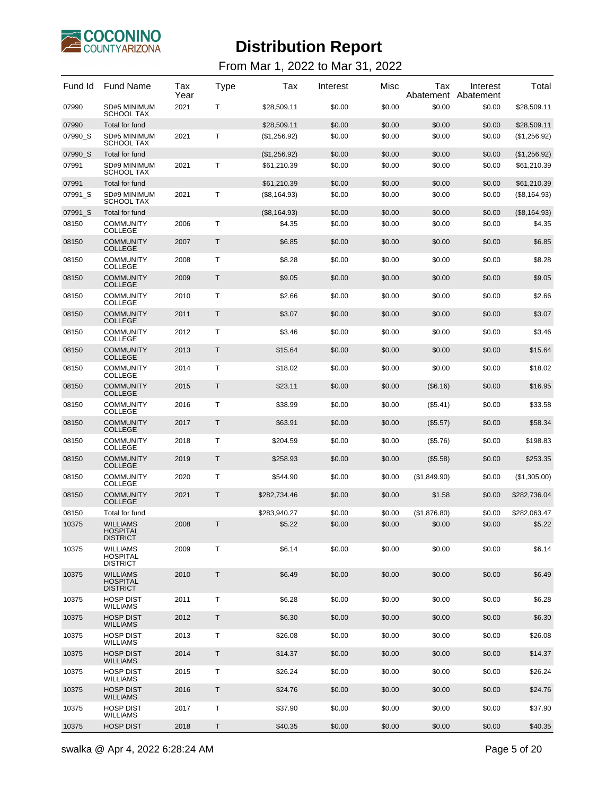

| Fund Id | <b>Fund Name</b>                                      | Tax<br>Year | <b>Type</b> | Tax           | Interest | Misc   | Tax          | Interest<br>Abatement Abatement | Total         |
|---------|-------------------------------------------------------|-------------|-------------|---------------|----------|--------|--------------|---------------------------------|---------------|
| 07990   | SD#5 MINIMUM<br><b>SCHOOL TAX</b>                     | 2021        | т           | \$28,509.11   | \$0.00   | \$0.00 | \$0.00       | \$0.00                          | \$28,509.11   |
| 07990   | Total for fund                                        |             |             | \$28,509.11   | \$0.00   | \$0.00 | \$0.00       | \$0.00                          | \$28,509.11   |
| 07990_S | SD#5 MINIMUM<br><b>SCHOOL TAX</b>                     | 2021        | T           | (\$1,256.92)  | \$0.00   | \$0.00 | \$0.00       | \$0.00                          | (\$1,256.92)  |
| 07990 S | Total for fund                                        |             |             | (\$1,256.92)  | \$0.00   | \$0.00 | \$0.00       | \$0.00                          | (\$1,256.92)  |
| 07991   | SD#9 MINIMUM<br><b>SCHOOL TAX</b>                     | 2021        | т           | \$61,210.39   | \$0.00   | \$0.00 | \$0.00       | \$0.00                          | \$61,210.39   |
| 07991   | Total for fund                                        |             |             | \$61,210.39   | \$0.00   | \$0.00 | \$0.00       | \$0.00                          | \$61,210.39   |
| 07991 S | SD#9 MINIMUM<br>SCHOOL TAX                            | 2021        | Τ           | (\$8, 164.93) | \$0.00   | \$0.00 | \$0.00       | \$0.00                          | (\$8, 164.93) |
| 07991_S | Total for fund                                        |             |             | (\$8,164.93)  | \$0.00   | \$0.00 | \$0.00       | \$0.00                          | (\$8,164.93)  |
| 08150   | <b>COMMUNITY</b><br><b>COLLEGE</b>                    | 2006        | Τ           | \$4.35        | \$0.00   | \$0.00 | \$0.00       | \$0.00                          | \$4.35        |
| 08150   | <b>COMMUNITY</b><br><b>COLLEGE</b>                    | 2007        | T           | \$6.85        | \$0.00   | \$0.00 | \$0.00       | \$0.00                          | \$6.85        |
| 08150   | <b>COMMUNITY</b><br><b>COLLEGE</b>                    | 2008        | T           | \$8.28        | \$0.00   | \$0.00 | \$0.00       | \$0.00                          | \$8.28        |
| 08150   | <b>COMMUNITY</b><br><b>COLLEGE</b>                    | 2009        | T           | \$9.05        | \$0.00   | \$0.00 | \$0.00       | \$0.00                          | \$9.05        |
| 08150   | <b>COMMUNITY</b><br><b>COLLEGE</b>                    | 2010        | т           | \$2.66        | \$0.00   | \$0.00 | \$0.00       | \$0.00                          | \$2.66        |
| 08150   | <b>COMMUNITY</b><br><b>COLLEGE</b>                    | 2011        | T           | \$3.07        | \$0.00   | \$0.00 | \$0.00       | \$0.00                          | \$3.07        |
| 08150   | <b>COMMUNITY</b><br><b>COLLEGE</b>                    | 2012        | T           | \$3.46        | \$0.00   | \$0.00 | \$0.00       | \$0.00                          | \$3.46        |
| 08150   | <b>COMMUNITY</b><br><b>COLLEGE</b>                    | 2013        | T           | \$15.64       | \$0.00   | \$0.00 | \$0.00       | \$0.00                          | \$15.64       |
| 08150   | <b>COMMUNITY</b><br><b>COLLEGE</b>                    | 2014        | т           | \$18.02       | \$0.00   | \$0.00 | \$0.00       | \$0.00                          | \$18.02       |
| 08150   | <b>COMMUNITY</b><br><b>COLLEGE</b>                    | 2015        | Τ           | \$23.11       | \$0.00   | \$0.00 | (\$6.16)     | \$0.00                          | \$16.95       |
| 08150   | <b>COMMUNITY</b><br><b>COLLEGE</b>                    | 2016        | T           | \$38.99       | \$0.00   | \$0.00 | (\$5.41)     | \$0.00                          | \$33.58       |
| 08150   | <b>COMMUNITY</b><br><b>COLLEGE</b>                    | 2017        | T           | \$63.91       | \$0.00   | \$0.00 | (\$5.57)     | \$0.00                          | \$58.34       |
| 08150   | <b>COMMUNITY</b><br><b>COLLEGE</b>                    | 2018        | т           | \$204.59      | \$0.00   | \$0.00 | (\$5.76)     | \$0.00                          | \$198.83      |
| 08150   | <b>COMMUNITY</b><br><b>COLLEGE</b>                    | 2019        | Τ           | \$258.93      | \$0.00   | \$0.00 | (\$5.58)     | \$0.00                          | \$253.35      |
| 08150   | <b>COMMUNITY</b><br><b>COLLEGE</b>                    | 2020        | T           | \$544.90      | \$0.00   | \$0.00 | (\$1,849.90) | \$0.00                          | (\$1,305.00)  |
| 08150   | <b>COMMUNITY</b><br><b>COLLEGE</b>                    | 2021        | T.          | \$282,734.46  | \$0.00   | \$0.00 | \$1.58       | \$0.00                          | \$282,736.04  |
| 08150   | Total for fund                                        |             |             | \$283,940.27  | \$0.00   | \$0.00 | (\$1,876.80) | \$0.00                          | \$282,063.47  |
| 10375   | <b>WILLIAMS</b><br><b>HOSPITAL</b><br><b>DISTRICT</b> | 2008        | Τ           | \$5.22        | \$0.00   | \$0.00 | \$0.00       | \$0.00                          | \$5.22        |
| 10375   | <b>WILLIAMS</b><br><b>HOSPITAL</b><br><b>DISTRICT</b> | 2009        | T           | \$6.14        | \$0.00   | \$0.00 | \$0.00       | \$0.00                          | \$6.14        |
| 10375   | <b>WILLIAMS</b><br><b>HOSPITAL</b><br><b>DISTRICT</b> | 2010        | T           | \$6.49        | \$0.00   | \$0.00 | \$0.00       | \$0.00                          | \$6.49        |
| 10375   | <b>HOSP DIST</b><br><b>WILLIAMS</b>                   | 2011        | Τ           | \$6.28        | \$0.00   | \$0.00 | \$0.00       | \$0.00                          | \$6.28        |
| 10375   | <b>HOSP DIST</b><br><b>WILLIAMS</b>                   | 2012        | Τ           | \$6.30        | \$0.00   | \$0.00 | \$0.00       | \$0.00                          | \$6.30        |
| 10375   | <b>HOSP DIST</b><br><b>WILLIAMS</b>                   | 2013        | Τ           | \$26.08       | \$0.00   | \$0.00 | \$0.00       | \$0.00                          | \$26.08       |
| 10375   | <b>HOSP DIST</b><br><b>WILLIAMS</b>                   | 2014        | Τ           | \$14.37       | \$0.00   | \$0.00 | \$0.00       | \$0.00                          | \$14.37       |
| 10375   | <b>HOSP DIST</b><br><b>WILLIAMS</b>                   | 2015        | Τ           | \$26.24       | \$0.00   | \$0.00 | \$0.00       | \$0.00                          | \$26.24       |
| 10375   | <b>HOSP DIST</b><br><b>WILLIAMS</b>                   | 2016        | Τ           | \$24.76       | \$0.00   | \$0.00 | \$0.00       | \$0.00                          | \$24.76       |
| 10375   | <b>HOSP DIST</b><br><b>WILLIAMS</b>                   | 2017        | Τ           | \$37.90       | \$0.00   | \$0.00 | \$0.00       | \$0.00                          | \$37.90       |
| 10375   | <b>HOSP DIST</b>                                      | 2018        | Τ           | \$40.35       | \$0.00   | \$0.00 | \$0.00       | \$0.00                          | \$40.35       |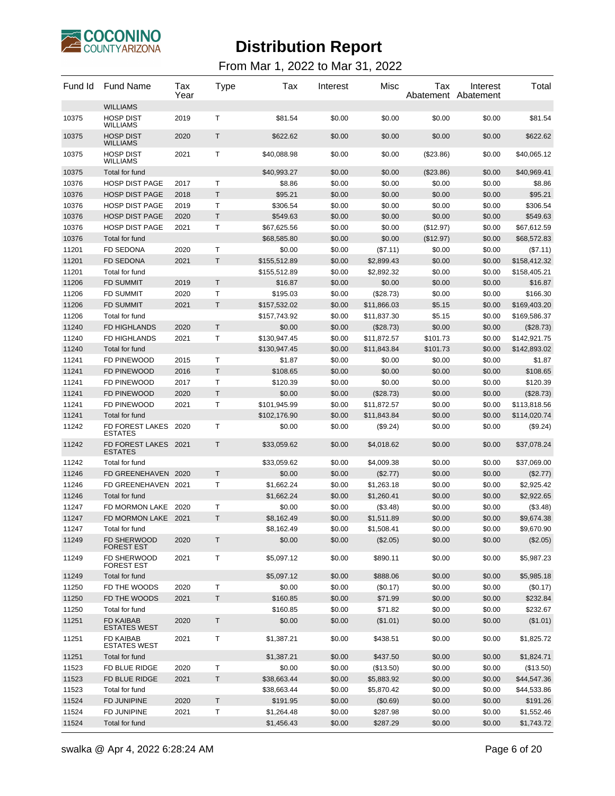

| Fund Id        | <b>Fund Name</b>                        | Tax<br>Year  | <b>Type</b>       | Tax                          | Interest         | Misc                       | Tax                  | Interest<br>Abatement Abatement | Total                     |
|----------------|-----------------------------------------|--------------|-------------------|------------------------------|------------------|----------------------------|----------------------|---------------------------------|---------------------------|
| 10375          | <b>WILLIAMS</b><br><b>HOSP DIST</b>     | 2019         | $\mathsf{T}$      | \$81.54                      | \$0.00           | \$0.00                     | \$0.00               | \$0.00                          | \$81.54                   |
| 10375          | <b>WILLIAMS</b><br><b>HOSP DIST</b>     | 2020         | T                 | \$622.62                     | \$0.00           | \$0.00                     | \$0.00               | \$0.00                          | \$622.62                  |
|                | <b>WILLIAMS</b>                         |              |                   |                              |                  |                            |                      |                                 |                           |
| 10375          | <b>HOSP DIST</b><br><b>WILLIAMS</b>     | 2021         | $\mathsf{T}$      | \$40,088.98                  | \$0.00           | \$0.00                     | $(\$23.86)$          | \$0.00                          | \$40,065.12               |
| 10375          | Total for fund                          |              |                   | \$40,993.27                  | \$0.00           | \$0.00                     | $(\$23.86)$          | \$0.00                          | \$40,969.41               |
| 10376          | <b>HOSP DIST PAGE</b>                   | 2017         | Т                 | \$8.86                       | \$0.00           | \$0.00                     | \$0.00               | \$0.00                          | \$8.86                    |
| 10376          | <b>HOSP DIST PAGE</b>                   | 2018         | T                 | \$95.21                      | \$0.00           | \$0.00                     | \$0.00               | \$0.00                          | \$95.21                   |
| 10376          | <b>HOSP DIST PAGE</b>                   | 2019         | Τ                 | \$306.54                     | \$0.00           | \$0.00                     | \$0.00               | \$0.00                          | \$306.54                  |
| 10376          | <b>HOSP DIST PAGE</b>                   | 2020         | $\mathsf T$       | \$549.63                     | \$0.00           | \$0.00                     | \$0.00               | \$0.00                          | \$549.63                  |
| 10376          | <b>HOSP DIST PAGE</b>                   | 2021         | Т                 | \$67,625.56                  | \$0.00           | \$0.00                     | (\$12.97)            | \$0.00                          | \$67,612.59               |
| 10376          | Total for fund                          |              |                   | \$68,585.80                  | \$0.00           | \$0.00                     | (\$12.97)            | \$0.00                          | \$68,572.83               |
| 11201          | <b>FD SEDONA</b>                        | 2020         | Т                 | \$0.00                       | \$0.00           | $(\$7.11)$                 | \$0.00               | \$0.00                          | (\$7.11)                  |
| 11201          | <b>FD SEDONA</b>                        | 2021         | T                 | \$155,512.89                 | \$0.00           | \$2,899.43                 | \$0.00               | \$0.00                          | \$158,412.32              |
| 11201          | Total for fund                          |              |                   | \$155,512.89                 | \$0.00           | \$2,892.32                 | \$0.00               | \$0.00                          | \$158,405.21              |
| 11206          | <b>FD SUMMIT</b>                        | 2019         | T.                | \$16.87                      | \$0.00           | \$0.00                     | \$0.00               | \$0.00                          | \$16.87                   |
| 11206          | <b>FD SUMMIT</b>                        | 2020         | $\mathsf{T}$<br>T | \$195.03                     | \$0.00           | (\$28.73)                  | \$0.00               | \$0.00                          | \$166.30                  |
| 11206          | <b>FD SUMMIT</b>                        | 2021         |                   | \$157,532.02                 | \$0.00           | \$11,866.03<br>\$11,837.30 | \$5.15               | \$0.00                          | \$169,403.20              |
| 11206<br>11240 | Total for fund                          |              | $\mathsf{T}$      | \$157,743.92                 | \$0.00           |                            | \$5.15               | \$0.00                          | \$169,586.37              |
|                | FD HIGHLANDS<br>FD HIGHLANDS            | 2020         | $\mathsf{T}$      | \$0.00                       | \$0.00           | (\$28.73)<br>\$11,872.57   | \$0.00               | \$0.00                          | (\$28.73)<br>\$142,921.75 |
| 11240<br>11240 | Total for fund                          | 2021         |                   | \$130,947.45<br>\$130,947.45 | \$0.00<br>\$0.00 | \$11,843.84                | \$101.73<br>\$101.73 | \$0.00<br>\$0.00                | \$142,893.02              |
| 11241          | FD PINEWOOD                             | 2015         | $\mathsf{T}$      | \$1.87                       | \$0.00           | \$0.00                     | \$0.00               | \$0.00                          | \$1.87                    |
| 11241          | FD PINEWOOD                             | 2016         | T                 | \$108.65                     | \$0.00           | \$0.00                     | \$0.00               | \$0.00                          | \$108.65                  |
| 11241          | FD PINEWOOD                             | 2017         | Τ                 | \$120.39                     | \$0.00           | \$0.00                     | \$0.00               | \$0.00                          | \$120.39                  |
| 11241          | FD PINEWOOD                             | 2020         | T                 | \$0.00                       | \$0.00           | (\$28.73)                  | \$0.00               | \$0.00                          | (\$28.73)                 |
| 11241          | FD PINEWOOD                             | 2021         | Τ                 | \$101,945.99                 | \$0.00           | \$11,872.57                | \$0.00               | \$0.00                          | \$113,818.56              |
| 11241          | Total for fund                          |              |                   | \$102,176.90                 | \$0.00           | \$11,843.84                | \$0.00               | \$0.00                          | \$114,020.74              |
| 11242          | FD FOREST LAKES                         | 2020         | $\mathsf{T}$      | \$0.00                       | \$0.00           | (\$9.24)                   | \$0.00               | \$0.00                          | (\$9.24)                  |
| 11242          | <b>ESTATES</b><br>FD FOREST LAKES       | 2021         | $\mathsf{T}$      | \$33,059.62                  | \$0.00           | \$4,018.62                 | \$0.00               | \$0.00                          | \$37,078.24               |
|                | <b>ESTATES</b>                          |              |                   |                              |                  |                            |                      |                                 |                           |
| 11242          | Total for fund                          |              |                   | \$33,059.62                  | \$0.00           | \$4,009.38                 | \$0.00               | \$0.00                          | \$37,069.00               |
| 11246          | FD GREENEHAVEN 2020                     |              | T                 | \$0.00                       | \$0.00           | (\$2.77)                   | \$0.00               | \$0.00                          | (\$2.77)                  |
| 11246          | FD GREENEHAVEN 2021                     |              | Т                 | \$1,662.24                   | \$0.00           | \$1,263.18                 | \$0.00               | \$0.00                          | \$2,925.42                |
| 11246          | Total for fund                          |              |                   | \$1,662.24                   | \$0.00           | \$1,260.41                 | \$0.00               | \$0.00                          | \$2,922.65                |
| 11247<br>11247 | FD MORMON LAKE<br>FD MORMON LAKE        | 2020<br>2021 | Т<br>T.           | \$0.00<br>\$8,162.49         | \$0.00<br>\$0.00 | (\$3.48)                   | \$0.00<br>\$0.00     | \$0.00<br>\$0.00                | (\$3.48)                  |
| 11247          | Total for fund                          |              |                   | \$8,162.49                   | \$0.00           | \$1,511.89                 | \$0.00               | \$0.00                          | \$9,674.38<br>\$9,670.90  |
| 11249          | FD SHERWOOD                             | 2020         | T                 | \$0.00                       | \$0.00           | \$1,508.41<br>(\$2.05)     | \$0.00               | \$0.00                          | (\$2.05)                  |
| 11249          | <b>FOREST EST</b><br>FD SHERWOOD        | 2021         | Τ                 | \$5,097.12                   | \$0.00           | \$890.11                   | \$0.00               | \$0.00                          | \$5,987.23                |
|                | <b>FOREST EST</b>                       |              |                   |                              |                  |                            |                      |                                 |                           |
| 11249          | Total for fund                          |              |                   | \$5,097.12                   | \$0.00           | \$888.06                   | \$0.00               | \$0.00                          | \$5,985.18                |
| 11250          | FD THE WOODS                            | 2020         | т                 | \$0.00                       | \$0.00           | (\$0.17)                   | \$0.00               | \$0.00                          | (\$0.17)                  |
| 11250          | FD THE WOODS                            | 2021         | $\mathsf T$       | \$160.85                     | \$0.00           | \$71.99                    | \$0.00               | \$0.00                          | \$232.84                  |
| 11250          | Total for fund                          |              |                   | \$160.85                     | \$0.00           | \$71.82                    | \$0.00               | \$0.00                          | \$232.67                  |
| 11251          | FD KAIBAB<br><b>ESTATES WEST</b>        | 2020         | T                 | \$0.00                       | \$0.00           | (\$1.01)                   | \$0.00               | \$0.00                          | (\$1.01)                  |
| 11251          | <b>FD KAIBAB</b><br><b>ESTATES WEST</b> | 2021         | Τ                 | \$1,387.21                   | \$0.00           | \$438.51                   | \$0.00               | \$0.00                          | \$1,825.72                |
| 11251          | Total for fund                          |              |                   | \$1,387.21                   | \$0.00           | \$437.50                   | \$0.00               | \$0.00                          | \$1,824.71                |
| 11523          | FD BLUE RIDGE                           | 2020         | Т                 | \$0.00                       | \$0.00           | (\$13.50)                  | \$0.00               | \$0.00                          | (\$13.50)                 |
| 11523          | FD BLUE RIDGE                           | 2021         | T                 | \$38,663.44                  | \$0.00           | \$5,883.92                 | \$0.00               | \$0.00                          | \$44,547.36               |
| 11523          | Total for fund                          |              |                   | \$38,663.44                  | \$0.00           | \$5,870.42                 | \$0.00               | \$0.00                          | \$44,533.86               |
| 11524          | <b>FD JUNIPINE</b>                      | 2020         | Τ                 | \$191.95                     | \$0.00           | (\$0.69)                   | \$0.00               | \$0.00                          | \$191.26                  |
| 11524          | FD JUNIPINE                             | 2021         | $\top$            | \$1,264.48                   | \$0.00           | \$287.98                   | \$0.00               | \$0.00                          | \$1,552.46                |
| 11524          | Total for fund                          |              |                   | \$1,456.43                   | \$0.00           | \$287.29                   | \$0.00               | \$0.00                          | \$1,743.72                |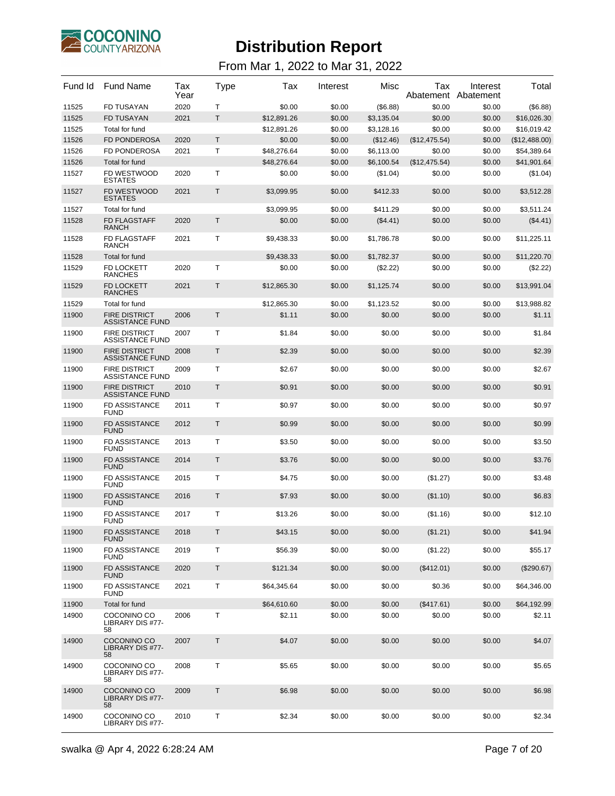

| Fund Id | <b>Fund Name</b>                               | Tax<br>Year | Type        | Tax         | Interest | Misc       | Tax           | Interest<br>Abatement Abatement | Total         |
|---------|------------------------------------------------|-------------|-------------|-------------|----------|------------|---------------|---------------------------------|---------------|
| 11525   | <b>FD TUSAYAN</b>                              | 2020        | т           | \$0.00      | \$0.00   | (\$6.88)   | \$0.00        | \$0.00                          | (\$6.88)      |
| 11525   | <b>FD TUSAYAN</b>                              | 2021        | T.          | \$12.891.26 | \$0.00   | \$3,135.04 | \$0.00        | \$0.00                          | \$16,026.30   |
| 11525   | Total for fund                                 |             |             | \$12,891.26 | \$0.00   | \$3,128.16 | \$0.00        | \$0.00                          | \$16,019.42   |
| 11526   | <b>FD PONDEROSA</b>                            | 2020        | T           | \$0.00      | \$0.00   | (\$12.46)  | (\$12,475.54) | \$0.00                          | (\$12,488.00) |
| 11526   | <b>FD PONDEROSA</b>                            | 2021        | Τ           | \$48,276.64 | \$0.00   | \$6,113.00 | \$0.00        | \$0.00                          | \$54,389.64   |
| 11526   | Total for fund                                 |             |             | \$48,276.64 | \$0.00   | \$6,100.54 | (\$12,475.54) | \$0.00                          | \$41,901.64   |
| 11527   | FD WESTWOOD<br><b>ESTATES</b>                  | 2020        | т           | \$0.00      | \$0.00   | $(\$1.04)$ | \$0.00        | \$0.00                          | (\$1.04)      |
| 11527   | FD WESTWOOD<br><b>ESTATES</b>                  | 2021        | Τ           | \$3,099.95  | \$0.00   | \$412.33   | \$0.00        | \$0.00                          | \$3,512.28    |
| 11527   | Total for fund                                 |             |             | \$3,099.95  | \$0.00   | \$411.29   | \$0.00        | \$0.00                          | \$3,511.24    |
| 11528   | <b>FD FLAGSTAFF</b><br><b>RANCH</b>            | 2020        | Τ           | \$0.00      | \$0.00   | $(\$4.41)$ | \$0.00        | \$0.00                          | (\$4.41)      |
| 11528   | <b>FD FLAGSTAFF</b><br><b>RANCH</b>            | 2021        | т           | \$9,438.33  | \$0.00   | \$1,786.78 | \$0.00        | \$0.00                          | \$11,225.11   |
| 11528   | Total for fund                                 |             |             | \$9,438.33  | \$0.00   | \$1,782.37 | \$0.00        | \$0.00                          | \$11,220.70   |
| 11529   | FD LOCKETT<br><b>RANCHES</b>                   | 2020        | т           | \$0.00      | \$0.00   | (\$2.22)   | \$0.00        | \$0.00                          | (\$2.22)      |
| 11529   | <b>FD LOCKETT</b><br><b>RANCHES</b>            | 2021        | Τ           | \$12,865.30 | \$0.00   | \$1,125.74 | \$0.00        | \$0.00                          | \$13,991.04   |
| 11529   | Total for fund                                 |             |             | \$12,865.30 | \$0.00   | \$1,123.52 | \$0.00        | \$0.00                          | \$13,988.82   |
| 11900   | <b>FIRE DISTRICT</b><br><b>ASSISTANCE FUND</b> | 2006        | Τ           | \$1.11      | \$0.00   | \$0.00     | \$0.00        | \$0.00                          | \$1.11        |
| 11900   | <b>FIRE DISTRICT</b><br><b>ASSISTANCE FUND</b> | 2007        | Τ           | \$1.84      | \$0.00   | \$0.00     | \$0.00        | \$0.00                          | \$1.84        |
| 11900   | <b>FIRE DISTRICT</b><br><b>ASSISTANCE FUND</b> | 2008        | Τ           | \$2.39      | \$0.00   | \$0.00     | \$0.00        | \$0.00                          | \$2.39        |
| 11900   | <b>FIRE DISTRICT</b><br><b>ASSISTANCE FUND</b> | 2009        | Τ           | \$2.67      | \$0.00   | \$0.00     | \$0.00        | \$0.00                          | \$2.67        |
| 11900   | <b>FIRE DISTRICT</b><br><b>ASSISTANCE FUND</b> | 2010        | Τ           | \$0.91      | \$0.00   | \$0.00     | \$0.00        | \$0.00                          | \$0.91        |
| 11900   | <b>FD ASSISTANCE</b><br><b>FUND</b>            | 2011        | т           | \$0.97      | \$0.00   | \$0.00     | \$0.00        | \$0.00                          | \$0.97        |
| 11900   | <b>FD ASSISTANCE</b><br><b>FUND</b>            | 2012        | Τ           | \$0.99      | \$0.00   | \$0.00     | \$0.00        | \$0.00                          | \$0.99        |
| 11900   | <b>FD ASSISTANCE</b><br><b>FUND</b>            | 2013        | Τ           | \$3.50      | \$0.00   | \$0.00     | \$0.00        | \$0.00                          | \$3.50        |
| 11900   | <b>FD ASSISTANCE</b><br><b>FUND</b>            | 2014        | Τ           | \$3.76      | \$0.00   | \$0.00     | \$0.00        | \$0.00                          | \$3.76        |
| 11900   | <b>FD ASSISTANCE</b><br><b>FUND</b>            | 2015        | Τ           | \$4.75      | \$0.00   | \$0.00     | (\$1.27)      | \$0.00                          | \$3.48        |
| 11900   | <b>FD ASSISTANCE</b><br><b>FUND</b>            | 2016        | Τ           | \$7.93      | \$0.00   | \$0.00     | (\$1.10)      | \$0.00                          | \$6.83        |
| 11900   | <b>FD ASSISTANCE</b><br><b>FUND</b>            | 2017        | T           | \$13.26     | \$0.00   | \$0.00     | (\$1.16)      | \$0.00                          | \$12.10       |
| 11900   | FD ASSISTANCE<br><b>FUND</b>                   | 2018        | $\mathsf T$ | \$43.15     | \$0.00   | \$0.00     | (\$1.21)      | \$0.00                          | \$41.94       |
| 11900   | FD ASSISTANCE<br><b>FUND</b>                   | 2019        | т           | \$56.39     | \$0.00   | \$0.00     | (\$1.22)      | \$0.00                          | \$55.17       |
| 11900   | <b>FD ASSISTANCE</b><br><b>FUND</b>            | 2020        | Τ           | \$121.34    | \$0.00   | \$0.00     | (\$412.01)    | \$0.00                          | (\$290.67)    |
| 11900   | FD ASSISTANCE<br><b>FUND</b>                   | 2021        | т           | \$64,345.64 | \$0.00   | \$0.00     | \$0.36        | \$0.00                          | \$64,346.00   |
| 11900   | Total for fund                                 |             |             | \$64,610.60 | \$0.00   | \$0.00     | (\$417.61)    | \$0.00                          | \$64,192.99   |
| 14900   | COCONINO CO<br>LIBRARY DIS #77-<br>58          | 2006        | т           | \$2.11      | \$0.00   | \$0.00     | \$0.00        | \$0.00                          | \$2.11        |
| 14900   | COCONINO CO<br>LIBRARY DIS #77-<br>58          | 2007        | Τ           | \$4.07      | \$0.00   | \$0.00     | \$0.00        | \$0.00                          | \$4.07        |
| 14900   | COCONINO CO<br>LIBRARY DIS #77-<br>58          | 2008        | Τ           | \$5.65      | \$0.00   | \$0.00     | \$0.00        | \$0.00                          | \$5.65        |
| 14900   | COCONINO CO<br>LIBRARY DIS #77-<br>58          | 2009        | Τ           | \$6.98      | \$0.00   | \$0.00     | \$0.00        | \$0.00                          | \$6.98        |
| 14900   | COCONINO CO<br>LIBRARY DIS #77-                | 2010        | Τ           | \$2.34      | \$0.00   | \$0.00     | \$0.00        | \$0.00                          | \$2.34        |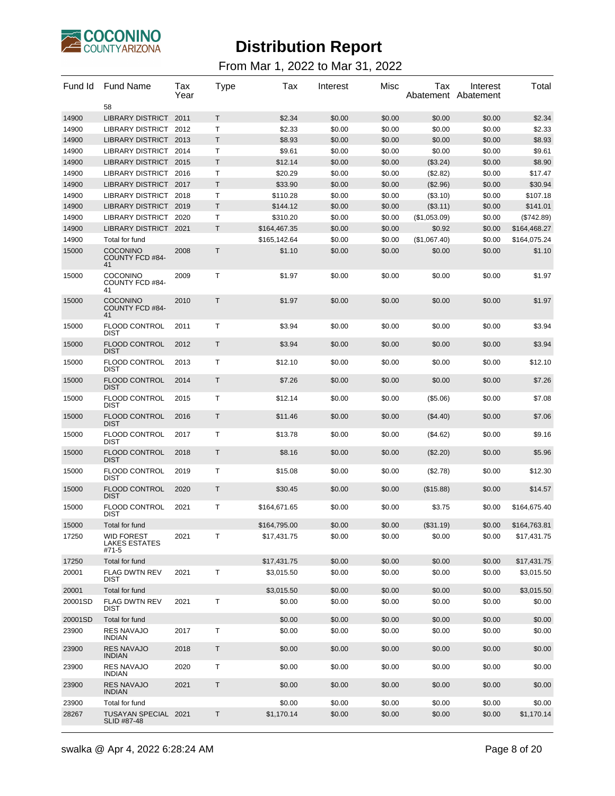

| Fund Id | <b>Fund Name</b><br>58                             | Tax<br>Year | Type         | Tax          | Interest | Misc   | Tax          | Interest<br>Abatement Abatement | Total        |
|---------|----------------------------------------------------|-------------|--------------|--------------|----------|--------|--------------|---------------------------------|--------------|
| 14900   | <b>LIBRARY DISTRICT</b>                            | 2011        | T.           | \$2.34       | \$0.00   | \$0.00 | \$0.00       | \$0.00                          | \$2.34       |
| 14900   | LIBRARY DISTRICT                                   | 2012        | Τ            | \$2.33       | \$0.00   | \$0.00 | \$0.00       | \$0.00                          | \$2.33       |
| 14900   | LIBRARY DISTRICT 2013                              |             | T.           | \$8.93       | \$0.00   | \$0.00 | \$0.00       | \$0.00                          | \$8.93       |
| 14900   | <b>LIBRARY DISTRICT</b>                            | 2014        | $\mathsf{T}$ | \$9.61       | \$0.00   | \$0.00 | \$0.00       | \$0.00                          | \$9.61       |
| 14900   | LIBRARY DISTRICT 2015                              |             | Τ            | \$12.14      | \$0.00   | \$0.00 | (\$3.24)     | \$0.00                          | \$8.90       |
| 14900   | LIBRARY DISTRICT 2016                              |             | Τ            | \$20.29      | \$0.00   | \$0.00 | (\$2.82)     | \$0.00                          | \$17.47      |
| 14900   | LIBRARY DISTRICT 2017                              |             | T            | \$33.90      | \$0.00   | \$0.00 | (\$2.96)     | \$0.00                          | \$30.94      |
| 14900   | LIBRARY DISTRICT 2018                              |             | Τ            | \$110.28     | \$0.00   | \$0.00 | (\$3.10)     | \$0.00                          | \$107.18     |
| 14900   | LIBRARY DISTRICT 2019                              |             | T.           | \$144.12     | \$0.00   | \$0.00 | (\$3.11)     | \$0.00                          | \$141.01     |
| 14900   | <b>LIBRARY DISTRICT</b>                            | 2020        | $\mathsf{T}$ | \$310.20     | \$0.00   | \$0.00 | (\$1,053.09) | \$0.00                          | (\$742.89)   |
| 14900   | LIBRARY DISTRICT 2021                              |             | T            | \$164,467.35 | \$0.00   | \$0.00 | \$0.92       | \$0.00                          | \$164,468.27 |
| 14900   | Total for fund                                     |             |              | \$165,142.64 | \$0.00   | \$0.00 | (\$1,067.40) | \$0.00                          | \$164,075.24 |
| 15000   | <b>COCONINO</b><br><b>COUNTY FCD #84-</b><br>41    | 2008        | T            | \$1.10       | \$0.00   | \$0.00 | \$0.00       | \$0.00                          | \$1.10       |
| 15000   | <b>COCONINO</b><br>COUNTY FCD #84-<br>41           | 2009        | Τ            | \$1.97       | \$0.00   | \$0.00 | \$0.00       | \$0.00                          | \$1.97       |
| 15000   | <b>COCONINO</b><br><b>COUNTY FCD #84-</b><br>41    | 2010        | T            | \$1.97       | \$0.00   | \$0.00 | \$0.00       | \$0.00                          | \$1.97       |
| 15000   | <b>FLOOD CONTROL</b><br><b>DIST</b>                | 2011        | T            | \$3.94       | \$0.00   | \$0.00 | \$0.00       | \$0.00                          | \$3.94       |
| 15000   | <b>FLOOD CONTROL</b><br><b>DIST</b>                | 2012        | T            | \$3.94       | \$0.00   | \$0.00 | \$0.00       | \$0.00                          | \$3.94       |
| 15000   | <b>FLOOD CONTROL</b><br><b>DIST</b>                | 2013        | T            | \$12.10      | \$0.00   | \$0.00 | \$0.00       | \$0.00                          | \$12.10      |
| 15000   | <b>FLOOD CONTROL</b><br><b>DIST</b>                | 2014        | T            | \$7.26       | \$0.00   | \$0.00 | \$0.00       | \$0.00                          | \$7.26       |
| 15000   | <b>FLOOD CONTROL</b><br><b>DIST</b>                | 2015        | T            | \$12.14      | \$0.00   | \$0.00 | (\$5.06)     | \$0.00                          | \$7.08       |
| 15000   | <b>FLOOD CONTROL</b><br><b>DIST</b>                | 2016        | T            | \$11.46      | \$0.00   | \$0.00 | (\$4.40)     | \$0.00                          | \$7.06       |
| 15000   | <b>FLOOD CONTROL</b><br><b>DIST</b>                | 2017        | T            | \$13.78      | \$0.00   | \$0.00 | (\$4.62)     | \$0.00                          | \$9.16       |
| 15000   | <b>FLOOD CONTROL</b><br><b>DIST</b>                | 2018        | T            | \$8.16       | \$0.00   | \$0.00 | (\$2.20)     | \$0.00                          | \$5.96       |
| 15000   | <b>FLOOD CONTROL</b><br><b>DIST</b>                | 2019        | T            | \$15.08      | \$0.00   | \$0.00 | (\$2.78)     | \$0.00                          | \$12.30      |
| 15000   | <b>FLOOD CONTROL</b><br><b>DIST</b>                | 2020        | T            | \$30.45      | \$0.00   | \$0.00 | (\$15.88)    | \$0.00                          | \$14.57      |
| 15000   | <b>FLOOD CONTROL</b><br><b>DIST</b>                | 2021        | $\mathsf{T}$ | \$164,671.65 | \$0.00   | \$0.00 | \$3.75       | \$0.00                          | \$164,675.40 |
| 15000   | Total for fund                                     |             |              | \$164,795.00 | \$0.00   | \$0.00 | (\$31.19)    | \$0.00                          | \$164,763.81 |
| 17250   | <b>WID FOREST</b><br><b>LAKES ESTATES</b><br>#71-5 | 2021        | T            | \$17,431.75  | \$0.00   | \$0.00 | \$0.00       | \$0.00                          | \$17,431.75  |
| 17250   | Total for fund                                     |             |              | \$17,431.75  | \$0.00   | \$0.00 | \$0.00       | \$0.00                          | \$17,431.75  |
| 20001   | <b>FLAG DWTN REV</b><br><b>DIST</b>                | 2021        | Τ            | \$3,015.50   | \$0.00   | \$0.00 | \$0.00       | \$0.00                          | \$3,015.50   |
| 20001   | Total for fund                                     |             |              | \$3,015.50   | \$0.00   | \$0.00 | \$0.00       | \$0.00                          | \$3,015.50   |
| 20001SD | <b>FLAG DWTN REV</b><br><b>DIST</b>                | 2021        | Т            | \$0.00       | \$0.00   | \$0.00 | \$0.00       | \$0.00                          | \$0.00       |
| 20001SD | Total for fund                                     |             |              | \$0.00       | \$0.00   | \$0.00 | \$0.00       | \$0.00                          | \$0.00       |
| 23900   | <b>RES NAVAJO</b><br><b>INDIAN</b>                 | 2017        | Τ            | \$0.00       | \$0.00   | \$0.00 | \$0.00       | \$0.00                          | \$0.00       |
| 23900   | <b>RES NAVAJO</b><br><b>INDIAN</b>                 | 2018        | T            | \$0.00       | \$0.00   | \$0.00 | \$0.00       | \$0.00                          | \$0.00       |
| 23900   | <b>RES NAVAJO</b><br><b>INDIAN</b>                 | 2020        | Τ            | \$0.00       | \$0.00   | \$0.00 | \$0.00       | \$0.00                          | \$0.00       |
| 23900   | <b>RES NAVAJO</b><br><b>INDIAN</b>                 | 2021        | T            | \$0.00       | \$0.00   | \$0.00 | \$0.00       | \$0.00                          | \$0.00       |
| 23900   | Total for fund                                     |             |              | \$0.00       | \$0.00   | \$0.00 | \$0.00       | \$0.00                          | \$0.00       |
| 28267   | TUSAYAN SPECIAL 2021<br>SLID #87-48                |             | Τ            | \$1,170.14   | \$0.00   | \$0.00 | \$0.00       | \$0.00                          | \$1,170.14   |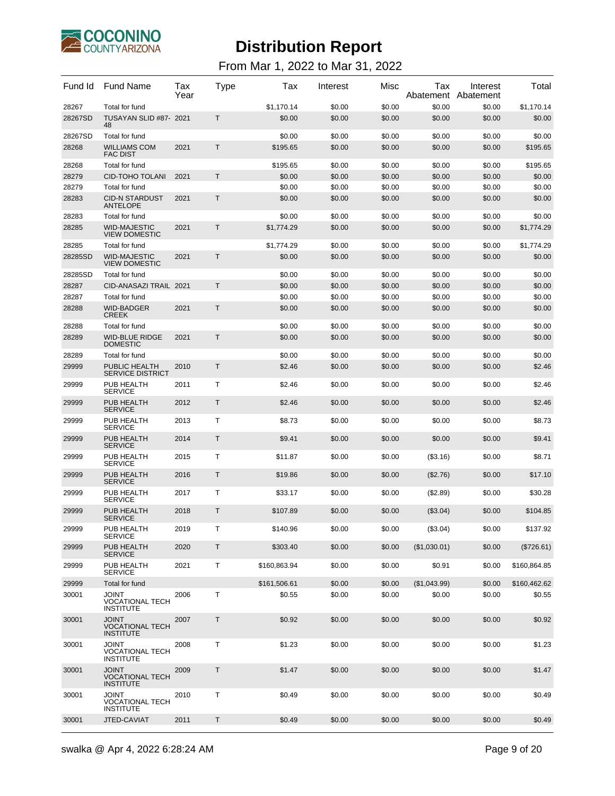

| Fund Id | <b>Fund Name</b>                                            | Tax<br>Year | Type        | Tax          | Interest | Misc   | Tax          | Interest<br>Abatement Abatement | Total        |
|---------|-------------------------------------------------------------|-------------|-------------|--------------|----------|--------|--------------|---------------------------------|--------------|
| 28267   | Total for fund                                              |             |             | \$1,170.14   | \$0.00   | \$0.00 | \$0.00       | \$0.00                          | \$1,170.14   |
| 28267SD | TUSAYAN SLID #87- 2021<br>48                                |             | T           | \$0.00       | \$0.00   | \$0.00 | \$0.00       | \$0.00                          | \$0.00       |
| 28267SD | Total for fund                                              |             |             | \$0.00       | \$0.00   | \$0.00 | \$0.00       | \$0.00                          | \$0.00       |
| 28268   | <b>WILLIAMS COM</b><br><b>FAC DIST</b>                      | 2021        | Т           | \$195.65     | \$0.00   | \$0.00 | \$0.00       | \$0.00                          | \$195.65     |
| 28268   | Total for fund                                              |             |             | \$195.65     | \$0.00   | \$0.00 | \$0.00       | \$0.00                          | \$195.65     |
| 28279   | <b>CID-TOHO TOLANI</b>                                      | 2021        | т           | \$0.00       | \$0.00   | \$0.00 | \$0.00       | \$0.00                          | \$0.00       |
| 28279   | Total for fund                                              |             |             | \$0.00       | \$0.00   | \$0.00 | \$0.00       | \$0.00                          | \$0.00       |
| 28283   | <b>CID-N STARDUST</b><br><b>ANTELOPE</b>                    | 2021        | Т           | \$0.00       | \$0.00   | \$0.00 | \$0.00       | \$0.00                          | \$0.00       |
| 28283   | Total for fund                                              |             |             | \$0.00       | \$0.00   | \$0.00 | \$0.00       | \$0.00                          | \$0.00       |
| 28285   | <b>WID-MAJESTIC</b><br><b>VIEW DOMESTIC</b>                 | 2021        | T           | \$1,774.29   | \$0.00   | \$0.00 | \$0.00       | \$0.00                          | \$1,774.29   |
| 28285   | Total for fund                                              |             |             | \$1,774.29   | \$0.00   | \$0.00 | \$0.00       | \$0.00                          | \$1,774.29   |
| 28285SD | <b>WID-MAJESTIC</b><br><b>VIEW DOMESTIC</b>                 | 2021        | T           | \$0.00       | \$0.00   | \$0.00 | \$0.00       | \$0.00                          | \$0.00       |
| 28285SD | Total for fund                                              |             |             | \$0.00       | \$0.00   | \$0.00 | \$0.00       | \$0.00                          | \$0.00       |
| 28287   | CID-ANASAZI TRAIL 2021                                      |             | Т           | \$0.00       | \$0.00   | \$0.00 | \$0.00       | \$0.00                          | \$0.00       |
| 28287   | Total for fund                                              |             |             | \$0.00       | \$0.00   | \$0.00 | \$0.00       | \$0.00                          | \$0.00       |
| 28288   | <b>WID-BADGER</b><br><b>CREEK</b>                           | 2021        | Τ           | \$0.00       | \$0.00   | \$0.00 | \$0.00       | \$0.00                          | \$0.00       |
| 28288   | Total for fund                                              |             |             | \$0.00       | \$0.00   | \$0.00 | \$0.00       | \$0.00                          | \$0.00       |
| 28289   | <b>WID-BLUE RIDGE</b><br><b>DOMESTIC</b>                    | 2021        | Τ           | \$0.00       | \$0.00   | \$0.00 | \$0.00       | \$0.00                          | \$0.00       |
| 28289   | Total for fund                                              |             |             | \$0.00       | \$0.00   | \$0.00 | \$0.00       | \$0.00                          | \$0.00       |
| 29999   | PUBLIC HEALTH<br><b>SERVICE DISTRICT</b>                    | 2010        | T           | \$2.46       | \$0.00   | \$0.00 | \$0.00       | \$0.00                          | \$2.46       |
| 29999   | PUB HEALTH<br><b>SERVICE</b>                                | 2011        | т           | \$2.46       | \$0.00   | \$0.00 | \$0.00       | \$0.00                          | \$2.46       |
| 29999   | PUB HEALTH<br><b>SERVICE</b>                                | 2012        | Т           | \$2.46       | \$0.00   | \$0.00 | \$0.00       | \$0.00                          | \$2.46       |
| 29999   | PUB HEALTH<br><b>SERVICE</b>                                | 2013        | т           | \$8.73       | \$0.00   | \$0.00 | \$0.00       | \$0.00                          | \$8.73       |
| 29999   | PUB HEALTH<br><b>SERVICE</b>                                | 2014        | Τ           | \$9.41       | \$0.00   | \$0.00 | \$0.00       | \$0.00                          | \$9.41       |
| 29999   | PUB HEALTH<br><b>SERVICE</b>                                | 2015        | т           | \$11.87      | \$0.00   | \$0.00 | ( \$3.16)    | \$0.00                          | \$8.71       |
| 29999   | PUB HEALTH<br><b>SERVICE</b>                                | 2016        | Т           | \$19.86      | \$0.00   | \$0.00 | $(\$2.76)$   | \$0.00                          | \$17.10      |
| 29999   | PUB HEALTH<br><b>SERVICE</b>                                | 2017        | т           | \$33.17      | \$0.00   | \$0.00 | (\$2.89)     | \$0.00                          | \$30.28      |
| 29999   | PUB HEALTH<br><b>SERVICE</b>                                | 2018        | Τ           | \$107.89     | \$0.00   | \$0.00 | $(\$3.04)$   | \$0.00                          | \$104.85     |
| 29999   | PUB HEALTH<br><b>SERVICE</b>                                | 2019        | т           | \$140.96     | \$0.00   | \$0.00 | (\$3.04)     | \$0.00                          | \$137.92     |
| 29999   | PUB HEALTH<br><b>SERVICE</b>                                | 2020        | Τ           | \$303.40     | \$0.00   | \$0.00 | (\$1,030.01) | \$0.00                          | (\$726.61)   |
| 29999   | PUB HEALTH<br><b>SERVICE</b>                                | 2021        | т           | \$160,863.94 | \$0.00   | \$0.00 | \$0.91       | \$0.00                          | \$160,864.85 |
| 29999   | Total for fund                                              |             |             | \$161,506.61 | \$0.00   | \$0.00 | (\$1,043.99) | \$0.00                          | \$160,462.62 |
| 30001   | <b>TINIOL</b><br><b>VOCATIONAL TECH</b><br><b>INSTITUTE</b> | 2006        | т           | \$0.55       | \$0.00   | \$0.00 | \$0.00       | \$0.00                          | \$0.55       |
| 30001   | <b>JOINT</b><br><b>VOCATIONAL TECH</b><br><b>INSTITUTE</b>  | 2007        | Τ           | \$0.92       | \$0.00   | \$0.00 | \$0.00       | \$0.00                          | \$0.92       |
| 30001   | <b>JOINT</b><br><b>VOCATIONAL TECH</b><br><b>INSTITUTE</b>  | 2008        | Т           | \$1.23       | \$0.00   | \$0.00 | \$0.00       | \$0.00                          | \$1.23       |
| 30001   | <b>JOINT</b><br><b>VOCATIONAL TECH</b><br><b>INSTITUTE</b>  | 2009        | $\mathsf T$ | \$1.47       | \$0.00   | \$0.00 | \$0.00       | \$0.00                          | \$1.47       |
| 30001   | JOINT<br><b>VOCATIONAL TECH</b><br><b>INSTITUTE</b>         | 2010        | т           | \$0.49       | \$0.00   | \$0.00 | \$0.00       | \$0.00                          | \$0.49       |
| 30001   | JTED-CAVIAT                                                 | 2011        | Τ           | \$0.49       | \$0.00   | \$0.00 | \$0.00       | \$0.00                          | \$0.49       |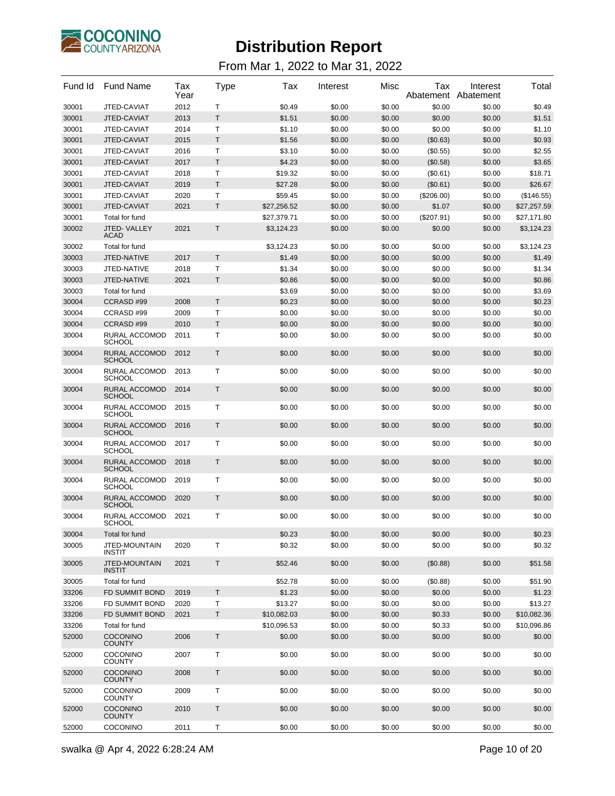

| Fund Id        | <b>Fund Name</b>                                       | Tax<br>Year | Type | Tax         | Interest | Misc   | Tax        | Interest<br>Abatement Abatement | Total       |
|----------------|--------------------------------------------------------|-------------|------|-------------|----------|--------|------------|---------------------------------|-------------|
| 30001          | JTED-CAVIAT                                            | 2012        | т    | \$0.49      | \$0.00   | \$0.00 | \$0.00     | \$0.00                          | \$0.49      |
| 30001          | JTED-CAVIAT                                            | 2013        | T.   | \$1.51      | \$0.00   | \$0.00 | \$0.00     | \$0.00                          | \$1.51      |
| 30001          | JTED-CAVIAT                                            | 2014        | Т    | \$1.10      | \$0.00   | \$0.00 | \$0.00     | \$0.00                          | \$1.10      |
| 30001          | JTED-CAVIAT                                            | 2015        | T.   | \$1.56      | \$0.00   | \$0.00 | (\$0.63)   | \$0.00                          | \$0.93      |
| 30001          | JTED-CAVIAT                                            | 2016        | Τ    | \$3.10      | \$0.00   | \$0.00 | (\$0.55)   | \$0.00                          | \$2.55      |
| 30001          | JTED-CAVIAT                                            | 2017        | Т    | \$4.23      | \$0.00   | \$0.00 | (\$0.58)   | \$0.00                          | \$3.65      |
| 30001          | JTED-CAVIAT                                            | 2018        | T    | \$19.32     | \$0.00   | \$0.00 | (\$0.61)   | \$0.00                          | \$18.71     |
| 30001          | JTED-CAVIAT                                            | 2019        | T    | \$27.28     | \$0.00   | \$0.00 | (\$0.61)   | \$0.00                          | \$26.67     |
| 30001          | JTED-CAVIAT                                            | 2020        | Т    | \$59.45     | \$0.00   | \$0.00 | (\$206.00) | \$0.00                          | (\$146.55)  |
| 30001          | JTED-CAVIAT                                            | 2021        | T.   | \$27,256.52 | \$0.00   | \$0.00 | \$1.07     | \$0.00                          | \$27,257.59 |
| 30001          | <b>Total for fund</b>                                  |             |      | \$27,379.71 | \$0.00   | \$0.00 | (\$207.91) | \$0.00                          | \$27,171.80 |
| 30002          | JTED-VALLEY<br>ACAD                                    | 2021        | T    | \$3,124.23  | \$0.00   | \$0.00 | \$0.00     | \$0.00                          | \$3,124.23  |
| 30002          | Total for fund                                         |             |      | \$3,124.23  | \$0.00   | \$0.00 | \$0.00     | \$0.00                          | \$3,124.23  |
| 30003          | JTED-NATIVE                                            | 2017        | T.   | \$1.49      | \$0.00   | \$0.00 | \$0.00     | \$0.00                          | \$1.49      |
| 30003          | JTED-NATIVE                                            | 2018        | Т    | \$1.34      | \$0.00   | \$0.00 | \$0.00     | \$0.00                          | \$1.34      |
| 30003          | JTED-NATIVE                                            | 2021        | T.   | \$0.86      | \$0.00   | \$0.00 | \$0.00     | \$0.00                          | \$0.86      |
| 30003          | Total for fund                                         |             |      | \$3.69      | \$0.00   | \$0.00 | \$0.00     | \$0.00                          | \$3.69      |
| 30004          | CCRASD #99                                             | 2008        | T    | \$0.23      | \$0.00   | \$0.00 | \$0.00     | \$0.00                          | \$0.23      |
| 30004          | CCRASD #99                                             | 2009        | т    | \$0.00      | \$0.00   | \$0.00 | \$0.00     | \$0.00                          | \$0.00      |
| 30004          | CCRASD #99                                             | 2010        | T    | \$0.00      | \$0.00   | \$0.00 | \$0.00     | \$0.00                          | \$0.00      |
| 30004          | RURAL ACCOMOD<br><b>SCHOOL</b><br><b>RURAL ACCOMOD</b> | 2011        | т    | \$0.00      | \$0.00   | \$0.00 | \$0.00     | \$0.00                          | \$0.00      |
| 30004<br>30004 | <b>SCHOOL</b><br><b>RURAL ACCOMOD</b>                  | 2012        | Τ    | \$0.00      | \$0.00   | \$0.00 | \$0.00     | \$0.00                          | \$0.00      |
|                | <b>SCHOOL</b>                                          | 2013        | Τ    | \$0.00      | \$0.00   | \$0.00 | \$0.00     | \$0.00                          | \$0.00      |
| 30004          | RURAL ACCOMOD<br><b>SCHOOL</b>                         | 2014        | Τ    | \$0.00      | \$0.00   | \$0.00 | \$0.00     | \$0.00                          | \$0.00      |
| 30004          | RURAL ACCOMOD<br><b>SCHOOL</b>                         | 2015        | Τ    | \$0.00      | \$0.00   | \$0.00 | \$0.00     | \$0.00                          | \$0.00      |
| 30004          | RURAL ACCOMOD<br><b>SCHOOL</b>                         | 2016        | Τ    | \$0.00      | \$0.00   | \$0.00 | \$0.00     | \$0.00                          | \$0.00      |
| 30004          | RURAL ACCOMOD<br><b>SCHOOL</b>                         | 2017        | Τ    | \$0.00      | \$0.00   | \$0.00 | \$0.00     | \$0.00                          | \$0.00      |
| 30004          | RURAL ACCOMOD<br><b>SCHOOL</b>                         | 2018        | Τ    | \$0.00      | \$0.00   | \$0.00 | \$0.00     | \$0.00                          | \$0.00      |
| 30004          | RURAL ACCOMOD<br><b>SCHOOL</b>                         | 2019        | Τ    | \$0.00      | \$0.00   | \$0.00 | \$0.00     | \$0.00                          | \$0.00      |
| 30004          | RURAL ACCOMOD<br><b>SCHOOL</b>                         | 2020        | Τ    | \$0.00      | \$0.00   | \$0.00 | \$0.00     | \$0.00                          | \$0.00      |
| 30004          | RURAL ACCOMOD<br><b>SCHOOL</b>                         | 2021        | т    | \$0.00      | \$0.00   | \$0.00 | \$0.00     | \$0.00                          | \$0.00      |
| 30004          | Total for fund                                         |             |      | \$0.23      | \$0.00   | \$0.00 | \$0.00     | \$0.00                          | \$0.23      |
| 30005          | JTED-MOUNTAIN<br><b>INSTIT</b>                         | 2020        | т    | \$0.32      | \$0.00   | \$0.00 | \$0.00     | \$0.00                          | \$0.32      |
| 30005          | JTED-MOUNTAIN<br><b>INSTIT</b>                         | 2021        | T    | \$52.46     | \$0.00   | \$0.00 | (\$0.88)   | \$0.00                          | \$51.58     |
| 30005          | Total for fund                                         |             |      | \$52.78     | \$0.00   | \$0.00 | (\$0.88)   | \$0.00                          | \$51.90     |
| 33206          | FD SUMMIT BOND                                         | 2019        | T    | \$1.23      | \$0.00   | \$0.00 | \$0.00     | \$0.00                          | \$1.23      |
| 33206          | <b>FD SUMMIT BOND</b>                                  | 2020        | Τ    | \$13.27     | \$0.00   | \$0.00 | \$0.00     | \$0.00                          | \$13.27     |
| 33206          | FD SUMMIT BOND                                         | 2021        | T    | \$10,082.03 | \$0.00   | \$0.00 | \$0.33     | \$0.00                          | \$10,082.36 |
| 33206          | Total for fund                                         |             |      | \$10,096.53 | \$0.00   | \$0.00 | \$0.33     | \$0.00                          | \$10,096.86 |
| 52000          | <b>COCONINO</b><br><b>COUNTY</b>                       | 2006        | T    | \$0.00      | \$0.00   | \$0.00 | \$0.00     | \$0.00                          | \$0.00      |
| 52000          | <b>COCONINO</b><br><b>COUNTY</b>                       | 2007        | Τ    | \$0.00      | \$0.00   | \$0.00 | \$0.00     | \$0.00                          | \$0.00      |
| 52000          | COCONINO<br><b>COUNTY</b>                              | 2008        | T    | \$0.00      | \$0.00   | \$0.00 | \$0.00     | \$0.00                          | \$0.00      |
| 52000          | <b>COCONINO</b><br><b>COUNTY</b>                       | 2009        | Τ    | \$0.00      | \$0.00   | \$0.00 | \$0.00     | \$0.00                          | \$0.00      |
| 52000          | COCONINO<br><b>COUNTY</b>                              | 2010        | Τ    | \$0.00      | \$0.00   | \$0.00 | \$0.00     | \$0.00                          | \$0.00      |
| 52000          | COCONINO                                               | 2011        | т    | \$0.00      | \$0.00   | \$0.00 | \$0.00     | \$0.00                          | \$0.00      |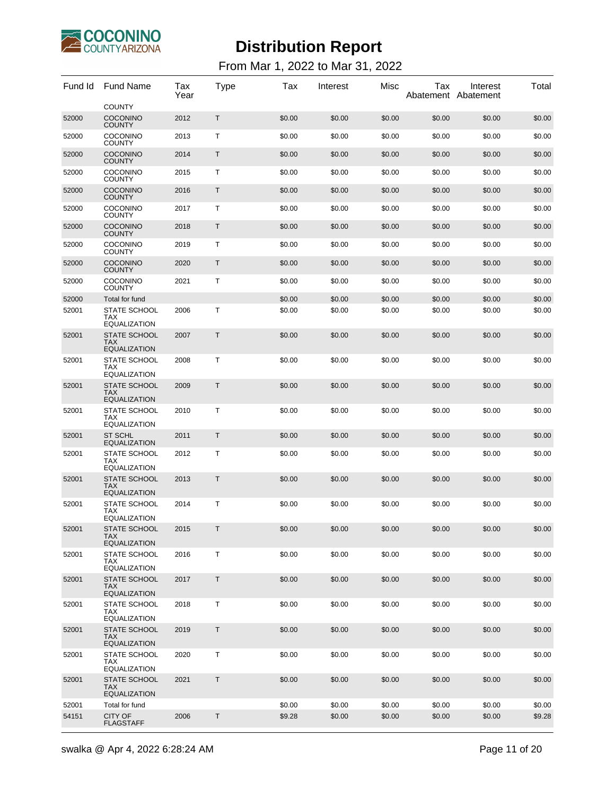

| Fund Id | <b>Fund Name</b>                                         | Tax<br>Year | Type   | Tax    | Interest | Misc   | Tax    | Interest<br>Abatement Abatement | Total  |
|---------|----------------------------------------------------------|-------------|--------|--------|----------|--------|--------|---------------------------------|--------|
|         | <b>COUNTY</b>                                            |             |        |        |          |        |        |                                 |        |
| 52000   | <b>COCONINO</b><br><b>COUNTY</b>                         | 2012        | T      | \$0.00 | \$0.00   | \$0.00 | \$0.00 | \$0.00                          | \$0.00 |
| 52000   | <b>COCONINO</b><br><b>COUNTY</b>                         | 2013        | Т      | \$0.00 | \$0.00   | \$0.00 | \$0.00 | \$0.00                          | \$0.00 |
| 52000   | <b>COCONINO</b><br><b>COUNTY</b>                         | 2014        | Τ      | \$0.00 | \$0.00   | \$0.00 | \$0.00 | \$0.00                          | \$0.00 |
| 52000   | <b>COCONINO</b><br><b>COUNTY</b>                         | 2015        | Т      | \$0.00 | \$0.00   | \$0.00 | \$0.00 | \$0.00                          | \$0.00 |
| 52000   | <b>COCONINO</b><br><b>COUNTY</b>                         | 2016        | Τ      | \$0.00 | \$0.00   | \$0.00 | \$0.00 | \$0.00                          | \$0.00 |
| 52000   | <b>COCONINO</b><br><b>COUNTY</b>                         | 2017        | Т      | \$0.00 | \$0.00   | \$0.00 | \$0.00 | \$0.00                          | \$0.00 |
| 52000   | <b>COCONINO</b><br><b>COUNTY</b>                         | 2018        | Τ      | \$0.00 | \$0.00   | \$0.00 | \$0.00 | \$0.00                          | \$0.00 |
| 52000   | <b>COCONINO</b><br><b>COUNTY</b>                         | 2019        | Т      | \$0.00 | \$0.00   | \$0.00 | \$0.00 | \$0.00                          | \$0.00 |
| 52000   | <b>COCONINO</b><br><b>COUNTY</b>                         | 2020        | Τ      | \$0.00 | \$0.00   | \$0.00 | \$0.00 | \$0.00                          | \$0.00 |
| 52000   | <b>COCONINO</b><br><b>COUNTY</b>                         | 2021        | Т      | \$0.00 | \$0.00   | \$0.00 | \$0.00 | \$0.00                          | \$0.00 |
| 52000   | Total for fund                                           |             |        | \$0.00 | \$0.00   | \$0.00 | \$0.00 | \$0.00                          | \$0.00 |
| 52001   | <b>STATE SCHOOL</b><br><b>TAX</b><br>EQUALIZATION        | 2006        | Т      | \$0.00 | \$0.00   | \$0.00 | \$0.00 | \$0.00                          | \$0.00 |
| 52001   | <b>STATE SCHOOL</b><br>TAX<br><b>EQUALIZATION</b>        | 2007        | Τ      | \$0.00 | \$0.00   | \$0.00 | \$0.00 | \$0.00                          | \$0.00 |
| 52001   | <b>STATE SCHOOL</b><br><b>TAX</b><br><b>EQUALIZATION</b> | 2008        | Т      | \$0.00 | \$0.00   | \$0.00 | \$0.00 | \$0.00                          | \$0.00 |
| 52001   | <b>STATE SCHOOL</b><br><b>TAX</b><br><b>EQUALIZATION</b> | 2009        | T      | \$0.00 | \$0.00   | \$0.00 | \$0.00 | \$0.00                          | \$0.00 |
| 52001   | <b>STATE SCHOOL</b><br><b>TAX</b><br><b>EQUALIZATION</b> | 2010        | Т      | \$0.00 | \$0.00   | \$0.00 | \$0.00 | \$0.00                          | \$0.00 |
| 52001   | <b>ST SCHL</b><br><b>EQUALIZATION</b>                    | 2011        | Τ      | \$0.00 | \$0.00   | \$0.00 | \$0.00 | \$0.00                          | \$0.00 |
| 52001   | <b>STATE SCHOOL</b><br><b>TAX</b><br>EQUALIZATION        | 2012        | т      | \$0.00 | \$0.00   | \$0.00 | \$0.00 | \$0.00                          | \$0.00 |
| 52001   | <b>STATE SCHOOL</b><br><b>TAX</b><br><b>EQUALIZATION</b> | 2013        | Τ      | \$0.00 | \$0.00   | \$0.00 | \$0.00 | \$0.00                          | \$0.00 |
| 52001   | <b>STATE SCHOOL</b><br>TAX                               | 2014        | т      | \$0.00 | \$0.00   | \$0.00 | \$0.00 | \$0.00                          | \$0.00 |
| 52001   | <b>EQUALIZATION</b><br>STATE SCHOOL                      | 2015        | Т      | \$0.00 | \$0.00   | \$0.00 | \$0.00 | \$0.00                          | \$0.00 |
|         | <b>TAX</b><br><b>EQUALIZATION</b>                        |             |        |        |          |        |        |                                 |        |
| 52001   | STATE SCHOOL<br>TAX<br>EQUALIZATION                      | 2016        | Τ      | \$0.00 | \$0.00   | \$0.00 | \$0.00 | \$0.00                          | \$0.00 |
| 52001   | STATE SCHOOL<br><b>TAX</b><br><b>EQUALIZATION</b>        | 2017        | Τ      | \$0.00 | \$0.00   | \$0.00 | \$0.00 | \$0.00                          | \$0.00 |
| 52001   | STATE SCHOOL<br><b>TAX</b><br>EQUALIZATION               | 2018        | т      | \$0.00 | \$0.00   | \$0.00 | \$0.00 | \$0.00                          | \$0.00 |
| 52001   | <b>STATE SCHOOL</b><br><b>TAX</b><br><b>EQUALIZATION</b> | 2019        | Τ      | \$0.00 | \$0.00   | \$0.00 | \$0.00 | \$0.00                          | \$0.00 |
| 52001   | STATE SCHOOL<br>TAX<br><b>EQUALIZATION</b>               | 2020        | Τ      | \$0.00 | \$0.00   | \$0.00 | \$0.00 | \$0.00                          | \$0.00 |
| 52001   | <b>STATE SCHOOL</b><br><b>TAX</b><br><b>EQUALIZATION</b> | 2021        | $\top$ | \$0.00 | \$0.00   | \$0.00 | \$0.00 | \$0.00                          | \$0.00 |
| 52001   | Total for fund                                           |             |        | \$0.00 | \$0.00   | \$0.00 | \$0.00 | \$0.00                          | \$0.00 |
| 54151   | CITY OF<br><b>FLAGSTAFF</b>                              | 2006        | $\top$ | \$9.28 | \$0.00   | \$0.00 | \$0.00 | \$0.00                          | \$9.28 |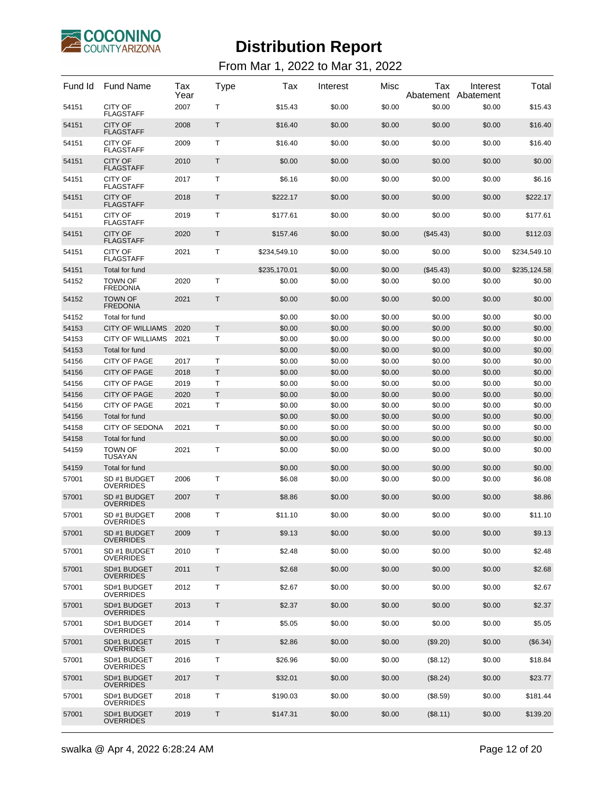

| Fund Id | <b>Fund Name</b>                   | Tax<br>Year | Type         | Tax          | Interest | Misc   | Tax<br>Abatement | Interest<br>Abatement | Total        |
|---------|------------------------------------|-------------|--------------|--------------|----------|--------|------------------|-----------------------|--------------|
| 54151   | <b>CITY OF</b><br><b>FLAGSTAFF</b> | 2007        | Т            | \$15.43      | \$0.00   | \$0.00 | \$0.00           | \$0.00                | \$15.43      |
| 54151   | <b>CITY OF</b><br><b>FLAGSTAFF</b> | 2008        | Т            | \$16.40      | \$0.00   | \$0.00 | \$0.00           | \$0.00                | \$16.40      |
| 54151   | <b>CITY OF</b><br><b>FLAGSTAFF</b> | 2009        | Т            | \$16.40      | \$0.00   | \$0.00 | \$0.00           | \$0.00                | \$16.40      |
| 54151   | <b>CITY OF</b><br><b>FLAGSTAFF</b> | 2010        | Τ            | \$0.00       | \$0.00   | \$0.00 | \$0.00           | \$0.00                | \$0.00       |
| 54151   | <b>CITY OF</b><br><b>FLAGSTAFF</b> | 2017        | Т            | \$6.16       | \$0.00   | \$0.00 | \$0.00           | \$0.00                | \$6.16       |
| 54151   | <b>CITY OF</b><br><b>FLAGSTAFF</b> | 2018        | Т            | \$222.17     | \$0.00   | \$0.00 | \$0.00           | \$0.00                | \$222.17     |
| 54151   | <b>CITY OF</b><br><b>FLAGSTAFF</b> | 2019        | Т            | \$177.61     | \$0.00   | \$0.00 | \$0.00           | \$0.00                | \$177.61     |
| 54151   | <b>CITY OF</b><br><b>FLAGSTAFF</b> | 2020        | Τ            | \$157.46     | \$0.00   | \$0.00 | $(\$45.43)$      | \$0.00                | \$112.03     |
| 54151   | <b>CITY OF</b><br><b>FLAGSTAFF</b> | 2021        | Т            | \$234,549.10 | \$0.00   | \$0.00 | \$0.00           | \$0.00                | \$234,549.10 |
| 54151   | Total for fund                     |             |              | \$235,170.01 | \$0.00   | \$0.00 | (\$45.43)        | \$0.00                | \$235,124.58 |
| 54152   | <b>TOWN OF</b><br><b>FREDONIA</b>  | 2020        | Т            | \$0.00       | \$0.00   | \$0.00 | \$0.00           | \$0.00                | \$0.00       |
| 54152   | <b>TOWN OF</b><br><b>FREDONIA</b>  | 2021        | $\mathsf{T}$ | \$0.00       | \$0.00   | \$0.00 | \$0.00           | \$0.00                | \$0.00       |
| 54152   | Total for fund                     |             |              | \$0.00       | \$0.00   | \$0.00 | \$0.00           | \$0.00                | \$0.00       |
| 54153   | <b>CITY OF WILLIAMS</b>            | 2020        | $\mathsf{T}$ | \$0.00       | \$0.00   | \$0.00 | \$0.00           | \$0.00                | \$0.00       |
| 54153   | <b>CITY OF WILLIAMS</b>            | 2021        | Т            | \$0.00       | \$0.00   | \$0.00 | \$0.00           | \$0.00                | \$0.00       |
| 54153   | Total for fund                     |             |              | \$0.00       | \$0.00   | \$0.00 | \$0.00           | \$0.00                | \$0.00       |
| 54156   | <b>CITY OF PAGE</b>                | 2017        | Т            | \$0.00       | \$0.00   | \$0.00 | \$0.00           | \$0.00                | \$0.00       |
| 54156   | <b>CITY OF PAGE</b>                | 2018        | Τ            | \$0.00       | \$0.00   | \$0.00 | \$0.00           | \$0.00                | \$0.00       |
| 54156   | CITY OF PAGE                       | 2019        | т            | \$0.00       | \$0.00   | \$0.00 | \$0.00           | \$0.00                | \$0.00       |
| 54156   | <b>CITY OF PAGE</b>                | 2020        | T            | \$0.00       | \$0.00   | \$0.00 | \$0.00           | \$0.00                | \$0.00       |
| 54156   | CITY OF PAGE                       | 2021        | Т            | \$0.00       | \$0.00   | \$0.00 | \$0.00           | \$0.00                | \$0.00       |
| 54156   | Total for fund                     |             |              | \$0.00       | \$0.00   | \$0.00 | \$0.00           | \$0.00                | \$0.00       |
| 54158   | <b>CITY OF SEDONA</b>              | 2021        | Т            | \$0.00       | \$0.00   | \$0.00 | \$0.00           | \$0.00                | \$0.00       |
| 54158   | Total for fund                     |             |              | \$0.00       | \$0.00   | \$0.00 | \$0.00           | \$0.00                | \$0.00       |
| 54159   | <b>TOWN OF</b><br><b>TUSAYAN</b>   | 2021        | Τ            | \$0.00       | \$0.00   | \$0.00 | \$0.00           | \$0.00                | \$0.00       |
| 54159   | Total for fund                     |             |              | \$0.00       | \$0.00   | \$0.00 | \$0.00           | \$0.00                | \$0.00       |
| 57001   | SD #1 BUDGET<br><b>OVERRIDES</b>   | 2006        | Т            | \$6.08       | \$0.00   | \$0.00 | \$0.00           | \$0.00                | \$6.08       |
| 57001   | SD #1 BUDGET<br><b>OVERRIDES</b>   | 2007        | Τ            | \$8.86       | \$0.00   | \$0.00 | \$0.00           | \$0.00                | \$8.86       |
| 57001   | SD #1 BUDGET<br><b>OVERRIDES</b>   | 2008        | т            | \$11.10      | \$0.00   | \$0.00 | \$0.00           | \$0.00                | \$11.10      |
| 57001   | SD #1 BUDGET<br><b>OVERRIDES</b>   | 2009        | Τ            | \$9.13       | \$0.00   | \$0.00 | \$0.00           | \$0.00                | \$9.13       |
| 57001   | SD #1 BUDGET<br><b>OVERRIDES</b>   | 2010        | т            | \$2.48       | \$0.00   | \$0.00 | \$0.00           | \$0.00                | \$2.48       |
| 57001   | SD#1 BUDGET<br><b>OVERRIDES</b>    | 2011        | T            | \$2.68       | \$0.00   | \$0.00 | \$0.00           | \$0.00                | \$2.68       |
| 57001   | SD#1 BUDGET<br><b>OVERRIDES</b>    | 2012        | Τ            | \$2.67       | \$0.00   | \$0.00 | \$0.00           | \$0.00                | \$2.67       |
| 57001   | SD#1 BUDGET<br><b>OVERRIDES</b>    | 2013        | T            | \$2.37       | \$0.00   | \$0.00 | \$0.00           | \$0.00                | \$2.37       |
| 57001   | SD#1 BUDGET<br><b>OVERRIDES</b>    | 2014        | Τ            | \$5.05       | \$0.00   | \$0.00 | \$0.00           | \$0.00                | \$5.05       |
| 57001   | SD#1 BUDGET<br><b>OVERRIDES</b>    | 2015        | T            | \$2.86       | \$0.00   | \$0.00 | (\$9.20)         | \$0.00                | (\$6.34)     |
| 57001   | SD#1 BUDGET<br><b>OVERRIDES</b>    | 2016        | Τ            | \$26.96      | \$0.00   | \$0.00 | (\$8.12)         | \$0.00                | \$18.84      |
| 57001   | SD#1 BUDGET<br><b>OVERRIDES</b>    | 2017        | T            | \$32.01      | \$0.00   | \$0.00 | (\$8.24)         | \$0.00                | \$23.77      |
| 57001   | SD#1 BUDGET<br><b>OVERRIDES</b>    | 2018        | Τ            | \$190.03     | \$0.00   | \$0.00 | (\$8.59)         | \$0.00                | \$181.44     |
| 57001   | SD#1 BUDGET<br><b>OVERRIDES</b>    | 2019        | Τ            | \$147.31     | \$0.00   | \$0.00 | (\$8.11)         | \$0.00                | \$139.20     |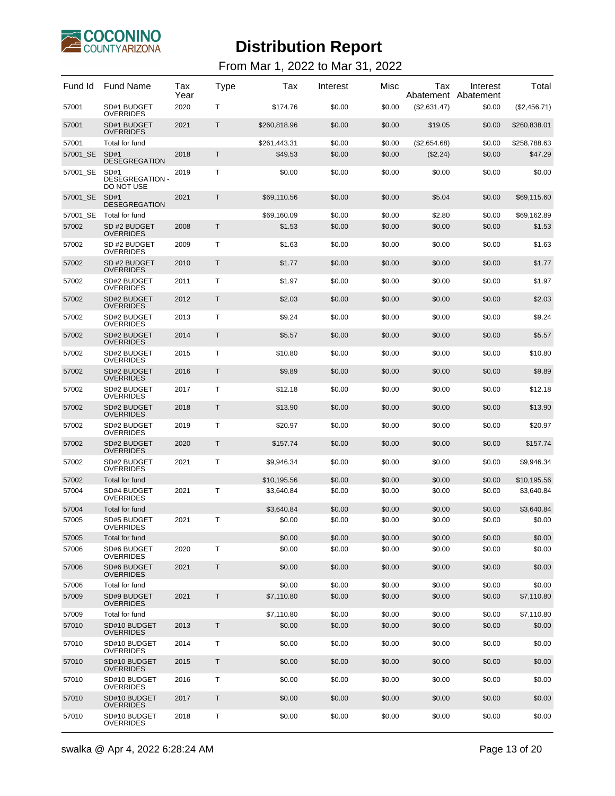

| Fund Id  | <b>Fund Name</b>                             | Tax<br>Year | Type | Tax          | Interest | Misc   | Tax          | Interest<br>Abatement Abatement | Total        |
|----------|----------------------------------------------|-------------|------|--------------|----------|--------|--------------|---------------------------------|--------------|
| 57001    | SD#1 BUDGET<br><b>OVERRIDES</b>              | 2020        | т    | \$174.76     | \$0.00   | \$0.00 | (\$2,631.47) | \$0.00                          | (\$2,456.71) |
| 57001    | SD#1 BUDGET<br><b>OVERRIDES</b>              | 2021        | Т    | \$260,818.96 | \$0.00   | \$0.00 | \$19.05      | \$0.00                          | \$260,838.01 |
| 57001    | Total for fund                               |             |      | \$261,443.31 | \$0.00   | \$0.00 | (\$2,654.68) | \$0.00                          | \$258,788.63 |
| 57001 SE | SD#1<br><b>DESEGREGATION</b>                 | 2018        | Τ    | \$49.53      | \$0.00   | \$0.00 | (\$2.24)     | \$0.00                          | \$47.29      |
| 57001_SE | SD#1<br><b>DESEGREGATION -</b><br>DO NOT USE | 2019        | Τ    | \$0.00       | \$0.00   | \$0.00 | \$0.00       | \$0.00                          | \$0.00       |
| 57001 SE | SD#1<br><b>DESEGREGATION</b>                 | 2021        | Τ    | \$69,110.56  | \$0.00   | \$0.00 | \$5.04       | \$0.00                          | \$69,115.60  |
| 57001_SE | Total for fund                               |             |      | \$69,160.09  | \$0.00   | \$0.00 | \$2.80       | \$0.00                          | \$69,162.89  |
| 57002    | SD #2 BUDGET<br><b>OVERRIDES</b>             | 2008        | Τ    | \$1.53       | \$0.00   | \$0.00 | \$0.00       | \$0.00                          | \$1.53       |
| 57002    | SD #2 BUDGET<br><b>OVERRIDES</b>             | 2009        | т    | \$1.63       | \$0.00   | \$0.00 | \$0.00       | \$0.00                          | \$1.63       |
| 57002    | SD #2 BUDGET<br><b>OVERRIDES</b>             | 2010        | Τ    | \$1.77       | \$0.00   | \$0.00 | \$0.00       | \$0.00                          | \$1.77       |
| 57002    | SD#2 BUDGET<br><b>OVERRIDES</b>              | 2011        | т    | \$1.97       | \$0.00   | \$0.00 | \$0.00       | \$0.00                          | \$1.97       |
| 57002    | SD#2 BUDGET<br><b>OVERRIDES</b>              | 2012        | Τ    | \$2.03       | \$0.00   | \$0.00 | \$0.00       | \$0.00                          | \$2.03       |
| 57002    | SD#2 BUDGET<br><b>OVERRIDES</b>              | 2013        | т    | \$9.24       | \$0.00   | \$0.00 | \$0.00       | \$0.00                          | \$9.24       |
| 57002    | SD#2 BUDGET<br><b>OVERRIDES</b>              | 2014        | Τ    | \$5.57       | \$0.00   | \$0.00 | \$0.00       | \$0.00                          | \$5.57       |
| 57002    | SD#2 BUDGET<br><b>OVERRIDES</b>              | 2015        | т    | \$10.80      | \$0.00   | \$0.00 | \$0.00       | \$0.00                          | \$10.80      |
| 57002    | SD#2 BUDGET<br><b>OVERRIDES</b>              | 2016        | Τ    | \$9.89       | \$0.00   | \$0.00 | \$0.00       | \$0.00                          | \$9.89       |
| 57002    | SD#2 BUDGET<br><b>OVERRIDES</b>              | 2017        | т    | \$12.18      | \$0.00   | \$0.00 | \$0.00       | \$0.00                          | \$12.18      |
| 57002    | SD#2 BUDGET<br><b>OVERRIDES</b>              | 2018        | Τ    | \$13.90      | \$0.00   | \$0.00 | \$0.00       | \$0.00                          | \$13.90      |
| 57002    | SD#2 BUDGET<br><b>OVERRIDES</b>              | 2019        | т    | \$20.97      | \$0.00   | \$0.00 | \$0.00       | \$0.00                          | \$20.97      |
| 57002    | SD#2 BUDGET<br><b>OVERRIDES</b>              | 2020        | Τ    | \$157.74     | \$0.00   | \$0.00 | \$0.00       | \$0.00                          | \$157.74     |
| 57002    | SD#2 BUDGET<br><b>OVERRIDES</b>              | 2021        | т    | \$9,946.34   | \$0.00   | \$0.00 | \$0.00       | \$0.00                          | \$9,946.34   |
| 57002    | Total for fund                               |             |      | \$10,195.56  | \$0.00   | \$0.00 | \$0.00       | \$0.00                          | \$10.195.56  |
| 57004    | SD#4 BUDGET<br><b>OVERRIDES</b>              | 2021        | т    | \$3,640.84   | \$0.00   | \$0.00 | \$0.00       | \$0.00                          | \$3,640.84   |
| 57004    | Total for fund                               |             |      | \$3,640.84   | \$0.00   | \$0.00 | \$0.00       | \$0.00                          | \$3,640.84   |
| 57005    | SD#5 BUDGET<br><b>OVERRIDES</b>              | 2021        | т    | \$0.00       | \$0.00   | \$0.00 | \$0.00       | \$0.00                          | \$0.00       |
| 57005    | Total for fund                               |             |      | \$0.00       | \$0.00   | \$0.00 | \$0.00       | \$0.00                          | \$0.00       |
| 57006    | SD#6 BUDGET<br><b>OVERRIDES</b>              | 2020        | T.   | \$0.00       | \$0.00   | \$0.00 | \$0.00       | \$0.00                          | \$0.00       |
| 57006    | SD#6 BUDGET<br><b>OVERRIDES</b>              | 2021        | T    | \$0.00       | \$0.00   | \$0.00 | \$0.00       | \$0.00                          | \$0.00       |
| 57006    | Total for fund                               |             |      | \$0.00       | \$0.00   | \$0.00 | \$0.00       | \$0.00                          | \$0.00       |
| 57009    | SD#9 BUDGET<br><b>OVERRIDES</b>              | 2021        | T    | \$7,110.80   | \$0.00   | \$0.00 | \$0.00       | \$0.00                          | \$7,110.80   |
| 57009    | Total for fund                               |             |      | \$7,110.80   | \$0.00   | \$0.00 | \$0.00       | \$0.00                          | \$7,110.80   |
| 57010    | SD#10 BUDGET<br><b>OVERRIDES</b>             | 2013        | T    | \$0.00       | \$0.00   | \$0.00 | \$0.00       | \$0.00                          | \$0.00       |
| 57010    | SD#10 BUDGET<br><b>OVERRIDES</b>             | 2014        | т    | \$0.00       | \$0.00   | \$0.00 | \$0.00       | \$0.00                          | \$0.00       |
| 57010    | SD#10 BUDGET<br><b>OVERRIDES</b>             | 2015        | Τ    | \$0.00       | \$0.00   | \$0.00 | \$0.00       | \$0.00                          | \$0.00       |
| 57010    | SD#10 BUDGET<br><b>OVERRIDES</b>             | 2016        | т    | \$0.00       | \$0.00   | \$0.00 | \$0.00       | \$0.00                          | \$0.00       |
| 57010    | SD#10 BUDGET<br><b>OVERRIDES</b>             | 2017        | Τ    | \$0.00       | \$0.00   | \$0.00 | \$0.00       | \$0.00                          | \$0.00       |
| 57010    | SD#10 BUDGET<br><b>OVERRIDES</b>             | 2018        | т    | \$0.00       | \$0.00   | \$0.00 | \$0.00       | \$0.00                          | \$0.00       |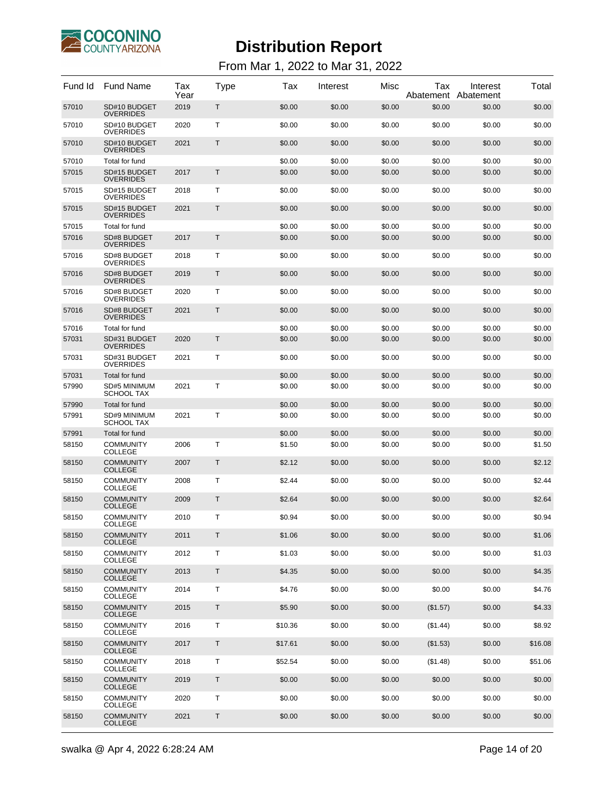

| Fund Id | <b>Fund Name</b>                   | Tax<br>Year | Type         | Tax     | Interest | Misc   | Tax<br>Abatement | Interest<br>Abatement | Total   |
|---------|------------------------------------|-------------|--------------|---------|----------|--------|------------------|-----------------------|---------|
| 57010   | SD#10 BUDGET<br><b>OVERRIDES</b>   | 2019        | Τ            | \$0.00  | \$0.00   | \$0.00 | \$0.00           | \$0.00                | \$0.00  |
| 57010   | SD#10 BUDGET<br><b>OVERRIDES</b>   | 2020        | Т            | \$0.00  | \$0.00   | \$0.00 | \$0.00           | \$0.00                | \$0.00  |
| 57010   | SD#10 BUDGET<br><b>OVERRIDES</b>   | 2021        | Τ            | \$0.00  | \$0.00   | \$0.00 | \$0.00           | \$0.00                | \$0.00  |
| 57010   | Total for fund                     |             |              | \$0.00  | \$0.00   | \$0.00 | \$0.00           | \$0.00                | \$0.00  |
| 57015   | SD#15 BUDGET<br><b>OVERRIDES</b>   | 2017        | $\mathsf{T}$ | \$0.00  | \$0.00   | \$0.00 | \$0.00           | \$0.00                | \$0.00  |
| 57015   | SD#15 BUDGET<br><b>OVERRIDES</b>   | 2018        | Т            | \$0.00  | \$0.00   | \$0.00 | \$0.00           | \$0.00                | \$0.00  |
| 57015   | SD#15 BUDGET<br><b>OVERRIDES</b>   | 2021        | T            | \$0.00  | \$0.00   | \$0.00 | \$0.00           | \$0.00                | \$0.00  |
| 57015   | Total for fund                     |             |              | \$0.00  | \$0.00   | \$0.00 | \$0.00           | \$0.00                | \$0.00  |
| 57016   | SD#8 BUDGET<br><b>OVERRIDES</b>    | 2017        | $\mathsf{T}$ | \$0.00  | \$0.00   | \$0.00 | \$0.00           | \$0.00                | \$0.00  |
| 57016   | SD#8 BUDGET<br><b>OVERRIDES</b>    | 2018        | Т            | \$0.00  | \$0.00   | \$0.00 | \$0.00           | \$0.00                | \$0.00  |
| 57016   | SD#8 BUDGET<br><b>OVERRIDES</b>    | 2019        | Τ            | \$0.00  | \$0.00   | \$0.00 | \$0.00           | \$0.00                | \$0.00  |
| 57016   | SD#8 BUDGET<br><b>OVERRIDES</b>    | 2020        | Т            | \$0.00  | \$0.00   | \$0.00 | \$0.00           | \$0.00                | \$0.00  |
| 57016   | SD#8 BUDGET<br><b>OVERRIDES</b>    | 2021        | $\mathsf{T}$ | \$0.00  | \$0.00   | \$0.00 | \$0.00           | \$0.00                | \$0.00  |
| 57016   | Total for fund                     |             |              | \$0.00  | \$0.00   | \$0.00 | \$0.00           | \$0.00                | \$0.00  |
| 57031   | SD#31 BUDGET<br><b>OVERRIDES</b>   | 2020        | $\mathsf{T}$ | \$0.00  | \$0.00   | \$0.00 | \$0.00           | \$0.00                | \$0.00  |
| 57031   | SD#31 BUDGET<br><b>OVERRIDES</b>   | 2021        | Т            | \$0.00  | \$0.00   | \$0.00 | \$0.00           | \$0.00                | \$0.00  |
| 57031   | Total for fund                     |             |              | \$0.00  | \$0.00   | \$0.00 | \$0.00           | \$0.00                | \$0.00  |
| 57990   | SD#5 MINIMUM<br><b>SCHOOL TAX</b>  | 2021        | Т            | \$0.00  | \$0.00   | \$0.00 | \$0.00           | \$0.00                | \$0.00  |
| 57990   | Total for fund                     |             |              | \$0.00  | \$0.00   | \$0.00 | \$0.00           | \$0.00                | \$0.00  |
| 57991   | SD#9 MINIMUM<br><b>SCHOOL TAX</b>  | 2021        | Т            | \$0.00  | \$0.00   | \$0.00 | \$0.00           | \$0.00                | \$0.00  |
| 57991   | Total for fund                     |             |              | \$0.00  | \$0.00   | \$0.00 | \$0.00           | \$0.00                | \$0.00  |
| 58150   | <b>COMMUNITY</b><br><b>COLLEGE</b> | 2006        | $\mathsf{T}$ | \$1.50  | \$0.00   | \$0.00 | \$0.00           | \$0.00                | \$1.50  |
| 58150   | <b>COMMUNITY</b><br><b>COLLEGE</b> | 2007        | Τ            | \$2.12  | \$0.00   | \$0.00 | \$0.00           | \$0.00                | \$2.12  |
| 58150   | <b>COMMUNITY</b><br><b>COLLEGE</b> | 2008        | Т            | \$2.44  | \$0.00   | \$0.00 | \$0.00           | \$0.00                | \$2.44  |
| 58150   | <b>COMMUNITY</b><br><b>COLLEGE</b> | 2009        | Τ            | \$2.64  | \$0.00   | \$0.00 | \$0.00           | \$0.00                | \$2.64  |
| 58150   | <b>COMMUNITY</b><br><b>COLLEGE</b> | 2010        | T            | \$0.94  | \$0.00   | \$0.00 | \$0.00           | \$0.00                | \$0.94  |
| 58150   | <b>COMMUNITY</b><br><b>COLLEGE</b> | 2011        | Т            | \$1.06  | \$0.00   | \$0.00 | \$0.00           | \$0.00                | \$1.06  |
| 58150   | <b>COMMUNITY</b><br><b>COLLEGE</b> | 2012        | Τ            | \$1.03  | \$0.00   | \$0.00 | \$0.00           | \$0.00                | \$1.03  |
| 58150   | <b>COMMUNITY</b><br><b>COLLEGE</b> | 2013        | Τ            | \$4.35  | \$0.00   | \$0.00 | \$0.00           | \$0.00                | \$4.35  |
| 58150   | <b>COMMUNITY</b><br><b>COLLEGE</b> | 2014        | Τ            | \$4.76  | \$0.00   | \$0.00 | \$0.00           | \$0.00                | \$4.76  |
| 58150   | <b>COMMUNITY</b><br><b>COLLEGE</b> | 2015        | T            | \$5.90  | \$0.00   | \$0.00 | (\$1.57)         | \$0.00                | \$4.33  |
| 58150   | <b>COMMUNITY</b><br><b>COLLEGE</b> | 2016        | Τ            | \$10.36 | \$0.00   | \$0.00 | (\$1.44)         | \$0.00                | \$8.92  |
| 58150   | <b>COMMUNITY</b><br><b>COLLEGE</b> | 2017        | Τ            | \$17.61 | \$0.00   | \$0.00 | (\$1.53)         | \$0.00                | \$16.08 |
| 58150   | <b>COMMUNITY</b><br>COLLEGE        | 2018        | Τ            | \$52.54 | \$0.00   | \$0.00 | (\$1.48)         | \$0.00                | \$51.06 |
| 58150   | <b>COMMUNITY</b><br><b>COLLEGE</b> | 2019        | T            | \$0.00  | \$0.00   | \$0.00 | \$0.00           | \$0.00                | \$0.00  |
| 58150   | <b>COMMUNITY</b><br><b>COLLEGE</b> | 2020        | Τ            | \$0.00  | \$0.00   | \$0.00 | \$0.00           | \$0.00                | \$0.00  |
| 58150   | <b>COMMUNITY</b><br><b>COLLEGE</b> | 2021        | Τ            | \$0.00  | \$0.00   | \$0.00 | \$0.00           | \$0.00                | \$0.00  |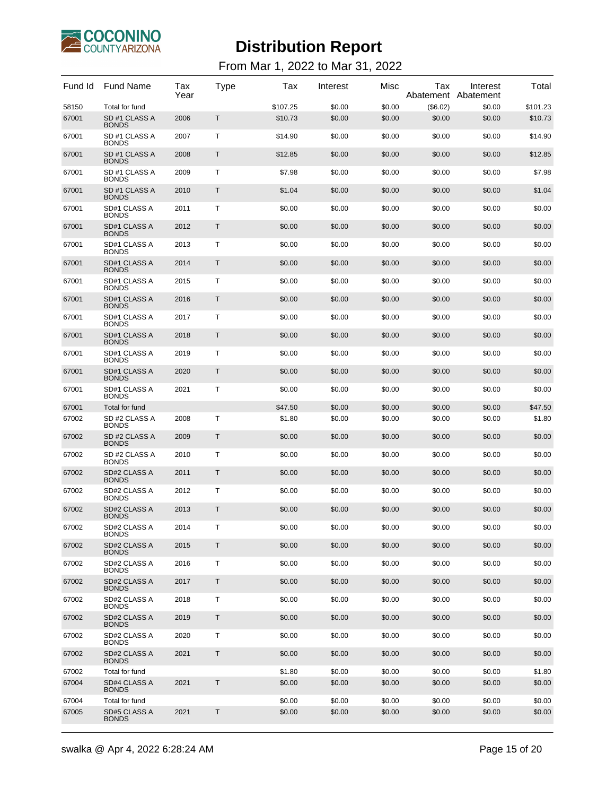

| Fund Id | <b>Fund Name</b>              | Tax<br>Year | Type | Tax      | Interest | Misc   | Tax      | Interest<br>Abatement Abatement | Total    |
|---------|-------------------------------|-------------|------|----------|----------|--------|----------|---------------------------------|----------|
| 58150   | Total for fund                |             |      | \$107.25 | \$0.00   | \$0.00 | (\$6.02) | \$0.00                          | \$101.23 |
| 67001   | SD #1 CLASS A<br><b>BONDS</b> | 2006        | T    | \$10.73  | \$0.00   | \$0.00 | \$0.00   | \$0.00                          | \$10.73  |
| 67001   | SD #1 CLASS A<br><b>BONDS</b> | 2007        | т    | \$14.90  | \$0.00   | \$0.00 | \$0.00   | \$0.00                          | \$14.90  |
| 67001   | SD #1 CLASS A<br><b>BONDS</b> | 2008        | T    | \$12.85  | \$0.00   | \$0.00 | \$0.00   | \$0.00                          | \$12.85  |
| 67001   | SD #1 CLASS A<br><b>BONDS</b> | 2009        | т    | \$7.98   | \$0.00   | \$0.00 | \$0.00   | \$0.00                          | \$7.98   |
| 67001   | SD #1 CLASS A<br><b>BONDS</b> | 2010        | T    | \$1.04   | \$0.00   | \$0.00 | \$0.00   | \$0.00                          | \$1.04   |
| 67001   | SD#1 CLASS A<br><b>BONDS</b>  | 2011        | т    | \$0.00   | \$0.00   | \$0.00 | \$0.00   | \$0.00                          | \$0.00   |
| 67001   | SD#1 CLASS A<br><b>BONDS</b>  | 2012        | T    | \$0.00   | \$0.00   | \$0.00 | \$0.00   | \$0.00                          | \$0.00   |
| 67001   | SD#1 CLASS A<br><b>BONDS</b>  | 2013        | т    | \$0.00   | \$0.00   | \$0.00 | \$0.00   | \$0.00                          | \$0.00   |
| 67001   | SD#1 CLASS A<br><b>BONDS</b>  | 2014        | T    | \$0.00   | \$0.00   | \$0.00 | \$0.00   | \$0.00                          | \$0.00   |
| 67001   | SD#1 CLASS A<br><b>BONDS</b>  | 2015        | т    | \$0.00   | \$0.00   | \$0.00 | \$0.00   | \$0.00                          | \$0.00   |
| 67001   | SD#1 CLASS A<br><b>BONDS</b>  | 2016        | T    | \$0.00   | \$0.00   | \$0.00 | \$0.00   | \$0.00                          | \$0.00   |
| 67001   | SD#1 CLASS A<br><b>BONDS</b>  | 2017        | т    | \$0.00   | \$0.00   | \$0.00 | \$0.00   | \$0.00                          | \$0.00   |
| 67001   | SD#1 CLASS A<br><b>BONDS</b>  | 2018        | T    | \$0.00   | \$0.00   | \$0.00 | \$0.00   | \$0.00                          | \$0.00   |
| 67001   | SD#1 CLASS A<br><b>BONDS</b>  | 2019        | т    | \$0.00   | \$0.00   | \$0.00 | \$0.00   | \$0.00                          | \$0.00   |
| 67001   | SD#1 CLASS A<br><b>BONDS</b>  | 2020        | T    | \$0.00   | \$0.00   | \$0.00 | \$0.00   | \$0.00                          | \$0.00   |
| 67001   | SD#1 CLASS A<br><b>BONDS</b>  | 2021        | Т    | \$0.00   | \$0.00   | \$0.00 | \$0.00   | \$0.00                          | \$0.00   |
| 67001   | Total for fund                |             |      | \$47.50  | \$0.00   | \$0.00 | \$0.00   | \$0.00                          | \$47.50  |
| 67002   | SD #2 CLASS A<br><b>BONDS</b> | 2008        | т    | \$1.80   | \$0.00   | \$0.00 | \$0.00   | \$0.00                          | \$1.80   |
| 67002   | SD #2 CLASS A<br><b>BONDS</b> | 2009        | Τ    | \$0.00   | \$0.00   | \$0.00 | \$0.00   | \$0.00                          | \$0.00   |
| 67002   | SD #2 CLASS A<br><b>BONDS</b> | 2010        | т    | \$0.00   | \$0.00   | \$0.00 | \$0.00   | \$0.00                          | \$0.00   |
| 67002   | SD#2 CLASS A<br><b>BONDS</b>  | 2011        | Τ    | \$0.00   | \$0.00   | \$0.00 | \$0.00   | \$0.00                          | \$0.00   |
| 67002   | SD#2 CLASS A<br><b>BONDS</b>  | 2012        | Τ    | \$0.00   | \$0.00   | \$0.00 | \$0.00   | \$0.00                          | \$0.00   |
| 67002   | SD#2 CLASS A<br><b>BONDS</b>  | 2013        | Τ    | \$0.00   | \$0.00   | \$0.00 | \$0.00   | \$0.00                          | \$0.00   |
| 67002   | SD#2 CLASS A<br><b>BONDS</b>  | 2014        | т    | \$0.00   | \$0.00   | \$0.00 | \$0.00   | \$0.00                          | \$0.00   |
| 67002   | SD#2 CLASS A<br><b>BONDS</b>  | 2015        | Τ    | \$0.00   | \$0.00   | \$0.00 | \$0.00   | \$0.00                          | \$0.00   |
| 67002   | SD#2 CLASS A<br><b>BONDS</b>  | 2016        | Τ    | \$0.00   | \$0.00   | \$0.00 | \$0.00   | \$0.00                          | \$0.00   |
| 67002   | SD#2 CLASS A<br><b>BONDS</b>  | 2017        | T    | \$0.00   | \$0.00   | \$0.00 | \$0.00   | \$0.00                          | \$0.00   |
| 67002   | SD#2 CLASS A<br><b>BONDS</b>  | 2018        | Τ    | \$0.00   | \$0.00   | \$0.00 | \$0.00   | \$0.00                          | \$0.00   |
| 67002   | SD#2 CLASS A<br><b>BONDS</b>  | 2019        | T    | \$0.00   | \$0.00   | \$0.00 | \$0.00   | \$0.00                          | \$0.00   |
| 67002   | SD#2 CLASS A<br><b>BONDS</b>  | 2020        | Т    | \$0.00   | \$0.00   | \$0.00 | \$0.00   | \$0.00                          | \$0.00   |
| 67002   | SD#2 CLASS A<br><b>BONDS</b>  | 2021        | T    | \$0.00   | \$0.00   | \$0.00 | \$0.00   | \$0.00                          | \$0.00   |
| 67002   | Total for fund                |             |      | \$1.80   | \$0.00   | \$0.00 | \$0.00   | \$0.00                          | \$1.80   |
| 67004   | SD#4 CLASS A<br><b>BONDS</b>  | 2021        | T    | \$0.00   | \$0.00   | \$0.00 | \$0.00   | \$0.00                          | \$0.00   |
| 67004   | Total for fund                |             |      | \$0.00   | \$0.00   | \$0.00 | \$0.00   | \$0.00                          | \$0.00   |
| 67005   | SD#5 CLASS A<br><b>BONDS</b>  | 2021        | T    | \$0.00   | \$0.00   | \$0.00 | \$0.00   | \$0.00                          | \$0.00   |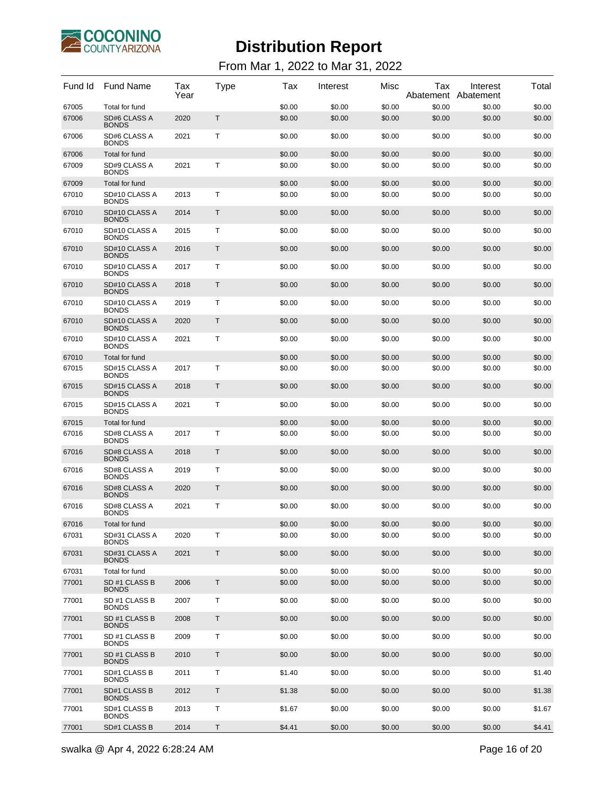

| Fund Id | <b>Fund Name</b>              | Tax<br>Year | Type         | Tax    | Interest | Misc   | Tax<br>Abatement | Interest<br>Abatement | Total  |
|---------|-------------------------------|-------------|--------------|--------|----------|--------|------------------|-----------------------|--------|
| 67005   | Total for fund                |             |              | \$0.00 | \$0.00   | \$0.00 | \$0.00           | \$0.00                | \$0.00 |
| 67006   | SD#6 CLASS A<br><b>BONDS</b>  | 2020        | Τ            | \$0.00 | \$0.00   | \$0.00 | \$0.00           | \$0.00                | \$0.00 |
| 67006   | SD#6 CLASS A<br><b>BONDS</b>  | 2021        | Τ            | \$0.00 | \$0.00   | \$0.00 | \$0.00           | \$0.00                | \$0.00 |
| 67006   | Total for fund                |             |              | \$0.00 | \$0.00   | \$0.00 | \$0.00           | \$0.00                | \$0.00 |
| 67009   | SD#9 CLASS A<br><b>BONDS</b>  | 2021        | Т            | \$0.00 | \$0.00   | \$0.00 | \$0.00           | \$0.00                | \$0.00 |
| 67009   | Total for fund                |             |              | \$0.00 | \$0.00   | \$0.00 | \$0.00           | \$0.00                | \$0.00 |
| 67010   | SD#10 CLASS A<br><b>BONDS</b> | 2013        | $\mathsf{T}$ | \$0.00 | \$0.00   | \$0.00 | \$0.00           | \$0.00                | \$0.00 |
| 67010   | SD#10 CLASS A<br><b>BONDS</b> | 2014        | $\mathsf{T}$ | \$0.00 | \$0.00   | \$0.00 | \$0.00           | \$0.00                | \$0.00 |
| 67010   | SD#10 CLASS A<br><b>BONDS</b> | 2015        | Т            | \$0.00 | \$0.00   | \$0.00 | \$0.00           | \$0.00                | \$0.00 |
| 67010   | SD#10 CLASS A<br><b>BONDS</b> | 2016        | $\mathsf{T}$ | \$0.00 | \$0.00   | \$0.00 | \$0.00           | \$0.00                | \$0.00 |
| 67010   | SD#10 CLASS A<br><b>BONDS</b> | 2017        | $\mathsf{T}$ | \$0.00 | \$0.00   | \$0.00 | \$0.00           | \$0.00                | \$0.00 |
| 67010   | SD#10 CLASS A<br><b>BONDS</b> | 2018        | $\mathsf{T}$ | \$0.00 | \$0.00   | \$0.00 | \$0.00           | \$0.00                | \$0.00 |
| 67010   | SD#10 CLASS A<br><b>BONDS</b> | 2019        | Т            | \$0.00 | \$0.00   | \$0.00 | \$0.00           | \$0.00                | \$0.00 |
| 67010   | SD#10 CLASS A<br><b>BONDS</b> | 2020        | $\mathsf{T}$ | \$0.00 | \$0.00   | \$0.00 | \$0.00           | \$0.00                | \$0.00 |
| 67010   | SD#10 CLASS A<br><b>BONDS</b> | 2021        | $\mathsf{T}$ | \$0.00 | \$0.00   | \$0.00 | \$0.00           | \$0.00                | \$0.00 |
| 67010   | Total for fund                |             |              | \$0.00 | \$0.00   | \$0.00 | \$0.00           | \$0.00                | \$0.00 |
| 67015   | SD#15 CLASS A<br><b>BONDS</b> | 2017        | Τ            | \$0.00 | \$0.00   | \$0.00 | \$0.00           | \$0.00                | \$0.00 |
| 67015   | SD#15 CLASS A<br><b>BONDS</b> | 2018        | T            | \$0.00 | \$0.00   | \$0.00 | \$0.00           | \$0.00                | \$0.00 |
| 67015   | SD#15 CLASS A<br><b>BONDS</b> | 2021        | Т            | \$0.00 | \$0.00   | \$0.00 | \$0.00           | \$0.00                | \$0.00 |
| 67015   | Total for fund                |             |              | \$0.00 | \$0.00   | \$0.00 | \$0.00           | \$0.00                | \$0.00 |
| 67016   | SD#8 CLASS A<br><b>BONDS</b>  | 2017        | Т            | \$0.00 | \$0.00   | \$0.00 | \$0.00           | \$0.00                | \$0.00 |
| 67016   | SD#8 CLASS A<br><b>BONDS</b>  | 2018        | Т            | \$0.00 | \$0.00   | \$0.00 | \$0.00           | \$0.00                | \$0.00 |
| 67016   | SD#8 CLASS A<br><b>BONDS</b>  | 2019        | Т            | \$0.00 | \$0.00   | \$0.00 | \$0.00           | \$0.00                | \$0.00 |
| 67016   | SD#8 CLASS A<br><b>BONDS</b>  | 2020        | Т            | \$0.00 | \$0.00   | \$0.00 | \$0.00           | \$0.00                | \$0.00 |
| 67016   | SD#8 CLASS A<br><b>BONDS</b>  | 2021        | Т            | \$0.00 | \$0.00   | \$0.00 | \$0.00           | \$0.00                | \$0.00 |
| 67016   | Total for fund                |             |              | \$0.00 | \$0.00   | \$0.00 | \$0.00           | \$0.00                | \$0.00 |
| 67031   | SD#31 CLASS A<br><b>BONDS</b> | 2020        | т            | \$0.00 | \$0.00   | \$0.00 | \$0.00           | \$0.00                | \$0.00 |
| 67031   | SD#31 CLASS A<br><b>BONDS</b> | 2021        | T            | \$0.00 | \$0.00   | \$0.00 | \$0.00           | \$0.00                | \$0.00 |
| 67031   | Total for fund                |             |              | \$0.00 | \$0.00   | \$0.00 | \$0.00           | \$0.00                | \$0.00 |
| 77001   | SD #1 CLASS B<br><b>BONDS</b> | 2006        | T            | \$0.00 | \$0.00   | \$0.00 | \$0.00           | \$0.00                | \$0.00 |
| 77001   | SD #1 CLASS B<br><b>BONDS</b> | 2007        | Τ            | \$0.00 | \$0.00   | \$0.00 | \$0.00           | \$0.00                | \$0.00 |
| 77001   | SD #1 CLASS B<br><b>BONDS</b> | 2008        | T            | \$0.00 | \$0.00   | \$0.00 | \$0.00           | \$0.00                | \$0.00 |
| 77001   | SD #1 CLASS B<br><b>BONDS</b> | 2009        | Τ            | \$0.00 | \$0.00   | \$0.00 | \$0.00           | \$0.00                | \$0.00 |
| 77001   | SD #1 CLASS B<br><b>BONDS</b> | 2010        | Τ            | \$0.00 | \$0.00   | \$0.00 | \$0.00           | \$0.00                | \$0.00 |
| 77001   | SD#1 CLASS B<br><b>BONDS</b>  | 2011        | Τ            | \$1.40 | \$0.00   | \$0.00 | \$0.00           | \$0.00                | \$1.40 |
| 77001   | SD#1 CLASS B<br><b>BONDS</b>  | 2012        | Τ            | \$1.38 | \$0.00   | \$0.00 | \$0.00           | \$0.00                | \$1.38 |
| 77001   | SD#1 CLASS B<br><b>BONDS</b>  | 2013        | Τ            | \$1.67 | \$0.00   | \$0.00 | \$0.00           | \$0.00                | \$1.67 |
| 77001   | SD#1 CLASS B                  | 2014        | Τ            | \$4.41 | \$0.00   | \$0.00 | \$0.00           | \$0.00                | \$4.41 |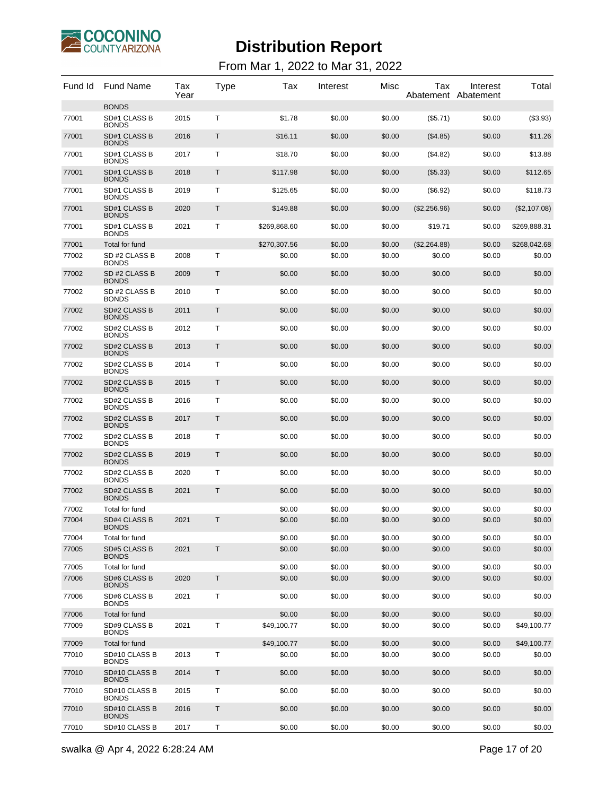

| Fund Id | <b>Fund Name</b>                    | Tax<br>Year | <b>Type</b> | Tax          | Interest | Misc   | Tax            | Interest<br>Abatement Abatement | Total        |
|---------|-------------------------------------|-------------|-------------|--------------|----------|--------|----------------|---------------------------------|--------------|
|         | <b>BONDS</b>                        |             |             |              |          |        |                |                                 |              |
| 77001   | SD#1 CLASS B<br><b>BONDS</b>        | 2015        | т           | \$1.78       | \$0.00   | \$0.00 | (\$5.71)       | \$0.00                          | (\$3.93)     |
| 77001   | SD#1 CLASS B<br><b>BONDS</b>        | 2016        | Τ           | \$16.11      | \$0.00   | \$0.00 | (\$4.85)       | \$0.00                          | \$11.26      |
| 77001   | SD#1 CLASS B<br><b>BONDS</b>        | 2017        | т           | \$18.70      | \$0.00   | \$0.00 | (\$4.82)       | \$0.00                          | \$13.88      |
| 77001   | SD#1 CLASS B<br><b>BONDS</b>        | 2018        | Т           | \$117.98     | \$0.00   | \$0.00 | $($ \$5.33)    | \$0.00                          | \$112.65     |
| 77001   | SD#1 CLASS B<br><b>BONDS</b>        | 2019        | т           | \$125.65     | \$0.00   | \$0.00 | (\$6.92)       | \$0.00                          | \$118.73     |
| 77001   | SD#1 CLASS B<br><b>BONDS</b>        | 2020        | Т           | \$149.88     | \$0.00   | \$0.00 | $(\$2,256.96)$ | \$0.00                          | (\$2,107.08) |
| 77001   | SD#1 CLASS B<br><b>BONDS</b>        | 2021        | т           | \$269,868.60 | \$0.00   | \$0.00 | \$19.71        | \$0.00                          | \$269,888.31 |
| 77001   | Total for fund                      |             |             | \$270,307.56 | \$0.00   | \$0.00 | (\$2,264.88)   | \$0.00                          | \$268,042.68 |
| 77002   | SD #2 CLASS B<br><b>BONDS</b>       | 2008        | Т           | \$0.00       | \$0.00   | \$0.00 | \$0.00         | \$0.00                          | \$0.00       |
| 77002   | SD #2 CLASS B<br><b>BONDS</b>       | 2009        | T           | \$0.00       | \$0.00   | \$0.00 | \$0.00         | \$0.00                          | \$0.00       |
| 77002   | SD #2 CLASS B<br><b>BONDS</b>       | 2010        | Т           | \$0.00       | \$0.00   | \$0.00 | \$0.00         | \$0.00                          | \$0.00       |
| 77002   | SD#2 CLASS B<br><b>BONDS</b>        | 2011        | T           | \$0.00       | \$0.00   | \$0.00 | \$0.00         | \$0.00                          | \$0.00       |
| 77002   | SD#2 CLASS B<br><b>BONDS</b>        | 2012        | Т           | \$0.00       | \$0.00   | \$0.00 | \$0.00         | \$0.00                          | \$0.00       |
| 77002   | <b>SD#2 CLASS B</b><br><b>BONDS</b> | 2013        | T           | \$0.00       | \$0.00   | \$0.00 | \$0.00         | \$0.00                          | \$0.00       |
| 77002   | SD#2 CLASS B<br><b>BONDS</b>        | 2014        | Т           | \$0.00       | \$0.00   | \$0.00 | \$0.00         | \$0.00                          | \$0.00       |
| 77002   | <b>SD#2 CLASS B</b><br><b>BONDS</b> | 2015        | T           | \$0.00       | \$0.00   | \$0.00 | \$0.00         | \$0.00                          | \$0.00       |
| 77002   | SD#2 CLASS B<br><b>BONDS</b>        | 2016        | т           | \$0.00       | \$0.00   | \$0.00 | \$0.00         | \$0.00                          | \$0.00       |
| 77002   | <b>SD#2 CLASS B</b><br><b>BONDS</b> | 2017        | T           | \$0.00       | \$0.00   | \$0.00 | \$0.00         | \$0.00                          | \$0.00       |
| 77002   | SD#2 CLASS B<br><b>BONDS</b>        | 2018        | Т           | \$0.00       | \$0.00   | \$0.00 | \$0.00         | \$0.00                          | \$0.00       |
| 77002   | <b>SD#2 CLASS B</b><br><b>BONDS</b> | 2019        | T           | \$0.00       | \$0.00   | \$0.00 | \$0.00         | \$0.00                          | \$0.00       |
| 77002   | SD#2 CLASS B<br><b>BONDS</b>        | 2020        | Т           | \$0.00       | \$0.00   | \$0.00 | \$0.00         | \$0.00                          | \$0.00       |
| 77002   | SD#2 CLASS B<br><b>BONDS</b>        | 2021        | T           | \$0.00       | \$0.00   | \$0.00 | \$0.00         | \$0.00                          | \$0.00       |
| 77002   | Total for fund                      |             |             | \$0.00       | \$0.00   | \$0.00 | \$0.00         | \$0.00                          | \$0.00       |
| 77004   | <b>SD#4 CLASS B</b><br><b>BONDS</b> | 2021        | Τ           | \$0.00       | \$0.00   | \$0.00 | \$0.00         | \$0.00                          | \$0.00       |
| 77004   | Total for fund                      |             |             | \$0.00       | \$0.00   | \$0.00 | \$0.00         | \$0.00                          | \$0.00       |
| 77005   | <b>SD#5 CLASS B</b><br><b>BONDS</b> | 2021        | T           | \$0.00       | \$0.00   | \$0.00 | \$0.00         | \$0.00                          | \$0.00       |
| 77005   | Total for fund                      |             |             | \$0.00       | \$0.00   | \$0.00 | \$0.00         | \$0.00                          | \$0.00       |
| 77006   | <b>SD#6 CLASS B</b><br><b>BONDS</b> | 2020        | $\mathsf T$ | \$0.00       | \$0.00   | \$0.00 | \$0.00         | \$0.00                          | \$0.00       |
| 77006   | SD#6 CLASS B<br><b>BONDS</b>        | 2021        | $\mathsf T$ | \$0.00       | \$0.00   | \$0.00 | \$0.00         | \$0.00                          | \$0.00       |
| 77006   | Total for fund                      |             |             | \$0.00       | \$0.00   | \$0.00 | \$0.00         | \$0.00                          | \$0.00       |
| 77009   | SD#9 CLASS B<br><b>BONDS</b>        | 2021        | т           | \$49,100.77  | \$0.00   | \$0.00 | \$0.00         | \$0.00                          | \$49,100.77  |
| 77009   | Total for fund                      |             |             | \$49,100.77  | \$0.00   | \$0.00 | \$0.00         | \$0.00                          | \$49,100.77  |
| 77010   | SD#10 CLASS B<br><b>BONDS</b>       | 2013        | Т           | \$0.00       | \$0.00   | \$0.00 | \$0.00         | \$0.00                          | \$0.00       |
| 77010   | SD#10 CLASS B<br><b>BONDS</b>       | 2014        | Τ           | \$0.00       | \$0.00   | \$0.00 | \$0.00         | \$0.00                          | \$0.00       |
| 77010   | SD#10 CLASS B<br><b>BONDS</b>       | 2015        | т           | \$0.00       | \$0.00   | \$0.00 | \$0.00         | \$0.00                          | \$0.00       |
| 77010   | SD#10 CLASS B<br><b>BONDS</b>       | 2016        | Τ           | \$0.00       | \$0.00   | \$0.00 | \$0.00         | \$0.00                          | \$0.00       |
| 77010   | SD#10 CLASS B                       | 2017        | т           | \$0.00       | \$0.00   | \$0.00 | \$0.00         | \$0.00                          | \$0.00       |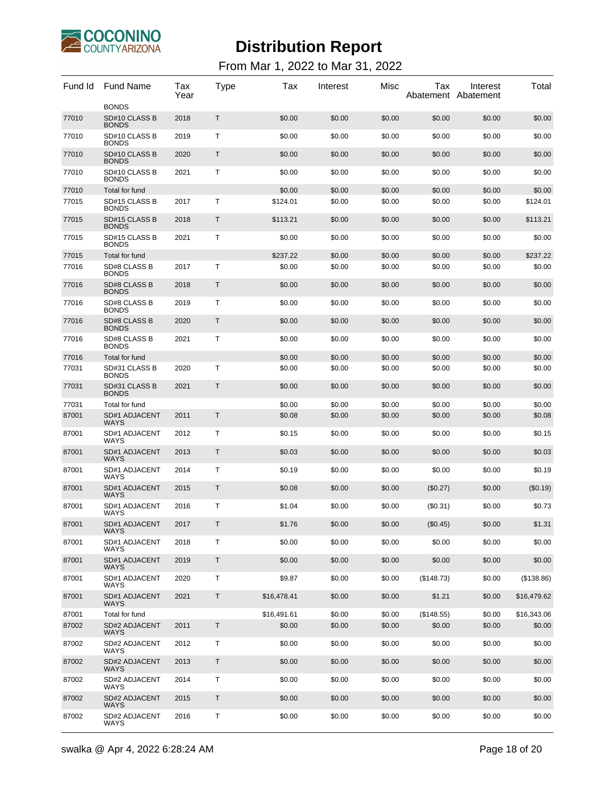

| Fund Id | <b>Fund Name</b>                              | Tax<br>Year | Type         | Tax         | Interest | Misc   | Tax        | Interest<br>Abatement Abatement | Total       |
|---------|-----------------------------------------------|-------------|--------------|-------------|----------|--------|------------|---------------------------------|-------------|
| 77010   | <b>BONDS</b><br>SD#10 CLASS B                 | 2018        | Τ            | \$0.00      | \$0.00   | \$0.00 | \$0.00     | \$0.00                          | \$0.00      |
| 77010   | <b>BONDS</b><br>SD#10 CLASS B<br><b>BONDS</b> | 2019        | т            | \$0.00      | \$0.00   | \$0.00 | \$0.00     | \$0.00                          | \$0.00      |
| 77010   | SD#10 CLASS B<br><b>BONDS</b>                 | 2020        | Τ            | \$0.00      | \$0.00   | \$0.00 | \$0.00     | \$0.00                          | \$0.00      |
| 77010   | SD#10 CLASS B<br><b>BONDS</b>                 | 2021        | т            | \$0.00      | \$0.00   | \$0.00 | \$0.00     | \$0.00                          | \$0.00      |
| 77010   | Total for fund                                |             |              | \$0.00      | \$0.00   | \$0.00 | \$0.00     | \$0.00                          | \$0.00      |
| 77015   | SD#15 CLASS B<br><b>BONDS</b>                 | 2017        | T            | \$124.01    | \$0.00   | \$0.00 | \$0.00     | \$0.00                          | \$124.01    |
| 77015   | SD#15 CLASS B<br><b>BONDS</b>                 | 2018        | T            | \$113.21    | \$0.00   | \$0.00 | \$0.00     | \$0.00                          | \$113.21    |
| 77015   | SD#15 CLASS B<br><b>BONDS</b>                 | 2021        | Т            | \$0.00      | \$0.00   | \$0.00 | \$0.00     | \$0.00                          | \$0.00      |
| 77015   | Total for fund                                |             |              | \$237.22    | \$0.00   | \$0.00 | \$0.00     | \$0.00                          | \$237.22    |
| 77016   | SD#8 CLASS B<br><b>BONDS</b>                  | 2017        | т            | \$0.00      | \$0.00   | \$0.00 | \$0.00     | \$0.00                          | \$0.00      |
| 77016   | SD#8 CLASS B<br><b>BONDS</b>                  | 2018        | Τ            | \$0.00      | \$0.00   | \$0.00 | \$0.00     | \$0.00                          | \$0.00      |
| 77016   | SD#8 CLASS B<br><b>BONDS</b>                  | 2019        | т            | \$0.00      | \$0.00   | \$0.00 | \$0.00     | \$0.00                          | \$0.00      |
| 77016   | SD#8 CLASS B<br><b>BONDS</b>                  | 2020        | Т            | \$0.00      | \$0.00   | \$0.00 | \$0.00     | \$0.00                          | \$0.00      |
| 77016   | SD#8 CLASS B<br><b>BONDS</b>                  | 2021        | т            | \$0.00      | \$0.00   | \$0.00 | \$0.00     | \$0.00                          | \$0.00      |
| 77016   | Total for fund                                |             |              | \$0.00      | \$0.00   | \$0.00 | \$0.00     | \$0.00                          | \$0.00      |
| 77031   | SD#31 CLASS B<br><b>BONDS</b>                 | 2020        | т            | \$0.00      | \$0.00   | \$0.00 | \$0.00     | \$0.00                          | \$0.00      |
| 77031   | SD#31 CLASS B<br><b>BONDS</b>                 | 2021        | Т            | \$0.00      | \$0.00   | \$0.00 | \$0.00     | \$0.00                          | \$0.00      |
| 77031   | Total for fund                                |             |              | \$0.00      | \$0.00   | \$0.00 | \$0.00     | \$0.00                          | \$0.00      |
| 87001   | SD#1 ADJACENT<br><b>WAYS</b>                  | 2011        | T            | \$0.08      | \$0.00   | \$0.00 | \$0.00     | \$0.00                          | \$0.08      |
| 87001   | SD#1 ADJACENT<br>WAYS                         | 2012        | T            | \$0.15      | \$0.00   | \$0.00 | \$0.00     | \$0.00                          | \$0.15      |
| 87001   | SD#1 ADJACENT<br><b>WAYS</b>                  | 2013        | T            | \$0.03      | \$0.00   | \$0.00 | \$0.00     | \$0.00                          | \$0.03      |
| 87001   | SD#1 ADJACENT<br>WAYS                         | 2014        | T            | \$0.19      | \$0.00   | \$0.00 | \$0.00     | \$0.00                          | \$0.19      |
| 87001   | SD#1 ADJACENT<br><b>WAYS</b>                  | 2015        | T            | \$0.08      | \$0.00   | \$0.00 | (\$0.27)   | \$0.00                          | (\$0.19)    |
| 87001   | SD#1 ADJACENT<br>WAYS                         | 2016        | T            | \$1.04      | \$0.00   | \$0.00 | (S0.31)    | \$0.00                          | \$0.73      |
| 87001   | <b>SD#1 ADJACENT</b><br>WAYS                  | 2017        | $\mathsf{T}$ | \$1.76      | \$0.00   | \$0.00 | (\$0.45)   | \$0.00                          | \$1.31      |
| 87001   | SD#1 ADJACENT<br>WAYS                         | 2018        | Τ            | \$0.00      | \$0.00   | \$0.00 | \$0.00     | \$0.00                          | \$0.00      |
| 87001   | SD#1 ADJACENT<br><b>WAYS</b>                  | 2019        | $\sf T$      | \$0.00      | \$0.00   | \$0.00 | \$0.00     | \$0.00                          | \$0.00      |
| 87001   | SD#1 ADJACENT<br><b>WAYS</b>                  | 2020        | $\mathsf T$  | \$9.87      | \$0.00   | \$0.00 | (\$148.73) | \$0.00                          | (\$138.86)  |
| 87001   | SD#1 ADJACENT<br><b>WAYS</b>                  | 2021        | $\sf T$      | \$16,478.41 | \$0.00   | \$0.00 | \$1.21     | \$0.00                          | \$16,479.62 |
| 87001   | Total for fund                                |             |              | \$16,491.61 | \$0.00   | \$0.00 | (\$148.55) | \$0.00                          | \$16,343.06 |
| 87002   | SD#2 ADJACENT<br>WAYS                         | 2011        | Τ            | \$0.00      | \$0.00   | \$0.00 | \$0.00     | \$0.00                          | \$0.00      |
| 87002   | SD#2 ADJACENT<br><b>WAYS</b>                  | 2012        | Τ            | \$0.00      | \$0.00   | \$0.00 | \$0.00     | \$0.00                          | \$0.00      |
| 87002   | SD#2 ADJACENT<br><b>WAYS</b>                  | 2013        | T            | \$0.00      | \$0.00   | \$0.00 | \$0.00     | \$0.00                          | \$0.00      |
| 87002   | SD#2 ADJACENT<br><b>WAYS</b>                  | 2014        | т            | \$0.00      | \$0.00   | \$0.00 | \$0.00     | \$0.00                          | \$0.00      |
| 87002   | SD#2 ADJACENT<br><b>WAYS</b>                  | 2015        | Τ            | \$0.00      | \$0.00   | \$0.00 | \$0.00     | \$0.00                          | \$0.00      |
| 87002   | SD#2 ADJACENT<br>WAYS                         | 2016        | T            | \$0.00      | \$0.00   | \$0.00 | \$0.00     | \$0.00                          | \$0.00      |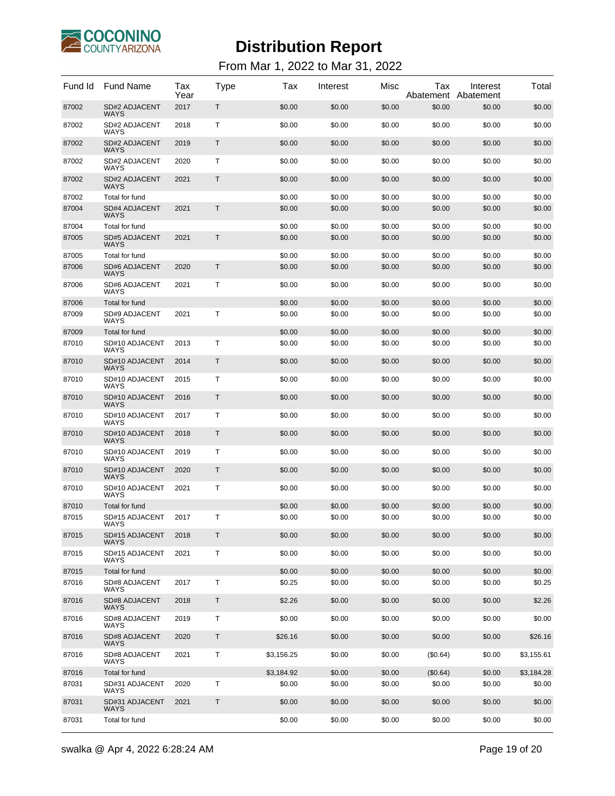

| Fund Id | <b>Fund Name</b>                    | Tax<br>Year | Type         | Tax        | Interest | Misc   | Tax<br>Abatement | Interest<br>Abatement | Total      |
|---------|-------------------------------------|-------------|--------------|------------|----------|--------|------------------|-----------------------|------------|
| 87002   | SD#2 ADJACENT<br><b>WAYS</b>        | 2017        | Т            | \$0.00     | \$0.00   | \$0.00 | \$0.00           | \$0.00                | \$0.00     |
| 87002   | SD#2 ADJACENT<br><b>WAYS</b>        | 2018        | Т            | \$0.00     | \$0.00   | \$0.00 | \$0.00           | \$0.00                | \$0.00     |
| 87002   | SD#2 ADJACENT<br><b>WAYS</b>        | 2019        | Т            | \$0.00     | \$0.00   | \$0.00 | \$0.00           | \$0.00                | \$0.00     |
| 87002   | SD#2 ADJACENT<br><b>WAYS</b>        | 2020        | Т            | \$0.00     | \$0.00   | \$0.00 | \$0.00           | \$0.00                | \$0.00     |
| 87002   | <b>SD#2 ADJACENT</b><br><b>WAYS</b> | 2021        | Т            | \$0.00     | \$0.00   | \$0.00 | \$0.00           | \$0.00                | \$0.00     |
| 87002   | Total for fund                      |             |              | \$0.00     | \$0.00   | \$0.00 | \$0.00           | \$0.00                | \$0.00     |
| 87004   | <b>SD#4 ADJACENT</b><br><b>WAYS</b> | 2021        | $\mathsf{T}$ | \$0.00     | \$0.00   | \$0.00 | \$0.00           | \$0.00                | \$0.00     |
| 87004   | Total for fund                      |             |              | \$0.00     | \$0.00   | \$0.00 | \$0.00           | \$0.00                | \$0.00     |
| 87005   | <b>SD#5 ADJACENT</b><br><b>WAYS</b> | 2021        | $\mathsf{T}$ | \$0.00     | \$0.00   | \$0.00 | \$0.00           | \$0.00                | \$0.00     |
| 87005   | Total for fund                      |             |              | \$0.00     | \$0.00   | \$0.00 | \$0.00           | \$0.00                | \$0.00     |
| 87006   | SD#6 ADJACENT<br><b>WAYS</b>        | 2020        | $\mathsf{T}$ | \$0.00     | \$0.00   | \$0.00 | \$0.00           | \$0.00                | \$0.00     |
| 87006   | SD#6 ADJACENT<br><b>WAYS</b>        | 2021        | т            | \$0.00     | \$0.00   | \$0.00 | \$0.00           | \$0.00                | \$0.00     |
| 87006   | Total for fund                      |             |              | \$0.00     | \$0.00   | \$0.00 | \$0.00           | \$0.00                | \$0.00     |
| 87009   | SD#9 ADJACENT<br>WAYS               | 2021        | Т            | \$0.00     | \$0.00   | \$0.00 | \$0.00           | \$0.00                | \$0.00     |
| 87009   | Total for fund                      |             |              | \$0.00     | \$0.00   | \$0.00 | \$0.00           | \$0.00                | \$0.00     |
| 87010   | SD#10 ADJACENT<br><b>WAYS</b>       | 2013        | T            | \$0.00     | \$0.00   | \$0.00 | \$0.00           | \$0.00                | \$0.00     |
| 87010   | SD#10 ADJACENT<br><b>WAYS</b>       | 2014        | T            | \$0.00     | \$0.00   | \$0.00 | \$0.00           | \$0.00                | \$0.00     |
| 87010   | SD#10 ADJACENT<br><b>WAYS</b>       | 2015        | Τ            | \$0.00     | \$0.00   | \$0.00 | \$0.00           | \$0.00                | \$0.00     |
| 87010   | SD#10 ADJACENT<br><b>WAYS</b>       | 2016        | T            | \$0.00     | \$0.00   | \$0.00 | \$0.00           | \$0.00                | \$0.00     |
| 87010   | SD#10 ADJACENT<br><b>WAYS</b>       | 2017        | Τ            | \$0.00     | \$0.00   | \$0.00 | \$0.00           | \$0.00                | \$0.00     |
| 87010   | SD#10 ADJACENT<br><b>WAYS</b>       | 2018        | T            | \$0.00     | \$0.00   | \$0.00 | \$0.00           | \$0.00                | \$0.00     |
| 87010   | SD#10 ADJACENT<br>WAYS              | 2019        | Т            | \$0.00     | \$0.00   | \$0.00 | \$0.00           | \$0.00                | \$0.00     |
| 87010   | SD#10 ADJACENT<br><b>WAYS</b>       | 2020        | T            | \$0.00     | \$0.00   | \$0.00 | \$0.00           | \$0.00                | \$0.00     |
| 87010   | SD#10 ADJACENT<br><b>WAYS</b>       | 2021        | Т            | \$0.00     | \$0.00   | \$0.00 | \$0.00           | \$0.00                | \$0.00     |
| 87010   | Total for fund                      |             |              | \$0.00     | \$0.00   | \$0.00 | \$0.00           | \$0.00                | \$0.00     |
| 87015   | SD#15 ADJACENT<br><b>WAYS</b>       | 2017        | Т            | \$0.00     | \$0.00   | \$0.00 | \$0.00           | \$0.00                | \$0.00     |
| 87015   | SD#15 ADJACENT<br><b>WAYS</b>       | 2018        | Т            | \$0.00     | \$0.00   | \$0.00 | \$0.00           | \$0.00                | \$0.00     |
| 87015   | SD#15 ADJACENT<br><b>WAYS</b>       | 2021        | т            | \$0.00     | \$0.00   | \$0.00 | \$0.00           | \$0.00                | \$0.00     |
| 87015   | Total for fund                      |             |              | \$0.00     | \$0.00   | \$0.00 | \$0.00           | \$0.00                | \$0.00     |
| 87016   | SD#8 ADJACENT<br><b>WAYS</b>        | 2017        | Τ            | \$0.25     | \$0.00   | \$0.00 | \$0.00           | \$0.00                | \$0.25     |
| 87016   | SD#8 ADJACENT<br><b>WAYS</b>        | 2018        | Τ            | \$2.26     | \$0.00   | \$0.00 | \$0.00           | \$0.00                | \$2.26     |
| 87016   | SD#8 ADJACENT<br>WAYS               | 2019        | Т            | \$0.00     | \$0.00   | \$0.00 | \$0.00           | \$0.00                | \$0.00     |
| 87016   | SD#8 ADJACENT<br><b>WAYS</b>        | 2020        | T            | \$26.16    | \$0.00   | \$0.00 | \$0.00           | \$0.00                | \$26.16    |
| 87016   | SD#8 ADJACENT<br><b>WAYS</b>        | 2021        | T            | \$3,156.25 | \$0.00   | \$0.00 | (\$0.64)         | \$0.00                | \$3,155.61 |
| 87016   | Total for fund                      |             |              | \$3,184.92 | \$0.00   | \$0.00 | (\$0.64)         | \$0.00                | \$3,184.28 |
| 87031   | SD#31 ADJACENT<br><b>WAYS</b>       | 2020        | Т            | \$0.00     | \$0.00   | \$0.00 | \$0.00           | \$0.00                | \$0.00     |
| 87031   | SD#31 ADJACENT<br><b>WAYS</b>       | 2021        | T            | \$0.00     | \$0.00   | \$0.00 | \$0.00           | \$0.00                | \$0.00     |
| 87031   | Total for fund                      |             |              | \$0.00     | \$0.00   | \$0.00 | \$0.00           | \$0.00                | \$0.00     |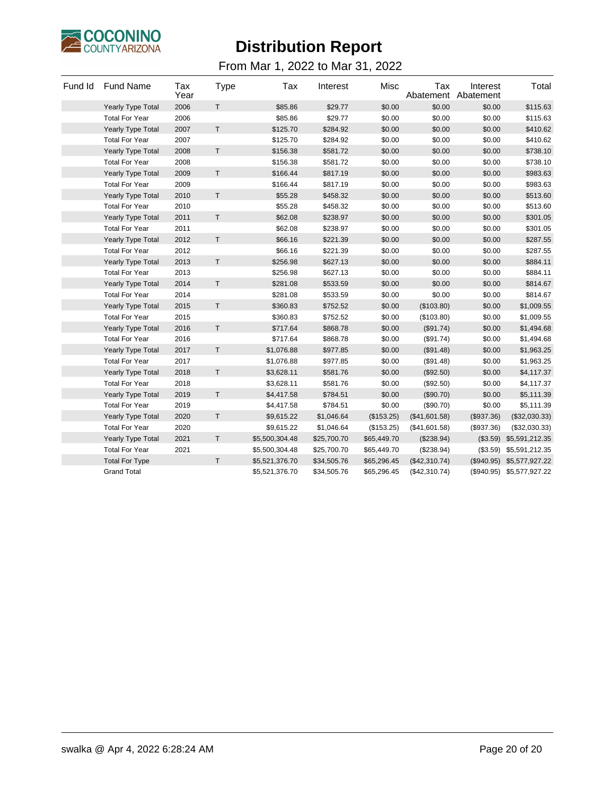

| Fund Id | <b>Fund Name</b>         | Tax<br>Year | Type | Tax            | Interest    | Misc        | Tax<br>Abatement | Interest<br>Abatement | Total                     |
|---------|--------------------------|-------------|------|----------------|-------------|-------------|------------------|-----------------------|---------------------------|
|         | <b>Yearly Type Total</b> | 2006        | T.   | \$85.86        | \$29.77     | \$0.00      | \$0.00           | \$0.00                | \$115.63                  |
|         | <b>Total For Year</b>    | 2006        |      | \$85.86        | \$29.77     | \$0.00      | \$0.00           | \$0.00                | \$115.63                  |
|         | <b>Yearly Type Total</b> | 2007        | T.   | \$125.70       | \$284.92    | \$0.00      | \$0.00           | \$0.00                | \$410.62                  |
|         | <b>Total For Year</b>    | 2007        |      | \$125.70       | \$284.92    | \$0.00      | \$0.00           | \$0.00                | \$410.62                  |
|         | <b>Yearly Type Total</b> | 2008        | T.   | \$156.38       | \$581.72    | \$0.00      | \$0.00           | \$0.00                | \$738.10                  |
|         | <b>Total For Year</b>    | 2008        |      | \$156.38       | \$581.72    | \$0.00      | \$0.00           | \$0.00                | \$738.10                  |
|         | <b>Yearly Type Total</b> | 2009        | T.   | \$166.44       | \$817.19    | \$0.00      | \$0.00           | \$0.00                | \$983.63                  |
|         | <b>Total For Year</b>    | 2009        |      | \$166.44       | \$817.19    | \$0.00      | \$0.00           | \$0.00                | \$983.63                  |
|         | Yearly Type Total        | 2010        | T    | \$55.28        | \$458.32    | \$0.00      | \$0.00           | \$0.00                | \$513.60                  |
|         | <b>Total For Year</b>    | 2010        |      | \$55.28        | \$458.32    | \$0.00      | \$0.00           | \$0.00                | \$513.60                  |
|         | Yearly Type Total        | 2011        | T.   | \$62.08        | \$238.97    | \$0.00      | \$0.00           | \$0.00                | \$301.05                  |
|         | <b>Total For Year</b>    | 2011        |      | \$62.08        | \$238.97    | \$0.00      | \$0.00           | \$0.00                | \$301.05                  |
|         | <b>Yearly Type Total</b> | 2012        | T.   | \$66.16        | \$221.39    | \$0.00      | \$0.00           | \$0.00                | \$287.55                  |
|         | <b>Total For Year</b>    | 2012        |      | \$66.16        | \$221.39    | \$0.00      | \$0.00           | \$0.00                | \$287.55                  |
|         | <b>Yearly Type Total</b> | 2013        | T    | \$256.98       | \$627.13    | \$0.00      | \$0.00           | \$0.00                | \$884.11                  |
|         | <b>Total For Year</b>    | 2013        |      | \$256.98       | \$627.13    | \$0.00      | \$0.00           | \$0.00                | \$884.11                  |
|         | Yearly Type Total        | 2014        | T    | \$281.08       | \$533.59    | \$0.00      | \$0.00           | \$0.00                | \$814.67                  |
|         | <b>Total For Year</b>    | 2014        |      | \$281.08       | \$533.59    | \$0.00      | \$0.00           | \$0.00                | \$814.67                  |
|         | <b>Yearly Type Total</b> | 2015        | T.   | \$360.83       | \$752.52    | \$0.00      | (\$103.80)       | \$0.00                | \$1,009.55                |
|         | <b>Total For Year</b>    | 2015        |      | \$360.83       | \$752.52    | \$0.00      | (\$103.80)       | \$0.00                | \$1,009.55                |
|         | Yearly Type Total        | 2016        | T    | \$717.64       | \$868.78    | \$0.00      | (\$91.74)        | \$0.00                | \$1,494.68                |
|         | <b>Total For Year</b>    | 2016        |      | \$717.64       | \$868.78    | \$0.00      | (\$91.74)        | \$0.00                | \$1,494.68                |
|         | Yearly Type Total        | 2017        | T.   | \$1,076.88     | \$977.85    | \$0.00      | (\$91.48)        | \$0.00                | \$1,963.25                |
|         | <b>Total For Year</b>    | 2017        |      | \$1,076.88     | \$977.85    | \$0.00      | (\$91.48)        | \$0.00                | \$1,963.25                |
|         | Yearly Type Total        | 2018        | T    | \$3,628.11     | \$581.76    | \$0.00      | (\$92.50)        | \$0.00                | \$4,117.37                |
|         | <b>Total For Year</b>    | 2018        |      | \$3,628.11     | \$581.76    | \$0.00      | (\$92.50)        | \$0.00                | \$4,117.37                |
|         | Yearly Type Total        | 2019        | T    | \$4,417.58     | \$784.51    | \$0.00      | (\$90.70)        | \$0.00                | \$5,111.39                |
|         | <b>Total For Year</b>    | 2019        |      | \$4,417.58     | \$784.51    | \$0.00      | (\$90.70)        | \$0.00                | \$5,111.39                |
|         | <b>Yearly Type Total</b> | 2020        | T    | \$9,615.22     | \$1,046.64  | (\$153.25)  | (\$41,601.58)    | (\$937.36)            | (\$32,030.33)             |
|         | <b>Total For Year</b>    | 2020        |      | \$9,615.22     | \$1,046.64  | (\$153.25)  | (\$41,601.58)    | (\$937.36)            | (\$32,030.33)             |
|         | Yearly Type Total        | 2021        | T.   | \$5,500,304.48 | \$25,700.70 | \$65,449.70 | (\$238.94)       | (\$3.59)              | \$5,591,212.35            |
|         | <b>Total For Year</b>    | 2021        |      | \$5,500,304.48 | \$25,700.70 | \$65,449.70 | (\$238.94)       | (\$3.59)              | \$5,591,212.35            |
|         | <b>Total For Type</b>    |             | T.   | \$5,521,376.70 | \$34,505.76 | \$65,296.45 | (\$42,310.74)    | (\$940.95)            | \$5,577,927.22            |
|         | <b>Grand Total</b>       |             |      | \$5,521,376.70 | \$34,505.76 | \$65,296.45 | (\$42,310.74)    |                       | (\$940.95) \$5,577,927.22 |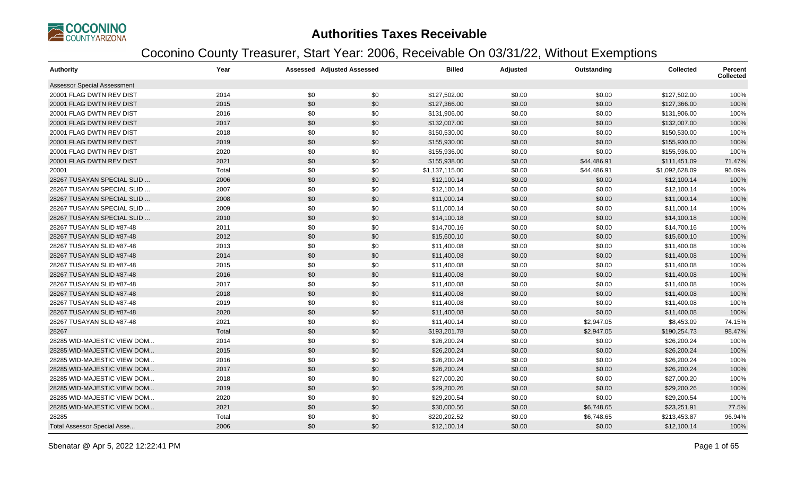

### **Authorities Taxes Receivable**

### Coconino County Treasurer, Start Year: 2006, Receivable On 03/31/22, Without Exemptions

| <b>Authority</b>                   | Year  |     | <b>Assessed Adjusted Assessed</b> | <b>Billed</b>  | Adjusted | Outstanding | <b>Collected</b> | <b>Percent</b><br><b>Collected</b> |
|------------------------------------|-------|-----|-----------------------------------|----------------|----------|-------------|------------------|------------------------------------|
| <b>Assessor Special Assessment</b> |       |     |                                   |                |          |             |                  |                                    |
| 20001 FLAG DWTN REV DIST           | 2014  | \$0 | \$0                               | \$127,502.00   | \$0.00   | \$0.00      | \$127,502.00     | 100%                               |
| 20001 FLAG DWTN REV DIST           | 2015  | \$0 | \$0                               | \$127,366.00   | \$0.00   | \$0.00      | \$127,366.00     | 100%                               |
| 20001 FLAG DWTN REV DIST           | 2016  | \$0 | \$0                               | \$131,906.00   | \$0.00   | \$0.00      | \$131,906.00     | 100%                               |
| 20001 FLAG DWTN REV DIST           | 2017  | \$0 | \$0                               | \$132,007.00   | \$0.00   | \$0.00      | \$132,007.00     | 100%                               |
| 20001 FLAG DWTN REV DIST           | 2018  | \$0 | \$0                               | \$150,530.00   | \$0.00   | \$0.00      | \$150,530.00     | 100%                               |
| 20001 FLAG DWTN REV DIST           | 2019  | \$0 | \$0                               | \$155,930.00   | \$0.00   | \$0.00      | \$155,930.00     | 100%                               |
| 20001 FLAG DWTN REV DIST           | 2020  | \$0 | \$0                               | \$155,936.00   | \$0.00   | \$0.00      | \$155,936.00     | 100%                               |
| 20001 FLAG DWTN REV DIST           | 2021  | \$0 | \$0                               | \$155,938.00   | \$0.00   | \$44,486.91 | \$111,451.09     | 71.47%                             |
| 20001                              | Total | \$0 | \$0                               | \$1,137,115.00 | \$0.00   | \$44,486.91 | \$1,092,628.09   | 96.09%                             |
| 28267 TUSAYAN SPECIAL SLID         | 2006  | \$0 | \$0                               | \$12,100.14    | \$0.00   | \$0.00      | \$12,100.14      | 100%                               |
| 28267 TUSAYAN SPECIAL SLID         | 2007  | \$0 | \$0                               | \$12,100.14    | \$0.00   | \$0.00      | \$12,100.14      | 100%                               |
| 28267 TUSAYAN SPECIAL SLID         | 2008  | \$0 | \$0                               | \$11,000.14    | \$0.00   | \$0.00      | \$11,000.14      | 100%                               |
| 28267 TUSAYAN SPECIAL SLID         | 2009  | \$0 | \$0                               | \$11,000.14    | \$0.00   | \$0.00      | \$11,000.14      | 100%                               |
| 28267 TUSAYAN SPECIAL SLID         | 2010  | \$0 | \$0                               | \$14,100.18    | \$0.00   | \$0.00      | \$14,100.18      | 100%                               |
| 28267 TUSAYAN SLID #87-48          | 2011  | \$0 | \$0                               | \$14,700.16    | \$0.00   | \$0.00      | \$14,700.16      | 100%                               |
| 28267 TUSAYAN SLID #87-48          | 2012  | \$0 | \$0                               | \$15,600.10    | \$0.00   | \$0.00      | \$15,600.10      | 100%                               |
| 28267 TUSAYAN SLID #87-48          | 2013  | \$0 | \$0                               | \$11,400.08    | \$0.00   | \$0.00      | \$11,400.08      | 100%                               |
| 28267 TUSAYAN SLID #87-48          | 2014  | \$0 | \$0                               | \$11,400.08    | \$0.00   | \$0.00      | \$11,400.08      | 100%                               |
| 28267 TUSAYAN SLID #87-48          | 2015  | \$0 | \$0                               | \$11,400.08    | \$0.00   | \$0.00      | \$11,400.08      | 100%                               |
| 28267 TUSAYAN SLID #87-48          | 2016  | \$0 | \$0                               | \$11,400.08    | \$0.00   | \$0.00      | \$11,400.08      | 100%                               |
| 28267 TUSAYAN SLID #87-48          | 2017  | \$0 | \$0                               | \$11,400.08    | \$0.00   | \$0.00      | \$11,400.08      | 100%                               |
| 28267 TUSAYAN SLID #87-48          | 2018  | \$0 | \$0                               | \$11,400.08    | \$0.00   | \$0.00      | \$11,400.08      | 100%                               |
| 28267 TUSAYAN SLID #87-48          | 2019  | \$0 | \$0                               | \$11,400.08    | \$0.00   | \$0.00      | \$11,400.08      | 100%                               |
| 28267 TUSAYAN SLID #87-48          | 2020  | \$0 | \$0                               | \$11,400.08    | \$0.00   | \$0.00      | \$11,400.08      | 100%                               |
| 28267 TUSAYAN SLID #87-48          | 2021  | \$0 | \$0                               | \$11,400.14    | \$0.00   | \$2,947.05  | \$8,453.09       | 74.15%                             |
| 28267                              | Total | \$0 | \$0                               | \$193,201.78   | \$0.00   | \$2,947.05  | \$190,254.73     | 98.47%                             |
| 28285 WID-MAJESTIC VIEW DOM        | 2014  | \$0 | \$0                               | \$26,200.24    | \$0.00   | \$0.00      | \$26,200.24      | 100%                               |
| 28285 WID-MAJESTIC VIEW DOM        | 2015  | \$0 | \$0                               | \$26,200.24    | \$0.00   | \$0.00      | \$26,200.24      | 100%                               |
| 28285 WID-MAJESTIC VIEW DOM        | 2016  | \$0 | \$0                               | \$26,200.24    | \$0.00   | \$0.00      | \$26,200.24      | 100%                               |
| 28285 WID-MAJESTIC VIEW DOM        | 2017  | \$0 | \$0                               | \$26,200.24    | \$0.00   | \$0.00      | \$26,200.24      | 100%                               |
| 28285 WID-MAJESTIC VIEW DOM        | 2018  | \$0 | \$0                               | \$27,000.20    | \$0.00   | \$0.00      | \$27,000.20      | 100%                               |
| 28285 WID-MAJESTIC VIEW DOM        | 2019  | \$0 | \$0                               | \$29,200.26    | \$0.00   | \$0.00      | \$29,200.26      | 100%                               |
| 28285 WID-MAJESTIC VIEW DOM        | 2020  | \$0 | \$0                               | \$29,200.54    | \$0.00   | \$0.00      | \$29,200.54      | 100%                               |
| 28285 WID-MAJESTIC VIEW DOM        | 2021  | \$0 | \$0                               | \$30,000.56    | \$0.00   | \$6,748.65  | \$23,251.91      | 77.5%                              |
| 28285                              | Total | \$0 | \$0                               | \$220,202.52   | \$0.00   | \$6,748.65  | \$213,453.87     | 96.94%                             |
| Total Assessor Special Asse        | 2006  | \$0 | \$0                               | \$12,100.14    | \$0.00   | \$0.00      | \$12,100.14      | 100%                               |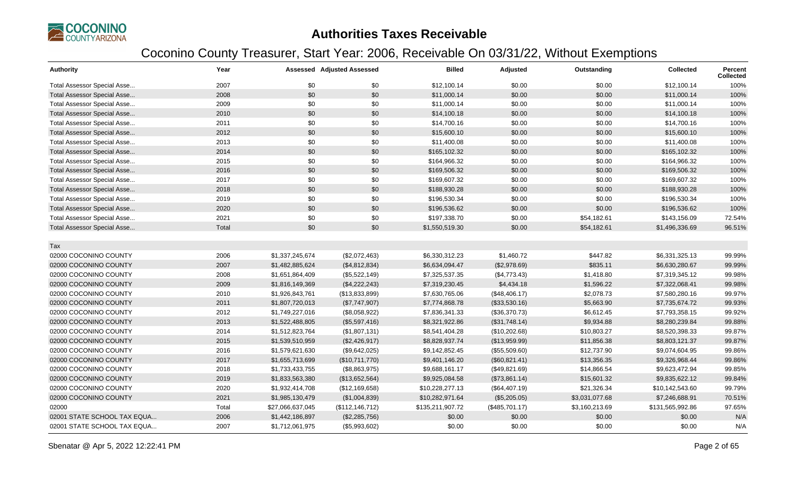

| <b>Authority</b>                   | Year  |                  | <b>Assessed Adjusted Assessed</b> | <b>Billed</b>    | Adjusted       | Outstanding    | <b>Collected</b> | Percent<br><b>Collected</b> |
|------------------------------------|-------|------------------|-----------------------------------|------------------|----------------|----------------|------------------|-----------------------------|
| Total Assessor Special Asse        | 2007  | \$0              | \$0                               | \$12,100.14      | \$0.00         | \$0.00         | \$12,100.14      | 100%                        |
| Total Assessor Special Asse        | 2008  | \$0              | \$0                               | \$11,000.14      | \$0.00         | \$0.00         | \$11,000.14      | 100%                        |
| Total Assessor Special Asse        | 2009  | \$0              | \$0                               | \$11,000.14      | \$0.00         | \$0.00         | \$11,000.14      | 100%                        |
| <b>Total Assessor Special Asse</b> | 2010  | \$0              | \$0                               | \$14,100.18      | \$0.00         | \$0.00         | \$14,100.18      | 100%                        |
| Total Assessor Special Asse        | 2011  | \$0              | \$0                               | \$14,700.16      | \$0.00         | \$0.00         | \$14,700.16      | 100%                        |
| Total Assessor Special Asse        | 2012  | \$0              | \$0                               | \$15,600.10      | \$0.00         | \$0.00         | \$15,600.10      | 100%                        |
| Total Assessor Special Asse        | 2013  | \$0              | \$0                               | \$11,400.08      | \$0.00         | \$0.00         | \$11,400.08      | 100%                        |
| Total Assessor Special Asse        | 2014  | \$0              | \$0                               | \$165,102.32     | \$0.00         | \$0.00         | \$165,102.32     | 100%                        |
| Total Assessor Special Asse        | 2015  | \$0              | \$0                               | \$164,966.32     | \$0.00         | \$0.00         | \$164,966.32     | 100%                        |
| <b>Total Assessor Special Asse</b> | 2016  | \$0              | \$0                               | \$169,506.32     | \$0.00         | \$0.00         | \$169,506.32     | 100%                        |
| Total Assessor Special Asse        | 2017  | \$0              | \$0                               | \$169,607.32     | \$0.00         | \$0.00         | \$169,607.32     | 100%                        |
| Total Assessor Special Asse        | 2018  | \$0              | \$0                               | \$188,930.28     | \$0.00         | \$0.00         | \$188,930.28     | 100%                        |
| Total Assessor Special Asse        | 2019  | \$0              | \$0                               | \$196,530.34     | \$0.00         | \$0.00         | \$196,530.34     | 100%                        |
| Total Assessor Special Asse        | 2020  | \$0              | \$0                               | \$196,536.62     | \$0.00         | \$0.00         | \$196,536.62     | 100%                        |
| Total Assessor Special Asse        | 2021  | \$0              | \$0                               | \$197,338.70     | \$0.00         | \$54,182.61    | \$143,156.09     | 72.54%                      |
| Total Assessor Special Asse        | Total | \$0              | \$0                               | \$1,550,519.30   | \$0.00         | \$54,182.61    | \$1,496,336.69   | 96.51%                      |
| Tax                                |       |                  |                                   |                  |                |                |                  |                             |
| 02000 COCONINO COUNTY              | 2006  | \$1,337,245,674  | (\$2,072,463)                     | \$6,330,312.23   | \$1,460.72     | \$447.82       | \$6,331,325.13   | 99.99%                      |
| 02000 COCONINO COUNTY              | 2007  | \$1,482,885,624  | (\$4,812,834)                     | \$6,634,094.47   | (\$2,978.69)   | \$835.11       | \$6,630,280.67   | 99.99%                      |
| 02000 COCONINO COUNTY              | 2008  | \$1,651,864,409  | (\$5,522,149)                     | \$7,325,537.35   | (\$4,773.43)   | \$1,418.80     | \$7,319,345.12   | 99.98%                      |
| 02000 COCONINO COUNTY              | 2009  | \$1,816,149,369  | (\$4,222,243)                     | \$7,319,230.45   | \$4,434.18     | \$1,596.22     | \$7,322,068.41   | 99.98%                      |
| 02000 COCONINO COUNTY              | 2010  | \$1,926,843,761  | (\$13,833,899)                    | \$7,630,765.06   | (\$48,406.17)  | \$2,078.73     | \$7,580,280.16   | 99.97%                      |
| 02000 COCONINO COUNTY              | 2011  | \$1,807,720,013  | (\$7,747,907)                     | \$7,774,868.78   | (\$33,530.16)  | \$5,663.90     | \$7,735,674.72   | 99.93%                      |
| 02000 COCONINO COUNTY              | 2012  | \$1,749,227,016  | (\$8,058,922)                     | \$7,836,341.33   | (\$36,370.73)  | \$6,612.45     | \$7,793,358.15   | 99.92%                      |
| 02000 COCONINO COUNTY              | 2013  | \$1,522,488,805  | (\$5,597,416)                     | \$8,321,922.86   | (\$31,748.14)  | \$9,934.88     | \$8,280,239.84   | 99.88%                      |
| 02000 COCONINO COUNTY              | 2014  | \$1,512,823,764  | (\$1,807,131)                     | \$8,541,404.28   | (\$10,202.68)  | \$10,803.27    | \$8,520,398.33   | 99.87%                      |
| 02000 COCONINO COUNTY              | 2015  | \$1,539,510,959  | (\$2,426,917)                     | \$8,828,937.74   | (\$13,959.99)  | \$11,856.38    | \$8,803,121.37   | 99.87%                      |
| 02000 COCONINO COUNTY              | 2016  | \$1,579,621,630  | (\$9,642,025)                     | \$9,142,852.45   | (\$55,509.60)  | \$12,737.90    | \$9,074,604.95   | 99.86%                      |
| 02000 COCONINO COUNTY              | 2017  | \$1,655,713,699  | (\$10,711,770)                    | \$9,401,146.20   | (\$60,821.41)  | \$13,356.35    | \$9,326,968.44   | 99.86%                      |
| 02000 COCONINO COUNTY              | 2018  | \$1,733,433,755  | (\$8,863,975)                     | \$9,688,161.17   | (\$49,821.69)  | \$14,866.54    | \$9,623,472.94   | 99.85%                      |
| 02000 COCONINO COUNTY              | 2019  | \$1,833,563,380  | (\$13,652,564)                    | \$9,925,084.58   | (\$73,861.14)  | \$15,601.32    | \$9,835,622.12   | 99.84%                      |
| 02000 COCONINO COUNTY              | 2020  | \$1,932,414,708  | (\$12,169,658)                    | \$10,228,277.13  | (\$64,407.19)  | \$21,326.34    | \$10,142,543.60  | 99.79%                      |
| 02000 COCONINO COUNTY              | 2021  | \$1,985,130,479  | (\$1,004,839)                     | \$10,282,971.64  | (\$5,205.05)   | \$3,031,077.68 | \$7,246,688.91   | 70.51%                      |
| 02000                              | Total | \$27,066,637,045 | (\$112, 146, 712)                 | \$135,211,907.72 | (\$485,701.17) | \$3,160,213.69 | \$131,565,992.86 | 97.65%                      |
| 02001 STATE SCHOOL TAX EQUA        | 2006  | \$1,442,186,897  | (\$2,285,756)                     | \$0.00           | \$0.00         | \$0.00         | \$0.00           | N/A                         |
| 02001 STATE SCHOOL TAX EQUA        | 2007  | \$1,712,061,975  | (\$5,993,602)                     | \$0.00           | \$0.00         | \$0.00         | \$0.00           | N/A                         |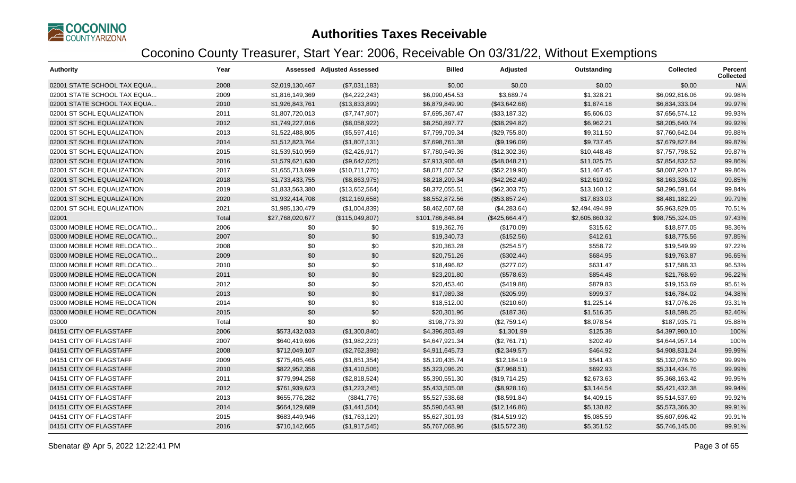

| <b>Authority</b>             | Year  |                  | <b>Assessed Adjusted Assessed</b> | <b>Billed</b>    | Adjusted       | Outstanding    | Collected       | <b>Percent</b><br><b>Collected</b> |
|------------------------------|-------|------------------|-----------------------------------|------------------|----------------|----------------|-----------------|------------------------------------|
| 02001 STATE SCHOOL TAX EQUA  | 2008  | \$2,019,130,467  | (\$7,031,183)                     | \$0.00           | \$0.00         | \$0.00         | \$0.00          | N/A                                |
| 02001 STATE SCHOOL TAX EQUA  | 2009  | \$1,816,149,369  | (\$4,222,243)                     | \$6,090,454.53   | \$3.689.74     | \$1,328.21     | \$6,092,816.06  | 99.98%                             |
| 02001 STATE SCHOOL TAX EQUA  | 2010  | \$1,926,843,761  | (\$13,833,899)                    | \$6,879,849.90   | (\$43,642.68)  | \$1,874.18     | \$6,834,333.04  | 99.97%                             |
| 02001 ST SCHL EQUALIZATION   | 2011  | \$1,807,720,013  | (\$7,747,907)                     | \$7,695,367.47   | (\$33,187.32)  | \$5,606.03     | \$7,656,574.12  | 99.93%                             |
| 02001 ST SCHL EQUALIZATION   | 2012  | \$1,749,227,016  | (\$8,058,922)                     | \$8,250,897.77   | (\$38,294.82)  | \$6,962.21     | \$8,205,640.74  | 99.92%                             |
| 02001 ST SCHL EQUALIZATION   | 2013  | \$1,522,488,805  | (\$5,597,416)                     | \$7,799,709.34   | (\$29,755.80)  | \$9,311.50     | \$7,760,642.04  | 99.88%                             |
| 02001 ST SCHL EQUALIZATION   | 2014  | \$1,512,823,764  | (\$1,807,131)                     | \$7,698,761.38   | (\$9,196.09)   | \$9,737.45     | \$7,679,827.84  | 99.87%                             |
| 02001 ST SCHL EQUALIZATION   | 2015  | \$1,539,510,959  | (\$2,426,917)                     | \$7,780,549.36   | (\$12,302.36)  | \$10,448.48    | \$7,757,798.52  | 99.87%                             |
| 02001 ST SCHL EQUALIZATION   | 2016  | \$1,579,621,630  | (\$9,642,025)                     | \$7,913,906.48   | (\$48,048.21)  | \$11,025.75    | \$7,854,832.52  | 99.86%                             |
| 02001 ST SCHL EQUALIZATION   | 2017  | \$1,655,713,699  | (\$10,711,770)                    | \$8,071,607.52   | (\$52,219.90)  | \$11,467.45    | \$8,007,920.17  | 99.86%                             |
| 02001 ST SCHL EQUALIZATION   | 2018  | \$1,733,433,755  | (\$8,863,975)                     | \$8,218,209.34   | (\$42,262.40)  | \$12,610.92    | \$8,163,336.02  | 99.85%                             |
| 02001 ST SCHL EQUALIZATION   | 2019  | \$1,833,563,380  | (\$13,652,564)                    | \$8,372,055.51   | (\$62,303.75)  | \$13,160.12    | \$8,296,591.64  | 99.84%                             |
| 02001 ST SCHL EQUALIZATION   | 2020  | \$1,932,414,708  | (\$12,169,658)                    | \$8,552,872.56   | (\$53,857.24)  | \$17,833.03    | \$8,481,182.29  | 99.79%                             |
| 02001 ST SCHL EQUALIZATION   | 2021  | \$1,985,130,479  | (\$1,004,839)                     | \$8,462,607.68   | (\$4,283.64)   | \$2,494,494.99 | \$5,963,829.05  | 70.51%                             |
| 02001                        | Total | \$27,768,020,677 | (\$115,049,807)                   | \$101,786,848.84 | (\$425,664.47) | \$2,605,860.32 | \$98,755,324.05 | 97.43%                             |
| 03000 MOBILE HOME RELOCATIO  | 2006  | \$0              | \$0                               | \$19,362.76      | (\$170.09)     | \$315.62       | \$18,877.05     | 98.36%                             |
| 03000 MOBILE HOME RELOCATIO  | 2007  | \$0              | \$0                               | \$19,340.73      | (\$152.56)     | \$412.61       | \$18,775.56     | 97.85%                             |
| 03000 MOBILE HOME RELOCATIO  | 2008  | \$0              | \$0                               | \$20,363.28      | (\$254.57)     | \$558.72       | \$19,549.99     | 97.22%                             |
| 03000 MOBILE HOME RELOCATIO  | 2009  | \$0              | \$0                               | \$20,751.26      | (\$302.44)     | \$684.95       | \$19,763.87     | 96.65%                             |
| 03000 MOBILE HOME RELOCATIO  | 2010  | \$0              | \$0                               | \$18,496.82      | (\$277.02)     | \$631.47       | \$17,588.33     | 96.53%                             |
| 03000 MOBILE HOME RELOCATION | 2011  | \$0              | \$0                               | \$23,201.80      | (\$578.63)     | \$854.48       | \$21,768.69     | 96.22%                             |
| 03000 MOBILE HOME RELOCATION | 2012  | \$0              | \$0                               | \$20,453.40      | (\$419.88)     | \$879.83       | \$19,153.69     | 95.61%                             |
| 03000 MOBILE HOME RELOCATION | 2013  | \$0              | \$0                               | \$17,989.38      | (\$205.99)     | \$999.37       | \$16,784.02     | 94.38%                             |
| 03000 MOBILE HOME RELOCATION | 2014  | \$0              | \$0                               | \$18,512.00      | (\$210.60)     | \$1,225.14     | \$17,076.26     | 93.31%                             |
| 03000 MOBILE HOME RELOCATION | 2015  | \$0              | \$0                               | \$20,301.96      | (\$187.36)     | \$1,516.35     | \$18,598.25     | 92.46%                             |
| 03000                        | Total | \$0              | \$0                               | \$198,773.39     | (\$2,759.14)   | \$8,078.54     | \$187,935.71    | 95.88%                             |
| 04151 CITY OF FLAGSTAFF      | 2006  | \$573,432,033    | (\$1,300,840)                     | \$4,396,803.49   | \$1,301.99     | \$125.38       | \$4,397,980.10  | 100%                               |
| 04151 CITY OF FLAGSTAFF      | 2007  | \$640,419,696    | (\$1,982,223)                     | \$4,647,921.34   | (\$2,761.71)   | \$202.49       | \$4,644,957.14  | 100%                               |
| 04151 CITY OF FLAGSTAFF      | 2008  | \$712,049,107    | (\$2,762,398)                     | \$4,911,645.73   | (\$2,349.57)   | \$464.92       | \$4,908,831.24  | 99.99%                             |
| 04151 CITY OF FLAGSTAFF      | 2009  | \$775,405,465    | (\$1,851,354)                     | \$5,120,435.74   | \$12,184.19    | \$541.43       | \$5,132,078.50  | 99.99%                             |
| 04151 CITY OF FLAGSTAFF      | 2010  | \$822,952,358    | (\$1,410,506)                     | \$5,323,096.20   | (\$7,968.51)   | \$692.93       | \$5,314,434.76  | 99.99%                             |
| 04151 CITY OF FLAGSTAFF      | 2011  | \$779,994,258    | (\$2,818,524)                     | \$5,390,551.30   | (\$19,714.25)  | \$2,673.63     | \$5,368,163.42  | 99.95%                             |
| 04151 CITY OF FLAGSTAFF      | 2012  | \$761,939,623    | (\$1,223,245)                     | \$5,433,505.08   | (\$8,928.16)   | \$3,144.54     | \$5,421,432.38  | 99.94%                             |
| 04151 CITY OF FLAGSTAFF      | 2013  | \$655,776,282    | (\$841,776)                       | \$5,527,538.68   | (\$8,591.84)   | \$4,409.15     | \$5,514,537.69  | 99.92%                             |
| 04151 CITY OF FLAGSTAFF      | 2014  | \$664,129,689    | (\$1,441,504)                     | \$5,590,643.98   | (\$12,146.86)  | \$5,130.82     | \$5,573,366.30  | 99.91%                             |
| 04151 CITY OF FLAGSTAFF      | 2015  | \$683,449,946    | (\$1,763,129)                     | \$5,627,301.93   | (\$14,519.92)  | \$5,085.59     | \$5,607,696.42  | 99.91%                             |
| 04151 CITY OF FLAGSTAFF      | 2016  | \$710,142,665    | (\$1,917,545)                     | \$5,767,068.96   | (\$15,572.38)  | \$5,351.52     | \$5,746,145.06  | 99.91%                             |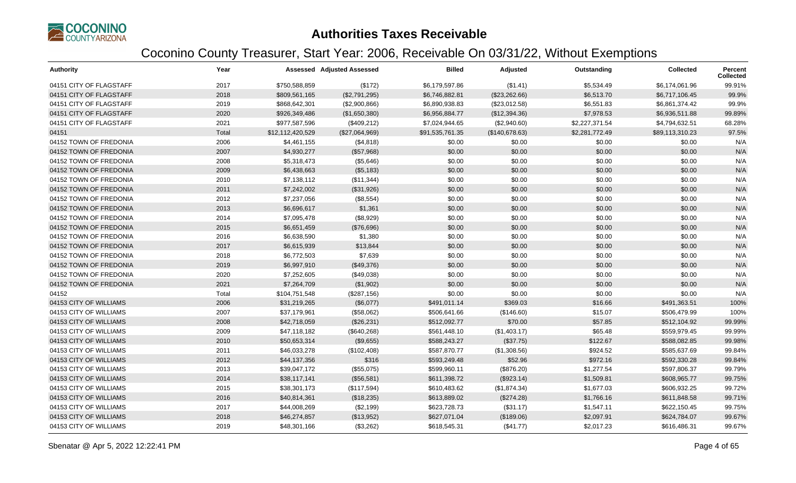

| <b>Authority</b>        | Year  |                  | <b>Assessed Adjusted Assessed</b> | <b>Billed</b>   | Adjusted       | Outstanding    | <b>Collected</b> | <b>Percent</b><br><b>Collected</b> |
|-------------------------|-------|------------------|-----------------------------------|-----------------|----------------|----------------|------------------|------------------------------------|
| 04151 CITY OF FLAGSTAFF | 2017  | \$750,588,859    | (\$172)                           | \$6,179,597.86  | (\$1.41)       | \$5,534.49     | \$6,174,061.96   | 99.91%                             |
| 04151 CITY OF FLAGSTAFF | 2018  | \$809,561,165    | (\$2,791,295)                     | \$6,746,882.81  | (\$23,262.66)  | \$6,513.70     | \$6,717,106.45   | 99.9%                              |
| 04151 CITY OF FLAGSTAFF | 2019  | \$868,642,301    | (\$2,900,866)                     | \$6,890,938.83  | (\$23,012.58)  | \$6,551.83     | \$6,861,374.42   | 99.9%                              |
| 04151 CITY OF FLAGSTAFF | 2020  | \$926,349,486    | (\$1,650,380)                     | \$6,956,884.77  | (\$12,394.36)  | \$7,978.53     | \$6,936,511.88   | 99.89%                             |
| 04151 CITY OF FLAGSTAFF | 2021  | \$977,587,596    | (\$409,212)                       | \$7,024,944.65  | (\$2,940.60)   | \$2,227,371.54 | \$4,794,632.51   | 68.28%                             |
| 04151                   | Total | \$12,112,420,529 | (\$27,064,969)                    | \$91,535,761.35 | (\$140,678.63) | \$2,281,772.49 | \$89,113,310.23  | 97.5%                              |
| 04152 TOWN OF FREDONIA  | 2006  | \$4,461,155      | (\$4,818)                         | \$0.00          | \$0.00         | \$0.00         | \$0.00           | N/A                                |
| 04152 TOWN OF FREDONIA  | 2007  | \$4,930,277      | (\$57,968)                        | \$0.00          | \$0.00         | \$0.00         | \$0.00           | N/A                                |
| 04152 TOWN OF FREDONIA  | 2008  | \$5,318,473      | (\$5,646)                         | \$0.00          | \$0.00         | \$0.00         | \$0.00           | N/A                                |
| 04152 TOWN OF FREDONIA  | 2009  | \$6,438,663      | (\$5,183)                         | \$0.00          | \$0.00         | \$0.00         | \$0.00           | N/A                                |
| 04152 TOWN OF FREDONIA  | 2010  | \$7,138,112      | (\$11,344)                        | \$0.00          | \$0.00         | \$0.00         | \$0.00           | N/A                                |
| 04152 TOWN OF FREDONIA  | 2011  | \$7,242,002      | (\$31,926)                        | \$0.00          | \$0.00         | \$0.00         | \$0.00           | N/A                                |
| 04152 TOWN OF FREDONIA  | 2012  | \$7,237,056      | (\$8,554)                         | \$0.00          | \$0.00         | \$0.00         | \$0.00           | N/A                                |
| 04152 TOWN OF FREDONIA  | 2013  | \$6,696,617      | \$1,361                           | \$0.00          | \$0.00         | \$0.00         | \$0.00           | N/A                                |
| 04152 TOWN OF FREDONIA  | 2014  | \$7,095,478      | (\$8,929)                         | \$0.00          | \$0.00         | \$0.00         | \$0.00           | N/A                                |
| 04152 TOWN OF FREDONIA  | 2015  | \$6,651,459      | (\$76,696)                        | \$0.00          | \$0.00         | \$0.00         | \$0.00           | N/A                                |
| 04152 TOWN OF FREDONIA  | 2016  | \$6,638,590      | \$1,380                           | \$0.00          | \$0.00         | \$0.00         | \$0.00           | N/A                                |
| 04152 TOWN OF FREDONIA  | 2017  | \$6,615,939      | \$13,844                          | \$0.00          | \$0.00         | \$0.00         | \$0.00           | N/A                                |
| 04152 TOWN OF FREDONIA  | 2018  | \$6,772,503      | \$7,639                           | \$0.00          | \$0.00         | \$0.00         | \$0.00           | N/A                                |
| 04152 TOWN OF FREDONIA  | 2019  | \$6,997,910      | (\$49,376)                        | \$0.00          | \$0.00         | \$0.00         | \$0.00           | N/A                                |
| 04152 TOWN OF FREDONIA  | 2020  | \$7,252,605      | (\$49,038)                        | \$0.00          | \$0.00         | \$0.00         | \$0.00           | N/A                                |
| 04152 TOWN OF FREDONIA  | 2021  | \$7,264,709      | (\$1,902)                         | \$0.00          | \$0.00         | \$0.00         | \$0.00           | N/A                                |
| 04152                   | Total | \$104,751,548    | (\$287, 156)                      | \$0.00          | \$0.00         | \$0.00         | \$0.00           | N/A                                |
| 04153 CITY OF WILLIAMS  | 2006  | \$31,219,265     | (\$6,077)                         | \$491,011.14    | \$369.03       | \$16.66        | \$491,363.51     | 100%                               |
| 04153 CITY OF WILLIAMS  | 2007  | \$37,179,961     | (\$58,062)                        | \$506,641.66    | (\$146.60)     | \$15.07        | \$506,479.99     | 100%                               |
| 04153 CITY OF WILLIAMS  | 2008  | \$42,718,059     | (\$26,231)                        | \$512,092.77    | \$70.00        | \$57.85        | \$512,104.92     | 99.99%                             |
| 04153 CITY OF WILLIAMS  | 2009  | \$47,118,182     | (\$640,268)                       | \$561,448.10    | (\$1,403.17)   | \$65.48        | \$559,979.45     | 99.99%                             |
| 04153 CITY OF WILLIAMS  | 2010  | \$50,653,314     | (\$9,655)                         | \$588,243.27    | (\$37.75)      | \$122.67       | \$588,082.85     | 99.98%                             |
| 04153 CITY OF WILLIAMS  | 2011  | \$46,033,278     | (\$102,408)                       | \$587,870.77    | (\$1,308.56)   | \$924.52       | \$585,637.69     | 99.84%                             |
| 04153 CITY OF WILLIAMS  | 2012  | \$44,137,356     | \$316                             | \$593,249.48    | \$52.96        | \$972.16       | \$592,330.28     | 99.84%                             |
| 04153 CITY OF WILLIAMS  | 2013  | \$39,047,172     | (\$55,075)                        | \$599,960.11    | (\$876.20)     | \$1,277.54     | \$597,806.37     | 99.79%                             |
| 04153 CITY OF WILLIAMS  | 2014  | \$38,117,141     | (\$56,581)                        | \$611,398.72    | (\$923.14)     | \$1,509.81     | \$608,965.77     | 99.75%                             |
| 04153 CITY OF WILLIAMS  | 2015  | \$38,301,173     | (\$117,594)                       | \$610,483.62    | (\$1,874.34)   | \$1,677.03     | \$606,932.25     | 99.72%                             |
| 04153 CITY OF WILLIAMS  | 2016  | \$40,814,361     | (\$18,235)                        | \$613,889.02    | (\$274.28)     | \$1,766.16     | \$611,848.58     | 99.71%                             |
| 04153 CITY OF WILLIAMS  | 2017  | \$44,008,269     | (\$2,199)                         | \$623,728.73    | (\$31.17)      | \$1,547.11     | \$622,150.45     | 99.75%                             |
| 04153 CITY OF WILLIAMS  | 2018  | \$46,274,857     | (\$13,952)                        | \$627,071.04    | (\$189.06)     | \$2,097.91     | \$624,784.07     | 99.67%                             |
| 04153 CITY OF WILLIAMS  | 2019  | \$48,301,166     | (\$3,262)                         | \$618,545.31    | (\$41.77)      | \$2,017.23     | \$616,486.31     | 99.67%                             |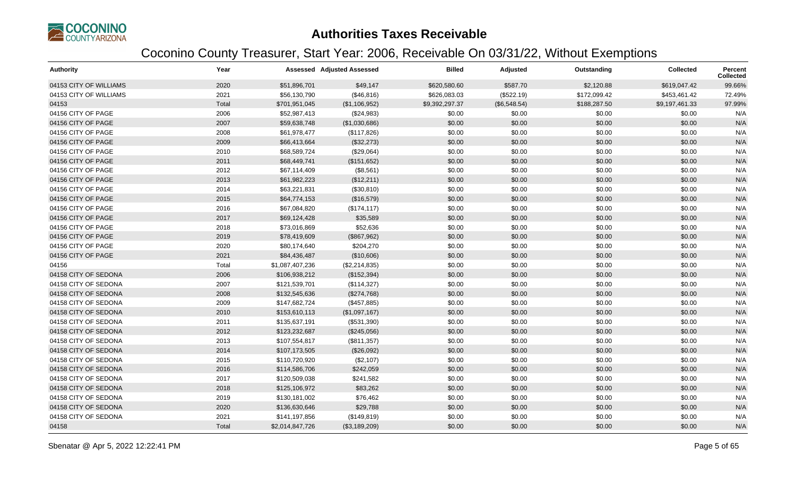

| <b>Authority</b>       | Year  |                 | <b>Assessed Adjusted Assessed</b> | <b>Billed</b>  | Adjusted     | Outstanding  | <b>Collected</b> | <b>Percent</b><br>Collected |
|------------------------|-------|-----------------|-----------------------------------|----------------|--------------|--------------|------------------|-----------------------------|
| 04153 CITY OF WILLIAMS | 2020  | \$51,896,701    | \$49,147                          | \$620,580.60   | \$587.70     | \$2,120.88   | \$619,047.42     | 99.66%                      |
| 04153 CITY OF WILLIAMS | 2021  | \$56,130,790    | (\$46, 816)                       | \$626,083.03   | (\$522.19)   | \$172,099.42 | \$453,461.42     | 72.49%                      |
| 04153                  | Total | \$701,951,045   | (\$1,106,952)                     | \$9,392,297.37 | (\$6,548.54) | \$188,287.50 | \$9,197,461.33   | 97.99%                      |
| 04156 CITY OF PAGE     | 2006  | \$52,987,413    | (\$24,983)                        | \$0.00         | \$0.00       | \$0.00       | \$0.00           | N/A                         |
| 04156 CITY OF PAGE     | 2007  | \$59,638,748    | (\$1,030,686)                     | \$0.00         | \$0.00       | \$0.00       | \$0.00           | N/A                         |
| 04156 CITY OF PAGE     | 2008  | \$61,978,477    | (\$117,826)                       | \$0.00         | \$0.00       | \$0.00       | \$0.00           | N/A                         |
| 04156 CITY OF PAGE     | 2009  | \$66,413,664    | (\$32,273)                        | \$0.00         | \$0.00       | \$0.00       | \$0.00           | N/A                         |
| 04156 CITY OF PAGE     | 2010  | \$68,589,724    | (\$29,064)                        | \$0.00         | \$0.00       | \$0.00       | \$0.00           | N/A                         |
| 04156 CITY OF PAGE     | 2011  | \$68,449,741    | (\$151,652)                       | \$0.00         | \$0.00       | \$0.00       | \$0.00           | N/A                         |
| 04156 CITY OF PAGE     | 2012  | \$67,114,409    | (\$8,561)                         | \$0.00         | \$0.00       | \$0.00       | \$0.00           | N/A                         |
| 04156 CITY OF PAGE     | 2013  | \$61,982,223    | (\$12,211)                        | \$0.00         | \$0.00       | \$0.00       | \$0.00           | N/A                         |
| 04156 CITY OF PAGE     | 2014  | \$63,221,831    | (\$30,810)                        | \$0.00         | \$0.00       | \$0.00       | \$0.00           | N/A                         |
| 04156 CITY OF PAGE     | 2015  | \$64,774,153    | (\$16,579)                        | \$0.00         | \$0.00       | \$0.00       | \$0.00           | N/A                         |
| 04156 CITY OF PAGE     | 2016  | \$67,084,820    | (\$174, 117)                      | \$0.00         | \$0.00       | \$0.00       | \$0.00           | N/A                         |
| 04156 CITY OF PAGE     | 2017  | \$69,124,428    | \$35,589                          | \$0.00         | \$0.00       | \$0.00       | \$0.00           | N/A                         |
| 04156 CITY OF PAGE     | 2018  | \$73,016,869    | \$52,636                          | \$0.00         | \$0.00       | \$0.00       | \$0.00           | N/A                         |
| 04156 CITY OF PAGE     | 2019  | \$78,419,609    | (\$867,962)                       | \$0.00         | \$0.00       | \$0.00       | \$0.00           | N/A                         |
| 04156 CITY OF PAGE     | 2020  | \$80,174,640    | \$204,270                         | \$0.00         | \$0.00       | \$0.00       | \$0.00           | N/A                         |
| 04156 CITY OF PAGE     | 2021  | \$84,436,487    | (\$10,606)                        | \$0.00         | \$0.00       | \$0.00       | \$0.00           | N/A                         |
| 04156                  | Total | \$1,087,407,236 | (\$2,214,835)                     | \$0.00         | \$0.00       | \$0.00       | \$0.00           | N/A                         |
| 04158 CITY OF SEDONA   | 2006  | \$106,938,212   | (\$152,394)                       | \$0.00         | \$0.00       | \$0.00       | \$0.00           | N/A                         |
| 04158 CITY OF SEDONA   | 2007  | \$121,539,701   | (\$114,327)                       | \$0.00         | \$0.00       | \$0.00       | \$0.00           | N/A                         |
| 04158 CITY OF SEDONA   | 2008  | \$132,545,636   | (\$274,768)                       | \$0.00         | \$0.00       | \$0.00       | \$0.00           | N/A                         |
| 04158 CITY OF SEDONA   | 2009  | \$147,682,724   | (\$457,885)                       | \$0.00         | \$0.00       | \$0.00       | \$0.00           | N/A                         |
| 04158 CITY OF SEDONA   | 2010  | \$153,610,113   | (\$1,097,167)                     | \$0.00         | \$0.00       | \$0.00       | \$0.00           | N/A                         |
| 04158 CITY OF SEDONA   | 2011  | \$135,637,191   | (\$531,390)                       | \$0.00         | \$0.00       | \$0.00       | \$0.00           | N/A                         |
| 04158 CITY OF SEDONA   | 2012  | \$123,232,687   | (\$245,056)                       | \$0.00         | \$0.00       | \$0.00       | \$0.00           | N/A                         |
| 04158 CITY OF SEDONA   | 2013  | \$107,554,817   | (\$811,357)                       | \$0.00         | \$0.00       | \$0.00       | \$0.00           | N/A                         |
| 04158 CITY OF SEDONA   | 2014  | \$107,173,505   | (\$26,092)                        | \$0.00         | \$0.00       | \$0.00       | \$0.00           | N/A                         |
| 04158 CITY OF SEDONA   | 2015  | \$110,720,920   | (\$2,107)                         | \$0.00         | \$0.00       | \$0.00       | \$0.00           | N/A                         |
| 04158 CITY OF SEDONA   | 2016  | \$114,586,706   | \$242,059                         | \$0.00         | \$0.00       | \$0.00       | \$0.00           | N/A                         |
| 04158 CITY OF SEDONA   | 2017  | \$120,509,038   | \$241,582                         | \$0.00         | \$0.00       | \$0.00       | \$0.00           | N/A                         |
| 04158 CITY OF SEDONA   | 2018  | \$125,106,972   | \$83,262                          | \$0.00         | \$0.00       | \$0.00       | \$0.00           | N/A                         |
| 04158 CITY OF SEDONA   | 2019  | \$130,181,002   | \$76,462                          | \$0.00         | \$0.00       | \$0.00       | \$0.00           | N/A                         |
| 04158 CITY OF SEDONA   | 2020  | \$136,630,646   | \$29,788                          | \$0.00         | \$0.00       | \$0.00       | \$0.00           | N/A                         |
| 04158 CITY OF SEDONA   | 2021  | \$141,197,856   | (\$149, 819)                      | \$0.00         | \$0.00       | \$0.00       | \$0.00           | N/A                         |
| 04158                  | Total | \$2,014,847,726 | (\$3,189,209)                     | \$0.00         | \$0.00       | \$0.00       | \$0.00           | N/A                         |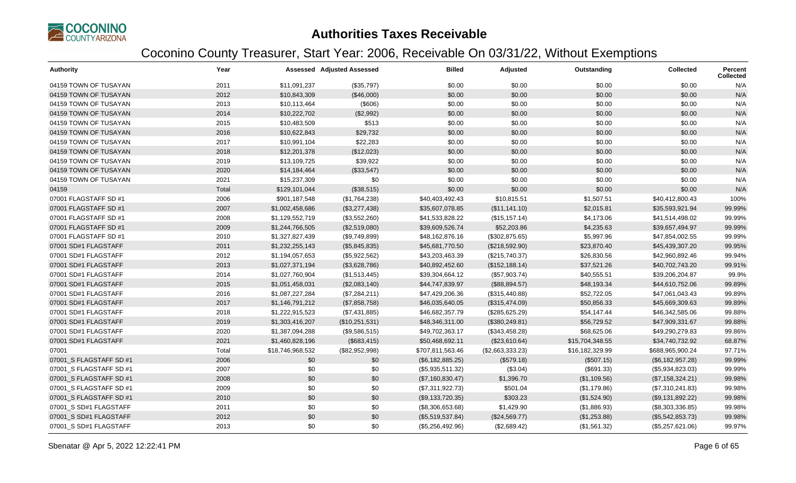

| <b>Authority</b>        | Year  |                  | <b>Assessed Adjusted Assessed</b> | <b>Billed</b>    | Adjusted         | Outstanding     | Collected          | Percent<br><b>Collected</b> |
|-------------------------|-------|------------------|-----------------------------------|------------------|------------------|-----------------|--------------------|-----------------------------|
| 04159 TOWN OF TUSAYAN   | 2011  | \$11,091,237     | (\$35,797)                        | \$0.00           | \$0.00           | \$0.00          | \$0.00             | N/A                         |
| 04159 TOWN OF TUSAYAN   | 2012  | \$10,843,309     | (\$46,000)                        | \$0.00           | \$0.00           | \$0.00          | \$0.00             | N/A                         |
| 04159 TOWN OF TUSAYAN   | 2013  | \$10,113,464     | (\$606)                           | \$0.00           | \$0.00           | \$0.00          | \$0.00             | N/A                         |
| 04159 TOWN OF TUSAYAN   | 2014  | \$10,222,702     | (\$2,992)                         | \$0.00           | \$0.00           | \$0.00          | \$0.00             | N/A                         |
| 04159 TOWN OF TUSAYAN   | 2015  | \$10,483,509     | \$513                             | \$0.00           | \$0.00           | \$0.00          | \$0.00             | N/A                         |
| 04159 TOWN OF TUSAYAN   | 2016  | \$10,622,843     | \$29,732                          | \$0.00           | \$0.00           | \$0.00          | \$0.00             | N/A                         |
| 04159 TOWN OF TUSAYAN   | 2017  | \$10,991,104     | \$22,283                          | \$0.00           | \$0.00           | \$0.00          | \$0.00             | N/A                         |
| 04159 TOWN OF TUSAYAN   | 2018  | \$12,201,378     | (\$12,023)                        | \$0.00           | \$0.00           | \$0.00          | \$0.00             | N/A                         |
| 04159 TOWN OF TUSAYAN   | 2019  | \$13,109,725     | \$39,922                          | \$0.00           | \$0.00           | \$0.00          | \$0.00             | N/A                         |
| 04159 TOWN OF TUSAYAN   | 2020  | \$14,184,464     | (\$33,547)                        | \$0.00           | \$0.00           | \$0.00          | \$0.00             | N/A                         |
| 04159 TOWN OF TUSAYAN   | 2021  | \$15,237,309     | \$0                               | \$0.00           | \$0.00           | \$0.00          | \$0.00             | N/A                         |
| 04159                   | Total | \$129,101,044    | (\$38,515)                        | \$0.00           | \$0.00           | \$0.00          | \$0.00             | N/A                         |
| 07001 FLAGSTAFF SD #1   | 2006  | \$901,187,548    | (\$1,764,238)                     | \$40,403,492.43  | \$10,815.51      | \$1,507.51      | \$40,412,800.43    | 100%                        |
| 07001 FLAGSTAFF SD #1   | 2007  | \$1,002,458,686  | (\$3,277,438)                     | \$35,607,078.85  | (\$11,141.10)    | \$2,015.81      | \$35,593,921.94    | 99.99%                      |
| 07001 FLAGSTAFF SD #1   | 2008  | \$1,129,552,719  | (\$3,552,260)                     | \$41,533,828.22  | (\$15, 157.14)   | \$4,173.06      | \$41,514,498.02    | 99.99%                      |
| 07001 FLAGSTAFF SD #1   | 2009  | \$1,244,766,505  | (\$2,519,080)                     | \$39,609,526.74  | \$52,203.86      | \$4,235.63      | \$39,657,494.97    | 99.99%                      |
| 07001 FLAGSTAFF SD #1   | 2010  | \$1,327,827,439  | (\$9,749,899)                     | \$48,162,876.16  | (\$302,875.65)   | \$5,997.96      | \$47,854,002.55    | 99.99%                      |
| 07001 SD#1 FLAGSTAFF    | 2011  | \$1,232,255,143  | (\$5,845,835)                     | \$45,681,770.50  | (\$218,592.90)   | \$23,870.40     | \$45,439,307.20    | 99.95%                      |
| 07001 SD#1 FLAGSTAFF    | 2012  | \$1,194,057,653  | (\$5,922,562)                     | \$43,203,463.39  | (\$215,740.37)   | \$26,830.56     | \$42,960,892.46    | 99.94%                      |
| 07001 SD#1 FLAGSTAFF    | 2013  | \$1,027,371,194  | (\$3,628,786)                     | \$40,892,452.60  | (\$152, 188.14)  | \$37,521.26     | \$40,702,743.20    | 99.91%                      |
| 07001 SD#1 FLAGSTAFF    | 2014  | \$1,027,760,904  | (\$1,513,445)                     | \$39,304,664.12  | (\$57,903.74)    | \$40,555.51     | \$39,206,204.87    | 99.9%                       |
| 07001 SD#1 FLAGSTAFF    | 2015  | \$1,051,458,031  | (\$2,083,140)                     | \$44,747,839.97  | (\$88,894.57)    | \$48,193.34     | \$44,610,752.06    | 99.89%                      |
| 07001 SD#1 FLAGSTAFF    | 2016  | \$1,087,227,284  | (\$7,284,211)                     | \$47,429,206.36  | (\$315,440.88)   | \$52,722.05     | \$47,061,043.43    | 99.89%                      |
| 07001 SD#1 FLAGSTAFF    | 2017  | \$1,146,791,212  | (\$7,858,758)                     | \$46,035,640.05  | (\$315,474.09)   | \$50,856.33     | \$45,669,309.63    | 99.89%                      |
| 07001 SD#1 FLAGSTAFF    | 2018  | \$1,222,915,523  | (\$7,431,885)                     | \$46,682,357.79  | (\$285,625.29)   | \$54,147.44     | \$46,342,585.06    | 99.88%                      |
| 07001 SD#1 FLAGSTAFF    | 2019  | \$1,303,416,207  | (\$10,251,531)                    | \$48,346,311.00  | (\$380, 249.81)  | \$56,729.52     | \$47,909,331.67    | 99.88%                      |
| 07001 SD#1 FLAGSTAFF    | 2020  | \$1,387,094,288  | (\$9,586,515)                     | \$49,702,363.17  | (\$343,458.28)   | \$68,625.06     | \$49,290,279.83    | 99.86%                      |
| 07001 SD#1 FLAGSTAFF    | 2021  | \$1,460,828,196  | (\$683,415)                       | \$50,468,692.11  | (\$23,610.64)    | \$15,704,348.55 | \$34,740,732.92    | 68.87%                      |
| 07001                   | Total | \$18,746,968,532 | (\$82,952,998)                    | \$707,811,563.46 | (\$2,663,333.23) | \$16,182,329.99 | \$688,965,900.24   | 97.71%                      |
| 07001 S FLAGSTAFF SD #1 | 2006  | \$0              | \$0                               | (\$6,182,885.25) | (\$579.18)       | (\$507.15)      | $(\$6,182,957.28)$ | 99.99%                      |
| 07001_S FLAGSTAFF SD #1 | 2007  | \$0              | \$0                               | (\$5,935,511.32) | (\$3.04)         | (\$691.33)      | (\$5,934,823.03)   | 99.99%                      |
| 07001 S FLAGSTAFF SD #1 | 2008  | \$0              | \$0                               | (\$7,160,830.47) | \$1,396.70       | (\$1,109.56)    | (\$7,158,324.21)   | 99.98%                      |
| 07001 S FLAGSTAFF SD #1 | 2009  | \$0              | \$0                               | (\$7,311,922.73) | \$501.04         | (\$1,179.86)    | (\$7,310,241.83)   | 99.98%                      |
| 07001_S FLAGSTAFF SD #1 | 2010  | \$0              | \$0                               | (\$9,133,720.35) | \$303.23         | (\$1,524.90)    | (\$9,131,892.22)   | 99.98%                      |
| 07001_S SD#1 FLAGSTAFF  | 2011  | \$0              | \$0                               | (\$8,306,653.68) | \$1,429.90       | (\$1,886.93)    | (\$8,303,336.85)   | 99.98%                      |
| 07001_S SD#1 FLAGSTAFF  | 2012  | \$0              | \$0                               | (\$5,519,537.84) | (\$24,569.77)    | (\$1,253.88)    | (\$5,542,853.73)   | 99.98%                      |
| 07001_S SD#1 FLAGSTAFF  | 2013  | \$0              | \$0                               | (\$5,256,492.96) | (\$2,689.42)     | (\$1,561.32)    | (\$5,257,621.06)   | 99.97%                      |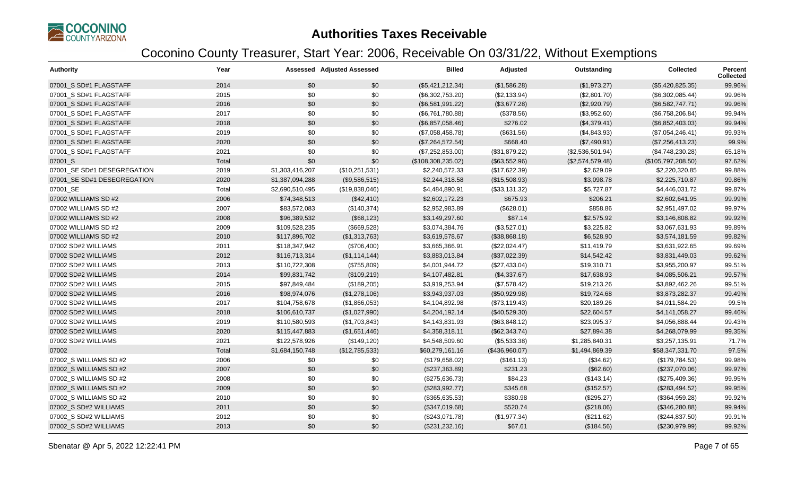

| <b>Authority</b>            | Year  |                 | <b>Assessed Adjusted Assessed</b> | <b>Billed</b>      | Adjusted       | Outstanding      | <b>Collected</b>   | Percent<br><b>Collected</b> |
|-----------------------------|-------|-----------------|-----------------------------------|--------------------|----------------|------------------|--------------------|-----------------------------|
| 07001_S SD#1 FLAGSTAFF      | 2014  | \$0             | \$0                               | (\$5,421,212.34)   | (\$1,586.28)   | (\$1,973.27)     | (\$5,420,825.35)   | 99.96%                      |
| 07001_S SD#1 FLAGSTAFF      | 2015  | \$0             | \$0                               | (\$6,302,753.20)   | (\$2,133.94)   | (\$2,801.70)     | (\$6,302,085.44)   | 99.96%                      |
| 07001_S SD#1 FLAGSTAFF      | 2016  | \$0             | \$0                               | (\$6,581,991.22)   | (\$3,677.28)   | (\$2,920.79)     | (\$6,582,747.71)   | 99.96%                      |
| 07001_S SD#1 FLAGSTAFF      | 2017  | \$0             | \$0                               | (\$6,761,780.88)   | (\$378.56)     | (\$3,952.60)     | (\$6,758,206.84)   | 99.94%                      |
| 07001_S SD#1 FLAGSTAFF      | 2018  | \$0             | \$0                               | (\$6,857,058.46)   | \$276.02       | (\$4,379.41)     | (\$6,852,403.03)   | 99.94%                      |
| 07001 S SD#1 FLAGSTAFF      | 2019  | \$0             | \$0                               | (\$7,058,458.78)   | (\$631.56)     | (\$4,843.93)     | (\$7,054,246.41)   | 99.93%                      |
| 07001_S SD#1 FLAGSTAFF      | 2020  | \$0             | \$0                               | (\$7,264,572.54)   | \$668.40       | (\$7,490.91)     | (\$7,256,413.23)   | 99.9%                       |
| 07001_S SD#1 FLAGSTAFF      | 2021  | \$0             | \$0                               | (\$7,252,853.00)   | (\$31,879.22)  | (\$2,536,501.94) | (\$4,748,230.28)   | 65.18%                      |
| 07001_S                     | Total | \$0             | \$0                               | (\$108,308,235.02) | (\$63,552.96)  | (\$2,574,579.48) | (\$105,797,208.50) | 97.62%                      |
| 07001 SE SD#1 DESEGREGATION | 2019  | \$1,303,416,207 | (\$10,251,531)                    | \$2,240,572.33     | (\$17,622.39)  | \$2,629.09       | \$2,220,320.85     | 99.88%                      |
| 07001 SE SD#1 DESEGREGATION | 2020  | \$1,387,094,288 | (\$9,586,515)                     | \$2,244,318.58     | (\$15,508.93)  | \$3,098.78       | \$2,225,710.87     | 99.86%                      |
| 07001_SE                    | Total | \$2,690,510,495 | (\$19,838,046)                    | \$4,484,890.91     | (\$33,131.32)  | \$5,727.87       | \$4,446,031.72     | 99.87%                      |
| 07002 WILLIAMS SD #2        | 2006  | \$74,348,513    | (\$42,410)                        | \$2,602,172.23     | \$675.93       | \$206.21         | \$2,602,641.95     | 99.99%                      |
| 07002 WILLIAMS SD #2        | 2007  | \$83,572,083    | (\$140,374)                       | \$2,952,983.89     | (\$628.01)     | \$858.86         | \$2,951,497.02     | 99.97%                      |
| 07002 WILLIAMS SD #2        | 2008  | \$96,389,532    | (\$68,123)                        | \$3,149,297.60     | \$87.14        | \$2,575.92       | \$3,146,808.82     | 99.92%                      |
| 07002 WILLIAMS SD #2        | 2009  | \$109,528,235   | (\$669,528)                       | \$3,074,384.76     | (\$3,527.01)   | \$3,225.82       | \$3,067,631.93     | 99.89%                      |
| 07002 WILLIAMS SD #2        | 2010  | \$117,896,702   | (\$1,313,763)                     | \$3,619,578.67     | (\$38,868.18)  | \$6,528.90       | \$3,574,181.59     | 99.82%                      |
| 07002 SD#2 WILLIAMS         | 2011  | \$118,347,942   | (\$706,400)                       | \$3,665,366.91     | (\$22,024.47)  | \$11,419.79      | \$3,631,922.65     | 99.69%                      |
| 07002 SD#2 WILLIAMS         | 2012  | \$116,713,314   | (\$1,114,144)                     | \$3,883,013.84     | (\$37,022.39)  | \$14,542.42      | \$3,831,449.03     | 99.62%                      |
| 07002 SD#2 WILLIAMS         | 2013  | \$110,722,308   | (\$755,809)                       | \$4,001,944.72     | (\$27,433.04)  | \$19,310.71      | \$3,955,200.97     | 99.51%                      |
| 07002 SD#2 WILLIAMS         | 2014  | \$99,831,742    | (\$109,219)                       | \$4,107,482.81     | (\$4,337.67)   | \$17,638.93      | \$4,085,506.21     | 99.57%                      |
| 07002 SD#2 WILLIAMS         | 2015  | \$97,849,484    | (\$189,205)                       | \$3,919,253.94     | (\$7,578.42)   | \$19,213.26      | \$3,892,462.26     | 99.51%                      |
| 07002 SD#2 WILLIAMS         | 2016  | \$98,974,076    | (\$1,278,106)                     | \$3,943,937.03     | (\$50,929.98)  | \$19,724.68      | \$3,873,282.37     | 99.49%                      |
| 07002 SD#2 WILLIAMS         | 2017  | \$104,758,678   | (\$1,866,053)                     | \$4,104,892.98     | (\$73,119.43)  | \$20,189.26      | \$4,011,584.29     | 99.5%                       |
| 07002 SD#2 WILLIAMS         | 2018  | \$106,610,737   | (\$1,027,990)                     | \$4,204,192.14     | (\$40,529.30)  | \$22,604.57      | \$4,141,058.27     | 99.46%                      |
| 07002 SD#2 WILLIAMS         | 2019  | \$110,580,593   | (\$1,703,843)                     | \$4,143,831.93     | (\$63,848.12)  | \$23,095.37      | \$4,056,888.44     | 99.43%                      |
| 07002 SD#2 WILLIAMS         | 2020  | \$115,447,883   | (\$1,651,446)                     | \$4,358,318.11     | (\$62,343.74)  | \$27,894.38      | \$4,268,079.99     | 99.35%                      |
| 07002 SD#2 WILLIAMS         | 2021  | \$122,578,926   | (\$149, 120)                      | \$4,548,509.60     | (\$5,533.38)   | \$1,285,840.31   | \$3,257,135.91     | 71.7%                       |
| 07002                       | Total | \$1,684,150,748 | (\$12,785,533)                    | \$60,279,161.16    | (\$436,960.07) | \$1,494,869.39   | \$58,347,331.70    | 97.5%                       |
| 07002 S WILLIAMS SD #2      | 2006  | \$0             | \$0                               | (\$179,658.02)     | (\$161.13)     | (\$34.62)        | (\$179,784.53)     | 99.98%                      |
| 07002 S WILLIAMS SD #2      | 2007  | \$0             | \$0                               | (\$237,363.89)     | \$231.23       | (\$62.60)        | (\$237,070.06)     | 99.97%                      |
| 07002 S WILLIAMS SD #2      | 2008  | \$0             | \$0                               | (\$275,636.73)     | \$84.23        | (\$143.14)       | (\$275,409.36)     | 99.95%                      |
| 07002 S WILLIAMS SD #2      | 2009  | \$0             | \$0                               | (\$283,992.77)     | \$345.68       | (\$152.57)       | (\$283,494.52)     | 99.95%                      |
| 07002 S WILLIAMS SD #2      | 2010  | \$0             | \$0                               | (\$365,635.53)     | \$380.98       | (\$295.27)       | (\$364,959.28)     | 99.92%                      |
| 07002 S SD#2 WILLIAMS       | 2011  | \$0             | \$0                               | (\$347,019.68)     | \$520.74       | (\$218.06)       | (\$346,280.88)     | 99.94%                      |
| 07002_S SD#2 WILLIAMS       | 2012  | \$0             | \$0                               | (\$243,071.78)     | (\$1,977.34)   | (\$211.62)       | (\$244, 837.50)    | 99.91%                      |
| 07002 S SD#2 WILLIAMS       | 2013  | \$0             | \$0                               | (\$231, 232.16)    | \$67.61        | (\$184.56)       | (\$230,979.99)     | 99.92%                      |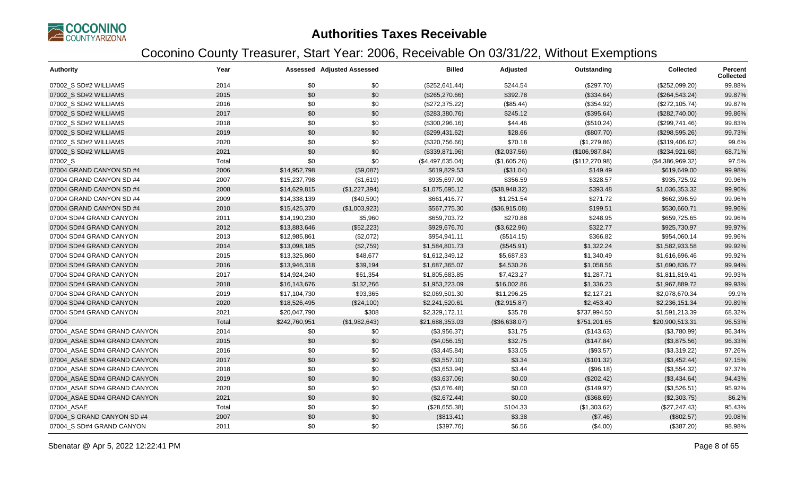

| <b>Authority</b>             | Year  |               | <b>Assessed Adjusted Assessed</b> | <b>Billed</b>    | Adjusted      | Outstanding    | <b>Collected</b> | Percent<br><b>Collected</b> |
|------------------------------|-------|---------------|-----------------------------------|------------------|---------------|----------------|------------------|-----------------------------|
| 07002_S SD#2 WILLIAMS        | 2014  | \$0           | \$0                               | (\$252,641.44)   | \$244.54      | (\$297.70)     | (\$252,099.20)   | 99.88%                      |
| 07002 S SD#2 WILLIAMS        | 2015  | \$0           | \$0                               | (\$265,270.66)   | \$392.78      | (\$334.64)     | (\$264,543.24)   | 99.87%                      |
| 07002_S SD#2 WILLIAMS        | 2016  | \$0           | \$0                               | (\$272,375.22)   | (\$85.44)     | (\$354.92)     | (\$272,105.74)   | 99.87%                      |
| 07002_S SD#2 WILLIAMS        | 2017  | \$0           | \$0                               | (\$283,380.76)   | \$245.12      | (\$395.64)     | (\$282,740.00)   | 99.86%                      |
| 07002 S SD#2 WILLIAMS        | 2018  | \$0           | \$0                               | (\$300, 296.16)  | \$44.46       | (\$510.24)     | (\$299,741.46)   | 99.83%                      |
| 07002 S SD#2 WILLIAMS        | 2019  | \$0           | \$0                               | (\$299,431.62)   | \$28.66       | (\$807.70)     | (\$298,595.26)   | 99.73%                      |
| 07002_S SD#2 WILLIAMS        | 2020  | \$0           | \$0                               | (\$320,756.66)   | \$70.18       | (\$1,279.86)   | (\$319,406.62)   | 99.6%                       |
| 07002 S SD#2 WILLIAMS        | 2021  | \$0           | \$0                               | (\$339,871.96)   | (\$2,037.56)  | (\$106,987.84) | (\$234,921.68)   | 68.71%                      |
| 07002_S                      | Total | \$0           | \$0                               | (\$4,497,635.04) | (\$1,605.26)  | (\$112,270.98) | (\$4,386,969.32) | 97.5%                       |
| 07004 GRAND CANYON SD #4     | 2006  | \$14,952,798  | (\$9,087)                         | \$619,829.53     | (\$31.04)     | \$149.49       | \$619,649.00     | 99.98%                      |
| 07004 GRAND CANYON SD #4     | 2007  | \$15,237,798  | (\$1,619)                         | \$935,697.90     | \$356.59      | \$328.57       | \$935,725.92     | 99.96%                      |
| 07004 GRAND CANYON SD #4     | 2008  | \$14,629,815  | (\$1,227,394)                     | \$1,075,695.12   | (\$38,948.32) | \$393.48       | \$1,036,353.32   | 99.96%                      |
| 07004 GRAND CANYON SD #4     | 2009  | \$14,338,139  | (\$40,590)                        | \$661,416.77     | \$1,251.54    | \$271.72       | \$662,396.59     | 99.96%                      |
| 07004 GRAND CANYON SD #4     | 2010  | \$15,425,370  | (\$1,003,923)                     | \$567,775.30     | (\$36,915.08) | \$199.51       | \$530,660.71     | 99.96%                      |
| 07004 SD#4 GRAND CANYON      | 2011  | \$14,190,230  | \$5,960                           | \$659,703.72     | \$270.88      | \$248.95       | \$659,725.65     | 99.96%                      |
| 07004 SD#4 GRAND CANYON      | 2012  | \$13,883,646  | (\$52,223)                        | \$929,676.70     | (\$3,622.96)  | \$322.77       | \$925,730.97     | 99.97%                      |
| 07004 SD#4 GRAND CANYON      | 2013  | \$12,985,861  | (\$2,072)                         | \$954,941.11     | (\$514.15)    | \$366.82       | \$954,060.14     | 99.96%                      |
| 07004 SD#4 GRAND CANYON      | 2014  | \$13,098,185  | (\$2,759)                         | \$1,584,801.73   | (\$545.91)    | \$1,322.24     | \$1,582,933.58   | 99.92%                      |
| 07004 SD#4 GRAND CANYON      | 2015  | \$13,325,860  | \$48,677                          | \$1,612,349.12   | \$5,687.83    | \$1,340.49     | \$1,616,696.46   | 99.92%                      |
| 07004 SD#4 GRAND CANYON      | 2016  | \$13,946,318  | \$39,194                          | \$1,687,365.07   | \$4,530.26    | \$1,058.56     | \$1,690,836.77   | 99.94%                      |
| 07004 SD#4 GRAND CANYON      | 2017  | \$14,924,240  | \$61,354                          | \$1,805,683.85   | \$7,423.27    | \$1,287.71     | \$1,811,819.41   | 99.93%                      |
| 07004 SD#4 GRAND CANYON      | 2018  | \$16,143,676  | \$132,266                         | \$1,953,223.09   | \$16,002.86   | \$1,336.23     | \$1,967,889.72   | 99.93%                      |
| 07004 SD#4 GRAND CANYON      | 2019  | \$17,104,730  | \$93,365                          | \$2,069,501.30   | \$11,296.25   | \$2,127.21     | \$2,078,670.34   | 99.9%                       |
| 07004 SD#4 GRAND CANYON      | 2020  | \$18,526,495  | (\$24,100)                        | \$2,241,520.61   | (\$2,915.87)  | \$2,453.40     | \$2,236,151.34   | 99.89%                      |
| 07004 SD#4 GRAND CANYON      | 2021  | \$20,047,790  | \$308                             | \$2,329,172.11   | \$35.78       | \$737,994.50   | \$1,591,213.39   | 68.32%                      |
| 07004                        | Total | \$242,760,951 | (\$1,982,643)                     | \$21,688,353.03  | (\$36,638.07) | \$751,201.65   | \$20,900,513.31  | 96.53%                      |
| 07004 ASAE SD#4 GRAND CANYON | 2014  | \$0           | \$0                               | (\$3,956.37)     | \$31.75       | (\$143.63)     | (\$3,780.99)     | 96.34%                      |
| 07004 ASAE SD#4 GRAND CANYON | 2015  | \$0           | \$0                               | (\$4,056.15)     | \$32.75       | (\$147.84)     | (\$3,875.56)     | 96.33%                      |
| 07004_ASAE SD#4 GRAND CANYON | 2016  | \$0           | \$0                               | (\$3,445.84)     | \$33.05       | (\$93.57)      | (\$3,319.22)     | 97.26%                      |
| 07004 ASAE SD#4 GRAND CANYON | 2017  | \$0           | \$0                               | (\$3,557.10)     | \$3.34        | (\$101.32)     | (\$3,452.44)     | 97.15%                      |
| 07004 ASAE SD#4 GRAND CANYON | 2018  | \$0           | \$0                               | (\$3,653.94)     | \$3.44        | (\$96.18)      | (\$3,554.32)     | 97.37%                      |
| 07004 ASAE SD#4 GRAND CANYON | 2019  | \$0           | \$0                               | (\$3,637.06)     | \$0.00        | (\$202.42)     | (\$3,434.64)     | 94.43%                      |
| 07004 ASAE SD#4 GRAND CANYON | 2020  | \$0           | \$0                               | (\$3,676.48)     | \$0.00        | (\$149.97)     | (\$3,526.51)     | 95.92%                      |
| 07004_ASAE SD#4 GRAND CANYON | 2021  | \$0           | \$0                               | (\$2,672.44)     | \$0.00        | (\$368.69)     | (\$2,303.75)     | 86.2%                       |
| 07004_ASAE                   | Total | \$0           | \$0                               | (\$28,655.38)    | \$104.33      | (\$1,303.62)   | (\$27, 247.43)   | 95.43%                      |
| 07004 S GRAND CANYON SD #4   | 2007  | \$0           | \$0                               | (\$813.41)       | \$3.38        | (\$7.46)       | (\$802.57)       | 99.08%                      |
| 07004_S SD#4 GRAND CANYON    | 2011  | \$0           | \$0                               | (\$397.76)       | \$6.56        | (\$4.00)       | (\$387.20)       | 98.98%                      |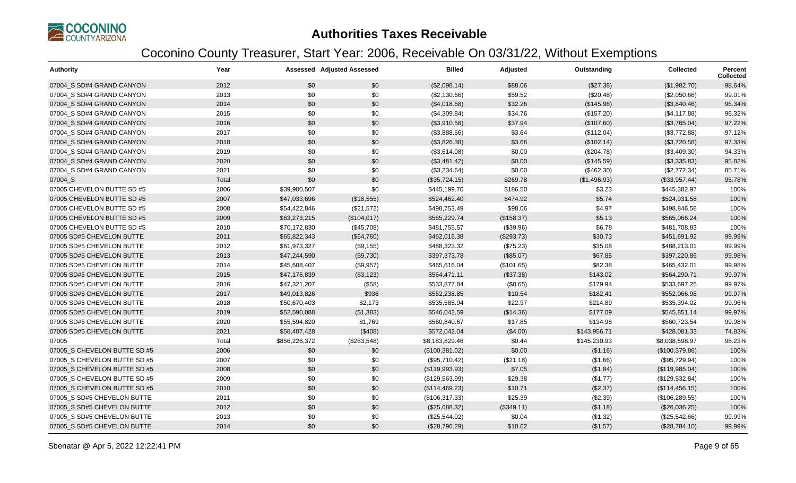

| <b>Authority</b>             | Year  |               | <b>Assessed Adjusted Assessed</b> | <b>Billed</b>  | Adjusted   | Outstanding  | <b>Collected</b> | Percent<br><b>Collected</b> |
|------------------------------|-------|---------------|-----------------------------------|----------------|------------|--------------|------------------|-----------------------------|
| 07004 S SD#4 GRAND CANYON    | 2012  | \$0           | \$0                               | (\$2,098.14)   | \$88.06    | (\$27.38)    | (\$1,982.70)     | 98.64%                      |
| 07004_S SD#4 GRAND CANYON    | 2013  | \$0           | \$0                               | (\$2,130.66)   | \$59.52    | (\$20.48)    | (\$2,050.66)     | 99.01%                      |
| 07004 S SD#4 GRAND CANYON    | 2014  | \$0           | \$0                               | (\$4,018.68)   | \$32.26    | (\$145.96)   | (\$3,840.46)     | 96.34%                      |
| 07004 S SD#4 GRAND CANYON    | 2015  | \$0           | \$0                               | (\$4,309.84)   | \$34.76    | (\$157.20)   | (\$4,117.88)     | 96.32%                      |
| 07004 S SD#4 GRAND CANYON    | 2016  | \$0           | \$0                               | (\$3,910.58)   | \$37.94    | (\$107.60)   | (\$3,765.04)     | 97.22%                      |
| 07004 S SD#4 GRAND CANYON    | 2017  | \$0           | \$0                               | (\$3,888.56)   | \$3.64     | (\$112.04)   | (\$3,772.88)     | 97.12%                      |
| 07004 S SD#4 GRAND CANYON    | 2018  | \$0           | \$0                               | (\$3,826.38)   | \$3.66     | (\$102.14)   | (\$3,720.58)     | 97.33%                      |
| 07004_S SD#4 GRAND CANYON    | 2019  | \$0           | \$0                               | (\$3,614.08)   | \$0.00     | (\$204.78)   | (\$3,409.30)     | 94.33%                      |
| 07004 S SD#4 GRAND CANYON    | 2020  | \$0           | \$0                               | (\$3,481.42)   | \$0.00     | (\$145.59)   | (\$3,335.83)     | 95.82%                      |
| 07004 S SD#4 GRAND CANYON    | 2021  | \$0           | \$0                               | (\$3,234.64)   | \$0.00     | (\$462.30)   | (\$2,772.34)     | 85.71%                      |
| 07004_S                      | Total | \$0           | \$0                               | (\$35,724.15)  | \$269.78   | (\$1,496.93) | (\$33,957.44)    | 95.78%                      |
| 07005 CHEVELON BUTTE SD #5   | 2006  | \$39,900,507  | \$0                               | \$445,199.70   | \$186.50   | \$3.23       | \$445,382.97     | 100%                        |
| 07005 CHEVELON BUTTE SD #5   | 2007  | \$47,033,696  | (\$18,555)                        | \$524,462.40   | \$474.92   | \$5.74       | \$524,931.58     | 100%                        |
| 07005 CHEVELON BUTTE SD #5   | 2008  | \$54,422,846  | (\$21,572)                        | \$498,753.49   | \$98.06    | \$4.97       | \$498,846.58     | 100%                        |
| 07005 CHEVELON BUTTE SD #5   | 2009  | \$63,273,215  | (\$104,017)                       | \$565,229.74   | (\$158.37) | \$5.13       | \$565,066.24     | 100%                        |
| 07005 CHEVELON BUTTE SD #5   | 2010  | \$70,172,830  | (\$45,708)                        | \$481,755.57   | (\$39.96)  | \$6.78       | \$481,708.83     | 100%                        |
| 07005 SD#5 CHEVELON BUTTE    | 2011  | \$65,822,343  | (\$64,760)                        | \$452,016.38   | (\$293.73) | \$30.73      | \$451,691.92     | 99.99%                      |
| 07005 SD#5 CHEVELON BUTTE    | 2012  | \$61,973,327  | (\$9,155)                         | \$488,323.32   | (\$75.23)  | \$35.08      | \$488,213.01     | 99.99%                      |
| 07005 SD#5 CHEVELON BUTTE    | 2013  | \$47,244,590  | (\$9,730)                         | \$397,373.78   | (\$85.07)  | \$67.85      | \$397,220.86     | 99.98%                      |
| 07005 SD#5 CHEVELON BUTTE    | 2014  | \$45,608,407  | (\$9,957)                         | \$465,616.04   | (\$101.65) | \$82.38      | \$465,432.01     | 99.98%                      |
| 07005 SD#5 CHEVELON BUTTE    | 2015  | \$47,176,839  | (\$3,123)                         | \$564,471.11   | (\$37.38)  | \$143.02     | \$564,290.71     | 99.97%                      |
| 07005 SD#5 CHEVELON BUTTE    | 2016  | \$47,321,207  | (\$58)                            | \$533,877.84   | (\$0.65)   | \$179.94     | \$533,697.25     | 99.97%                      |
| 07005 SD#5 CHEVELON BUTTE    | 2017  | \$49,013,826  | \$936                             | \$552,238.85   | \$10.54    | \$182.41     | \$552,066.98     | 99.97%                      |
| 07005 SD#5 CHEVELON BUTTE    | 2018  | \$50,670,403  | \$2,173                           | \$535,585.94   | \$22.97    | \$214.89     | \$535,394.02     | 99.96%                      |
| 07005 SD#5 CHEVELON BUTTE    | 2019  | \$52,590,088  | (\$1,383)                         | \$546,042.59   | (\$14.36)  | \$177.09     | \$545,851.14     | 99.97%                      |
| 07005 SD#5 CHEVELON BUTTE    | 2020  | \$55,594,820  | \$1,769                           | \$560,840.67   | \$17.85    | \$134.98     | \$560,723.54     | 99.98%                      |
| 07005 SD#5 CHEVELON BUTTE    | 2021  | \$58,407,428  | (\$408)                           | \$572,042.04   | (\$4.00)   | \$143,956.71 | \$428,081.33     | 74.83%                      |
| 07005                        | Total | \$856,226,372 | (\$283,548)                       | \$8,183,829.46 | \$0.44     | \$145,230.93 | \$8,038,598.97   | 98.23%                      |
| 07005_S CHEVELON BUTTE SD #5 | 2006  | \$0           | \$0                               | (\$100,381.02) | \$0.00     | (\$1.16)     | (\$100,379.86)   | 100%                        |
| 07005_S CHEVELON BUTTE SD #5 | 2007  | \$0           | \$0                               | (\$95,710.42)  | (\$21.18)  | (\$1.66)     | (\$95,729.94)    | 100%                        |
| 07005_S CHEVELON BUTTE SD #5 | 2008  | \$0           | \$0                               | (\$119,993.93) | \$7.05     | (\$1.84)     | (\$119,985.04)   | 100%                        |
| 07005 S CHEVELON BUTTE SD #5 | 2009  | \$0           | \$0                               | (\$129,563.99) | \$29.38    | (\$1.77)     | (\$129,532.84)   | 100%                        |
| 07005 S CHEVELON BUTTE SD #5 | 2010  | \$0           | \$0                               | (\$114,469.23) | \$10.71    | (\$2.37)     | (\$114,456.15)   | 100%                        |
| 07005 S SD#5 CHEVELON BUTTE  | 2011  | \$0           | \$0                               | (\$106,317.33) | \$25.39    | (\$2.39)     | (\$106, 289.55)  | 100%                        |
| 07005 S SD#5 CHEVELON BUTTE  | 2012  | \$0           | \$0                               | (\$25,688.32)  | (\$349.11) | (\$1.18)     | (\$26,036.25)    | 100%                        |
| 07005 S SD#5 CHEVELON BUTTE  | 2013  | \$0           | \$0                               | (\$25,544.02)  | \$0.04     | (\$1.32)     | (\$25,542.66)    | 99.99%                      |
| 07005_S SD#5 CHEVELON BUTTE  | 2014  | \$0           | \$0                               | (\$28,796.29)  | \$10.62    | (\$1.57)     | (\$28,784.10)    | 99.99%                      |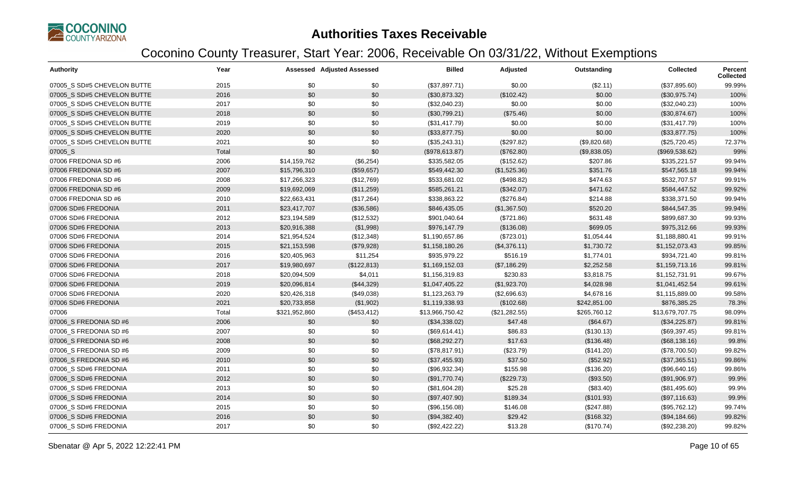

| <b>Authority</b>            | Year  |               | <b>Assessed Adjusted Assessed</b> | <b>Billed</b>   | Adjusted      | Outstanding  | <b>Collected</b> | Percent<br><b>Collected</b> |
|-----------------------------|-------|---------------|-----------------------------------|-----------------|---------------|--------------|------------------|-----------------------------|
| 07005_S SD#5 CHEVELON BUTTE | 2015  | \$0           | \$0                               | (\$37,897.71)   | \$0.00        | (\$2.11)     | (\$37,895.60)    | 99.99%                      |
| 07005 S SD#5 CHEVELON BUTTE | 2016  | \$0           | \$0                               | (\$30,873.32)   | (\$102.42)    | \$0.00       | (\$30,975.74)    | 100%                        |
| 07005_S SD#5 CHEVELON BUTTE | 2017  | \$0           | \$0                               | (\$32,040.23)   | \$0.00        | \$0.00       | (\$32,040.23)    | 100%                        |
| 07005_S SD#5 CHEVELON BUTTE | 2018  | \$0           | \$0                               | (\$30,799.21)   | (\$75.46)     | \$0.00       | (\$30,874.67)    | 100%                        |
| 07005 S SD#5 CHEVELON BUTTE | 2019  | \$0           | \$0                               | (\$31,417.79)   | \$0.00        | \$0.00       | (\$31,417.79)    | 100%                        |
| 07005 S SD#5 CHEVELON BUTTE | 2020  | \$0           | \$0                               | (\$33,877.75)   | \$0.00        | \$0.00       | (\$33,877.75)    | 100%                        |
| 07005_S SD#5 CHEVELON BUTTE | 2021  | \$0           | \$0                               | (\$35,243.31)   | (\$297.82)    | (\$9,820.68) | (\$25,720.45)    | 72.37%                      |
| 07005_S                     | Total | \$0           | \$0                               | (\$978,613.87)  | (\$762.80)    | (\$9,838.05) | (\$969,538.62)   | 99%                         |
| 07006 FREDONIA SD #6        | 2006  | \$14,159,762  | (\$6,254)                         | \$335,582.05    | (\$152.62)    | \$207.86     | \$335,221.57     | 99.94%                      |
| 07006 FREDONIA SD #6        | 2007  | \$15,796,310  | (\$59,657)                        | \$549,442.30    | (\$1,525.36)  | \$351.76     | \$547,565.18     | 99.94%                      |
| 07006 FREDONIA SD #6        | 2008  | \$17,266,323  | (\$12,769)                        | \$533,681.02    | (\$498.82)    | \$474.63     | \$532,707.57     | 99.91%                      |
| 07006 FREDONIA SD #6        | 2009  | \$19,692,069  | (\$11,259)                        | \$585,261.21    | (\$342.07)    | \$471.62     | \$584,447.52     | 99.92%                      |
| 07006 FREDONIA SD #6        | 2010  | \$22,663,431  | (\$17,264)                        | \$338,863.22    | (\$276.84)    | \$214.88     | \$338,371.50     | 99.94%                      |
| 07006 SD#6 FREDONIA         | 2011  | \$23,417,707  | (\$36,586)                        | \$846,435.05    | (\$1,367.50)  | \$520.20     | \$844,547.35     | 99.94%                      |
| 07006 SD#6 FREDONIA         | 2012  | \$23,194,589  | (\$12,532)                        | \$901,040.64    | (\$721.86)    | \$631.48     | \$899,687.30     | 99.93%                      |
| 07006 SD#6 FREDONIA         | 2013  | \$20,916,388  | (\$1,998)                         | \$976,147.79    | (\$136.08)    | \$699.05     | \$975,312.66     | 99.93%                      |
| 07006 SD#6 FREDONIA         | 2014  | \$21,954,524  | (\$12,348)                        | \$1,190,657.86  | (\$723.01)    | \$1,054.44   | \$1,188,880.41   | 99.91%                      |
| 07006 SD#6 FREDONIA         | 2015  | \$21,153,598  | (\$79,928)                        | \$1,158,180.26  | (\$4,376.11)  | \$1,730.72   | \$1,152,073.43   | 99.85%                      |
| 07006 SD#6 FREDONIA         | 2016  | \$20,405,963  | \$11,254                          | \$935,979.22    | \$516.19      | \$1,774.01   | \$934,721.40     | 99.81%                      |
| 07006 SD#6 FREDONIA         | 2017  | \$19,980,697  | (\$122,813)                       | \$1,169,152.03  | (\$7,186.29)  | \$2,252.58   | \$1,159,713.16   | 99.81%                      |
| 07006 SD#6 FREDONIA         | 2018  | \$20,094,509  | \$4,011                           | \$1,156,319.83  | \$230.83      | \$3,818.75   | \$1,152,731.91   | 99.67%                      |
| 07006 SD#6 FREDONIA         | 2019  | \$20,096,814  | (\$44,329)                        | \$1,047,405.22  | (\$1,923.70)  | \$4,028.98   | \$1,041,452.54   | 99.61%                      |
| 07006 SD#6 FREDONIA         | 2020  | \$20,426,318  | (\$49,038)                        | \$1,123,263.79  | (\$2,696.63)  | \$4,678.16   | \$1,115,889.00   | 99.58%                      |
| 07006 SD#6 FREDONIA         | 2021  | \$20,733,858  | (\$1,902)                         | \$1,119,338.93  | (\$102.68)    | \$242,851.00 | \$876,385.25     | 78.3%                       |
| 07006                       | Total | \$321,952,860 | (\$453, 412)                      | \$13,966,750.42 | (\$21,282.55) | \$265,760.12 | \$13,679,707.75  | 98.09%                      |
| 07006 S FREDONIA SD #6      | 2006  | \$0           | \$0                               | (\$34,338.02)   | \$47.48       | (\$64.67)    | (\$34,225.87)    | 99.81%                      |
| 07006_S FREDONIA SD #6      | 2007  | \$0           | \$0                               | (\$69,614.41)   | \$86.83       | (\$130.13)   | (\$69,397.45)    | 99.81%                      |
| 07006 S FREDONIA SD #6      | 2008  | \$0           | \$0                               | (\$68,292.27)   | \$17.63       | (\$136.48)   | (\$68,138.16)    | 99.8%                       |
| 07006_S FREDONIA SD #6      | 2009  | \$0           | \$0                               | (\$78,817.91)   | (\$23.79)     | (\$141.20)   | (\$78,700.50)    | 99.82%                      |
| 07006 S FREDONIA SD #6      | 2010  | \$0           | \$0                               | (\$37,455.93)   | \$37.50       | (\$52.92)    | (\$37,365.51)    | 99.86%                      |
| 07006 S SD#6 FREDONIA       | 2011  | \$0           | \$0                               | (\$96,932.34)   | \$155.98      | (\$136.20)   | (\$96,640.16)    | 99.86%                      |
| 07006_S SD#6 FREDONIA       | 2012  | \$0           | \$0                               | (\$91,770.74)   | (\$229.73)    | (\$93.50)    | (\$91,906.97)    | 99.9%                       |
| 07006 S SD#6 FREDONIA       | 2013  | \$0           | \$0                               | (\$81,604.28)   | \$25.28       | (\$83.40)    | (\$81,495.60)    | 99.9%                       |
| 07006_S SD#6 FREDONIA       | 2014  | \$0           | \$0                               | (\$97,407.90)   | \$189.34      | (\$101.93)   | (\$97,116.63)    | 99.9%                       |
| 07006_S SD#6 FREDONIA       | 2015  | \$0           | \$0                               | (\$96,156.08)   | \$146.08      | (\$247.88)   | (\$95,762.12)    | 99.74%                      |
| 07006 S SD#6 FREDONIA       | 2016  | \$0           | \$0                               | (\$94,382.40)   | \$29.42       | (\$168.32)   | (\$94,184.66)    | 99.82%                      |
| 07006 S SD#6 FREDONIA       | 2017  | \$0           | \$0                               | (\$92,422.22)   | \$13.28       | (\$170.74)   | (\$92,238.20)    | 99.82%                      |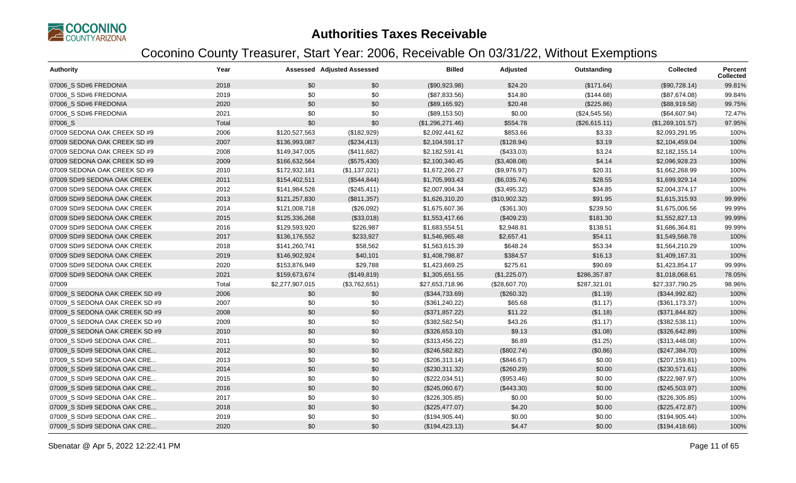

| <b>Authority</b>               | Year  |                 | <b>Assessed Adjusted Assessed</b> | <b>Billed</b>    | Adjusted      | Outstanding   | <b>Collected</b> | Percent<br><b>Collected</b> |
|--------------------------------|-------|-----------------|-----------------------------------|------------------|---------------|---------------|------------------|-----------------------------|
| 07006 S SD#6 FREDONIA          | 2018  | \$0             | \$0                               | (\$90,923.98)    | \$24.20       | (\$171.64)    | (\$90,728.14)    | 99.81%                      |
| 07006_S SD#6 FREDONIA          | 2019  | \$0             | \$0                               | (\$87,833.56)    | \$14.80       | (\$144.68)    | (\$87,674.08)    | 99.84%                      |
| 07006 S SD#6 FREDONIA          | 2020  | \$0             | \$0                               | (\$89,165.92)    | \$20.48       | (\$225.86)    | (\$88,919.58)    | 99.75%                      |
| 07006 S SD#6 FREDONIA          | 2021  | \$0             | \$0                               | (\$89,153.50)    | \$0.00        | (\$24,545.56) | (\$64,607.94)    | 72.47%                      |
| 07006_S                        | Total | \$0             | \$0                               | (\$1,296,271.46) | \$554.78      | (\$26,615.11) | (\$1,269,101.57) | 97.95%                      |
| 07009 SEDONA OAK CREEK SD #9   | 2006  | \$120,527,563   | (\$182,929)                       | \$2,092,441.62   | \$853.66      | \$3.33        | \$2,093,291.95   | 100%                        |
| 07009 SEDONA OAK CREEK SD #9   | 2007  | \$136,993,087   | (\$234,413)                       | \$2,104,591.17   | (\$128.94)    | \$3.19        | \$2,104,459.04   | 100%                        |
| 07009 SEDONA OAK CREEK SD #9   | 2008  | \$149,347,005   | (\$411,682)                       | \$2,182,591.41   | (\$433.03)    | \$3.24        | \$2,182,155.14   | 100%                        |
| 07009 SEDONA OAK CREEK SD #9   | 2009  | \$166,632,564   | (\$575,430)                       | \$2,100,340.45   | (\$3,408.08)  | \$4.14        | \$2,096,928.23   | 100%                        |
| 07009 SEDONA OAK CREEK SD #9   | 2010  | \$172,932,181   | (\$1,137,021)                     | \$1,672,266.27   | (\$9,976.97)  | \$20.31       | \$1,662,268.99   | 100%                        |
| 07009 SD#9 SEDONA OAK CREEK    | 2011  | \$154,402,511   | (\$544, 844)                      | \$1,705,993.43   | (\$6,035.74)  | \$28.55       | \$1,699,929.14   | 100%                        |
| 07009 SD#9 SEDONA OAK CREEK    | 2012  | \$141,984,528   | (\$245,411)                       | \$2,007,904.34   | (\$3,495.32)  | \$34.85       | \$2,004,374.17   | 100%                        |
| 07009 SD#9 SEDONA OAK CREEK    | 2013  | \$121,257,830   | (\$811,357)                       | \$1,626,310.20   | (\$10,902.32) | \$91.95       | \$1,615,315.93   | 99.99%                      |
| 07009 SD#9 SEDONA OAK CREEK    | 2014  | \$121,008,718   | (\$26,092)                        | \$1,675,607.36   | (\$361.30)    | \$239.50      | \$1,675,006.56   | 99.99%                      |
| 07009 SD#9 SEDONA OAK CREEK    | 2015  | \$125,336,268   | (\$33,018)                        | \$1,553,417.66   | (\$409.23)    | \$181.30      | \$1,552,827.13   | 99.99%                      |
| 07009 SD#9 SEDONA OAK CREEK    | 2016  | \$129,593,920   | \$226,987                         | \$1,683,554.51   | \$2,948.81    | \$138.51      | \$1,686,364.81   | 99.99%                      |
| 07009 SD#9 SEDONA OAK CREEK    | 2017  | \$136,176,552   | \$233,927                         | \$1,546,965.48   | \$2,657.41    | \$54.11       | \$1,549,568.78   | 100%                        |
| 07009 SD#9 SEDONA OAK CREEK    | 2018  | \$141,260,741   | \$58,562                          | \$1,563,615.39   | \$648.24      | \$53.34       | \$1,564,210.29   | 100%                        |
| 07009 SD#9 SEDONA OAK CREEK    | 2019  | \$146,902,924   | \$40,101                          | \$1,408,798.87   | \$384.57      | \$16.13       | \$1,409,167.31   | 100%                        |
| 07009 SD#9 SEDONA OAK CREEK    | 2020  | \$153,876,949   | \$29,788                          | \$1,423,669.25   | \$275.61      | \$90.69       | \$1,423,854.17   | 99.99%                      |
| 07009 SD#9 SEDONA OAK CREEK    | 2021  | \$159,673,674   | (\$149,819)                       | \$1,305,651.55   | (\$1,225.07)  | \$286,357.87  | \$1,018,068.61   | 78.05%                      |
| 07009                          | Total | \$2,277,907,015 | (\$3,762,651)                     | \$27,653,718.96  | (\$28,607.70) | \$287,321.01  | \$27,337,790.25  | 98.96%                      |
| 07009 S SEDONA OAK CREEK SD #9 | 2006  | \$0             | \$0                               | (\$344,733.69)   | (\$260.32)    | (\$1.19)      | (\$344,992.82)   | 100%                        |
| 07009 S SEDONA OAK CREEK SD #9 | 2007  | \$0             | \$0                               | (\$361, 240.22)  | \$65.68       | (\$1.17)      | (\$361,173.37)   | 100%                        |
| 07009_S SEDONA OAK CREEK SD #9 | 2008  | \$0             | \$0                               | (\$371,857.22)   | \$11.22       | (\$1.18)      | (\$371, 844.82)  | 100%                        |
| 07009_S SEDONA OAK CREEK SD #9 | 2009  | \$0             | \$0                               | (\$382,582.54)   | \$43.26       | (\$1.17)      | (\$382,538.11)   | 100%                        |
| 07009 S SEDONA OAK CREEK SD #9 | 2010  | \$0             | \$0                               | (\$326,653.10)   | \$9.13        | (\$1.08)      | (\$326,642.89)   | 100%                        |
| 07009 S SD#9 SEDONA OAK CRE    | 2011  | \$0             | \$0                               | (\$313,456.22)   | \$6.89        | (\$1.25)      | (\$313,448.08)   | 100%                        |
| 07009 S SD#9 SEDONA OAK CRE    | 2012  | \$0             | \$0                               | (\$246,582.82)   | (\$802.74)    | (\$0.86)      | (\$247,384.70)   | 100%                        |
| 07009_S SD#9 SEDONA OAK CRE    | 2013  | \$0             | \$0                               | (\$206,313.14)   | (\$846.67)    | \$0.00        | (\$207, 159.81)  | 100%                        |
| 07009 S SD#9 SEDONA OAK CRE    | 2014  | \$0             | \$0                               | (\$230,311.32)   | (\$260.29)    | \$0.00        | (\$230,571.61)   | 100%                        |
| 07009 S SD#9 SEDONA OAK CRE    | 2015  | \$0             | \$0                               | (\$222,034.51)   | (\$953.46)    | \$0.00        | (\$222,987.97)   | 100%                        |
| 07009 S SD#9 SEDONA OAK CRE    | 2016  | \$0             | \$0                               | (\$245,060.67)   | (\$443.30)    | \$0.00        | $(\$245,503.97)$ | 100%                        |
| 07009 S SD#9 SEDONA OAK CRE    | 2017  | \$0             | \$0                               | (\$226,305.85)   | \$0.00        | \$0.00        | (\$226,305.85)   | 100%                        |
| 07009 S SD#9 SEDONA OAK CRE    | 2018  | \$0             | \$0                               | (\$225,477.07)   | \$4.20        | \$0.00        | (\$225,472.87)   | 100%                        |
| 07009 S SD#9 SEDONA OAK CRE    | 2019  | \$0             | \$0                               | (\$194,905.44)   | \$0.00        | \$0.00        | (\$194,905.44)   | 100%                        |
| 07009 S SD#9 SEDONA OAK CRE    | 2020  | \$0             | \$0                               | (\$194, 423.13)  | \$4.47        | \$0.00        | (\$194,418.66)   | 100%                        |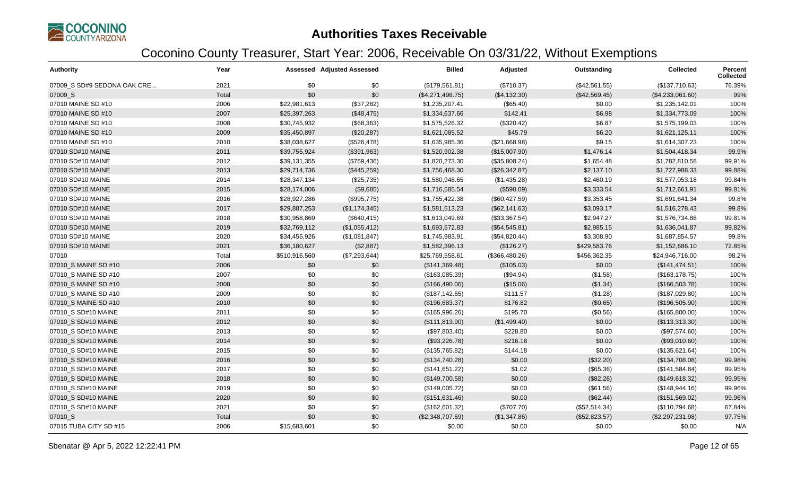

| <b>Authority</b>            | Year  |               | <b>Assessed Adjusted Assessed</b> | <b>Billed</b>    | Adjusted       | Outstanding   | Collected        | Percent<br><b>Collected</b> |
|-----------------------------|-------|---------------|-----------------------------------|------------------|----------------|---------------|------------------|-----------------------------|
| 07009 S SD#9 SEDONA OAK CRE | 2021  | \$0           | \$0                               | (\$179,561.81)   | (\$710.37)     | (\$42,561.55) | (\$137,710.63)   | 76.39%                      |
| 07009_S                     | Total | \$0           | \$0                               | (\$4,271,498.75) | (\$4,132.30)   | (\$42,569.45) | (\$4,233,061.60) | 99%                         |
| 07010 MAINE SD #10          | 2006  | \$22,981,613  | (\$37,282)                        | \$1,235,207.41   | (\$65.40)      | \$0.00        | \$1,235,142.01   | 100%                        |
| 07010 MAINE SD #10          | 2007  | \$25,397,263  | (\$48,475)                        | \$1,334,637.66   | \$142.41       | \$6.98        | \$1,334,773.09   | 100%                        |
| 07010 MAINE SD #10          | 2008  | \$30,745,932  | (\$68,363)                        | \$1,575,526.32   | (\$320.42)     | \$6.87        | \$1,575,199.03   | 100%                        |
| 07010 MAINE SD #10          | 2009  | \$35,450,897  | (\$20,287)                        | \$1,621,085.52   | \$45.79        | \$6.20        | \$1,621,125.11   | 100%                        |
| 07010 MAINE SD #10          | 2010  | \$38,038,627  | (\$526,478)                       | \$1,635,985.36   | (\$21,668.98)  | \$9.15        | \$1,614,307.23   | 100%                        |
| 07010 SD#10 MAINE           | 2011  | \$39,755,924  | (\$391,963)                       | \$1,520,902.38   | (\$15,007.90)  | \$1,476.14    | \$1,504,418.34   | 99.9%                       |
| 07010 SD#10 MAINE           | 2012  | \$39,131,355  | (\$769,436)                       | \$1,820,273.30   | (\$35,808.24)  | \$1,654.48    | \$1,782,810.58   | 99.91%                      |
| 07010 SD#10 MAINE           | 2013  | \$29,714,736  | (\$445,259)                       | \$1,756,468.30   | (\$26,342.87)  | \$2,137.10    | \$1,727,988.33   | 99.88%                      |
| 07010 SD#10 MAINE           | 2014  | \$28,347,134  | (\$25,735)                        | \$1,580,948.65   | (\$1,435.28)   | \$2,460.19    | \$1,577,053.18   | 99.84%                      |
| 07010 SD#10 MAINE           | 2015  | \$28,174,006  | (\$9,685)                         | \$1,716,585.54   | (\$590.09)     | \$3,333.54    | \$1,712,661.91   | 99.81%                      |
| 07010 SD#10 MAINE           | 2016  | \$28,927,286  | (\$995,775)                       | \$1,755,422.38   | (\$60,427.59)  | \$3,353.45    | \$1,691,641.34   | 99.8%                       |
| 07010 SD#10 MAINE           | 2017  | \$29,887,253  | (\$1,174,345)                     | \$1,581,513.23   | (\$62,141.63)  | \$3,093.17    | \$1,516,278.43   | 99.8%                       |
| 07010 SD#10 MAINE           | 2018  | \$30,958,869  | (\$640, 415)                      | \$1,613,049.69   | (\$33,367.54)  | \$2,947.27    | \$1,576,734.88   | 99.81%                      |
| 07010 SD#10 MAINE           | 2019  | \$32,769,112  | (\$1,055,412)                     | \$1,693,572.83   | (\$54,545.81)  | \$2,985.15    | \$1,636,041.87   | 99.82%                      |
| 07010 SD#10 MAINE           | 2020  | \$34,455,926  | (\$1,081,847)                     | \$1,745,983.91   | (\$54,820.44)  | \$3,308.90    | \$1,687,854.57   | 99.8%                       |
| 07010 SD#10 MAINE           | 2021  | \$36,180,627  | (\$2,887)                         | \$1,582,396.13   | (\$126.27)     | \$429,583.76  | \$1,152,686.10   | 72.85%                      |
| 07010                       | Total | \$510,916,560 | (\$7,293,644)                     | \$25,769,558.61  | (\$366,480.26) | \$456,362.35  | \$24,946,716.00  | 98.2%                       |
| 07010_S MAINE SD #10        | 2006  | \$0           | \$0                               | (\$141,369.48)   | (\$105.03)     | \$0.00        | (\$141, 474.51)  | 100%                        |
| 07010 S MAINE SD #10        | 2007  | \$0           | \$0                               | (\$163,085.39)   | (\$94.94)      | (\$1.58)      | (\$163, 178.75)  | 100%                        |
| 07010 S MAINE SD #10        | 2008  | \$0           | \$0                               | (\$166,490.06)   | (\$15.06)      | (\$1.34)      | (\$166,503.78)   | 100%                        |
| 07010 S MAINE SD #10        | 2009  | \$0           | \$0                               | (\$187, 142.65)  | \$111.57       | (\$1.28)      | (\$187,029.80)   | 100%                        |
| 07010_S MAINE SD #10        | 2010  | \$0           | \$0                               | (\$196,683.37)   | \$176.82       | (\$0.65)      | (\$196,505.90)   | 100%                        |
| 07010 S SD#10 MAINE         | 2011  | \$0           | \$0                               | (\$165,996.26)   | \$195.70       | (\$0.56)      | (\$165,800.00)   | 100%                        |
| 07010 S SD#10 MAINE         | 2012  | \$0           | \$0                               | (\$111, 813.90)  | (\$1,499.40)   | \$0.00        | (\$113,313.30)   | 100%                        |
| 07010 S SD#10 MAINE         | 2013  | \$0           | \$0                               | (\$97,803.40)    | \$228.80       | \$0.00        | (\$97,574.60)    | 100%                        |
| 07010 S SD#10 MAINE         | 2014  | \$0           | \$0                               | (\$93,226.78)    | \$216.18       | \$0.00        | (\$93,010.60)    | 100%                        |
| 07010_S SD#10 MAINE         | 2015  | \$0           | \$0                               | (\$135,765.82)   | \$144.18       | \$0.00        | (\$135,621.64)   | 100%                        |
| 07010_S SD#10 MAINE         | 2016  | \$0           | \$0                               | (\$134,740.28)   | \$0.00         | (\$32.20)     | (\$134,708.08)   | 99.98%                      |
| 07010 S SD#10 MAINE         | 2017  | \$0           | \$0                               | (\$141,651.22)   | \$1.02         | (\$65.36)     | (\$141,584.84)   | 99.95%                      |
| 07010 S SD#10 MAINE         | 2018  | \$0           | \$0                               | (\$149,700.58)   | \$0.00         | (\$82.26)     | (\$149,618.32)   | 99.95%                      |
| 07010 S SD#10 MAINE         | 2019  | \$0           | \$0                               | (\$149,005.72)   | \$0.00         | (\$61.56)     | (\$148,944.16)   | 99.96%                      |
| 07010_S SD#10 MAINE         | 2020  | \$0           | \$0                               | (\$151,631.46)   | \$0.00         | (\$62.44)     | (\$151,569.02)   | 99.96%                      |
| 07010_S SD#10 MAINE         | 2021  | \$0           | \$0                               | (\$162,601.32)   | (\$707.70)     | (\$52,514.34) | (\$110,794.68)   | 67.84%                      |
| 07010_S                     | Total | \$0           | \$0                               | (\$2,348,707.69) | (\$1,347.86)   | (\$52,823.57) | (\$2,297,231.98) | 97.75%                      |
| 07015 TUBA CITY SD #15      | 2006  | \$15,683,601  | \$0                               | \$0.00           | \$0.00         | \$0.00        | \$0.00           | N/A                         |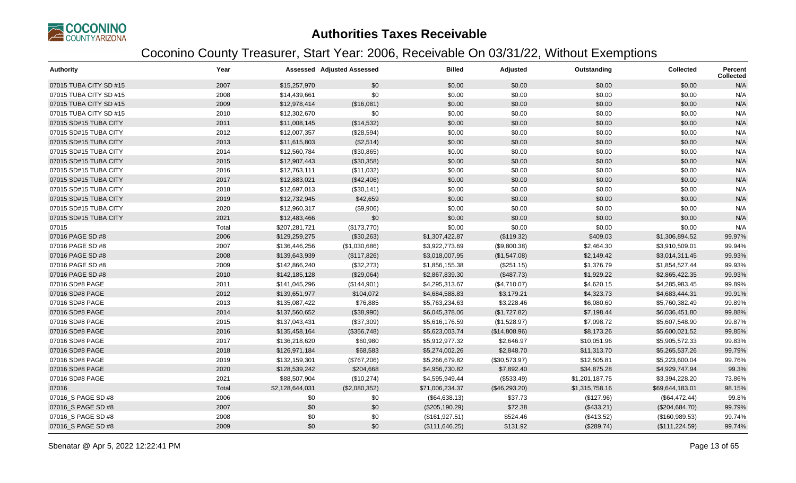

| <b>Authority</b>       | Year  |                 | <b>Assessed Adjusted Assessed</b> | <b>Billed</b>   | Adjusted      | Outstanding    | <b>Collected</b> | Percent<br>Collected |
|------------------------|-------|-----------------|-----------------------------------|-----------------|---------------|----------------|------------------|----------------------|
| 07015 TUBA CITY SD #15 | 2007  | \$15,257,970    | \$0                               | \$0.00          | \$0.00        | \$0.00         | \$0.00           | N/A                  |
| 07015 TUBA CITY SD #15 | 2008  | \$14,439,661    | \$0                               | \$0.00          | \$0.00        | \$0.00         | \$0.00           | N/A                  |
| 07015 TUBA CITY SD #15 | 2009  | \$12,978,414    | (\$16,081)                        | \$0.00          | \$0.00        | \$0.00         | \$0.00           | N/A                  |
| 07015 TUBA CITY SD #15 | 2010  | \$12,302,670    | \$0                               | \$0.00          | \$0.00        | \$0.00         | \$0.00           | N/A                  |
| 07015 SD#15 TUBA CITY  | 2011  | \$11,008,145    | (\$14,532)                        | \$0.00          | \$0.00        | \$0.00         | \$0.00           | N/A                  |
| 07015 SD#15 TUBA CITY  | 2012  | \$12,007,357    | (\$28,594)                        | \$0.00          | \$0.00        | \$0.00         | \$0.00           | N/A                  |
| 07015 SD#15 TUBA CITY  | 2013  | \$11,615,803    | (\$2,514)                         | \$0.00          | \$0.00        | \$0.00         | \$0.00           | N/A                  |
| 07015 SD#15 TUBA CITY  | 2014  | \$12,560,784    | (\$30,865)                        | \$0.00          | \$0.00        | \$0.00         | \$0.00           | N/A                  |
| 07015 SD#15 TUBA CITY  | 2015  | \$12,907,443    | (\$30,358)                        | \$0.00          | \$0.00        | \$0.00         | \$0.00           | N/A                  |
| 07015 SD#15 TUBA CITY  | 2016  | \$12,763,111    | (\$11,032)                        | \$0.00          | \$0.00        | \$0.00         | \$0.00           | N/A                  |
| 07015 SD#15 TUBA CITY  | 2017  | \$12,883,021    | (\$42,406)                        | \$0.00          | \$0.00        | \$0.00         | \$0.00           | N/A                  |
| 07015 SD#15 TUBA CITY  | 2018  | \$12,697,013    | (\$30,141)                        | \$0.00          | \$0.00        | \$0.00         | \$0.00           | N/A                  |
| 07015 SD#15 TUBA CITY  | 2019  | \$12,732,945    | \$42,659                          | \$0.00          | \$0.00        | \$0.00         | \$0.00           | N/A                  |
| 07015 SD#15 TUBA CITY  | 2020  | \$12,960,317    | (\$9,906)                         | \$0.00          | \$0.00        | \$0.00         | \$0.00           | N/A                  |
| 07015 SD#15 TUBA CITY  | 2021  | \$12,483,466    | \$0                               | \$0.00          | \$0.00        | \$0.00         | \$0.00           | N/A                  |
| 07015                  | Total | \$207,281,721   | (\$173,770)                       | \$0.00          | \$0.00        | \$0.00         | \$0.00           | N/A                  |
| 07016 PAGE SD #8       | 2006  | \$129,259,275   | (\$30,263)                        | \$1,307,422.87  | (\$119.32)    | \$409.03       | \$1,306,894.52   | 99.97%               |
| 07016 PAGE SD #8       | 2007  | \$136,446,256   | (\$1,030,686)                     | \$3,922,773.69  | (\$9,800.38)  | \$2,464.30     | \$3,910,509.01   | 99.94%               |
| 07016 PAGE SD #8       | 2008  | \$139,643,939   | (\$117,826)                       | \$3,018,007.95  | (\$1,547.08)  | \$2,149.42     | \$3,014,311.45   | 99.93%               |
| 07016 PAGE SD #8       | 2009  | \$142,866,240   | (\$32,273)                        | \$1,856,155.38  | (\$251.15)    | \$1,376.79     | \$1,854,527.44   | 99.93%               |
| 07016 PAGE SD #8       | 2010  | \$142,185,128   | (\$29,064)                        | \$2,867,839.30  | (\$487.73)    | \$1,929.22     | \$2,865,422.35   | 99.93%               |
| 07016 SD#8 PAGE        | 2011  | \$141,045,296   | (\$144,901)                       | \$4,295,313.67  | (\$4,710.07)  | \$4,620.15     | \$4,285,983.45   | 99.89%               |
| 07016 SD#8 PAGE        | 2012  | \$139,651,977   | \$104,072                         | \$4,684,588.83  | \$3,179.21    | \$4,323.73     | \$4,683,444.31   | 99.91%               |
| 07016 SD#8 PAGE        | 2013  | \$135,087,422   | \$76,885                          | \$5,763,234.63  | \$3,228.46    | \$6,080.60     | \$5,760,382.49   | 99.89%               |
| 07016 SD#8 PAGE        | 2014  | \$137,560,652   | (\$38,990)                        | \$6,045,378.06  | (\$1,727.82)  | \$7,198.44     | \$6,036,451.80   | 99.88%               |
| 07016 SD#8 PAGE        | 2015  | \$137,043,431   | (\$37,309)                        | \$5,616,176.59  | (\$1,528.97)  | \$7,098.72     | \$5,607,548.90   | 99.87%               |
| 07016 SD#8 PAGE        | 2016  | \$135,458,164   | (\$356,748)                       | \$5,623,003.74  | (\$14,808.96) | \$8,173.26     | \$5,600,021.52   | 99.85%               |
| 07016 SD#8 PAGE        | 2017  | \$136,218,620   | \$60,980                          | \$5,912,977.32  | \$2,646.97    | \$10,051.96    | \$5,905,572.33   | 99.83%               |
| 07016 SD#8 PAGE        | 2018  | \$126,971,184   | \$68,583                          | \$5,274,002.26  | \$2,848.70    | \$11,313.70    | \$5,265,537.26   | 99.79%               |
| 07016 SD#8 PAGE        | 2019  | \$132,159,301   | (\$767,206)                       | \$5,266,679.82  | (\$30,573.97) | \$12,505.81    | \$5,223,600.04   | 99.76%               |
| 07016 SD#8 PAGE        | 2020  | \$128,539,242   | \$204,668                         | \$4,956,730.82  | \$7,892.40    | \$34,875.28    | \$4,929,747.94   | 99.3%                |
| 07016 SD#8 PAGE        | 2021  | \$88,507,904    | (\$10,274)                        | \$4,595,949.44  | (\$533.49)    | \$1,201,187.75 | \$3,394,228.20   | 73.86%               |
| 07016                  | Total | \$2,128,644,031 | (\$2,080,352)                     | \$71,006,234.37 | (\$46,293.20) | \$1,315,758.16 | \$69,644,183.01  | 98.15%               |
| 07016_S PAGE SD #8     | 2006  | \$0             | \$0                               | (\$64,638.13)   | \$37.73       | (\$127.96)     | (\$64,472.44)    | 99.8%                |
| 07016 S PAGE SD #8     | 2007  | \$0             | \$0                               | (\$205,190.29)  | \$72.38       | (\$433.21)     | (\$204,684.70)   | 99.79%               |
| 07016_S PAGE SD #8     | 2008  | \$0             | \$0                               | (\$161,927.51)  | \$524.46      | (\$413.52)     | (\$160,989.53)   | 99.74%               |
| 07016_S PAGE SD #8     | 2009  | \$0             | \$0                               | (\$111, 646.25) | \$131.92      | (\$289.74)     | (\$111, 224.59)  | 99.74%               |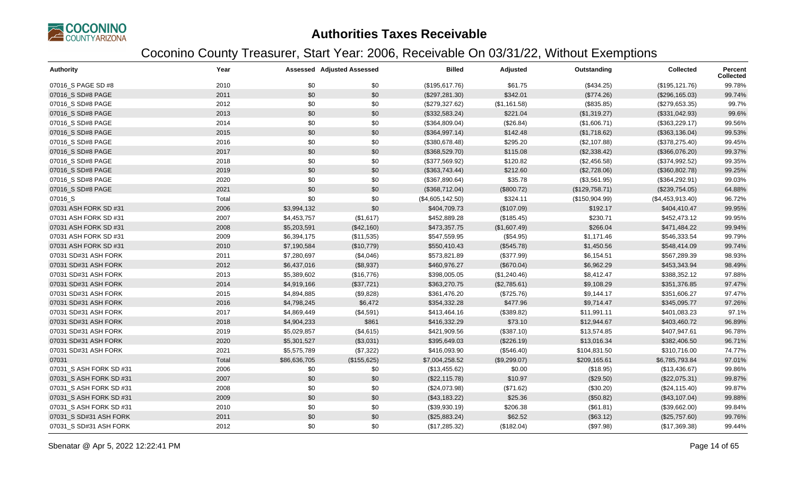

| <b>Authority</b>        | Year  |              | <b>Assessed Adjusted Assessed</b> | <b>Billed</b>    | Adjusted     | Outstanding    | <b>Collected</b> | Percent<br><b>Collected</b> |
|-------------------------|-------|--------------|-----------------------------------|------------------|--------------|----------------|------------------|-----------------------------|
| 07016_S PAGE SD #8      | 2010  | \$0          | \$0                               | (\$195,617.76)   | \$61.75      | (\$434.25)     | (\$195, 121.76)  | 99.78%                      |
| 07016 S SD#8 PAGE       | 2011  | \$0          | \$0                               | (\$297, 281.30)  | \$342.01     | (\$774.26)     | (\$296,165.03)   | 99.74%                      |
| 07016_S SD#8 PAGE       | 2012  | \$0          | \$0                               | (\$279,327.62)   | (\$1,161.58) | (\$835.85)     | (\$279,653.35)   | 99.7%                       |
| 07016_S SD#8 PAGE       | 2013  | \$0          | \$0                               | (\$332,583.24)   | \$221.04     | (\$1,319.27)   | (\$331,042.93)   | 99.6%                       |
| 07016_S SD#8 PAGE       | 2014  | \$0          | \$0                               | (\$364,809.04)   | (\$26.84)    | (\$1,606.71)   | (\$363,229.17)   | 99.56%                      |
| 07016_S SD#8 PAGE       | 2015  | \$0          | \$0                               | (\$364,997.14)   | \$142.48     | (\$1,718.62)   | (\$363,136.04)   | 99.53%                      |
| 07016_S SD#8 PAGE       | 2016  | \$0          | \$0                               | (\$380,678.48)   | \$295.20     | (\$2,107.88)   | (\$378,275.40)   | 99.45%                      |
| 07016 S SD#8 PAGE       | 2017  | \$0          | \$0                               | (\$368,529.70)   | \$115.08     | (\$2,338.42)   | (\$366,076.20)   | 99.37%                      |
| 07016_S SD#8 PAGE       | 2018  | \$0          | \$0                               | (\$377,569.92)   | \$120.82     | (\$2,456.58)   | (\$374,992.52)   | 99.35%                      |
| 07016 S SD#8 PAGE       | 2019  | \$0          | \$0                               | (\$363,743.44)   | \$212.60     | (\$2,728.06)   | (\$360, 802.78)  | 99.25%                      |
| 07016 S SD#8 PAGE       | 2020  | \$0          | \$0                               | (\$367,890.64)   | \$35.78      | (\$3,561.95)   | (\$364, 292.91)  | 99.03%                      |
| 07016_S SD#8 PAGE       | 2021  | \$0          | \$0                               | (\$368,712.04)   | (\$800.72)   | (\$129,758.71) | (\$239,754.05)   | 64.88%                      |
| 07016_S                 | Total | \$0          | \$0                               | (\$4,605,142.50) | \$324.11     | (\$150,904.99) | (\$4,453,913.40) | 96.72%                      |
| 07031 ASH FORK SD #31   | 2006  | \$3,994,132  | \$0                               | \$404,709.73     | (\$107.09)   | \$192.17       | \$404,410.47     | 99.95%                      |
| 07031 ASH FORK SD #31   | 2007  | \$4,453,757  | (\$1,617)                         | \$452,889.28     | (\$185.45)   | \$230.71       | \$452,473.12     | 99.95%                      |
| 07031 ASH FORK SD #31   | 2008  | \$5,203,591  | (\$42,160)                        | \$473,357.75     | (\$1,607.49) | \$266.04       | \$471,484.22     | 99.94%                      |
| 07031 ASH FORK SD #31   | 2009  | \$6,394,175  | (\$11,535)                        | \$547,559.95     | (\$54.95)    | \$1,171.46     | \$546,333.54     | 99.79%                      |
| 07031 ASH FORK SD #31   | 2010  | \$7,190,584  | (\$10,779)                        | \$550,410.43     | (\$545.78)   | \$1,450.56     | \$548,414.09     | 99.74%                      |
| 07031 SD#31 ASH FORK    | 2011  | \$7,280,697  | (\$4,046)                         | \$573,821.89     | (\$377.99)   | \$6,154.51     | \$567,289.39     | 98.93%                      |
| 07031 SD#31 ASH FORK    | 2012  | \$6,437,016  | (\$8,937)                         | \$460,976.27     | (\$670.04)   | \$6,962.29     | \$453,343.94     | 98.49%                      |
| 07031 SD#31 ASH FORK    | 2013  | \$5,389,602  | (\$16,776)                        | \$398,005.05     | (\$1,240.46) | \$8,412.47     | \$388,352.12     | 97.88%                      |
| 07031 SD#31 ASH FORK    | 2014  | \$4,919,166  | (\$37,721)                        | \$363,270.75     | (\$2,785.61) | \$9,108.29     | \$351,376.85     | 97.47%                      |
| 07031 SD#31 ASH FORK    | 2015  | \$4,894,885  | (\$9,828)                         | \$361,476.20     | (\$725.76)   | \$9,144.17     | \$351,606.27     | 97.47%                      |
| 07031 SD#31 ASH FORK    | 2016  | \$4,798,245  | \$6,472                           | \$354,332.28     | \$477.96     | \$9,714.47     | \$345,095.77     | 97.26%                      |
| 07031 SD#31 ASH FORK    | 2017  | \$4,869,449  | (\$4,591)                         | \$413,464.16     | (\$389.82)   | \$11,991.11    | \$401,083.23     | 97.1%                       |
| 07031 SD#31 ASH FORK    | 2018  | \$4,904,233  | \$861                             | \$416,332.29     | \$73.10      | \$12,944.67    | \$403,460.72     | 96.89%                      |
| 07031 SD#31 ASH FORK    | 2019  | \$5,029,857  | (\$4,615)                         | \$421,909.56     | (\$387.10)   | \$13,574.85    | \$407,947.61     | 96.78%                      |
| 07031 SD#31 ASH FORK    | 2020  | \$5,301,527  | (\$3,031)                         | \$395,649.03     | (\$226.19)   | \$13,016.34    | \$382,406.50     | 96.71%                      |
| 07031 SD#31 ASH FORK    | 2021  | \$5,575,789  | (\$7,322)                         | \$416,093.90     | (\$546.40)   | \$104,831.50   | \$310,716.00     | 74.77%                      |
| 07031                   | Total | \$86,636,705 | (\$155,625)                       | \$7,004,258.52   | (\$9,299.07) | \$209,165.61   | \$6,785,793.84   | 97.01%                      |
| 07031 S ASH FORK SD #31 | 2006  | \$0          | \$0                               | (\$13,455.62)    | \$0.00       | (\$18.95)      | (\$13,436.67)    | 99.86%                      |
| 07031 S ASH FORK SD #31 | 2007  | \$0          | \$0                               | (\$22,115.78)    | \$10.97      | (\$29.50)      | (\$22,075.31)    | 99.87%                      |
| 07031 S ASH FORK SD #31 | 2008  | \$0          | \$0                               | (\$24,073.98)    | (\$71.62)    | (\$30.20)      | (\$24,115.40)    | 99.87%                      |
| 07031_S ASH FORK SD #31 | 2009  | \$0          | \$0                               | (\$43,183.22)    | \$25.36      | (\$50.82)      | (\$43,107.04)    | 99.88%                      |
| 07031_S ASH FORK SD #31 | 2010  | \$0          | \$0                               | (\$39,930.19)    | \$206.38     | (\$61.81)      | (\$39,662.00)    | 99.84%                      |
| 07031 S SD#31 ASH FORK  | 2011  | \$0          | \$0                               | (\$25,883.24)    | \$62.52      | (\$63.12)      | (\$25,757.60)    | 99.76%                      |
| 07031_S SD#31 ASH FORK  | 2012  | \$0          | \$0                               | (\$17,285.32)    | (\$182.04)   | (\$97.98)      | (\$17,369.38)    | 99.44%                      |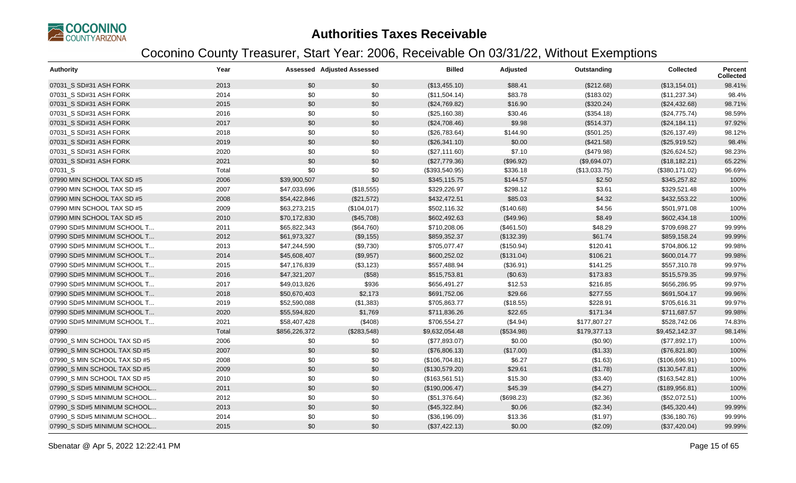

| <b>Authority</b>             | Year  |               | <b>Assessed Adjusted Assessed</b> | <b>Billed</b>  | Adjusted   | Outstanding   | <b>Collected</b> | Percent<br><b>Collected</b> |
|------------------------------|-------|---------------|-----------------------------------|----------------|------------|---------------|------------------|-----------------------------|
| 07031 S SD#31 ASH FORK       | 2013  | \$0           | \$0                               | (\$13,455.10)  | \$88.41    | (\$212.68)    | (\$13,154.01)    | 98.41%                      |
| 07031_S SD#31 ASH FORK       | 2014  | \$0           | \$0                               | (\$11,504.14)  | \$83.78    | (\$183.02)    | (\$11,237.34)    | 98.4%                       |
| 07031 S SD#31 ASH FORK       | 2015  | \$0           | \$0                               | (\$24,769.82)  | \$16.90    | (\$320.24)    | (\$24,432.68)    | 98.71%                      |
| 07031_S SD#31 ASH FORK       | 2016  | \$0           | \$0                               | (\$25,160.38)  | \$30.46    | (\$354.18)    | (\$24,775.74)    | 98.59%                      |
| 07031 S SD#31 ASH FORK       | 2017  | \$0           | \$0                               | (\$24,708.46)  | \$9.98     | (\$514.37)    | (\$24,184.11)    | 97.92%                      |
| 07031 S SD#31 ASH FORK       | 2018  | \$0           | \$0                               | (\$26,783.64)  | \$144.90   | (\$501.25)    | (\$26,137.49)    | 98.12%                      |
| 07031_S SD#31 ASH FORK       | 2019  | \$0           | \$0                               | (\$26,341.10)  | \$0.00     | (\$421.58)    | (\$25,919.52)    | 98.4%                       |
| 07031 S SD#31 ASH FORK       | 2020  | \$0           | \$0                               | (\$27,111.60)  | \$7.10     | (\$479.98)    | (\$26,624.52)    | 98.23%                      |
| 07031 S SD#31 ASH FORK       | 2021  | \$0           | \$0                               | (\$27,779.36)  | (\$96.92)  | (\$9,694.07)  | (\$18,182.21)    | 65.22%                      |
| 07031_S                      | Total | \$0           | \$0                               | (\$393,540.95) | \$336.18   | (\$13,033.75) | (\$380,171.02)   | 96.69%                      |
| 07990 MIN SCHOOL TAX SD #5   | 2006  | \$39,900,507  | \$0                               | \$345,115.75   | \$144.57   | \$2.50        | \$345,257.82     | 100%                        |
| 07990 MIN SCHOOL TAX SD #5   | 2007  | \$47,033,696  | (\$18,555)                        | \$329,226.97   | \$298.12   | \$3.61        | \$329,521.48     | 100%                        |
| 07990 MIN SCHOOL TAX SD #5   | 2008  | \$54,422,846  | (\$21,572)                        | \$432,472.51   | \$85.03    | \$4.32        | \$432,553.22     | 100%                        |
| 07990 MIN SCHOOL TAX SD #5   | 2009  | \$63,273,215  | (\$104,017)                       | \$502,116.32   | (\$140.68) | \$4.56        | \$501,971.08     | 100%                        |
| 07990 MIN SCHOOL TAX SD #5   | 2010  | \$70,172,830  | (\$45,708)                        | \$602,492.63   | (\$49.96)  | \$8.49        | \$602,434.18     | 100%                        |
| 07990 SD#5 MINIMUM SCHOOL T  | 2011  | \$65,822,343  | (\$64,760)                        | \$710,208.06   | (\$461.50) | \$48.29       | \$709,698.27     | 99.99%                      |
| 07990 SD#5 MINIMUM SCHOOL T  | 2012  | \$61,973,327  | (\$9,155)                         | \$859,352.37   | (\$132.39) | \$61.74       | \$859,158.24     | 99.99%                      |
| 07990 SD#5 MINIMUM SCHOOL T  | 2013  | \$47,244,590  | (\$9,730)                         | \$705,077.47   | (\$150.94) | \$120.41      | \$704,806.12     | 99.98%                      |
| 07990 SD#5 MINIMUM SCHOOL T  | 2014  | \$45,608,407  | (\$9,957)                         | \$600,252.02   | (\$131.04) | \$106.21      | \$600,014.77     | 99.98%                      |
| 07990 SD#5 MINIMUM SCHOOL T  | 2015  | \$47,176,839  | (\$3,123)                         | \$557,488.94   | (\$36.91)  | \$141.25      | \$557,310.78     | 99.97%                      |
| 07990 SD#5 MINIMUM SCHOOL T  | 2016  | \$47,321,207  | (\$58)                            | \$515,753.81   | (\$0.63)   | \$173.83      | \$515,579.35     | 99.97%                      |
| 07990 SD#5 MINIMUM SCHOOL T  | 2017  | \$49,013,826  | \$936                             | \$656,491.27   | \$12.53    | \$216.85      | \$656,286.95     | 99.97%                      |
| 07990 SD#5 MINIMUM SCHOOL T  | 2018  | \$50,670,403  | \$2,173                           | \$691,752.06   | \$29.66    | \$277.55      | \$691,504.17     | 99.96%                      |
| 07990 SD#5 MINIMUM SCHOOL T  | 2019  | \$52,590,088  | (\$1,383)                         | \$705,863.77   | (\$18.55)  | \$228.91      | \$705,616.31     | 99.97%                      |
| 07990 SD#5 MINIMUM SCHOOL T  | 2020  | \$55,594,820  | \$1,769                           | \$711,836.26   | \$22.65    | \$171.34      | \$711,687.57     | 99.98%                      |
| 07990 SD#5 MINIMUM SCHOOL T  | 2021  | \$58,407,428  | (\$408)                           | \$706,554.27   | (\$4.94)   | \$177,807.27  | \$528,742.06     | 74.83%                      |
| 07990                        | Total | \$856,226,372 | (\$283,548)                       | \$9,632,054.48 | (\$534.98) | \$179,377.13  | \$9,452,142.37   | 98.14%                      |
| 07990_S MIN SCHOOL TAX SD #5 | 2006  | \$0           | \$0                               | (\$77,893.07)  | \$0.00     | (\$0.90)      | (\$77,892.17)    | 100%                        |
| 07990 S MIN SCHOOL TAX SD #5 | 2007  | \$0           | \$0                               | (\$76,806.13)  | (\$17.00)  | (\$1.33)      | (\$76,821.80)    | 100%                        |
| 07990 S MIN SCHOOL TAX SD #5 | 2008  | \$0           | \$0                               | (\$106,704.81) | \$6.27     | (\$1.63)      | (\$106,696.91)   | 100%                        |
| 07990_S MIN SCHOOL TAX SD #5 | 2009  | \$0           | \$0                               | (\$130,579.20) | \$29.61    | (\$1.78)      | (\$130,547.81)   | 100%                        |
| 07990 S MIN SCHOOL TAX SD #5 | 2010  | \$0           | \$0                               | (\$163,561.51) | \$15.30    | (\$3.40)      | (\$163,542.81)   | 100%                        |
| 07990 S SD#5 MINIMUM SCHOOL  | 2011  | \$0           | \$0                               | (\$190,006.47) | \$45.39    | (\$4.27)      | (\$189,956.81)   | 100%                        |
| 07990_S SD#5 MINIMUM SCHOOL  | 2012  | \$0           | \$0                               | (\$51,376.64)  | (\$698.23) | (\$2.36)      | (\$52,072.51)    | 100%                        |
| 07990 S SD#5 MINIMUM SCHOOL  | 2013  | \$0           | \$0                               | (\$45,322.84)  | \$0.06     | (\$2.34)      | (\$45,320.44)    | 99.99%                      |
| 07990_S SD#5 MINIMUM SCHOOL  | 2014  | \$0           | \$0                               | (\$36,196.09)  | \$13.36    | (\$1.97)      | (\$36,180.76)    | 99.99%                      |
| 07990 S SD#5 MINIMUM SCHOOL  | 2015  | \$0           | \$0                               | (\$37,422.13)  | \$0.00     | (\$2.09)      | (\$37,420.04)    | 99.99%                      |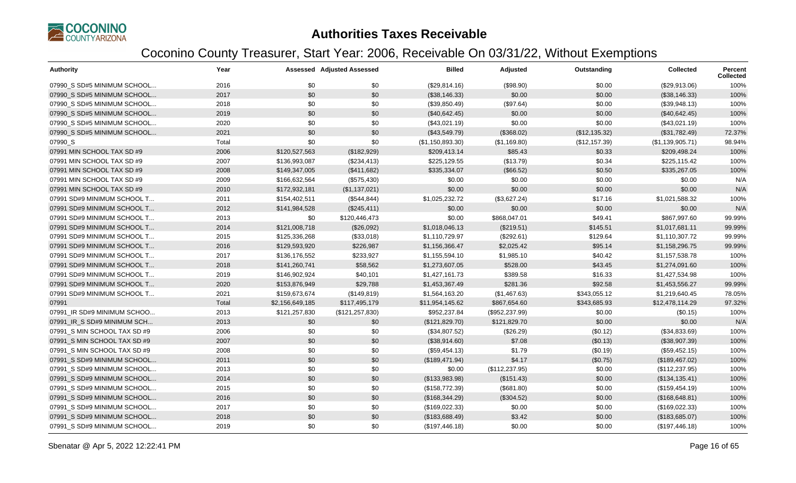

| <b>Authority</b>             | Year  |                 | <b>Assessed Adjusted Assessed</b> | <b>Billed</b>    | Adjusted        | Outstanding    | <b>Collected</b> | <b>Percent</b><br><b>Collected</b> |
|------------------------------|-------|-----------------|-----------------------------------|------------------|-----------------|----------------|------------------|------------------------------------|
| 07990 S SD#5 MINIMUM SCHOOL  | 2016  | \$0             | \$0                               | (\$29,814.16)    | (\$98.90)       | \$0.00         | (\$29,913.06)    | 100%                               |
| 07990 S SD#5 MINIMUM SCHOOL  | 2017  | \$0             | \$0                               | (\$38,146.33)    | \$0.00          | \$0.00         | (\$38,146.33)    | 100%                               |
| 07990 S SD#5 MINIMUM SCHOOL  | 2018  | \$0             | \$0                               | (\$39,850.49)    | (\$97.64)       | \$0.00         | (\$39,948.13)    | 100%                               |
| 07990_S SD#5 MINIMUM SCHOOL  | 2019  | \$0             | \$0                               | (\$40,642.45)    | \$0.00          | \$0.00         | (\$40,642.45)    | 100%                               |
| 07990 S SD#5 MINIMUM SCHOOL  | 2020  | \$0             | \$0                               | (\$43,021.19)    | \$0.00          | \$0.00         | (\$43,021.19)    | 100%                               |
| 07990 S SD#5 MINIMUM SCHOOL  | 2021  | \$0             | \$0                               | (\$43,549.79)    | (\$368.02)      | (\$12,135.32)  | (\$31,782.49)    | 72.37%                             |
| 07990_S                      | Total | \$0             | \$0                               | (\$1,150,893.30) | (\$1,169.80)    | (\$12, 157.39) | (\$1,139,905.71) | 98.94%                             |
| 07991 MIN SCHOOL TAX SD #9   | 2006  | \$120,527,563   | (\$182,929)                       | \$209,413.14     | \$85.43         | \$0.33         | \$209,498.24     | 100%                               |
| 07991 MIN SCHOOL TAX SD #9   | 2007  | \$136,993,087   | (\$234,413)                       | \$225,129.55     | (\$13.79)       | \$0.34         | \$225,115.42     | 100%                               |
| 07991 MIN SCHOOL TAX SD #9   | 2008  | \$149,347,005   | (\$411,682)                       | \$335,334.07     | (\$66.52)       | \$0.50         | \$335,267.05     | 100%                               |
| 07991 MIN SCHOOL TAX SD #9   | 2009  | \$166,632,564   | (\$575,430)                       | \$0.00           | \$0.00          | \$0.00         | \$0.00           | N/A                                |
| 07991 MIN SCHOOL TAX SD #9   | 2010  | \$172,932,181   | (\$1,137,021)                     | \$0.00           | \$0.00          | \$0.00         | \$0.00           | N/A                                |
| 07991 SD#9 MINIMUM SCHOOL T  | 2011  | \$154,402,511   | (\$544, 844)                      | \$1,025,232.72   | (\$3,627.24)    | \$17.16        | \$1,021,588.32   | 100%                               |
| 07991 SD#9 MINIMUM SCHOOL T  | 2012  | \$141,984,528   | (\$245,411)                       | \$0.00           | \$0.00          | \$0.00         | \$0.00           | N/A                                |
| 07991 SD#9 MINIMUM SCHOOL T  | 2013  | \$0             | \$120,446,473                     | \$0.00           | \$868,047.01    | \$49.41        | \$867,997.60     | 99.99%                             |
| 07991 SD#9 MINIMUM SCHOOL T  | 2014  | \$121,008,718   | (\$26,092)                        | \$1,018,046.13   | (\$219.51)      | \$145.51       | \$1,017,681.11   | 99.99%                             |
| 07991 SD#9 MINIMUM SCHOOL T  | 2015  | \$125,336,268   | (\$33,018)                        | \$1,110,729.97   | (\$292.61)      | \$129.64       | \$1,110,307.72   | 99.99%                             |
| 07991 SD#9 MINIMUM SCHOOL T  | 2016  | \$129,593,920   | \$226,987                         | \$1,156,366.47   | \$2,025.42      | \$95.14        | \$1,158,296.75   | 99.99%                             |
| 07991 SD#9 MINIMUM SCHOOL T  | 2017  | \$136,176,552   | \$233,927                         | \$1,155,594.10   | \$1,985.10      | \$40.42        | \$1,157,538.78   | 100%                               |
| 07991 SD#9 MINIMUM SCHOOL T  | 2018  | \$141,260,741   | \$58,562                          | \$1,273,607.05   | \$528.00        | \$43.45        | \$1,274,091.60   | 100%                               |
| 07991 SD#9 MINIMUM SCHOOL T  | 2019  | \$146,902,924   | \$40,101                          | \$1,427,161.73   | \$389.58        | \$16.33        | \$1,427,534.98   | 100%                               |
| 07991 SD#9 MINIMUM SCHOOL T  | 2020  | \$153,876,949   | \$29,788                          | \$1,453,367.49   | \$281.36        | \$92.58        | \$1,453,556.27   | 99.99%                             |
| 07991 SD#9 MINIMUM SCHOOL T  | 2021  | \$159,673,674   | (\$149, 819)                      | \$1,564,163.20   | (\$1,467.63)    | \$343,055.12   | \$1,219,640.45   | 78.05%                             |
| 07991                        | Total | \$2,156,649,185 | \$117,495,179                     | \$11,954,145.62  | \$867,654.60    | \$343,685.93   | \$12,478,114.29  | 97.32%                             |
| 07991 IR SD#9 MINIMUM SCHOO  | 2013  | \$121,257,830   | (\$121, 257, 830)                 | \$952,237.84     | (\$952, 237.99) | \$0.00         | (\$0.15)         | 100%                               |
| 07991 IR S SD#9 MINIMUM SCH  | 2013  | \$0             | \$0                               | (\$121,829.70)   | \$121,829.70    | \$0.00         | \$0.00           | N/A                                |
| 07991 S MIN SCHOOL TAX SD #9 | 2006  | \$0             | \$0                               | (\$34,807.52)    | (\$26.29)       | (\$0.12)       | (\$34,833.69)    | 100%                               |
| 07991 S MIN SCHOOL TAX SD #9 | 2007  | \$0             | \$0                               | (\$38,914.60)    | \$7.08          | (\$0.13)       | (\$38,907.39)    | 100%                               |
| 07991_S MIN SCHOOL TAX SD #9 | 2008  | \$0             | \$0                               | (\$59,454.13)    | \$1.79          | (\$0.19)       | (\$59,452.15)    | 100%                               |
| 07991 S SD#9 MINIMUM SCHOOL  | 2011  | \$0             | \$0                               | (\$189,471.94)   | \$4.17          | (\$0.75)       | (\$189,467.02)   | 100%                               |
| 07991 S SD#9 MINIMUM SCHOOL  | 2013  | \$0             | \$0                               | \$0.00           | (\$112, 237.95) | \$0.00         | (\$112, 237.95)  | 100%                               |
| 07991 S SD#9 MINIMUM SCHOOL  | 2014  | \$0             | \$0                               | (\$133,983.98)   | (\$151.43)      | \$0.00         | (\$134, 135.41)  | 100%                               |
| 07991 S SD#9 MINIMUM SCHOOL  | 2015  | \$0             | \$0                               | (\$158,772.39)   | (\$681.80)      | \$0.00         | (\$159,454.19)   | 100%                               |
| 07991_S SD#9 MINIMUM SCHOOL  | 2016  | \$0             | \$0                               | (\$168,344.29)   | (\$304.52)      | \$0.00         | (\$168, 648.81)  | 100%                               |
| 07991_S SD#9 MINIMUM SCHOOL  | 2017  | \$0             | \$0                               | (\$169,022.33)   | \$0.00          | \$0.00         | (\$169,022.33)   | 100%                               |
| 07991 S SD#9 MINIMUM SCHOOL  | 2018  | \$0             | \$0                               | (\$183,688.49)   | \$3.42          | \$0.00         | (\$183,685.07)   | 100%                               |
| 07991_S SD#9 MINIMUM SCHOOL  | 2019  | \$0             | \$0                               | (\$197,446.18)   | \$0.00          | \$0.00         | (\$197,446.18)   | 100%                               |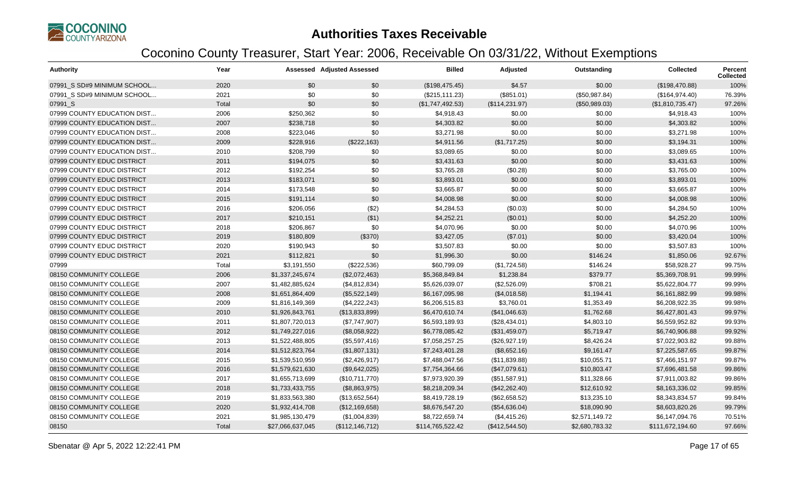

| <b>Authority</b>            | Year  |                  | <b>Assessed Adjusted Assessed</b> | <b>Billed</b>    | Adjusted        | Outstanding    | <b>Collected</b> | <b>Percent</b><br><b>Collected</b> |
|-----------------------------|-------|------------------|-----------------------------------|------------------|-----------------|----------------|------------------|------------------------------------|
| 07991 S SD#9 MINIMUM SCHOOL | 2020  | \$0              | \$0                               | (\$198,475.45)   | \$4.57          | \$0.00         | (\$198,470.88)   | 100%                               |
| 07991 S SD#9 MINIMUM SCHOOL | 2021  | \$0              | \$0                               | (\$215, 111.23)  | (\$851.01)      | (\$50,987.84)  | (\$164,974.40)   | 76.39%                             |
| 07991 S                     | Total | \$0              | \$0                               | (\$1,747,492.53) | (\$114, 231.97) | (\$50,989.03)  | (\$1,810,735.47) | 97.26%                             |
| 07999 COUNTY EDUCATION DIST | 2006  | \$250,362        | \$0                               | \$4,918.43       | \$0.00          | \$0.00         | \$4,918.43       | 100%                               |
| 07999 COUNTY EDUCATION DIST | 2007  | \$238,718        | \$0                               | \$4,303.82       | \$0.00          | \$0.00         | \$4,303.82       | 100%                               |
| 07999 COUNTY EDUCATION DIST | 2008  | \$223,046        | \$0                               | \$3,271.98       | \$0.00          | \$0.00         | \$3,271.98       | 100%                               |
| 07999 COUNTY EDUCATION DIST | 2009  | \$228,916        | (\$222,163)                       | \$4,911.56       | (\$1,717.25)    | \$0.00         | \$3,194.31       | 100%                               |
| 07999 COUNTY EDUCATION DIST | 2010  | \$208,799        | \$0                               | \$3,089.65       | \$0.00          | \$0.00         | \$3,089.65       | 100%                               |
| 07999 COUNTY EDUC DISTRICT  | 2011  | \$194,075        | \$0                               | \$3,431.63       | \$0.00          | \$0.00         | \$3,431.63       | 100%                               |
| 07999 COUNTY EDUC DISTRICT  | 2012  | \$192,254        | \$0                               | \$3,765.28       | (\$0.28)        | \$0.00         | \$3,765.00       | 100%                               |
| 07999 COUNTY EDUC DISTRICT  | 2013  | \$183,071        | \$0                               | \$3,893.01       | \$0.00          | \$0.00         | \$3,893.01       | 100%                               |
| 07999 COUNTY EDUC DISTRICT  | 2014  | \$173,548        | \$0                               | \$3,665.87       | \$0.00          | \$0.00         | \$3,665.87       | 100%                               |
| 07999 COUNTY EDUC DISTRICT  | 2015  | \$191,114        | \$0                               | \$4,008.98       | \$0.00          | \$0.00         | \$4,008.98       | 100%                               |
| 07999 COUNTY EDUC DISTRICT  | 2016  | \$206,056        | (\$2)                             | \$4,284.53       | (\$0.03)        | \$0.00         | \$4,284.50       | 100%                               |
| 07999 COUNTY EDUC DISTRICT  | 2017  | \$210,151        | ( \$1)                            | \$4,252.21       | (\$0.01)        | \$0.00         | \$4,252.20       | 100%                               |
| 07999 COUNTY EDUC DISTRICT  | 2018  | \$206,867        | \$0                               | \$4,070.96       | \$0.00          | \$0.00         | \$4,070.96       | 100%                               |
| 07999 COUNTY EDUC DISTRICT  | 2019  | \$180,809        | (\$370)                           | \$3,427.05       | (\$7.01)        | \$0.00         | \$3,420.04       | 100%                               |
| 07999 COUNTY EDUC DISTRICT  | 2020  | \$190,943        | \$0                               | \$3,507.83       | \$0.00          | \$0.00         | \$3,507.83       | 100%                               |
| 07999 COUNTY EDUC DISTRICT  | 2021  | \$112,821        | \$0                               | \$1,996.30       | \$0.00          | \$146.24       | \$1,850.06       | 92.67%                             |
| 07999                       | Total | \$3,191,550      | (\$222,536)                       | \$60,799.09      | (\$1,724.58)    | \$146.24       | \$58,928.27      | 99.75%                             |
| 08150 COMMUNITY COLLEGE     | 2006  | \$1,337,245,674  | (\$2,072,463)                     | \$5,368,849.84   | \$1,238.84      | \$379.77       | \$5,369,708.91   | 99.99%                             |
| 08150 COMMUNITY COLLEGE     | 2007  | \$1,482,885,624  | (\$4,812,834)                     | \$5,626,039.07   | (\$2,526.09)    | \$708.21       | \$5,622,804.77   | 99.99%                             |
| 08150 COMMUNITY COLLEGE     | 2008  | \$1,651,864,409  | (\$5,522,149)                     | \$6,167,095.98   | (\$4,018.58)    | \$1,194.41     | \$6,161,882.99   | 99.98%                             |
| 08150 COMMUNITY COLLEGE     | 2009  | \$1,816,149,369  | (\$4,222,243)                     | \$6,206,515.83   | \$3,760.01      | \$1,353.49     | \$6,208,922.35   | 99.98%                             |
| 08150 COMMUNITY COLLEGE     | 2010  | \$1,926,843,761  | (\$13,833,899)                    | \$6,470,610.74   | (\$41,046.63)   | \$1,762.68     | \$6,427,801.43   | 99.97%                             |
| 08150 COMMUNITY COLLEGE     | 2011  | \$1,807,720,013  | (\$7,747,907)                     | \$6,593,189.93   | (\$28,434.01)   | \$4,803.10     | \$6,559,952.82   | 99.93%                             |
| 08150 COMMUNITY COLLEGE     | 2012  | \$1,749,227,016  | (\$8,058,922)                     | \$6,778,085.42   | (\$31,459.07)   | \$5,719.47     | \$6,740,906.88   | 99.92%                             |
| 08150 COMMUNITY COLLEGE     | 2013  | \$1,522,488,805  | (\$5,597,416)                     | \$7,058,257.25   | (\$26,927.19)   | \$8,426.24     | \$7,022,903.82   | 99.88%                             |
| 08150 COMMUNITY COLLEGE     | 2014  | \$1,512,823,764  | (\$1,807,131)                     | \$7,243,401.28   | (\$8,652.16)    | \$9,161.47     | \$7,225,587.65   | 99.87%                             |
| 08150 COMMUNITY COLLEGE     | 2015  | \$1,539,510,959  | (\$2,426,917)                     | \$7,488,047.56   | (\$11,839.88)   | \$10,055.71    | \$7,466,151.97   | 99.87%                             |
| 08150 COMMUNITY COLLEGE     | 2016  | \$1,579,621,630  | (\$9,642,025)                     | \$7,754,364.66   | (\$47,079.61)   | \$10,803.47    | \$7,696,481.58   | 99.86%                             |
| 08150 COMMUNITY COLLEGE     | 2017  | \$1,655,713,699  | (\$10,711,770)                    | \$7,973,920.39   | (\$51,587.91)   | \$11,328.66    | \$7,911,003.82   | 99.86%                             |
| 08150 COMMUNITY COLLEGE     | 2018  | \$1,733,433,755  | (\$8,863,975)                     | \$8,218,209.34   | (\$42,262.40)   | \$12,610.92    | \$8,163,336.02   | 99.85%                             |
| 08150 COMMUNITY COLLEGE     | 2019  | \$1,833,563,380  | (\$13,652,564)                    | \$8,419,728.19   | (\$62,658.52)   | \$13,235.10    | \$8,343,834.57   | 99.84%                             |
| 08150 COMMUNITY COLLEGE     | 2020  | \$1,932,414,708  | (\$12,169,658)                    | \$8,676,547.20   | (\$54,636.04)   | \$18,090.90    | \$8,603,820.26   | 99.79%                             |
| 08150 COMMUNITY COLLEGE     | 2021  | \$1,985,130,479  | (\$1,004,839)                     | \$8,722,659.74   | (\$4,415.26)    | \$2,571,149.72 | \$6,147,094.76   | 70.51%                             |
| 08150                       | Total | \$27,066,637,045 | (\$112, 146, 712)                 | \$114,765,522.42 | (\$412,544.50)  | \$2,680,783.32 | \$111,672,194.60 | 97.66%                             |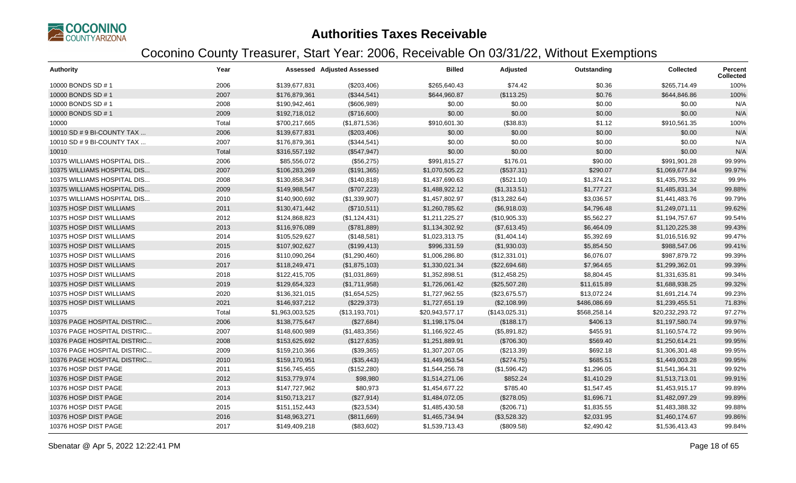

| <b>Authority</b>            | Year  |                 | <b>Assessed Adjusted Assessed</b> | <b>Billed</b>   | Adjusted       | Outstanding  | <b>Collected</b> | Percent<br><b>Collected</b> |
|-----------------------------|-------|-----------------|-----------------------------------|-----------------|----------------|--------------|------------------|-----------------------------|
| 10000 BONDS SD # 1          | 2006  | \$139,677,831   | (\$203,406)                       | \$265,640.43    | \$74.42        | \$0.36       | \$265,714.49     | 100%                        |
| 10000 BONDS SD # 1          | 2007  | \$176,879,361   | (\$344,541)                       | \$644,960.87    | (\$113.25)     | \$0.76       | \$644,846.86     | 100%                        |
| 10000 BONDS SD # 1          | 2008  | \$190,942,461   | (\$606,989)                       | \$0.00          | \$0.00         | \$0.00       | \$0.00           | N/A                         |
| 10000 BONDS SD # 1          | 2009  | \$192,718,012   | (\$716,600)                       | \$0.00          | \$0.00         | \$0.00       | \$0.00           | N/A                         |
| 10000                       | Total | \$700,217,665   | (\$1,871,536)                     | \$910,601.30    | (\$38.83)      | \$1.12       | \$910,561.35     | 100%                        |
| 10010 SD # 9 BI-COUNTY TAX  | 2006  | \$139,677,831   | (\$203,406)                       | \$0.00          | \$0.00         | \$0.00       | \$0.00           | N/A                         |
| 10010 SD # 9 BI-COUNTY TAX  | 2007  | \$176,879,361   | (\$344,541)                       | \$0.00          | \$0.00         | \$0.00       | \$0.00           | N/A                         |
| 10010                       | Total | \$316,557,192   | (\$547,947)                       | \$0.00          | \$0.00         | \$0.00       | \$0.00           | N/A                         |
| 10375 WILLIAMS HOSPITAL DIS | 2006  | \$85,556,072    | (\$56,275)                        | \$991,815.27    | \$176.01       | \$90.00      | \$991,901.28     | 99.99%                      |
| 10375 WILLIAMS HOSPITAL DIS | 2007  | \$106,283,269   | (\$191,365)                       | \$1,070,505.22  | (\$537.31)     | \$290.07     | \$1,069,677.84   | 99.97%                      |
| 10375 WILLIAMS HOSPITAL DIS | 2008  | \$130,858,347   | (\$140,818)                       | \$1,437,690.63  | (\$521.10)     | \$1,374.21   | \$1,435,795.32   | 99.9%                       |
| 10375 WILLIAMS HOSPITAL DIS | 2009  | \$149,988,547   | (\$707,223)                       | \$1,488,922.12  | (\$1,313.51)   | \$1,777.27   | \$1,485,831.34   | 99.88%                      |
| 10375 WILLIAMS HOSPITAL DIS | 2010  | \$140,900,692   | (\$1,339,907)                     | \$1,457,802.97  | (\$13,282.64)  | \$3,036.57   | \$1,441,483.76   | 99.79%                      |
| 10375 HOSP DIST WILLIAMS    | 2011  | \$130,471,442   | (\$710,511)                       | \$1,260,785.62  | (\$6,918.03)   | \$4,796.48   | \$1,249,071.11   | 99.62%                      |
| 10375 HOSP DIST WILLIAMS    | 2012  | \$124,868,823   | (\$1,124,431)                     | \$1,211,225.27  | (\$10,905.33)  | \$5,562.27   | \$1,194,757.67   | 99.54%                      |
| 10375 HOSP DIST WILLIAMS    | 2013  | \$116,976,089   | (\$781,889)                       | \$1,134,302.92  | (\$7,613.45)   | \$6,464.09   | \$1,120,225.38   | 99.43%                      |
| 10375 HOSP DIST WILLIAMS    | 2014  | \$105,529,627   | (\$148,581)                       | \$1,023,313.75  | (\$1,404.14)   | \$5,392.69   | \$1,016,516.92   | 99.47%                      |
| 10375 HOSP DIST WILLIAMS    | 2015  | \$107,902,627   | (\$199,413)                       | \$996,331.59    | (\$1,930.03)   | \$5,854.50   | \$988,547.06     | 99.41%                      |
| 10375 HOSP DIST WILLIAMS    | 2016  | \$110,090,264   | (\$1,290,460)                     | \$1,006,286.80  | (\$12,331.01)  | \$6,076.07   | \$987,879.72     | 99.39%                      |
| 10375 HOSP DIST WILLIAMS    | 2017  | \$118,249,471   | (\$1,875,103)                     | \$1,330,021.34  | (\$22,694.68)  | \$7,964.65   | \$1,299,362.01   | 99.39%                      |
| 10375 HOSP DIST WILLIAMS    | 2018  | \$122,415,705   | (\$1,031,869)                     | \$1,352,898.51  | (\$12,458.25)  | \$8,804.45   | \$1,331,635.81   | 99.34%                      |
| 10375 HOSP DIST WILLIAMS    | 2019  | \$129,654,323   | (\$1,711,958)                     | \$1,726,061.42  | (\$25,507.28)  | \$11,615.89  | \$1,688,938.25   | 99.32%                      |
| 10375 HOSP DIST WILLIAMS    | 2020  | \$136,321,015   | (\$1,654,525)                     | \$1,727,962.55  | (\$23,675.57)  | \$13,072.24  | \$1,691,214.74   | 99.23%                      |
| 10375 HOSP DIST WILLIAMS    | 2021  | \$146,937,212   | (\$229,373)                       | \$1,727,651.19  | (\$2,108.99)   | \$486,086.69 | \$1,239,455.51   | 71.83%                      |
| 10375                       | Total | \$1,963,003,525 | (\$13,193,701)                    | \$20,943,577.17 | (\$143,025.31) | \$568,258.14 | \$20,232,293.72  | 97.27%                      |
| 10376 PAGE HOSPITAL DISTRIC | 2006  | \$138,775,647   | (\$27,684)                        | \$1,198,175.04  | (\$188.17)     | \$406.13     | \$1,197,580.74   | 99.97%                      |
| 10376 PAGE HOSPITAL DISTRIC | 2007  | \$148,600,989   | (\$1,483,356)                     | \$1,166,922.45  | (\$5,891.82)   | \$455.91     | \$1,160,574.72   | 99.96%                      |
| 10376 PAGE HOSPITAL DISTRIC | 2008  | \$153,625,692   | (\$127,635)                       | \$1,251,889.91  | (\$706.30)     | \$569.40     | \$1,250,614.21   | 99.95%                      |
| 10376 PAGE HOSPITAL DISTRIC | 2009  | \$159,210,366   | (\$39,365)                        | \$1,307,207.05  | $(\$213.39)$   | \$692.18     | \$1,306,301.48   | 99.95%                      |
| 10376 PAGE HOSPITAL DISTRIC | 2010  | \$159,170,951   | (\$35,443)                        | \$1,449,963.54  | (\$274.75)     | \$685.51     | \$1,449,003.28   | 99.95%                      |
| 10376 HOSP DIST PAGE        | 2011  | \$156,745,455   | (\$152,280)                       | \$1,544,256.78  | (\$1,596.42)   | \$1,296.05   | \$1,541,364.31   | 99.92%                      |
| 10376 HOSP DIST PAGE        | 2012  | \$153,779,974   | \$98,980                          | \$1,514,271.06  | \$852.24       | \$1,410.29   | \$1,513,713.01   | 99.91%                      |
| 10376 HOSP DIST PAGE        | 2013  | \$147,727,962   | \$80,973                          | \$1,454,677.22  | \$785.40       | \$1,547.45   | \$1,453,915.17   | 99.89%                      |
| 10376 HOSP DIST PAGE        | 2014  | \$150,713,217   | (\$27,914)                        | \$1,484,072.05  | (\$278.05)     | \$1,696.71   | \$1,482,097.29   | 99.89%                      |
| 10376 HOSP DIST PAGE        | 2015  | \$151,152,443   | (\$23,534)                        | \$1,485,430.58  | (\$206.71)     | \$1,835.55   | \$1,483,388.32   | 99.88%                      |
| 10376 HOSP DIST PAGE        | 2016  | \$148,963,271   | (\$811,669)                       | \$1,465,734.94  | (\$3,528.32)   | \$2,031.95   | \$1,460,174.67   | 99.86%                      |
| 10376 HOSP DIST PAGE        | 2017  | \$149,409,218   | (\$83,602)                        | \$1,539,713.43  | (\$809.58)     | \$2,490.42   | \$1,536,413.43   | 99.84%                      |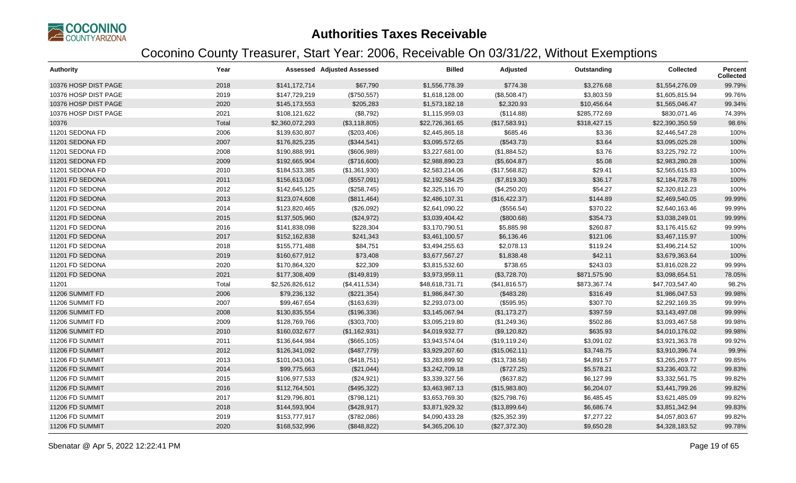

| <b>Authority</b>     | Year  |                 | <b>Assessed Adjusted Assessed</b> | <b>Billed</b>   | Adjusted       | Outstanding  | <b>Collected</b> | <b>Percent</b><br><b>Collected</b> |
|----------------------|-------|-----------------|-----------------------------------|-----------------|----------------|--------------|------------------|------------------------------------|
| 10376 HOSP DIST PAGE | 2018  | \$141,172,714   | \$67,790                          | \$1,556,778.39  | \$774.38       | \$3,276.68   | \$1,554,276.09   | 99.79%                             |
| 10376 HOSP DIST PAGE | 2019  | \$147,729,219   | (\$750,557)                       | \$1,618,128.00  | (\$8,508.47)   | \$3,803.59   | \$1,605,815.94   | 99.76%                             |
| 10376 HOSP DIST PAGE | 2020  | \$145,173,553   | \$205,283                         | \$1,573,182.18  | \$2,320.93     | \$10,456.64  | \$1,565,046.47   | 99.34%                             |
| 10376 HOSP DIST PAGE | 2021  | \$108,121,622   | (\$8,792)                         | \$1,115,959.03  | (\$114.88)     | \$285,772.69 | \$830,071.46     | 74.39%                             |
| 10376                | Total | \$2,360,072,293 | (\$3,118,805)                     | \$22,726,361.65 | (\$17,583.91)  | \$318,427.15 | \$22,390,350.59  | 98.6%                              |
| 11201 SEDONA FD      | 2006  | \$139,630,807   | (\$203,406)                       | \$2,445,865.18  | \$685.46       | \$3.36       | \$2,446,547.28   | 100%                               |
| 11201 SEDONA FD      | 2007  | \$176,825,235   | (\$344,541)                       | \$3,095,572.65  | (\$543.73)     | \$3.64       | \$3,095,025.28   | 100%                               |
| 11201 SEDONA FD      | 2008  | \$190,888,991   | (\$606,989)                       | \$3,227,681.00  | (\$1,884.52)   | \$3.76       | \$3,225,792.72   | 100%                               |
| 11201 SEDONA FD      | 2009  | \$192,665,904   | (\$716,600)                       | \$2,988,890.23  | (\$5,604.87)   | \$5.08       | \$2,983,280.28   | 100%                               |
| 11201 SEDONA FD      | 2010  | \$184,533,385   | (\$1,361,930)                     | \$2,583,214.06  | (\$17,568.82)  | \$29.41      | \$2,565,615.83   | 100%                               |
| 11201 FD SEDONA      | 2011  | \$156,613,067   | (\$557,091)                       | \$2,192,584.25  | (\$7,819.30)   | \$36.17      | \$2,184,728.78   | 100%                               |
| 11201 FD SEDONA      | 2012  | \$142,645,125   | (\$258,745)                       | \$2,325,116.70  | (\$4,250.20)   | \$54.27      | \$2,320,812.23   | 100%                               |
| 11201 FD SEDONA      | 2013  | \$123,074,608   | (\$811,464)                       | \$2,486,107.31  | (\$16,422.37)  | \$144.89     | \$2,469,540.05   | 99.99%                             |
| 11201 FD SEDONA      | 2014  | \$123,820,465   | (\$26,092)                        | \$2,641,090.22  | (\$556.54)     | \$370.22     | \$2,640,163.46   | 99.99%                             |
| 11201 FD SEDONA      | 2015  | \$137,505,960   | (\$24,972)                        | \$3,039,404.42  | (\$800.68)     | \$354.73     | \$3,038,249.01   | 99.99%                             |
| 11201 FD SEDONA      | 2016  | \$141,838,098   | \$228,304                         | \$3,170,790.51  | \$5,885.98     | \$260.87     | \$3,176,415.62   | 99.99%                             |
| 11201 FD SEDONA      | 2017  | \$152,162,838   | \$241,343                         | \$3,461,100.57  | \$6,136.46     | \$121.06     | \$3,467,115.97   | 100%                               |
| 11201 FD SEDONA      | 2018  | \$155,771,488   | \$84,751                          | \$3,494,255.63  | \$2,078.13     | \$119.24     | \$3,496,214.52   | 100%                               |
| 11201 FD SEDONA      | 2019  | \$160,677,912   | \$73,408                          | \$3,677,567.27  | \$1,838.48     | \$42.11      | \$3,679,363.64   | 100%                               |
| 11201 FD SEDONA      | 2020  | \$170,864,320   | \$22,309                          | \$3,815,532.60  | \$738.65       | \$243.03     | \$3,816,028.22   | 99.99%                             |
| 11201 FD SEDONA      | 2021  | \$177,308,409   | (\$149, 819)                      | \$3,973,959.11  | (\$3,728.70)   | \$871,575.90 | \$3,098,654.51   | 78.05%                             |
| 11201                | Total | \$2,526,826,612 | (\$4,411,534)                     | \$48,618,731.71 | (\$41,816.57)  | \$873,367.74 | \$47,703,547.40  | 98.2%                              |
| 11206 SUMMIT FD      | 2006  | \$79,236,132    | (\$221,354)                       | \$1,986,847.30  | (\$483.28)     | \$316.49     | \$1,986,047.53   | 99.98%                             |
| 11206 SUMMIT FD      | 2007  | \$99,467,654    | (\$163, 639)                      | \$2,293,073.00  | (\$595.95)     | \$307.70     | \$2,292,169.35   | 99.99%                             |
| 11206 SUMMIT FD      | 2008  | \$130,835,554   | (\$196,336)                       | \$3,145,067.94  | (\$1,173.27)   | \$397.59     | \$3,143,497.08   | 99.99%                             |
| 11206 SUMMIT FD      | 2009  | \$128,769,766   | (\$303,700)                       | \$3,095,219.80  | (\$1,249.36)   | \$502.86     | \$3,093,467.58   | 99.98%                             |
| 11206 SUMMIT FD      | 2010  | \$160,032,677   | (\$1,162,931)                     | \$4,019,932.77  | (\$9,120.82)   | \$635.93     | \$4,010,176.02   | 99.98%                             |
| 11206 FD SUMMIT      | 2011  | \$136,644,984   | (\$665, 105)                      | \$3,943,574.04  | (\$19, 119.24) | \$3,091.02   | \$3,921,363.78   | 99.92%                             |
| 11206 FD SUMMIT      | 2012  | \$126,341,092   | (\$487,779)                       | \$3,929,207.60  | (\$15,062.11)  | \$3,748.75   | \$3,910,396.74   | 99.9%                              |
| 11206 FD SUMMIT      | 2013  | \$101,043,061   | (\$418,751)                       | \$3,283,899.92  | (\$13,738.58)  | \$4,891.57   | \$3,265,269.77   | 99.85%                             |
| 11206 FD SUMMIT      | 2014  | \$99,775,663    | (\$21,044)                        | \$3,242,709.18  | (\$727.25)     | \$5,578.21   | \$3,236,403.72   | 99.83%                             |
| 11206 FD SUMMIT      | 2015  | \$106,977,533   | (\$24,921)                        | \$3,339,327.56  | (\$637.82)     | \$6,127.99   | \$3,332,561.75   | 99.82%                             |
| 11206 FD SUMMIT      | 2016  | \$112,764,501   | (\$495,322)                       | \$3,463,987.13  | (\$15,983.80)  | \$6,204.07   | \$3,441,799.26   | 99.82%                             |
| 11206 FD SUMMIT      | 2017  | \$129,796,801   | (\$798, 121)                      | \$3,653,769.30  | (\$25,798.76)  | \$6,485.45   | \$3,621,485.09   | 99.82%                             |
| 11206 FD SUMMIT      | 2018  | \$144,593,904   | (\$428,917)                       | \$3,871,929.32  | (\$13,899.64)  | \$6,686.74   | \$3,851,342.94   | 99.83%                             |
| 11206 FD SUMMIT      | 2019  | \$153,777,917   | (\$782,086)                       | \$4,090,433.28  | (\$25,352.39)  | \$7,277.22   | \$4,057,803.67   | 99.82%                             |
| 11206 FD SUMMIT      | 2020  | \$168,532,996   | (\$848,822)                       | \$4,365,206.10  | (\$27,372.30)  | \$9,650.28   | \$4,328,183.52   | 99.78%                             |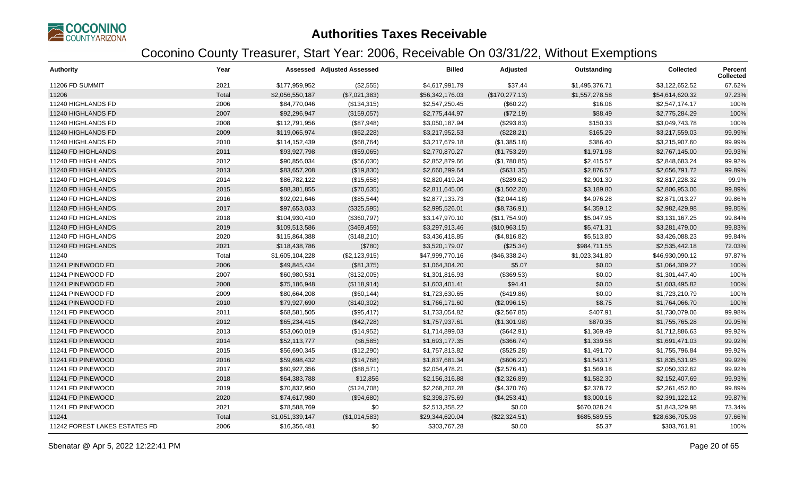

| <b>Authority</b>              | Year  |                 | <b>Assessed Adjusted Assessed</b> | <b>Billed</b>   | Adjusted        | Outstanding    | <b>Collected</b> | Percent<br><b>Collected</b> |
|-------------------------------|-------|-----------------|-----------------------------------|-----------------|-----------------|----------------|------------------|-----------------------------|
| 11206 FD SUMMIT               | 2021  | \$177,959,952   | (\$2,555)                         | \$4,617,991.79  | \$37.44         | \$1,495,376.71 | \$3,122,652.52   | 67.62%                      |
| 11206                         | Total | \$2,056,550,187 | (\$7,021,383)                     | \$56,342,176.03 | (\$170, 277.13) | \$1,557,278.58 | \$54,614,620.32  | 97.23%                      |
| 11240 HIGHLANDS FD            | 2006  | \$84,770,046    | (\$134,315)                       | \$2,547,250.45  | (\$60.22)       | \$16.06        | \$2,547,174.17   | 100%                        |
| 11240 HIGHLANDS FD            | 2007  | \$92,296,947    | (\$159,057)                       | \$2,775,444.97  | (\$72.19)       | \$88.49        | \$2,775,284.29   | 100%                        |
| 11240 HIGHLANDS FD            | 2008  | \$112,791,956   | (\$87,948)                        | \$3,050,187.94  | $(\$293.83)$    | \$150.33       | \$3,049,743.78   | 100%                        |
| 11240 HIGHLANDS FD            | 2009  | \$119,065,974   | (\$62,228)                        | \$3,217,952.53  | (\$228.21)      | \$165.29       | \$3,217,559.03   | 99.99%                      |
| 11240 HIGHLANDS FD            | 2010  | \$114,152,439   | (\$68,764)                        | \$3,217,679.18  | (\$1,385.18)    | \$386.40       | \$3,215,907.60   | 99.99%                      |
| 11240 FD HIGHLANDS            | 2011  | \$93,927,798    | (\$59,065)                        | \$2,770,870.27  | (\$1,753.29)    | \$1,971.98     | \$2,767,145.00   | 99.93%                      |
| 11240 FD HIGHLANDS            | 2012  | \$90,856,034    | (\$56,030)                        | \$2,852,879.66  | (\$1,780.85)    | \$2,415.57     | \$2,848,683.24   | 99.92%                      |
| 11240 FD HIGHLANDS            | 2013  | \$83,657,208    | (\$19,830)                        | \$2,660,299.64  | (\$631.35)      | \$2,876.57     | \$2,656,791.72   | 99.89%                      |
| 11240 FD HIGHLANDS            | 2014  | \$86,782,122    | (\$15,658)                        | \$2,820,419.24  | (\$289.62)      | \$2,901.30     | \$2,817,228.32   | 99.9%                       |
| 11240 FD HIGHLANDS            | 2015  | \$88,381,855    | (\$70,635)                        | \$2,811,645.06  | (\$1,502.20)    | \$3,189.80     | \$2,806,953.06   | 99.89%                      |
| 11240 FD HIGHLANDS            | 2016  | \$92,021,646    | (\$85,544)                        | \$2,877,133.73  | (\$2,044.18)    | \$4,076.28     | \$2,871,013.27   | 99.86%                      |
| 11240 FD HIGHLANDS            | 2017  | \$97,653,033    | (\$325,595)                       | \$2,995,526.01  | (\$8,736.91)    | \$4,359.12     | \$2,982,429.98   | 99.85%                      |
| 11240 FD HIGHLANDS            | 2018  | \$104,930,410   | (\$360,797)                       | \$3,147,970.10  | (\$11,754.90)   | \$5,047.95     | \$3,131,167.25   | 99.84%                      |
| 11240 FD HIGHLANDS            | 2019  | \$109,513,586   | (\$469,459)                       | \$3,297,913.46  | (\$10,963.15)   | \$5,471.31     | \$3,281,479.00   | 99.83%                      |
| 11240 FD HIGHLANDS            | 2020  | \$115,864,388   | (\$148,210)                       | \$3,436,418.85  | (\$4,816.82)    | \$5,513.80     | \$3,426,088.23   | 99.84%                      |
| 11240 FD HIGHLANDS            | 2021  | \$118,438,786   | (\$780)                           | \$3,520,179.07  | (\$25.34)       | \$984,711.55   | \$2,535,442.18   | 72.03%                      |
| 11240                         | Total | \$1,605,104,228 | (\$2,123,915)                     | \$47,999,770.16 | (\$46,338.24)   | \$1,023,341.80 | \$46,930,090.12  | 97.87%                      |
| 11241 PINEWOOD FD             | 2006  | \$49,845,434    | (\$81,375)                        | \$1,064,304.20  | \$5.07          | \$0.00         | \$1,064,309.27   | 100%                        |
| 11241 PINEWOOD FD             | 2007  | \$60,980,531    | (\$132,005)                       | \$1,301,816.93  | (\$369.53)      | \$0.00         | \$1,301,447.40   | 100%                        |
| 11241 PINEWOOD FD             | 2008  | \$75,186,948    | (\$118,914)                       | \$1,603,401.41  | \$94.41         | \$0.00         | \$1,603,495.82   | 100%                        |
| 11241 PINEWOOD FD             | 2009  | \$80,664,208    | (\$60, 144)                       | \$1,723,630.65  | (\$419.86)      | \$0.00         | \$1,723,210.79   | 100%                        |
| 11241 PINEWOOD FD             | 2010  | \$79,927,690    | (\$140,302)                       | \$1,766,171.60  | (\$2,096.15)    | \$8.75         | \$1,764,066.70   | 100%                        |
| 11241 FD PINEWOOD             | 2011  | \$68,581,505    | (\$95,417)                        | \$1,733,054.82  | (\$2,567.85)    | \$407.91       | \$1,730,079.06   | 99.98%                      |
| 11241 FD PINEWOOD             | 2012  | \$65,234,415    | (\$42,728)                        | \$1,757,937.61  | (\$1,301.98)    | \$870.35       | \$1,755,765.28   | 99.95%                      |
| 11241 FD PINEWOOD             | 2013  | \$53,060,019    | (\$14,952)                        | \$1,714,899.03  | (\$642.91)      | \$1,369.49     | \$1,712,886.63   | 99.92%                      |
| 11241 FD PINEWOOD             | 2014  | \$52,113,777    | (\$6,585)                         | \$1,693,177.35  | (\$366.74)      | \$1,339.58     | \$1,691,471.03   | 99.92%                      |
| 11241 FD PINEWOOD             | 2015  | \$56,690,345    | (\$12,290)                        | \$1,757,813.82  | (\$525.28)      | \$1,491.70     | \$1,755,796.84   | 99.92%                      |
| 11241 FD PINEWOOD             | 2016  | \$59,698,432    | (\$14,768)                        | \$1,837,681.34  | (\$606.22)      | \$1,543.17     | \$1,835,531.95   | 99.92%                      |
| 11241 FD PINEWOOD             | 2017  | \$60,927,356    | (\$88,571)                        | \$2,054,478.21  | (\$2,576.41)    | \$1,569.18     | \$2,050,332.62   | 99.92%                      |
| 11241 FD PINEWOOD             | 2018  | \$64,383,788    | \$12,856                          | \$2,156,316.88  | (\$2,326.89)    | \$1,582.30     | \$2,152,407.69   | 99.93%                      |
| 11241 FD PINEWOOD             | 2019  | \$70,837,950    | (\$124,708)                       | \$2,268,202.28  | (\$4,370.76)    | \$2,378.72     | \$2,261,452.80   | 99.89%                      |
| 11241 FD PINEWOOD             | 2020  | \$74,617,980    | (\$94,680)                        | \$2,398,375.69  | (\$4,253.41)    | \$3,000.16     | \$2,391,122.12   | 99.87%                      |
| 11241 FD PINEWOOD             | 2021  | \$78,588,769    | \$0                               | \$2,513,358.22  | \$0.00          | \$670,028.24   | \$1,843,329.98   | 73.34%                      |
| 11241                         | Total | \$1,051,339,147 | (\$1,014,583)                     | \$29,344,620.04 | (\$22,324.51)   | \$685,589.55   | \$28,636,705.98  | 97.66%                      |
| 11242 FOREST LAKES ESTATES FD | 2006  | \$16,356,481    | \$0                               | \$303,767.28    | \$0.00          | \$5.37         | \$303,761.91     | 100%                        |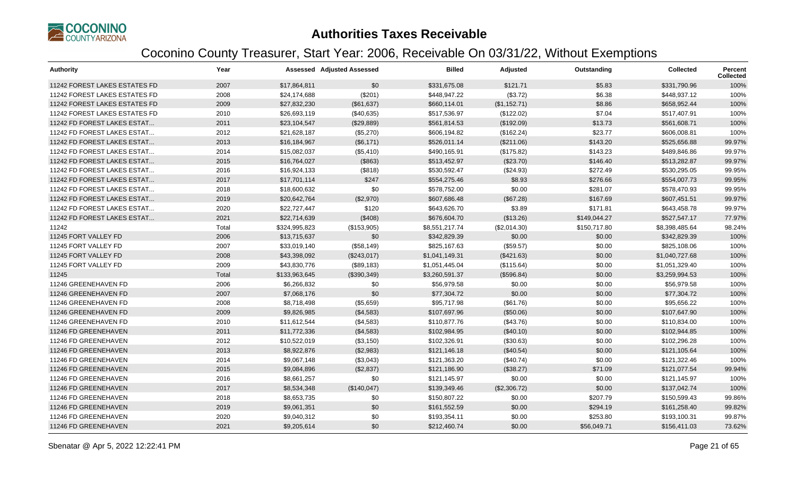

| <b>Authority</b>                     | Year  |               | <b>Assessed Adjusted Assessed</b> | <b>Billed</b>  | Adjusted     | Outstanding  | <b>Collected</b> | Percent<br><b>Collected</b> |
|--------------------------------------|-------|---------------|-----------------------------------|----------------|--------------|--------------|------------------|-----------------------------|
| 11242 FOREST LAKES ESTATES FD        | 2007  | \$17,864,811  | \$0                               | \$331,675.08   | \$121.71     | \$5.83       | \$331,790.96     | 100%                        |
| 11242 FOREST LAKES ESTATES FD        | 2008  | \$24,174,688  | (\$201)                           | \$448,947.22   | (\$3.72)     | \$6.38       | \$448,937.12     | 100%                        |
| 11242 FOREST LAKES ESTATES FD        | 2009  | \$27,832,230  | (\$61,637)                        | \$660,114.01   | (\$1,152.71) | \$8.86       | \$658,952.44     | 100%                        |
| <b>11242 FOREST LAKES ESTATES FD</b> | 2010  | \$26,693,119  | (\$40,635)                        | \$517,536.97   | (\$122.02)   | \$7.04       | \$517,407.91     | 100%                        |
| 11242 FD FOREST LAKES ESTAT          | 2011  | \$23,104,547  | (\$29,889)                        | \$561,814.53   | (\$192.09)   | \$13.73      | \$561,608.71     | 100%                        |
| 11242 FD FOREST LAKES ESTAT          | 2012  | \$21,628,187  | (\$5,270)                         | \$606,194.82   | (\$162.24)   | \$23.77      | \$606,008.81     | 100%                        |
| 11242 FD FOREST LAKES ESTAT          | 2013  | \$16,184,967  | (\$6,171)                         | \$526,011.14   | (\$211.06)   | \$143.20     | \$525,656.88     | 99.97%                      |
| 11242 FD FOREST LAKES ESTAT          | 2014  | \$15,082,037  | (\$5,410)                         | \$490,165.91   | (\$175.82)   | \$143.23     | \$489,846.86     | 99.97%                      |
| 11242 FD FOREST LAKES ESTAT          | 2015  | \$16,764,027  | (\$863)                           | \$513,452.97   | (\$23.70)    | \$146.40     | \$513,282.87     | 99.97%                      |
| 11242 FD FOREST LAKES ESTAT          | 2016  | \$16,924,133  | (\$818)                           | \$530,592.47   | (\$24.93)    | \$272.49     | \$530,295.05     | 99.95%                      |
| 11242 FD FOREST LAKES ESTAT          | 2017  | \$17,701,114  | \$247                             | \$554,275.46   | \$8.93       | \$276.66     | \$554,007.73     | 99.95%                      |
| 11242 FD FOREST LAKES ESTAT          | 2018  | \$18,600,632  | \$0                               | \$578,752.00   | \$0.00       | \$281.07     | \$578,470.93     | 99.95%                      |
| 11242 FD FOREST LAKES ESTAT          | 2019  | \$20,642,764  | (\$2,970)                         | \$607,686.48   | (\$67.28)    | \$167.69     | \$607,451.51     | 99.97%                      |
| 11242 FD FOREST LAKES ESTAT          | 2020  | \$22,727,447  | \$120                             | \$643,626.70   | \$3.89       | \$171.81     | \$643,458.78     | 99.97%                      |
| 11242 FD FOREST LAKES ESTAT          | 2021  | \$22,714,639  | (\$408)                           | \$676,604.70   | (\$13.26)    | \$149,044.27 | \$527,547.17     | 77.97%                      |
| 11242                                | Total | \$324,995,823 | (\$153,905)                       | \$8,551,217.74 | (\$2,014.30) | \$150,717.80 | \$8,398,485.64   | 98.24%                      |
| 11245 FORT VALLEY FD                 | 2006  | \$13,715,637  | \$0                               | \$342,829.39   | \$0.00       | \$0.00       | \$342,829.39     | 100%                        |
| 11245 FORT VALLEY FD                 | 2007  | \$33,019,140  | (\$58,149)                        | \$825,167.63   | (\$59.57)    | \$0.00       | \$825,108.06     | 100%                        |
| 11245 FORT VALLEY FD                 | 2008  | \$43,398,092  | (\$243,017)                       | \$1,041,149.31 | (\$421.63)   | \$0.00       | \$1,040,727.68   | 100%                        |
| 11245 FORT VALLEY FD                 | 2009  | \$43,830,776  | (\$89,183)                        | \$1,051,445.04 | (\$115.64)   | \$0.00       | \$1,051,329.40   | 100%                        |
| 11245                                | Total | \$133,963,645 | (\$390,349)                       | \$3,260,591.37 | (\$596.84)   | \$0.00       | \$3,259,994.53   | 100%                        |
| 11246 GREENEHAVEN FD                 | 2006  | \$6,266,832   | \$0                               | \$56,979.58    | \$0.00       | \$0.00       | \$56,979.58      | 100%                        |
| 11246 GREENEHAVEN FD                 | 2007  | \$7,068,176   | \$0                               | \$77,304.72    | \$0.00       | \$0.00       | \$77,304.72      | 100%                        |
| 11246 GREENEHAVEN FD                 | 2008  | \$8,718,498   | (\$5,659)                         | \$95,717.98    | (\$61.76)    | \$0.00       | \$95,656.22      | 100%                        |
| 11246 GREENEHAVEN FD                 | 2009  | \$9,826,985   | (\$4,583)                         | \$107,697.96   | (\$50.06)    | \$0.00       | \$107,647.90     | 100%                        |
| 11246 GREENEHAVEN FD                 | 2010  | \$11,612,544  | (\$4,583)                         | \$110,877.76   | (\$43.76)    | \$0.00       | \$110,834.00     | 100%                        |
| 11246 FD GREENEHAVEN                 | 2011  | \$11,772,336  | (\$4,583)                         | \$102,984.95   | (\$40.10)    | \$0.00       | \$102,944.85     | 100%                        |
| 11246 FD GREENEHAVEN                 | 2012  | \$10,522,019  | (\$3,150)                         | \$102,326.91   | (\$30.63)    | \$0.00       | \$102,296.28     | 100%                        |
| 11246 FD GREENEHAVEN                 | 2013  | \$8,922,876   | (\$2,983)                         | \$121,146.18   | (\$40.54)    | \$0.00       | \$121,105.64     | 100%                        |
| 11246 FD GREENEHAVEN                 | 2014  | \$9,067,148   | (\$3,043)                         | \$121,363.20   | (\$40.74)    | \$0.00       | \$121,322.46     | 100%                        |
| 11246 FD GREENEHAVEN                 | 2015  | \$9,084,896   | (\$2,837)                         | \$121,186.90   | (\$38.27)    | \$71.09      | \$121,077.54     | 99.94%                      |
| 11246 FD GREENEHAVEN                 | 2016  | \$8,661,257   | \$0                               | \$121,145.97   | \$0.00       | \$0.00       | \$121,145.97     | 100%                        |
| 11246 FD GREENEHAVEN                 | 2017  | \$8,534,348   | (\$140,047)                       | \$139,349.46   | (\$2,306.72) | \$0.00       | \$137,042.74     | 100%                        |
| 11246 FD GREENEHAVEN                 | 2018  | \$8,653,735   | \$0                               | \$150,807.22   | \$0.00       | \$207.79     | \$150,599.43     | 99.86%                      |
| 11246 FD GREENEHAVEN                 | 2019  | \$9,061,351   | \$0                               | \$161,552.59   | \$0.00       | \$294.19     | \$161,258.40     | 99.82%                      |
| 11246 FD GREENEHAVEN                 | 2020  | \$9,040,312   | \$0                               | \$193,354.11   | \$0.00       | \$253.80     | \$193,100.31     | 99.87%                      |
| 11246 FD GREENEHAVEN                 | 2021  | \$9,205,614   | \$0                               | \$212,460.74   | \$0.00       | \$56,049.71  | \$156,411.03     | 73.62%                      |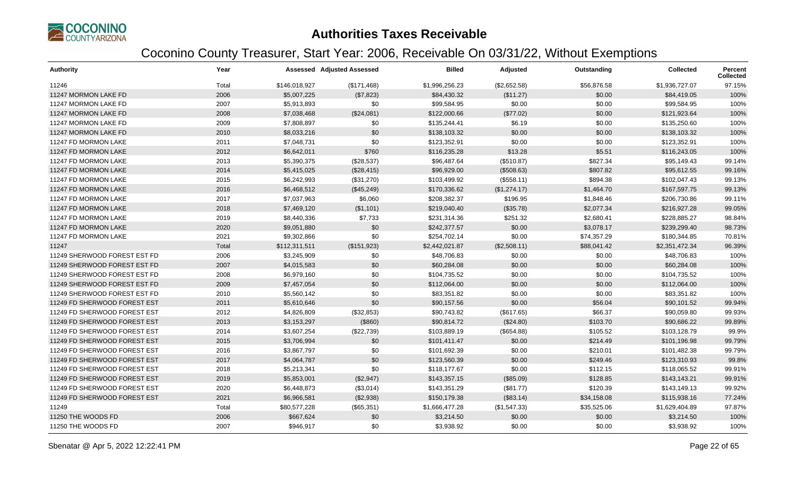

| <b>Authority</b>             | Year  |               | <b>Assessed Adjusted Assessed</b> | <b>Billed</b>  | Adjusted     | Outstanding | <b>Collected</b> | Percent<br><b>Collected</b> |
|------------------------------|-------|---------------|-----------------------------------|----------------|--------------|-------------|------------------|-----------------------------|
| 11246                        | Total | \$146,018,927 | (\$171,468)                       | \$1,996,256.23 | (\$2,652.58) | \$56,876.58 | \$1,936,727.07   | 97.15%                      |
| 11247 MORMON LAKE FD         | 2006  | \$5,007,225   | (\$7,823)                         | \$84,430.32    | (\$11.27)    | \$0.00      | \$84,419.05      | 100%                        |
| 11247 MORMON LAKE FD         | 2007  | \$5,913,893   | \$0                               | \$99,584.95    | \$0.00       | \$0.00      | \$99,584.95      | 100%                        |
| 11247 MORMON LAKE FD         | 2008  | \$7,038,468   | (\$24,081)                        | \$122,000.66   | (\$77.02)    | \$0.00      | \$121,923.64     | 100%                        |
| 11247 MORMON LAKE FD         | 2009  | \$7,808,897   | \$0                               | \$135,244.41   | \$6.19       | \$0.00      | \$135,250.60     | 100%                        |
| 11247 MORMON LAKE FD         | 2010  | \$8,033,216   | \$0                               | \$138,103.32   | \$0.00       | \$0.00      | \$138,103.32     | 100%                        |
| 11247 FD MORMON LAKE         | 2011  | \$7,048,731   | \$0                               | \$123,352.91   | \$0.00       | \$0.00      | \$123,352.91     | 100%                        |
| 11247 FD MORMON LAKE         | 2012  | \$6,642,011   | \$760                             | \$116,235.28   | \$13.28      | \$5.51      | \$116,243.05     | 100%                        |
| 11247 FD MORMON LAKE         | 2013  | \$5,390,375   | (\$28,537)                        | \$96,487.64    | (\$510.87)   | \$827.34    | \$95,149.43      | 99.14%                      |
| 11247 FD MORMON LAKE         | 2014  | \$5,415,025   | (\$28,415)                        | \$96,929.00    | (\$508.63)   | \$807.82    | \$95,612.55      | 99.16%                      |
| 11247 FD MORMON LAKE         | 2015  | \$6,242,993   | (\$31,270)                        | \$103,499.92   | (\$558.11)   | \$894.38    | \$102,047.43     | 99.13%                      |
| 11247 FD MORMON LAKE         | 2016  | \$6,468,512   | (\$45,249)                        | \$170,336.62   | (\$1,274.17) | \$1,464.70  | \$167,597.75     | 99.13%                      |
| 11247 FD MORMON LAKE         | 2017  | \$7,037,963   | \$6,060                           | \$208,382.37   | \$196.95     | \$1,848.46  | \$206,730.86     | 99.11%                      |
| 11247 FD MORMON LAKE         | 2018  | \$7,469,120   | (\$1,101)                         | \$219,040.40   | (\$35.78)    | \$2,077.34  | \$216,927.28     | 99.05%                      |
| 11247 FD MORMON LAKE         | 2019  | \$8,440,336   | \$7,733                           | \$231,314.36   | \$251.32     | \$2,680.41  | \$228,885.27     | 98.84%                      |
| 11247 FD MORMON LAKE         | 2020  | \$9,051,880   | \$0                               | \$242,377.57   | \$0.00       | \$3,078.17  | \$239,299.40     | 98.73%                      |
| 11247 FD MORMON LAKE         | 2021  | \$9,302,866   | \$0                               | \$254,702.14   | \$0.00       | \$74,357.29 | \$180,344.85     | 70.81%                      |
| 11247                        | Total | \$112,311,511 | (\$151,923)                       | \$2,442,021.87 | (\$2,508.11) | \$88,041.42 | \$2,351,472.34   | 96.39%                      |
| 11249 SHERWOOD FOREST EST FD | 2006  | \$3,245,909   | \$0                               | \$48,706.83    | \$0.00       | \$0.00      | \$48,706.83      | 100%                        |
| 11249 SHERWOOD FOREST EST FD | 2007  | \$4,015,583   | \$0                               | \$60,284.08    | \$0.00       | \$0.00      | \$60,284.08      | 100%                        |
| 11249 SHERWOOD FOREST EST FD | 2008  | \$6,979,160   | \$0                               | \$104,735.52   | \$0.00       | \$0.00      | \$104,735.52     | 100%                        |
| 11249 SHERWOOD FOREST EST FD | 2009  | \$7,457,054   | \$0                               | \$112,064.00   | \$0.00       | \$0.00      | \$112,064.00     | 100%                        |
| 11249 SHERWOOD FOREST EST FD | 2010  | \$5,560,142   | \$0                               | \$83,351.82    | \$0.00       | \$0.00      | \$83,351.82      | 100%                        |
| 11249 FD SHERWOOD FOREST EST | 2011  | \$5,610,646   | \$0                               | \$90,157.56    | \$0.00       | \$56.04     | \$90,101.52      | 99.94%                      |
| 11249 FD SHERWOOD FOREST EST | 2012  | \$4,826,809   | (\$32,853)                        | \$90,743.82    | (\$617.65)   | \$66.37     | \$90,059.80      | 99.93%                      |
| 11249 FD SHERWOOD FOREST EST | 2013  | \$3,153,297   | (\$860)                           | \$90,814.72    | (\$24.80)    | \$103.70    | \$90,686.22      | 99.89%                      |
| 11249 FD SHERWOOD FOREST EST | 2014  | \$3,607,254   | (\$22,739)                        | \$103,889.19   | (\$654.88)   | \$105.52    | \$103,128.79     | 99.9%                       |
| 11249 FD SHERWOOD FOREST EST | 2015  | \$3,706,994   | \$0                               | \$101,411.47   | \$0.00       | \$214.49    | \$101,196.98     | 99.79%                      |
| 11249 FD SHERWOOD FOREST EST | 2016  | \$3,867,797   | \$0                               | \$101,692.39   | \$0.00       | \$210.01    | \$101,482.38     | 99.79%                      |
| 11249 FD SHERWOOD FOREST EST | 2017  | \$4,064,787   | \$0                               | \$123,560.39   | \$0.00       | \$249.46    | \$123,310.93     | 99.8%                       |
| 11249 FD SHERWOOD FOREST EST | 2018  | \$5,213,341   | \$0                               | \$118,177.67   | \$0.00       | \$112.15    | \$118,065.52     | 99.91%                      |
| 11249 FD SHERWOOD FOREST EST | 2019  | \$5,853,001   | (\$2,947)                         | \$143,357.15   | (\$85.09)    | \$128.85    | \$143,143.21     | 99.91%                      |
| 11249 FD SHERWOOD FOREST EST | 2020  | \$6,448,873   | (\$3,014)                         | \$143,351.29   | (\$81.77)    | \$120.39    | \$143,149.13     | 99.92%                      |
| 11249 FD SHERWOOD FOREST EST | 2021  | \$6,966,581   | (\$2,938)                         | \$150,179.38   | (\$83.14)    | \$34,158.08 | \$115,938.16     | 77.24%                      |
| 11249                        | Total | \$80,577,228  | (\$65,351)                        | \$1,666,477.28 | (\$1,547.33) | \$35,525.06 | \$1,629,404.89   | 97.87%                      |
| 11250 THE WOODS FD           | 2006  | \$667,624     | \$0                               | \$3,214.50     | \$0.00       | \$0.00      | \$3,214.50       | 100%                        |
| 11250 THE WOODS FD           | 2007  | \$946,917     | \$0                               | \$3,938.92     | \$0.00       | \$0.00      | \$3,938.92       | 100%                        |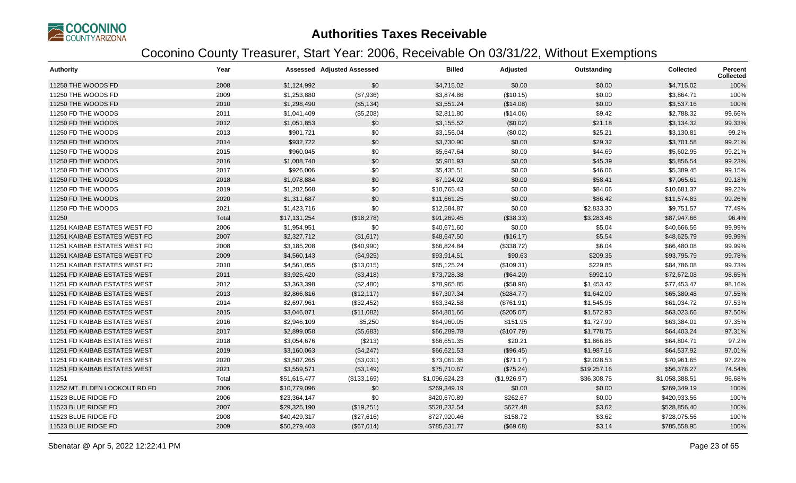

| <b>Authority</b>              | Year  |              | <b>Assessed Adjusted Assessed</b> | <b>Billed</b>  | Adjusted     | Outstanding | <b>Collected</b> | <b>Percent</b><br><b>Collected</b> |
|-------------------------------|-------|--------------|-----------------------------------|----------------|--------------|-------------|------------------|------------------------------------|
| 11250 THE WOODS FD            | 2008  | \$1,124,992  | \$0                               | \$4,715.02     | \$0.00       | \$0.00      | \$4,715.02       | 100%                               |
| 11250 THE WOODS FD            | 2009  | \$1,253,880  | (\$7,936)                         | \$3,874.86     | (\$10.15)    | \$0.00      | \$3,864.71       | 100%                               |
| 11250 THE WOODS FD            | 2010  | \$1,298,490  | (\$5,134)                         | \$3,551.24     | (\$14.08)    | \$0.00      | \$3,537.16       | 100%                               |
| 11250 FD THE WOODS            | 2011  | \$1,041,409  | (\$5,208)                         | \$2,811.80     | (\$14.06)    | \$9.42      | \$2,788.32       | 99.66%                             |
| 11250 FD THE WOODS            | 2012  | \$1,051,853  | \$0                               | \$3,155.52     | (\$0.02)     | \$21.18     | \$3,134.32       | 99.33%                             |
| 11250 FD THE WOODS            | 2013  | \$901,721    | \$0                               | \$3,156.04     | (\$0.02)     | \$25.21     | \$3,130.81       | 99.2%                              |
| 11250 FD THE WOODS            | 2014  | \$932,722    | \$0                               | \$3,730.90     | \$0.00       | \$29.32     | \$3,701.58       | 99.21%                             |
| 11250 FD THE WOODS            | 2015  | \$960,045    | \$0                               | \$5,647.64     | \$0.00       | \$44.69     | \$5,602.95       | 99.21%                             |
| 11250 FD THE WOODS            | 2016  | \$1,008,740  | \$0                               | \$5,901.93     | \$0.00       | \$45.39     | \$5,856.54       | 99.23%                             |
| 11250 FD THE WOODS            | 2017  | \$926,006    | \$0                               | \$5,435.51     | \$0.00       | \$46.06     | \$5,389.45       | 99.15%                             |
| 11250 FD THE WOODS            | 2018  | \$1,078,884  | \$0                               | \$7,124.02     | \$0.00       | \$58.41     | \$7,065.61       | 99.18%                             |
| 11250 FD THE WOODS            | 2019  | \$1,202,568  | \$0                               | \$10,765.43    | \$0.00       | \$84.06     | \$10,681.37      | 99.22%                             |
| 11250 FD THE WOODS            | 2020  | \$1,311,687  | \$0                               | \$11,661.25    | \$0.00       | \$86.42     | \$11,574.83      | 99.26%                             |
| 11250 FD THE WOODS            | 2021  | \$1,423,716  | \$0                               | \$12,584.87    | \$0.00       | \$2,833.30  | \$9,751.57       | 77.49%                             |
| 11250                         | Total | \$17,131,254 | (\$18,278)                        | \$91,269.45    | (\$38.33)    | \$3,283.46  | \$87,947.66      | 96.4%                              |
| 11251 KAIBAB ESTATES WEST FD  | 2006  | \$1,954,951  | \$0                               | \$40,671.60    | \$0.00       | \$5.04      | \$40,666.56      | 99.99%                             |
| 11251 KAIBAB ESTATES WEST FD  | 2007  | \$2,327,712  | (\$1,617)                         | \$48,647.50    | (\$16.17)    | \$5.54      | \$48,625.79      | 99.99%                             |
| 11251 KAIBAB ESTATES WEST FD  | 2008  | \$3,185,208  | (\$40,990)                        | \$66,824.84    | (\$338.72)   | \$6.04      | \$66,480.08      | 99.99%                             |
| 11251 KAIBAB ESTATES WEST FD  | 2009  | \$4,560,143  | (\$4,925)                         | \$93,914.51    | \$90.63      | \$209.35    | \$93,795.79      | 99.78%                             |
| 11251 KAIBAB ESTATES WEST FD  | 2010  | \$4,561,055  | (\$13,015)                        | \$85,125.24    | (\$109.31)   | \$229.85    | \$84,786.08      | 99.73%                             |
| 11251 FD KAIBAB ESTATES WEST  | 2011  | \$3,925,420  | (\$3,418)                         | \$73,728.38    | (\$64.20)    | \$992.10    | \$72,672.08      | 98.65%                             |
| 11251 FD KAIBAB ESTATES WEST  | 2012  | \$3,363,398  | (\$2,480)                         | \$78,965.85    | (\$58.96)    | \$1,453.42  | \$77,453.47      | 98.16%                             |
| 11251 FD KAIBAB ESTATES WEST  | 2013  | \$2,866,816  | (\$12, 117)                       | \$67,307.34    | (\$284.77)   | \$1,642.09  | \$65,380.48      | 97.55%                             |
| 11251 FD KAIBAB ESTATES WEST  | 2014  | \$2,697,961  | (\$32,452)                        | \$63,342.58    | (\$761.91)   | \$1,545.95  | \$61,034.72      | 97.53%                             |
| 11251 FD KAIBAB ESTATES WEST  | 2015  | \$3,046,071  | (\$11,082)                        | \$64,801.66    | $(\$205.07)$ | \$1,572.93  | \$63,023.66      | 97.56%                             |
| 11251 FD KAIBAB ESTATES WEST  | 2016  | \$2,946,109  | \$5,250                           | \$64,960.05    | \$151.95     | \$1,727.99  | \$63,384.01      | 97.35%                             |
| 11251 FD KAIBAB ESTATES WEST  | 2017  | \$2,899,058  | (\$5,683)                         | \$66,289.78    | (\$107.79)   | \$1,778.75  | \$64,403.24      | 97.31%                             |
| 11251 FD KAIBAB ESTATES WEST  | 2018  | \$3,054,676  | (\$213)                           | \$66,651.35    | \$20.21      | \$1,866.85  | \$64,804.71      | 97.2%                              |
| 11251 FD KAIBAB ESTATES WEST  | 2019  | \$3,160,063  | (\$4,247)                         | \$66,621.53    | (\$96.45)    | \$1,987.16  | \$64,537.92      | 97.01%                             |
| 11251 FD KAIBAB ESTATES WEST  | 2020  | \$3,507,265  | (\$3,031)                         | \$73,061.35    | (\$71.17)    | \$2,028.53  | \$70,961.65      | 97.22%                             |
| 11251 FD KAIBAB ESTATES WEST  | 2021  | \$3,559,571  | (\$3,149)                         | \$75,710.67    | (\$75.24)    | \$19,257.16 | \$56,378.27      | 74.54%                             |
| 11251                         | Total | \$51,615,477 | (\$133,169)                       | \$1,096,624.23 | (\$1,926.97) | \$36,308.75 | \$1,058,388.51   | 96.68%                             |
| 11252 MT. ELDEN LOOKOUT RD FD | 2006  | \$10,779,096 | \$0                               | \$269,349.19   | \$0.00       | \$0.00      | \$269,349.19     | 100%                               |
| 11523 BLUE RIDGE FD           | 2006  | \$23,364,147 | \$0                               | \$420,670.89   | \$262.67     | \$0.00      | \$420,933.56     | 100%                               |
| 11523 BLUE RIDGE FD           | 2007  | \$29,325,190 | (\$19,251)                        | \$528,232.54   | \$627.48     | \$3.62      | \$528,856.40     | 100%                               |
| 11523 BLUE RIDGE FD           | 2008  | \$40,429,317 | (\$27,616)                        | \$727,920.46   | \$158.72     | \$3.62      | \$728,075.56     | 100%                               |
| 11523 BLUE RIDGE FD           | 2009  | \$50,279,403 | (\$67,014)                        | \$785,631.77   | (\$69.68)    | \$3.14      | \$785,558.95     | 100%                               |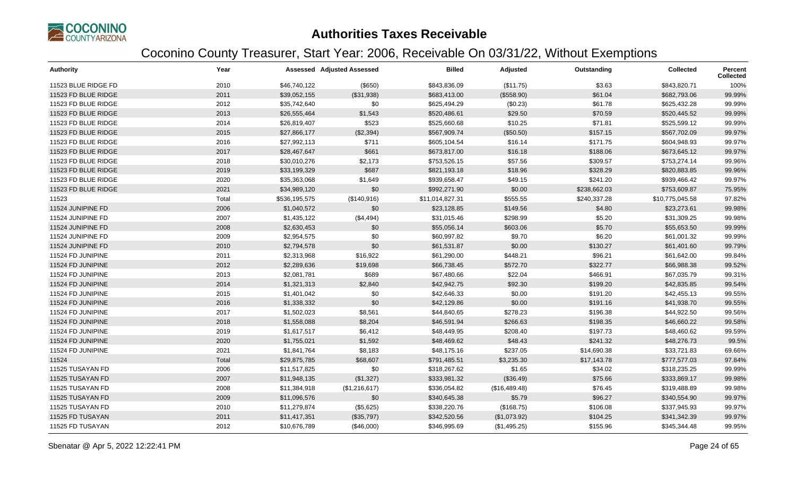

| <b>Authority</b>    | Year  |               | <b>Assessed Adjusted Assessed</b> | <b>Billed</b>   | Adjusted      | Outstanding  | <b>Collected</b> | Percent<br><b>Collected</b> |
|---------------------|-------|---------------|-----------------------------------|-----------------|---------------|--------------|------------------|-----------------------------|
| 11523 BLUE RIDGE FD | 2010  | \$46,740,122  | $($ \$650)                        | \$843,836.09    | (\$11.75)     | \$3.63       | \$843,820.71     | 100%                        |
| 11523 FD BLUE RIDGE | 2011  | \$39,052,155  | (\$31,938)                        | \$683,413.00    | (\$558.90)    | \$61.04      | \$682,793.06     | 99.99%                      |
| 11523 FD BLUE RIDGE | 2012  | \$35,742,640  | \$0                               | \$625,494.29    | (\$0.23)      | \$61.78      | \$625,432.28     | 99.99%                      |
| 11523 FD BLUE RIDGE | 2013  | \$26,555,464  | \$1,543                           | \$520,486.61    | \$29.50       | \$70.59      | \$520,445.52     | 99.99%                      |
| 11523 FD BLUE RIDGE | 2014  | \$26,819,407  | \$523                             | \$525,660.68    | \$10.25       | \$71.81      | \$525,599.12     | 99.99%                      |
| 11523 FD BLUE RIDGE | 2015  | \$27,866,177  | (\$2,394)                         | \$567,909.74    | (\$50.50)     | \$157.15     | \$567,702.09     | 99.97%                      |
| 11523 FD BLUE RIDGE | 2016  | \$27,992,113  | \$711                             | \$605,104.54    | \$16.14       | \$171.75     | \$604,948.93     | 99.97%                      |
| 11523 FD BLUE RIDGE | 2017  | \$28,467,647  | \$661                             | \$673,817.00    | \$16.18       | \$188.06     | \$673,645.12     | 99.97%                      |
| 11523 FD BLUE RIDGE | 2018  | \$30,010,276  | \$2,173                           | \$753,526.15    | \$57.56       | \$309.57     | \$753,274.14     | 99.96%                      |
| 11523 FD BLUE RIDGE | 2019  | \$33,199,329  | \$687                             | \$821,193.18    | \$18.96       | \$328.29     | \$820,883.85     | 99.96%                      |
| 11523 FD BLUE RIDGE | 2020  | \$35,363,068  | \$1,649                           | \$939,658.47    | \$49.15       | \$241.20     | \$939,466.42     | 99.97%                      |
| 11523 FD BLUE RIDGE | 2021  | \$34,989,120  | \$0                               | \$992,271.90    | \$0.00        | \$238,662.03 | \$753,609.87     | 75.95%                      |
| 11523               | Total | \$536,195,575 | (\$140,916)                       | \$11,014,827.31 | \$555.55      | \$240,337.28 | \$10,775,045.58  | 97.82%                      |
| 11524 JUNIPINE FD   | 2006  | \$1,040,572   | \$0                               | \$23,128.85     | \$149.56      | \$4.80       | \$23,273.61      | 99.98%                      |
| 11524 JUNIPINE FD   | 2007  | \$1,435,122   | (\$4,494)                         | \$31,015.46     | \$298.99      | \$5.20       | \$31,309.25      | 99.98%                      |
| 11524 JUNIPINE FD   | 2008  | \$2,630,453   | \$0                               | \$55,056.14     | \$603.06      | \$5.70       | \$55,653.50      | 99.99%                      |
| 11524 JUNIPINE FD   | 2009  | \$2,954,575   | \$0                               | \$60,997.82     | \$9.70        | \$6.20       | \$61,001.32      | 99.99%                      |
| 11524 JUNIPINE FD   | 2010  | \$2,794,578   | \$0                               | \$61,531.87     | \$0.00        | \$130.27     | \$61,401.60      | 99.79%                      |
| 11524 FD JUNIPINE   | 2011  | \$2,313,968   | \$16,922                          | \$61,290.00     | \$448.21      | \$96.21      | \$61,642.00      | 99.84%                      |
| 11524 FD JUNIPINE   | 2012  | \$2,289,636   | \$19,698                          | \$66,738.45     | \$572.70      | \$322.77     | \$66,988.38      | 99.52%                      |
| 11524 FD JUNIPINE   | 2013  | \$2,081,781   | \$689                             | \$67,480.66     | \$22.04       | \$466.91     | \$67,035.79      | 99.31%                      |
| 11524 FD JUNIPINE   | 2014  | \$1,321,313   | \$2,840                           | \$42,942.75     | \$92.30       | \$199.20     | \$42,835.85      | 99.54%                      |
| 11524 FD JUNIPINE   | 2015  | \$1,401,042   | \$0                               | \$42,646.33     | \$0.00        | \$191.20     | \$42,455.13      | 99.55%                      |
| 11524 FD JUNIPINE   | 2016  | \$1,338,332   | \$0                               | \$42,129.86     | \$0.00        | \$191.16     | \$41,938.70      | 99.55%                      |
| 11524 FD JUNIPINE   | 2017  | \$1,502,023   | \$8,561                           | \$44,840.65     | \$278.23      | \$196.38     | \$44,922.50      | 99.56%                      |
| 11524 FD JUNIPINE   | 2018  | \$1,558,088   | \$8,204                           | \$46,591.94     | \$266.63      | \$198.35     | \$46,660.22      | 99.58%                      |
| 11524 FD JUNIPINE   | 2019  | \$1,617,517   | \$6,412                           | \$48,449.95     | \$208.40      | \$197.73     | \$48,460.62      | 99.59%                      |
| 11524 FD JUNIPINE   | 2020  | \$1,755,021   | \$1,592                           | \$48,469.62     | \$48.43       | \$241.32     | \$48,276.73      | 99.5%                       |
| 11524 FD JUNIPINE   | 2021  | \$1,841,764   | \$8,183                           | \$48,175.16     | \$237.05      | \$14,690.38  | \$33,721.83      | 69.66%                      |
| 11524               | Total | \$29,875,785  | \$68,607                          | \$791,485.51    | \$3,235.30    | \$17,143.78  | \$777,577.03     | 97.84%                      |
| 11525 TUSAYAN FD    | 2006  | \$11,517,825  | \$0                               | \$318,267.62    | \$1.65        | \$34.02      | \$318,235.25     | 99.99%                      |
| 11525 TUSAYAN FD    | 2007  | \$11,948,135  | (\$1,327)                         | \$333,981.32    | (\$36.49)     | \$75.66      | \$333,869.17     | 99.98%                      |
| 11525 TUSAYAN FD    | 2008  | \$11,384,918  | (\$1,216,617)                     | \$336,054.82    | (\$16,489.48) | \$76.45      | \$319,488.89     | 99.98%                      |
| 11525 TUSAYAN FD    | 2009  | \$11,096,576  | \$0                               | \$340,645.38    | \$5.79        | \$96.27      | \$340,554.90     | 99.97%                      |
| 11525 TUSAYAN FD    | 2010  | \$11,279,874  | (\$5,625)                         | \$338,220.76    | (\$168.75)    | \$106.08     | \$337,945.93     | 99.97%                      |
| 11525 FD TUSAYAN    | 2011  | \$11,417,351  | (\$35,797)                        | \$342,520.56    | (\$1,073.92)  | \$104.25     | \$341,342.39     | 99.97%                      |
| 11525 FD TUSAYAN    | 2012  | \$10,676,789  | (\$46,000)                        | \$346,995.69    | (\$1,495.25)  | \$155.96     | \$345,344.48     | 99.95%                      |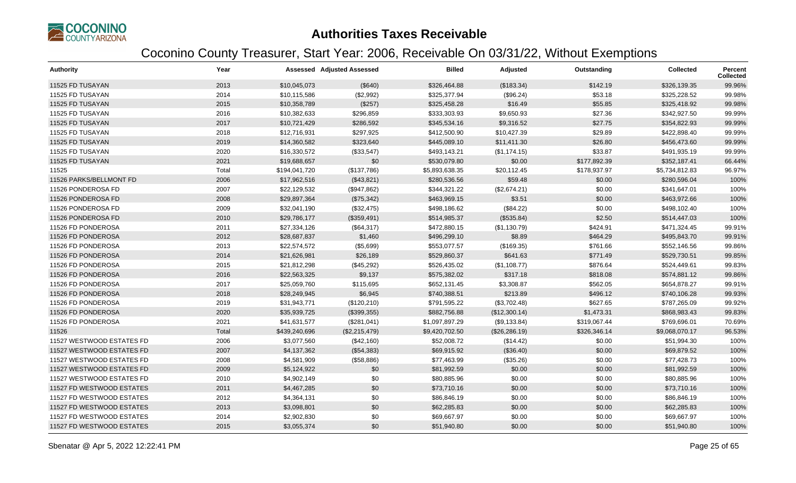

| <b>Authority</b>          | Year  |               | <b>Assessed Adjusted Assessed</b> | <b>Billed</b>  | Adjusted       | Outstanding  | <b>Collected</b> | <b>Percent</b><br><b>Collected</b> |
|---------------------------|-------|---------------|-----------------------------------|----------------|----------------|--------------|------------------|------------------------------------|
| 11525 FD TUSAYAN          | 2013  | \$10,045,073  | (\$640)                           | \$326,464.88   | (\$183.34)     | \$142.19     | \$326,139.35     | 99.96%                             |
| 11525 FD TUSAYAN          | 2014  | \$10,115,586  | (\$2,992)                         | \$325,377.94   | (\$96.24)      | \$53.18      | \$325,228.52     | 99.98%                             |
| 11525 FD TUSAYAN          | 2015  | \$10,358,789  | (\$257)                           | \$325,458.28   | \$16.49        | \$55.85      | \$325,418.92     | 99.98%                             |
| 11525 FD TUSAYAN          | 2016  | \$10,382,633  | \$296,859                         | \$333,303.93   | \$9,650.93     | \$27.36      | \$342,927.50     | 99.99%                             |
| 11525 FD TUSAYAN          | 2017  | \$10,721,429  | \$286,592                         | \$345,534.16   | \$9,316.52     | \$27.75      | \$354,822.93     | 99.99%                             |
| 11525 FD TUSAYAN          | 2018  | \$12,716,931  | \$297,925                         | \$412,500.90   | \$10,427.39    | \$29.89      | \$422,898.40     | 99.99%                             |
| 11525 FD TUSAYAN          | 2019  | \$14,360,582  | \$323,640                         | \$445,089.10   | \$11,411.30    | \$26.80      | \$456,473.60     | 99.99%                             |
| 11525 FD TUSAYAN          | 2020  | \$16,330,572  | (\$33,547)                        | \$493,143.21   | (\$1,174.15)   | \$33.87      | \$491,935.19     | 99.99%                             |
| 11525 FD TUSAYAN          | 2021  | \$19,688,657  | \$0                               | \$530,079.80   | \$0.00         | \$177,892.39 | \$352,187.41     | 66.44%                             |
| 11525                     | Total | \$194,041,720 | (\$137,786)                       | \$5,893,638.35 | \$20,112.45    | \$178,937.97 | \$5,734,812.83   | 96.97%                             |
| 11526 PARKS/BELLMONT FD   | 2006  | \$17,962,516  | (\$43,821)                        | \$280,536.56   | \$59.48        | \$0.00       | \$280,596.04     | 100%                               |
| 11526 PONDEROSA FD        | 2007  | \$22,129,532  | (\$947,862)                       | \$344,321.22   | (\$2,674.21)   | \$0.00       | \$341,647.01     | 100%                               |
| 11526 PONDEROSA FD        | 2008  | \$29,897,364  | (\$75,342)                        | \$463,969.15   | \$3.51         | \$0.00       | \$463,972.66     | 100%                               |
| 11526 PONDEROSA FD        | 2009  | \$32,041,190  | (\$32,475)                        | \$498,186.62   | (\$84.22)      | \$0.00       | \$498,102.40     | 100%                               |
| 11526 PONDEROSA FD        | 2010  | \$29,786,177  | (\$359,491)                       | \$514,985.37   | (\$535.84)     | \$2.50       | \$514,447.03     | 100%                               |
| 11526 FD PONDEROSA        | 2011  | \$27,334,126  | (\$64,317)                        | \$472,880.15   | (\$1,130.79)   | \$424.91     | \$471,324.45     | 99.91%                             |
| 11526 FD PONDEROSA        | 2012  | \$28,687,837  | \$1,460                           | \$496,299.10   | \$8.89         | \$464.29     | \$495,843.70     | 99.91%                             |
| 11526 FD PONDEROSA        | 2013  | \$22,574,572  | (\$5,699)                         | \$553,077.57   | (\$169.35)     | \$761.66     | \$552,146.56     | 99.86%                             |
| 11526 FD PONDEROSA        | 2014  | \$21,626,981  | \$26,189                          | \$529,860.37   | \$641.63       | \$771.49     | \$529,730.51     | 99.85%                             |
| 11526 FD PONDEROSA        | 2015  | \$21,812,298  | (\$45,292)                        | \$526,435.02   | (\$1,108.77)   | \$876.64     | \$524,449.61     | 99.83%                             |
| 11526 FD PONDEROSA        | 2016  | \$22,563,325  | \$9,137                           | \$575,382.02   | \$317.18       | \$818.08     | \$574,881.12     | 99.86%                             |
| 11526 FD PONDEROSA        | 2017  | \$25,059,760  | \$115,695                         | \$652,131.45   | \$3,308.87     | \$562.05     | \$654,878.27     | 99.91%                             |
| 11526 FD PONDEROSA        | 2018  | \$28,249,945  | \$6,945                           | \$740,388.51   | \$213.89       | \$496.12     | \$740,106.28     | 99.93%                             |
| 11526 FD PONDEROSA        | 2019  | \$31,943,771  | (\$120,210)                       | \$791,595.22   | (\$3,702.48)   | \$627.65     | \$787,265.09     | 99.92%                             |
| 11526 FD PONDEROSA        | 2020  | \$35,939,725  | (\$399,355)                       | \$882,756.88   | (\$12,300.14)  | \$1,473.31   | \$868,983.43     | 99.83%                             |
| 11526 FD PONDEROSA        | 2021  | \$41,631,577  | (\$281,041)                       | \$1,097,897.29 | (\$9,133.84)   | \$319,067.44 | \$769,696.01     | 70.69%                             |
| 11526                     | Total | \$439,240,696 | (\$2,215,479)                     | \$9,420,702.50 | (\$26, 286.19) | \$326,346.14 | \$9,068,070.17   | 96.53%                             |
| 11527 WESTWOOD ESTATES FD | 2006  | \$3,077,560   | (\$42,160)                        | \$52,008.72    | (\$14.42)      | \$0.00       | \$51,994.30      | 100%                               |
| 11527 WESTWOOD ESTATES FD | 2007  | \$4,137,362   | (\$54,383)                        | \$69,915.92    | (\$36.40)      | \$0.00       | \$69,879.52      | 100%                               |
| 11527 WESTWOOD ESTATES FD | 2008  | \$4,581,909   | (\$58,886)                        | \$77,463.99    | (\$35.26)      | \$0.00       | \$77,428.73      | 100%                               |
| 11527 WESTWOOD ESTATES FD | 2009  | \$5,124,922   | \$0                               | \$81,992.59    | \$0.00         | \$0.00       | \$81,992.59      | 100%                               |
| 11527 WESTWOOD ESTATES FD | 2010  | \$4,902,149   | \$0                               | \$80,885.96    | \$0.00         | \$0.00       | \$80,885.96      | 100%                               |
| 11527 FD WESTWOOD ESTATES | 2011  | \$4,467,285   | \$0                               | \$73,710.16    | \$0.00         | \$0.00       | \$73,710.16      | 100%                               |
| 11527 FD WESTWOOD ESTATES | 2012  | \$4,364,131   | \$0                               | \$86,846.19    | \$0.00         | \$0.00       | \$86,846.19      | 100%                               |
| 11527 FD WESTWOOD ESTATES | 2013  | \$3,098,801   | \$0                               | \$62,285.83    | \$0.00         | \$0.00       | \$62,285.83      | 100%                               |
| 11527 FD WESTWOOD ESTATES | 2014  | \$2,902,830   | \$0                               | \$69,667.97    | \$0.00         | \$0.00       | \$69,667.97      | 100%                               |
| 11527 FD WESTWOOD ESTATES | 2015  | \$3,055,374   | \$0                               | \$51,940.80    | \$0.00         | \$0.00       | \$51,940.80      | 100%                               |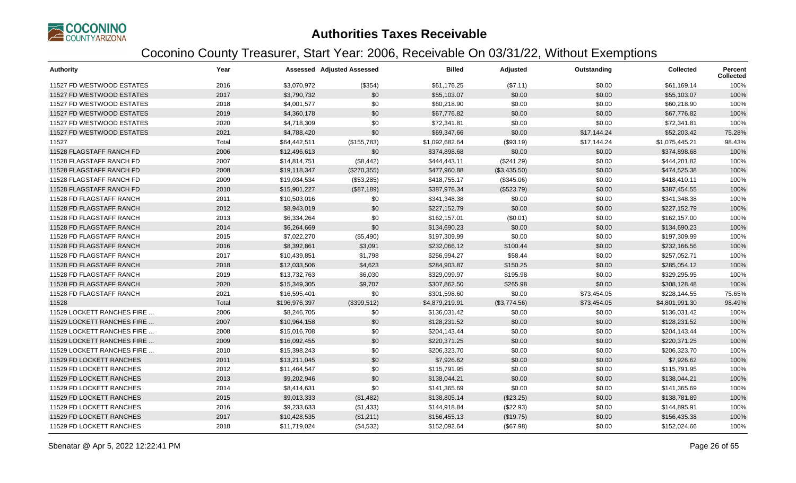

| <b>Authority</b>           | Year  |               | Assessed Adjusted Assessed | <b>Billed</b>  | Adjusted     | Outstanding | <b>Collected</b> | Percent<br><b>Collected</b> |
|----------------------------|-------|---------------|----------------------------|----------------|--------------|-------------|------------------|-----------------------------|
| 11527 FD WESTWOOD ESTATES  | 2016  | \$3,070,972   | (\$354)                    | \$61,176.25    | (\$7.11)     | \$0.00      | \$61,169.14      | 100%                        |
| 11527 FD WESTWOOD ESTATES  | 2017  | \$3,790,732   | \$0                        | \$55,103.07    | \$0.00       | \$0.00      | \$55,103.07      | 100%                        |
| 11527 FD WESTWOOD ESTATES  | 2018  | \$4,001,577   | \$0                        | \$60,218.90    | \$0.00       | \$0.00      | \$60,218.90      | 100%                        |
| 11527 FD WESTWOOD ESTATES  | 2019  | \$4,360,178   | \$0                        | \$67,776.82    | \$0.00       | \$0.00      | \$67,776.82      | 100%                        |
| 11527 FD WESTWOOD ESTATES  | 2020  | \$4,718,309   | \$0                        | \$72,341.81    | \$0.00       | \$0.00      | \$72,341.81      | 100%                        |
| 11527 FD WESTWOOD ESTATES  | 2021  | \$4,788,420   | \$0                        | \$69,347.66    | \$0.00       | \$17,144.24 | \$52,203.42      | 75.28%                      |
| 11527                      | Total | \$64,442,511  | (\$155,783)                | \$1,092,682.64 | (\$93.19)    | \$17,144.24 | \$1,075,445.21   | 98.43%                      |
| 11528 FLAGSTAFF RANCH FD   | 2006  | \$12,496,613  | \$0                        | \$374,898.68   | \$0.00       | \$0.00      | \$374,898.68     | 100%                        |
| 11528 FLAGSTAFF RANCH FD   | 2007  | \$14,814,751  | (\$8,442)                  | \$444,443.11   | (\$241.29)   | \$0.00      | \$444,201.82     | 100%                        |
| 11528 FLAGSTAFF RANCH FD   | 2008  | \$19,118,347  | (\$270,355)                | \$477,960.88   | (\$3,435.50) | \$0.00      | \$474,525.38     | 100%                        |
| 11528 FLAGSTAFF RANCH FD   | 2009  | \$19,034,534  | (\$53,285)                 | \$418,755.17   | (\$345.06)   | \$0.00      | \$418,410.11     | 100%                        |
| 11528 FLAGSTAFF RANCH FD   | 2010  | \$15,901,227  | (\$87,189)                 | \$387,978.34   | (\$523.79)   | \$0.00      | \$387,454.55     | 100%                        |
| 11528 FD FLAGSTAFF RANCH   | 2011  | \$10,503,016  | \$0                        | \$341,348.38   | \$0.00       | \$0.00      | \$341,348.38     | 100%                        |
| 11528 FD FLAGSTAFF RANCH   | 2012  | \$8,943,019   | \$0                        | \$227,152.79   | \$0.00       | \$0.00      | \$227,152.79     | 100%                        |
| 11528 FD FLAGSTAFF RANCH   | 2013  | \$6,334,264   | \$0                        | \$162,157.01   | (\$0.01)     | \$0.00      | \$162,157.00     | 100%                        |
| 11528 FD FLAGSTAFF RANCH   | 2014  | \$6,264,669   | \$0                        | \$134,690.23   | \$0.00       | \$0.00      | \$134,690.23     | 100%                        |
| 11528 FD FLAGSTAFF RANCH   | 2015  | \$7,022,270   | (\$5,490)                  | \$197,309.99   | \$0.00       | \$0.00      | \$197,309.99     | 100%                        |
| 11528 FD FLAGSTAFF RANCH   | 2016  | \$8,392,861   | \$3,091                    | \$232,066.12   | \$100.44     | \$0.00      | \$232,166.56     | 100%                        |
| 11528 FD FLAGSTAFF RANCH   | 2017  | \$10,439,851  | \$1,798                    | \$256,994.27   | \$58.44      | \$0.00      | \$257,052.71     | 100%                        |
| 11528 FD FLAGSTAFF RANCH   | 2018  | \$12,033,506  | \$4,623                    | \$284,903.87   | \$150.25     | \$0.00      | \$285,054.12     | 100%                        |
| 11528 FD FLAGSTAFF RANCH   | 2019  | \$13,732,763  | \$6,030                    | \$329,099.97   | \$195.98     | \$0.00      | \$329,295.95     | 100%                        |
| 11528 FD FLAGSTAFF RANCH   | 2020  | \$15,349,305  | \$9,707                    | \$307,862.50   | \$265.98     | \$0.00      | \$308,128.48     | 100%                        |
| 11528 FD FLAGSTAFF RANCH   | 2021  | \$16,595,401  | \$0                        | \$301,598.60   | \$0.00       | \$73,454.05 | \$228,144.55     | 75.65%                      |
| 11528                      | Total | \$196,976,397 | (\$399,512)                | \$4,879,219.91 | (\$3,774.56) | \$73,454.05 | \$4,801,991.30   | 98.49%                      |
| 11529 LOCKETT RANCHES FIRE | 2006  | \$8,246,705   | \$0                        | \$136,031.42   | \$0.00       | \$0.00      | \$136,031.42     | 100%                        |
| 11529 LOCKETT RANCHES FIRE | 2007  | \$10,964,158  | \$0                        | \$128,231.52   | \$0.00       | \$0.00      | \$128,231.52     | 100%                        |
| 11529 LOCKETT RANCHES FIRE | 2008  | \$15,016,708  | \$0                        | \$204,143.44   | \$0.00       | \$0.00      | \$204,143.44     | 100%                        |
| 11529 LOCKETT RANCHES FIRE | 2009  | \$16,092,455  | \$0                        | \$220,371.25   | \$0.00       | \$0.00      | \$220,371.25     | 100%                        |
| 11529 LOCKETT RANCHES FIRE | 2010  | \$15,398,243  | \$0                        | \$206,323.70   | \$0.00       | \$0.00      | \$206,323.70     | 100%                        |
| 11529 FD LOCKETT RANCHES   | 2011  | \$13,211,045  | \$0                        | \$7,926.62     | \$0.00       | \$0.00      | \$7,926.62       | 100%                        |
| 11529 FD LOCKETT RANCHES   | 2012  | \$11,464,547  | \$0                        | \$115,791.95   | \$0.00       | \$0.00      | \$115,791.95     | 100%                        |
| 11529 FD LOCKETT RANCHES   | 2013  | \$9,202,946   | \$0                        | \$138,044.21   | \$0.00       | \$0.00      | \$138,044.21     | 100%                        |
| 11529 FD LOCKETT RANCHES   | 2014  | \$8,414,631   | \$0                        | \$141,365.69   | \$0.00       | \$0.00      | \$141,365.69     | 100%                        |
| 11529 FD LOCKETT RANCHES   | 2015  | \$9,013,333   | (\$1,482)                  | \$138,805.14   | (\$23.25)    | \$0.00      | \$138,781.89     | 100%                        |
| 11529 FD LOCKETT RANCHES   | 2016  | \$9,233,633   | (\$1,433)                  | \$144,918.84   | (\$22.93)    | \$0.00      | \$144,895.91     | 100%                        |
| 11529 FD LOCKETT RANCHES   | 2017  | \$10,428,535  | (\$1,211)                  | \$156,455.13   | (\$19.75)    | \$0.00      | \$156,435.38     | 100%                        |
| 11529 FD LOCKETT RANCHES   | 2018  | \$11,719,024  | (\$4,532)                  | \$152,092.64   | (\$67.98)    | \$0.00      | \$152,024.66     | 100%                        |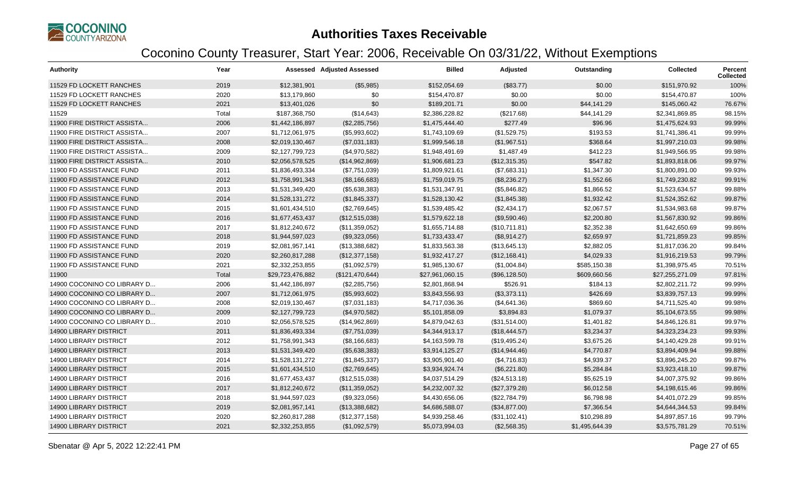

| <b>Authority</b>              | Year  |                  | <b>Assessed Adjusted Assessed</b> | <b>Billed</b>   | Adjusted      | Outstanding    | <b>Collected</b> | Percent<br><b>Collected</b> |
|-------------------------------|-------|------------------|-----------------------------------|-----------------|---------------|----------------|------------------|-----------------------------|
| 11529 FD LOCKETT RANCHES      | 2019  | \$12,381,901     | (\$5,985)                         | \$152,054.69    | (\$83.77)     | \$0.00         | \$151,970.92     | 100%                        |
| 11529 FD LOCKETT RANCHES      | 2020  | \$13,179,860     | \$0                               | \$154,470.87    | \$0.00        | \$0.00         | \$154,470.87     | 100%                        |
| 11529 FD LOCKETT RANCHES      | 2021  | \$13,401,026     | \$0                               | \$189,201.71    | \$0.00        | \$44,141.29    | \$145,060.42     | 76.67%                      |
| 11529                         | Total | \$187,368,750    | (\$14,643)                        | \$2,386,228.82  | (\$217.68)    | \$44,141.29    | \$2,341,869.85   | 98.15%                      |
| 11900 FIRE DISTRICT ASSISTA   | 2006  | \$1,442,186,897  | (\$2,285,756)                     | \$1,475,444.40  | \$277.49      | \$96.96        | \$1,475,624.93   | 99.99%                      |
| 11900 FIRE DISTRICT ASSISTA   | 2007  | \$1,712,061,975  | (\$5,993,602)                     | \$1,743,109.69  | (\$1,529.75)  | \$193.53       | \$1,741,386.41   | 99.99%                      |
| 11900 FIRE DISTRICT ASSISTA   | 2008  | \$2,019,130,467  | (\$7,031,183)                     | \$1,999,546.18  | (\$1,967.51)  | \$368.64       | \$1,997,210.03   | 99.98%                      |
| 11900 FIRE DISTRICT ASSISTA   | 2009  | \$2,127,799,723  | (\$4,970,582)                     | \$1,948,491.69  | \$1,487.49    | \$412.23       | \$1,949,566.95   | 99.98%                      |
| 11900 FIRE DISTRICT ASSISTA   | 2010  | \$2,056,578,525  | (\$14,962,869)                    | \$1,906,681.23  | (\$12,315.35) | \$547.82       | \$1,893,818.06   | 99.97%                      |
| 11900 FD ASSISTANCE FUND      | 2011  | \$1,836,493,334  | (\$7,751,039)                     | \$1,809,921.61  | (\$7,683.31)  | \$1,347.30     | \$1,800,891.00   | 99.93%                      |
| 11900 FD ASSISTANCE FUND      | 2012  | \$1,758,991,343  | (\$8,166,683)                     | \$1,759,019.75  | (\$8,236.27)  | \$1,552.66     | \$1,749,230.82   | 99.91%                      |
| 11900 FD ASSISTANCE FUND      | 2013  | \$1,531,349,420  | (\$5,638,383)                     | \$1,531,347.91  | (\$5,846.82)  | \$1,866.52     | \$1,523,634.57   | 99.88%                      |
| 11900 FD ASSISTANCE FUND      | 2014  | \$1,528,131,272  | (\$1,845,337)                     | \$1,528,130.42  | (\$1,845.38)  | \$1,932.42     | \$1,524,352.62   | 99.87%                      |
| 11900 FD ASSISTANCE FUND      | 2015  | \$1,601,434,510  | (\$2,769,645)                     | \$1,539,485.42  | (\$2,434.17)  | \$2,067.57     | \$1,534,983.68   | 99.87%                      |
| 11900 FD ASSISTANCE FUND      | 2016  | \$1,677,453,437  | (\$12,515,038)                    | \$1,579,622.18  | (\$9,590.46)  | \$2,200.80     | \$1,567,830.92   | 99.86%                      |
| 11900 FD ASSISTANCE FUND      | 2017  | \$1,812,240,672  | (\$11,359,052)                    | \$1,655,714.88  | (\$10,711.81) | \$2,352.38     | \$1,642,650.69   | 99.86%                      |
| 11900 FD ASSISTANCE FUND      | 2018  | \$1,944,597,023  | (\$9,323,056)                     | \$1,733,433.47  | (\$8,914.27)  | \$2,659.97     | \$1,721,859.23   | 99.85%                      |
| 11900 FD ASSISTANCE FUND      | 2019  | \$2,081,957,141  | (\$13,388,682)                    | \$1,833,563.38  | (\$13,645.13) | \$2,882.05     | \$1,817,036.20   | 99.84%                      |
| 11900 FD ASSISTANCE FUND      | 2020  | \$2,260,817,288  | (\$12,377,158)                    | \$1,932,417.27  | (\$12,168.41) | \$4,029.33     | \$1,916,219.53   | 99.79%                      |
| 11900 FD ASSISTANCE FUND      | 2021  | \$2,332,253,855  | (\$1,092,579)                     | \$1,985,130.67  | (\$1,004.84)  | \$585,150.38   | \$1,398,975.45   | 70.51%                      |
| 11900                         | Total | \$29,723,476,882 | (\$121,470,644)                   | \$27,961,060.15 | (\$96,128.50) | \$609,660.56   | \$27,255,271.09  | 97.81%                      |
| 14900 COCONINO CO LIBRARY D   | 2006  | \$1,442,186,897  | (\$2,285,756)                     | \$2,801,868.94  | \$526.91      | \$184.13       | \$2,802,211.72   | 99.99%                      |
| 14900 COCONINO CO LIBRARY D   | 2007  | \$1,712,061,975  | (\$5,993,602)                     | \$3,843,556.93  | (\$3,373.11)  | \$426.69       | \$3,839,757.13   | 99.99%                      |
| 14900 COCONINO CO LIBRARY D   | 2008  | \$2,019,130,467  | (\$7,031,183)                     | \$4,717,036.36  | (\$4,641.36)  | \$869.60       | \$4,711,525.40   | 99.98%                      |
| 14900 COCONINO CO LIBRARY D   | 2009  | \$2,127,799,723  | (\$4,970,582)                     | \$5,101,858.09  | \$3,894.83    | \$1,079.37     | \$5,104,673.55   | 99.98%                      |
| 14900 COCONINO CO LIBRARY D   | 2010  | \$2,056,578,525  | (\$14,962,869)                    | \$4,879,042.63  | (\$31,514.00) | \$1,401.82     | \$4,846,126.81   | 99.97%                      |
| <b>14900 LIBRARY DISTRICT</b> | 2011  | \$1,836,493,334  | (\$7,751,039)                     | \$4,344,913.17  | (\$18,444.57) | \$3,234.37     | \$4,323,234.23   | 99.93%                      |
| <b>14900 LIBRARY DISTRICT</b> | 2012  | \$1,758,991,343  | (\$8,166,683)                     | \$4,163,599.78  | (\$19,495.24) | \$3,675.26     | \$4,140,429.28   | 99.91%                      |
| <b>14900 LIBRARY DISTRICT</b> | 2013  | \$1,531,349,420  | (\$5,638,383)                     | \$3,914,125.27  | (\$14,944.46) | \$4,770.87     | \$3,894,409.94   | 99.88%                      |
| 14900 LIBRARY DISTRICT        | 2014  | \$1,528,131,272  | (\$1,845,337)                     | \$3,905,901.40  | (\$4,716.83)  | \$4,939.37     | \$3,896,245.20   | 99.87%                      |
| <b>14900 LIBRARY DISTRICT</b> | 2015  | \$1,601,434,510  | (\$2,769,645)                     | \$3,934,924.74  | (\$6,221.80)  | \$5,284.84     | \$3,923,418.10   | 99.87%                      |
| <b>14900 LIBRARY DISTRICT</b> | 2016  | \$1,677,453,437  | (\$12,515,038)                    | \$4,037,514.29  | (\$24,513.18) | \$5,625.19     | \$4,007,375.92   | 99.86%                      |
| <b>14900 LIBRARY DISTRICT</b> | 2017  | \$1,812,240,672  | (\$11,359,052)                    | \$4,232,007.32  | (\$27,379.28) | \$6,012.58     | \$4,198,615.46   | 99.86%                      |
| 14900 LIBRARY DISTRICT        | 2018  | \$1,944,597,023  | (\$9,323,056)                     | \$4,430,656.06  | (\$22,784.79) | \$6,798.98     | \$4,401,072.29   | 99.85%                      |
| <b>14900 LIBRARY DISTRICT</b> | 2019  | \$2,081,957,141  | (\$13,388,682)                    | \$4,686,588.07  | (\$34,877.00) | \$7,366.54     | \$4,644,344.53   | 99.84%                      |
| <b>14900 LIBRARY DISTRICT</b> | 2020  | \$2,260,817,288  | (\$12,377,158)                    | \$4,939,258.46  | (\$31,102.41) | \$10,298.89    | \$4,897,857.16   | 99.79%                      |
| <b>14900 LIBRARY DISTRICT</b> | 2021  | \$2,332,253,855  | (\$1,092,579)                     | \$5,073,994.03  | (\$2,568.35)  | \$1,495,644.39 | \$3,575,781.29   | 70.51%                      |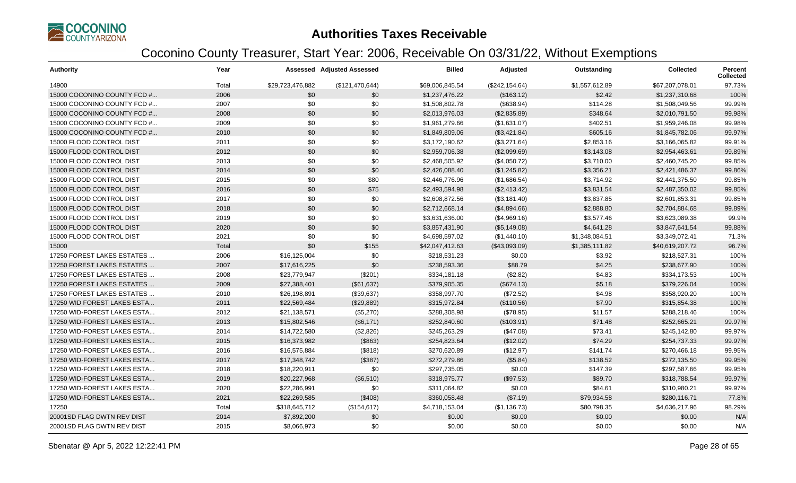

| <b>Authority</b>            | Year  |                  | Assessed Adjusted Assessed | <b>Billed</b>   | Adjusted        | Outstanding    | <b>Collected</b> | <b>Percent</b><br><b>Collected</b> |
|-----------------------------|-------|------------------|----------------------------|-----------------|-----------------|----------------|------------------|------------------------------------|
| 14900                       | Total | \$29,723,476,882 | (\$121,470,644)            | \$69,006,845.54 | (\$242, 154.64) | \$1,557,612.89 | \$67,207,078.01  | 97.73%                             |
| 15000 COCONINO COUNTY FCD # | 2006  | \$0              | \$0                        | \$1,237,476.22  | (\$163.12)      | \$2.42         | \$1,237,310.68   | 100%                               |
| 15000 COCONINO COUNTY FCD # | 2007  | \$0              | \$0                        | \$1,508,802.78  | (\$638.94)      | \$114.28       | \$1,508,049.56   | 99.99%                             |
| 15000 COCONINO COUNTY FCD # | 2008  | \$0              | \$0                        | \$2,013,976.03  | (\$2,835.89)    | \$348.64       | \$2,010,791.50   | 99.98%                             |
| 15000 COCONINO COUNTY FCD # | 2009  | \$0              | \$0                        | \$1,961,279.66  | (\$1,631.07)    | \$402.51       | \$1,959,246.08   | 99.98%                             |
| 15000 COCONINO COUNTY FCD # | 2010  | \$0              | \$0                        | \$1,849,809.06  | (\$3,421.84)    | \$605.16       | \$1,845,782.06   | 99.97%                             |
| 15000 FLOOD CONTROL DIST    | 2011  | \$0              | \$0                        | \$3,172,190.62  | (\$3,271.64)    | \$2,853.16     | \$3,166,065.82   | 99.91%                             |
| 15000 FLOOD CONTROL DIST    | 2012  | \$0              | \$0                        | \$2,959,706.38  | (\$2,099.69)    | \$3,143.08     | \$2,954,463.61   | 99.89%                             |
| 15000 FLOOD CONTROL DIST    | 2013  | \$0              | \$0                        | \$2,468,505.92  | (\$4,050.72)    | \$3,710.00     | \$2,460,745.20   | 99.85%                             |
| 15000 FLOOD CONTROL DIST    | 2014  | \$0              | \$0                        | \$2,426,088.40  | (\$1,245.82)    | \$3,356.21     | \$2,421,486.37   | 99.86%                             |
| 15000 FLOOD CONTROL DIST    | 2015  | \$0              | \$80                       | \$2,446,776.96  | (\$1,686.54)    | \$3,714.92     | \$2,441,375.50   | 99.85%                             |
| 15000 FLOOD CONTROL DIST    | 2016  | \$0              | \$75                       | \$2,493,594.98  | (\$2,413.42)    | \$3,831.54     | \$2,487,350.02   | 99.85%                             |
| 15000 FLOOD CONTROL DIST    | 2017  | \$0              | \$0                        | \$2,608,872.56  | (\$3,181.40)    | \$3,837.85     | \$2.601.853.31   | 99.85%                             |
| 15000 FLOOD CONTROL DIST    | 2018  | \$0              | \$0                        | \$2,712,668.14  | (\$4,894.66)    | \$2,888.80     | \$2,704,884.68   | 99.89%                             |
| 15000 FLOOD CONTROL DIST    | 2019  | \$0              | \$0                        | \$3,631,636.00  | (\$4,969.16)    | \$3,577.46     | \$3,623,089.38   | 99.9%                              |
| 15000 FLOOD CONTROL DIST    | 2020  | \$0              | \$0                        | \$3,857,431.90  | (\$5,149.08)    | \$4,641.28     | \$3,847,641.54   | 99.88%                             |
| 15000 FLOOD CONTROL DIST    | 2021  | \$0              | \$0                        | \$4,698,597.02  | (\$1,440.10)    | \$1,348,084.51 | \$3,349,072.41   | 71.3%                              |
| 15000                       | Total | \$0              | \$155                      | \$42,047,412.63 | (\$43,093.09)   | \$1,385,111.82 | \$40,619,207.72  | 96.7%                              |
| 17250 FOREST LAKES ESTATES  | 2006  | \$16,125,004     | \$0                        | \$218,531.23    | \$0.00          | \$3.92         | \$218,527.31     | 100%                               |
| 17250 FOREST LAKES ESTATES  | 2007  | \$17,616,225     | \$0                        | \$238,593.36    | \$88.79         | \$4.25         | \$238,677.90     | 100%                               |
| 17250 FOREST LAKES ESTATES  | 2008  | \$23,779,947     | (\$201)                    | \$334,181.18    | (\$2.82)        | \$4.83         | \$334,173.53     | 100%                               |
| 17250 FOREST LAKES ESTATES  | 2009  | \$27,388,401     | (\$61,637)                 | \$379,905.35    | (\$674.13)      | \$5.18         | \$379,226.04     | 100%                               |
| 17250 FOREST LAKES ESTATES  | 2010  | \$26,198,891     | (\$39,637)                 | \$358,997.70    | (\$72.52)       | \$4.98         | \$358,920.20     | 100%                               |
| 17250 WID FOREST LAKES ESTA | 2011  | \$22,569,484     | (\$29,889)                 | \$315,972.84    | (\$110.56)      | \$7.90         | \$315,854.38     | 100%                               |
| 17250 WID-FOREST LAKES ESTA | 2012  | \$21,138,571     | (\$5,270)                  | \$288,308.98    | (\$78.95)       | \$11.57        | \$288,218.46     | 100%                               |
| 17250 WID-FOREST LAKES ESTA | 2013  | \$15,802,546     | (\$6,171)                  | \$252,840.60    | (\$103.91)      | \$71.48        | \$252,665.21     | 99.97%                             |
| 17250 WID-FOREST LAKES ESTA | 2014  | \$14,722,580     | (\$2,826)                  | \$245,263.29    | (\$47.08)       | \$73.41        | \$245,142.80     | 99.97%                             |
| 17250 WID-FOREST LAKES ESTA | 2015  | \$16,373,982     | (\$863)                    | \$254,823.64    | (\$12.02)       | \$74.29        | \$254,737.33     | 99.97%                             |
| 17250 WID-FOREST LAKES ESTA | 2016  | \$16,575,884     | (\$818)                    | \$270,620.89    | (\$12.97)       | \$141.74       | \$270,466.18     | 99.95%                             |
| 17250 WID-FOREST LAKES ESTA | 2017  | \$17,348,742     | (\$387)                    | \$272,279.86    | (\$5.84)        | \$138.52       | \$272,135.50     | 99.95%                             |
| 17250 WID-FOREST LAKES ESTA | 2018  | \$18,220,911     | \$0                        | \$297,735.05    | \$0.00          | \$147.39       | \$297,587.66     | 99.95%                             |
| 17250 WID-FOREST LAKES ESTA | 2019  | \$20,227,968     | (\$6,510)                  | \$318,975.77    | (\$97.53)       | \$89.70        | \$318,788.54     | 99.97%                             |
| 17250 WID-FOREST LAKES ESTA | 2020  | \$22,286,991     | \$0                        | \$311,064.82    | \$0.00          | \$84.61        | \$310,980.21     | 99.97%                             |
| 17250 WID-FOREST LAKES ESTA | 2021  | \$22,269,585     | (\$408)                    | \$360,058.48    | (\$7.19)        | \$79,934.58    | \$280,116.71     | 77.8%                              |
| 17250                       | Total | \$318,645,712    | (\$154, 617)               | \$4,718,153.04  | (\$1,136.73)    | \$80,798.35    | \$4,636,217.96   | 98.29%                             |
| 20001SD FLAG DWTN REV DIST  | 2014  | \$7,892,200      | \$0                        | \$0.00          | \$0.00          | \$0.00         | \$0.00           | N/A                                |
| 20001SD FLAG DWTN REV DIST  | 2015  | \$8,066,973      | \$0                        | \$0.00          | \$0.00          | \$0.00         | \$0.00           | N/A                                |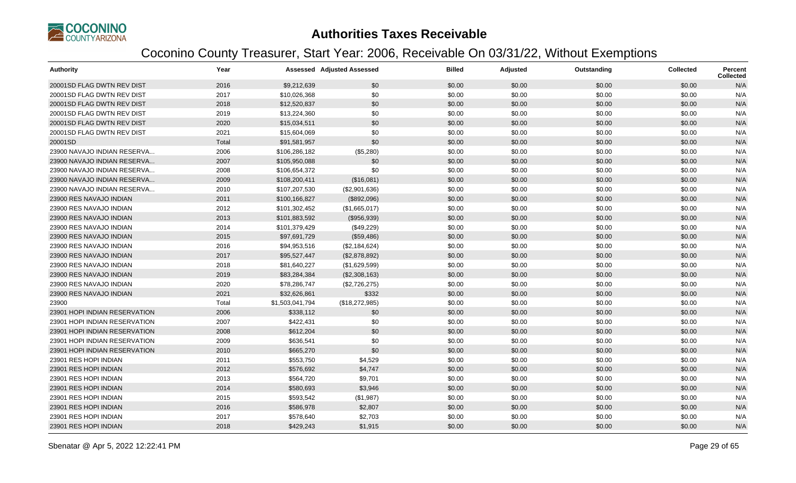

| <b>Authority</b>              | Year  |                 | <b>Assessed Adjusted Assessed</b> | <b>Billed</b> | Adjusted | Outstanding | <b>Collected</b> | Percent<br>Collected |
|-------------------------------|-------|-----------------|-----------------------------------|---------------|----------|-------------|------------------|----------------------|
| 20001SD FLAG DWTN REV DIST    | 2016  | \$9,212,639     | \$0                               | \$0.00        | \$0.00   | \$0.00      | \$0.00           | N/A                  |
| 20001SD FLAG DWTN REV DIST    | 2017  | \$10,026,368    | \$0                               | \$0.00        | \$0.00   | \$0.00      | \$0.00           | N/A                  |
| 20001SD FLAG DWTN REV DIST    | 2018  | \$12,520,837    | \$0                               | \$0.00        | \$0.00   | \$0.00      | \$0.00           | N/A                  |
| 20001SD FLAG DWTN REV DIST    | 2019  | \$13,224,360    | \$0                               | \$0.00        | \$0.00   | \$0.00      | \$0.00           | N/A                  |
| 20001SD FLAG DWTN REV DIST    | 2020  | \$15,034,511    | \$0                               | \$0.00        | \$0.00   | \$0.00      | \$0.00           | N/A                  |
| 20001SD FLAG DWTN REV DIST    | 2021  | \$15,604,069    | \$0                               | \$0.00        | \$0.00   | \$0.00      | \$0.00           | N/A                  |
| 20001SD                       | Total | \$91,581,957    | \$0                               | \$0.00        | \$0.00   | \$0.00      | \$0.00           | N/A                  |
| 23900 NAVAJO INDIAN RESERVA   | 2006  | \$106,286,182   | (\$5,280)                         | \$0.00        | \$0.00   | \$0.00      | \$0.00           | N/A                  |
| 23900 NAVAJO INDIAN RESERVA   | 2007  | \$105,950,088   | \$0                               | \$0.00        | \$0.00   | \$0.00      | \$0.00           | N/A                  |
| 23900 NAVAJO INDIAN RESERVA   | 2008  | \$106,654,372   | \$0                               | \$0.00        | \$0.00   | \$0.00      | \$0.00           | N/A                  |
| 23900 NAVAJO INDIAN RESERVA   | 2009  | \$108,200,411   | (\$16,081)                        | \$0.00        | \$0.00   | \$0.00      | \$0.00           | N/A                  |
| 23900 NAVAJO INDIAN RESERVA   | 2010  | \$107,207,530   | (\$2,901,636)                     | \$0.00        | \$0.00   | \$0.00      | \$0.00           | N/A                  |
| 23900 RES NAVAJO INDIAN       | 2011  | \$100,166,827   | (\$892,096)                       | \$0.00        | \$0.00   | \$0.00      | \$0.00           | N/A                  |
| 23900 RES NAVAJO INDIAN       | 2012  | \$101,302,452   | (\$1,665,017)                     | \$0.00        | \$0.00   | \$0.00      | \$0.00           | N/A                  |
| 23900 RES NAVAJO INDIAN       | 2013  | \$101,883,592   | (\$956,939)                       | \$0.00        | \$0.00   | \$0.00      | \$0.00           | N/A                  |
| 23900 RES NAVAJO INDIAN       | 2014  | \$101,379,429   | (\$49,229)                        | \$0.00        | \$0.00   | \$0.00      | \$0.00           | N/A                  |
| 23900 RES NAVAJO INDIAN       | 2015  | \$97,691,729    | (\$59,486)                        | \$0.00        | \$0.00   | \$0.00      | \$0.00           | N/A                  |
| 23900 RES NAVAJO INDIAN       | 2016  | \$94,953,516    | (\$2,184,624)                     | \$0.00        | \$0.00   | \$0.00      | \$0.00           | N/A                  |
| 23900 RES NAVAJO INDIAN       | 2017  | \$95,527,447    | (\$2,878,892)                     | \$0.00        | \$0.00   | \$0.00      | \$0.00           | N/A                  |
| 23900 RES NAVAJO INDIAN       | 2018  | \$81,640,227    | (\$1,629,599)                     | \$0.00        | \$0.00   | \$0.00      | \$0.00           | N/A                  |
| 23900 RES NAVAJO INDIAN       | 2019  | \$83,284,384    | (\$2,308,163)                     | \$0.00        | \$0.00   | \$0.00      | \$0.00           | N/A                  |
| 23900 RES NAVAJO INDIAN       | 2020  | \$78,286,747    | (\$2,726,275)                     | \$0.00        | \$0.00   | \$0.00      | \$0.00           | N/A                  |
| 23900 RES NAVAJO INDIAN       | 2021  | \$32,626,861    | \$332                             | \$0.00        | \$0.00   | \$0.00      | \$0.00           | N/A                  |
| 23900                         | Total | \$1,503,041,794 | (\$18,272,985)                    | \$0.00        | \$0.00   | \$0.00      | \$0.00           | N/A                  |
| 23901 HOPI INDIAN RESERVATION | 2006  | \$338,112       | \$0                               | \$0.00        | \$0.00   | \$0.00      | \$0.00           | N/A                  |
| 23901 HOPI INDIAN RESERVATION | 2007  | \$422,431       | \$0                               | \$0.00        | \$0.00   | \$0.00      | \$0.00           | N/A                  |
| 23901 HOPI INDIAN RESERVATION | 2008  | \$612,204       | \$0                               | \$0.00        | \$0.00   | \$0.00      | \$0.00           | N/A                  |
| 23901 HOPI INDIAN RESERVATION | 2009  | \$636,541       | \$0                               | \$0.00        | \$0.00   | \$0.00      | \$0.00           | N/A                  |
| 23901 HOPI INDIAN RESERVATION | 2010  | \$665,270       | \$0                               | \$0.00        | \$0.00   | \$0.00      | \$0.00           | N/A                  |
| 23901 RES HOPI INDIAN         | 2011  | \$553,750       | \$4,529                           | \$0.00        | \$0.00   | \$0.00      | \$0.00           | N/A                  |
| 23901 RES HOPI INDIAN         | 2012  | \$576,692       | \$4,747                           | \$0.00        | \$0.00   | \$0.00      | \$0.00           | N/A                  |
| 23901 RES HOPI INDIAN         | 2013  | \$564,720       | \$9,701                           | \$0.00        | \$0.00   | \$0.00      | \$0.00           | N/A                  |
| 23901 RES HOPI INDIAN         | 2014  | \$580,693       | \$3,946                           | \$0.00        | \$0.00   | \$0.00      | \$0.00           | N/A                  |
| 23901 RES HOPI INDIAN         | 2015  | \$593,542       | (\$1,987)                         | \$0.00        | \$0.00   | \$0.00      | \$0.00           | N/A                  |
| 23901 RES HOPI INDIAN         | 2016  | \$586,978       | \$2,807                           | \$0.00        | \$0.00   | \$0.00      | \$0.00           | N/A                  |
| 23901 RES HOPI INDIAN         | 2017  | \$578,640       | \$2,703                           | \$0.00        | \$0.00   | \$0.00      | \$0.00           | N/A                  |
| 23901 RES HOPI INDIAN         | 2018  | \$429,243       | \$1,915                           | \$0.00        | \$0.00   | \$0.00      | \$0.00           | N/A                  |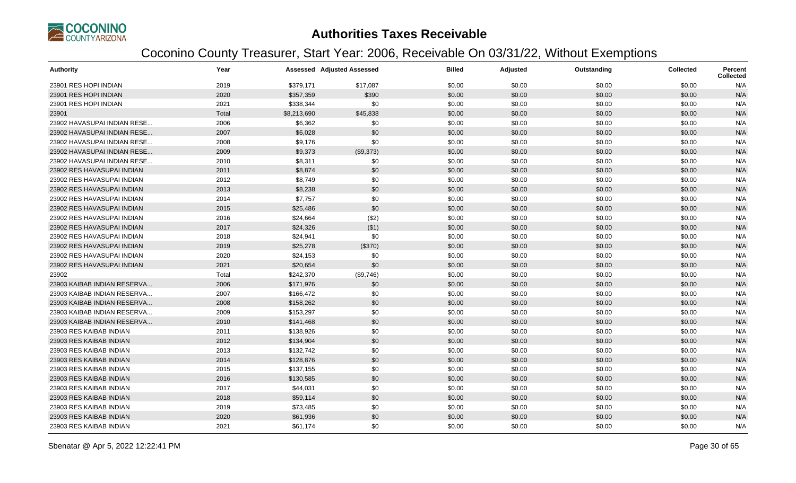

| <b>Authority</b>            | Year  |             | <b>Assessed Adjusted Assessed</b> | <b>Billed</b> | Adjusted | Outstanding | <b>Collected</b> | <b>Percent</b><br><b>Collected</b> |
|-----------------------------|-------|-------------|-----------------------------------|---------------|----------|-------------|------------------|------------------------------------|
| 23901 RES HOPI INDIAN       | 2019  | \$379,171   | \$17,087                          | \$0.00        | \$0.00   | \$0.00      | \$0.00           | N/A                                |
| 23901 RES HOPI INDIAN       | 2020  | \$357,359   | \$390                             | \$0.00        | \$0.00   | \$0.00      | \$0.00           | N/A                                |
| 23901 RES HOPI INDIAN       | 2021  | \$338,344   | \$0                               | \$0.00        | \$0.00   | \$0.00      | \$0.00           | N/A                                |
| 23901                       | Total | \$8,213,690 | \$45,838                          | \$0.00        | \$0.00   | \$0.00      | \$0.00           | N/A                                |
| 23902 HAVASUPAI INDIAN RESE | 2006  | \$6,362     | \$0                               | \$0.00        | \$0.00   | \$0.00      | \$0.00           | N/A                                |
| 23902 HAVASUPAI INDIAN RESE | 2007  | \$6,028     | \$0                               | \$0.00        | \$0.00   | \$0.00      | \$0.00           | N/A                                |
| 23902 HAVASUPAI INDIAN RESE | 2008  | \$9,176     | \$0                               | \$0.00        | \$0.00   | \$0.00      | \$0.00           | N/A                                |
| 23902 HAVASUPAI INDIAN RESE | 2009  | \$9,373     | (\$9,373)                         | \$0.00        | \$0.00   | \$0.00      | \$0.00           | N/A                                |
| 23902 HAVASUPAI INDIAN RESE | 2010  | \$8,311     | \$0                               | \$0.00        | \$0.00   | \$0.00      | \$0.00           | N/A                                |
| 23902 RES HAVASUPAI INDIAN  | 2011  | \$8,874     | \$0                               | \$0.00        | \$0.00   | \$0.00      | \$0.00           | N/A                                |
| 23902 RES HAVASUPAI INDIAN  | 2012  | \$8,749     | \$0                               | \$0.00        | \$0.00   | \$0.00      | \$0.00           | N/A                                |
| 23902 RES HAVASUPAI INDIAN  | 2013  | \$8,238     | \$0                               | \$0.00        | \$0.00   | \$0.00      | \$0.00           | N/A                                |
| 23902 RES HAVASUPAI INDIAN  | 2014  | \$7,757     | \$0                               | \$0.00        | \$0.00   | \$0.00      | \$0.00           | N/A                                |
| 23902 RES HAVASUPAI INDIAN  | 2015  | \$25,486    | \$0                               | \$0.00        | \$0.00   | \$0.00      | \$0.00           | N/A                                |
| 23902 RES HAVASUPAI INDIAN  | 2016  | \$24,664    | (\$2)                             | \$0.00        | \$0.00   | \$0.00      | \$0.00           | N/A                                |
| 23902 RES HAVASUPAI INDIAN  | 2017  | \$24,326    | ( \$1)                            | \$0.00        | \$0.00   | \$0.00      | \$0.00           | N/A                                |
| 23902 RES HAVASUPAI INDIAN  | 2018  | \$24,941    | \$0                               | \$0.00        | \$0.00   | \$0.00      | \$0.00           | N/A                                |
| 23902 RES HAVASUPAI INDIAN  | 2019  | \$25,278    | (\$370)                           | \$0.00        | \$0.00   | \$0.00      | \$0.00           | N/A                                |
| 23902 RES HAVASUPAI INDIAN  | 2020  | \$24,153    | \$0                               | \$0.00        | \$0.00   | \$0.00      | \$0.00           | N/A                                |
| 23902 RES HAVASUPAI INDIAN  | 2021  | \$20,654    | \$0                               | \$0.00        | \$0.00   | \$0.00      | \$0.00           | N/A                                |
| 23902                       | Total | \$242,370   | (\$9,746)                         | \$0.00        | \$0.00   | \$0.00      | \$0.00           | N/A                                |
| 23903 KAIBAB INDIAN RESERVA | 2006  | \$171,976   | \$0                               | \$0.00        | \$0.00   | \$0.00      | \$0.00           | N/A                                |
| 23903 KAIBAB INDIAN RESERVA | 2007  | \$166,472   | \$0                               | \$0.00        | \$0.00   | \$0.00      | \$0.00           | N/A                                |
| 23903 KAIBAB INDIAN RESERVA | 2008  | \$158,262   | \$0                               | \$0.00        | \$0.00   | \$0.00      | \$0.00           | N/A                                |
| 23903 KAIBAB INDIAN RESERVA | 2009  | \$153,297   | \$0                               | \$0.00        | \$0.00   | \$0.00      | \$0.00           | N/A                                |
| 23903 KAIBAB INDIAN RESERVA | 2010  | \$141,468   | \$0                               | \$0.00        | \$0.00   | \$0.00      | \$0.00           | N/A                                |
| 23903 RES KAIBAB INDIAN     | 2011  | \$138,926   | \$0                               | \$0.00        | \$0.00   | \$0.00      | \$0.00           | N/A                                |
| 23903 RES KAIBAB INDIAN     | 2012  | \$134,904   | \$0                               | \$0.00        | \$0.00   | \$0.00      | \$0.00           | N/A                                |
| 23903 RES KAIBAB INDIAN     | 2013  | \$132,742   | \$0                               | \$0.00        | \$0.00   | \$0.00      | \$0.00           | N/A                                |
| 23903 RES KAIBAB INDIAN     | 2014  | \$128,876   | \$0                               | \$0.00        | \$0.00   | \$0.00      | \$0.00           | N/A                                |
| 23903 RES KAIBAB INDIAN     | 2015  | \$137,155   | \$0                               | \$0.00        | \$0.00   | \$0.00      | \$0.00           | N/A                                |
| 23903 RES KAIBAB INDIAN     | 2016  | \$130,585   | \$0                               | \$0.00        | \$0.00   | \$0.00      | \$0.00           | N/A                                |
| 23903 RES KAIBAB INDIAN     | 2017  | \$44,031    | \$0                               | \$0.00        | \$0.00   | \$0.00      | \$0.00           | N/A                                |
| 23903 RES KAIBAB INDIAN     | 2018  | \$59,114    | \$0                               | \$0.00        | \$0.00   | \$0.00      | \$0.00           | N/A                                |
| 23903 RES KAIBAB INDIAN     | 2019  | \$73,485    | \$0                               | \$0.00        | \$0.00   | \$0.00      | \$0.00           | N/A                                |
| 23903 RES KAIBAB INDIAN     | 2020  | \$61,936    | \$0                               | \$0.00        | \$0.00   | \$0.00      | \$0.00           | N/A                                |
| 23903 RES KAIBAB INDIAN     | 2021  | \$61,174    | \$0                               | \$0.00        | \$0.00   | \$0.00      | \$0.00           | N/A                                |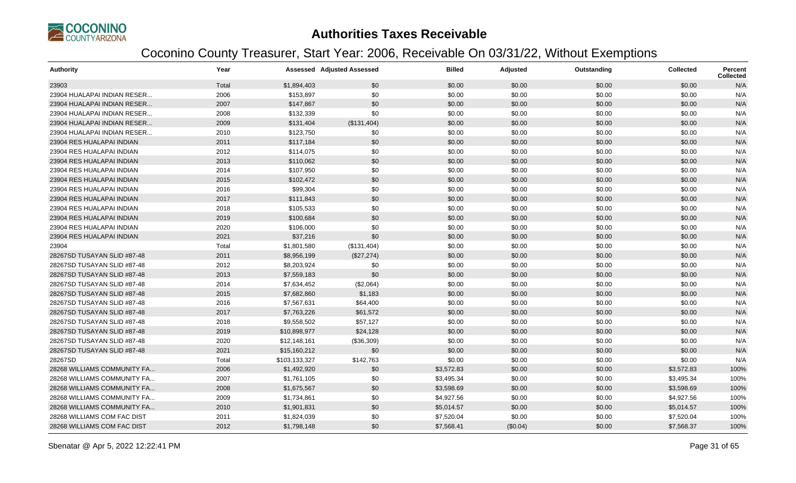

| <b>Authority</b>            | Year  |               | <b>Assessed Adjusted Assessed</b> | <b>Billed</b> | Adjusted | Outstanding | <b>Collected</b> | Percent<br>Collected |
|-----------------------------|-------|---------------|-----------------------------------|---------------|----------|-------------|------------------|----------------------|
| 23903                       | Total | \$1,894,403   | \$0                               | \$0.00        | \$0.00   | \$0.00      | \$0.00           | N/A                  |
| 23904 HUALAPAI INDIAN RESER | 2006  | \$153,897     | \$0                               | \$0.00        | \$0.00   | \$0.00      | \$0.00           | N/A                  |
| 23904 HUALAPAI INDIAN RESER | 2007  | \$147,867     | \$0                               | \$0.00        | \$0.00   | \$0.00      | \$0.00           | N/A                  |
| 23904 HUALAPAI INDIAN RESER | 2008  | \$132,339     | \$0                               | \$0.00        | \$0.00   | \$0.00      | \$0.00           | N/A                  |
| 23904 HUALAPAI INDIAN RESER | 2009  | \$131,404     | (\$131,404)                       | \$0.00        | \$0.00   | \$0.00      | \$0.00           | N/A                  |
| 23904 HUALAPAI INDIAN RESER | 2010  | \$123,750     | \$0                               | \$0.00        | \$0.00   | \$0.00      | \$0.00           | N/A                  |
| 23904 RES HUALAPAI INDIAN   | 2011  | \$117,184     | \$0                               | \$0.00        | \$0.00   | \$0.00      | \$0.00           | N/A                  |
| 23904 RES HUALAPAI INDIAN   | 2012  | \$114,075     | \$0                               | \$0.00        | \$0.00   | \$0.00      | \$0.00           | N/A                  |
| 23904 RES HUALAPAI INDIAN   | 2013  | \$110,062     | \$0                               | \$0.00        | \$0.00   | \$0.00      | \$0.00           | N/A                  |
| 23904 RES HUALAPAI INDIAN   | 2014  | \$107,950     | \$0                               | \$0.00        | \$0.00   | \$0.00      | \$0.00           | N/A                  |
| 23904 RES HUALAPAI INDIAN   | 2015  | \$102,472     | \$0                               | \$0.00        | \$0.00   | \$0.00      | \$0.00           | N/A                  |
| 23904 RES HUALAPAI INDIAN   | 2016  | \$99,304      | \$0                               | \$0.00        | \$0.00   | \$0.00      | \$0.00           | N/A                  |
| 23904 RES HUALAPAI INDIAN   | 2017  | \$111,843     | \$0                               | \$0.00        | \$0.00   | \$0.00      | \$0.00           | N/A                  |
| 23904 RES HUALAPAI INDIAN   | 2018  | \$105,533     | \$0                               | \$0.00        | \$0.00   | \$0.00      | \$0.00           | N/A                  |
| 23904 RES HUALAPAI INDIAN   | 2019  | \$100,684     | \$0                               | \$0.00        | \$0.00   | \$0.00      | \$0.00           | N/A                  |
| 23904 RES HUALAPAI INDIAN   | 2020  | \$106,000     | \$0                               | \$0.00        | \$0.00   | \$0.00      | \$0.00           | N/A                  |
| 23904 RES HUALAPAI INDIAN   | 2021  | \$37,216      | \$0                               | \$0.00        | \$0.00   | \$0.00      | \$0.00           | N/A                  |
| 23904                       | Total | \$1,801,580   | (\$131,404)                       | \$0.00        | \$0.00   | \$0.00      | \$0.00           | N/A                  |
| 28267SD TUSAYAN SLID #87-48 | 2011  | \$8,956,199   | (\$27,274)                        | \$0.00        | \$0.00   | \$0.00      | \$0.00           | N/A                  |
| 28267SD TUSAYAN SLID #87-48 | 2012  | \$8,203,924   | \$0                               | \$0.00        | \$0.00   | \$0.00      | \$0.00           | N/A                  |
| 28267SD TUSAYAN SLID #87-48 | 2013  | \$7,559,183   | \$0                               | \$0.00        | \$0.00   | \$0.00      | \$0.00           | N/A                  |
| 28267SD TUSAYAN SLID #87-48 | 2014  | \$7,634,452   | (\$2,064)                         | \$0.00        | \$0.00   | \$0.00      | \$0.00           | N/A                  |
| 28267SD TUSAYAN SLID #87-48 | 2015  | \$7,682,860   | \$1,183                           | \$0.00        | \$0.00   | \$0.00      | \$0.00           | N/A                  |
| 28267SD TUSAYAN SLID #87-48 | 2016  | \$7,567,631   | \$64,400                          | \$0.00        | \$0.00   | \$0.00      | \$0.00           | N/A                  |
| 28267SD TUSAYAN SLID #87-48 | 2017  | \$7,763,226   | \$61,572                          | \$0.00        | \$0.00   | \$0.00      | \$0.00           | N/A                  |
| 28267SD TUSAYAN SLID #87-48 | 2018  | \$9,558,502   | \$57,127                          | \$0.00        | \$0.00   | \$0.00      | \$0.00           | N/A                  |
| 28267SD TUSAYAN SLID #87-48 | 2019  | \$10,898,977  | \$24,128                          | \$0.00        | \$0.00   | \$0.00      | \$0.00           | N/A                  |
| 28267SD TUSAYAN SLID #87-48 | 2020  | \$12,148,161  | (\$36,309)                        | \$0.00        | \$0.00   | \$0.00      | \$0.00           | N/A                  |
| 28267SD TUSAYAN SLID #87-48 | 2021  | \$15,160,212  | \$0                               | \$0.00        | \$0.00   | \$0.00      | \$0.00           | N/A                  |
| 28267SD                     | Total | \$103,133,327 | \$142,763                         | \$0.00        | \$0.00   | \$0.00      | \$0.00           | N/A                  |
| 28268 WILLIAMS COMMUNITY FA | 2006  | \$1,492,920   | \$0                               | \$3,572.83    | \$0.00   | \$0.00      | \$3,572.83       | 100%                 |
| 28268 WILLIAMS COMMUNITY FA | 2007  | \$1,761,105   | \$0                               | \$3,495.34    | \$0.00   | \$0.00      | \$3,495.34       | 100%                 |
| 28268 WILLIAMS COMMUNITY FA | 2008  | \$1,675,567   | \$0                               | \$3,598.69    | \$0.00   | \$0.00      | \$3,598.69       | 100%                 |
| 28268 WILLIAMS COMMUNITY FA | 2009  | \$1,734,861   | \$0                               | \$4,927.56    | \$0.00   | \$0.00      | \$4,927.56       | 100%                 |
| 28268 WILLIAMS COMMUNITY FA | 2010  | \$1,901,831   | \$0                               | \$5,014.57    | \$0.00   | \$0.00      | \$5,014.57       | 100%                 |
| 28268 WILLIAMS COM FAC DIST | 2011  | \$1,824,039   | \$0                               | \$7,520.04    | \$0.00   | \$0.00      | \$7,520.04       | 100%                 |
| 28268 WILLIAMS COM FAC DIST | 2012  | \$1,798,148   | \$0                               | \$7,568.41    | (\$0.04) | \$0.00      | \$7,568.37       | 100%                 |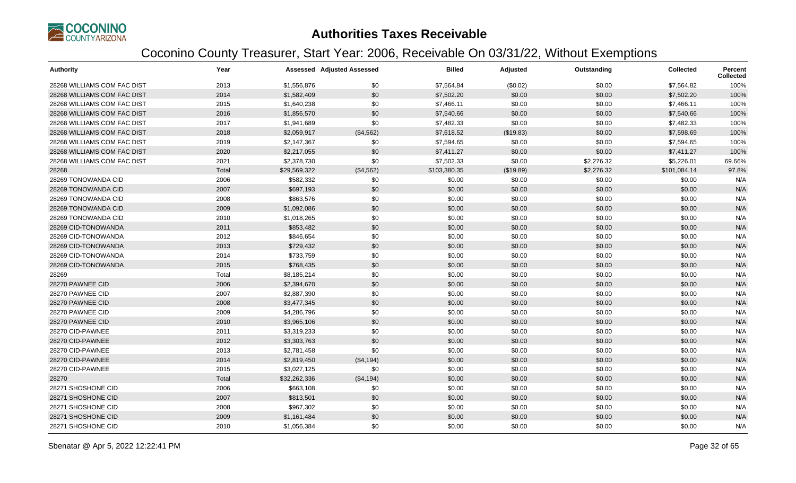

| <b>Authority</b>            | Year  |              | <b>Assessed Adjusted Assessed</b> | <b>Billed</b> | Adjusted  | Outstanding | <b>Collected</b> | Percent<br><b>Collected</b> |
|-----------------------------|-------|--------------|-----------------------------------|---------------|-----------|-------------|------------------|-----------------------------|
| 28268 WILLIAMS COM FAC DIST | 2013  | \$1,556,876  | \$0                               | \$7,564.84    | (\$0.02)  | \$0.00      | \$7,564.82       | 100%                        |
| 28268 WILLIAMS COM FAC DIST | 2014  | \$1,582,409  | \$0                               | \$7,502.20    | \$0.00    | \$0.00      | \$7,502.20       | 100%                        |
| 28268 WILLIAMS COM FAC DIST | 2015  | \$1,640,238  | \$0                               | \$7,466.11    | \$0.00    | \$0.00      | \$7,466.11       | 100%                        |
| 28268 WILLIAMS COM FAC DIST | 2016  | \$1,856,570  | \$0                               | \$7,540.66    | \$0.00    | \$0.00      | \$7,540.66       | 100%                        |
| 28268 WILLIAMS COM FAC DIST | 2017  | \$1,941,689  | \$0                               | \$7,482.33    | \$0.00    | \$0.00      | \$7,482.33       | 100%                        |
| 28268 WILLIAMS COM FAC DIST | 2018  | \$2,059,917  | (\$4,562)                         | \$7,618.52    | (\$19.83) | \$0.00      | \$7,598.69       | 100%                        |
| 28268 WILLIAMS COM FAC DIST | 2019  | \$2,147,367  | \$0                               | \$7,594.65    | \$0.00    | \$0.00      | \$7,594.65       | 100%                        |
| 28268 WILLIAMS COM FAC DIST | 2020  | \$2,217,055  | \$0                               | \$7,411.27    | \$0.00    | \$0.00      | \$7,411.27       | 100%                        |
| 28268 WILLIAMS COM FAC DIST | 2021  | \$2,378,730  | \$0                               | \$7,502.33    | \$0.00    | \$2,276.32  | \$5,226.01       | 69.66%                      |
| 28268                       | Total | \$29,569,322 | (\$4,562)                         | \$103,380.35  | (\$19.89) | \$2,276.32  | \$101,084.14     | 97.8%                       |
| 28269 TONOWANDA CID         | 2006  | \$582,332    | \$0                               | \$0.00        | \$0.00    | \$0.00      | \$0.00           | N/A                         |
| 28269 TONOWANDA CID         | 2007  | \$697,193    | \$0                               | \$0.00        | \$0.00    | \$0.00      | \$0.00           | N/A                         |
| 28269 TONOWANDA CID         | 2008  | \$863,576    | \$0                               | \$0.00        | \$0.00    | \$0.00      | \$0.00           | N/A                         |
| 28269 TONOWANDA CID         | 2009  | \$1,092,086  | \$0                               | \$0.00        | \$0.00    | \$0.00      | \$0.00           | N/A                         |
| 28269 TONOWANDA CID         | 2010  | \$1,018,265  | \$0                               | \$0.00        | \$0.00    | \$0.00      | \$0.00           | N/A                         |
| 28269 CID-TONOWANDA         | 2011  | \$853,482    | \$0                               | \$0.00        | \$0.00    | \$0.00      | \$0.00           | N/A                         |
| 28269 CID-TONOWANDA         | 2012  | \$846,654    | \$0                               | \$0.00        | \$0.00    | \$0.00      | \$0.00           | N/A                         |
| 28269 CID-TONOWANDA         | 2013  | \$729,432    | \$0                               | \$0.00        | \$0.00    | \$0.00      | \$0.00           | N/A                         |
| 28269 CID-TONOWANDA         | 2014  | \$733,759    | \$0                               | \$0.00        | \$0.00    | \$0.00      | \$0.00           | N/A                         |
| 28269 CID-TONOWANDA         | 2015  | \$768,435    | \$0                               | \$0.00        | \$0.00    | \$0.00      | \$0.00           | N/A                         |
| 28269                       | Total | \$8,185,214  | \$0                               | \$0.00        | \$0.00    | \$0.00      | \$0.00           | N/A                         |
| 28270 PAWNEE CID            | 2006  | \$2,394,670  | \$0                               | \$0.00        | \$0.00    | \$0.00      | \$0.00           | N/A                         |
| 28270 PAWNEE CID            | 2007  | \$2,887,390  | \$0                               | \$0.00        | \$0.00    | \$0.00      | \$0.00           | N/A                         |
| 28270 PAWNEE CID            | 2008  | \$3,477,345  | \$0                               | \$0.00        | \$0.00    | \$0.00      | \$0.00           | N/A                         |
| 28270 PAWNEE CID            | 2009  | \$4,286,796  | \$0                               | \$0.00        | \$0.00    | \$0.00      | \$0.00           | N/A                         |
| 28270 PAWNEE CID            | 2010  | \$3,965,106  | \$0                               | \$0.00        | \$0.00    | \$0.00      | \$0.00           | N/A                         |
| 28270 CID-PAWNEE            | 2011  | \$3,319,233  | \$0                               | \$0.00        | \$0.00    | \$0.00      | \$0.00           | N/A                         |
| 28270 CID-PAWNEE            | 2012  | \$3,303,763  | \$0                               | \$0.00        | \$0.00    | \$0.00      | \$0.00           | N/A                         |
| 28270 CID-PAWNEE            | 2013  | \$2,781,458  | \$0                               | \$0.00        | \$0.00    | \$0.00      | \$0.00           | N/A                         |
| 28270 CID-PAWNEE            | 2014  | \$2,819,450  | (\$4,194)                         | \$0.00        | \$0.00    | \$0.00      | \$0.00           | N/A                         |
| 28270 CID-PAWNEE            | 2015  | \$3,027,125  | \$0                               | \$0.00        | \$0.00    | \$0.00      | \$0.00           | N/A                         |
| 28270                       | Total | \$32,262,336 | (\$4,194)                         | \$0.00        | \$0.00    | \$0.00      | \$0.00           | N/A                         |
| 28271 SHOSHONE CID          | 2006  | \$663,108    | \$0                               | \$0.00        | \$0.00    | \$0.00      | \$0.00           | N/A                         |
| 28271 SHOSHONE CID          | 2007  | \$813,501    | \$0                               | \$0.00        | \$0.00    | \$0.00      | \$0.00           | N/A                         |
| 28271 SHOSHONE CID          | 2008  | \$967,302    | \$0                               | \$0.00        | \$0.00    | \$0.00      | \$0.00           | N/A                         |
| 28271 SHOSHONE CID          | 2009  | \$1,161,484  | \$0                               | \$0.00        | \$0.00    | \$0.00      | \$0.00           | N/A                         |
| 28271 SHOSHONE CID          | 2010  | \$1,056,384  | \$0                               | \$0.00        | \$0.00    | \$0.00      | \$0.00           | N/A                         |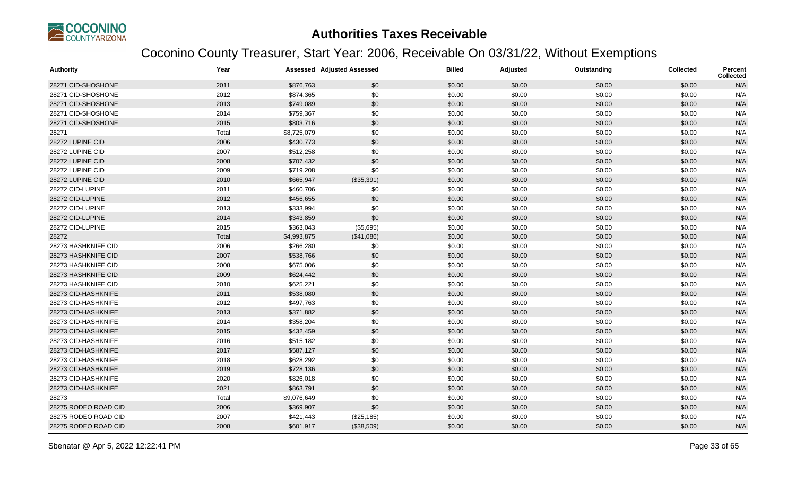

| <b>Authority</b>     | Year  |             | <b>Assessed Adjusted Assessed</b> | <b>Billed</b> | Adjusted | Outstanding | <b>Collected</b> | <b>Percent</b><br><b>Collected</b> |
|----------------------|-------|-------------|-----------------------------------|---------------|----------|-------------|------------------|------------------------------------|
| 28271 CID-SHOSHONE   | 2011  | \$876,763   | \$0                               | \$0.00        | \$0.00   | \$0.00      | \$0.00           | N/A                                |
| 28271 CID-SHOSHONE   | 2012  | \$874,365   | \$0                               | \$0.00        | \$0.00   | \$0.00      | \$0.00           | N/A                                |
| 28271 CID-SHOSHONE   | 2013  | \$749,089   | \$0                               | \$0.00        | \$0.00   | \$0.00      | \$0.00           | N/A                                |
| 28271 CID-SHOSHONE   | 2014  | \$759,367   | \$0                               | \$0.00        | \$0.00   | \$0.00      | \$0.00           | N/A                                |
| 28271 CID-SHOSHONE   | 2015  | \$803,716   | \$0                               | \$0.00        | \$0.00   | \$0.00      | \$0.00           | N/A                                |
| 28271                | Total | \$8,725,079 | \$0                               | \$0.00        | \$0.00   | \$0.00      | \$0.00           | N/A                                |
| 28272 LUPINE CID     | 2006  | \$430,773   | \$0                               | \$0.00        | \$0.00   | \$0.00      | \$0.00           | N/A                                |
| 28272 LUPINE CID     | 2007  | \$512,258   | \$0                               | \$0.00        | \$0.00   | \$0.00      | \$0.00           | N/A                                |
| 28272 LUPINE CID     | 2008  | \$707,432   | \$0                               | \$0.00        | \$0.00   | \$0.00      | \$0.00           | N/A                                |
| 28272 LUPINE CID     | 2009  | \$719,208   | \$0                               | \$0.00        | \$0.00   | \$0.00      | \$0.00           | N/A                                |
| 28272 LUPINE CID     | 2010  | \$665,947   | (\$35,391)                        | \$0.00        | \$0.00   | \$0.00      | \$0.00           | N/A                                |
| 28272 CID-LUPINE     | 2011  | \$460,706   | \$0                               | \$0.00        | \$0.00   | \$0.00      | \$0.00           | N/A                                |
| 28272 CID-LUPINE     | 2012  | \$456,655   | \$0                               | \$0.00        | \$0.00   | \$0.00      | \$0.00           | N/A                                |
| 28272 CID-LUPINE     | 2013  | \$333,994   | \$0                               | \$0.00        | \$0.00   | \$0.00      | \$0.00           | N/A                                |
| 28272 CID-LUPINE     | 2014  | \$343,859   | \$0                               | \$0.00        | \$0.00   | \$0.00      | \$0.00           | N/A                                |
| 28272 CID-LUPINE     | 2015  | \$363,043   | (\$5,695)                         | \$0.00        | \$0.00   | \$0.00      | \$0.00           | N/A                                |
| 28272                | Total | \$4,993,875 | (\$41,086)                        | \$0.00        | \$0.00   | \$0.00      | \$0.00           | N/A                                |
| 28273 HASHKNIFE CID  | 2006  | \$266,280   | \$0                               | \$0.00        | \$0.00   | \$0.00      | \$0.00           | N/A                                |
| 28273 HASHKNIFE CID  | 2007  | \$538,766   | \$0                               | \$0.00        | \$0.00   | \$0.00      | \$0.00           | N/A                                |
| 28273 HASHKNIFE CID  | 2008  | \$675,006   | \$0                               | \$0.00        | \$0.00   | \$0.00      | \$0.00           | N/A                                |
| 28273 HASHKNIFE CID  | 2009  | \$624,442   | \$0                               | \$0.00        | \$0.00   | \$0.00      | \$0.00           | N/A                                |
| 28273 HASHKNIFE CID  | 2010  | \$625,221   | \$0                               | \$0.00        | \$0.00   | \$0.00      | \$0.00           | N/A                                |
| 28273 CID-HASHKNIFE  | 2011  | \$538,080   | \$0                               | \$0.00        | \$0.00   | \$0.00      | \$0.00           | N/A                                |
| 28273 CID-HASHKNIFE  | 2012  | \$497,763   | \$0                               | \$0.00        | \$0.00   | \$0.00      | \$0.00           | N/A                                |
| 28273 CID-HASHKNIFE  | 2013  | \$371,882   | \$0                               | \$0.00        | \$0.00   | \$0.00      | \$0.00           | N/A                                |
| 28273 CID-HASHKNIFE  | 2014  | \$358,204   | \$0                               | \$0.00        | \$0.00   | \$0.00      | \$0.00           | N/A                                |
| 28273 CID-HASHKNIFE  | 2015  | \$432,459   | \$0                               | \$0.00        | \$0.00   | \$0.00      | \$0.00           | N/A                                |
| 28273 CID-HASHKNIFE  | 2016  | \$515,182   | \$0                               | \$0.00        | \$0.00   | \$0.00      | \$0.00           | N/A                                |
| 28273 CID-HASHKNIFE  | 2017  | \$587,127   | \$0                               | \$0.00        | \$0.00   | \$0.00      | \$0.00           | N/A                                |
| 28273 CID-HASHKNIFE  | 2018  | \$628,292   | \$0                               | \$0.00        | \$0.00   | \$0.00      | \$0.00           | N/A                                |
| 28273 CID-HASHKNIFE  | 2019  | \$728,136   | \$0                               | \$0.00        | \$0.00   | \$0.00      | \$0.00           | N/A                                |
| 28273 CID-HASHKNIFE  | 2020  | \$826,018   | \$0                               | \$0.00        | \$0.00   | \$0.00      | \$0.00           | N/A                                |
| 28273 CID-HASHKNIFE  | 2021  | \$863,791   | \$0                               | \$0.00        | \$0.00   | \$0.00      | \$0.00           | N/A                                |
| 28273                | Total | \$9,076,649 | \$0                               | \$0.00        | \$0.00   | \$0.00      | \$0.00           | N/A                                |
| 28275 RODEO ROAD CID | 2006  | \$369,907   | \$0                               | \$0.00        | \$0.00   | \$0.00      | \$0.00           | N/A                                |
| 28275 RODEO ROAD CID | 2007  | \$421,443   | (\$25, 185)                       | \$0.00        | \$0.00   | \$0.00      | \$0.00           | N/A                                |
| 28275 RODEO ROAD CID | 2008  | \$601,917   | (\$38,509)                        | \$0.00        | \$0.00   | \$0.00      | \$0.00           | N/A                                |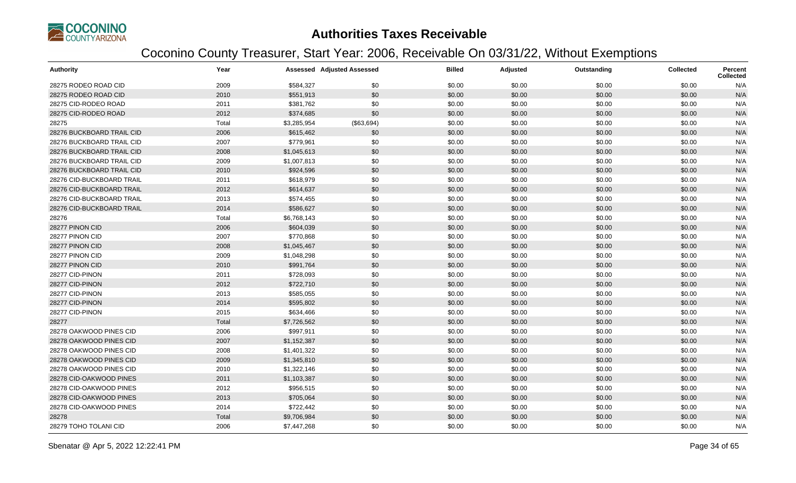

| <b>Authority</b>          | Year  |             | <b>Assessed Adjusted Assessed</b> | <b>Billed</b> | Adjusted | Outstanding | <b>Collected</b> | Percent<br><b>Collected</b> |
|---------------------------|-------|-------------|-----------------------------------|---------------|----------|-------------|------------------|-----------------------------|
| 28275 RODEO ROAD CID      | 2009  | \$584,327   | \$0                               | \$0.00        | \$0.00   | \$0.00      | \$0.00           | N/A                         |
| 28275 RODEO ROAD CID      | 2010  | \$551,913   | \$0                               | \$0.00        | \$0.00   | \$0.00      | \$0.00           | N/A                         |
| 28275 CID-RODEO ROAD      | 2011  | \$381,762   | \$0                               | \$0.00        | \$0.00   | \$0.00      | \$0.00           | N/A                         |
| 28275 CID-RODEO ROAD      | 2012  | \$374,685   | \$0                               | \$0.00        | \$0.00   | \$0.00      | \$0.00           | N/A                         |
| 28275                     | Total | \$3,285,954 | (\$63,694)                        | \$0.00        | \$0.00   | \$0.00      | \$0.00           | N/A                         |
| 28276 BUCKBOARD TRAIL CID | 2006  | \$615,462   | \$0                               | \$0.00        | \$0.00   | \$0.00      | \$0.00           | N/A                         |
| 28276 BUCKBOARD TRAIL CID | 2007  | \$779,961   | \$0                               | \$0.00        | \$0.00   | \$0.00      | \$0.00           | N/A                         |
| 28276 BUCKBOARD TRAIL CID | 2008  | \$1,045,613 | \$0                               | \$0.00        | \$0.00   | \$0.00      | \$0.00           | N/A                         |
| 28276 BUCKBOARD TRAIL CID | 2009  | \$1,007,813 | \$0                               | \$0.00        | \$0.00   | \$0.00      | \$0.00           | N/A                         |
| 28276 BUCKBOARD TRAIL CID | 2010  | \$924,596   | \$0                               | \$0.00        | \$0.00   | \$0.00      | \$0.00           | N/A                         |
| 28276 CID-BUCKBOARD TRAIL | 2011  | \$618,979   | \$0                               | \$0.00        | \$0.00   | \$0.00      | \$0.00           | N/A                         |
| 28276 CID-BUCKBOARD TRAIL | 2012  | \$614,637   | \$0                               | \$0.00        | \$0.00   | \$0.00      | \$0.00           | N/A                         |
| 28276 CID-BUCKBOARD TRAIL | 2013  | \$574,455   | \$0                               | \$0.00        | \$0.00   | \$0.00      | \$0.00           | N/A                         |
| 28276 CID-BUCKBOARD TRAIL | 2014  | \$586,627   | \$0                               | \$0.00        | \$0.00   | \$0.00      | \$0.00           | N/A                         |
| 28276                     | Total | \$6,768,143 | \$0                               | \$0.00        | \$0.00   | \$0.00      | \$0.00           | N/A                         |
| 28277 PINON CID           | 2006  | \$604,039   | \$0                               | \$0.00        | \$0.00   | \$0.00      | \$0.00           | N/A                         |
| 28277 PINON CID           | 2007  | \$770,868   | \$0                               | \$0.00        | \$0.00   | \$0.00      | \$0.00           | N/A                         |
| 28277 PINON CID           | 2008  | \$1,045,467 | \$0                               | \$0.00        | \$0.00   | \$0.00      | \$0.00           | N/A                         |
| 28277 PINON CID           | 2009  | \$1,048,298 | \$0                               | \$0.00        | \$0.00   | \$0.00      | \$0.00           | N/A                         |
| 28277 PINON CID           | 2010  | \$991,764   | \$0                               | \$0.00        | \$0.00   | \$0.00      | \$0.00           | N/A                         |
| 28277 CID-PINON           | 2011  | \$728,093   | \$0                               | \$0.00        | \$0.00   | \$0.00      | \$0.00           | N/A                         |
| 28277 CID-PINON           | 2012  | \$722,710   | \$0                               | \$0.00        | \$0.00   | \$0.00      | \$0.00           | N/A                         |
| 28277 CID-PINON           | 2013  | \$585,055   | \$0                               | \$0.00        | \$0.00   | \$0.00      | \$0.00           | N/A                         |
| 28277 CID-PINON           | 2014  | \$595,802   | \$0                               | \$0.00        | \$0.00   | \$0.00      | \$0.00           | N/A                         |
| 28277 CID-PINON           | 2015  | \$634,466   | \$0                               | \$0.00        | \$0.00   | \$0.00      | \$0.00           | N/A                         |
| 28277                     | Total | \$7,726,562 | \$0                               | \$0.00        | \$0.00   | \$0.00      | \$0.00           | N/A                         |
| 28278 OAKWOOD PINES CID   | 2006  | \$997,911   | \$0                               | \$0.00        | \$0.00   | \$0.00      | \$0.00           | N/A                         |
| 28278 OAKWOOD PINES CID   | 2007  | \$1,152,387 | \$0                               | \$0.00        | \$0.00   | \$0.00      | \$0.00           | N/A                         |
| 28278 OAKWOOD PINES CID   | 2008  | \$1,401,322 | \$0                               | \$0.00        | \$0.00   | \$0.00      | \$0.00           | N/A                         |
| 28278 OAKWOOD PINES CID   | 2009  | \$1,345,810 | \$0                               | \$0.00        | \$0.00   | \$0.00      | \$0.00           | N/A                         |
| 28278 OAKWOOD PINES CID   | 2010  | \$1,322,146 | \$0                               | \$0.00        | \$0.00   | \$0.00      | \$0.00           | N/A                         |
| 28278 CID-OAKWOOD PINES   | 2011  | \$1,103,387 | \$0                               | \$0.00        | \$0.00   | \$0.00      | \$0.00           | N/A                         |
| 28278 CID-OAKWOOD PINES   | 2012  | \$956,515   | \$0                               | \$0.00        | \$0.00   | \$0.00      | \$0.00           | N/A                         |
| 28278 CID-OAKWOOD PINES   | 2013  | \$705,064   | \$0                               | \$0.00        | \$0.00   | \$0.00      | \$0.00           | N/A                         |
| 28278 CID-OAKWOOD PINES   | 2014  | \$722,442   | \$0                               | \$0.00        | \$0.00   | \$0.00      | \$0.00           | N/A                         |
| 28278                     | Total | \$9,706,984 | \$0                               | \$0.00        | \$0.00   | \$0.00      | \$0.00           | N/A                         |
| 28279 TOHO TOLANI CID     | 2006  | \$7,447,268 | \$0                               | \$0.00        | \$0.00   | \$0.00      | \$0.00           | N/A                         |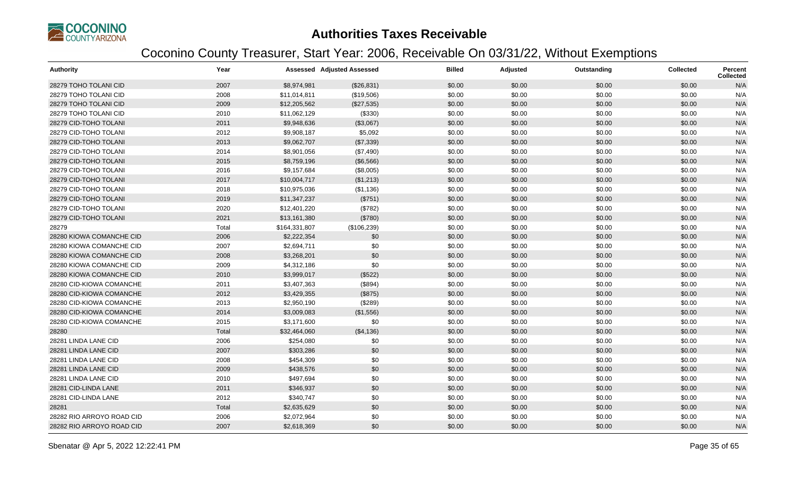

| <b>Authority</b>          | Year  |               | <b>Assessed Adjusted Assessed</b> | <b>Billed</b> | Adjusted | Outstanding | <b>Collected</b> | Percent<br>Collected |
|---------------------------|-------|---------------|-----------------------------------|---------------|----------|-------------|------------------|----------------------|
| 28279 TOHO TOLANI CID     | 2007  | \$8,974,981   | (\$26,831)                        | \$0.00        | \$0.00   | \$0.00      | \$0.00           | N/A                  |
| 28279 TOHO TOLANI CID     | 2008  | \$11,014,811  | (\$19,506)                        | \$0.00        | \$0.00   | \$0.00      | \$0.00           | N/A                  |
| 28279 TOHO TOLANI CID     | 2009  | \$12,205,562  | (\$27,535)                        | \$0.00        | \$0.00   | \$0.00      | \$0.00           | N/A                  |
| 28279 TOHO TOLANI CID     | 2010  | \$11,062,129  | (\$330)                           | \$0.00        | \$0.00   | \$0.00      | \$0.00           | N/A                  |
| 28279 CID-TOHO TOLANI     | 2011  | \$9,948,636   | (\$3,067)                         | \$0.00        | \$0.00   | \$0.00      | \$0.00           | N/A                  |
| 28279 CID-TOHO TOLANI     | 2012  | \$9,908,187   | \$5,092                           | \$0.00        | \$0.00   | \$0.00      | \$0.00           | N/A                  |
| 28279 CID-TOHO TOLANI     | 2013  | \$9,062,707   | (\$7,339)                         | \$0.00        | \$0.00   | \$0.00      | \$0.00           | N/A                  |
| 28279 CID-TOHO TOLANI     | 2014  | \$8,901,056   | (\$7,490)                         | \$0.00        | \$0.00   | \$0.00      | \$0.00           | N/A                  |
| 28279 CID-TOHO TOLANI     | 2015  | \$8,759,196   | (\$6,566)                         | \$0.00        | \$0.00   | \$0.00      | \$0.00           | N/A                  |
| 28279 CID-TOHO TOLANI     | 2016  | \$9,157,684   | (\$8,005)                         | \$0.00        | \$0.00   | \$0.00      | \$0.00           | N/A                  |
| 28279 CID-TOHO TOLANI     | 2017  | \$10,004,717  | (\$1,213)                         | \$0.00        | \$0.00   | \$0.00      | \$0.00           | N/A                  |
| 28279 CID-TOHO TOLANI     | 2018  | \$10,975,036  | (\$1,136)                         | \$0.00        | \$0.00   | \$0.00      | \$0.00           | N/A                  |
| 28279 CID-TOHO TOLANI     | 2019  | \$11,347,237  | (\$751)                           | \$0.00        | \$0.00   | \$0.00      | \$0.00           | N/A                  |
| 28279 CID-TOHO TOLANI     | 2020  | \$12,401,220  | (\$782)                           | \$0.00        | \$0.00   | \$0.00      | \$0.00           | N/A                  |
| 28279 CID-TOHO TOLANI     | 2021  | \$13,161,380  | (\$780)                           | \$0.00        | \$0.00   | \$0.00      | \$0.00           | N/A                  |
| 28279                     | Total | \$164,331,807 | (\$106,239)                       | \$0.00        | \$0.00   | \$0.00      | \$0.00           | N/A                  |
| 28280 KIOWA COMANCHE CID  | 2006  | \$2,222,354   | \$0                               | \$0.00        | \$0.00   | \$0.00      | \$0.00           | N/A                  |
| 28280 KIOWA COMANCHE CID  | 2007  | \$2,694,711   | \$0                               | \$0.00        | \$0.00   | \$0.00      | \$0.00           | N/A                  |
| 28280 KIOWA COMANCHE CID  | 2008  | \$3,268,201   | \$0                               | \$0.00        | \$0.00   | \$0.00      | \$0.00           | N/A                  |
| 28280 KIOWA COMANCHE CID  | 2009  | \$4,312,186   | \$0                               | \$0.00        | \$0.00   | \$0.00      | \$0.00           | N/A                  |
| 28280 KIOWA COMANCHE CID  | 2010  | \$3,999,017   | (\$522)                           | \$0.00        | \$0.00   | \$0.00      | \$0.00           | N/A                  |
| 28280 CID-KIOWA COMANCHE  | 2011  | \$3,407,363   | (\$894)                           | \$0.00        | \$0.00   | \$0.00      | \$0.00           | N/A                  |
| 28280 CID-KIOWA COMANCHE  | 2012  | \$3,429,355   | (\$875)                           | \$0.00        | \$0.00   | \$0.00      | \$0.00           | N/A                  |
| 28280 CID-KIOWA COMANCHE  | 2013  | \$2,950,190   | (\$289)                           | \$0.00        | \$0.00   | \$0.00      | \$0.00           | N/A                  |
| 28280 CID-KIOWA COMANCHE  | 2014  | \$3,009,083   | (\$1,556)                         | \$0.00        | \$0.00   | \$0.00      | \$0.00           | N/A                  |
| 28280 CID-KIOWA COMANCHE  | 2015  | \$3,171,600   | \$0                               | \$0.00        | \$0.00   | \$0.00      | \$0.00           | N/A                  |
| 28280                     | Total | \$32,464,060  | (\$4,136)                         | \$0.00        | \$0.00   | \$0.00      | \$0.00           | N/A                  |
| 28281 LINDA LANE CID      | 2006  | \$254,080     | \$0                               | \$0.00        | \$0.00   | \$0.00      | \$0.00           | N/A                  |
| 28281 LINDA LANE CID      | 2007  | \$303,286     | \$0                               | \$0.00        | \$0.00   | \$0.00      | \$0.00           | N/A                  |
| 28281 LINDA LANE CID      | 2008  | \$454,309     | \$0                               | \$0.00        | \$0.00   | \$0.00      | \$0.00           | N/A                  |
| 28281 LINDA LANE CID      | 2009  | \$438,576     | \$0                               | \$0.00        | \$0.00   | \$0.00      | \$0.00           | N/A                  |
| 28281 LINDA LANE CID      | 2010  | \$497,694     | \$0                               | \$0.00        | \$0.00   | \$0.00      | \$0.00           | N/A                  |
| 28281 CID-LINDA LANE      | 2011  | \$346,937     | \$0                               | \$0.00        | \$0.00   | \$0.00      | \$0.00           | N/A                  |
| 28281 CID-LINDA LANE      | 2012  | \$340,747     | \$0                               | \$0.00        | \$0.00   | \$0.00      | \$0.00           | N/A                  |
| 28281                     | Total | \$2,635,629   | \$0                               | \$0.00        | \$0.00   | \$0.00      | \$0.00           | N/A                  |
| 28282 RIO ARROYO ROAD CID | 2006  | \$2,072,964   | \$0                               | \$0.00        | \$0.00   | \$0.00      | \$0.00           | N/A                  |
| 28282 RIO ARROYO ROAD CID | 2007  | \$2,618,369   | \$0                               | \$0.00        | \$0.00   | \$0.00      | \$0.00           | N/A                  |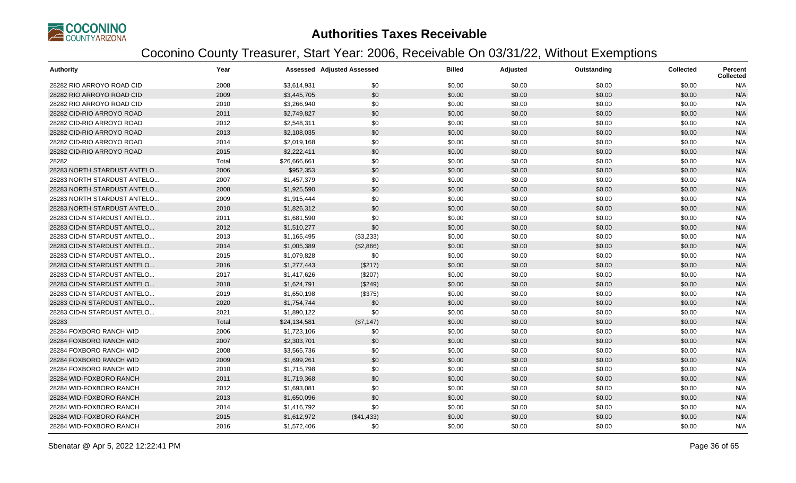

| <b>Authority</b>            | Year  |              | <b>Assessed Adjusted Assessed</b> | <b>Billed</b> | Adjusted | Outstanding | <b>Collected</b> | <b>Percent</b><br><b>Collected</b> |
|-----------------------------|-------|--------------|-----------------------------------|---------------|----------|-------------|------------------|------------------------------------|
| 28282 RIO ARROYO ROAD CID   | 2008  | \$3,614,931  | \$0                               | \$0.00        | \$0.00   | \$0.00      | \$0.00           | N/A                                |
| 28282 RIO ARROYO ROAD CID   | 2009  | \$3,445,705  | \$0                               | \$0.00        | \$0.00   | \$0.00      | \$0.00           | N/A                                |
| 28282 RIO ARROYO ROAD CID   | 2010  | \$3,266,940  | \$0                               | \$0.00        | \$0.00   | \$0.00      | \$0.00           | N/A                                |
| 28282 CID-RIO ARROYO ROAD   | 2011  | \$2,749,827  | \$0                               | \$0.00        | \$0.00   | \$0.00      | \$0.00           | N/A                                |
| 28282 CID-RIO ARROYO ROAD   | 2012  | \$2,548,311  | \$0                               | \$0.00        | \$0.00   | \$0.00      | \$0.00           | N/A                                |
| 28282 CID-RIO ARROYO ROAD   | 2013  | \$2,108,035  | \$0                               | \$0.00        | \$0.00   | \$0.00      | \$0.00           | N/A                                |
| 28282 CID-RIO ARROYO ROAD   | 2014  | \$2,019,168  | \$0                               | \$0.00        | \$0.00   | \$0.00      | \$0.00           | N/A                                |
| 28282 CID-RIO ARROYO ROAD   | 2015  | \$2,222,411  | \$0                               | \$0.00        | \$0.00   | \$0.00      | \$0.00           | N/A                                |
| 28282                       | Total | \$26,666,661 | \$0                               | \$0.00        | \$0.00   | \$0.00      | \$0.00           | N/A                                |
| 28283 NORTH STARDUST ANTELO | 2006  | \$952,353    | \$0                               | \$0.00        | \$0.00   | \$0.00      | \$0.00           | N/A                                |
| 28283 NORTH STARDUST ANTELO | 2007  | \$1,457,379  | \$0                               | \$0.00        | \$0.00   | \$0.00      | \$0.00           | N/A                                |
| 28283 NORTH STARDUST ANTELO | 2008  | \$1,925,590  | \$0                               | \$0.00        | \$0.00   | \$0.00      | \$0.00           | N/A                                |
| 28283 NORTH STARDUST ANTELO | 2009  | \$1,915,444  | \$0                               | \$0.00        | \$0.00   | \$0.00      | \$0.00           | N/A                                |
| 28283 NORTH STARDUST ANTELO | 2010  | \$1,826,312  | \$0                               | \$0.00        | \$0.00   | \$0.00      | \$0.00           | N/A                                |
| 28283 CID-N STARDUST ANTELO | 2011  | \$1,681,590  | \$0                               | \$0.00        | \$0.00   | \$0.00      | \$0.00           | N/A                                |
| 28283 CID-N STARDUST ANTELO | 2012  | \$1,510,277  | \$0                               | \$0.00        | \$0.00   | \$0.00      | \$0.00           | N/A                                |
| 28283 CID-N STARDUST ANTELO | 2013  | \$1,165,495  | (\$3,233)                         | \$0.00        | \$0.00   | \$0.00      | \$0.00           | N/A                                |
| 28283 CID-N STARDUST ANTELO | 2014  | \$1,005,389  | (\$2,866)                         | \$0.00        | \$0.00   | \$0.00      | \$0.00           | N/A                                |
| 28283 CID-N STARDUST ANTELO | 2015  | \$1,079,828  | \$0                               | \$0.00        | \$0.00   | \$0.00      | \$0.00           | N/A                                |
| 28283 CID-N STARDUST ANTELO | 2016  | \$1,277,443  | (\$217)                           | \$0.00        | \$0.00   | \$0.00      | \$0.00           | N/A                                |
| 28283 CID-N STARDUST ANTELO | 2017  | \$1,417,626  | (\$207)                           | \$0.00        | \$0.00   | \$0.00      | \$0.00           | N/A                                |
| 28283 CID-N STARDUST ANTELO | 2018  | \$1,624,791  | (\$249)                           | \$0.00        | \$0.00   | \$0.00      | \$0.00           | N/A                                |
| 28283 CID-N STARDUST ANTELO | 2019  | \$1,650,198  | (\$375)                           | \$0.00        | \$0.00   | \$0.00      | \$0.00           | N/A                                |
| 28283 CID-N STARDUST ANTELO | 2020  | \$1,754,744  | \$0                               | \$0.00        | \$0.00   | \$0.00      | \$0.00           | N/A                                |
| 28283 CID-N STARDUST ANTELO | 2021  | \$1,890,122  | \$0                               | \$0.00        | \$0.00   | \$0.00      | \$0.00           | N/A                                |
| 28283                       | Total | \$24,134,581 | (\$7,147)                         | \$0.00        | \$0.00   | \$0.00      | \$0.00           | N/A                                |
| 28284 FOXBORO RANCH WID     | 2006  | \$1,723,106  | \$0                               | \$0.00        | \$0.00   | \$0.00      | \$0.00           | N/A                                |
| 28284 FOXBORO RANCH WID     | 2007  | \$2,303,701  | \$0                               | \$0.00        | \$0.00   | \$0.00      | \$0.00           | N/A                                |
| 28284 FOXBORO RANCH WID     | 2008  | \$3,565,736  | \$0                               | \$0.00        | \$0.00   | \$0.00      | \$0.00           | N/A                                |
| 28284 FOXBORO RANCH WID     | 2009  | \$1,699,261  | \$0                               | \$0.00        | \$0.00   | \$0.00      | \$0.00           | N/A                                |
| 28284 FOXBORO RANCH WID     | 2010  | \$1,715,798  | \$0                               | \$0.00        | \$0.00   | \$0.00      | \$0.00           | N/A                                |
| 28284 WID-FOXBORO RANCH     | 2011  | \$1,719,368  | \$0                               | \$0.00        | \$0.00   | \$0.00      | \$0.00           | N/A                                |
| 28284 WID-FOXBORO RANCH     | 2012  | \$1,693,081  | \$0                               | \$0.00        | \$0.00   | \$0.00      | \$0.00           | N/A                                |
| 28284 WID-FOXBORO RANCH     | 2013  | \$1,650,096  | \$0                               | \$0.00        | \$0.00   | \$0.00      | \$0.00           | N/A                                |
| 28284 WID-FOXBORO RANCH     | 2014  | \$1,416,792  | \$0                               | \$0.00        | \$0.00   | \$0.00      | \$0.00           | N/A                                |
| 28284 WID-FOXBORO RANCH     | 2015  | \$1,612,972  | (\$41,433)                        | \$0.00        | \$0.00   | \$0.00      | \$0.00           | N/A                                |
| 28284 WID-FOXBORO RANCH     | 2016  | \$1,572,406  | \$0                               | \$0.00        | \$0.00   | \$0.00      | \$0.00           | N/A                                |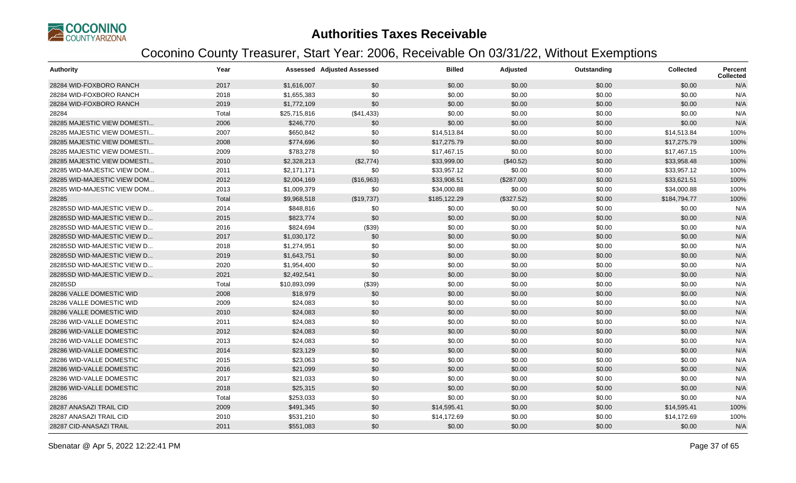

| <b>Authority</b>            | Year  |              | <b>Assessed Adjusted Assessed</b> | <b>Billed</b> | Adjusted   | Outstanding | <b>Collected</b> | <b>Percent</b><br><b>Collected</b> |
|-----------------------------|-------|--------------|-----------------------------------|---------------|------------|-------------|------------------|------------------------------------|
| 28284 WID-FOXBORO RANCH     | 2017  | \$1,616,007  | \$0                               | \$0.00        | \$0.00     | \$0.00      | \$0.00           | N/A                                |
| 28284 WID-FOXBORO RANCH     | 2018  | \$1,655,383  | \$0                               | \$0.00        | \$0.00     | \$0.00      | \$0.00           | N/A                                |
| 28284 WID-FOXBORO RANCH     | 2019  | \$1,772,109  | \$0                               | \$0.00        | \$0.00     | \$0.00      | \$0.00           | N/A                                |
| 28284                       | Total | \$25,715,816 | (\$41,433)                        | \$0.00        | \$0.00     | \$0.00      | \$0.00           | N/A                                |
| 28285 MAJESTIC VIEW DOMESTI | 2006  | \$246,770    | \$0                               | \$0.00        | \$0.00     | \$0.00      | \$0.00           | N/A                                |
| 28285 MAJESTIC VIEW DOMESTI | 2007  | \$650,842    | \$0                               | \$14,513.84   | \$0.00     | \$0.00      | \$14,513.84      | 100%                               |
| 28285 MAJESTIC VIEW DOMESTI | 2008  | \$774,696    | \$0                               | \$17,275.79   | \$0.00     | \$0.00      | \$17,275.79      | 100%                               |
| 28285 MAJESTIC VIEW DOMESTI | 2009  | \$783,278    | \$0                               | \$17,467.15   | \$0.00     | \$0.00      | \$17,467.15      | 100%                               |
| 28285 MAJESTIC VIEW DOMESTI | 2010  | \$2,328,213  | (\$2,774)                         | \$33,999.00   | (\$40.52)  | \$0.00      | \$33,958.48      | 100%                               |
| 28285 WID-MAJESTIC VIEW DOM | 2011  | \$2,171,171  | \$0                               | \$33,957.12   | \$0.00     | \$0.00      | \$33,957.12      | 100%                               |
| 28285 WID-MAJESTIC VIEW DOM | 2012  | \$2,004,169  | (\$16,963)                        | \$33,908.51   | (\$287.00) | \$0.00      | \$33,621.51      | 100%                               |
| 28285 WID-MAJESTIC VIEW DOM | 2013  | \$1,009,379  | \$0                               | \$34,000.88   | \$0.00     | \$0.00      | \$34,000.88      | 100%                               |
| 28285                       | Total | \$9,968,518  | (\$19,737)                        | \$185,122.29  | (\$327.52) | \$0.00      | \$184,794.77     | 100%                               |
| 28285SD WID-MAJESTIC VIEW D | 2014  | \$848,816    | \$0                               | \$0.00        | \$0.00     | \$0.00      | \$0.00           | N/A                                |
| 28285SD WID-MAJESTIC VIEW D | 2015  | \$823,774    | \$0                               | \$0.00        | \$0.00     | \$0.00      | \$0.00           | N/A                                |
| 28285SD WID-MAJESTIC VIEW D | 2016  | \$824,694    | (\$39)                            | \$0.00        | \$0.00     | \$0.00      | \$0.00           | N/A                                |
| 28285SD WID-MAJESTIC VIEW D | 2017  | \$1,030,172  | \$0                               | \$0.00        | \$0.00     | \$0.00      | \$0.00           | N/A                                |
| 28285SD WID-MAJESTIC VIEW D | 2018  | \$1,274,951  | \$0                               | \$0.00        | \$0.00     | \$0.00      | \$0.00           | N/A                                |
| 28285SD WID-MAJESTIC VIEW D | 2019  | \$1,643,751  | \$0                               | \$0.00        | \$0.00     | \$0.00      | \$0.00           | N/A                                |
| 28285SD WID-MAJESTIC VIEW D | 2020  | \$1,954,400  | \$0                               | \$0.00        | \$0.00     | \$0.00      | \$0.00           | N/A                                |
| 28285SD WID-MAJESTIC VIEW D | 2021  | \$2,492,541  | \$0                               | \$0.00        | \$0.00     | \$0.00      | \$0.00           | N/A                                |
| 28285SD                     | Total | \$10,893,099 | (\$39)                            | \$0.00        | \$0.00     | \$0.00      | \$0.00           | N/A                                |
| 28286 VALLE DOMESTIC WID    | 2008  | \$18,979     | \$0                               | \$0.00        | \$0.00     | \$0.00      | \$0.00           | N/A                                |
| 28286 VALLE DOMESTIC WID    | 2009  | \$24,083     | \$0                               | \$0.00        | \$0.00     | \$0.00      | \$0.00           | N/A                                |
| 28286 VALLE DOMESTIC WID    | 2010  | \$24,083     | \$0                               | \$0.00        | \$0.00     | \$0.00      | \$0.00           | N/A                                |
| 28286 WID-VALLE DOMESTIC    | 2011  | \$24,083     | \$0                               | \$0.00        | \$0.00     | \$0.00      | \$0.00           | N/A                                |
| 28286 WID-VALLE DOMESTIC    | 2012  | \$24,083     | \$0                               | \$0.00        | \$0.00     | \$0.00      | \$0.00           | N/A                                |
| 28286 WID-VALLE DOMESTIC    | 2013  | \$24,083     | \$0                               | \$0.00        | \$0.00     | \$0.00      | \$0.00           | N/A                                |
| 28286 WID-VALLE DOMESTIC    | 2014  | \$23,129     | \$0                               | \$0.00        | \$0.00     | \$0.00      | \$0.00           | N/A                                |
| 28286 WID-VALLE DOMESTIC    | 2015  | \$23,063     | \$0                               | \$0.00        | \$0.00     | \$0.00      | \$0.00           | N/A                                |
| 28286 WID-VALLE DOMESTIC    | 2016  | \$21,099     | \$0                               | \$0.00        | \$0.00     | \$0.00      | \$0.00           | N/A                                |
| 28286 WID-VALLE DOMESTIC    | 2017  | \$21,033     | \$0                               | \$0.00        | \$0.00     | \$0.00      | \$0.00           | N/A                                |
| 28286 WID-VALLE DOMESTIC    | 2018  | \$25,315     | \$0                               | \$0.00        | \$0.00     | \$0.00      | \$0.00           | N/A                                |
| 28286                       | Total | \$253,033    | \$0                               | \$0.00        | \$0.00     | \$0.00      | \$0.00           | N/A                                |
| 28287 ANASAZI TRAIL CID     | 2009  | \$491,345    | \$0                               | \$14,595.41   | \$0.00     | \$0.00      | \$14,595.41      | 100%                               |
| 28287 ANASAZI TRAIL CID     | 2010  | \$531,210    | \$0                               | \$14,172.69   | \$0.00     | \$0.00      | \$14,172.69      | 100%                               |
| 28287 CID-ANASAZI TRAIL     | 2011  | \$551,083    | \$0                               | \$0.00        | \$0.00     | \$0.00      | \$0.00           | N/A                                |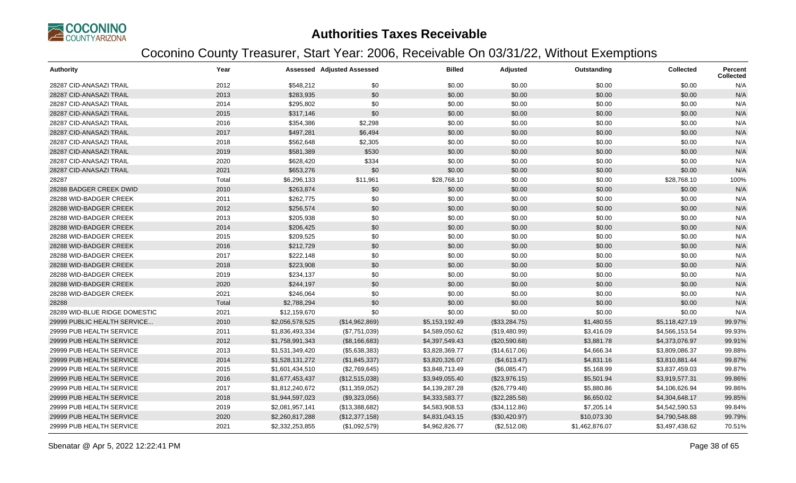

| <b>Authority</b>              | Year  |                 | <b>Assessed Adjusted Assessed</b> | <b>Billed</b>  | Adjusted       | Outstanding    | <b>Collected</b> | <b>Percent</b><br><b>Collected</b> |
|-------------------------------|-------|-----------------|-----------------------------------|----------------|----------------|----------------|------------------|------------------------------------|
| 28287 CID-ANASAZI TRAIL       | 2012  | \$548,212       | \$0                               | \$0.00         | \$0.00         | \$0.00         | \$0.00           | N/A                                |
| 28287 CID-ANASAZI TRAIL       | 2013  | \$283,935       | \$0                               | \$0.00         | \$0.00         | \$0.00         | \$0.00           | N/A                                |
| 28287 CID-ANASAZI TRAIL       | 2014  | \$295,802       | \$0                               | \$0.00         | \$0.00         | \$0.00         | \$0.00           | N/A                                |
| 28287 CID-ANASAZI TRAIL       | 2015  | \$317,146       | \$0                               | \$0.00         | \$0.00         | \$0.00         | \$0.00           | N/A                                |
| 28287 CID-ANASAZI TRAIL       | 2016  | \$354,386       | \$2,298                           | \$0.00         | \$0.00         | \$0.00         | \$0.00           | N/A                                |
| 28287 CID-ANASAZI TRAIL       | 2017  | \$497,281       | \$6,494                           | \$0.00         | \$0.00         | \$0.00         | \$0.00           | N/A                                |
| 28287 CID-ANASAZI TRAIL       | 2018  | \$562,648       | \$2,305                           | \$0.00         | \$0.00         | \$0.00         | \$0.00           | N/A                                |
| 28287 CID-ANASAZI TRAIL       | 2019  | \$581,389       | \$530                             | \$0.00         | \$0.00         | \$0.00         | \$0.00           | N/A                                |
| 28287 CID-ANASAZI TRAIL       | 2020  | \$628,420       | \$334                             | \$0.00         | \$0.00         | \$0.00         | \$0.00           | N/A                                |
| 28287 CID-ANASAZI TRAIL       | 2021  | \$653,276       | \$0                               | \$0.00         | \$0.00         | \$0.00         | \$0.00           | N/A                                |
| 28287                         | Total | \$6,296,133     | \$11,961                          | \$28,768.10    | \$0.00         | \$0.00         | \$28,768.10      | 100%                               |
| 28288 BADGER CREEK DWID       | 2010  | \$263,874       | \$0                               | \$0.00         | \$0.00         | \$0.00         | \$0.00           | N/A                                |
| 28288 WID-BADGER CREEK        | 2011  | \$262,775       | \$0                               | \$0.00         | \$0.00         | \$0.00         | \$0.00           | N/A                                |
| 28288 WID-BADGER CREEK        | 2012  | \$256,574       | \$0                               | \$0.00         | \$0.00         | \$0.00         | \$0.00           | N/A                                |
| 28288 WID-BADGER CREEK        | 2013  | \$205,938       | \$0                               | \$0.00         | \$0.00         | \$0.00         | \$0.00           | N/A                                |
| 28288 WID-BADGER CREEK        | 2014  | \$206,425       | \$0                               | \$0.00         | \$0.00         | \$0.00         | \$0.00           | N/A                                |
| 28288 WID-BADGER CREEK        | 2015  | \$209,525       | \$0                               | \$0.00         | \$0.00         | \$0.00         | \$0.00           | N/A                                |
| 28288 WID-BADGER CREEK        | 2016  | \$212,729       | \$0                               | \$0.00         | \$0.00         | \$0.00         | \$0.00           | N/A                                |
| 28288 WID-BADGER CREEK        | 2017  | \$222,148       | \$0                               | \$0.00         | \$0.00         | \$0.00         | \$0.00           | N/A                                |
| 28288 WID-BADGER CREEK        | 2018  | \$223,908       | \$0                               | \$0.00         | \$0.00         | \$0.00         | \$0.00           | N/A                                |
| 28288 WID-BADGER CREEK        | 2019  | \$234,137       | \$0                               | \$0.00         | \$0.00         | \$0.00         | \$0.00           | N/A                                |
| 28288 WID-BADGER CREEK        | 2020  | \$244,197       | \$0                               | \$0.00         | \$0.00         | \$0.00         | \$0.00           | N/A                                |
| 28288 WID-BADGER CREEK        | 2021  | \$246,064       | \$0                               | \$0.00         | \$0.00         | \$0.00         | \$0.00           | N/A                                |
| 28288                         | Total | \$2,788,294     | \$0                               | \$0.00         | \$0.00         | \$0.00         | \$0.00           | N/A                                |
| 28289 WID-BLUE RIDGE DOMESTIC | 2021  | \$12,159,670    | \$0                               | \$0.00         | \$0.00         | \$0.00         | \$0.00           | N/A                                |
| 29999 PUBLIC HEALTH SERVICE   | 2010  | \$2,056,578,525 | (\$14,962,869)                    | \$5,153,192.49 | (\$33,284.75)  | \$1,480.55     | \$5,118,427.19   | 99.97%                             |
| 29999 PUB HEALTH SERVICE      | 2011  | \$1,836,493,334 | (\$7,751,039)                     | \$4,589,050.62 | (\$19,480.99)  | \$3,416.09     | \$4,566,153.54   | 99.93%                             |
| 29999 PUB HEALTH SERVICE      | 2012  | \$1,758,991,343 | (\$8,166,683)                     | \$4,397,549.43 | (\$20,590.68)  | \$3,881.78     | \$4,373,076.97   | 99.91%                             |
| 29999 PUB HEALTH SERVICE      | 2013  | \$1,531,349,420 | (\$5,638,383)                     | \$3,828,369.77 | (\$14,617.06)  | \$4,666.34     | \$3,809,086.37   | 99.88%                             |
| 29999 PUB HEALTH SERVICE      | 2014  | \$1,528,131,272 | (\$1,845,337)                     | \$3,820,326.07 | (\$4,613.47)   | \$4,831.16     | \$3,810,881.44   | 99.87%                             |
| 29999 PUB HEALTH SERVICE      | 2015  | \$1,601,434,510 | (\$2,769,645)                     | \$3,848,713.49 | (\$6,085.47)   | \$5,168.99     | \$3,837,459.03   | 99.87%                             |
| 29999 PUB HEALTH SERVICE      | 2016  | \$1,677,453,437 | (\$12,515,038)                    | \$3,949,055.40 | (\$23,976.15)  | \$5,501.94     | \$3,919,577.31   | 99.86%                             |
| 29999 PUB HEALTH SERVICE      | 2017  | \$1,812,240,672 | (\$11,359,052)                    | \$4,139,287.28 | (\$26,779.48)  | \$5,880.86     | \$4,106,626.94   | 99.86%                             |
| 29999 PUB HEALTH SERVICE      | 2018  | \$1,944,597,023 | (\$9,323,056)                     | \$4,333,583.77 | (\$22, 285.58) | \$6,650.02     | \$4,304,648.17   | 99.85%                             |
| 29999 PUB HEALTH SERVICE      | 2019  | \$2,081,957,141 | (\$13,388,682)                    | \$4,583,908.53 | (\$34,112.86)  | \$7,205.14     | \$4,542,590.53   | 99.84%                             |
| 29999 PUB HEALTH SERVICE      | 2020  | \$2,260,817,288 | (\$12,377,158)                    | \$4,831,043.15 | (\$30,420.97)  | \$10,073.30    | \$4,790,548.88   | 99.79%                             |
| 29999 PUB HEALTH SERVICE      | 2021  | \$2,332,253,855 | (\$1,092,579)                     | \$4,962,826.77 | (\$2,512.08)   | \$1,462,876.07 | \$3,497,438.62   | 70.51%                             |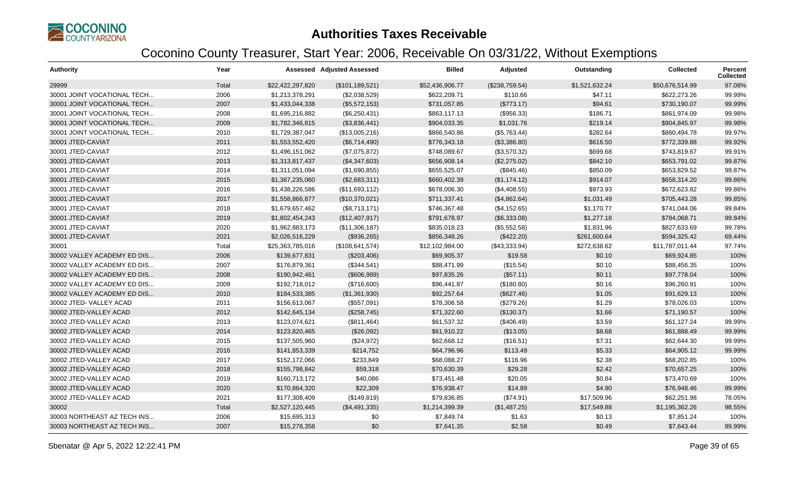

| <b>Authority</b>            | Year  |                  | <b>Assessed Adjusted Assessed</b> | <b>Billed</b>   | Adjusted       | Outstanding    | <b>Collected</b> | <b>Percent</b><br><b>Collected</b> |
|-----------------------------|-------|------------------|-----------------------------------|-----------------|----------------|----------------|------------------|------------------------------------|
| 29999                       | Total | \$22,422,297,820 | (\$101, 189, 521)                 | \$52,436,906.77 | (\$238,759.54) | \$1,521,632.24 | \$50,676,514.99  | 97.08%                             |
| 30001 JOINT VOCATIONAL TECH | 2006  | \$1,213,378,291  | (\$2,038,529)                     | \$622.209.71    | \$110.66       | \$47.11        | \$622,273.26     | 99.99%                             |
| 30001 JOINT VOCATIONAL TECH | 2007  | \$1,433,044,338  | (\$5,572,153)                     | \$731,057.85    | (\$773.17)     | \$94.61        | \$730,190.07     | 99.99%                             |
| 30001 JOINT VOCATIONAL TECH | 2008  | \$1,695,216,882  | (\$6,250,431)                     | \$863,117.13    | (\$956.33)     | \$186.71       | \$861,974.09     | 99.98%                             |
| 30001 JOINT VOCATIONAL TECH | 2009  | \$1,782,346,815  | (\$3,836,441)                     | \$904,033.35    | \$1,031.76     | \$219.14       | \$904,845.97     | 99.98%                             |
| 30001 JOINT VOCATIONAL TECH | 2010  | \$1,729,387,047  | (\$13,005,216)                    | \$866,540.86    | (\$5,763.44)   | \$282.64       | \$860,494.78     | 99.97%                             |
| 30001 JTED-CAVIAT           | 2011  | \$1,553,552,420  | (\$6,714,490)                     | \$776,343.18    | (\$3,386.80)   | \$616.50       | \$772,339.88     | 99.92%                             |
| 30001 JTED-CAVIAT           | 2012  | \$1,496,151,062  | (\$7,075,872)                     | \$748,089.67    | (\$3,570.32)   | \$699.68       | \$743,819.67     | 99.91%                             |
| 30001 JTED-CAVIAT           | 2013  | \$1,313,817,437  | (\$4,347,603)                     | \$656,908.14    | (\$2,275.02)   | \$842.10       | \$653,791.02     | 99.87%                             |
| 30001 JTED-CAVIAT           | 2014  | \$1,311,051,094  | (\$1,690,855)                     | \$655,525.07    | (\$845.46)     | \$850.09       | \$653,829.52     | 99.87%                             |
| 30001 JTED-CAVIAT           | 2015  | \$1,367,235,060  | (\$2,683,311)                     | \$660,402.39    | (\$1,174.12)   | \$914.07       | \$658,314.20     | 99.86%                             |
| 30001 JTED-CAVIAT           | 2016  | \$1,438,226,586  | (\$11,693,112)                    | \$678,006.30    | (\$4,408.55)   | \$973.93       | \$672,623.82     | 99.86%                             |
| 30001 JTED-CAVIAT           | 2017  | \$1,558,866,877  | (\$10,370,021)                    | \$711,337.41    | (\$4,862.64)   | \$1,031.49     | \$705,443.28     | 99.85%                             |
| 30001 JTED-CAVIAT           | 2018  | \$1,679,657,462  | (\$8,713,171)                     | \$746,367.48    | (\$4,152.65)   | \$1,170.77     | \$741,044.06     | 99.84%                             |
| 30001 JTED-CAVIAT           | 2019  | \$1,802,454,243  | (\$12,407,917)                    | \$791,678.97    | (\$6,333.08)   | \$1,277.18     | \$784,068.71     | 99.84%                             |
| 30001 JTED-CAVIAT           | 2020  | \$1,962,883,173  | (\$11,306,187)                    | \$835,018.23    | (\$5,552.58)   | \$1,831.96     | \$827,633.69     | 99.78%                             |
| 30001 JTED-CAVIAT           | 2021  | \$2,026,516,229  | (\$936,265)                       | \$856,348.26    | (\$422.20)     | \$261,600.64   | \$594,325.42     | 69.44%                             |
| 30001                       | Total | \$25,363,785,016 | (\$108,641,574)                   | \$12,102,984.00 | (\$43,333.94)  | \$272,638.62   | \$11,787,011.44  | 97.74%                             |
| 30002 VALLEY ACADEMY ED DIS | 2006  | \$139,677,831    | (\$203,406)                       | \$69,905.37     | \$19.58        | \$0.10         | \$69,924.85      | 100%                               |
| 30002 VALLEY ACADEMY ED DIS | 2007  | \$176,879,361    | (\$344,541)                       | \$88,471.99     | (\$15.54)      | \$0.10         | \$88,456.35      | 100%                               |
| 30002 VALLEY ACADEMY ED DIS | 2008  | \$190,942,461    | (\$606,989)                       | \$97,835.26     | (\$57.11)      | \$0.11         | \$97,778.04      | 100%                               |
| 30002 VALLEY ACADEMY ED DIS | 2009  | \$192,718,012    | (\$716,600)                       | \$96,441.87     | (\$180.80)     | \$0.16         | \$96,260.91      | 100%                               |
| 30002 VALLEY ACADEMY ED DIS | 2010  | \$184,533,385    | (\$1,361,930)                     | \$92,257.64     | (\$627.46)     | \$1.05         | \$91,629.13      | 100%                               |
| 30002 JTED-VALLEY ACAD      | 2011  | \$156,613,067    | (\$557,091)                       | \$78,306.58     | (\$279.26)     | \$1.29         | \$78,026.03      | 100%                               |
| 30002 JTED-VALLEY ACAD      | 2012  | \$142,645,134    | (\$258,745)                       | \$71,322.60     | (\$130.37)     | \$1.66         | \$71,190.57      | 100%                               |
| 30002 JTED-VALLEY ACAD      | 2013  | \$123,074,621    | (\$811,464)                       | \$61,537.32     | (\$406.49)     | \$3.59         | \$61,127.24      | 99.99%                             |
| 30002 JTED-VALLEY ACAD      | 2014  | \$123,820,465    | (\$26,092)                        | \$61,910.22     | (\$13.05)      | \$8.68         | \$61,888.49      | 99.99%                             |
| 30002 JTED-VALLEY ACAD      | 2015  | \$137,505,960    | (\$24,972)                        | \$62,668.12     | (\$16.51)      | \$7.31         | \$62,644.30      | 99.99%                             |
| 30002 JTED-VALLEY ACAD      | 2016  | \$141,853,339    | \$214,752                         | \$64,796.96     | \$113.49       | \$5.33         | \$64,905.12      | 99.99%                             |
| 30002 JTED-VALLEY ACAD      | 2017  | \$152,172,066    | \$233,849                         | \$68,088.27     | \$116.96       | \$2.38         | \$68,202.85      | 100%                               |
| 30002 JTED-VALLEY ACAD      | 2018  | \$155,798,842    | \$59,318                          | \$70,630.39     | \$29.28        | \$2.42         | \$70,657.25      | 100%                               |
| 30002 JTED-VALLEY ACAD      | 2019  | \$160,713,172    | \$40,086                          | \$73,451.48     | \$20.05        | \$0.84         | \$73,470.69      | 100%                               |
| 30002 JTED-VALLEY ACAD      | 2020  | \$170,864,320    | \$22,309                          | \$76,938.47     | \$14.89        | \$4.90         | \$76,948.46      | 99.99%                             |
| 30002 JTED-VALLEY ACAD      | 2021  | \$177,308,409    | (\$149, 819)                      | \$79,836.85     | (\$74.91)      | \$17,509.96    | \$62,251.98      | 78.05%                             |
| 30002                       | Total | \$2,527,120,445  | (\$4,491,335)                     | \$1,214,399.39  | (\$1,487.25)   | \$17,549.88    | \$1,195,362.26   | 98.55%                             |
| 30003 NORTHEAST AZ TECH INS | 2006  | \$15,695,313     | \$0                               | \$7,849.74      | \$1.63         | \$0.13         | \$7,851.24       | 100%                               |
| 30003 NORTHEAST AZ TECH INS | 2007  | \$15,278,358     | \$0                               | \$7,641.35      | \$2.58         | \$0.49         | \$7,643.44       | 99.99%                             |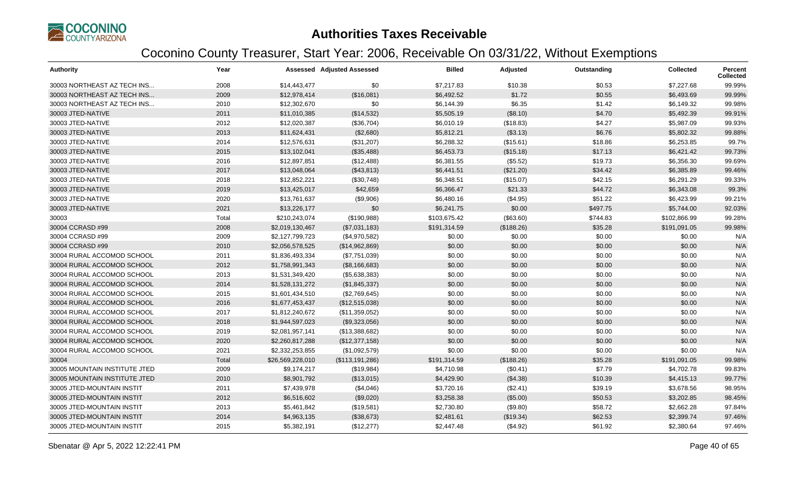

| <b>Authority</b>              | Year  |                  | <b>Assessed Adjusted Assessed</b> | <b>Billed</b> | Adjusted   | Outstanding | <b>Collected</b> | <b>Percent</b><br><b>Collected</b> |
|-------------------------------|-------|------------------|-----------------------------------|---------------|------------|-------------|------------------|------------------------------------|
| 30003 NORTHEAST AZ TECH INS   | 2008  | \$14,443,477     | \$0                               | \$7,217.83    | \$10.38    | \$0.53      | \$7,227.68       | 99.99%                             |
| 30003 NORTHEAST AZ TECH INS   | 2009  | \$12,978,414     | (\$16,081)                        | \$6,492.52    | \$1.72     | \$0.55      | \$6,493.69       | 99.99%                             |
| 30003 NORTHEAST AZ TECH INS   | 2010  | \$12,302,670     | \$0                               | \$6,144.39    | \$6.35     | \$1.42      | \$6,149.32       | 99.98%                             |
| 30003 JTED-NATIVE             | 2011  | \$11,010,385     | (\$14,532)                        | \$5,505.19    | (\$8.10)   | \$4.70      | \$5,492.39       | 99.91%                             |
| 30003 JTED-NATIVE             | 2012  | \$12,020,387     | (\$36,704)                        | \$6,010.19    | (\$18.83)  | \$4.27      | \$5,987.09       | 99.93%                             |
| 30003 JTED-NATIVE             | 2013  | \$11,624,431     | (\$2,680)                         | \$5,812.21    | (\$3.13)   | \$6.76      | \$5,802.32       | 99.88%                             |
| 30003 JTED-NATIVE             | 2014  | \$12,576,631     | (\$31,207)                        | \$6,288.32    | (\$15.61)  | \$18.86     | \$6,253.85       | 99.7%                              |
| 30003 JTED-NATIVE             | 2015  | \$13,102,041     | (\$35,488)                        | \$6,453.73    | (\$15.18)  | \$17.13     | \$6,421.42       | 99.73%                             |
| 30003 JTED-NATIVE             | 2016  | \$12,897,851     | (\$12,488)                        | \$6,381.55    | (\$5.52)   | \$19.73     | \$6,356.30       | 99.69%                             |
| 30003 JTED-NATIVE             | 2017  | \$13,048,064     | (\$43,813)                        | \$6,441.51    | (\$21.20)  | \$34.42     | \$6,385.89       | 99.46%                             |
| 30003 JTED-NATIVE             | 2018  | \$12,852,221     | (\$30,748)                        | \$6,348.51    | (\$15.07)  | \$42.15     | \$6,291.29       | 99.33%                             |
| 30003 JTED-NATIVE             | 2019  | \$13,425,017     | \$42,659                          | \$6,366.47    | \$21.33    | \$44.72     | \$6,343.08       | 99.3%                              |
| 30003 JTED-NATIVE             | 2020  | \$13,761,637     | (\$9,906)                         | \$6,480.16    | (\$4.95)   | \$51.22     | \$6,423.99       | 99.21%                             |
| 30003 JTED-NATIVE             | 2021  | \$13,226,177     | \$0                               | \$6,241.75    | \$0.00     | \$497.75    | \$5,744.00       | 92.03%                             |
| 30003                         | Total | \$210,243,074    | (\$190,988)                       | \$103,675.42  | (\$63.60)  | \$744.83    | \$102,866.99     | 99.28%                             |
| 30004 CCRASD #99              | 2008  | \$2,019,130,467  | (\$7,031,183)                     | \$191,314.59  | (\$188.26) | \$35.28     | \$191,091.05     | 99.98%                             |
| 30004 CCRASD #99              | 2009  | \$2,127,799,723  | (\$4,970,582)                     | \$0.00        | \$0.00     | \$0.00      | \$0.00           | N/A                                |
| 30004 CCRASD #99              | 2010  | \$2,056,578,525  | (\$14,962,869)                    | \$0.00        | \$0.00     | \$0.00      | \$0.00           | N/A                                |
| 30004 RURAL ACCOMOD SCHOOL    | 2011  | \$1,836,493,334  | (\$7,751,039)                     | \$0.00        | \$0.00     | \$0.00      | \$0.00           | N/A                                |
| 30004 RURAL ACCOMOD SCHOOL    | 2012  | \$1,758,991,343  | (\$8,166,683)                     | \$0.00        | \$0.00     | \$0.00      | \$0.00           | N/A                                |
| 30004 RURAL ACCOMOD SCHOOL    | 2013  | \$1,531,349,420  | (\$5,638,383)                     | \$0.00        | \$0.00     | \$0.00      | \$0.00           | N/A                                |
| 30004 RURAL ACCOMOD SCHOOL    | 2014  | \$1,528,131,272  | (\$1,845,337)                     | \$0.00        | \$0.00     | \$0.00      | \$0.00           | N/A                                |
| 30004 RURAL ACCOMOD SCHOOL    | 2015  | \$1,601,434,510  | (\$2,769,645)                     | \$0.00        | \$0.00     | \$0.00      | \$0.00           | N/A                                |
| 30004 RURAL ACCOMOD SCHOOL    | 2016  | \$1,677,453,437  | (\$12,515,038)                    | \$0.00        | \$0.00     | \$0.00      | \$0.00           | N/A                                |
| 30004 RURAL ACCOMOD SCHOOL    | 2017  | \$1,812,240,672  | (\$11,359,052)                    | \$0.00        | \$0.00     | \$0.00      | \$0.00           | N/A                                |
| 30004 RURAL ACCOMOD SCHOOL    | 2018  | \$1,944,597,023  | (\$9,323,056)                     | \$0.00        | \$0.00     | \$0.00      | \$0.00           | N/A                                |
| 30004 RURAL ACCOMOD SCHOOL    | 2019  | \$2,081,957,141  | (\$13,388,682)                    | \$0.00        | \$0.00     | \$0.00      | \$0.00           | N/A                                |
| 30004 RURAL ACCOMOD SCHOOL    | 2020  | \$2,260,817,288  | (\$12,377,158)                    | \$0.00        | \$0.00     | \$0.00      | \$0.00           | N/A                                |
| 30004 RURAL ACCOMOD SCHOOL    | 2021  | \$2,332,253,855  | (\$1,092,579)                     | \$0.00        | \$0.00     | \$0.00      | \$0.00           | N/A                                |
| 30004                         | Total | \$26,569,228,010 | (\$113,191,286)                   | \$191,314.59  | (\$188.26) | \$35.28     | \$191,091.05     | 99.98%                             |
| 30005 MOUNTAIN INSTITUTE JTED | 2009  | \$9,174,217      | (\$19,984)                        | \$4,710.98    | (\$0.41)   | \$7.79      | \$4,702.78       | 99.83%                             |
| 30005 MOUNTAIN INSTITUTE JTED | 2010  | \$8,901,792      | (\$13,015)                        | \$4,429.90    | (\$4.38)   | \$10.39     | \$4,415.13       | 99.77%                             |
| 30005 JTED-MOUNTAIN INSTIT    | 2011  | \$7,439,978      | (\$4,046)                         | \$3,720.16    | (\$2.41)   | \$39.19     | \$3,678.56       | 98.95%                             |
| 30005 JTED-MOUNTAIN INSTIT    | 2012  | \$6,516,602      | (\$9,020)                         | \$3,258.38    | (\$5.00)   | \$50.53     | \$3,202.85       | 98.45%                             |
| 30005 JTED-MOUNTAIN INSTIT    | 2013  | \$5,461,842      | (\$19,581)                        | \$2,730.80    | (\$9.80)   | \$58.72     | \$2,662.28       | 97.84%                             |
| 30005 JTED-MOUNTAIN INSTIT    | 2014  | \$4,963,135      | (\$38,673)                        | \$2,481.61    | (\$19.34)  | \$62.53     | \$2,399.74       | 97.46%                             |
| 30005 JTED-MOUNTAIN INSTIT    | 2015  | \$5,382,191      | (\$12,277)                        | \$2,447.48    | (\$4.92)   | \$61.92     | \$2,380.64       | 97.46%                             |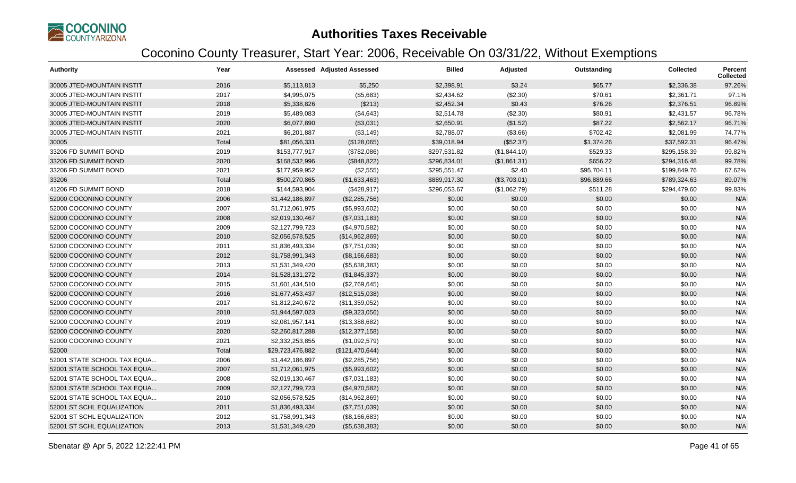

| <b>Authority</b>            | Year  |                  | <b>Assessed Adjusted Assessed</b> | <b>Billed</b> | Adjusted     | Outstanding | <b>Collected</b> | <b>Percent</b><br><b>Collected</b> |
|-----------------------------|-------|------------------|-----------------------------------|---------------|--------------|-------------|------------------|------------------------------------|
| 30005 JTED-MOUNTAIN INSTIT  | 2016  | \$5,113,813      | \$5,250                           | \$2,398.91    | \$3.24       | \$65.77     | \$2,336.38       | 97.26%                             |
| 30005 JTED-MOUNTAIN INSTIT  | 2017  | \$4,995,075      | (\$5,683)                         | \$2,434.62    | (\$2.30)     | \$70.61     | \$2,361.71       | 97.1%                              |
| 30005 JTED-MOUNTAIN INSTIT  | 2018  | \$5,338,826      | (\$213)                           | \$2,452.34    | \$0.43       | \$76.26     | \$2,376.51       | 96.89%                             |
| 30005 JTED-MOUNTAIN INSTIT  | 2019  | \$5,489,083      | (\$4,643)                         | \$2,514.78    | (\$2.30)     | \$80.91     | \$2,431.57       | 96.78%                             |
| 30005 JTED-MOUNTAIN INSTIT  | 2020  | \$6,077,890      | (\$3,031)                         | \$2,650.91    | (\$1.52)     | \$87.22     | \$2,562.17       | 96.71%                             |
| 30005 JTED-MOUNTAIN INSTIT  | 2021  | \$6,201,887      | ( \$3,149)                        | \$2,788.07    | (\$3.66)     | \$702.42    | \$2,081.99       | 74.77%                             |
| 30005                       | Total | \$81,056,331     | (\$128,065)                       | \$39,018.94   | (\$52.37)    | \$1,374.26  | \$37,592.31      | 96.47%                             |
| 33206 FD SUMMIT BOND        | 2019  | \$153,777,917    | (\$782,086)                       | \$297,531.82  | (\$1,844.10) | \$529.33    | \$295,158.39     | 99.82%                             |
| 33206 FD SUMMIT BOND        | 2020  | \$168,532,996    | (\$848,822)                       | \$296,834.01  | (\$1,861.31) | \$656.22    | \$294,316.48     | 99.78%                             |
| 33206 FD SUMMIT BOND        | 2021  | \$177,959,952    | (\$2,555)                         | \$295,551.47  | \$2.40       | \$95,704.11 | \$199,849.76     | 67.62%                             |
| 33206                       | Total | \$500,270,865    | (\$1,633,463)                     | \$889,917.30  | (\$3,703.01) | \$96,889.66 | \$789,324.63     | 89.07%                             |
| 41206 FD SUMMIT BOND        | 2018  | \$144,593,904    | (\$428,917)                       | \$296,053.67  | (\$1,062.79) | \$511.28    | \$294,479.60     | 99.83%                             |
| 52000 COCONINO COUNTY       | 2006  | \$1,442,186,897  | (\$2,285,756)                     | \$0.00        | \$0.00       | \$0.00      | \$0.00           | N/A                                |
| 52000 COCONINO COUNTY       | 2007  | \$1,712,061,975  | (\$5,993,602)                     | \$0.00        | \$0.00       | \$0.00      | \$0.00           | N/A                                |
| 52000 COCONINO COUNTY       | 2008  | \$2,019,130,467  | (\$7,031,183)                     | \$0.00        | \$0.00       | \$0.00      | \$0.00           | N/A                                |
| 52000 COCONINO COUNTY       | 2009  | \$2,127,799,723  | (\$4,970,582)                     | \$0.00        | \$0.00       | \$0.00      | \$0.00           | N/A                                |
| 52000 COCONINO COUNTY       | 2010  | \$2,056,578,525  | (\$14,962,869)                    | \$0.00        | \$0.00       | \$0.00      | \$0.00           | N/A                                |
| 52000 COCONINO COUNTY       | 2011  | \$1,836,493,334  | (\$7,751,039)                     | \$0.00        | \$0.00       | \$0.00      | \$0.00           | N/A                                |
| 52000 COCONINO COUNTY       | 2012  | \$1,758,991,343  | (\$8,166,683)                     | \$0.00        | \$0.00       | \$0.00      | \$0.00           | N/A                                |
| 52000 COCONINO COUNTY       | 2013  | \$1,531,349,420  | (\$5,638,383)                     | \$0.00        | \$0.00       | \$0.00      | \$0.00           | N/A                                |
| 52000 COCONINO COUNTY       | 2014  | \$1,528,131,272  | (\$1,845,337)                     | \$0.00        | \$0.00       | \$0.00      | \$0.00           | N/A                                |
| 52000 COCONINO COUNTY       | 2015  | \$1,601,434,510  | (\$2,769,645)                     | \$0.00        | \$0.00       | \$0.00      | \$0.00           | N/A                                |
| 52000 COCONINO COUNTY       | 2016  | \$1,677,453,437  | (\$12,515,038)                    | \$0.00        | \$0.00       | \$0.00      | \$0.00           | N/A                                |
| 52000 COCONINO COUNTY       | 2017  | \$1,812,240,672  | (\$11,359,052)                    | \$0.00        | \$0.00       | \$0.00      | \$0.00           | N/A                                |
| 52000 COCONINO COUNTY       | 2018  | \$1,944,597,023  | (\$9,323,056)                     | \$0.00        | \$0.00       | \$0.00      | \$0.00           | N/A                                |
| 52000 COCONINO COUNTY       | 2019  | \$2,081,957,141  | (\$13,388,682)                    | \$0.00        | \$0.00       | \$0.00      | \$0.00           | N/A                                |
| 52000 COCONINO COUNTY       | 2020  | \$2,260,817,288  | (\$12,377,158)                    | \$0.00        | \$0.00       | \$0.00      | \$0.00           | N/A                                |
| 52000 COCONINO COUNTY       | 2021  | \$2,332,253,855  | (\$1,092,579)                     | \$0.00        | \$0.00       | \$0.00      | \$0.00           | N/A                                |
| 52000                       | Total | \$29,723,476,882 | (\$121,470,644)                   | \$0.00        | \$0.00       | \$0.00      | \$0.00           | N/A                                |
| 52001 STATE SCHOOL TAX EQUA | 2006  | \$1,442,186,897  | (\$2,285,756)                     | \$0.00        | \$0.00       | \$0.00      | \$0.00           | N/A                                |
| 52001 STATE SCHOOL TAX EQUA | 2007  | \$1,712,061,975  | (\$5,993,602)                     | \$0.00        | \$0.00       | \$0.00      | \$0.00           | N/A                                |
| 52001 STATE SCHOOL TAX EQUA | 2008  | \$2,019,130,467  | (\$7,031,183)                     | \$0.00        | \$0.00       | \$0.00      | \$0.00           | N/A                                |
| 52001 STATE SCHOOL TAX EQUA | 2009  | \$2,127,799,723  | (\$4,970,582)                     | \$0.00        | \$0.00       | \$0.00      | \$0.00           | N/A                                |
| 52001 STATE SCHOOL TAX EQUA | 2010  | \$2,056,578,525  | (\$14,962,869)                    | \$0.00        | \$0.00       | \$0.00      | \$0.00           | N/A                                |
| 52001 ST SCHL EQUALIZATION  | 2011  | \$1,836,493,334  | (\$7,751,039)                     | \$0.00        | \$0.00       | \$0.00      | \$0.00           | N/A                                |
| 52001 ST SCHL EQUALIZATION  | 2012  | \$1,758,991,343  | (\$8,166,683)                     | \$0.00        | \$0.00       | \$0.00      | \$0.00           | N/A                                |
| 52001 ST SCHL EQUALIZATION  | 2013  | \$1,531,349,420  | (\$5,638,383)                     | \$0.00        | \$0.00       | \$0.00      | \$0.00           | N/A                                |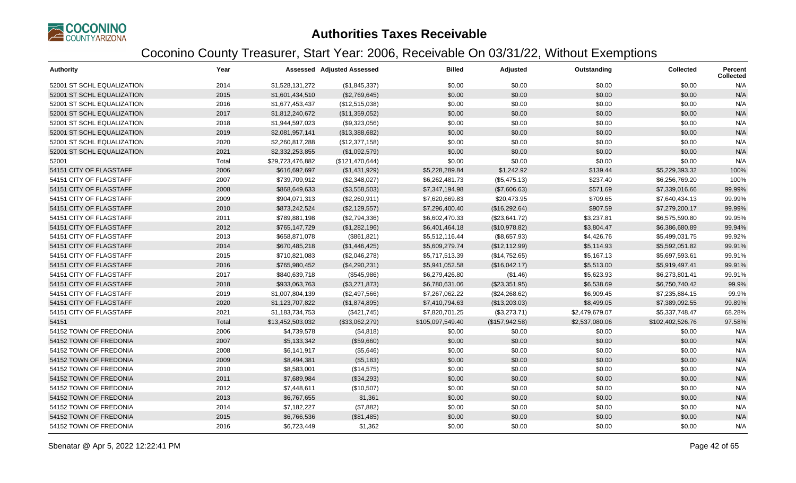

| <b>Authority</b>           | Year  |                  | <b>Assessed Adjusted Assessed</b> | <b>Billed</b>    | Adjusted       | Outstanding    | <b>Collected</b> | <b>Percent</b><br><b>Collected</b> |
|----------------------------|-------|------------------|-----------------------------------|------------------|----------------|----------------|------------------|------------------------------------|
| 52001 ST SCHL EQUALIZATION | 2014  | \$1,528,131,272  | (\$1,845,337)                     | \$0.00           | \$0.00         | \$0.00         | \$0.00           | N/A                                |
| 52001 ST SCHL EQUALIZATION | 2015  | \$1,601,434,510  | (\$2,769,645)                     | \$0.00           | \$0.00         | \$0.00         | \$0.00           | N/A                                |
| 52001 ST SCHL EQUALIZATION | 2016  | \$1,677,453,437  | (\$12,515,038)                    | \$0.00           | \$0.00         | \$0.00         | \$0.00           | N/A                                |
| 52001 ST SCHL EQUALIZATION | 2017  | \$1,812,240,672  | (\$11,359,052)                    | \$0.00           | \$0.00         | \$0.00         | \$0.00           | N/A                                |
| 52001 ST SCHL EQUALIZATION | 2018  | \$1,944,597,023  | (\$9,323,056)                     | \$0.00           | \$0.00         | \$0.00         | \$0.00           | N/A                                |
| 52001 ST SCHL EQUALIZATION | 2019  | \$2,081,957,141  | (\$13,388,682)                    | \$0.00           | \$0.00         | \$0.00         | \$0.00           | N/A                                |
| 52001 ST SCHL EQUALIZATION | 2020  | \$2,260,817,288  | (\$12,377,158)                    | \$0.00           | \$0.00         | \$0.00         | \$0.00           | N/A                                |
| 52001 ST SCHL EQUALIZATION | 2021  | \$2,332,253,855  | (\$1,092,579)                     | \$0.00           | \$0.00         | \$0.00         | \$0.00           | N/A                                |
| 52001                      | Total | \$29,723,476,882 | (\$121,470,644)                   | \$0.00           | \$0.00         | \$0.00         | \$0.00           | N/A                                |
| 54151 CITY OF FLAGSTAFF    | 2006  | \$616,692,697    | (\$1,431,929)                     | \$5,228,289.84   | \$1,242.92     | \$139.44       | \$5,229,393.32   | 100%                               |
| 54151 CITY OF FLAGSTAFF    | 2007  | \$739,709,912    | (\$2,348,027)                     | \$6,262,481.73   | (\$5,475.13)   | \$237.40       | \$6,256,769.20   | 100%                               |
| 54151 CITY OF FLAGSTAFF    | 2008  | \$868,649,633    | (\$3,558,503)                     | \$7,347,194.98   | (\$7,606.63)   | \$571.69       | \$7,339,016.66   | 99.99%                             |
| 54151 CITY OF FLAGSTAFF    | 2009  | \$904,071,313    | (\$2,260,911)                     | \$7,620,669.83   | \$20,473.95    | \$709.65       | \$7,640,434.13   | 99.99%                             |
| 54151 CITY OF FLAGSTAFF    | 2010  | \$873,242,524    | (\$2,129,557)                     | \$7,296,400.40   | (\$16,292.64)  | \$907.59       | \$7,279,200.17   | 99.99%                             |
| 54151 CITY OF FLAGSTAFF    | 2011  | \$789,881,198    | (\$2,794,336)                     | \$6,602,470.33   | (\$23,641.72)  | \$3,237.81     | \$6,575,590.80   | 99.95%                             |
| 54151 CITY OF FLAGSTAFF    | 2012  | \$765,147,729    | (\$1,282,196)                     | \$6,401,464.18   | (\$10,978.82)  | \$3,804.47     | \$6,386,680.89   | 99.94%                             |
| 54151 CITY OF FLAGSTAFF    | 2013  | \$658,871,078    | (\$861, 821)                      | \$5,512,116.44   | (\$8,657.93)   | \$4,426.76     | \$5,499,031.75   | 99.92%                             |
| 54151 CITY OF FLAGSTAFF    | 2014  | \$670,485,218    | (\$1,446,425)                     | \$5,609,279.74   | (\$12,112.99)  | \$5,114.93     | \$5,592,051.82   | 99.91%                             |
| 54151 CITY OF FLAGSTAFF    | 2015  | \$710,821,083    | (\$2,046,278)                     | \$5,717,513.39   | (\$14,752.65)  | \$5,167.13     | \$5,697,593.61   | 99.91%                             |
| 54151 CITY OF FLAGSTAFF    | 2016  | \$765,980,452    | (\$4,290,231)                     | \$5,941,052.58   | (\$16,042.17)  | \$5,513.00     | \$5,919,497.41   | 99.91%                             |
| 54151 CITY OF FLAGSTAFF    | 2017  | \$840,639,718    | (\$545,986)                       | \$6,279,426.80   | (\$1.46)       | \$5,623.93     | \$6,273,801.41   | 99.91%                             |
| 54151 CITY OF FLAGSTAFF    | 2018  | \$933,063,763    | (\$3,271,873)                     | \$6,780,631.06   | (\$23,351.95)  | \$6,538.69     | \$6,750,740.42   | 99.9%                              |
| 54151 CITY OF FLAGSTAFF    | 2019  | \$1,007,804,139  | (\$2,497,566)                     | \$7,267,062.22   | (\$24,268.62)  | \$6,909.45     | \$7,235,884.15   | 99.9%                              |
| 54151 CITY OF FLAGSTAFF    | 2020  | \$1,123,707,822  | (\$1,874,895)                     | \$7,410,794.63   | (\$13,203.03)  | \$8,499.05     | \$7,389,092.55   | 99.89%                             |
| 54151 CITY OF FLAGSTAFF    | 2021  | \$1,183,734,753  | (\$421,745)                       | \$7,820,701.25   | (\$3,273.71)   | \$2,479,679.07 | \$5,337,748.47   | 68.28%                             |
| 54151                      | Total | \$13,452,503,032 | (\$33,062,279)                    | \$105,097,549.40 | (\$157,942.58) | \$2,537,080.06 | \$102,402,526.76 | 97.58%                             |
| 54152 TOWN OF FREDONIA     | 2006  | \$4,739,578      | (\$4,818)                         | \$0.00           | \$0.00         | \$0.00         | \$0.00           | N/A                                |
| 54152 TOWN OF FREDONIA     | 2007  | \$5,133,342      | (\$59,660)                        | \$0.00           | \$0.00         | \$0.00         | \$0.00           | N/A                                |
| 54152 TOWN OF FREDONIA     | 2008  | \$6,141,917      | (\$5,646)                         | \$0.00           | \$0.00         | \$0.00         | \$0.00           | N/A                                |
| 54152 TOWN OF FREDONIA     | 2009  | \$8,494,381      | (\$5,183)                         | \$0.00           | \$0.00         | \$0.00         | \$0.00           | N/A                                |
| 54152 TOWN OF FREDONIA     | 2010  | \$8,583,001      | (\$14,575)                        | \$0.00           | \$0.00         | \$0.00         | \$0.00           | N/A                                |
| 54152 TOWN OF FREDONIA     | 2011  | \$7,689,984      | (\$34,293)                        | \$0.00           | \$0.00         | \$0.00         | \$0.00           | N/A                                |
| 54152 TOWN OF FREDONIA     | 2012  | \$7,448,611      | (\$10,507)                        | \$0.00           | \$0.00         | \$0.00         | \$0.00           | N/A                                |
| 54152 TOWN OF FREDONIA     | 2013  | \$6,767,655      | \$1,361                           | \$0.00           | \$0.00         | \$0.00         | \$0.00           | N/A                                |
| 54152 TOWN OF FREDONIA     | 2014  | \$7,182,227      | (\$7,882)                         | \$0.00           | \$0.00         | \$0.00         | \$0.00           | N/A                                |
| 54152 TOWN OF FREDONIA     | 2015  | \$6,766,536      | (\$81,485)                        | \$0.00           | \$0.00         | \$0.00         | \$0.00           | N/A                                |
| 54152 TOWN OF FREDONIA     | 2016  | \$6,723,449      | \$1,362                           | \$0.00           | \$0.00         | \$0.00         | \$0.00           | N/A                                |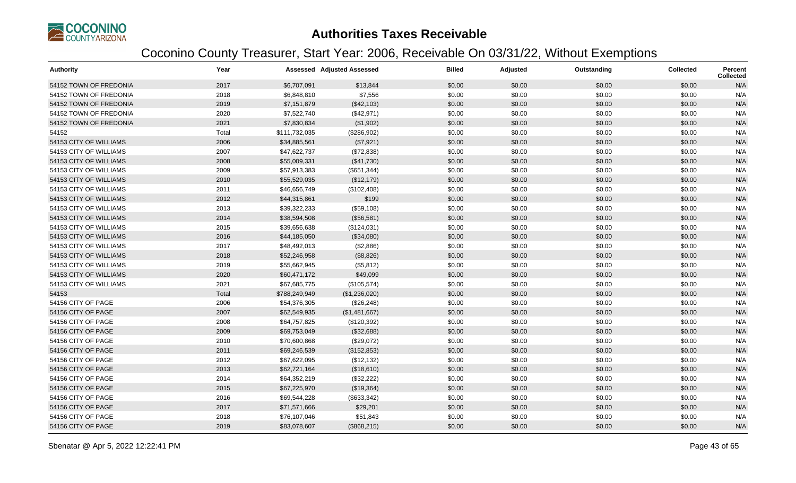

| <b>Authority</b>       | Year  |               | <b>Assessed Adjusted Assessed</b> | <b>Billed</b> | Adjusted | Outstanding | <b>Collected</b> | <b>Percent</b><br><b>Collected</b> |
|------------------------|-------|---------------|-----------------------------------|---------------|----------|-------------|------------------|------------------------------------|
| 54152 TOWN OF FREDONIA | 2017  | \$6,707,091   | \$13,844                          | \$0.00        | \$0.00   | \$0.00      | \$0.00           | N/A                                |
| 54152 TOWN OF FREDONIA | 2018  | \$6,848,810   | \$7,556                           | \$0.00        | \$0.00   | \$0.00      | \$0.00           | N/A                                |
| 54152 TOWN OF FREDONIA | 2019  | \$7,151,879   | (\$42,103)                        | \$0.00        | \$0.00   | \$0.00      | \$0.00           | N/A                                |
| 54152 TOWN OF FREDONIA | 2020  | \$7,522,740   | (\$42,971)                        | \$0.00        | \$0.00   | \$0.00      | \$0.00           | N/A                                |
| 54152 TOWN OF FREDONIA | 2021  | \$7,830,834   | (\$1,902)                         | \$0.00        | \$0.00   | \$0.00      | \$0.00           | N/A                                |
| 54152                  | Total | \$111,732,035 | (\$286,902)                       | \$0.00        | \$0.00   | \$0.00      | \$0.00           | N/A                                |
| 54153 CITY OF WILLIAMS | 2006  | \$34,885,561  | (\$7,921)                         | \$0.00        | \$0.00   | \$0.00      | \$0.00           | N/A                                |
| 54153 CITY OF WILLIAMS | 2007  | \$47,622,737  | (\$72,838)                        | \$0.00        | \$0.00   | \$0.00      | \$0.00           | N/A                                |
| 54153 CITY OF WILLIAMS | 2008  | \$55,009,331  | (\$41,730)                        | \$0.00        | \$0.00   | \$0.00      | \$0.00           | N/A                                |
| 54153 CITY OF WILLIAMS | 2009  | \$57,913,383  | (\$651,344)                       | \$0.00        | \$0.00   | \$0.00      | \$0.00           | N/A                                |
| 54153 CITY OF WILLIAMS | 2010  | \$55,529,035  | (\$12,179)                        | \$0.00        | \$0.00   | \$0.00      | \$0.00           | N/A                                |
| 54153 CITY OF WILLIAMS | 2011  | \$46,656,749  | (\$102,408)                       | \$0.00        | \$0.00   | \$0.00      | \$0.00           | N/A                                |
| 54153 CITY OF WILLIAMS | 2012  | \$44,315,861  | \$199                             | \$0.00        | \$0.00   | \$0.00      | \$0.00           | N/A                                |
| 54153 CITY OF WILLIAMS | 2013  | \$39,322,233  | (\$59,108)                        | \$0.00        | \$0.00   | \$0.00      | \$0.00           | N/A                                |
| 54153 CITY OF WILLIAMS | 2014  | \$38,594,508  | (\$56,581)                        | \$0.00        | \$0.00   | \$0.00      | \$0.00           | N/A                                |
| 54153 CITY OF WILLIAMS | 2015  | \$39,656,638  | (\$124,031)                       | \$0.00        | \$0.00   | \$0.00      | \$0.00           | N/A                                |
| 54153 CITY OF WILLIAMS | 2016  | \$44,185,050  | (\$34,080)                        | \$0.00        | \$0.00   | \$0.00      | \$0.00           | N/A                                |
| 54153 CITY OF WILLIAMS | 2017  | \$48,492,013  | (\$2,886)                         | \$0.00        | \$0.00   | \$0.00      | \$0.00           | N/A                                |
| 54153 CITY OF WILLIAMS | 2018  | \$52,246,958  | (\$8,826)                         | \$0.00        | \$0.00   | \$0.00      | \$0.00           | N/A                                |
| 54153 CITY OF WILLIAMS | 2019  | \$55,662,945  | (\$5,812)                         | \$0.00        | \$0.00   | \$0.00      | \$0.00           | N/A                                |
| 54153 CITY OF WILLIAMS | 2020  | \$60,471,172  | \$49,099                          | \$0.00        | \$0.00   | \$0.00      | \$0.00           | N/A                                |
| 54153 CITY OF WILLIAMS | 2021  | \$67,685,775  | (\$105,574)                       | \$0.00        | \$0.00   | \$0.00      | \$0.00           | N/A                                |
| 54153                  | Total | \$788,249,949 | (\$1,236,020)                     | \$0.00        | \$0.00   | \$0.00      | \$0.00           | N/A                                |
| 54156 CITY OF PAGE     | 2006  | \$54,376,305  | (\$26,248)                        | \$0.00        | \$0.00   | \$0.00      | \$0.00           | N/A                                |
| 54156 CITY OF PAGE     | 2007  | \$62,549,935  | (\$1,481,667)                     | \$0.00        | \$0.00   | \$0.00      | \$0.00           | N/A                                |
| 54156 CITY OF PAGE     | 2008  | \$64,757,825  | (\$120,392)                       | \$0.00        | \$0.00   | \$0.00      | \$0.00           | N/A                                |
| 54156 CITY OF PAGE     | 2009  | \$69,753,049  | (\$32,688)                        | \$0.00        | \$0.00   | \$0.00      | \$0.00           | N/A                                |
| 54156 CITY OF PAGE     | 2010  | \$70,600,868  | (\$29,072)                        | \$0.00        | \$0.00   | \$0.00      | \$0.00           | N/A                                |
| 54156 CITY OF PAGE     | 2011  | \$69,246,539  | (\$152,853)                       | \$0.00        | \$0.00   | \$0.00      | \$0.00           | N/A                                |
| 54156 CITY OF PAGE     | 2012  | \$67,622,095  | (\$12,132)                        | \$0.00        | \$0.00   | \$0.00      | \$0.00           | N/A                                |
| 54156 CITY OF PAGE     | 2013  | \$62,721,164  | (\$18,610)                        | \$0.00        | \$0.00   | \$0.00      | \$0.00           | N/A                                |
| 54156 CITY OF PAGE     | 2014  | \$64,352,219  | (\$32,222)                        | \$0.00        | \$0.00   | \$0.00      | \$0.00           | N/A                                |
| 54156 CITY OF PAGE     | 2015  | \$67,225,970  | (\$19,364)                        | \$0.00        | \$0.00   | \$0.00      | \$0.00           | N/A                                |
| 54156 CITY OF PAGE     | 2016  | \$69,544,228  | (\$633,342)                       | \$0.00        | \$0.00   | \$0.00      | \$0.00           | N/A                                |
| 54156 CITY OF PAGE     | 2017  | \$71,571,666  | \$29,201                          | \$0.00        | \$0.00   | \$0.00      | \$0.00           | N/A                                |
| 54156 CITY OF PAGE     | 2018  | \$76,107,046  | \$51,843                          | \$0.00        | \$0.00   | \$0.00      | \$0.00           | N/A                                |
| 54156 CITY OF PAGE     | 2019  | \$83,078,607  | (\$868,215)                       | \$0.00        | \$0.00   | \$0.00      | \$0.00           | N/A                                |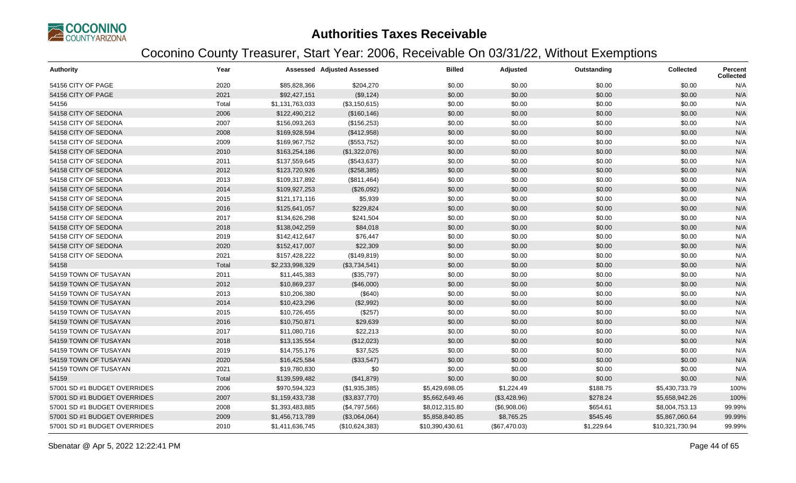

| <b>Authority</b>             | Year  |                 | <b>Assessed Adjusted Assessed</b> | <b>Billed</b>   | Adjusted      | Outstanding | <b>Collected</b> | Percent<br><b>Collected</b> |
|------------------------------|-------|-----------------|-----------------------------------|-----------------|---------------|-------------|------------------|-----------------------------|
| 54156 CITY OF PAGE           | 2020  | \$85,828,366    | \$204,270                         | \$0.00          | \$0.00        | \$0.00      | \$0.00           | N/A                         |
| 54156 CITY OF PAGE           | 2021  | \$92,427,151    | (\$9,124)                         | \$0.00          | \$0.00        | \$0.00      | \$0.00           | N/A                         |
| 54156                        | Total | \$1,131,763,033 | (\$3,150,615)                     | \$0.00          | \$0.00        | \$0.00      | \$0.00           | N/A                         |
| 54158 CITY OF SEDONA         | 2006  | \$122,490,212   | (\$160, 146)                      | \$0.00          | \$0.00        | \$0.00      | \$0.00           | N/A                         |
| 54158 CITY OF SEDONA         | 2007  | \$156,093,263   | (\$156,253)                       | \$0.00          | \$0.00        | \$0.00      | \$0.00           | N/A                         |
| 54158 CITY OF SEDONA         | 2008  | \$169,928,594   | (\$412,958)                       | \$0.00          | \$0.00        | \$0.00      | \$0.00           | N/A                         |
| 54158 CITY OF SEDONA         | 2009  | \$169,967,752   | (\$553,752)                       | \$0.00          | \$0.00        | \$0.00      | \$0.00           | N/A                         |
| 54158 CITY OF SEDONA         | 2010  | \$163,254,186   | (\$1,322,076)                     | \$0.00          | \$0.00        | \$0.00      | \$0.00           | N/A                         |
| 54158 CITY OF SEDONA         | 2011  | \$137,559,645   | (\$543,637)                       | \$0.00          | \$0.00        | \$0.00      | \$0.00           | N/A                         |
| 54158 CITY OF SEDONA         | 2012  | \$123,720,926   | (\$258,385)                       | \$0.00          | \$0.00        | \$0.00      | \$0.00           | N/A                         |
| 54158 CITY OF SEDONA         | 2013  | \$109,317,892   | (\$811,464)                       | \$0.00          | \$0.00        | \$0.00      | \$0.00           | N/A                         |
| 54158 CITY OF SEDONA         | 2014  | \$109,927,253   | (\$26,092)                        | \$0.00          | \$0.00        | \$0.00      | \$0.00           | N/A                         |
| 54158 CITY OF SEDONA         | 2015  | \$121,171,116   | \$5,939                           | \$0.00          | \$0.00        | \$0.00      | \$0.00           | N/A                         |
| 54158 CITY OF SEDONA         | 2016  | \$125,641,057   | \$229,824                         | \$0.00          | \$0.00        | \$0.00      | \$0.00           | N/A                         |
| 54158 CITY OF SEDONA         | 2017  | \$134,626,298   | \$241,504                         | \$0.00          | \$0.00        | \$0.00      | \$0.00           | N/A                         |
| 54158 CITY OF SEDONA         | 2018  | \$138,042,259   | \$84,018                          | \$0.00          | \$0.00        | \$0.00      | \$0.00           | N/A                         |
| 54158 CITY OF SEDONA         | 2019  | \$142,412,647   | \$76,447                          | \$0.00          | \$0.00        | \$0.00      | \$0.00           | N/A                         |
| 54158 CITY OF SEDONA         | 2020  | \$152,417,007   | \$22,309                          | \$0.00          | \$0.00        | \$0.00      | \$0.00           | N/A                         |
| 54158 CITY OF SEDONA         | 2021  | \$157,428,222   | (\$149, 819)                      | \$0.00          | \$0.00        | \$0.00      | \$0.00           | N/A                         |
| 54158                        | Total | \$2,233,998,329 | (\$3,734,541)                     | \$0.00          | \$0.00        | \$0.00      | \$0.00           | N/A                         |
| 54159 TOWN OF TUSAYAN        | 2011  | \$11,445,383    | (\$35,797)                        | \$0.00          | \$0.00        | \$0.00      | \$0.00           | N/A                         |
| 54159 TOWN OF TUSAYAN        | 2012  | \$10,869,237    | (\$46,000)                        | \$0.00          | \$0.00        | \$0.00      | \$0.00           | N/A                         |
| 54159 TOWN OF TUSAYAN        | 2013  | \$10,206,380    | (\$640)                           | \$0.00          | \$0.00        | \$0.00      | \$0.00           | N/A                         |
| 54159 TOWN OF TUSAYAN        | 2014  | \$10,423,296    | (\$2,992)                         | \$0.00          | \$0.00        | \$0.00      | \$0.00           | N/A                         |
| 54159 TOWN OF TUSAYAN        | 2015  | \$10,726,455    | (\$257)                           | \$0.00          | \$0.00        | \$0.00      | \$0.00           | N/A                         |
| 54159 TOWN OF TUSAYAN        | 2016  | \$10,750,871    | \$29,639                          | \$0.00          | \$0.00        | \$0.00      | \$0.00           | N/A                         |
| 54159 TOWN OF TUSAYAN        | 2017  | \$11,080,716    | \$22,213                          | \$0.00          | \$0.00        | \$0.00      | \$0.00           | N/A                         |
| 54159 TOWN OF TUSAYAN        | 2018  | \$13,135,554    | (\$12,023)                        | \$0.00          | \$0.00        | \$0.00      | \$0.00           | N/A                         |
| 54159 TOWN OF TUSAYAN        | 2019  | \$14,755,176    | \$37,525                          | \$0.00          | \$0.00        | \$0.00      | \$0.00           | N/A                         |
| 54159 TOWN OF TUSAYAN        | 2020  | \$16,425,584    | (\$33,547)                        | \$0.00          | \$0.00        | \$0.00      | \$0.00           | N/A                         |
| 54159 TOWN OF TUSAYAN        | 2021  | \$19,780,830    | \$0                               | \$0.00          | \$0.00        | \$0.00      | \$0.00           | N/A                         |
| 54159                        | Total | \$139,599,482   | (\$41,879)                        | \$0.00          | \$0.00        | \$0.00      | \$0.00           | N/A                         |
| 57001 SD #1 BUDGET OVERRIDES | 2006  | \$970,594,323   | (\$1,935,385)                     | \$5,429,698.05  | \$1,224.49    | \$188.75    | \$5,430,733.79   | 100%                        |
| 57001 SD #1 BUDGET OVERRIDES | 2007  | \$1,159,433,738 | (\$3,837,770)                     | \$5,662,649.46  | (\$3,428.96)  | \$278.24    | \$5,658,942.26   | 100%                        |
| 57001 SD #1 BUDGET OVERRIDES | 2008  | \$1,393,483,885 | (\$4,797,566)                     | \$8,012,315.80  | (\$6,908.06)  | \$654.61    | \$8,004,753.13   | 99.99%                      |
| 57001 SD #1 BUDGET OVERRIDES | 2009  | \$1,456,713,789 | (\$3,064,064)                     | \$5,858,840.85  | \$8,765.25    | \$545.46    | \$5,867,060.64   | 99.99%                      |
| 57001 SD #1 BUDGET OVERRIDES | 2010  | \$1,411,636,745 | (\$10,624,383)                    | \$10,390,430.61 | (\$67,470.03) | \$1,229.64  | \$10,321,730.94  | 99.99%                      |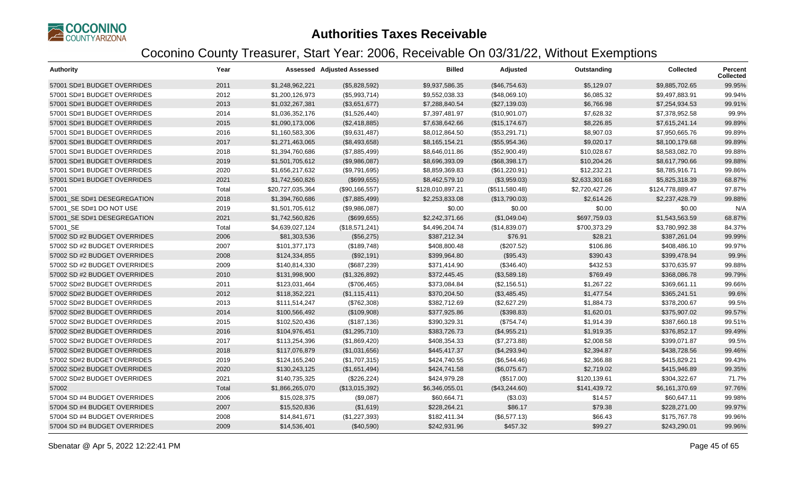

| <b>Authority</b>             | Year  |                  | <b>Assessed Adjusted Assessed</b> | <b>Billed</b>    | Adjusted       | Outstanding    | <b>Collected</b> | <b>Percent</b><br><b>Collected</b> |
|------------------------------|-------|------------------|-----------------------------------|------------------|----------------|----------------|------------------|------------------------------------|
| 57001 SD#1 BUDGET OVERRIDES  | 2011  | \$1,248,962,221  | (\$5,828,592)                     | \$9,937,586.35   | (\$46,754.63)  | \$5,129.07     | \$9,885,702.65   | 99.95%                             |
| 57001 SD#1 BUDGET OVERRIDES  | 2012  | \$1,200,126,973  | (\$5,993,714)                     | \$9,552,038.33   | (\$48,069.10)  | \$6,085.32     | \$9,497,883.91   | 99.94%                             |
| 57001 SD#1 BUDGET OVERRIDES  | 2013  | \$1,032,267,381  | (\$3,651,677)                     | \$7,288,840.54   | (\$27,139.03)  | \$6,766.98     | \$7,254,934.53   | 99.91%                             |
| 57001 SD#1 BUDGET OVERRIDES  | 2014  | \$1,036,352,176  | (\$1,526,440)                     | \$7,397,481.97   | (\$10,901.07)  | \$7,628.32     | \$7,378,952.58   | 99.9%                              |
| 57001 SD#1 BUDGET OVERRIDES  | 2015  | \$1,090,173,006  | (\$2,418,885)                     | \$7,638,642.66   | (\$15, 174.67) | \$8,226.85     | \$7,615,241.14   | 99.89%                             |
| 57001 SD#1 BUDGET OVERRIDES  | 2016  | \$1,160,583,306  | (\$9,631,487)                     | \$8,012,864.50   | (\$53,291.71)  | \$8,907.03     | \$7,950,665.76   | 99.89%                             |
| 57001 SD#1 BUDGET OVERRIDES  | 2017  | \$1,271,463,065  | (\$8,493,658)                     | \$8,165,154.21   | (\$55,954.36)  | \$9,020.17     | \$8,100,179.68   | 99.89%                             |
| 57001 SD#1 BUDGET OVERRIDES  | 2018  | \$1,394,760,686  | (\$7,885,499)                     | \$8,646,011.86   | (\$52,900.49)  | \$10,028.67    | \$8,583,082.70   | 99.88%                             |
| 57001 SD#1 BUDGET OVERRIDES  | 2019  | \$1,501,705,612  | (\$9,986,087)                     | \$8,696,393.09   | (\$68,398.17)  | \$10,204.26    | \$8,617,790.66   | 99.88%                             |
| 57001 SD#1 BUDGET OVERRIDES  | 2020  | \$1,656,217,632  | (\$9,791,695)                     | \$8,859,369.83   | (\$61,220.91)  | \$12,232.21    | \$8,785,916.71   | 99.86%                             |
| 57001 SD#1 BUDGET OVERRIDES  | 2021  | \$1,742,560,826  | (\$699,655)                       | \$8,462,579.10   | (\$3,959.03)   | \$2,633,301.68 | \$5,825,318.39   | 68.87%                             |
| 57001                        | Total | \$20,727,035,364 | (\$90, 166, 557)                  | \$128,010,897.21 | (\$511,580.48) | \$2,720,427.26 | \$124,778,889.47 | 97.87%                             |
| 57001 SE SD#1 DESEGREGATION  | 2018  | \$1,394,760,686  | (\$7,885,499)                     | \$2,253,833.08   | (\$13,790.03)  | \$2,614.26     | \$2,237,428.79   | 99.88%                             |
| 57001_SE SD#1 DO NOT USE     | 2019  | \$1,501,705,612  | (\$9,986,087)                     | \$0.00           | \$0.00         | \$0.00         | \$0.00           | N/A                                |
| 57001 SE SD#1 DESEGREGATION  | 2021  | \$1,742,560,826  | (\$699,655)                       | \$2,242,371.66   | (\$1,049.04)   | \$697,759.03   | \$1,543,563.59   | 68.87%                             |
| 57001_SE                     | Total | \$4,639,027,124  | (\$18,571,241)                    | \$4,496,204.74   | (\$14,839.07)  | \$700,373.29   | \$3,780,992.38   | 84.37%                             |
| 57002 SD #2 BUDGET OVERRIDES | 2006  | \$81,303,536     | (\$56,275)                        | \$387,212.34     | \$76.91        | \$28.21        | \$387,261.04     | 99.99%                             |
| 57002 SD #2 BUDGET OVERRIDES | 2007  | \$101,377,173    | (\$189,748)                       | \$408,800.48     | (\$207.52)     | \$106.86       | \$408,486.10     | 99.97%                             |
| 57002 SD #2 BUDGET OVERRIDES | 2008  | \$124,334,855    | (\$92,191)                        | \$399,964.80     | (\$95.43)      | \$390.43       | \$399,478.94     | 99.9%                              |
| 57002 SD #2 BUDGET OVERRIDES | 2009  | \$140,814,330    | (\$687,239)                       | \$371,414.90     | (\$346.40)     | \$432.53       | \$370,635.97     | 99.88%                             |
| 57002 SD #2 BUDGET OVERRIDES | 2010  | \$131,998,900    | (\$1,326,892)                     | \$372,445.45     | (\$3,589.18)   | \$769.49       | \$368,086.78     | 99.79%                             |
| 57002 SD#2 BUDGET OVERRIDES  | 2011  | \$123,031,464    | (\$706,465)                       | \$373,084.84     | (\$2,156.51)   | \$1,267.22     | \$369,661.11     | 99.66%                             |
| 57002 SD#2 BUDGET OVERRIDES  | 2012  | \$118,352,221    | (\$1,115,411)                     | \$370,204.50     | (\$3,485.45)   | \$1,477.54     | \$365,241.51     | 99.6%                              |
| 57002 SD#2 BUDGET OVERRIDES  | 2013  | \$111,514,247    | (\$762,308)                       | \$382,712.69     | (\$2,627.29)   | \$1,884.73     | \$378,200.67     | 99.5%                              |
| 57002 SD#2 BUDGET OVERRIDES  | 2014  | \$100,566,492    | (\$109,908)                       | \$377,925.86     | (\$398.83)     | \$1,620.01     | \$375,907.02     | 99.57%                             |
| 57002 SD#2 BUDGET OVERRIDES  | 2015  | \$102,520,436    | (\$187, 136)                      | \$390,329.31     | (\$754.74)     | \$1,914.39     | \$387,660.18     | 99.51%                             |
| 57002 SD#2 BUDGET OVERRIDES  | 2016  | \$104,976,451    | (\$1,295,710)                     | \$383,726.73     | (\$4,955.21)   | \$1,919.35     | \$376,852.17     | 99.49%                             |
| 57002 SD#2 BUDGET OVERRIDES  | 2017  | \$113,254,396    | (\$1,869,420)                     | \$408,354.33     | (\$7,273.88)   | \$2,008.58     | \$399,071.87     | 99.5%                              |
| 57002 SD#2 BUDGET OVERRIDES  | 2018  | \$117,076,879    | (\$1,031,656)                     | \$445,417.37     | (\$4,293.94)   | \$2,394.87     | \$438,728.56     | 99.46%                             |
| 57002 SD#2 BUDGET OVERRIDES  | 2019  | \$124,165,240    | (\$1,707,315)                     | \$424,740.55     | (\$6,544.46)   | \$2,366.88     | \$415,829.21     | 99.43%                             |
| 57002 SD#2 BUDGET OVERRIDES  | 2020  | \$130,243,125    | (\$1,651,494)                     | \$424,741.58     | (\$6,075.67)   | \$2,719.02     | \$415,946.89     | 99.35%                             |
| 57002 SD#2 BUDGET OVERRIDES  | 2021  | \$140,735,325    | (\$226, 224)                      | \$424,979.28     | (\$517.00)     | \$120,139.61   | \$304,322.67     | 71.7%                              |
| 57002                        | Total | \$1,866,265,070  | (\$13,015,392)                    | \$6,346,055.01   | (\$43,244.60)  | \$141,439.72   | \$6,161,370.69   | 97.76%                             |
| 57004 SD #4 BUDGET OVERRIDES | 2006  | \$15,028,375     | (\$9,087)                         | \$60,664.71      | (\$3.03)       | \$14.57        | \$60,647.11      | 99.98%                             |
| 57004 SD #4 BUDGET OVERRIDES | 2007  | \$15,520,836     | (\$1,619)                         | \$228,264.21     | \$86.17        | \$79.38        | \$228,271.00     | 99.97%                             |
| 57004 SD #4 BUDGET OVERRIDES | 2008  | \$14,841,671     | (\$1,227,393)                     | \$182,411.34     | (\$6,577.13)   | \$66.43        | \$175,767.78     | 99.96%                             |
| 57004 SD #4 BUDGET OVERRIDES | 2009  | \$14,536,401     | (\$40,590)                        | \$242,931.96     | \$457.32       | \$99.27        | \$243,290.01     | 99.96%                             |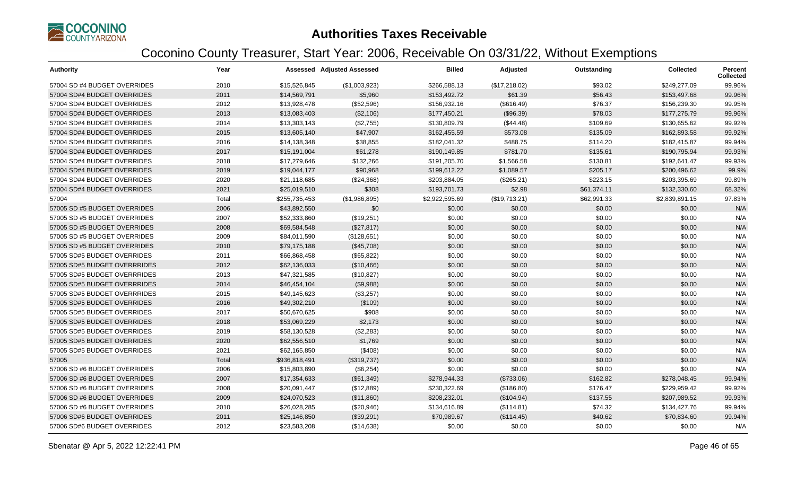

| <b>Authority</b>             | Year  |               | <b>Assessed Adjusted Assessed</b> | <b>Billed</b>  | Adjusted      | Outstanding | <b>Collected</b> | <b>Percent</b><br><b>Collected</b> |
|------------------------------|-------|---------------|-----------------------------------|----------------|---------------|-------------|------------------|------------------------------------|
| 57004 SD #4 BUDGET OVERRIDES | 2010  | \$15,526,845  | (\$1,003,923)                     | \$266,588.13   | (\$17,218.02) | \$93.02     | \$249.277.09     | 99.96%                             |
| 57004 SD#4 BUDGET OVERRIDES  | 2011  | \$14,569,791  | \$5,960                           | \$153,492.72   | \$61.39       | \$56.43     | \$153,497.68     | 99.96%                             |
| 57004 SD#4 BUDGET OVERRIDES  | 2012  | \$13,928,478  | (\$52,596)                        | \$156,932.16   | (\$616.49)    | \$76.37     | \$156,239.30     | 99.95%                             |
| 57004 SD#4 BUDGET OVERRIDES  | 2013  | \$13,083,403  | (\$2,106)                         | \$177,450.21   | (\$96.39)     | \$78.03     | \$177,275.79     | 99.96%                             |
| 57004 SD#4 BUDGET OVERRIDES  | 2014  | \$13,303,143  | (\$2,755)                         | \$130,809.79   | (\$44.48)     | \$109.69    | \$130,655.62     | 99.92%                             |
| 57004 SD#4 BUDGET OVERRIDES  | 2015  | \$13,605,140  | \$47,907                          | \$162,455.59   | \$573.08      | \$135.09    | \$162,893.58     | 99.92%                             |
| 57004 SD#4 BUDGET OVERRIDES  | 2016  | \$14,138,348  | \$38,855                          | \$182,041.32   | \$488.75      | \$114.20    | \$182,415.87     | 99.94%                             |
| 57004 SD#4 BUDGET OVERRIDES  | 2017  | \$15,191,004  | \$61,278                          | \$190,149.85   | \$781.70      | \$135.61    | \$190,795.94     | 99.93%                             |
| 57004 SD#4 BUDGET OVERRIDES  | 2018  | \$17,279,646  | \$132,266                         | \$191,205.70   | \$1,566.58    | \$130.81    | \$192,641.47     | 99.93%                             |
| 57004 SD#4 BUDGET OVERRIDES  | 2019  | \$19,044,177  | \$90,968                          | \$199,612.22   | \$1,089.57    | \$205.17    | \$200,496.62     | 99.9%                              |
| 57004 SD#4 BUDGET OVERRIDES  | 2020  | \$21,118,685  | (\$24,368)                        | \$203,884.05   | (\$265.21)    | \$223.15    | \$203,395.69     | 99.89%                             |
| 57004 SD#4 BUDGET OVERRIDES  | 2021  | \$25,019,510  | \$308                             | \$193,701.73   | \$2.98        | \$61,374.11 | \$132,330.60     | 68.32%                             |
| 57004                        | Total | \$255,735,453 | (\$1,986,895)                     | \$2,922,595.69 | (\$19,713.21) | \$62,991.33 | \$2,839,891.15   | 97.83%                             |
| 57005 SD #5 BUDGET OVERRIDES | 2006  | \$43,892,550  | \$0                               | \$0.00         | \$0.00        | \$0.00      | \$0.00           | N/A                                |
| 57005 SD #5 BUDGET OVERRIDES | 2007  | \$52,333,860  | (\$19,251)                        | \$0.00         | \$0.00        | \$0.00      | \$0.00           | N/A                                |
| 57005 SD #5 BUDGET OVERRIDES | 2008  | \$69,584,548  | (\$27,817)                        | \$0.00         | \$0.00        | \$0.00      | \$0.00           | N/A                                |
| 57005 SD #5 BUDGET OVERRIDES | 2009  | \$84,011,590  | (\$128,651)                       | \$0.00         | \$0.00        | \$0.00      | \$0.00           | N/A                                |
| 57005 SD #5 BUDGET OVERRIDES | 2010  | \$79,175,188  | (\$45,708)                        | \$0.00         | \$0.00        | \$0.00      | \$0.00           | N/A                                |
| 57005 SD#5 BUDGET OVERRIDES  | 2011  | \$66,868,458  | (\$65, 822)                       | \$0.00         | \$0.00        | \$0.00      | \$0.00           | N/A                                |
| 57005 SD#5 BUDGET OVERRRIDES | 2012  | \$62,136,033  | (\$10,466)                        | \$0.00         | \$0.00        | \$0.00      | \$0.00           | N/A                                |
| 57005 SD#5 BUDGET OVERRRIDES | 2013  | \$47,321,585  | (\$10,827)                        | \$0.00         | \$0.00        | \$0.00      | \$0.00           | N/A                                |
| 57005 SD#5 BUDGET OVERRRIDES | 2014  | \$46,454,104  | (\$9,988)                         | \$0.00         | \$0.00        | \$0.00      | \$0.00           | N/A                                |
| 57005 SD#5 BUDGET OVERRRIDES | 2015  | \$49,145,623  | (\$3,257)                         | \$0.00         | \$0.00        | \$0.00      | \$0.00           | N/A                                |
| 57005 SD#5 BUDGET OVERRIDES  | 2016  | \$49,302,210  | (\$109)                           | \$0.00         | \$0.00        | \$0.00      | \$0.00           | N/A                                |
| 57005 SD#5 BUDGET OVERRIDES  | 2017  | \$50,670,625  | \$908                             | \$0.00         | \$0.00        | \$0.00      | \$0.00           | N/A                                |
| 57005 SD#5 BUDGET OVERRIDES  | 2018  | \$53,069,229  | \$2,173                           | \$0.00         | \$0.00        | \$0.00      | \$0.00           | N/A                                |
| 57005 SD#5 BUDGET OVERRIDES  | 2019  | \$58,130,528  | (\$2,283)                         | \$0.00         | \$0.00        | \$0.00      | \$0.00           | N/A                                |
| 57005 SD#5 BUDGET OVERRIDES  | 2020  | \$62,556,510  | \$1,769                           | \$0.00         | \$0.00        | \$0.00      | \$0.00           | N/A                                |
| 57005 SD#5 BUDGET OVERRIDES  | 2021  | \$62,165,850  | (\$408)                           | \$0.00         | \$0.00        | \$0.00      | \$0.00           | N/A                                |
| 57005                        | Total | \$936,818,491 | (\$319,737)                       | \$0.00         | \$0.00        | \$0.00      | \$0.00           | N/A                                |
| 57006 SD #6 BUDGET OVERRIDES | 2006  | \$15,803,890  | (\$6,254)                         | \$0.00         | \$0.00        | \$0.00      | \$0.00           | N/A                                |
| 57006 SD #6 BUDGET OVERRIDES | 2007  | \$17,354,633  | (\$61,349)                        | \$278,944.33   | (\$733.06)    | \$162.82    | \$278,048.45     | 99.94%                             |
| 57006 SD #6 BUDGET OVERRIDES | 2008  | \$20,091,447  | (\$12,889)                        | \$230,322.69   | (\$186.80)    | \$176.47    | \$229,959.42     | 99.92%                             |
| 57006 SD #6 BUDGET OVERRIDES | 2009  | \$24,070,523  | (\$11,860)                        | \$208,232.01   | (\$104.94)    | \$137.55    | \$207,989.52     | 99.93%                             |
| 57006 SD #6 BUDGET OVERRIDES | 2010  | \$26,028,285  | (\$20,946)                        | \$134,616.89   | (\$114.81)    | \$74.32     | \$134,427.76     | 99.94%                             |
| 57006 SD#6 BUDGET OVERRIDES  | 2011  | \$25,146,850  | (\$39,291)                        | \$70,989.67    | (\$114.45)    | \$40.62     | \$70,834.60      | 99.94%                             |
| 57006 SD#6 BUDGET OVERRIDES  | 2012  | \$23,583,208  | (\$14,638)                        | \$0.00         | \$0.00        | \$0.00      | \$0.00           | N/A                                |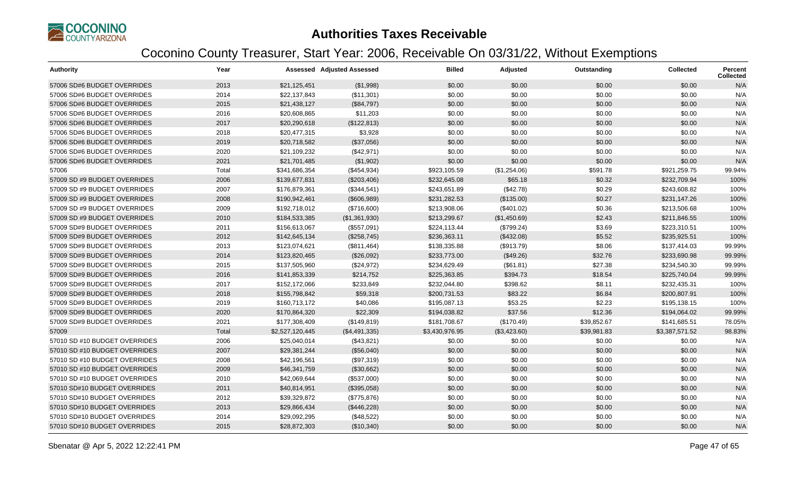

| <b>Authority</b>              | Year  |                 | Assessed Adjusted Assessed | <b>Billed</b>  | <b>Adjusted</b> | Outstanding | <b>Collected</b> | <b>Percent</b><br><b>Collected</b> |
|-------------------------------|-------|-----------------|----------------------------|----------------|-----------------|-------------|------------------|------------------------------------|
| 57006 SD#6 BUDGET OVERRIDES   | 2013  | \$21,125,451    | (\$1,998)                  | \$0.00         | \$0.00          | \$0.00      | \$0.00           | N/A                                |
| 57006 SD#6 BUDGET OVERRIDES   | 2014  | \$22,137,843    | (\$11,301)                 | \$0.00         | \$0.00          | \$0.00      | \$0.00           | N/A                                |
| 57006 SD#6 BUDGET OVERRIDES   | 2015  | \$21,438,127    | (\$84,797)                 | \$0.00         | \$0.00          | \$0.00      | \$0.00           | N/A                                |
| 57006 SD#6 BUDGET OVERRIDES   | 2016  | \$20,608,865    | \$11,203                   | \$0.00         | \$0.00          | \$0.00      | \$0.00           | N/A                                |
| 57006 SD#6 BUDGET OVERRIDES   | 2017  | \$20,290,618    | (\$122,813)                | \$0.00         | \$0.00          | \$0.00      | \$0.00           | N/A                                |
| 57006 SD#6 BUDGET OVERRIDES   | 2018  | \$20,477,315    | \$3,928                    | \$0.00         | \$0.00          | \$0.00      | \$0.00           | N/A                                |
| 57006 SD#6 BUDGET OVERRIDES   | 2019  | \$20,718,582    | (\$37,056)                 | \$0.00         | \$0.00          | \$0.00      | \$0.00           | N/A                                |
| 57006 SD#6 BUDGET OVERRIDES   | 2020  | \$21,109,232    | (\$42,971)                 | \$0.00         | \$0.00          | \$0.00      | \$0.00           | N/A                                |
| 57006 SD#6 BUDGET OVERRIDES   | 2021  | \$21,701,485    | (\$1,902)                  | \$0.00         | \$0.00          | \$0.00      | \$0.00           | N/A                                |
| 57006                         | Total | \$341,686,354   | (\$454,934)                | \$923,105.59   | (\$1,254.06)    | \$591.78    | \$921,259.75     | 99.94%                             |
| 57009 SD #9 BUDGET OVERRIDES  | 2006  | \$139,677,831   | (\$203,406)                | \$232,645.08   | \$65.18         | \$0.32      | \$232,709.94     | 100%                               |
| 57009 SD #9 BUDGET OVERRIDES  | 2007  | \$176,879,361   | (\$344,541)                | \$243,651.89   | (\$42.78)       | \$0.29      | \$243,608.82     | 100%                               |
| 57009 SD #9 BUDGET OVERRIDES  | 2008  | \$190,942,461   | (\$606,989)                | \$231,282.53   | (\$135.00)      | \$0.27      | \$231,147.26     | 100%                               |
| 57009 SD #9 BUDGET OVERRIDES  | 2009  | \$192,718,012   | (\$716,600)                | \$213,908.06   | (\$401.02)      | \$0.36      | \$213,506.68     | 100%                               |
| 57009 SD #9 BUDGET OVERRIDES  | 2010  | \$184,533,385   | (\$1,361,930)              | \$213,299.67   | (\$1,450.69)    | \$2.43      | \$211,846.55     | 100%                               |
| 57009 SD#9 BUDGET OVERRIDES   | 2011  | \$156,613,067   | (\$557,091)                | \$224,113.44   | (\$799.24)      | \$3.69      | \$223,310.51     | 100%                               |
| 57009 SD#9 BUDGET OVERRIDES   | 2012  | \$142,645,134   | (\$258,745)                | \$236,363.11   | (\$432.08)      | \$5.52      | \$235,925.51     | 100%                               |
| 57009 SD#9 BUDGET OVERRIDES   | 2013  | \$123,074,621   | (\$811,464)                | \$138,335.88   | (\$913.79)      | \$8.06      | \$137,414.03     | 99.99%                             |
| 57009 SD#9 BUDGET OVERRIDES   | 2014  | \$123,820,465   | (\$26,092)                 | \$233,773.00   | (\$49.26)       | \$32.76     | \$233,690.98     | 99.99%                             |
| 57009 SD#9 BUDGET OVERRIDES   | 2015  | \$137,505,960   | (\$24,972)                 | \$234,629.49   | (\$61.81)       | \$27.38     | \$234,540.30     | 99.99%                             |
| 57009 SD#9 BUDGET OVERRIDES   | 2016  | \$141,853,339   | \$214,752                  | \$225,363.85   | \$394.73        | \$18.54     | \$225,740.04     | 99.99%                             |
| 57009 SD#9 BUDGET OVERRIDES   | 2017  | \$152,172,066   | \$233,849                  | \$232,044.80   | \$398.62        | \$8.11      | \$232,435.31     | 100%                               |
| 57009 SD#9 BUDGET OVERRIDES   | 2018  | \$155,798,842   | \$59,318                   | \$200,731.53   | \$83.22         | \$6.84      | \$200,807.91     | 100%                               |
| 57009 SD#9 BUDGET OVERRIDES   | 2019  | \$160,713,172   | \$40,086                   | \$195,087.13   | \$53.25         | \$2.23      | \$195,138.15     | 100%                               |
| 57009 SD#9 BUDGET OVERRIDES   | 2020  | \$170,864,320   | \$22,309                   | \$194,038.82   | \$37.56         | \$12.36     | \$194,064.02     | 99.99%                             |
| 57009 SD#9 BUDGET OVERRIDES   | 2021  | \$177,308,409   | (\$149, 819)               | \$181,708.67   | (\$170.49)      | \$39,852.67 | \$141,685.51     | 78.05%                             |
| 57009                         | Total | \$2,527,120,445 | (\$4,491,335)              | \$3,430,976.95 | (\$3,423.60)    | \$39,981.83 | \$3,387,571.52   | 98.83%                             |
| 57010 SD #10 BUDGET OVERRIDES | 2006  | \$25,040,014    | (\$43,821)                 | \$0.00         | \$0.00          | \$0.00      | \$0.00           | N/A                                |
| 57010 SD #10 BUDGET OVERRIDES | 2007  | \$29,381,244    | (\$56,040)                 | \$0.00         | \$0.00          | \$0.00      | \$0.00           | N/A                                |
| 57010 SD #10 BUDGET OVERRIDES | 2008  | \$42,196,561    | (\$97,319)                 | \$0.00         | \$0.00          | \$0.00      | \$0.00           | N/A                                |
| 57010 SD #10 BUDGET OVERRIDES | 2009  | \$46,341,759    | (\$30,662)                 | \$0.00         | \$0.00          | \$0.00      | \$0.00           | N/A                                |
| 57010 SD #10 BUDGET OVERRIDES | 2010  | \$42,069,644    | (\$537,000)                | \$0.00         | \$0.00          | \$0.00      | \$0.00           | N/A                                |
| 57010 SD#10 BUDGET OVERRIDES  | 2011  | \$40,814,951    | (\$395,058)                | \$0.00         | \$0.00          | \$0.00      | \$0.00           | N/A                                |
| 57010 SD#10 BUDGET OVERRIDES  | 2012  | \$39,329,872    | (\$775,876)                | \$0.00         | \$0.00          | \$0.00      | \$0.00           | N/A                                |
| 57010 SD#10 BUDGET OVERRIDES  | 2013  | \$29,866,434    | (\$446,228)                | \$0.00         | \$0.00          | \$0.00      | \$0.00           | N/A                                |
| 57010 SD#10 BUDGET OVERRIDES  | 2014  | \$29,092,295    | (\$48,522)                 | \$0.00         | \$0.00          | \$0.00      | \$0.00           | N/A                                |
| 57010 SD#10 BUDGET OVERRIDES  | 2015  | \$28,872,303    | (\$10,340)                 | \$0.00         | \$0.00          | \$0.00      | \$0.00           | N/A                                |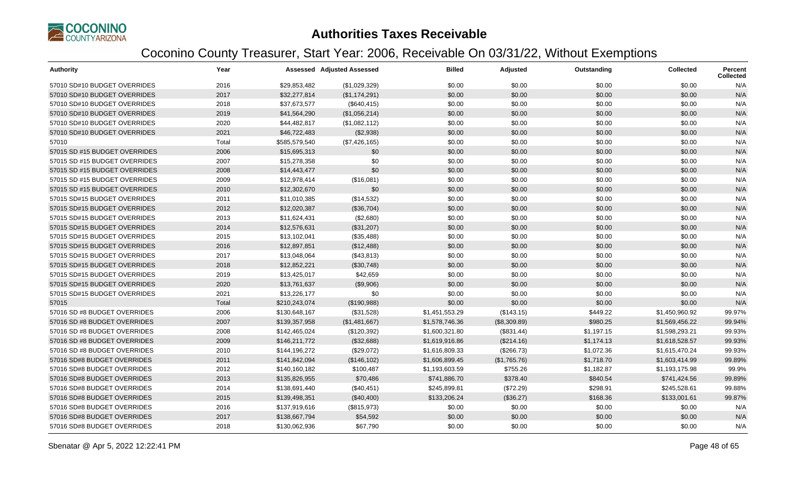

| <b>Authority</b>              | Year  |               | <b>Assessed Adjusted Assessed</b> | <b>Billed</b>  | Adjusted     | Outstanding | <b>Collected</b> | <b>Percent</b><br><b>Collected</b> |
|-------------------------------|-------|---------------|-----------------------------------|----------------|--------------|-------------|------------------|------------------------------------|
| 57010 SD#10 BUDGET OVERRIDES  | 2016  | \$29,853,482  | (\$1,029,329)                     | \$0.00         | \$0.00       | \$0.00      | \$0.00           | N/A                                |
| 57010 SD#10 BUDGET OVERRIDES  | 2017  | \$32,277,814  | (\$1,174,291)                     | \$0.00         | \$0.00       | \$0.00      | \$0.00           | N/A                                |
| 57010 SD#10 BUDGET OVERRIDES  | 2018  | \$37,673,577  | (\$640, 415)                      | \$0.00         | \$0.00       | \$0.00      | \$0.00           | N/A                                |
| 57010 SD#10 BUDGET OVERRIDES  | 2019  | \$41,564,290  | (\$1,056,214)                     | \$0.00         | \$0.00       | \$0.00      | \$0.00           | N/A                                |
| 57010 SD#10 BUDGET OVERRIDES  | 2020  | \$44,482,817  | (\$1,082,112)                     | \$0.00         | \$0.00       | \$0.00      | \$0.00           | N/A                                |
| 57010 SD#10 BUDGET OVERRIDES  | 2021  | \$46,722,483  | (\$2,938)                         | \$0.00         | \$0.00       | \$0.00      | \$0.00           | N/A                                |
| 57010                         | Total | \$585,579,540 | (\$7,426,165)                     | \$0.00         | \$0.00       | \$0.00      | \$0.00           | N/A                                |
| 57015 SD #15 BUDGET OVERRIDES | 2006  | \$15,695,313  | \$0                               | \$0.00         | \$0.00       | \$0.00      | \$0.00           | N/A                                |
| 57015 SD #15 BUDGET OVERRIDES | 2007  | \$15,278,358  | \$0                               | \$0.00         | \$0.00       | \$0.00      | \$0.00           | N/A                                |
| 57015 SD #15 BUDGET OVERRIDES | 2008  | \$14,443,477  | \$0                               | \$0.00         | \$0.00       | \$0.00      | \$0.00           | N/A                                |
| 57015 SD #15 BUDGET OVERRIDES | 2009  | \$12,978,414  | (\$16,081)                        | \$0.00         | \$0.00       | \$0.00      | \$0.00           | N/A                                |
| 57015 SD #15 BUDGET OVERRIDES | 2010  | \$12,302,670  | \$0                               | \$0.00         | \$0.00       | \$0.00      | \$0.00           | N/A                                |
| 57015 SD#15 BUDGET OVERRIDES  | 2011  | \$11,010,385  | (\$14,532)                        | \$0.00         | \$0.00       | \$0.00      | \$0.00           | N/A                                |
| 57015 SD#15 BUDGET OVERRIDES  | 2012  | \$12,020,387  | (\$36,704)                        | \$0.00         | \$0.00       | \$0.00      | \$0.00           | N/A                                |
| 57015 SD#15 BUDGET OVERRIDES  | 2013  | \$11,624,431  | (\$2,680)                         | \$0.00         | \$0.00       | \$0.00      | \$0.00           | N/A                                |
| 57015 SD#15 BUDGET OVERRIDES  | 2014  | \$12,576,631  | (\$31,207)                        | \$0.00         | \$0.00       | \$0.00      | \$0.00           | N/A                                |
| 57015 SD#15 BUDGET OVERRIDES  | 2015  | \$13,102,041  | (\$35,488)                        | \$0.00         | \$0.00       | \$0.00      | \$0.00           | N/A                                |
| 57015 SD#15 BUDGET OVERRIDES  | 2016  | \$12,897,851  | (\$12,488)                        | \$0.00         | \$0.00       | \$0.00      | \$0.00           | N/A                                |
| 57015 SD#15 BUDGET OVERRIDES  | 2017  | \$13,048,064  | (\$43,813)                        | \$0.00         | \$0.00       | \$0.00      | \$0.00           | N/A                                |
| 57015 SD#15 BUDGET OVERRIDES  | 2018  | \$12,852,221  | (\$30,748)                        | \$0.00         | \$0.00       | \$0.00      | \$0.00           | N/A                                |
| 57015 SD#15 BUDGET OVERRIDES  | 2019  | \$13,425,017  | \$42,659                          | \$0.00         | \$0.00       | \$0.00      | \$0.00           | N/A                                |
| 57015 SD#15 BUDGET OVERRIDES  | 2020  | \$13,761,637  | (\$9,906)                         | \$0.00         | \$0.00       | \$0.00      | \$0.00           | N/A                                |
| 57015 SD#15 BUDGET OVERRIDES  | 2021  | \$13,226,177  | \$0                               | \$0.00         | \$0.00       | \$0.00      | \$0.00           | N/A                                |
| 57015                         | Total | \$210,243,074 | (\$190,988)                       | \$0.00         | \$0.00       | \$0.00      | \$0.00           | N/A                                |
| 57016 SD #8 BUDGET OVERRIDES  | 2006  | \$130,648,167 | (\$31,528)                        | \$1,451,553.29 | (\$143.15)   | \$449.22    | \$1,450,960.92   | 99.97%                             |
| 57016 SD #8 BUDGET OVERRIDES  | 2007  | \$139,357,958 | (\$1,481,667)                     | \$1,578,746.36 | (\$8,309.89) | \$980.25    | \$1,569,456.22   | 99.94%                             |
| 57016 SD #8 BUDGET OVERRIDES  | 2008  | \$142,465,024 | (\$120,392)                       | \$1,600,321.80 | (\$831.44)   | \$1,197.15  | \$1,598,293.21   | 99.93%                             |
| 57016 SD #8 BUDGET OVERRIDES  | 2009  | \$146,211,772 | (\$32,688)                        | \$1,619,916.86 | (\$214.16)   | \$1,174.13  | \$1,618,528.57   | 99.93%                             |
| 57016 SD #8 BUDGET OVERRIDES  | 2010  | \$144,196,272 | (\$29,072)                        | \$1,616,809.33 | (\$266.73)   | \$1,072.36  | \$1,615,470.24   | 99.93%                             |
| 57016 SD#8 BUDGET OVERRIDES   | 2011  | \$141,842,094 | (\$146, 102)                      | \$1,606,899.45 | (\$1,765.76) | \$1,718.70  | \$1,603,414.99   | 99.89%                             |
| 57016 SD#8 BUDGET OVERRIDES   | 2012  | \$140,160,182 | \$100,487                         | \$1,193,603.59 | \$755.26     | \$1,182.87  | \$1,193,175.98   | 99.9%                              |
| 57016 SD#8 BUDGET OVERRIDES   | 2013  | \$135,826,955 | \$70,486                          | \$741,886.70   | \$378.40     | \$840.54    | \$741,424.56     | 99.89%                             |
| 57016 SD#8 BUDGET OVERRIDES   | 2014  | \$138,691,440 | (\$40,451)                        | \$245,899.81   | (\$72.29)    | \$298.91    | \$245,528.61     | 99.88%                             |
| 57016 SD#8 BUDGET OVERRIDES   | 2015  | \$139,498,351 | (\$40,400)                        | \$133,206.24   | (\$36.27)    | \$168.36    | \$133,001.61     | 99.87%                             |
| 57016 SD#8 BUDGET OVERRIDES   | 2016  | \$137,919,616 | (\$815,973)                       | \$0.00         | \$0.00       | \$0.00      | \$0.00           | N/A                                |
| 57016 SD#8 BUDGET OVERRIDES   | 2017  | \$138,667,794 | \$54,592                          | \$0.00         | \$0.00       | \$0.00      | \$0.00           | N/A                                |
| 57016 SD#8 BUDGET OVERRIDES   | 2018  | \$130,062,936 | \$67,790                          | \$0.00         | \$0.00       | \$0.00      | \$0.00           | N/A                                |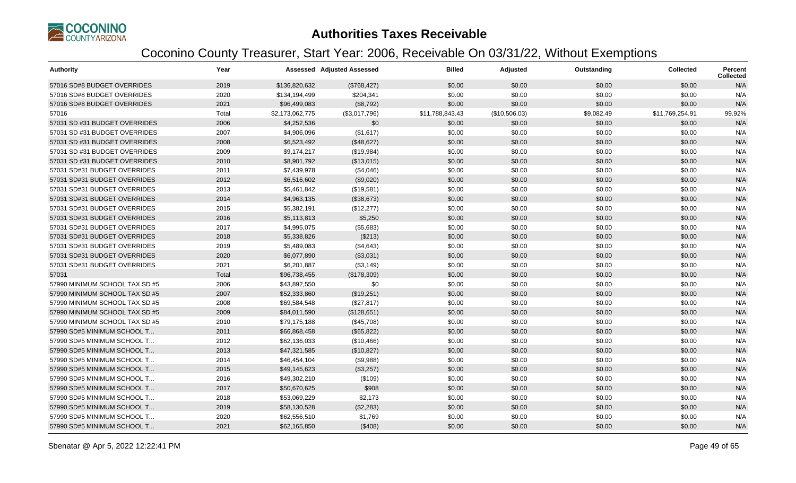

| <b>Authority</b>               | Year  |                 | <b>Assessed Adjusted Assessed</b> | <b>Billed</b>   | Adjusted      | Outstanding | <b>Collected</b> | Percent<br><b>Collected</b> |
|--------------------------------|-------|-----------------|-----------------------------------|-----------------|---------------|-------------|------------------|-----------------------------|
| 57016 SD#8 BUDGET OVERRIDES    | 2019  | \$136,820,632   | (\$768,427)                       | \$0.00          | \$0.00        | \$0.00      | \$0.00           | N/A                         |
| 57016 SD#8 BUDGET OVERRIDES    | 2020  | \$134,194,499   | \$204,341                         | \$0.00          | \$0.00        | \$0.00      | \$0.00           | N/A                         |
| 57016 SD#8 BUDGET OVERRIDES    | 2021  | \$96,499,083    | (\$8,792)                         | \$0.00          | \$0.00        | \$0.00      | \$0.00           | N/A                         |
| 57016                          | Total | \$2,173,062,775 | (\$3,017,796)                     | \$11,788,843.43 | (\$10,506.03) | \$9,082.49  | \$11,769,254.91  | 99.92%                      |
| 57031 SD #31 BUDGET OVERRIDES  | 2006  | \$4,252,536     | \$0                               | \$0.00          | \$0.00        | \$0.00      | \$0.00           | N/A                         |
| 57031 SD #31 BUDGET OVERRIDES  | 2007  | \$4,906,096     | (\$1,617)                         | \$0.00          | \$0.00        | \$0.00      | \$0.00           | N/A                         |
| 57031 SD #31 BUDGET OVERRIDES  | 2008  | \$6,523,492     | (\$48,627)                        | \$0.00          | \$0.00        | \$0.00      | \$0.00           | N/A                         |
| 57031 SD #31 BUDGET OVERRIDES  | 2009  | \$9,174,217     | (\$19,984)                        | \$0.00          | \$0.00        | \$0.00      | \$0.00           | N/A                         |
| 57031 SD #31 BUDGET OVERRIDES  | 2010  | \$8,901,792     | (\$13,015)                        | \$0.00          | \$0.00        | \$0.00      | \$0.00           | N/A                         |
| 57031 SD#31 BUDGET OVERRIDES   | 2011  | \$7,439,978     | (\$4,046)                         | \$0.00          | \$0.00        | \$0.00      | \$0.00           | N/A                         |
| 57031 SD#31 BUDGET OVERRIDES   | 2012  | \$6,516,602     | (\$9,020)                         | \$0.00          | \$0.00        | \$0.00      | \$0.00           | N/A                         |
| 57031 SD#31 BUDGET OVERRIDES   | 2013  | \$5,461,842     | (\$19,581)                        | \$0.00          | \$0.00        | \$0.00      | \$0.00           | N/A                         |
| 57031 SD#31 BUDGET OVERRIDES   | 2014  | \$4,963,135     | (\$38,673)                        | \$0.00          | \$0.00        | \$0.00      | \$0.00           | N/A                         |
| 57031 SD#31 BUDGET OVERRIDES   | 2015  | \$5,382,191     | (\$12,277)                        | \$0.00          | \$0.00        | \$0.00      | \$0.00           | N/A                         |
| 57031 SD#31 BUDGET OVERRIDES   | 2016  | \$5,113,813     | \$5,250                           | \$0.00          | \$0.00        | \$0.00      | \$0.00           | N/A                         |
| 57031 SD#31 BUDGET OVERRIDES   | 2017  | \$4,995,075     | (\$5,683)                         | \$0.00          | \$0.00        | \$0.00      | \$0.00           | N/A                         |
| 57031 SD#31 BUDGET OVERRIDES   | 2018  | \$5,338,826     | (\$213)                           | \$0.00          | \$0.00        | \$0.00      | \$0.00           | N/A                         |
| 57031 SD#31 BUDGET OVERRIDES   | 2019  | \$5,489,083     | (\$4,643)                         | \$0.00          | \$0.00        | \$0.00      | \$0.00           | N/A                         |
| 57031 SD#31 BUDGET OVERRIDES   | 2020  | \$6,077,890     | (\$3,031)                         | \$0.00          | \$0.00        | \$0.00      | \$0.00           | N/A                         |
| 57031 SD#31 BUDGET OVERRIDES   | 2021  | \$6,201,887     | ( \$3,149)                        | \$0.00          | \$0.00        | \$0.00      | \$0.00           | N/A                         |
| 57031                          | Total | \$96,738,455    | (\$178,309)                       | \$0.00          | \$0.00        | \$0.00      | \$0.00           | N/A                         |
| 57990 MINIMUM SCHOOL TAX SD #5 | 2006  | \$43,892,550    | \$0                               | \$0.00          | \$0.00        | \$0.00      | \$0.00           | N/A                         |
| 57990 MINIMUM SCHOOL TAX SD #5 | 2007  | \$52,333,860    | (\$19,251)                        | \$0.00          | \$0.00        | \$0.00      | \$0.00           | N/A                         |
| 57990 MINIMUM SCHOOL TAX SD #5 | 2008  | \$69,584,548    | (\$27,817)                        | \$0.00          | \$0.00        | \$0.00      | \$0.00           | N/A                         |
| 57990 MINIMUM SCHOOL TAX SD #5 | 2009  | \$84,011,590    | (\$128,651)                       | \$0.00          | \$0.00        | \$0.00      | \$0.00           | N/A                         |
| 57990 MINIMUM SCHOOL TAX SD #5 | 2010  | \$79,175,188    | (\$45,708)                        | \$0.00          | \$0.00        | \$0.00      | \$0.00           | N/A                         |
| 57990 SD#5 MINIMUM SCHOOL T    | 2011  | \$66,868,458    | (\$65, 822)                       | \$0.00          | \$0.00        | \$0.00      | \$0.00           | N/A                         |
| 57990 SD#5 MINIMUM SCHOOL T    | 2012  | \$62,136,033    | (\$10,466)                        | \$0.00          | \$0.00        | \$0.00      | \$0.00           | N/A                         |
| 57990 SD#5 MINIMUM SCHOOL T    | 2013  | \$47,321,585    | (\$10,827)                        | \$0.00          | \$0.00        | \$0.00      | \$0.00           | N/A                         |
| 57990 SD#5 MINIMUM SCHOOL T    | 2014  | \$46,454,104    | (\$9,988)                         | \$0.00          | \$0.00        | \$0.00      | \$0.00           | N/A                         |
| 57990 SD#5 MINIMUM SCHOOL T    | 2015  | \$49,145,623    | (\$3,257)                         | \$0.00          | \$0.00        | \$0.00      | \$0.00           | N/A                         |
| 57990 SD#5 MINIMUM SCHOOL T    | 2016  | \$49,302,210    | (\$109)                           | \$0.00          | \$0.00        | \$0.00      | \$0.00           | N/A                         |
| 57990 SD#5 MINIMUM SCHOOL T    | 2017  | \$50,670,625    | \$908                             | \$0.00          | \$0.00        | \$0.00      | \$0.00           | N/A                         |
| 57990 SD#5 MINIMUM SCHOOL T    | 2018  | \$53,069,229    | \$2,173                           | \$0.00          | \$0.00        | \$0.00      | \$0.00           | N/A                         |
| 57990 SD#5 MINIMUM SCHOOL T    | 2019  | \$58,130,528    | (\$2,283)                         | \$0.00          | \$0.00        | \$0.00      | \$0.00           | N/A                         |
| 57990 SD#5 MINIMUM SCHOOL T    | 2020  | \$62,556,510    | \$1,769                           | \$0.00          | \$0.00        | \$0.00      | \$0.00           | N/A                         |
| 57990 SD#5 MINIMUM SCHOOL T    | 2021  | \$62,165,850    | (\$408)                           | \$0.00          | \$0.00        | \$0.00      | \$0.00           | N/A                         |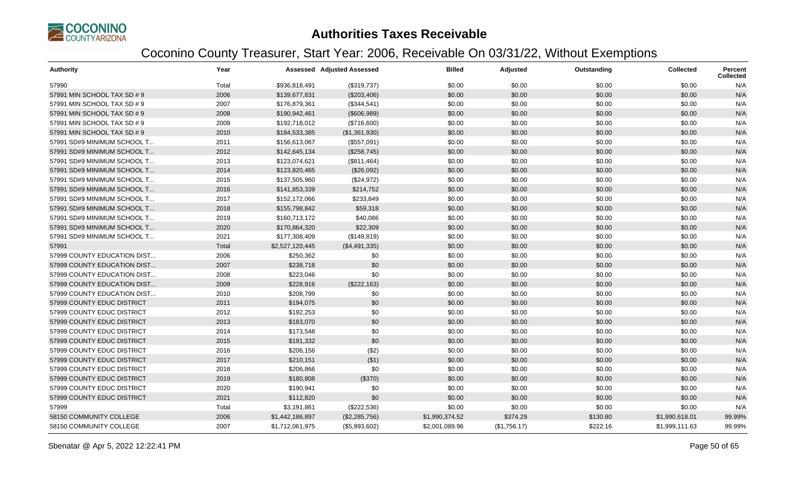

| <b>Authority</b>            | Year  |                 | <b>Assessed Adjusted Assessed</b> | <b>Billed</b>  | Adjusted     | Outstanding | <b>Collected</b> | <b>Percent</b><br><b>Collected</b> |
|-----------------------------|-------|-----------------|-----------------------------------|----------------|--------------|-------------|------------------|------------------------------------|
| 57990                       | Total | \$936,818,491   | (\$319,737)                       | \$0.00         | \$0.00       | \$0.00      | \$0.00           | N/A                                |
| 57991 MIN SCHOOL TAX SD # 9 | 2006  | \$139,677,831   | (\$203,406)                       | \$0.00         | \$0.00       | \$0.00      | \$0.00           | N/A                                |
| 57991 MIN SCHOOL TAX SD # 9 | 2007  | \$176,879,361   | (\$344,541)                       | \$0.00         | \$0.00       | \$0.00      | \$0.00           | N/A                                |
| 57991 MIN SCHOOL TAX SD # 9 | 2008  | \$190,942,461   | (\$606,989)                       | \$0.00         | \$0.00       | \$0.00      | \$0.00           | N/A                                |
| 57991 MIN SCHOOL TAX SD # 9 | 2009  | \$192,718,012   | (\$716,600)                       | \$0.00         | \$0.00       | \$0.00      | \$0.00           | N/A                                |
| 57991 MIN SCHOOL TAX SD # 9 | 2010  | \$184,533,385   | (\$1,361,930)                     | \$0.00         | \$0.00       | \$0.00      | \$0.00           | N/A                                |
| 57991 SD#9 MINIMUM SCHOOL T | 2011  | \$156,613,067   | (\$557,091)                       | \$0.00         | \$0.00       | \$0.00      | \$0.00           | N/A                                |
| 57991 SD#9 MINIMUM SCHOOL T | 2012  | \$142,645,134   | (\$258,745)                       | \$0.00         | \$0.00       | \$0.00      | \$0.00           | N/A                                |
| 57991 SD#9 MINIMUM SCHOOL T | 2013  | \$123,074,621   | (\$811,464)                       | \$0.00         | \$0.00       | \$0.00      | \$0.00           | N/A                                |
| 57991 SD#9 MINIMUM SCHOOL T | 2014  | \$123,820,465   | (\$26,092)                        | \$0.00         | \$0.00       | \$0.00      | \$0.00           | N/A                                |
| 57991 SD#9 MINIMUM SCHOOL T | 2015  | \$137,505,960   | (\$24,972)                        | \$0.00         | \$0.00       | \$0.00      | \$0.00           | N/A                                |
| 57991 SD#9 MINIMUM SCHOOL T | 2016  | \$141,853,339   | \$214,752                         | \$0.00         | \$0.00       | \$0.00      | \$0.00           | N/A                                |
| 57991 SD#9 MINIMUM SCHOOL T | 2017  | \$152,172,066   | \$233,849                         | \$0.00         | \$0.00       | \$0.00      | \$0.00           | N/A                                |
| 57991 SD#9 MINIMUM SCHOOL T | 2018  | \$155,798,842   | \$59,318                          | \$0.00         | \$0.00       | \$0.00      | \$0.00           | N/A                                |
| 57991 SD#9 MINIMUM SCHOOL T | 2019  | \$160,713,172   | \$40,086                          | \$0.00         | \$0.00       | \$0.00      | \$0.00           | N/A                                |
| 57991 SD#9 MINIMUM SCHOOL T | 2020  | \$170,864,320   | \$22,309                          | \$0.00         | \$0.00       | \$0.00      | \$0.00           | N/A                                |
| 57991 SD#9 MINIMUM SCHOOL T | 2021  | \$177,308,409   | (\$149,819)                       | \$0.00         | \$0.00       | \$0.00      | \$0.00           | N/A                                |
| 57991                       | Total | \$2,527,120,445 | (\$4,491,335)                     | \$0.00         | \$0.00       | \$0.00      | \$0.00           | N/A                                |
| 57999 COUNTY EDUCATION DIST | 2006  | \$250,362       | \$0                               | \$0.00         | \$0.00       | \$0.00      | \$0.00           | N/A                                |
| 57999 COUNTY EDUCATION DIST | 2007  | \$238,718       | \$0                               | \$0.00         | \$0.00       | \$0.00      | \$0.00           | N/A                                |
| 57999 COUNTY EDUCATION DIST | 2008  | \$223,046       | \$0                               | \$0.00         | \$0.00       | \$0.00      | \$0.00           | N/A                                |
| 57999 COUNTY EDUCATION DIST | 2009  | \$228,916       | (\$222,163)                       | \$0.00         | \$0.00       | \$0.00      | \$0.00           | N/A                                |
| 57999 COUNTY EDUCATION DIST | 2010  | \$208,799       | \$0                               | \$0.00         | \$0.00       | \$0.00      | \$0.00           | N/A                                |
| 57999 COUNTY EDUC DISTRICT  | 2011  | \$194,075       | \$0                               | \$0.00         | \$0.00       | \$0.00      | \$0.00           | N/A                                |
| 57999 COUNTY EDUC DISTRICT  | 2012  | \$192,253       | \$0                               | \$0.00         | \$0.00       | \$0.00      | \$0.00           | N/A                                |
| 57999 COUNTY EDUC DISTRICT  | 2013  | \$183,070       | \$0                               | \$0.00         | \$0.00       | \$0.00      | \$0.00           | N/A                                |
| 57999 COUNTY EDUC DISTRICT  | 2014  | \$173,548       | \$0                               | \$0.00         | \$0.00       | \$0.00      | \$0.00           | N/A                                |
| 57999 COUNTY EDUC DISTRICT  | 2015  | \$191,332       | \$0                               | \$0.00         | \$0.00       | \$0.00      | \$0.00           | N/A                                |
| 57999 COUNTY EDUC DISTRICT  | 2016  | \$206,156       | (\$2)                             | \$0.00         | \$0.00       | \$0.00      | \$0.00           | N/A                                |
| 57999 COUNTY EDUC DISTRICT  | 2017  | \$210,151       | (\$1)                             | \$0.00         | \$0.00       | \$0.00      | \$0.00           | N/A                                |
| 57999 COUNTY EDUC DISTRICT  | 2018  | \$206,866       | \$0                               | \$0.00         | \$0.00       | \$0.00      | \$0.00           | N/A                                |
| 57999 COUNTY EDUC DISTRICT  | 2019  | \$180,808       | (\$370)                           | \$0.00         | \$0.00       | \$0.00      | \$0.00           | N/A                                |
| 57999 COUNTY EDUC DISTRICT  | 2020  | \$190,941       | \$0                               | \$0.00         | \$0.00       | \$0.00      | \$0.00           | N/A                                |
| 57999 COUNTY EDUC DISTRICT  | 2021  | \$112,820       | \$0                               | \$0.00         | \$0.00       | \$0.00      | \$0.00           | N/A                                |
| 57999                       | Total | \$3,191,861     | (\$222,536)                       | \$0.00         | \$0.00       | \$0.00      | \$0.00           | N/A                                |
| 58150 COMMUNITY COLLEGE     | 2006  | \$1,442,186,897 | (\$2,285,756)                     | \$1,990,374.52 | \$374.29     | \$130.80    | \$1,990,618.01   | 99.99%                             |
| 58150 COMMUNITY COLLEGE     | 2007  | \$1,712,061,975 | (\$5,993,602)                     | \$2,001,089.96 | (\$1,756.17) | \$222.16    | \$1,999,111.63   | 99.99%                             |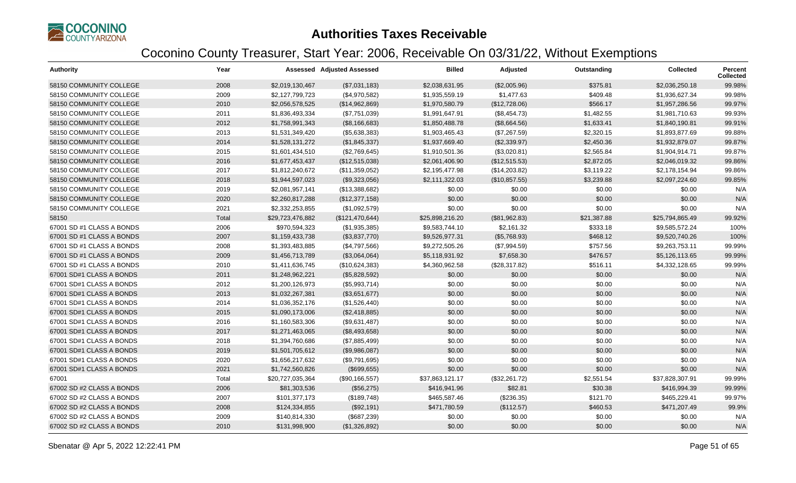

| <b>Authority</b>          | Year  |                  | <b>Assessed Adjusted Assessed</b> | <b>Billed</b>   | Adjusted      | Outstanding | <b>Collected</b> | Percent<br><b>Collected</b> |
|---------------------------|-------|------------------|-----------------------------------|-----------------|---------------|-------------|------------------|-----------------------------|
| 58150 COMMUNITY COLLEGE   | 2008  | \$2,019,130,467  | (\$7,031,183)                     | \$2,038,631.95  | (\$2,005.96)  | \$375.81    | \$2,036,250.18   | 99.98%                      |
| 58150 COMMUNITY COLLEGE   | 2009  | \$2,127,799,723  | (\$4,970,582)                     | \$1,935,559.19  | \$1,477.63    | \$409.48    | \$1,936,627.34   | 99.98%                      |
| 58150 COMMUNITY COLLEGE   | 2010  | \$2,056,578,525  | (\$14,962,869)                    | \$1,970,580.79  | (\$12,728.06) | \$566.17    | \$1,957,286.56   | 99.97%                      |
| 58150 COMMUNITY COLLEGE   | 2011  | \$1,836,493,334  | (\$7,751,039)                     | \$1,991,647.91  | (\$8,454.73)  | \$1,482.55  | \$1,981,710.63   | 99.93%                      |
| 58150 COMMUNITY COLLEGE   | 2012  | \$1,758,991,343  | (\$8,166,683)                     | \$1,850,488.78  | (\$8,664.56)  | \$1,633.41  | \$1,840,190.81   | 99.91%                      |
| 58150 COMMUNITY COLLEGE   | 2013  | \$1,531,349,420  | (\$5,638,383)                     | \$1,903,465.43  | (\$7,267.59)  | \$2,320.15  | \$1,893,877.69   | 99.88%                      |
| 58150 COMMUNITY COLLEGE   | 2014  | \$1,528,131,272  | (\$1,845,337)                     | \$1,937,669.40  | (\$2,339.97)  | \$2,450.36  | \$1,932,879.07   | 99.87%                      |
| 58150 COMMUNITY COLLEGE   | 2015  | \$1,601,434,510  | (\$2,769,645)                     | \$1,910,501.36  | (\$3,020.81)  | \$2,565.84  | \$1,904,914.71   | 99.87%                      |
| 58150 COMMUNITY COLLEGE   | 2016  | \$1,677,453,437  | (\$12,515,038)                    | \$2,061,406.90  | (\$12,515.53) | \$2,872.05  | \$2,046,019.32   | 99.86%                      |
| 58150 COMMUNITY COLLEGE   | 2017  | \$1,812,240,672  | (\$11,359,052)                    | \$2,195,477.98  | (\$14,203.82) | \$3,119.22  | \$2,178,154.94   | 99.86%                      |
| 58150 COMMUNITY COLLEGE   | 2018  | \$1,944,597,023  | (\$9,323,056)                     | \$2,111,322.03  | (\$10,857.55) | \$3,239.88  | \$2,097,224.60   | 99.85%                      |
| 58150 COMMUNITY COLLEGE   | 2019  | \$2,081,957,141  | (\$13,388,682)                    | \$0.00          | \$0.00        | \$0.00      | \$0.00           | N/A                         |
| 58150 COMMUNITY COLLEGE   | 2020  | \$2,260,817,288  | (\$12,377,158)                    | \$0.00          | \$0.00        | \$0.00      | \$0.00           | N/A                         |
| 58150 COMMUNITY COLLEGE   | 2021  | \$2,332,253,855  | (\$1,092,579)                     | \$0.00          | \$0.00        | \$0.00      | \$0.00           | N/A                         |
| 58150                     | Total | \$29,723,476,882 | (\$121,470,644)                   | \$25,898,216.20 | (\$81,962.83) | \$21,387.88 | \$25,794,865.49  | 99.92%                      |
| 67001 SD #1 CLASS A BONDS | 2006  | \$970,594,323    | (\$1,935,385)                     | \$9,583,744.10  | \$2,161.32    | \$333.18    | \$9,585,572.24   | 100%                        |
| 67001 SD #1 CLASS A BONDS | 2007  | \$1,159,433,738  | (\$3,837,770)                     | \$9,526,977.31  | (\$5,768.93)  | \$468.12    | \$9,520,740.26   | 100%                        |
| 67001 SD #1 CLASS A BONDS | 2008  | \$1,393,483,885  | (\$4,797,566)                     | \$9,272,505.26  | (\$7,994.59)  | \$757.56    | \$9,263,753.11   | 99.99%                      |
| 67001 SD #1 CLASS A BONDS | 2009  | \$1,456,713,789  | (\$3,064,064)                     | \$5,118,931.92  | \$7,658.30    | \$476.57    | \$5,126,113.65   | 99.99%                      |
| 67001 SD #1 CLASS A BONDS | 2010  | \$1,411,636,745  | (\$10,624,383)                    | \$4,360,962.58  | (\$28,317.82) | \$516.11    | \$4,332,128.65   | 99.99%                      |
| 67001 SD#1 CLASS A BONDS  | 2011  | \$1,248,962,221  | (\$5,828,592)                     | \$0.00          | \$0.00        | \$0.00      | \$0.00           | N/A                         |
| 67001 SD#1 CLASS A BONDS  | 2012  | \$1,200,126,973  | (\$5,993,714)                     | \$0.00          | \$0.00        | \$0.00      | \$0.00           | N/A                         |
| 67001 SD#1 CLASS A BONDS  | 2013  | \$1,032,267,381  | (\$3,651,677)                     | \$0.00          | \$0.00        | \$0.00      | \$0.00           | N/A                         |
| 67001 SD#1 CLASS A BONDS  | 2014  | \$1,036,352,176  | (\$1,526,440)                     | \$0.00          | \$0.00        | \$0.00      | \$0.00           | N/A                         |
| 67001 SD#1 CLASS A BONDS  | 2015  | \$1,090,173,006  | (\$2,418,885)                     | \$0.00          | \$0.00        | \$0.00      | \$0.00           | N/A                         |
| 67001 SD#1 CLASS A BONDS  | 2016  | \$1,160,583,306  | (\$9,631,487)                     | \$0.00          | \$0.00        | \$0.00      | \$0.00           | N/A                         |
| 67001 SD#1 CLASS A BONDS  | 2017  | \$1,271,463,065  | (\$8,493,658)                     | \$0.00          | \$0.00        | \$0.00      | \$0.00           | N/A                         |
| 67001 SD#1 CLASS A BONDS  | 2018  | \$1,394,760,686  | (\$7,885,499)                     | \$0.00          | \$0.00        | \$0.00      | \$0.00           | N/A                         |
| 67001 SD#1 CLASS A BONDS  | 2019  | \$1,501,705,612  | (\$9,986,087)                     | \$0.00          | \$0.00        | \$0.00      | \$0.00           | N/A                         |
| 67001 SD#1 CLASS A BONDS  | 2020  | \$1,656,217,632  | (\$9,791,695)                     | \$0.00          | \$0.00        | \$0.00      | \$0.00           | N/A                         |
| 67001 SD#1 CLASS A BONDS  | 2021  | \$1,742,560,826  | (\$699,655)                       | \$0.00          | \$0.00        | \$0.00      | \$0.00           | N/A                         |
| 67001                     | Total | \$20,727,035,364 | (\$90, 166, 557)                  | \$37,863,121.17 | (\$32,261.72) | \$2,551.54  | \$37,828,307.91  | 99.99%                      |
| 67002 SD #2 CLASS A BONDS | 2006  | \$81,303,536     | (\$56,275)                        | \$416,941.96    | \$82.81       | \$30.38     | \$416,994.39     | 99.99%                      |
| 67002 SD #2 CLASS A BONDS | 2007  | \$101,377,173    | (\$189,748)                       | \$465,587.46    | (\$236.35)    | \$121.70    | \$465,229.41     | 99.97%                      |
| 67002 SD #2 CLASS A BONDS | 2008  | \$124,334,855    | (\$92,191)                        | \$471,780.59    | (\$112.57)    | \$460.53    | \$471,207.49     | 99.9%                       |
| 67002 SD #2 CLASS A BONDS | 2009  | \$140,814,330    | (\$687,239)                       | \$0.00          | \$0.00        | \$0.00      | \$0.00           | N/A                         |
| 67002 SD #2 CLASS A BONDS | 2010  | \$131,998,900    | (\$1,326,892)                     | \$0.00          | \$0.00        | \$0.00      | \$0.00           | N/A                         |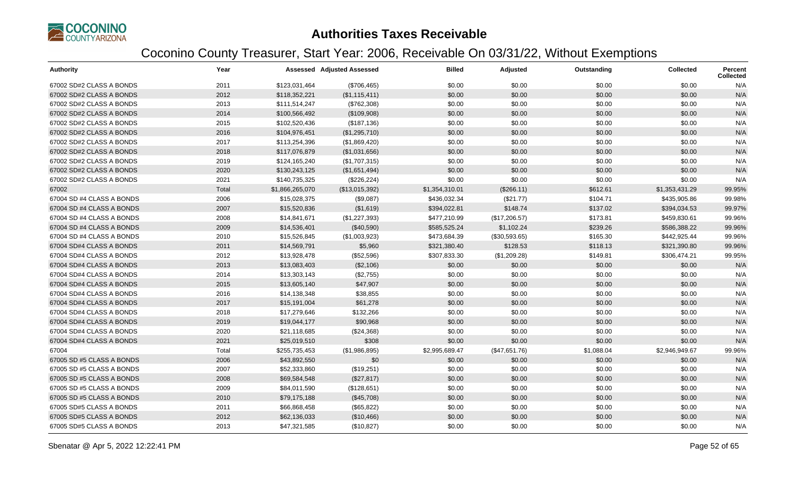

| <b>Authority</b>          | Year  |                 | <b>Assessed Adjusted Assessed</b> | <b>Billed</b>  | Adjusted      | Outstanding | <b>Collected</b> | <b>Percent</b><br><b>Collected</b> |
|---------------------------|-------|-----------------|-----------------------------------|----------------|---------------|-------------|------------------|------------------------------------|
| 67002 SD#2 CLASS A BONDS  | 2011  | \$123,031,464   | (\$706,465)                       | \$0.00         | \$0.00        | \$0.00      | \$0.00           | N/A                                |
| 67002 SD#2 CLASS A BONDS  | 2012  | \$118,352,221   | (\$1,115,411)                     | \$0.00         | \$0.00        | \$0.00      | \$0.00           | N/A                                |
| 67002 SD#2 CLASS A BONDS  | 2013  | \$111,514,247   | (\$762,308)                       | \$0.00         | \$0.00        | \$0.00      | \$0.00           | N/A                                |
| 67002 SD#2 CLASS A BONDS  | 2014  | \$100,566,492   | (\$109,908)                       | \$0.00         | \$0.00        | \$0.00      | \$0.00           | N/A                                |
| 67002 SD#2 CLASS A BONDS  | 2015  | \$102,520,436   | (\$187, 136)                      | \$0.00         | \$0.00        | \$0.00      | \$0.00           | N/A                                |
| 67002 SD#2 CLASS A BONDS  | 2016  | \$104,976,451   | (\$1,295,710)                     | \$0.00         | \$0.00        | \$0.00      | \$0.00           | N/A                                |
| 67002 SD#2 CLASS A BONDS  | 2017  | \$113,254,396   | (\$1,869,420)                     | \$0.00         | \$0.00        | \$0.00      | \$0.00           | N/A                                |
| 67002 SD#2 CLASS A BONDS  | 2018  | \$117,076,879   | (\$1,031,656)                     | \$0.00         | \$0.00        | \$0.00      | \$0.00           | N/A                                |
| 67002 SD#2 CLASS A BONDS  | 2019  | \$124,165,240   | (\$1,707,315)                     | \$0.00         | \$0.00        | \$0.00      | \$0.00           | N/A                                |
| 67002 SD#2 CLASS A BONDS  | 2020  | \$130,243,125   | (\$1,651,494)                     | \$0.00         | \$0.00        | \$0.00      | \$0.00           | N/A                                |
| 67002 SD#2 CLASS A BONDS  | 2021  | \$140,735,325   | (\$226, 224)                      | \$0.00         | \$0.00        | \$0.00      | \$0.00           | N/A                                |
| 67002                     | Total | \$1,866,265,070 | (\$13,015,392)                    | \$1,354,310.01 | (\$266.11)    | \$612.61    | \$1,353,431.29   | 99.95%                             |
| 67004 SD #4 CLASS A BONDS | 2006  | \$15,028,375    | (\$9,087)                         | \$436,032.34   | (\$21.77)     | \$104.71    | \$435,905.86     | 99.98%                             |
| 67004 SD #4 CLASS A BONDS | 2007  | \$15,520,836    | (\$1,619)                         | \$394,022.81   | \$148.74      | \$137.02    | \$394,034.53     | 99.97%                             |
| 67004 SD #4 CLASS A BONDS | 2008  | \$14,841,671    | (\$1,227,393)                     | \$477,210.99   | (\$17,206.57) | \$173.81    | \$459,830.61     | 99.96%                             |
| 67004 SD #4 CLASS A BONDS | 2009  | \$14,536,401    | (\$40,590)                        | \$585,525.24   | \$1,102.24    | \$239.26    | \$586,388.22     | 99.96%                             |
| 67004 SD #4 CLASS A BONDS | 2010  | \$15,526,845    | (\$1,003,923)                     | \$473,684.39   | (\$30,593.65) | \$165.30    | \$442,925.44     | 99.96%                             |
| 67004 SD#4 CLASS A BONDS  | 2011  | \$14,569,791    | \$5,960                           | \$321,380.40   | \$128.53      | \$118.13    | \$321,390.80     | 99.96%                             |
| 67004 SD#4 CLASS A BONDS  | 2012  | \$13,928,478    | (\$52,596)                        | \$307,833.30   | (\$1,209.28)  | \$149.81    | \$306,474.21     | 99.95%                             |
| 67004 SD#4 CLASS A BONDS  | 2013  | \$13,083,403    | (\$2,106)                         | \$0.00         | \$0.00        | \$0.00      | \$0.00           | N/A                                |
| 67004 SD#4 CLASS A BONDS  | 2014  | \$13,303,143    | (\$2,755)                         | \$0.00         | \$0.00        | \$0.00      | \$0.00           | N/A                                |
| 67004 SD#4 CLASS A BONDS  | 2015  | \$13,605,140    | \$47,907                          | \$0.00         | \$0.00        | \$0.00      | \$0.00           | N/A                                |
| 67004 SD#4 CLASS A BONDS  | 2016  | \$14,138,348    | \$38,855                          | \$0.00         | \$0.00        | \$0.00      | \$0.00           | N/A                                |
| 67004 SD#4 CLASS A BONDS  | 2017  | \$15,191,004    | \$61,278                          | \$0.00         | \$0.00        | \$0.00      | \$0.00           | N/A                                |
| 67004 SD#4 CLASS A BONDS  | 2018  | \$17,279,646    | \$132,266                         | \$0.00         | \$0.00        | \$0.00      | \$0.00           | N/A                                |
| 67004 SD#4 CLASS A BONDS  | 2019  | \$19,044,177    | \$90,968                          | \$0.00         | \$0.00        | \$0.00      | \$0.00           | N/A                                |
| 67004 SD#4 CLASS A BONDS  | 2020  | \$21,118,685    | (\$24,368)                        | \$0.00         | \$0.00        | \$0.00      | \$0.00           | N/A                                |
| 67004 SD#4 CLASS A BONDS  | 2021  | \$25,019,510    | \$308                             | \$0.00         | \$0.00        | \$0.00      | \$0.00           | N/A                                |
| 67004                     | Total | \$255,735,453   | (\$1,986,895)                     | \$2,995,689.47 | (\$47,651.76) | \$1,088.04  | \$2,946,949.67   | 99.96%                             |
| 67005 SD #5 CLASS A BONDS | 2006  | \$43,892,550    | \$0                               | \$0.00         | \$0.00        | \$0.00      | \$0.00           | N/A                                |
| 67005 SD #5 CLASS A BONDS | 2007  | \$52,333,860    | (\$19,251)                        | \$0.00         | \$0.00        | \$0.00      | \$0.00           | N/A                                |
| 67005 SD #5 CLASS A BONDS | 2008  | \$69,584,548    | (\$27,817)                        | \$0.00         | \$0.00        | \$0.00      | \$0.00           | N/A                                |
| 67005 SD #5 CLASS A BONDS | 2009  | \$84,011,590    | (\$128,651)                       | \$0.00         | \$0.00        | \$0.00      | \$0.00           | N/A                                |
| 67005 SD #5 CLASS A BONDS | 2010  | \$79,175,188    | (\$45,708)                        | \$0.00         | \$0.00        | \$0.00      | \$0.00           | N/A                                |
| 67005 SD#5 CLASS A BONDS  | 2011  | \$66,868,458    | (\$65, 822)                       | \$0.00         | \$0.00        | \$0.00      | \$0.00           | N/A                                |
| 67005 SD#5 CLASS A BONDS  | 2012  | \$62,136,033    | (\$10,466)                        | \$0.00         | \$0.00        | \$0.00      | \$0.00           | N/A                                |
| 67005 SD#5 CLASS A BONDS  | 2013  | \$47,321,585    | (\$10,827)                        | \$0.00         | \$0.00        | \$0.00      | \$0.00           | N/A                                |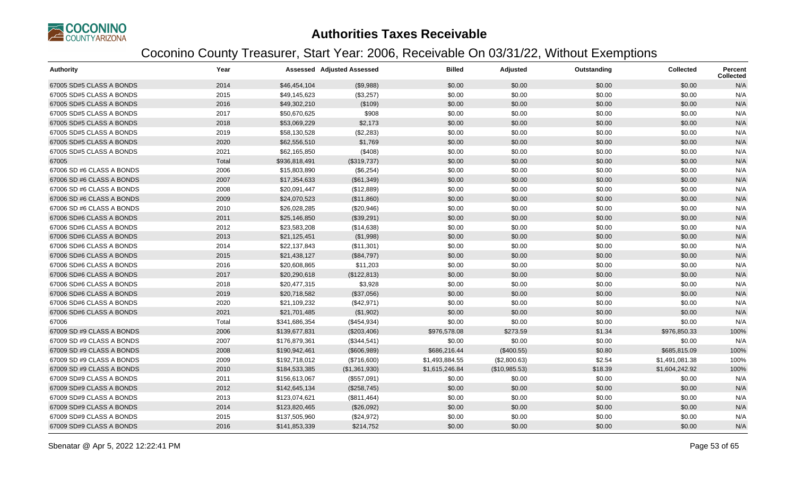

| <b>Authority</b>          | Year  |               | <b>Assessed Adjusted Assessed</b> | <b>Billed</b>  | Adjusted      | Outstanding | <b>Collected</b> | <b>Percent</b><br><b>Collected</b> |
|---------------------------|-------|---------------|-----------------------------------|----------------|---------------|-------------|------------------|------------------------------------|
| 67005 SD#5 CLASS A BONDS  | 2014  | \$46,454,104  | (\$9,988)                         | \$0.00         | \$0.00        | \$0.00      | \$0.00           | N/A                                |
| 67005 SD#5 CLASS A BONDS  | 2015  | \$49,145,623  | (\$3,257)                         | \$0.00         | \$0.00        | \$0.00      | \$0.00           | N/A                                |
| 67005 SD#5 CLASS A BONDS  | 2016  | \$49,302,210  | (\$109)                           | \$0.00         | \$0.00        | \$0.00      | \$0.00           | N/A                                |
| 67005 SD#5 CLASS A BONDS  | 2017  | \$50,670,625  | \$908                             | \$0.00         | \$0.00        | \$0.00      | \$0.00           | N/A                                |
| 67005 SD#5 CLASS A BONDS  | 2018  | \$53,069,229  | \$2,173                           | \$0.00         | \$0.00        | \$0.00      | \$0.00           | N/A                                |
| 67005 SD#5 CLASS A BONDS  | 2019  | \$58,130,528  | (\$2,283)                         | \$0.00         | \$0.00        | \$0.00      | \$0.00           | N/A                                |
| 67005 SD#5 CLASS A BONDS  | 2020  | \$62,556,510  | \$1,769                           | \$0.00         | \$0.00        | \$0.00      | \$0.00           | N/A                                |
| 67005 SD#5 CLASS A BONDS  | 2021  | \$62,165,850  | (\$408)                           | \$0.00         | \$0.00        | \$0.00      | \$0.00           | N/A                                |
| 67005                     | Total | \$936,818,491 | (\$319,737)                       | \$0.00         | \$0.00        | \$0.00      | \$0.00           | N/A                                |
| 67006 SD #6 CLASS A BONDS | 2006  | \$15,803,890  | (\$6,254)                         | \$0.00         | \$0.00        | \$0.00      | \$0.00           | N/A                                |
| 67006 SD #6 CLASS A BONDS | 2007  | \$17,354,633  | (\$61,349)                        | \$0.00         | \$0.00        | \$0.00      | \$0.00           | N/A                                |
| 67006 SD #6 CLASS A BONDS | 2008  | \$20,091,447  | (\$12,889)                        | \$0.00         | \$0.00        | \$0.00      | \$0.00           | N/A                                |
| 67006 SD #6 CLASS A BONDS | 2009  | \$24,070,523  | (\$11,860)                        | \$0.00         | \$0.00        | \$0.00      | \$0.00           | N/A                                |
| 67006 SD #6 CLASS A BONDS | 2010  | \$26,028,285  | (\$20,946)                        | \$0.00         | \$0.00        | \$0.00      | \$0.00           | N/A                                |
| 67006 SD#6 CLASS A BONDS  | 2011  | \$25,146,850  | (\$39,291)                        | \$0.00         | \$0.00        | \$0.00      | \$0.00           | N/A                                |
| 67006 SD#6 CLASS A BONDS  | 2012  | \$23,583,208  | (\$14,638)                        | \$0.00         | \$0.00        | \$0.00      | \$0.00           | N/A                                |
| 67006 SD#6 CLASS A BONDS  | 2013  | \$21,125,451  | (\$1,998)                         | \$0.00         | \$0.00        | \$0.00      | \$0.00           | N/A                                |
| 67006 SD#6 CLASS A BONDS  | 2014  | \$22,137,843  | (\$11,301)                        | \$0.00         | \$0.00        | \$0.00      | \$0.00           | N/A                                |
| 67006 SD#6 CLASS A BONDS  | 2015  | \$21,438,127  | (\$84,797)                        | \$0.00         | \$0.00        | \$0.00      | \$0.00           | N/A                                |
| 67006 SD#6 CLASS A BONDS  | 2016  | \$20,608,865  | \$11,203                          | \$0.00         | \$0.00        | \$0.00      | \$0.00           | N/A                                |
| 67006 SD#6 CLASS A BONDS  | 2017  | \$20,290,618  | (\$122,813)                       | \$0.00         | \$0.00        | \$0.00      | \$0.00           | N/A                                |
| 67006 SD#6 CLASS A BONDS  | 2018  | \$20,477,315  | \$3,928                           | \$0.00         | \$0.00        | \$0.00      | \$0.00           | N/A                                |
| 67006 SD#6 CLASS A BONDS  | 2019  | \$20,718,582  | (\$37,056)                        | \$0.00         | \$0.00        | \$0.00      | \$0.00           | N/A                                |
| 67006 SD#6 CLASS A BONDS  | 2020  | \$21,109,232  | (\$42,971)                        | \$0.00         | \$0.00        | \$0.00      | \$0.00           | N/A                                |
| 67006 SD#6 CLASS A BONDS  | 2021  | \$21,701,485  | (\$1,902)                         | \$0.00         | \$0.00        | \$0.00      | \$0.00           | N/A                                |
| 67006                     | Total | \$341,686,354 | (\$454,934)                       | \$0.00         | \$0.00        | \$0.00      | \$0.00           | N/A                                |
| 67009 SD #9 CLASS A BONDS | 2006  | \$139,677,831 | (\$203,406)                       | \$976,578.08   | \$273.59      | \$1.34      | \$976,850.33     | 100%                               |
| 67009 SD #9 CLASS A BONDS | 2007  | \$176,879,361 | (\$344,541)                       | \$0.00         | \$0.00        | \$0.00      | \$0.00           | N/A                                |
| 67009 SD #9 CLASS A BONDS | 2008  | \$190,942,461 | (\$606,989)                       | \$686,216.44   | (\$400.55)    | \$0.80      | \$685,815.09     | 100%                               |
| 67009 SD #9 CLASS A BONDS | 2009  | \$192,718,012 | (\$716,600)                       | \$1,493,884.55 | (\$2,800.63)  | \$2.54      | \$1,491,081.38   | 100%                               |
| 67009 SD #9 CLASS A BONDS | 2010  | \$184,533,385 | (\$1,361,930)                     | \$1,615,246.84 | (\$10,985.53) | \$18.39     | \$1,604,242.92   | 100%                               |
| 67009 SD#9 CLASS A BONDS  | 2011  | \$156,613,067 | (\$557,091)                       | \$0.00         | \$0.00        | \$0.00      | \$0.00           | N/A                                |
| 67009 SD#9 CLASS A BONDS  | 2012  | \$142,645,134 | (\$258,745)                       | \$0.00         | \$0.00        | \$0.00      | \$0.00           | N/A                                |
| 67009 SD#9 CLASS A BONDS  | 2013  | \$123,074,621 | (\$811,464)                       | \$0.00         | \$0.00        | \$0.00      | \$0.00           | N/A                                |
| 67009 SD#9 CLASS A BONDS  | 2014  | \$123,820,465 | (\$26,092)                        | \$0.00         | \$0.00        | \$0.00      | \$0.00           | N/A                                |
| 67009 SD#9 CLASS A BONDS  | 2015  | \$137,505,960 | (\$24,972)                        | \$0.00         | \$0.00        | \$0.00      | \$0.00           | N/A                                |
| 67009 SD#9 CLASS A BONDS  | 2016  | \$141,853,339 | \$214,752                         | \$0.00         | \$0.00        | \$0.00      | \$0.00           | N/A                                |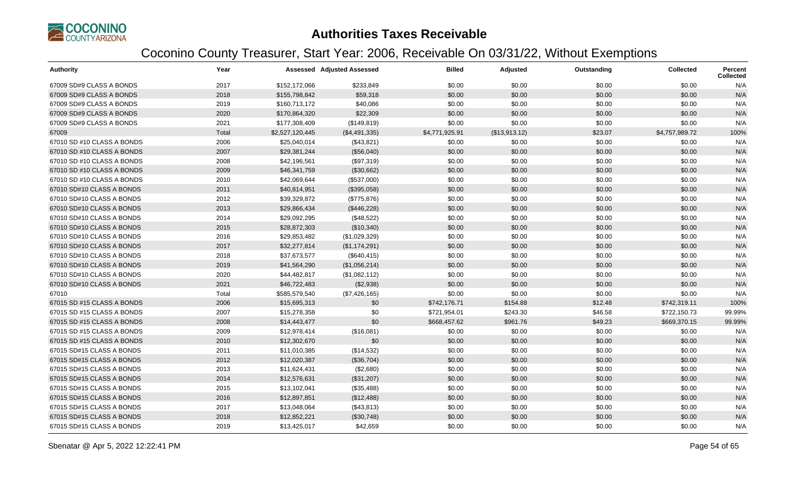

| <b>Authority</b>           | Year  |                 | <b>Assessed Adjusted Assessed</b> | <b>Billed</b>  | Adjusted      | Outstanding | <b>Collected</b> | Percent<br><b>Collected</b> |
|----------------------------|-------|-----------------|-----------------------------------|----------------|---------------|-------------|------------------|-----------------------------|
| 67009 SD#9 CLASS A BONDS   | 2017  | \$152,172,066   | \$233,849                         | \$0.00         | \$0.00        | \$0.00      | \$0.00           | N/A                         |
| 67009 SD#9 CLASS A BONDS   | 2018  | \$155,798,842   | \$59,318                          | \$0.00         | \$0.00        | \$0.00      | \$0.00           | N/A                         |
| 67009 SD#9 CLASS A BONDS   | 2019  | \$160,713,172   | \$40,086                          | \$0.00         | \$0.00        | \$0.00      | \$0.00           | N/A                         |
| 67009 SD#9 CLASS A BONDS   | 2020  | \$170,864,320   | \$22,309                          | \$0.00         | \$0.00        | \$0.00      | \$0.00           | N/A                         |
| 67009 SD#9 CLASS A BONDS   | 2021  | \$177,308,409   | (\$149, 819)                      | \$0.00         | \$0.00        | \$0.00      | \$0.00           | N/A                         |
| 67009                      | Total | \$2,527,120,445 | (\$4,491,335)                     | \$4,771,925.91 | (\$13,913.12) | \$23.07     | \$4,757,989.72   | 100%                        |
| 67010 SD #10 CLASS A BONDS | 2006  | \$25,040,014    | (\$43,821)                        | \$0.00         | \$0.00        | \$0.00      | \$0.00           | N/A                         |
| 67010 SD #10 CLASS A BONDS | 2007  | \$29,381,244    | (\$56,040)                        | \$0.00         | \$0.00        | \$0.00      | \$0.00           | N/A                         |
| 67010 SD #10 CLASS A BONDS | 2008  | \$42,196,561    | (\$97,319)                        | \$0.00         | \$0.00        | \$0.00      | \$0.00           | N/A                         |
| 67010 SD #10 CLASS A BONDS | 2009  | \$46,341,759    | (\$30,662)                        | \$0.00         | \$0.00        | \$0.00      | \$0.00           | N/A                         |
| 67010 SD #10 CLASS A BONDS | 2010  | \$42,069,644    | (\$537,000)                       | \$0.00         | \$0.00        | \$0.00      | \$0.00           | N/A                         |
| 67010 SD#10 CLASS A BONDS  | 2011  | \$40,814,951    | (\$395,058)                       | \$0.00         | \$0.00        | \$0.00      | \$0.00           | N/A                         |
| 67010 SD#10 CLASS A BONDS  | 2012  | \$39,329,872    | (\$775,876)                       | \$0.00         | \$0.00        | \$0.00      | \$0.00           | N/A                         |
| 67010 SD#10 CLASS A BONDS  | 2013  | \$29,866,434    | (\$446,228)                       | \$0.00         | \$0.00        | \$0.00      | \$0.00           | N/A                         |
| 67010 SD#10 CLASS A BONDS  | 2014  | \$29,092,295    | (\$48,522)                        | \$0.00         | \$0.00        | \$0.00      | \$0.00           | N/A                         |
| 67010 SD#10 CLASS A BONDS  | 2015  | \$28,872,303    | (\$10,340)                        | \$0.00         | \$0.00        | \$0.00      | \$0.00           | N/A                         |
| 67010 SD#10 CLASS A BONDS  | 2016  | \$29,853,482    | (\$1,029,329)                     | \$0.00         | \$0.00        | \$0.00      | \$0.00           | N/A                         |
| 67010 SD#10 CLASS A BONDS  | 2017  | \$32,277,814    | (\$1,174,291)                     | \$0.00         | \$0.00        | \$0.00      | \$0.00           | N/A                         |
| 67010 SD#10 CLASS A BONDS  | 2018  | \$37,673,577    | (\$640, 415)                      | \$0.00         | \$0.00        | \$0.00      | \$0.00           | N/A                         |
| 67010 SD#10 CLASS A BONDS  | 2019  | \$41,564,290    | (\$1,056,214)                     | \$0.00         | \$0.00        | \$0.00      | \$0.00           | N/A                         |
| 67010 SD#10 CLASS A BONDS  | 2020  | \$44,482,817    | (\$1,082,112)                     | \$0.00         | \$0.00        | \$0.00      | \$0.00           | N/A                         |
| 67010 SD#10 CLASS A BONDS  | 2021  | \$46,722,483    | (\$2,938)                         | \$0.00         | \$0.00        | \$0.00      | \$0.00           | N/A                         |
| 67010                      | Total | \$585,579,540   | (\$7,426,165)                     | \$0.00         | \$0.00        | \$0.00      | \$0.00           | N/A                         |
| 67015 SD #15 CLASS A BONDS | 2006  | \$15,695,313    | \$0                               | \$742,176.71   | \$154.88      | \$12.48     | \$742,319.11     | 100%                        |
| 67015 SD #15 CLASS A BONDS | 2007  | \$15,278,358    | \$0                               | \$721,954.01   | \$243.30      | \$46.58     | \$722,150.73     | 99.99%                      |
| 67015 SD #15 CLASS A BONDS | 2008  | \$14,443,477    | \$0                               | \$668,457.62   | \$961.76      | \$49.23     | \$669,370.15     | 99.99%                      |
| 67015 SD #15 CLASS A BONDS | 2009  | \$12,978,414    | (\$16,081)                        | \$0.00         | \$0.00        | \$0.00      | \$0.00           | N/A                         |
| 67015 SD #15 CLASS A BONDS | 2010  | \$12,302,670    | \$0                               | \$0.00         | \$0.00        | \$0.00      | \$0.00           | N/A                         |
| 67015 SD#15 CLASS A BONDS  | 2011  | \$11,010,385    | (\$14,532)                        | \$0.00         | \$0.00        | \$0.00      | \$0.00           | N/A                         |
| 67015 SD#15 CLASS A BONDS  | 2012  | \$12,020,387    | (\$36,704)                        | \$0.00         | \$0.00        | \$0.00      | \$0.00           | N/A                         |
| 67015 SD#15 CLASS A BONDS  | 2013  | \$11,624,431    | (\$2,680)                         | \$0.00         | \$0.00        | \$0.00      | \$0.00           | N/A                         |
| 67015 SD#15 CLASS A BONDS  | 2014  | \$12,576,631    | (\$31,207)                        | \$0.00         | \$0.00        | \$0.00      | \$0.00           | N/A                         |
| 67015 SD#15 CLASS A BONDS  | 2015  | \$13,102,041    | (\$35,488)                        | \$0.00         | \$0.00        | \$0.00      | \$0.00           | N/A                         |
| 67015 SD#15 CLASS A BONDS  | 2016  | \$12,897,851    | (\$12,488)                        | \$0.00         | \$0.00        | \$0.00      | \$0.00           | N/A                         |
| 67015 SD#15 CLASS A BONDS  | 2017  | \$13,048,064    | (\$43,813)                        | \$0.00         | \$0.00        | \$0.00      | \$0.00           | N/A                         |
| 67015 SD#15 CLASS A BONDS  | 2018  | \$12,852,221    | (\$30,748)                        | \$0.00         | \$0.00        | \$0.00      | \$0.00           | N/A                         |
| 67015 SD#15 CLASS A BONDS  | 2019  | \$13,425,017    | \$42,659                          | \$0.00         | \$0.00        | \$0.00      | \$0.00           | N/A                         |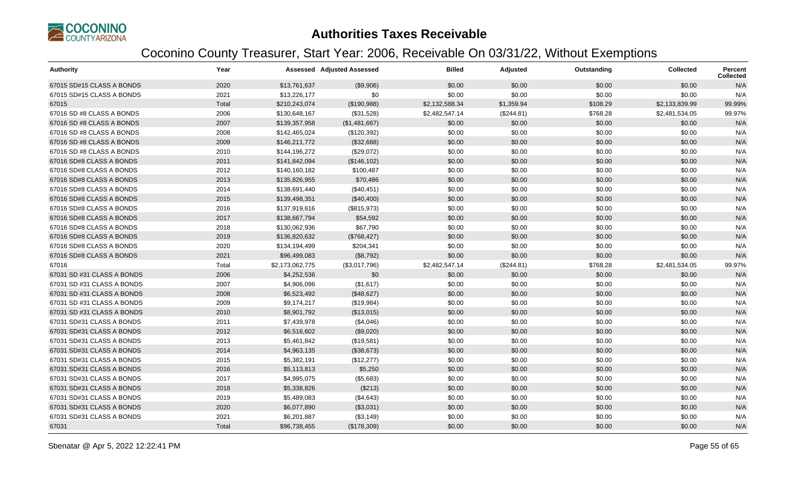

| <b>Authority</b>           | Year  |                 | <b>Assessed Adjusted Assessed</b> | <b>Billed</b>  | Adjusted   | Outstanding | <b>Collected</b> | Percent<br><b>Collected</b> |
|----------------------------|-------|-----------------|-----------------------------------|----------------|------------|-------------|------------------|-----------------------------|
| 67015 SD#15 CLASS A BONDS  | 2020  | \$13,761,637    | (\$9,906)                         | \$0.00         | \$0.00     | \$0.00      | \$0.00           | N/A                         |
| 67015 SD#15 CLASS A BONDS  | 2021  | \$13,226,177    | \$0                               | \$0.00         | \$0.00     | \$0.00      | \$0.00           | N/A                         |
| 67015                      | Total | \$210,243,074   | (\$190,988)                       | \$2,132,588.34 | \$1,359.94 | \$108.29    | \$2,133,839.99   | 99.99%                      |
| 67016 SD #8 CLASS A BONDS  | 2006  | \$130,648,167   | (\$31,528)                        | \$2,482,547.14 | (\$244.81) | \$768.28    | \$2,481,534.05   | 99.97%                      |
| 67016 SD #8 CLASS A BONDS  | 2007  | \$139,357,958   | (\$1,481,667)                     | \$0.00         | \$0.00     | \$0.00      | \$0.00           | N/A                         |
| 67016 SD #8 CLASS A BONDS  | 2008  | \$142,465,024   | (\$120,392)                       | \$0.00         | \$0.00     | \$0.00      | \$0.00           | N/A                         |
| 67016 SD #8 CLASS A BONDS  | 2009  | \$146,211,772   | (\$32,688)                        | \$0.00         | \$0.00     | \$0.00      | \$0.00           | N/A                         |
| 67016 SD #8 CLASS A BONDS  | 2010  | \$144,196,272   | (\$29,072)                        | \$0.00         | \$0.00     | \$0.00      | \$0.00           | N/A                         |
| 67016 SD#8 CLASS A BONDS   | 2011  | \$141,842,094   | (\$146, 102)                      | \$0.00         | \$0.00     | \$0.00      | \$0.00           | N/A                         |
| 67016 SD#8 CLASS A BONDS   | 2012  | \$140,160,182   | \$100,487                         | \$0.00         | \$0.00     | \$0.00      | \$0.00           | N/A                         |
| 67016 SD#8 CLASS A BONDS   | 2013  | \$135,826,955   | \$70,486                          | \$0.00         | \$0.00     | \$0.00      | \$0.00           | N/A                         |
| 67016 SD#8 CLASS A BONDS   | 2014  | \$138,691,440   | (\$40,451)                        | \$0.00         | \$0.00     | \$0.00      | \$0.00           | N/A                         |
| 67016 SD#8 CLASS A BONDS   | 2015  | \$139,498,351   | (\$40,400)                        | \$0.00         | \$0.00     | \$0.00      | \$0.00           | N/A                         |
| 67016 SD#8 CLASS A BONDS   | 2016  | \$137,919,616   | (\$815,973)                       | \$0.00         | \$0.00     | \$0.00      | \$0.00           | N/A                         |
| 67016 SD#8 CLASS A BONDS   | 2017  | \$138,667,794   | \$54,592                          | \$0.00         | \$0.00     | \$0.00      | \$0.00           | N/A                         |
| 67016 SD#8 CLASS A BONDS   | 2018  | \$130,062,936   | \$67,790                          | \$0.00         | \$0.00     | \$0.00      | \$0.00           | N/A                         |
| 67016 SD#8 CLASS A BONDS   | 2019  | \$136,820,632   | (\$768,427)                       | \$0.00         | \$0.00     | \$0.00      | \$0.00           | N/A                         |
| 67016 SD#8 CLASS A BONDS   | 2020  | \$134,194,499   | \$204,341                         | \$0.00         | \$0.00     | \$0.00      | \$0.00           | N/A                         |
| 67016 SD#8 CLASS A BONDS   | 2021  | \$96,499,083    | (\$8,792)                         | \$0.00         | \$0.00     | \$0.00      | \$0.00           | N/A                         |
| 67016                      | Total | \$2,173,062,775 | (\$3,017,796)                     | \$2,482,547.14 | (\$244.81) | \$768.28    | \$2,481,534.05   | 99.97%                      |
| 67031 SD #31 CLASS A BONDS | 2006  | \$4,252,536     | \$0                               | \$0.00         | \$0.00     | \$0.00      | \$0.00           | N/A                         |
| 67031 SD #31 CLASS A BONDS | 2007  | \$4,906,096     | (\$1,617)                         | \$0.00         | \$0.00     | \$0.00      | \$0.00           | N/A                         |
| 67031 SD #31 CLASS A BONDS | 2008  | \$6,523,492     | (\$48,627)                        | \$0.00         | \$0.00     | \$0.00      | \$0.00           | N/A                         |
| 67031 SD #31 CLASS A BONDS | 2009  | \$9,174,217     | (\$19,984)                        | \$0.00         | \$0.00     | \$0.00      | \$0.00           | N/A                         |
| 67031 SD #31 CLASS A BONDS | 2010  | \$8,901,792     | (\$13,015)                        | \$0.00         | \$0.00     | \$0.00      | \$0.00           | N/A                         |
| 67031 SD#31 CLASS A BONDS  | 2011  | \$7,439,978     | (\$4,046)                         | \$0.00         | \$0.00     | \$0.00      | \$0.00           | N/A                         |
| 67031 SD#31 CLASS A BONDS  | 2012  | \$6,516,602     | (\$9,020)                         | \$0.00         | \$0.00     | \$0.00      | \$0.00           | N/A                         |
| 67031 SD#31 CLASS A BONDS  | 2013  | \$5,461,842     | (\$19,581)                        | \$0.00         | \$0.00     | \$0.00      | \$0.00           | N/A                         |
| 67031 SD#31 CLASS A BONDS  | 2014  | \$4,963,135     | (\$38,673)                        | \$0.00         | \$0.00     | \$0.00      | \$0.00           | N/A                         |
| 67031 SD#31 CLASS A BONDS  | 2015  | \$5,382,191     | (\$12,277)                        | \$0.00         | \$0.00     | \$0.00      | \$0.00           | N/A                         |
| 67031 SD#31 CLASS A BONDS  | 2016  | \$5,113,813     | \$5,250                           | \$0.00         | \$0.00     | \$0.00      | \$0.00           | N/A                         |
| 67031 SD#31 CLASS A BONDS  | 2017  | \$4,995,075     | (\$5,683)                         | \$0.00         | \$0.00     | \$0.00      | \$0.00           | N/A                         |
| 67031 SD#31 CLASS A BONDS  | 2018  | \$5,338,826     | (\$213)                           | \$0.00         | \$0.00     | \$0.00      | \$0.00           | N/A                         |
| 67031 SD#31 CLASS A BONDS  | 2019  | \$5,489,083     | (\$4,643)                         | \$0.00         | \$0.00     | \$0.00      | \$0.00           | N/A                         |
| 67031 SD#31 CLASS A BONDS  | 2020  | \$6,077,890     | (\$3,031)                         | \$0.00         | \$0.00     | \$0.00      | \$0.00           | N/A                         |
| 67031 SD#31 CLASS A BONDS  | 2021  | \$6,201,887     | (\$3,149)                         | \$0.00         | \$0.00     | \$0.00      | \$0.00           | N/A                         |
| 67031                      | Total | \$96,738,455    | (\$178,309)                       | \$0.00         | \$0.00     | \$0.00      | \$0.00           | N/A                         |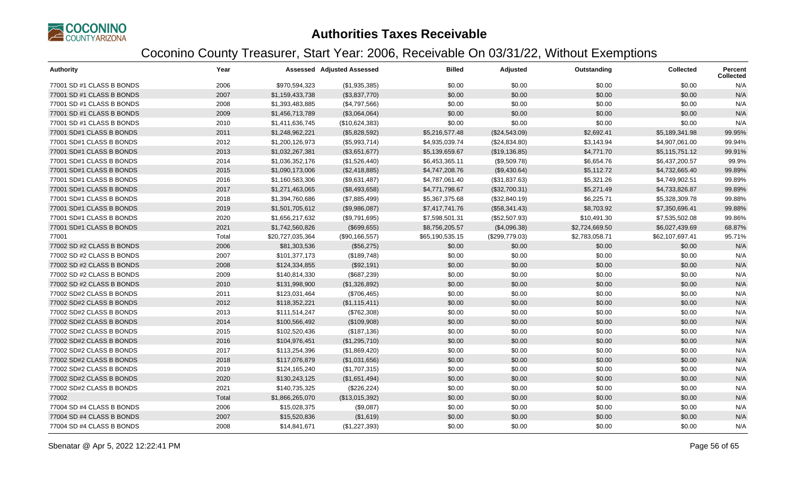

| <b>Authority</b>          | Year  |                  | <b>Assessed Adjusted Assessed</b> | <b>Billed</b>   | Adjusted       | Outstanding    | <b>Collected</b> | <b>Percent</b><br><b>Collected</b> |
|---------------------------|-------|------------------|-----------------------------------|-----------------|----------------|----------------|------------------|------------------------------------|
| 77001 SD #1 CLASS B BONDS | 2006  | \$970,594,323    | (\$1,935,385)                     | \$0.00          | \$0.00         | \$0.00         | \$0.00           | N/A                                |
| 77001 SD #1 CLASS B BONDS | 2007  | \$1,159,433,738  | (\$3,837,770)                     | \$0.00          | \$0.00         | \$0.00         | \$0.00           | N/A                                |
| 77001 SD #1 CLASS B BONDS | 2008  | \$1,393,483,885  | (\$4,797,566)                     | \$0.00          | \$0.00         | \$0.00         | \$0.00           | N/A                                |
| 77001 SD #1 CLASS B BONDS | 2009  | \$1,456,713,789  | (\$3,064,064)                     | \$0.00          | \$0.00         | \$0.00         | \$0.00           | N/A                                |
| 77001 SD #1 CLASS B BONDS | 2010  | \$1,411,636,745  | (\$10,624,383)                    | \$0.00          | \$0.00         | \$0.00         | \$0.00           | N/A                                |
| 77001 SD#1 CLASS B BONDS  | 2011  | \$1,248,962,221  | (\$5,828,592)                     | \$5,216,577.48  | (\$24,543.09)  | \$2,692.41     | \$5,189,341.98   | 99.95%                             |
| 77001 SD#1 CLASS B BONDS  | 2012  | \$1,200,126,973  | (\$5,993,714)                     | \$4,935,039.74  | (\$24,834.80)  | \$3,143.94     | \$4,907,061.00   | 99.94%                             |
| 77001 SD#1 CLASS B BONDS  | 2013  | \$1,032,267,381  | (\$3,651,677)                     | \$5,139,659.67  | (\$19,136.85)  | \$4,771.70     | \$5,115,751.12   | 99.91%                             |
| 77001 SD#1 CLASS B BONDS  | 2014  | \$1,036,352,176  | (\$1,526,440)                     | \$6,453,365.11  | (\$9,509.78)   | \$6,654.76     | \$6,437,200.57   | 99.9%                              |
| 77001 SD#1 CLASS B BONDS  | 2015  | \$1,090,173,006  | (\$2,418,885)                     | \$4,747,208.76  | (\$9,430.64)   | \$5,112.72     | \$4,732,665.40   | 99.89%                             |
| 77001 SD#1 CLASS B BONDS  | 2016  | \$1,160,583,306  | (\$9,631,487)                     | \$4,787,061.40  | (\$31,837.63)  | \$5,321.26     | \$4,749,902.51   | 99.89%                             |
| 77001 SD#1 CLASS B BONDS  | 2017  | \$1,271,463,065  | (\$8,493,658)                     | \$4,771,798.67  | (\$32,700.31)  | \$5,271.49     | \$4,733,826.87   | 99.89%                             |
| 77001 SD#1 CLASS B BONDS  | 2018  | \$1,394,760,686  | (\$7,885,499)                     | \$5,367,375.68  | (\$32,840.19)  | \$6,225.71     | \$5,328,309.78   | 99.88%                             |
| 77001 SD#1 CLASS B BONDS  | 2019  | \$1,501,705,612  | (\$9,986,087)                     | \$7,417,741.76  | (\$58,341.43)  | \$8,703.92     | \$7,350,696.41   | 99.88%                             |
| 77001 SD#1 CLASS B BONDS  | 2020  | \$1,656,217,632  | (\$9,791,695)                     | \$7,598,501.31  | (\$52,507.93)  | \$10,491.30    | \$7,535,502.08   | 99.86%                             |
| 77001 SD#1 CLASS B BONDS  | 2021  | \$1,742,560,826  | (\$699,655)                       | \$8,756,205.57  | (\$4,096.38)   | \$2,724,669.50 | \$6,027,439.69   | 68.87%                             |
| 77001                     | Total | \$20,727,035,364 | (\$90, 166, 557)                  | \$65,190,535.15 | (\$299,779.03) | \$2,783,058.71 | \$62,107,697.41  | 95.71%                             |
| 77002 SD #2 CLASS B BONDS | 2006  | \$81,303,536     | (\$56,275)                        | \$0.00          | \$0.00         | \$0.00         | \$0.00           | N/A                                |
| 77002 SD #2 CLASS B BONDS | 2007  | \$101,377,173    | (\$189,748)                       | \$0.00          | \$0.00         | \$0.00         | \$0.00           | N/A                                |
| 77002 SD #2 CLASS B BONDS | 2008  | \$124,334,855    | (\$92,191)                        | \$0.00          | \$0.00         | \$0.00         | \$0.00           | N/A                                |
| 77002 SD #2 CLASS B BONDS | 2009  | \$140,814,330    | (\$687,239)                       | \$0.00          | \$0.00         | \$0.00         | \$0.00           | N/A                                |
| 77002 SD #2 CLASS B BONDS | 2010  | \$131,998,900    | (\$1,326,892)                     | \$0.00          | \$0.00         | \$0.00         | \$0.00           | N/A                                |
| 77002 SD#2 CLASS B BONDS  | 2011  | \$123,031,464    | (\$706,465)                       | \$0.00          | \$0.00         | \$0.00         | \$0.00           | N/A                                |
| 77002 SD#2 CLASS B BONDS  | 2012  | \$118,352,221    | (\$1,115,411)                     | \$0.00          | \$0.00         | \$0.00         | \$0.00           | N/A                                |
| 77002 SD#2 CLASS B BONDS  | 2013  | \$111,514,247    | (\$762,308)                       | \$0.00          | \$0.00         | \$0.00         | \$0.00           | N/A                                |
| 77002 SD#2 CLASS B BONDS  | 2014  | \$100,566,492    | (\$109,908)                       | \$0.00          | \$0.00         | \$0.00         | \$0.00           | N/A                                |
| 77002 SD#2 CLASS B BONDS  | 2015  | \$102,520,436    | (\$187, 136)                      | \$0.00          | \$0.00         | \$0.00         | \$0.00           | N/A                                |
| 77002 SD#2 CLASS B BONDS  | 2016  | \$104,976,451    | (\$1,295,710)                     | \$0.00          | \$0.00         | \$0.00         | \$0.00           | N/A                                |
| 77002 SD#2 CLASS B BONDS  | 2017  | \$113,254,396    | (\$1,869,420)                     | \$0.00          | \$0.00         | \$0.00         | \$0.00           | N/A                                |
| 77002 SD#2 CLASS B BONDS  | 2018  | \$117,076,879    | (\$1,031,656)                     | \$0.00          | \$0.00         | \$0.00         | \$0.00           | N/A                                |
| 77002 SD#2 CLASS B BONDS  | 2019  | \$124,165,240    | (\$1,707,315)                     | \$0.00          | \$0.00         | \$0.00         | \$0.00           | N/A                                |
| 77002 SD#2 CLASS B BONDS  | 2020  | \$130,243,125    | (\$1,651,494)                     | \$0.00          | \$0.00         | \$0.00         | \$0.00           | N/A                                |
| 77002 SD#2 CLASS B BONDS  | 2021  | \$140,735,325    | (\$226, 224)                      | \$0.00          | \$0.00         | \$0.00         | \$0.00           | N/A                                |
| 77002                     | Total | \$1,866,265,070  | (\$13,015,392)                    | \$0.00          | \$0.00         | \$0.00         | \$0.00           | N/A                                |
| 77004 SD #4 CLASS B BONDS | 2006  | \$15,028,375     | (\$9,087)                         | \$0.00          | \$0.00         | \$0.00         | \$0.00           | N/A                                |
| 77004 SD #4 CLASS B BONDS | 2007  | \$15,520,836     | (\$1,619)                         | \$0.00          | \$0.00         | \$0.00         | \$0.00           | N/A                                |
| 77004 SD #4 CLASS B BONDS | 2008  | \$14,841,671     | (\$1,227,393)                     | \$0.00          | \$0.00         | \$0.00         | \$0.00           | N/A                                |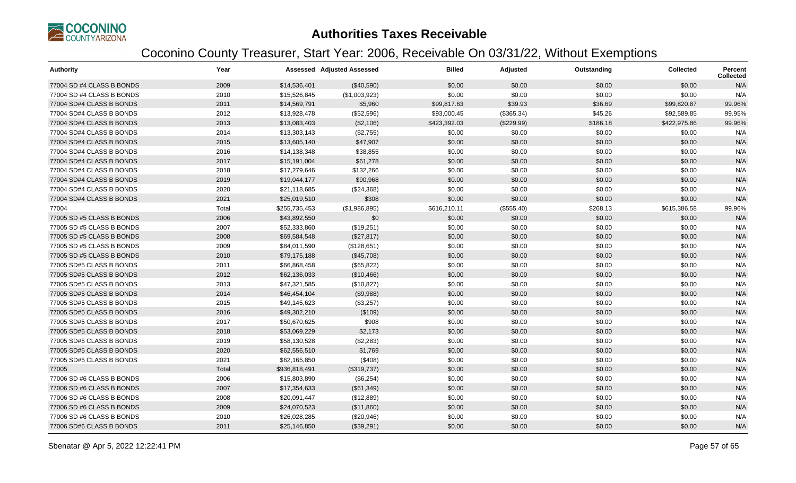

| <b>Authority</b>          | Year  |               | <b>Assessed Adjusted Assessed</b> | <b>Billed</b> | <b>Adjusted</b> | Outstanding | <b>Collected</b> | <b>Percent</b><br><b>Collected</b> |
|---------------------------|-------|---------------|-----------------------------------|---------------|-----------------|-------------|------------------|------------------------------------|
| 77004 SD #4 CLASS B BONDS | 2009  | \$14,536,401  | (\$40,590)                        | \$0.00        | \$0.00          | \$0.00      | \$0.00           | N/A                                |
| 77004 SD #4 CLASS B BONDS | 2010  | \$15,526,845  | (\$1,003,923)                     | \$0.00        | \$0.00          | \$0.00      | \$0.00           | N/A                                |
| 77004 SD#4 CLASS B BONDS  | 2011  | \$14,569,791  | \$5,960                           | \$99,817.63   | \$39.93         | \$36.69     | \$99,820.87      | 99.96%                             |
| 77004 SD#4 CLASS B BONDS  | 2012  | \$13,928,478  | (\$52,596)                        | \$93,000.45   | (\$365.34)      | \$45.26     | \$92,589.85      | 99.95%                             |
| 77004 SD#4 CLASS B BONDS  | 2013  | \$13,083,403  | (\$2,106)                         | \$423,392.03  | (\$229.99)      | \$186.18    | \$422,975.86     | 99.96%                             |
| 77004 SD#4 CLASS B BONDS  | 2014  | \$13,303,143  | (\$2,755)                         | \$0.00        | \$0.00          | \$0.00      | \$0.00           | N/A                                |
| 77004 SD#4 CLASS B BONDS  | 2015  | \$13,605,140  | \$47,907                          | \$0.00        | \$0.00          | \$0.00      | \$0.00           | N/A                                |
| 77004 SD#4 CLASS B BONDS  | 2016  | \$14,138,348  | \$38,855                          | \$0.00        | \$0.00          | \$0.00      | \$0.00           | N/A                                |
| 77004 SD#4 CLASS B BONDS  | 2017  | \$15,191,004  | \$61,278                          | \$0.00        | \$0.00          | \$0.00      | \$0.00           | N/A                                |
| 77004 SD#4 CLASS B BONDS  | 2018  | \$17,279,646  | \$132,266                         | \$0.00        | \$0.00          | \$0.00      | \$0.00           | N/A                                |
| 77004 SD#4 CLASS B BONDS  | 2019  | \$19,044,177  | \$90,968                          | \$0.00        | \$0.00          | \$0.00      | \$0.00           | N/A                                |
| 77004 SD#4 CLASS B BONDS  | 2020  | \$21,118,685  | (\$24,368)                        | \$0.00        | \$0.00          | \$0.00      | \$0.00           | N/A                                |
| 77004 SD#4 CLASS B BONDS  | 2021  | \$25,019,510  | \$308                             | \$0.00        | \$0.00          | \$0.00      | \$0.00           | N/A                                |
| 77004                     | Total | \$255,735,453 | (\$1,986,895)                     | \$616,210.11  | (\$555.40)      | \$268.13    | \$615,386.58     | 99.96%                             |
| 77005 SD #5 CLASS B BONDS | 2006  | \$43,892,550  | \$0                               | \$0.00        | \$0.00          | \$0.00      | \$0.00           | N/A                                |
| 77005 SD #5 CLASS B BONDS | 2007  | \$52,333,860  | (\$19,251)                        | \$0.00        | \$0.00          | \$0.00      | \$0.00           | N/A                                |
| 77005 SD #5 CLASS B BONDS | 2008  | \$69,584,548  | (\$27,817)                        | \$0.00        | \$0.00          | \$0.00      | \$0.00           | N/A                                |
| 77005 SD #5 CLASS B BONDS | 2009  | \$84,011,590  | (\$128,651)                       | \$0.00        | \$0.00          | \$0.00      | \$0.00           | N/A                                |
| 77005 SD #5 CLASS B BONDS | 2010  | \$79,175,188  | (\$45,708)                        | \$0.00        | \$0.00          | \$0.00      | \$0.00           | N/A                                |
| 77005 SD#5 CLASS B BONDS  | 2011  | \$66,868,458  | (\$65,822)                        | \$0.00        | \$0.00          | \$0.00      | \$0.00           | N/A                                |
| 77005 SD#5 CLASS B BONDS  | 2012  | \$62,136,033  | (\$10,466)                        | \$0.00        | \$0.00          | \$0.00      | \$0.00           | N/A                                |
| 77005 SD#5 CLASS B BONDS  | 2013  | \$47,321,585  | (\$10,827)                        | \$0.00        | \$0.00          | \$0.00      | \$0.00           | N/A                                |
| 77005 SD#5 CLASS B BONDS  | 2014  | \$46,454,104  | (\$9,988)                         | \$0.00        | \$0.00          | \$0.00      | \$0.00           | N/A                                |
| 77005 SD#5 CLASS B BONDS  | 2015  | \$49,145,623  | (\$3,257)                         | \$0.00        | \$0.00          | \$0.00      | \$0.00           | N/A                                |
| 77005 SD#5 CLASS B BONDS  | 2016  | \$49,302,210  | (\$109)                           | \$0.00        | \$0.00          | \$0.00      | \$0.00           | N/A                                |
| 77005 SD#5 CLASS B BONDS  | 2017  | \$50,670,625  | \$908                             | \$0.00        | \$0.00          | \$0.00      | \$0.00           | N/A                                |
| 77005 SD#5 CLASS B BONDS  | 2018  | \$53,069,229  | \$2,173                           | \$0.00        | \$0.00          | \$0.00      | \$0.00           | N/A                                |
| 77005 SD#5 CLASS B BONDS  | 2019  | \$58,130,528  | (\$2,283)                         | \$0.00        | \$0.00          | \$0.00      | \$0.00           | N/A                                |
| 77005 SD#5 CLASS B BONDS  | 2020  | \$62,556,510  | \$1,769                           | \$0.00        | \$0.00          | \$0.00      | \$0.00           | N/A                                |
| 77005 SD#5 CLASS B BONDS  | 2021  | \$62,165,850  | (\$408)                           | \$0.00        | \$0.00          | \$0.00      | \$0.00           | N/A                                |
| 77005                     | Total | \$936,818,491 | (\$319,737)                       | \$0.00        | \$0.00          | \$0.00      | \$0.00           | N/A                                |
| 77006 SD #6 CLASS B BONDS | 2006  | \$15,803,890  | (\$6,254)                         | \$0.00        | \$0.00          | \$0.00      | \$0.00           | N/A                                |
| 77006 SD #6 CLASS B BONDS | 2007  | \$17,354,633  | (\$61,349)                        | \$0.00        | \$0.00          | \$0.00      | \$0.00           | N/A                                |
| 77006 SD #6 CLASS B BONDS | 2008  | \$20,091,447  | (\$12,889)                        | \$0.00        | \$0.00          | \$0.00      | \$0.00           | N/A                                |
| 77006 SD #6 CLASS B BONDS | 2009  | \$24,070,523  | (\$11,860)                        | \$0.00        | \$0.00          | \$0.00      | \$0.00           | N/A                                |
| 77006 SD #6 CLASS B BONDS | 2010  | \$26,028,285  | (\$20,946)                        | \$0.00        | \$0.00          | \$0.00      | \$0.00           | N/A                                |
| 77006 SD#6 CLASS B BONDS  | 2011  | \$25,146,850  | (\$39,291)                        | \$0.00        | \$0.00          | \$0.00      | \$0.00           | N/A                                |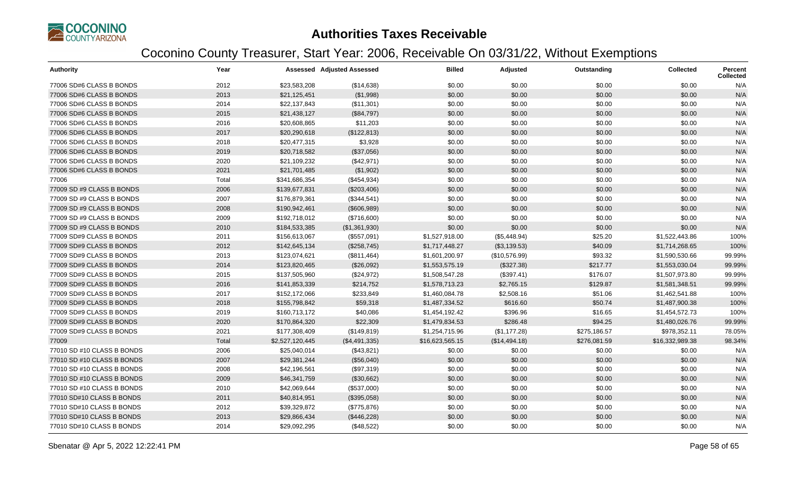

| <b>Authority</b>           | Year  |                 | <b>Assessed Adjusted Assessed</b> | <b>Billed</b>   | Adjusted      | Outstanding  | <b>Collected</b> | <b>Percent</b><br><b>Collected</b> |
|----------------------------|-------|-----------------|-----------------------------------|-----------------|---------------|--------------|------------------|------------------------------------|
| 77006 SD#6 CLASS B BONDS   | 2012  | \$23,583,208    | (\$14,638)                        | \$0.00          | \$0.00        | \$0.00       | \$0.00           | N/A                                |
| 77006 SD#6 CLASS B BONDS   | 2013  | \$21,125,451    | (\$1,998)                         | \$0.00          | \$0.00        | \$0.00       | \$0.00           | N/A                                |
| 77006 SD#6 CLASS B BONDS   | 2014  | \$22,137,843    | (\$11,301)                        | \$0.00          | \$0.00        | \$0.00       | \$0.00           | N/A                                |
| 77006 SD#6 CLASS B BONDS   | 2015  | \$21,438,127    | (\$84,797)                        | \$0.00          | \$0.00        | \$0.00       | \$0.00           | N/A                                |
| 77006 SD#6 CLASS B BONDS   | 2016  | \$20,608,865    | \$11,203                          | \$0.00          | \$0.00        | \$0.00       | \$0.00           | N/A                                |
| 77006 SD#6 CLASS B BONDS   | 2017  | \$20,290,618    | (\$122,813)                       | \$0.00          | \$0.00        | \$0.00       | \$0.00           | N/A                                |
| 77006 SD#6 CLASS B BONDS   | 2018  | \$20,477,315    | \$3,928                           | \$0.00          | \$0.00        | \$0.00       | \$0.00           | N/A                                |
| 77006 SD#6 CLASS B BONDS   | 2019  | \$20,718,582    | (\$37,056)                        | \$0.00          | \$0.00        | \$0.00       | \$0.00           | N/A                                |
| 77006 SD#6 CLASS B BONDS   | 2020  | \$21,109,232    | (\$42,971)                        | \$0.00          | \$0.00        | \$0.00       | \$0.00           | N/A                                |
| 77006 SD#6 CLASS B BONDS   | 2021  | \$21,701,485    | (\$1,902)                         | \$0.00          | \$0.00        | \$0.00       | \$0.00           | N/A                                |
| 77006                      | Total | \$341,686,354   | (\$454,934)                       | \$0.00          | \$0.00        | \$0.00       | \$0.00           | N/A                                |
| 77009 SD #9 CLASS B BONDS  | 2006  | \$139,677,831   | (\$203,406)                       | \$0.00          | \$0.00        | \$0.00       | \$0.00           | N/A                                |
| 77009 SD #9 CLASS B BONDS  | 2007  | \$176,879,361   | (\$344,541)                       | \$0.00          | \$0.00        | \$0.00       | \$0.00           | N/A                                |
| 77009 SD #9 CLASS B BONDS  | 2008  | \$190,942,461   | (\$606,989)                       | \$0.00          | \$0.00        | \$0.00       | \$0.00           | N/A                                |
| 77009 SD #9 CLASS B BONDS  | 2009  | \$192,718,012   | (\$716,600)                       | \$0.00          | \$0.00        | \$0.00       | \$0.00           | N/A                                |
| 77009 SD #9 CLASS B BONDS  | 2010  | \$184,533,385   | (\$1,361,930)                     | \$0.00          | \$0.00        | \$0.00       | \$0.00           | N/A                                |
| 77009 SD#9 CLASS B BONDS   | 2011  | \$156,613,067   | (\$557,091)                       | \$1,527,918.00  | (\$5,448.94)  | \$25.20      | \$1,522,443.86   | 100%                               |
| 77009 SD#9 CLASS B BONDS   | 2012  | \$142,645,134   | (\$258,745)                       | \$1,717,448.27  | (\$3,139.53)  | \$40.09      | \$1,714,268.65   | 100%                               |
| 77009 SD#9 CLASS B BONDS   | 2013  | \$123,074,621   | (\$811,464)                       | \$1,601,200.97  | (\$10,576.99) | \$93.32      | \$1,590,530.66   | 99.99%                             |
| 77009 SD#9 CLASS B BONDS   | 2014  | \$123,820,465   | (\$26,092)                        | \$1,553,575.19  | (\$327.38)    | \$217.77     | \$1,553,030.04   | 99.99%                             |
| 77009 SD#9 CLASS B BONDS   | 2015  | \$137,505,960   | (\$24,972)                        | \$1,508,547.28  | (\$397.41)    | \$176.07     | \$1,507,973.80   | 99.99%                             |
| 77009 SD#9 CLASS B BONDS   | 2016  | \$141,853,339   | \$214,752                         | \$1,578,713.23  | \$2,765.15    | \$129.87     | \$1,581,348.51   | 99.99%                             |
| 77009 SD#9 CLASS B BONDS   | 2017  | \$152,172,066   | \$233,849                         | \$1,460,084.78  | \$2,508.16    | \$51.06      | \$1,462,541.88   | 100%                               |
| 77009 SD#9 CLASS B BONDS   | 2018  | \$155,798,842   | \$59,318                          | \$1,487,334.52  | \$616.60      | \$50.74      | \$1,487,900.38   | 100%                               |
| 77009 SD#9 CLASS B BONDS   | 2019  | \$160,713,172   | \$40,086                          | \$1,454,192.42  | \$396.96      | \$16.65      | \$1,454,572.73   | 100%                               |
| 77009 SD#9 CLASS B BONDS   | 2020  | \$170,864,320   | \$22,309                          | \$1,479,834.53  | \$286.48      | \$94.25      | \$1,480,026.76   | 99.99%                             |
| 77009 SD#9 CLASS B BONDS   | 2021  | \$177,308,409   | (\$149, 819)                      | \$1,254,715.96  | (\$1,177.28)  | \$275,186.57 | \$978,352.11     | 78.05%                             |
| 77009                      | Total | \$2,527,120,445 | (\$4,491,335)                     | \$16,623,565.15 | (\$14,494.18) | \$276,081.59 | \$16,332,989.38  | 98.34%                             |
| 77010 SD #10 CLASS B BONDS | 2006  | \$25,040,014    | (\$43,821)                        | \$0.00          | \$0.00        | \$0.00       | \$0.00           | N/A                                |
| 77010 SD #10 CLASS B BONDS | 2007  | \$29,381,244    | (\$56,040)                        | \$0.00          | \$0.00        | \$0.00       | \$0.00           | N/A                                |
| 77010 SD #10 CLASS B BONDS | 2008  | \$42,196,561    | (\$97,319)                        | \$0.00          | \$0.00        | \$0.00       | \$0.00           | N/A                                |
| 77010 SD #10 CLASS B BONDS | 2009  | \$46,341,759    | (\$30,662)                        | \$0.00          | \$0.00        | \$0.00       | \$0.00           | N/A                                |
| 77010 SD #10 CLASS B BONDS | 2010  | \$42,069,644    | (\$537,000)                       | \$0.00          | \$0.00        | \$0.00       | \$0.00           | N/A                                |
| 77010 SD#10 CLASS B BONDS  | 2011  | \$40,814,951    | (\$395,058)                       | \$0.00          | \$0.00        | \$0.00       | \$0.00           | N/A                                |
| 77010 SD#10 CLASS B BONDS  | 2012  | \$39,329,872    | (\$775,876)                       | \$0.00          | \$0.00        | \$0.00       | \$0.00           | N/A                                |
| 77010 SD#10 CLASS B BONDS  | 2013  | \$29,866,434    | (\$446,228)                       | \$0.00          | \$0.00        | \$0.00       | \$0.00           | N/A                                |
| 77010 SD#10 CLASS B BONDS  | 2014  | \$29,092,295    | (\$48,522)                        | \$0.00          | \$0.00        | \$0.00       | \$0.00           | N/A                                |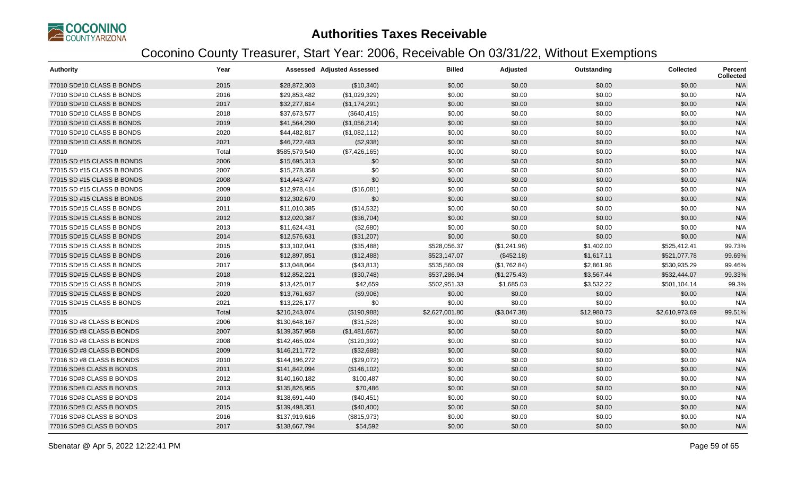

| <b>Authority</b>           | Year  |               | <b>Assessed Adjusted Assessed</b> | <b>Billed</b>  | Adjusted     | Outstanding | <b>Collected</b> | <b>Percent</b><br><b>Collected</b> |
|----------------------------|-------|---------------|-----------------------------------|----------------|--------------|-------------|------------------|------------------------------------|
| 77010 SD#10 CLASS B BONDS  | 2015  | \$28,872,303  | (\$10,340)                        | \$0.00         | \$0.00       | \$0.00      | \$0.00           | N/A                                |
| 77010 SD#10 CLASS B BONDS  | 2016  | \$29,853,482  | (\$1,029,329)                     | \$0.00         | \$0.00       | \$0.00      | \$0.00           | N/A                                |
| 77010 SD#10 CLASS B BONDS  | 2017  | \$32,277,814  | (\$1,174,291)                     | \$0.00         | \$0.00       | \$0.00      | \$0.00           | N/A                                |
| 77010 SD#10 CLASS B BONDS  | 2018  | \$37,673,577  | (\$640, 415)                      | \$0.00         | \$0.00       | \$0.00      | \$0.00           | N/A                                |
| 77010 SD#10 CLASS B BONDS  | 2019  | \$41,564,290  | (\$1,056,214)                     | \$0.00         | \$0.00       | \$0.00      | \$0.00           | N/A                                |
| 77010 SD#10 CLASS B BONDS  | 2020  | \$44,482,817  | (\$1,082,112)                     | \$0.00         | \$0.00       | \$0.00      | \$0.00           | N/A                                |
| 77010 SD#10 CLASS B BONDS  | 2021  | \$46,722,483  | (\$2,938)                         | \$0.00         | \$0.00       | \$0.00      | \$0.00           | N/A                                |
| 77010                      | Total | \$585,579,540 | (\$7,426,165)                     | \$0.00         | \$0.00       | \$0.00      | \$0.00           | N/A                                |
| 77015 SD #15 CLASS B BONDS | 2006  | \$15,695,313  | \$0                               | \$0.00         | \$0.00       | \$0.00      | \$0.00           | N/A                                |
| 77015 SD #15 CLASS B BONDS | 2007  | \$15,278,358  | \$0                               | \$0.00         | \$0.00       | \$0.00      | \$0.00           | N/A                                |
| 77015 SD #15 CLASS B BONDS | 2008  | \$14,443,477  | \$0                               | \$0.00         | \$0.00       | \$0.00      | \$0.00           | N/A                                |
| 77015 SD #15 CLASS B BONDS | 2009  | \$12,978,414  | (\$16,081)                        | \$0.00         | \$0.00       | \$0.00      | \$0.00           | N/A                                |
| 77015 SD #15 CLASS B BONDS | 2010  | \$12,302,670  | \$0                               | \$0.00         | \$0.00       | \$0.00      | \$0.00           | N/A                                |
| 77015 SD#15 CLASS B BONDS  | 2011  | \$11,010,385  | (\$14,532)                        | \$0.00         | \$0.00       | \$0.00      | \$0.00           | N/A                                |
| 77015 SD#15 CLASS B BONDS  | 2012  | \$12,020,387  | (\$36,704)                        | \$0.00         | \$0.00       | \$0.00      | \$0.00           | N/A                                |
| 77015 SD#15 CLASS B BONDS  | 2013  | \$11,624,431  | (\$2,680)                         | \$0.00         | \$0.00       | \$0.00      | \$0.00           | N/A                                |
| 77015 SD#15 CLASS B BONDS  | 2014  | \$12,576,631  | (\$31,207)                        | \$0.00         | \$0.00       | \$0.00      | \$0.00           | N/A                                |
| 77015 SD#15 CLASS B BONDS  | 2015  | \$13,102,041  | (\$35,488)                        | \$528,056.37   | (\$1,241.96) | \$1,402.00  | \$525,412.41     | 99.73%                             |
| 77015 SD#15 CLASS B BONDS  | 2016  | \$12,897,851  | (\$12,488)                        | \$523,147.07   | (\$452.18)   | \$1,617.11  | \$521,077.78     | 99.69%                             |
| 77015 SD#15 CLASS B BONDS  | 2017  | \$13,048,064  | (\$43,813)                        | \$535,560.09   | (\$1,762.84) | \$2,861.96  | \$530,935.29     | 99.46%                             |
| 77015 SD#15 CLASS B BONDS  | 2018  | \$12,852,221  | (\$30,748)                        | \$537,286.94   | (\$1,275.43) | \$3,567.44  | \$532,444.07     | 99.33%                             |
| 77015 SD#15 CLASS B BONDS  | 2019  | \$13,425,017  | \$42,659                          | \$502,951.33   | \$1,685.03   | \$3,532.22  | \$501,104.14     | 99.3%                              |
| 77015 SD#15 CLASS B BONDS  | 2020  | \$13,761,637  | (\$9,906)                         | \$0.00         | \$0.00       | \$0.00      | \$0.00           | N/A                                |
| 77015 SD#15 CLASS B BONDS  | 2021  | \$13,226,177  | \$0                               | \$0.00         | \$0.00       | \$0.00      | \$0.00           | N/A                                |
| 77015                      | Total | \$210,243,074 | (\$190,988)                       | \$2,627,001.80 | (\$3,047.38) | \$12,980.73 | \$2,610,973.69   | 99.51%                             |
| 77016 SD #8 CLASS B BONDS  | 2006  | \$130,648,167 | (\$31,528)                        | \$0.00         | \$0.00       | \$0.00      | \$0.00           | N/A                                |
| 77016 SD #8 CLASS B BONDS  | 2007  | \$139,357,958 | (\$1,481,667)                     | \$0.00         | \$0.00       | \$0.00      | \$0.00           | N/A                                |
| 77016 SD #8 CLASS B BONDS  | 2008  | \$142,465,024 | (\$120,392)                       | \$0.00         | \$0.00       | \$0.00      | \$0.00           | N/A                                |
| 77016 SD #8 CLASS B BONDS  | 2009  | \$146,211,772 | (\$32,688)                        | \$0.00         | \$0.00       | \$0.00      | \$0.00           | N/A                                |
| 77016 SD #8 CLASS B BONDS  | 2010  | \$144,196,272 | (\$29,072)                        | \$0.00         | \$0.00       | \$0.00      | \$0.00           | N/A                                |
| 77016 SD#8 CLASS B BONDS   | 2011  | \$141,842,094 | (\$146, 102)                      | \$0.00         | \$0.00       | \$0.00      | \$0.00           | N/A                                |
| 77016 SD#8 CLASS B BONDS   | 2012  | \$140,160,182 | \$100,487                         | \$0.00         | \$0.00       | \$0.00      | \$0.00           | N/A                                |
| 77016 SD#8 CLASS B BONDS   | 2013  | \$135,826,955 | \$70,486                          | \$0.00         | \$0.00       | \$0.00      | \$0.00           | N/A                                |
| 77016 SD#8 CLASS B BONDS   | 2014  | \$138,691,440 | (\$40,451)                        | \$0.00         | \$0.00       | \$0.00      | \$0.00           | N/A                                |
| 77016 SD#8 CLASS B BONDS   | 2015  | \$139,498,351 | (\$40,400)                        | \$0.00         | \$0.00       | \$0.00      | \$0.00           | N/A                                |
| 77016 SD#8 CLASS B BONDS   | 2016  | \$137,919,616 | (\$815,973)                       | \$0.00         | \$0.00       | \$0.00      | \$0.00           | N/A                                |
| 77016 SD#8 CLASS B BONDS   | 2017  | \$138,667,794 | \$54,592                          | \$0.00         | \$0.00       | \$0.00      | \$0.00           | N/A                                |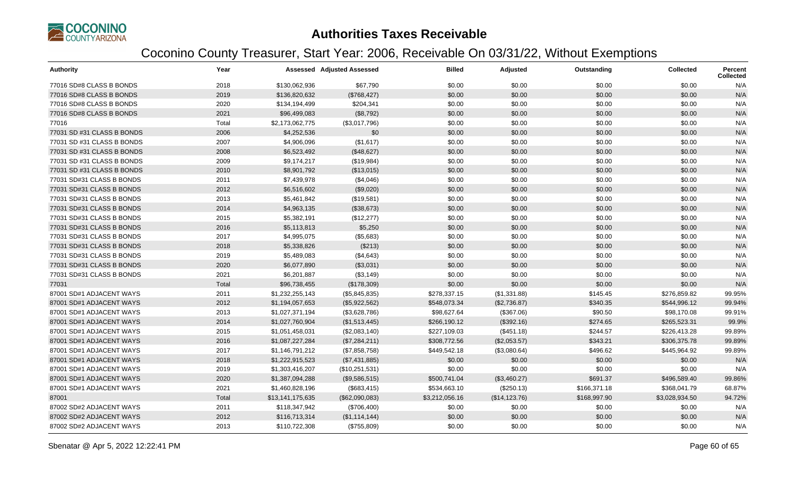

| <b>Authority</b>           | Year  |                  | <b>Assessed Adjusted Assessed</b> | <b>Billed</b>  | Adjusted       | Outstanding  | <b>Collected</b> | <b>Percent</b><br><b>Collected</b> |
|----------------------------|-------|------------------|-----------------------------------|----------------|----------------|--------------|------------------|------------------------------------|
| 77016 SD#8 CLASS B BONDS   | 2018  | \$130,062,936    | \$67,790                          | \$0.00         | \$0.00         | \$0.00       | \$0.00           | N/A                                |
| 77016 SD#8 CLASS B BONDS   | 2019  | \$136,820,632    | (\$768,427)                       | \$0.00         | \$0.00         | \$0.00       | \$0.00           | N/A                                |
| 77016 SD#8 CLASS B BONDS   | 2020  | \$134,194,499    | \$204,341                         | \$0.00         | \$0.00         | \$0.00       | \$0.00           | N/A                                |
| 77016 SD#8 CLASS B BONDS   | 2021  | \$96,499,083     | (\$8,792)                         | \$0.00         | \$0.00         | \$0.00       | \$0.00           | N/A                                |
| 77016                      | Total | \$2,173,062,775  | (\$3,017,796)                     | \$0.00         | \$0.00         | \$0.00       | \$0.00           | N/A                                |
| 77031 SD #31 CLASS B BONDS | 2006  | \$4,252,536      | \$0                               | \$0.00         | \$0.00         | \$0.00       | \$0.00           | N/A                                |
| 77031 SD #31 CLASS B BONDS | 2007  | \$4,906,096      | (\$1,617)                         | \$0.00         | \$0.00         | \$0.00       | \$0.00           | N/A                                |
| 77031 SD #31 CLASS B BONDS | 2008  | \$6,523,492      | (\$48,627)                        | \$0.00         | \$0.00         | \$0.00       | \$0.00           | N/A                                |
| 77031 SD #31 CLASS B BONDS | 2009  | \$9,174,217      | (\$19,984)                        | \$0.00         | \$0.00         | \$0.00       | \$0.00           | N/A                                |
| 77031 SD #31 CLASS B BONDS | 2010  | \$8,901,792      | (\$13,015)                        | \$0.00         | \$0.00         | \$0.00       | \$0.00           | N/A                                |
| 77031 SD#31 CLASS B BONDS  | 2011  | \$7,439,978      | (\$4,046)                         | \$0.00         | \$0.00         | \$0.00       | \$0.00           | N/A                                |
| 77031 SD#31 CLASS B BONDS  | 2012  | \$6,516,602      | (\$9,020)                         | \$0.00         | \$0.00         | \$0.00       | \$0.00           | N/A                                |
| 77031 SD#31 CLASS B BONDS  | 2013  | \$5,461,842      | (\$19,581)                        | \$0.00         | \$0.00         | \$0.00       | \$0.00           | N/A                                |
| 77031 SD#31 CLASS B BONDS  | 2014  | \$4,963,135      | (\$38,673)                        | \$0.00         | \$0.00         | \$0.00       | \$0.00           | N/A                                |
| 77031 SD#31 CLASS B BONDS  | 2015  | \$5,382,191      | (\$12,277)                        | \$0.00         | \$0.00         | \$0.00       | \$0.00           | N/A                                |
| 77031 SD#31 CLASS B BONDS  | 2016  | \$5,113,813      | \$5,250                           | \$0.00         | \$0.00         | \$0.00       | \$0.00           | N/A                                |
| 77031 SD#31 CLASS B BONDS  | 2017  | \$4,995,075      | (\$5,683)                         | \$0.00         | \$0.00         | \$0.00       | \$0.00           | N/A                                |
| 77031 SD#31 CLASS B BONDS  | 2018  | \$5,338,826      | (\$213)                           | \$0.00         | \$0.00         | \$0.00       | \$0.00           | N/A                                |
| 77031 SD#31 CLASS B BONDS  | 2019  | \$5,489,083      | (\$4,643)                         | \$0.00         | \$0.00         | \$0.00       | \$0.00           | N/A                                |
| 77031 SD#31 CLASS B BONDS  | 2020  | \$6,077,890      | (\$3,031)                         | \$0.00         | \$0.00         | \$0.00       | \$0.00           | N/A                                |
| 77031 SD#31 CLASS B BONDS  | 2021  | \$6,201,887      | (\$3,149)                         | \$0.00         | \$0.00         | \$0.00       | \$0.00           | N/A                                |
| 77031                      | Total | \$96,738,455     | (\$178,309)                       | \$0.00         | \$0.00         | \$0.00       | \$0.00           | N/A                                |
| 87001 SD#1 ADJACENT WAYS   | 2011  | \$1,232,255,143  | (\$5,845,835)                     | \$278,337.15   | (\$1,331.88)   | \$145.45     | \$276,859.82     | 99.95%                             |
| 87001 SD#1 ADJACENT WAYS   | 2012  | \$1,194,057,653  | (\$5,922,562)                     | \$548,073.34   | (\$2,736.87)   | \$340.35     | \$544,996.12     | 99.94%                             |
| 87001 SD#1 ADJACENT WAYS   | 2013  | \$1,027,371,194  | (\$3,628,786)                     | \$98,627.64    | (\$367.06)     | \$90.50      | \$98,170.08      | 99.91%                             |
| 87001 SD#1 ADJACENT WAYS   | 2014  | \$1,027,760,904  | (\$1,513,445)                     | \$266,190.12   | (\$392.16)     | \$274.65     | \$265,523.31     | 99.9%                              |
| 87001 SD#1 ADJACENT WAYS   | 2015  | \$1,051,458,031  | (\$2,083,140)                     | \$227,109.03   | (\$451.18)     | \$244.57     | \$226,413.28     | 99.89%                             |
| 87001 SD#1 ADJACENT WAYS   | 2016  | \$1,087,227,284  | (\$7,284,211)                     | \$308,772.56   | (\$2,053.57)   | \$343.21     | \$306,375.78     | 99.89%                             |
| 87001 SD#1 ADJACENT WAYS   | 2017  | \$1,146,791,212  | (\$7,858,758)                     | \$449,542.18   | (\$3,080.64)   | \$496.62     | \$445,964.92     | 99.89%                             |
| 87001 SD#1 ADJACENT WAYS   | 2018  | \$1,222,915,523  | (\$7,431,885)                     | \$0.00         | \$0.00         | \$0.00       | \$0.00           | N/A                                |
| 87001 SD#1 ADJACENT WAYS   | 2019  | \$1,303,416,207  | (\$10,251,531)                    | \$0.00         | \$0.00         | \$0.00       | \$0.00           | N/A                                |
| 87001 SD#1 ADJACENT WAYS   | 2020  | \$1,387,094,288  | (\$9,586,515)                     | \$500,741.04   | (\$3,460.27)   | \$691.37     | \$496,589.40     | 99.86%                             |
| 87001 SD#1 ADJACENT WAYS   | 2021  | \$1,460,828,196  | (\$683,415)                       | \$534,663.10   | (\$250.13)     | \$166,371.18 | \$368,041.79     | 68.87%                             |
| 87001                      | Total | \$13,141,175,635 | (\$62,090,083)                    | \$3,212,056.16 | (\$14, 123.76) | \$168,997.90 | \$3,028,934.50   | 94.72%                             |
| 87002 SD#2 ADJACENT WAYS   | 2011  | \$118,347,942    | (\$706,400)                       | \$0.00         | \$0.00         | \$0.00       | \$0.00           | N/A                                |
| 87002 SD#2 ADJACENT WAYS   | 2012  | \$116,713,314    | (\$1,114,144)                     | \$0.00         | \$0.00         | \$0.00       | \$0.00           | N/A                                |
| 87002 SD#2 ADJACENT WAYS   | 2013  | \$110,722,308    | (\$755,809)                       | \$0.00         | \$0.00         | \$0.00       | \$0.00           | N/A                                |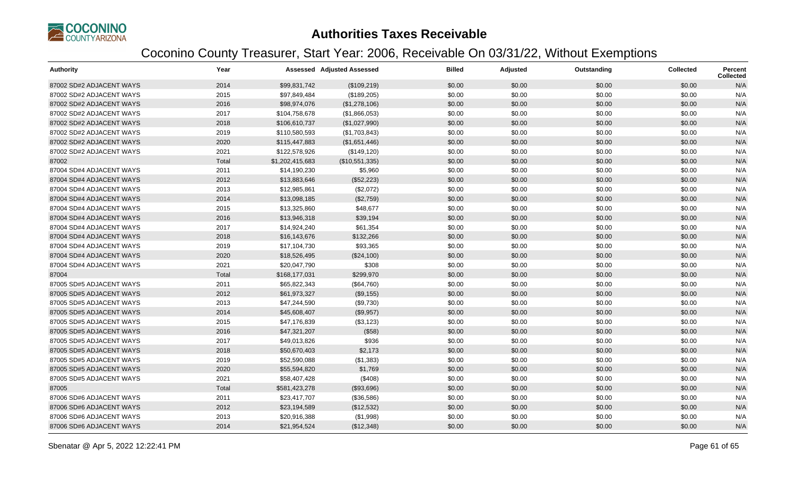

| <b>Authority</b>         | Year  |                 | <b>Assessed Adjusted Assessed</b> | <b>Billed</b> | Adjusted | Outstanding | <b>Collected</b> | <b>Percent</b><br><b>Collected</b> |
|--------------------------|-------|-----------------|-----------------------------------|---------------|----------|-------------|------------------|------------------------------------|
| 87002 SD#2 ADJACENT WAYS | 2014  | \$99,831,742    | (\$109,219)                       | \$0.00        | \$0.00   | \$0.00      | \$0.00           | N/A                                |
| 87002 SD#2 ADJACENT WAYS | 2015  | \$97,849,484    | (\$189,205)                       | \$0.00        | \$0.00   | \$0.00      | \$0.00           | N/A                                |
| 87002 SD#2 ADJACENT WAYS | 2016  | \$98,974,076    | (\$1,278,106)                     | \$0.00        | \$0.00   | \$0.00      | \$0.00           | N/A                                |
| 87002 SD#2 ADJACENT WAYS | 2017  | \$104,758,678   | (\$1,866,053)                     | \$0.00        | \$0.00   | \$0.00      | \$0.00           | N/A                                |
| 87002 SD#2 ADJACENT WAYS | 2018  | \$106,610,737   | (\$1,027,990)                     | \$0.00        | \$0.00   | \$0.00      | \$0.00           | N/A                                |
| 87002 SD#2 ADJACENT WAYS | 2019  | \$110,580,593   | (\$1,703,843)                     | \$0.00        | \$0.00   | \$0.00      | \$0.00           | N/A                                |
| 87002 SD#2 ADJACENT WAYS | 2020  | \$115,447,883   | (\$1,651,446)                     | \$0.00        | \$0.00   | \$0.00      | \$0.00           | N/A                                |
| 87002 SD#2 ADJACENT WAYS | 2021  | \$122,578,926   | (\$149, 120)                      | \$0.00        | \$0.00   | \$0.00      | \$0.00           | N/A                                |
| 87002                    | Total | \$1,202,415,683 | (\$10,551,335)                    | \$0.00        | \$0.00   | \$0.00      | \$0.00           | N/A                                |
| 87004 SD#4 ADJACENT WAYS | 2011  | \$14,190,230    | \$5,960                           | \$0.00        | \$0.00   | \$0.00      | \$0.00           | N/A                                |
| 87004 SD#4 ADJACENT WAYS | 2012  | \$13,883,646    | (\$52,223)                        | \$0.00        | \$0.00   | \$0.00      | \$0.00           | N/A                                |
| 87004 SD#4 ADJACENT WAYS | 2013  | \$12,985,861    | (\$2,072)                         | \$0.00        | \$0.00   | \$0.00      | \$0.00           | N/A                                |
| 87004 SD#4 ADJACENT WAYS | 2014  | \$13,098,185    | (\$2,759)                         | \$0.00        | \$0.00   | \$0.00      | \$0.00           | N/A                                |
| 87004 SD#4 ADJACENT WAYS | 2015  | \$13,325,860    | \$48,677                          | \$0.00        | \$0.00   | \$0.00      | \$0.00           | N/A                                |
| 87004 SD#4 ADJACENT WAYS | 2016  | \$13,946,318    | \$39,194                          | \$0.00        | \$0.00   | \$0.00      | \$0.00           | N/A                                |
| 87004 SD#4 ADJACENT WAYS | 2017  | \$14,924,240    | \$61,354                          | \$0.00        | \$0.00   | \$0.00      | \$0.00           | N/A                                |
| 87004 SD#4 ADJACENT WAYS | 2018  | \$16,143,676    | \$132,266                         | \$0.00        | \$0.00   | \$0.00      | \$0.00           | N/A                                |
| 87004 SD#4 ADJACENT WAYS | 2019  | \$17,104,730    | \$93,365                          | \$0.00        | \$0.00   | \$0.00      | \$0.00           | N/A                                |
| 87004 SD#4 ADJACENT WAYS | 2020  | \$18,526,495    | (\$24,100)                        | \$0.00        | \$0.00   | \$0.00      | \$0.00           | N/A                                |
| 87004 SD#4 ADJACENT WAYS | 2021  | \$20,047,790    | \$308                             | \$0.00        | \$0.00   | \$0.00      | \$0.00           | N/A                                |
| 87004                    | Total | \$168,177,031   | \$299,970                         | \$0.00        | \$0.00   | \$0.00      | \$0.00           | N/A                                |
| 87005 SD#5 ADJACENT WAYS | 2011  | \$65,822,343    | (\$64,760)                        | \$0.00        | \$0.00   | \$0.00      | \$0.00           | N/A                                |
| 87005 SD#5 ADJACENT WAYS | 2012  | \$61,973,327    | (\$9,155)                         | \$0.00        | \$0.00   | \$0.00      | \$0.00           | N/A                                |
| 87005 SD#5 ADJACENT WAYS | 2013  | \$47,244,590    | (\$9,730)                         | \$0.00        | \$0.00   | \$0.00      | \$0.00           | N/A                                |
| 87005 SD#5 ADJACENT WAYS | 2014  | \$45,608,407    | (\$9,957)                         | \$0.00        | \$0.00   | \$0.00      | \$0.00           | N/A                                |
| 87005 SD#5 ADJACENT WAYS | 2015  | \$47,176,839    | (\$3,123)                         | \$0.00        | \$0.00   | \$0.00      | \$0.00           | N/A                                |
| 87005 SD#5 ADJACENT WAYS | 2016  | \$47,321,207    | (\$58)                            | \$0.00        | \$0.00   | \$0.00      | \$0.00           | N/A                                |
| 87005 SD#5 ADJACENT WAYS | 2017  | \$49,013,826    | \$936                             | \$0.00        | \$0.00   | \$0.00      | \$0.00           | N/A                                |
| 87005 SD#5 ADJACENT WAYS | 2018  | \$50,670,403    | \$2,173                           | \$0.00        | \$0.00   | \$0.00      | \$0.00           | N/A                                |
| 87005 SD#5 ADJACENT WAYS | 2019  | \$52,590,088    | (\$1,383)                         | \$0.00        | \$0.00   | \$0.00      | \$0.00           | N/A                                |
| 87005 SD#5 ADJACENT WAYS | 2020  | \$55,594,820    | \$1,769                           | \$0.00        | \$0.00   | \$0.00      | \$0.00           | N/A                                |
| 87005 SD#5 ADJACENT WAYS | 2021  | \$58,407,428    | (\$408)                           | \$0.00        | \$0.00   | \$0.00      | \$0.00           | N/A                                |
| 87005                    | Total | \$581,423,278   | (\$93,696)                        | \$0.00        | \$0.00   | \$0.00      | \$0.00           | N/A                                |
| 87006 SD#6 ADJACENT WAYS | 2011  | \$23,417,707    | (\$36,586)                        | \$0.00        | \$0.00   | \$0.00      | \$0.00           | N/A                                |
| 87006 SD#6 ADJACENT WAYS | 2012  | \$23,194,589    | (\$12,532)                        | \$0.00        | \$0.00   | \$0.00      | \$0.00           | N/A                                |
| 87006 SD#6 ADJACENT WAYS | 2013  | \$20,916,388    | (\$1,998)                         | \$0.00        | \$0.00   | \$0.00      | \$0.00           | N/A                                |
| 87006 SD#6 ADJACENT WAYS | 2014  | \$21,954,524    | (\$12,348)                        | \$0.00        | \$0.00   | \$0.00      | \$0.00           | N/A                                |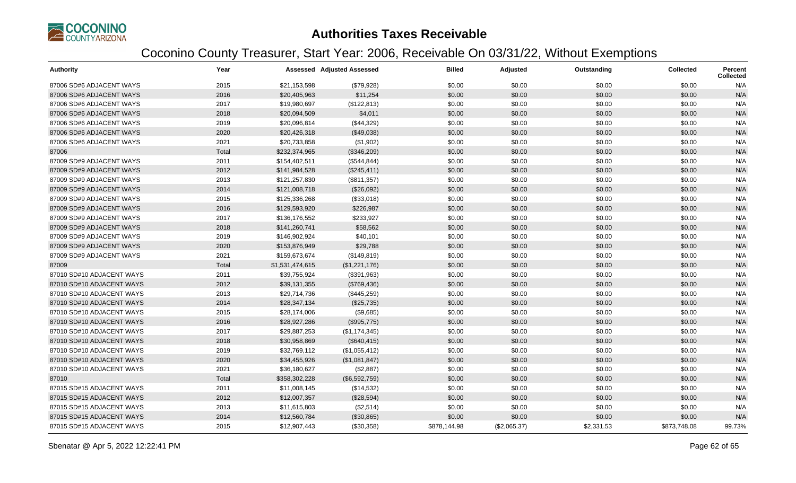

| <b>Authority</b>          | Year  |                 | <b>Assessed Adjusted Assessed</b> | <b>Billed</b> | Adjusted     | Outstanding | <b>Collected</b> | <b>Percent</b><br><b>Collected</b> |
|---------------------------|-------|-----------------|-----------------------------------|---------------|--------------|-------------|------------------|------------------------------------|
| 87006 SD#6 ADJACENT WAYS  | 2015  | \$21,153,598    | (\$79,928)                        | \$0.00        | \$0.00       | \$0.00      | \$0.00           | N/A                                |
| 87006 SD#6 ADJACENT WAYS  | 2016  | \$20,405,963    | \$11,254                          | \$0.00        | \$0.00       | \$0.00      | \$0.00           | N/A                                |
| 87006 SD#6 ADJACENT WAYS  | 2017  | \$19,980,697    | (\$122,813)                       | \$0.00        | \$0.00       | \$0.00      | \$0.00           | N/A                                |
| 87006 SD#6 ADJACENT WAYS  | 2018  | \$20,094,509    | \$4,011                           | \$0.00        | \$0.00       | \$0.00      | \$0.00           | N/A                                |
| 87006 SD#6 ADJACENT WAYS  | 2019  | \$20,096,814    | (\$44,329)                        | \$0.00        | \$0.00       | \$0.00      | \$0.00           | N/A                                |
| 87006 SD#6 ADJACENT WAYS  | 2020  | \$20,426,318    | (\$49,038)                        | \$0.00        | \$0.00       | \$0.00      | \$0.00           | N/A                                |
| 87006 SD#6 ADJACENT WAYS  | 2021  | \$20,733,858    | (\$1,902)                         | \$0.00        | \$0.00       | \$0.00      | \$0.00           | N/A                                |
| 87006                     | Total | \$232,374,965   | (\$346,209)                       | \$0.00        | \$0.00       | \$0.00      | \$0.00           | N/A                                |
| 87009 SD#9 ADJACENT WAYS  | 2011  | \$154,402,511   | (\$544, 844)                      | \$0.00        | \$0.00       | \$0.00      | \$0.00           | N/A                                |
| 87009 SD#9 ADJACENT WAYS  | 2012  | \$141,984,528   | (\$245,411)                       | \$0.00        | \$0.00       | \$0.00      | \$0.00           | N/A                                |
| 87009 SD#9 ADJACENT WAYS  | 2013  | \$121,257,830   | (\$811,357)                       | \$0.00        | \$0.00       | \$0.00      | \$0.00           | N/A                                |
| 87009 SD#9 ADJACENT WAYS  | 2014  | \$121,008,718   | (\$26,092)                        | \$0.00        | \$0.00       | \$0.00      | \$0.00           | N/A                                |
| 87009 SD#9 ADJACENT WAYS  | 2015  | \$125,336,268   | (\$33,018)                        | \$0.00        | \$0.00       | \$0.00      | \$0.00           | N/A                                |
| 87009 SD#9 ADJACENT WAYS  | 2016  | \$129,593,920   | \$226,987                         | \$0.00        | \$0.00       | \$0.00      | \$0.00           | N/A                                |
| 87009 SD#9 ADJACENT WAYS  | 2017  | \$136,176,552   | \$233,927                         | \$0.00        | \$0.00       | \$0.00      | \$0.00           | N/A                                |
| 87009 SD#9 ADJACENT WAYS  | 2018  | \$141,260,741   | \$58,562                          | \$0.00        | \$0.00       | \$0.00      | \$0.00           | N/A                                |
| 87009 SD#9 ADJACENT WAYS  | 2019  | \$146,902,924   | \$40,101                          | \$0.00        | \$0.00       | \$0.00      | \$0.00           | N/A                                |
| 87009 SD#9 ADJACENT WAYS  | 2020  | \$153,876,949   | \$29,788                          | \$0.00        | \$0.00       | \$0.00      | \$0.00           | N/A                                |
| 87009 SD#9 ADJACENT WAYS  | 2021  | \$159,673,674   | (\$149, 819)                      | \$0.00        | \$0.00       | \$0.00      | \$0.00           | N/A                                |
| 87009                     | Total | \$1,531,474,615 | (\$1,221,176)                     | \$0.00        | \$0.00       | \$0.00      | \$0.00           | N/A                                |
| 87010 SD#10 ADJACENT WAYS | 2011  | \$39,755,924    | (\$391,963)                       | \$0.00        | \$0.00       | \$0.00      | \$0.00           | N/A                                |
| 87010 SD#10 ADJACENT WAYS | 2012  | \$39,131,355    | (\$769,436)                       | \$0.00        | \$0.00       | \$0.00      | \$0.00           | N/A                                |
| 87010 SD#10 ADJACENT WAYS | 2013  | \$29,714,736    | (\$445,259)                       | \$0.00        | \$0.00       | \$0.00      | \$0.00           | N/A                                |
| 87010 SD#10 ADJACENT WAYS | 2014  | \$28,347,134    | (\$25,735)                        | \$0.00        | \$0.00       | \$0.00      | \$0.00           | N/A                                |
| 87010 SD#10 ADJACENT WAYS | 2015  | \$28,174,006    | (\$9,685)                         | \$0.00        | \$0.00       | \$0.00      | \$0.00           | N/A                                |
| 87010 SD#10 ADJACENT WAYS | 2016  | \$28,927,286    | (\$995,775)                       | \$0.00        | \$0.00       | \$0.00      | \$0.00           | N/A                                |
| 87010 SD#10 ADJACENT WAYS | 2017  | \$29,887,253    | (\$1,174,345)                     | \$0.00        | \$0.00       | \$0.00      | \$0.00           | N/A                                |
| 87010 SD#10 ADJACENT WAYS | 2018  | \$30,958,869    | (\$640, 415)                      | \$0.00        | \$0.00       | \$0.00      | \$0.00           | N/A                                |
| 87010 SD#10 ADJACENT WAYS | 2019  | \$32,769,112    | (\$1,055,412)                     | \$0.00        | \$0.00       | \$0.00      | \$0.00           | N/A                                |
| 87010 SD#10 ADJACENT WAYS | 2020  | \$34,455,926    | (\$1,081,847)                     | \$0.00        | \$0.00       | \$0.00      | \$0.00           | N/A                                |
| 87010 SD#10 ADJACENT WAYS | 2021  | \$36,180,627    | (\$2,887)                         | \$0.00        | \$0.00       | \$0.00      | \$0.00           | N/A                                |
| 87010                     | Total | \$358,302,228   | (\$6,592,759)                     | \$0.00        | \$0.00       | \$0.00      | \$0.00           | N/A                                |
| 87015 SD#15 ADJACENT WAYS | 2011  | \$11,008,145    | (\$14,532)                        | \$0.00        | \$0.00       | \$0.00      | \$0.00           | N/A                                |
| 87015 SD#15 ADJACENT WAYS | 2012  | \$12,007,357    | (\$28,594)                        | \$0.00        | \$0.00       | \$0.00      | \$0.00           | N/A                                |
| 87015 SD#15 ADJACENT WAYS | 2013  | \$11,615,803    | (\$2,514)                         | \$0.00        | \$0.00       | \$0.00      | \$0.00           | N/A                                |
| 87015 SD#15 ADJACENT WAYS | 2014  | \$12,560,784    | (\$30,865)                        | \$0.00        | \$0.00       | \$0.00      | \$0.00           | N/A                                |
| 87015 SD#15 ADJACENT WAYS | 2015  | \$12,907,443    | (\$30,358)                        | \$878,144.98  | (\$2,065.37) | \$2,331.53  | \$873,748.08     | 99.73%                             |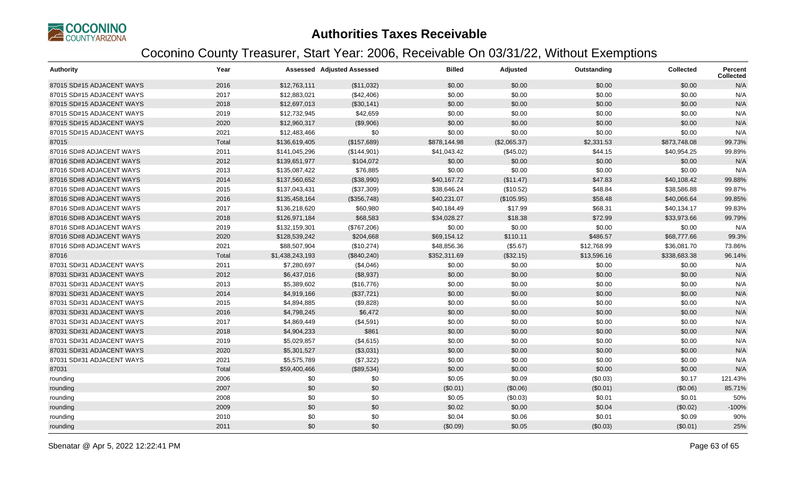

| Authority                 | Year  |                 | <b>Assessed Adjusted Assessed</b> | <b>Billed</b> | Adjusted     | Outstanding | <b>Collected</b> | <b>Percent</b><br><b>Collected</b> |
|---------------------------|-------|-----------------|-----------------------------------|---------------|--------------|-------------|------------------|------------------------------------|
| 87015 SD#15 ADJACENT WAYS | 2016  | \$12,763,111    | (\$11,032)                        | \$0.00        | \$0.00       | \$0.00      | \$0.00           | N/A                                |
| 87015 SD#15 ADJACENT WAYS | 2017  | \$12,883,021    | (\$42,406)                        | \$0.00        | \$0.00       | \$0.00      | \$0.00           | N/A                                |
| 87015 SD#15 ADJACENT WAYS | 2018  | \$12,697,013    | (\$30,141)                        | \$0.00        | \$0.00       | \$0.00      | \$0.00           | N/A                                |
| 87015 SD#15 ADJACENT WAYS | 2019  | \$12,732,945    | \$42,659                          | \$0.00        | \$0.00       | \$0.00      | \$0.00           | N/A                                |
| 87015 SD#15 ADJACENT WAYS | 2020  | \$12,960,317    | (\$9,906)                         | \$0.00        | \$0.00       | \$0.00      | \$0.00           | N/A                                |
| 87015 SD#15 ADJACENT WAYS | 2021  | \$12,483,466    | \$0                               | \$0.00        | \$0.00       | \$0.00      | \$0.00           | N/A                                |
| 87015                     | Total | \$136,619,405   | (\$157,689)                       | \$878,144.98  | (\$2,065.37) | \$2,331.53  | \$873,748.08     | 99.73%                             |
| 87016 SD#8 ADJACENT WAYS  | 2011  | \$141,045,296   | (\$144,901)                       | \$41,043.42   | (\$45.02)    | \$44.15     | \$40,954.25      | 99.89%                             |
| 87016 SD#8 ADJACENT WAYS  | 2012  | \$139,651,977   | \$104,072                         | \$0.00        | \$0.00       | \$0.00      | \$0.00           | N/A                                |
| 87016 SD#8 ADJACENT WAYS  | 2013  | \$135,087,422   | \$76,885                          | \$0.00        | \$0.00       | \$0.00      | \$0.00           | N/A                                |
| 87016 SD#8 ADJACENT WAYS  | 2014  | \$137,560,652   | (\$38,990)                        | \$40,167.72   | (\$11.47)    | \$47.83     | \$40,108.42      | 99.88%                             |
| 87016 SD#8 ADJACENT WAYS  | 2015  | \$137,043,431   | (\$37,309)                        | \$38,646.24   | (\$10.52)    | \$48.84     | \$38,586.88      | 99.87%                             |
| 87016 SD#8 ADJACENT WAYS  | 2016  | \$135,458,164   | (\$356,748)                       | \$40,231.07   | (\$105.95)   | \$58.48     | \$40,066.64      | 99.85%                             |
| 87016 SD#8 ADJACENT WAYS  | 2017  | \$136,218,620   | \$60,980                          | \$40,184.49   | \$17.99      | \$68.31     | \$40,134.17      | 99.83%                             |
| 87016 SD#8 ADJACENT WAYS  | 2018  | \$126,971,184   | \$68,583                          | \$34,028.27   | \$18.38      | \$72.99     | \$33,973.66      | 99.79%                             |
| 87016 SD#8 ADJACENT WAYS  | 2019  | \$132,159,301   | (\$767,206)                       | \$0.00        | \$0.00       | \$0.00      | \$0.00           | N/A                                |
| 87016 SD#8 ADJACENT WAYS  | 2020  | \$128,539,242   | \$204,668                         | \$69,154.12   | \$110.11     | \$486.57    | \$68,777.66      | 99.3%                              |
| 87016 SD#8 ADJACENT WAYS  | 2021  | \$88,507,904    | (\$10,274)                        | \$48,856.36   | (\$5.67)     | \$12,768.99 | \$36,081.70      | 73.86%                             |
| 87016                     | Total | \$1,438,243,193 | (\$840,240)                       | \$352,311.69  | (\$32.15)    | \$13,596.16 | \$338,683.38     | 96.14%                             |
| 87031 SD#31 ADJACENT WAYS | 2011  | \$7,280,697     | (\$4,046)                         | \$0.00        | \$0.00       | \$0.00      | \$0.00           | N/A                                |
| 87031 SD#31 ADJACENT WAYS | 2012  | \$6,437,016     | (\$8,937)                         | \$0.00        | \$0.00       | \$0.00      | \$0.00           | N/A                                |
| 87031 SD#31 ADJACENT WAYS | 2013  | \$5,389,602     | (\$16,776)                        | \$0.00        | \$0.00       | \$0.00      | \$0.00           | N/A                                |
| 87031 SD#31 ADJACENT WAYS | 2014  | \$4,919,166     | (\$37,721)                        | \$0.00        | \$0.00       | \$0.00      | \$0.00           | N/A                                |
| 87031 SD#31 ADJACENT WAYS | 2015  | \$4,894,885     | (\$9,828)                         | \$0.00        | \$0.00       | \$0.00      | \$0.00           | N/A                                |
| 87031 SD#31 ADJACENT WAYS | 2016  | \$4,798,245     | \$6,472                           | \$0.00        | \$0.00       | \$0.00      | \$0.00           | N/A                                |
| 87031 SD#31 ADJACENT WAYS | 2017  | \$4,869,449     | (\$4,591)                         | \$0.00        | \$0.00       | \$0.00      | \$0.00           | N/A                                |
| 87031 SD#31 ADJACENT WAYS | 2018  | \$4,904,233     | \$861                             | \$0.00        | \$0.00       | \$0.00      | \$0.00           | N/A                                |
| 87031 SD#31 ADJACENT WAYS | 2019  | \$5,029,857     | (\$4,615)                         | \$0.00        | \$0.00       | \$0.00      | \$0.00           | N/A                                |
| 87031 SD#31 ADJACENT WAYS | 2020  | \$5,301,527     | (\$3,031)                         | \$0.00        | \$0.00       | \$0.00      | \$0.00           | N/A                                |
| 87031 SD#31 ADJACENT WAYS | 2021  | \$5,575,789     | (\$7,322)                         | \$0.00        | \$0.00       | \$0.00      | \$0.00           | N/A                                |
| 87031                     | Total | \$59,400,466    | (\$89,534)                        | \$0.00        | \$0.00       | \$0.00      | \$0.00           | N/A                                |
| rounding                  | 2006  | \$0             | \$0                               | \$0.05        | \$0.09       | (\$0.03)    | \$0.17           | 121.43%                            |
| rounding                  | 2007  | \$0             | \$0                               | (\$0.01)      | (\$0.06)     | (\$0.01)    | (\$0.06)         | 85.71%                             |
| rounding                  | 2008  | \$0             | \$0                               | \$0.05        | (\$0.03)     | \$0.01      | \$0.01           | 50%                                |
| rounding                  | 2009  | \$0             | \$0                               | \$0.02        | \$0.00       | \$0.04      | (\$0.02)         | $-100%$                            |
| rounding                  | 2010  | \$0             | \$0                               | \$0.04        | \$0.06       | \$0.01      | \$0.09           | 90%                                |
| rounding                  | 2011  | \$0             | \$0                               | (\$0.09)      | \$0.05       | (\$0.03)    | (\$0.01)         | 25%                                |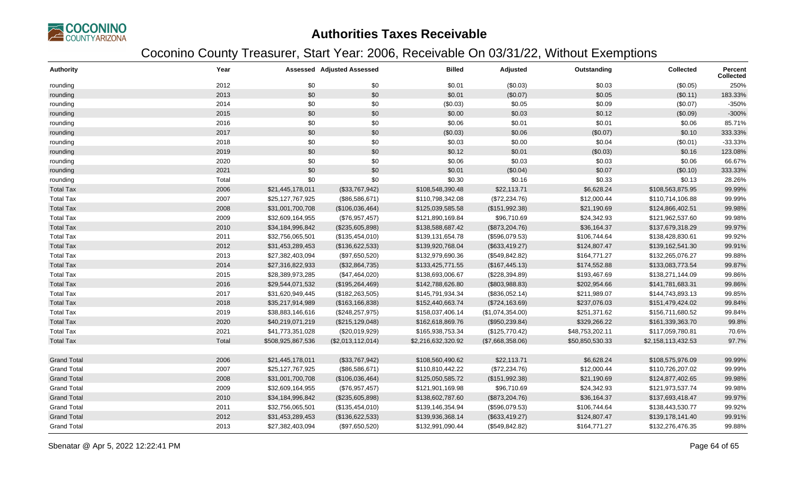

| <b>Authority</b>   | Year  |                   | Assessed Adjusted Assessed | <b>Billed</b>      | Adjusted         | Outstanding     | Collected          | Percent<br><b>Collected</b> |
|--------------------|-------|-------------------|----------------------------|--------------------|------------------|-----------------|--------------------|-----------------------------|
| rounding           | 2012  | \$0               | \$0                        | \$0.01             | (\$0.03)         | \$0.03          | (\$0.05)           | 250%                        |
| rounding           | 2013  | \$0               | \$0                        | \$0.01             | (\$0.07)         | \$0.05          | (\$0.11)           | 183.33%                     |
| rounding           | 2014  | \$0               | \$0                        | (\$0.03)           | \$0.05           | \$0.09          | (\$0.07)           | -350%                       |
| rounding           | 2015  | \$0               | \$0                        | \$0.00             | \$0.03           | \$0.12          | (\$0.09)           | $-300%$                     |
| rounding           | 2016  | \$0               | \$0                        | \$0.06             | \$0.01           | \$0.01          | \$0.06             | 85.71%                      |
| rounding           | 2017  | \$0               | \$0                        | (\$0.03)           | \$0.06           | (\$0.07)        | \$0.10             | 333.33%                     |
| rounding           | 2018  | \$0               | \$0                        | \$0.03             | \$0.00           | \$0.04          | (\$0.01)           | $-33.33%$                   |
| rounding           | 2019  | \$0               | \$0                        | \$0.12             | \$0.01           | (\$0.03)        | \$0.16             | 123.08%                     |
| rounding           | 2020  | \$0               | \$0                        | \$0.06             | \$0.03           | \$0.03          | \$0.06             | 66.67%                      |
| rounding           | 2021  | \$0               | \$0                        | \$0.01             | (\$0.04)         | \$0.07          | (\$0.10)           | 333.33%                     |
| rounding           | Total | \$0               | \$0                        | \$0.30             | \$0.16           | \$0.33          | \$0.13             | 28.26%                      |
| <b>Total Tax</b>   | 2006  | \$21,445,178,011  | (\$33,767,942)             | \$108,548,390.48   | \$22,113.71      | \$6,628.24      | \$108,563,875.95   | 99.99%                      |
| <b>Total Tax</b>   | 2007  | \$25,127,767,925  | (\$86,586,671)             | \$110,798,342.08   | (\$72,234.76)    | \$12,000.44     | \$110,714,106.88   | 99.99%                      |
| <b>Total Tax</b>   | 2008  | \$31,001,700,708  | (\$106,036,464)            | \$125,039,585.58   | (\$151,992.38)   | \$21,190.69     | \$124,866,402.51   | 99.98%                      |
| <b>Total Tax</b>   | 2009  | \$32,609,164,955  | (\$76,957,457)             | \$121,890,169.84   | \$96,710.69      | \$24,342.93     | \$121,962,537.60   | 99.98%                      |
| <b>Total Tax</b>   | 2010  | \$34,184,996,842  | (\$235,605,898)            | \$138,588,687.42   | (\$873,204.76)   | \$36,164.37     | \$137,679,318.29   | 99.97%                      |
| <b>Total Tax</b>   | 2011  | \$32,756,065,501  | (\$135,454,010)            | \$139,131,654.78   | (\$596,079.53)   | \$106,744.64    | \$138,428,830.61   | 99.92%                      |
| <b>Total Tax</b>   | 2012  | \$31,453,289,453  | (\$136,622,533)            | \$139,920,768.04   | (\$633,419.27)   | \$124,807.47    | \$139,162,541.30   | 99.91%                      |
| <b>Total Tax</b>   | 2013  | \$27,382,403,094  | (\$97,650,520)             | \$132,979,690.36   | (\$549, 842.82)  | \$164,771.27    | \$132,265,076.27   | 99.88%                      |
| <b>Total Tax</b>   | 2014  | \$27,316,822,933  | (\$32,864,735)             | \$133,425,771.55   | (\$167,445.13)   | \$174,552.88    | \$133,083,773.54   | 99.87%                      |
| <b>Total Tax</b>   | 2015  | \$28,389,973,285  | (\$47,464,020)             | \$138,693,006.67   | (\$228,394.89)   | \$193,467.69    | \$138,271,144.09   | 99.86%                      |
| <b>Total Tax</b>   | 2016  | \$29,544,071,532  | (\$195,264,469)            | \$142,788,626.80   | (\$803,988.83)   | \$202,954.66    | \$141,781,683.31   | 99.86%                      |
| <b>Total Tax</b>   | 2017  | \$31,620,949,445  | (\$182, 263, 505)          | \$145,791,934.34   | (\$836,052.14)   | \$211,989.07    | \$144,743,893.13   | 99.85%                      |
| <b>Total Tax</b>   | 2018  | \$35,217,914,989  | (\$163, 166, 838)          | \$152,440,663.74   | (\$724, 163.69)  | \$237,076.03    | \$151,479,424.02   | 99.84%                      |
| <b>Total Tax</b>   | 2019  | \$38,883,146,616  | (\$248, 257, 975)          | \$158,037,406.14   | (\$1,074,354.00) | \$251,371.62    | \$156,711,680.52   | 99.84%                      |
| <b>Total Tax</b>   | 2020  | \$40,219,071,219  | (\$215, 129, 048)          | \$162,618,869.76   | (\$950,239.84)   | \$329,266.22    | \$161,339,363.70   | 99.8%                       |
| <b>Total Tax</b>   | 2021  | \$41,773,351,028  | (\$20,019,929)             | \$165,938,753.34   | (\$125,770.42)   | \$48,753,202.11 | \$117,059,780.81   | 70.6%                       |
| <b>Total Tax</b>   | Total | \$508,925,867,536 | (\$2,013,112,014)          | \$2,216,632,320.92 | (\$7,668,358.06) | \$50,850,530.33 | \$2,158,113,432.53 | 97.7%                       |
| <b>Grand Total</b> | 2006  | \$21,445,178,011  | (\$33,767,942)             | \$108,560,490.62   | \$22,113.71      | \$6,628.24      | \$108,575,976.09   | 99.99%                      |
| <b>Grand Total</b> | 2007  | \$25,127,767,925  | (\$86,586,671)             | \$110,810,442.22   | (\$72,234.76)    | \$12,000.44     | \$110,726,207.02   | 99.99%                      |
| <b>Grand Total</b> | 2008  | \$31,001,700,708  | (\$106,036,464)            | \$125,050,585.72   | (\$151,992.38)   | \$21,190.69     | \$124,877,402.65   | 99.98%                      |
| <b>Grand Total</b> | 2009  | \$32,609,164,955  | (\$76,957,457)             | \$121,901,169.98   | \$96,710.69      | \$24,342.93     | \$121,973,537.74   | 99.98%                      |
| <b>Grand Total</b> | 2010  | \$34,184,996,842  | (\$235,605,898)            | \$138,602,787.60   | (\$873,204.76)   | \$36,164.37     | \$137,693,418.47   | 99.97%                      |
| <b>Grand Total</b> | 2011  | \$32,756,065,501  | (\$135,454,010)            | \$139,146,354.94   | (\$596,079.53)   | \$106,744.64    | \$138,443,530.77   | 99.92%                      |
| <b>Grand Total</b> | 2012  | \$31,453,289,453  | (\$136,622,533)            | \$139,936,368.14   | (\$633,419.27)   | \$124,807.47    | \$139,178,141.40   | 99.91%                      |
| <b>Grand Total</b> | 2013  | \$27,382,403,094  | (\$97,650,520)             | \$132,991,090.44   | (\$549,842.82)   | \$164,771.27    | \$132,276,476.35   | 99.88%                      |